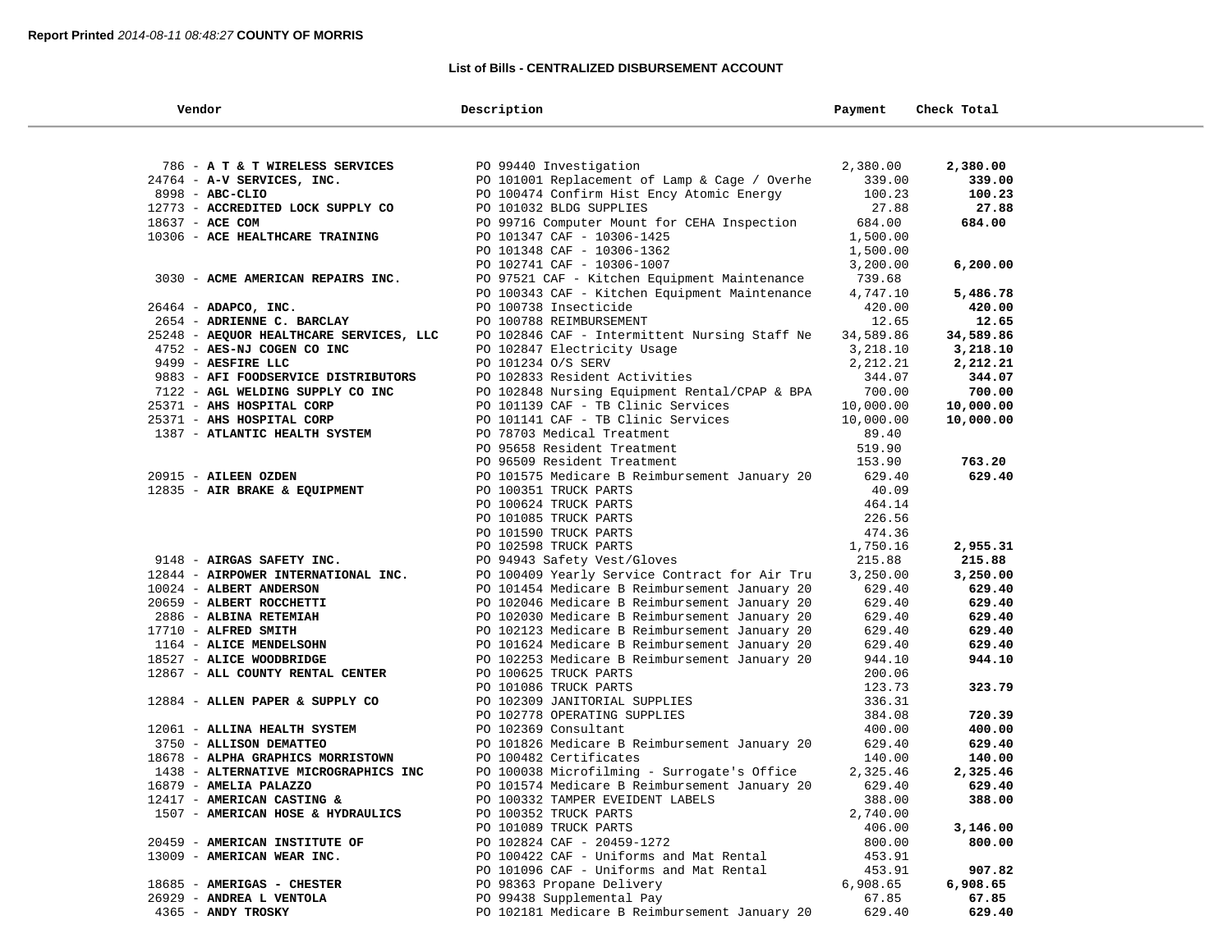### **List of Bills - CENTRALIZED DISBURSEMENT ACCOUNT**

| Vendor                                                       | Description                                                                                    | Payment            | Check Total        |
|--------------------------------------------------------------|------------------------------------------------------------------------------------------------|--------------------|--------------------|
|                                                              |                                                                                                |                    |                    |
| 786 - A T & T WIRELESS SERVICES                              | PO 99440 Investigation                                                                         | 2,380.00           | 2,380.00           |
| 24764 - A-V SERVICES, INC.                                   | PO 101001 Replacement of Lamp & Cage / Overhe                                                  | 339.00             | 339.00             |
| 8998 - ABC-CLIO                                              | PO 100474 Confirm Hist Ency Atomic Energy                                                      | 100.23             | 100.23             |
| 12773 - ACCREDITED LOCK SUPPLY CO                            | PO 101032 BLDG SUPPLIES                                                                        | 27.88              | 27.88              |
| 18637 - ACE COM                                              | PO 99716 Computer Mount for CEHA Inspection                                                    | 684.00             | 684.00             |
| 10306 - ACE HEALTHCARE TRAINING                              | PO 101347 CAF - 10306-1425                                                                     | 1,500.00           |                    |
|                                                              | PO 101348 CAF - 10306-1362                                                                     | 1,500.00           |                    |
|                                                              | PO 102741 CAF - 10306-1007                                                                     | 3,200.00           | 6, 200.00          |
| 3030 - ACME AMERICAN REPAIRS INC.                            | PO 97521 CAF - Kitchen Equipment Maintenance                                                   | 739.68             |                    |
|                                                              | PO 100343 CAF - Kitchen Equipment Maintenance                                                  | 4,747.10           | 5,486.78           |
| $26464$ - ADAPCO, INC.                                       | PO 100738 Insecticide                                                                          | 420.00             | 420.00             |
| 2654 - ADRIENNE C. BARCLAY                                   | PO 100788 REIMBURSEMENT                                                                        | 12.65              | 12.65              |
| 25248 - AEQUOR HEALTHCARE SERVICES, LLC                      | PO 102846 CAF - Intermittent Nursing Staff Ne                                                  | 34,589.86          | 34,589.86          |
| 4752 - AES-NJ COGEN CO INC                                   | PO 102847 Electricity Usage                                                                    | 3,218.10           | 3,218.10           |
| 9499 - AESFIRE LLC                                           | PO 101234 O/S SERV                                                                             | 2,212.21           | 2,212.21           |
| 9883 - AFI FOODSERVICE DISTRIBUTORS                          | PO 102833 Resident Activities                                                                  | 344.07             | 344.07             |
| 7122 - AGL WELDING SUPPLY CO INC                             | PO 102848 Nursing Equipment Rental/CPAP & BPA                                                  | 700.00             | 700.00             |
| 25371 - AHS HOSPITAL CORP                                    | PO 101139 CAF - TB Clinic Services                                                             | 10,000.00          | 10,000.00          |
| 25371 - AHS HOSPITAL CORP                                    | PO 101141 CAF - TB Clinic Services                                                             | 10,000.00          | 10,000.00          |
| 1387 - ATLANTIC HEALTH SYSTEM                                | PO 78703 Medical Treatment                                                                     | 89.40              |                    |
|                                                              | PO 95658 Resident Treatment                                                                    | 519.90             |                    |
|                                                              | PO 96509 Resident Treatment                                                                    | 153.90             | 763.20             |
| 20915 - AILEEN OZDEN                                         | PO 101575 Medicare B Reimbursement January 20                                                  | 629.40             | 629.40             |
| 12835 - AIR BRAKE & EQUIPMENT                                |                                                                                                | 40.09              |                    |
|                                                              | PO 100351 TRUCK PARTS                                                                          | 464.14             |                    |
|                                                              | PO 100624 TRUCK PARTS                                                                          |                    |                    |
|                                                              | PO 101085 TRUCK PARTS<br>PO 101590 TRUCK PARTS                                                 | 226.56<br>474.36   |                    |
|                                                              |                                                                                                |                    |                    |
| 9148 - AIRGAS SAFETY INC.                                    | PO 102598 TRUCK PARTS                                                                          | 1,750.16<br>215.88 | 2,955.31<br>215.88 |
| 12844 - AIRPOWER INTERNATIONAL INC.                          | PO 94943 Safety Vest/Gloves                                                                    | 3,250.00           | 3,250.00           |
| 10024 - ALBERT ANDERSON                                      | PO 100409 Yearly Service Contract for Air Tru                                                  | 629.40             | 629.40             |
| 20659 - ALBERT ROCCHETTI                                     | PO 101454 Medicare B Reimbursement January 20                                                  | 629.40             | 629.40             |
| 2886 - ALBINA RETEMIAH                                       | PO 102046 Medicare B Reimbursement January 20<br>PO 102030 Medicare B Reimbursement January 20 | 629.40             | 629.40             |
|                                                              | PO 102123 Medicare B Reimbursement January 20                                                  | 629.40             |                    |
| 17710 - ALFRED SMITH                                         |                                                                                                | 629.40             | 629.40             |
| 1164 - ALICE MENDELSOHN<br>18527 - ALICE WOODBRIDGE          | PO 101624 Medicare B Reimbursement January 20<br>PO 102253 Medicare B Reimbursement January 20 | 944.10             | 629.40<br>944.10   |
| 12867 - ALL COUNTY RENTAL CENTER                             | PO 100625 TRUCK PARTS                                                                          | 200.06             |                    |
|                                                              | PO 101086 TRUCK PARTS                                                                          | 123.73             | 323.79             |
| 12884 - ALLEN PAPER & SUPPLY CO                              | PO 102309 JANITORIAL SUPPLIES                                                                  | 336.31             |                    |
|                                                              | PO 102778 OPERATING SUPPLIES                                                                   | 384.08             | 720.39             |
|                                                              |                                                                                                |                    |                    |
| 12061 - ALLINA HEALTH SYSTEM                                 | PO 102369 Consultant                                                                           | 400.00             | 400.00             |
| 3750 - ALLISON DEMATTEO<br>18678 - ALPHA GRAPHICS MORRISTOWN | PO 101826 Medicare B Reimbursement January 20                                                  | 629.40             | 629.40             |
|                                                              | PO 100482 Certificates                                                                         | 140.00             | 140.00<br>2,325.46 |
| 1438 - ALTERNATIVE MICROGRAPHICS INC                         | PO 100038 Microfilming - Surrogate's Office<br>PO 101574 Medicare B Reimbursement January 20   | 2,325.46<br>629.40 |                    |
| 16879 - AMELIA PALAZZO                                       |                                                                                                |                    | 629.40             |
| 12417 - AMERICAN CASTING &                                   | PO 100332 TAMPER EVEIDENT LABELS                                                               | 388.00             | 388.00             |
| 1507 - AMERICAN HOSE & HYDRAULICS                            | PO 100352 TRUCK PARTS                                                                          | 2,740.00           |                    |
|                                                              | PO 101089 TRUCK PARTS                                                                          | 406.00             | 3,146.00           |
| 20459 - AMERICAN INSTITUTE OF                                | PO 102824 CAF - 20459-1272                                                                     | 800.00             | 800.00             |
| 13009 - AMERICAN WEAR INC.                                   | PO 100422 CAF - Uniforms and Mat Rental                                                        | 453.91             |                    |
|                                                              | PO 101096 CAF - Uniforms and Mat Rental                                                        | 453.91             | 907.82             |
| 18685 - AMERIGAS - CHESTER                                   | PO 98363 Propane Delivery                                                                      | 6,908.65           | 6,908.65           |
| 26929 - ANDREA L VENTOLA                                     | PO 99438 Supplemental Pay                                                                      | 67.85              | 67.85              |
| 4365 - ANDY TROSKY                                           | PO 102181 Medicare B Reimbursement January 20                                                  | 629.40             | 629.40             |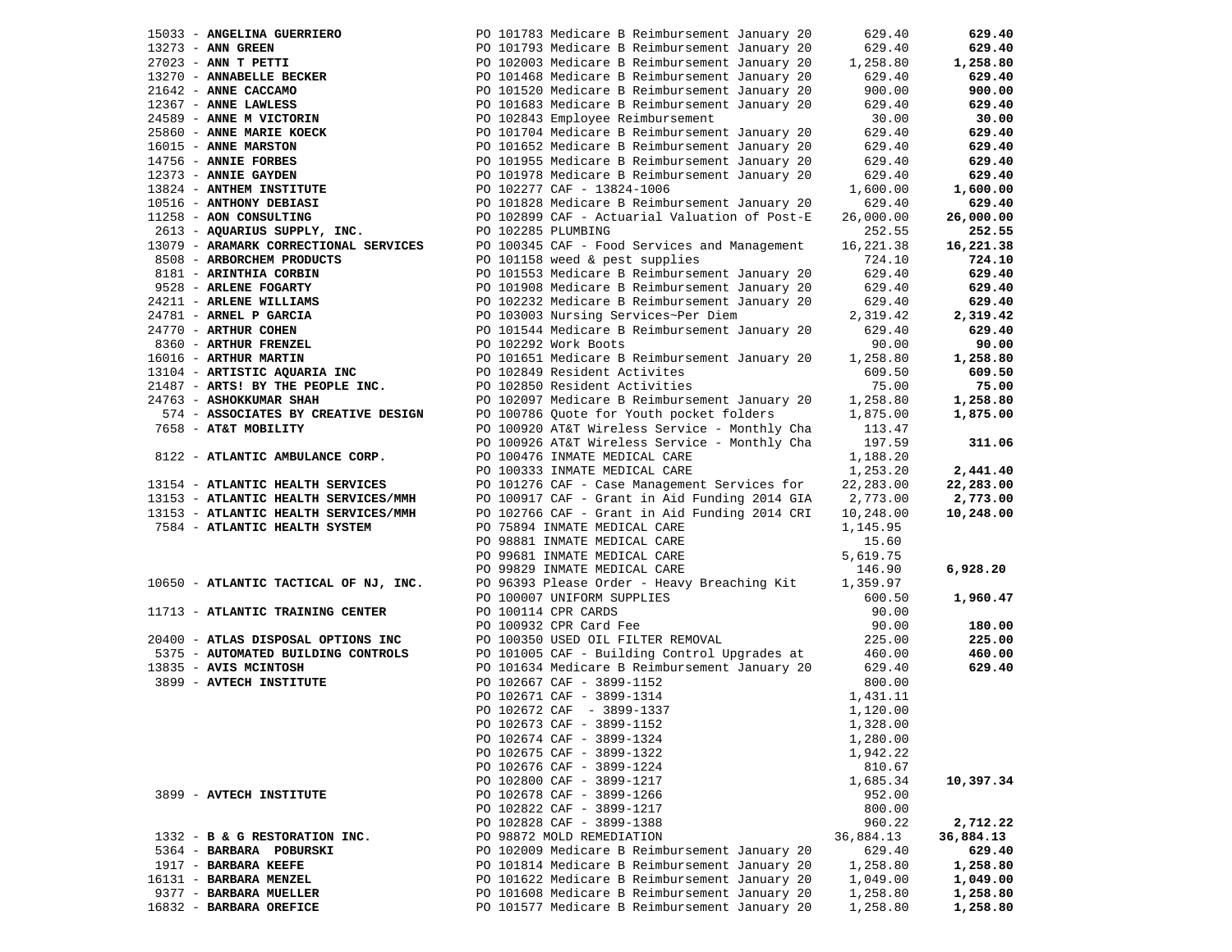|                   | 15033 - ANGELINA GUERRIERO                                                                        |                                                                                                                                                                                                  | 629.40    | 629.40    |
|-------------------|---------------------------------------------------------------------------------------------------|--------------------------------------------------------------------------------------------------------------------------------------------------------------------------------------------------|-----------|-----------|
| 13273 - ANN GREEN |                                                                                                   | PO 101793 Medicare B Reimbursement January 20<br>PO 102003 Medicare B Reimbursement January 20<br>PO 101468 Medicare B Reimbursement January 20<br>PO 101520 Medicare B Reimbursement January 20 | 629.40    | 629.40    |
|                   | 27023 - ANN T PETTI<br>13270 - ANNABELLE BECKER<br>21642 - ANNE CACCAMO                           |                                                                                                                                                                                                  | 1,258.80  | 1,258.80  |
|                   |                                                                                                   |                                                                                                                                                                                                  | 629.40    | 629.40    |
|                   |                                                                                                   |                                                                                                                                                                                                  | 900.00    | 900.00    |
|                   |                                                                                                   | PO 101683 Medicare B Reimbursement January 20                                                                                                                                                    | 629.40    | 629.40    |
|                   | 12367 - ANNE LAWLESS<br>24589 - ANNE M VICTORIN                                                   | PO 102843 Employee Reimbursement                                                                                                                                                                 | 30.00     | 30.00     |
|                   | 25860 - ANNE MARIE KOECK                                                                          | PO 101704 Medicare B Reimbursement January 20                                                                                                                                                    | 629.40    | 629.40    |
|                   | 16015 - ANNE MARSTON                                                                              | PO 101652 Medicare B Reimbursement January 20                                                                                                                                                    | 629.40    | 629.40    |
|                   |                                                                                                   | PO 101955 Medicare B Reimbursement January 20                                                                                                                                                    | 629.40    | 629.40    |
|                   | 14756 - ANNIE FORBES<br>12373 - ANNIE GAYDEN                                                      | PO 101978 Medicare B Reimbursement January 20                                                                                                                                                    | 629.40    | 629.40    |
|                   | 13824 - ANTHEM INSTITUTE                                                                          | PO 102277 CAF - 13824-1006                                                                                                                                                                       | 1,600.00  | 1,600.00  |
|                   | 10516 - ANTHONY DEBIASI                                                                           | PO 101828 Medicare B Reimbursement January 20                                                                                                                                                    | 629.40    | 629.40    |
|                   | 11258 - AON CONSULTING                                                                            | PO 102899 CAF - Actuarial Valuation of Post-E                                                                                                                                                    | 26,000.00 | 26,000.00 |
|                   | 2613 - AQUARIUS SUPPLY, INC.                                                                      | PO 102285 PLUMBING                                                                                                                                                                               | 252.55    | 252.55    |
|                   | 13079 - ARAMARK CORRECTIONAL SERVICES                                                             | PO 100345 CAF - Food Services and Management                                                                                                                                                     | 16,221.38 | 16,221.38 |
|                   | 8508 - ARBORCHEM PRODUCTS                                                                         | PO 101158 weed & pest supplies                                                                                                                                                                   | 724.10    | 724.10    |
|                   | 8181 - ARINTHIA CORBIN                                                                            | PO 101553 Medicare B Reimbursement January 20                                                                                                                                                    | 629.40    | 629.40    |
|                   | 9528 - ARLENE FOGARTY                                                                             | PO 101908 Medicare B Reimbursement January 20                                                                                                                                                    | 629.40    | 629.40    |
|                   | 24211 - ARLENE WILLIAMS                                                                           | PO 102232 Medicare B Reimbursement January 20                                                                                                                                                    | 629.40    | 629.40    |
|                   | 24211 - ARLENE WILLIAM<br>24781 - ARNEL P GARCIA<br>24770 - ARTHUR COHEN<br>8360 - ARTHUR FRENZEL | PO 102232 Medicare B Refundant Schedule Community<br>PO 103003 Nursing Services~Per Diem                                                                                                         | 2,319.42  | 2,319.42  |
|                   |                                                                                                   | PO 101544 Medicare B Reimbursement January 20                                                                                                                                                    | 629.40    | 629.40    |
|                   |                                                                                                   | PO 101544 Medicare B<br>PO 102292 Work Boots                                                                                                                                                     | 90.00     | 90.00     |
|                   |                                                                                                   | PO 101651 Medicare B Reimbursement January 20                                                                                                                                                    | 1,258.80  | 1,258.80  |
|                   | 13104 - ARTISTIC AQUARIA INC                                                                      | PO 102849 Resident Activites                                                                                                                                                                     | 609.50    | 609.50    |
|                   | 21487 - ARTS! BY THE PEOPLE INC.                                                                  | PO 102850 Resident Activities                                                                                                                                                                    | 75.00     | 75.00     |
|                   | 24763 - ASHOKKUMAR SHAH                                                                           | PO 102097 Medicare B Reimbursement January 20                                                                                                                                                    | 1,258.80  | 1,258.80  |
|                   | 574 - ASSOCIATES BY CREATIVE DESIGN                                                               | PO 100786 Quote for Youth pocket folders                                                                                                                                                         | 1,875.00  | 1,875.00  |
|                   | 7658 - AT&T MOBILITY                                                                              | PO 100920 AT&T Wireless Service - Monthly Cha                                                                                                                                                    | 113.47    |           |
|                   |                                                                                                   | PO 100926 AT&T Wireless Service - Monthly Cha                                                                                                                                                    | 197.59    | 311.06    |
|                   | 8122 - ATLANTIC AMBULANCE CORP.                                                                   | PO 100476 INMATE MEDICAL CARE                                                                                                                                                                    | 1,188.20  |           |
|                   |                                                                                                   | PO 100333 INMATE MEDICAL CARE                                                                                                                                                                    | 1,253.20  | 2,441.40  |
|                   | 13154 - ATLANTIC HEALTH SERVICES                                                                  | PO 101276 CAF - Case Management Services for                                                                                                                                                     | 22,283.00 | 22,283.00 |
|                   | 13153 - ATLANTIC HEALTH SERVICES/MMH                                                              | PO 100917 CAF - Grant in Aid Funding 2014 GIA 2,773.00                                                                                                                                           |           | 2,773.00  |
|                   | 13153 - ATLANTIC HEALTH SERVICES/MMH                                                              | PO 102766 CAF - Grant in Aid Funding 2014 CRI                                                                                                                                                    | 10,248.00 | 10,248.00 |
|                   | 7584 - ATLANTIC HEALTH SYSTEM                                                                     | PO 75894 INMATE MEDICAL CARE                                                                                                                                                                     | 1,145.95  |           |
|                   |                                                                                                   | PO 98881 INMATE MEDICAL CARE                                                                                                                                                                     | 15.60     |           |
|                   |                                                                                                   | PO 99681 INMATE MEDICAL CARE                                                                                                                                                                     | 5,619.75  |           |
|                   |                                                                                                   | PO 99829 INMATE MEDICAL CARE                                                                                                                                                                     | 146.90    | 6,928.20  |
|                   | 10650 - ATLANTIC TACTICAL OF NJ, INC.                                                             | PO 96393 Please Order - Heavy Breaching Kit                                                                                                                                                      | 1,359.97  |           |
|                   |                                                                                                   | PO 100007 UNIFORM SUPPLIES                                                                                                                                                                       | 600.50    | 1,960.47  |
|                   | 11713 - ATLANTIC TRAINING CENTER                                                                  | PO 100114 CPR CARDS                                                                                                                                                                              | 90.00     |           |
|                   |                                                                                                   | PO 100932 CPR Card Fee                                                                                                                                                                           | 90.00     | 180.00    |
|                   | 20400 - ATLAS DISPOSAL OPTIONS INC                                                                | PO 100350 USED OIL FILTER REMOVAL                                                                                                                                                                | 225.00    | 225.00    |
|                   | 5375 - AUTOMATED BUILDING CONTROLS                                                                | PO 100350 USED OIL FILED NEWSTER UPGTAGES at<br>PO 101005 CAF - Building Control Upgrades at                                                                                                     | 460.00    | 460.00    |
|                   | 13835 - AVIS MCINTOSH                                                                             | PO 101634 Medicare B Reimbursement January 20                                                                                                                                                    | 629.40    | 629.40    |
|                   | 3899 - AVTECH INSTITUTE                                                                           | PO 102667 CAF - 3899-1152                                                                                                                                                                        | 800.00    |           |
|                   |                                                                                                   | PO 102671 CAF - 3899-1314                                                                                                                                                                        | 1,431.11  |           |
|                   |                                                                                                   | PO 102672 CAF - 3899-1337                                                                                                                                                                        | 1,120.00  |           |
|                   |                                                                                                   | PO 102673 CAF - 3899-1152                                                                                                                                                                        | 1,328.00  |           |
|                   |                                                                                                   | PO 102674 CAF - 3899-1324                                                                                                                                                                        | 1,280.00  |           |
|                   |                                                                                                   | PO 102675 CAF - 3899-1322                                                                                                                                                                        | 1,942.22  |           |
|                   |                                                                                                   | PO 102676 CAF - 3899-1224                                                                                                                                                                        | 810.67    |           |
|                   |                                                                                                   | PO 102800 CAF - 3899-1217                                                                                                                                                                        | 1,685.34  | 10,397.34 |
|                   | 3899 - AVTECH INSTITUTE                                                                           | PO 102678 CAF - 3899-1266                                                                                                                                                                        | 952.00    |           |
|                   |                                                                                                   | PO 102822 CAF - 3899-1217                                                                                                                                                                        | 800.00    |           |
|                   |                                                                                                   | PO 102828 CAF - 3899-1388                                                                                                                                                                        | 960.22    | 2,712.22  |
|                   | 1332 - B & G RESTORATION INC.                                                                     | PO 98872 MOLD REMEDIATION                                                                                                                                                                        | 36,884.13 | 36,884.13 |
|                   | 5364 - BARBARA POBURSKI                                                                           | PO 102009 Medicare B Reimbursement January 20                                                                                                                                                    | 629.40    | 629.40    |
|                   | 1917 - BARBARA KEEFE                                                                              | PO 101814 Medicare B Reimbursement January 20                                                                                                                                                    | 1,258.80  | 1,258.80  |
|                   | 16131 - BARBARA MENZEL                                                                            | PO 101622 Medicare B Reimbursement January 20                                                                                                                                                    | 1,049.00  | 1,049.00  |
|                   | 9377 - BARBARA MUELLER                                                                            | PO 101608 Medicare B Reimbursement January 20                                                                                                                                                    | 1,258.80  | 1,258.80  |
|                   | 16832 - BARBARA OREFICE                                                                           | PO 101577 Medicare B Reimbursement January 20                                                                                                                                                    | 1,258.80  | 1,258.80  |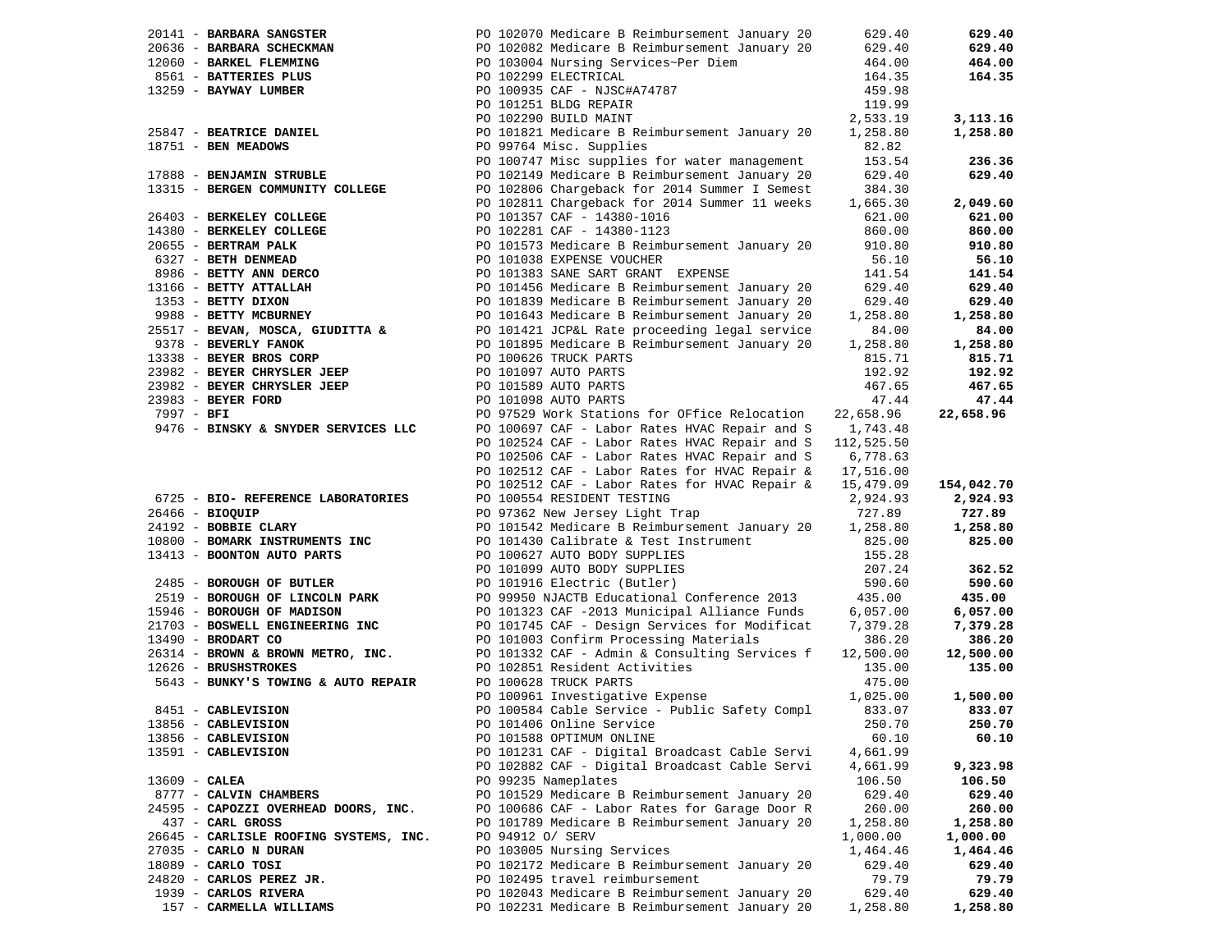|                 | 20141 - BARBARA SANGSTER                    | PO 102070 Medicare B Reimbursement January 20                                                                                                                                                                                                                      | 629.40     | 629.40     |
|-----------------|---------------------------------------------|--------------------------------------------------------------------------------------------------------------------------------------------------------------------------------------------------------------------------------------------------------------------|------------|------------|
|                 |                                             | PO 102082 Medicare B Reimbursement January 20                                                                                                                                                                                                                      | 629.40     | 629.40     |
|                 |                                             |                                                                                                                                                                                                                                                                    | 464.00     | 464.00     |
|                 |                                             |                                                                                                                                                                                                                                                                    | 164.35     | 164.35     |
|                 |                                             | 90636 - <b>BARBARA SCHECKMAN</b><br>12060 - <b>BARKEL FLEMMING</b><br>13259 - <b>BAYWAY LUMBER</b><br>13259 - <b>BAYWAY LUMBER</b><br>13259 - <b>BAYWAY LUMBER</b><br>13259 - <b>BAYWAY LUMBER</b><br>13259 - <b>BAYWAY LUMBER</b><br>13259 - <b>BAYWAY LUMBER</b> | 459.98     |            |
|                 |                                             | PO 101251 BLDG REPAIR                                                                                                                                                                                                                                              | 119.99     |            |
|                 |                                             | PO 102290 BUILD MAINT                                                                                                                                                                                                                                              | 2,533.19   | 3,113.16   |
|                 | 25847 - BEATRICE DANIEL                     | PO 101821 Medicare B Reimbursement January 20                                                                                                                                                                                                                      | 1,258.80   | 1,258.80   |
|                 | 18751 - BEN MEADOWS                         | PO 99764 Misc. Supplies                                                                                                                                                                                                                                            | 82.82      |            |
|                 |                                             | PO 100747 Misc supplies for water management                                                                                                                                                                                                                       | 153.54     | 236.36     |
|                 | 17888 - BENJAMIN STRUBLE                    | PO 102149 Medicare B Reimbursement January 20                                                                                                                                                                                                                      | 629.40     | 629.40     |
|                 | 13315 - BERGEN COMMUNITY COLLEGE            | PO 102806 Chargeback for 2014 Summer I Semest                                                                                                                                                                                                                      | 384.30     |            |
|                 |                                             | PO 102811 Chargeback for 2014 Summer 11 weeks                                                                                                                                                                                                                      | 1,665.30   | 2,049.60   |
|                 | 26403 - BERKELEY COLLEGE                    | PO 101357 CAF - 14380-1016                                                                                                                                                                                                                                         | 621.00     | 621.00     |
|                 | 14380 - BERKELEY COLLEGE                    | PO 102281 CAF - 14380-1123                                                                                                                                                                                                                                         | 860.00     | 860.00     |
|                 | 20655 - BERTRAM PALK                        | PO 101573 Medicare B Reimbursement January 20                                                                                                                                                                                                                      | 910.80     | 910.80     |
|                 | 6327 - BETH DENMEAD                         | PO 101038 EXPENSE VOUCHER                                                                                                                                                                                                                                          | 56.10      | 56.10      |
|                 | 8986 - BETTY ANN DERCO                      | PO 101383 SANE SART GRANT EXPENSE                                                                                                                                                                                                                                  | 141.54     | 141.54     |
|                 | 13166 - BETTY ATTALLAH                      | PO 101456 Medicare B Reimbursement January 20                                                                                                                                                                                                                      | 629.40     | 629.40     |
|                 |                                             | PO 101839 Medicare B Reimbursement January 20                                                                                                                                                                                                                      | 629.40     | 629.40     |
|                 | 1353 - BETTY DIXON<br>9988 - BETTY MCBURNEY | PO 101643 Medicare B Reimbursement January 20                                                                                                                                                                                                                      | 1,258.80   | 1,258.80   |
|                 | 25517 - BEVAN, MOSCA, GIUDITTA &            | PO 101421 JCP&L Rate proceeding legal service                                                                                                                                                                                                                      | 84.00      | 84.00      |
|                 | 9378 - BEVERLY FANOK                        | PO 101895 Medicare B Reimbursement January 20                                                                                                                                                                                                                      | 1,258.80   | 1,258.80   |
|                 | 13338 - BEYER BROS CORP                     | PO 100626 TRUCK PARTS                                                                                                                                                                                                                                              | 815.71     | 815.71     |
|                 | 23982 - BEYER CHRYSLER JEEP                 | PO 101097 AUTO PARTS                                                                                                                                                                                                                                               | 192.92     | 192.92     |
|                 | 23982 - BEYER CHRYSLER JEEP                 | PO 101589 AUTO PARTS                                                                                                                                                                                                                                               | 467.65     | 467.65     |
|                 | 23983 - BEYER FORD                          | PO 101098 AUTO PARTS                                                                                                                                                                                                                                               | 47.44      | 47.44      |
| $7997 - BFI$    |                                             | PO 97529 Work Stations for OFfice Relocation                                                                                                                                                                                                                       | 22,658.96  | 22,658.96  |
|                 | 9476 - BINSKY & SNYDER SERVICES LLC         | PO 100697 CAF - Labor Rates HVAC Repair and S                                                                                                                                                                                                                      | 1,743.48   |            |
|                 |                                             | PO 102524 CAF - Labor Rates HVAC Repair and S                                                                                                                                                                                                                      | 112,525.50 |            |
|                 |                                             | PO 102506 CAF - Labor Rates HVAC Repair and S                                                                                                                                                                                                                      | 6,778.63   |            |
|                 |                                             | PO 102512 CAF - Labor Rates for HVAC Repair &                                                                                                                                                                                                                      | 17,516.00  |            |
|                 |                                             | PO 102512 CAF - Labor Rates for HVAC Repair &                                                                                                                                                                                                                      | 15,479.09  | 154,042.70 |
|                 | 6725 - BIO- REFERENCE LABORATORIES          | PO 100554 RESIDENT TESTING                                                                                                                                                                                                                                         | 2,924.93   | 2,924.93   |
|                 | 26466 - BIOQUIP                             | PO 97362 New Jersey Light Trap                                                                                                                                                                                                                                     | 727.89     | 727.89     |
|                 | 24192 - BOBBIE CLARY                        | PO 101542 Medicare B Reimbursement January 20                                                                                                                                                                                                                      | 1,258.80   | 1,258.80   |
|                 | 10800 - BOMARK INSTRUMENTS INC              | PO 101430 Calibrate & Test Instrument                                                                                                                                                                                                                              | 825.00     | 825.00     |
|                 | 13413 - BOONTON AUTO PARTS                  | PO 100627 AUTO BODY SUPPLIES                                                                                                                                                                                                                                       | 155.28     |            |
|                 |                                             | PO 101099 AUTO BODY SUPPLIES                                                                                                                                                                                                                                       | 207.24     | 362.52     |
|                 | 2485 - BOROUGH OF BUTLER                    | PO 101916 Electric (Butler)                                                                                                                                                                                                                                        | 590.60     | 590.60     |
|                 | 2519 - BOROUGH OF LINCOLN PARK              | PO 99950 NJACTB Educational Conference 2013                                                                                                                                                                                                                        | 435.00     | 435.00     |
|                 | 15946 - BOROUGH OF MADISON                  | PO 101323 CAF -2013 Municipal Alliance Funds                                                                                                                                                                                                                       |            |            |
|                 |                                             |                                                                                                                                                                                                                                                                    | 6,057.00   | 6,057.00   |
|                 | 21703 - BOSWELL ENGINEERING INC             | PO 101745 CAF - Design Services for Modificat                                                                                                                                                                                                                      | 7,379.28   | 7,379.28   |
|                 | 13490 - BRODART CO                          | PO 101003 Confirm Processing Materials<br>PO 101332 CAF - Admin & Consulting Services f                                                                                                                                                                            | 386.20     | 386.20     |
|                 | 26314 - BROWN & BROWN METRO, INC.           |                                                                                                                                                                                                                                                                    | 12,500.00  | 12,500.00  |
|                 | 12626 - BRUSHSTROKES                        | PO 102851 Resident Activities                                                                                                                                                                                                                                      | 135.00     | 135.00     |
|                 | 5643 - BUNKY'S TOWING & AUTO REPAIR         | PO 100628 TRUCK PARTS                                                                                                                                                                                                                                              | 475.00     |            |
|                 |                                             | PO 100961 Investigative Expense                                                                                                                                                                                                                                    | 1,025.00   | 1,500.00   |
|                 | 8451 - CABLEVISION                          | PO 100584 Cable Service - Public Safety Compl                                                                                                                                                                                                                      | 833.07     | 833.07     |
|                 | 13856 - CABLEVISION                         | PO 101406 Online Service                                                                                                                                                                                                                                           | 250.70     | 250.70     |
|                 | 13856 - CABLEVISION                         | PO 101588 OPTIMUM ONLINE                                                                                                                                                                                                                                           | 60.10      | 60.10      |
|                 | 13591 - CABLEVISION                         | PO 101231 CAF - Digital Broadcast Cable Servi                                                                                                                                                                                                                      | 4,661.99   |            |
|                 |                                             | PO 102882 CAF - Digital Broadcast Cable Servi                                                                                                                                                                                                                      | 4,661.99   | 9,323.98   |
| $13609$ - CALEA |                                             | PO 99235 Nameplates                                                                                                                                                                                                                                                | 106.50     | 106.50     |
|                 | 8777 - CALVIN CHAMBERS                      | PO 101529 Medicare B Reimbursement January 20                                                                                                                                                                                                                      | 629.40     | 629.40     |
|                 | 24595 - CAPOZZI OVERHEAD DOORS, INC.        | PO 100686 CAF - Labor Rates for Garage Door R                                                                                                                                                                                                                      | 260.00     | 260.00     |
|                 | 437 - CARL GROSS                            | PO 101789 Medicare B Reimbursement January 20                                                                                                                                                                                                                      | 1,258.80   | 1,258.80   |
|                 | 26645 - CARLISLE ROOFING SYSTEMS, INC.      | PO 94912 O/ SERV                                                                                                                                                                                                                                                   | 1,000.00   | 1,000.00   |
|                 | 27035 - CARLO N DURAN                       | PO 103005 Nursing Services                                                                                                                                                                                                                                         | 1,464.46   | 1,464.46   |
|                 | $18089$ - CARLO TOSI                        | PO 102172 Medicare B Reimbursement January 20                                                                                                                                                                                                                      | 629.40     | 629.40     |
|                 | 24820 - CARLOS PEREZ JR.                    | PO 102495 travel reimbursement                                                                                                                                                                                                                                     | 79.79      | 79.79      |
|                 | 1939 - CARLOS RIVERA                        | PO 102043 Medicare B Reimbursement January 20                                                                                                                                                                                                                      | 629.40     | 629.40     |
|                 | 157 - CARMELLA WILLIAMS                     | PO 102231 Medicare B Reimbursement January 20                                                                                                                                                                                                                      | 1,258.80   | 1,258.80   |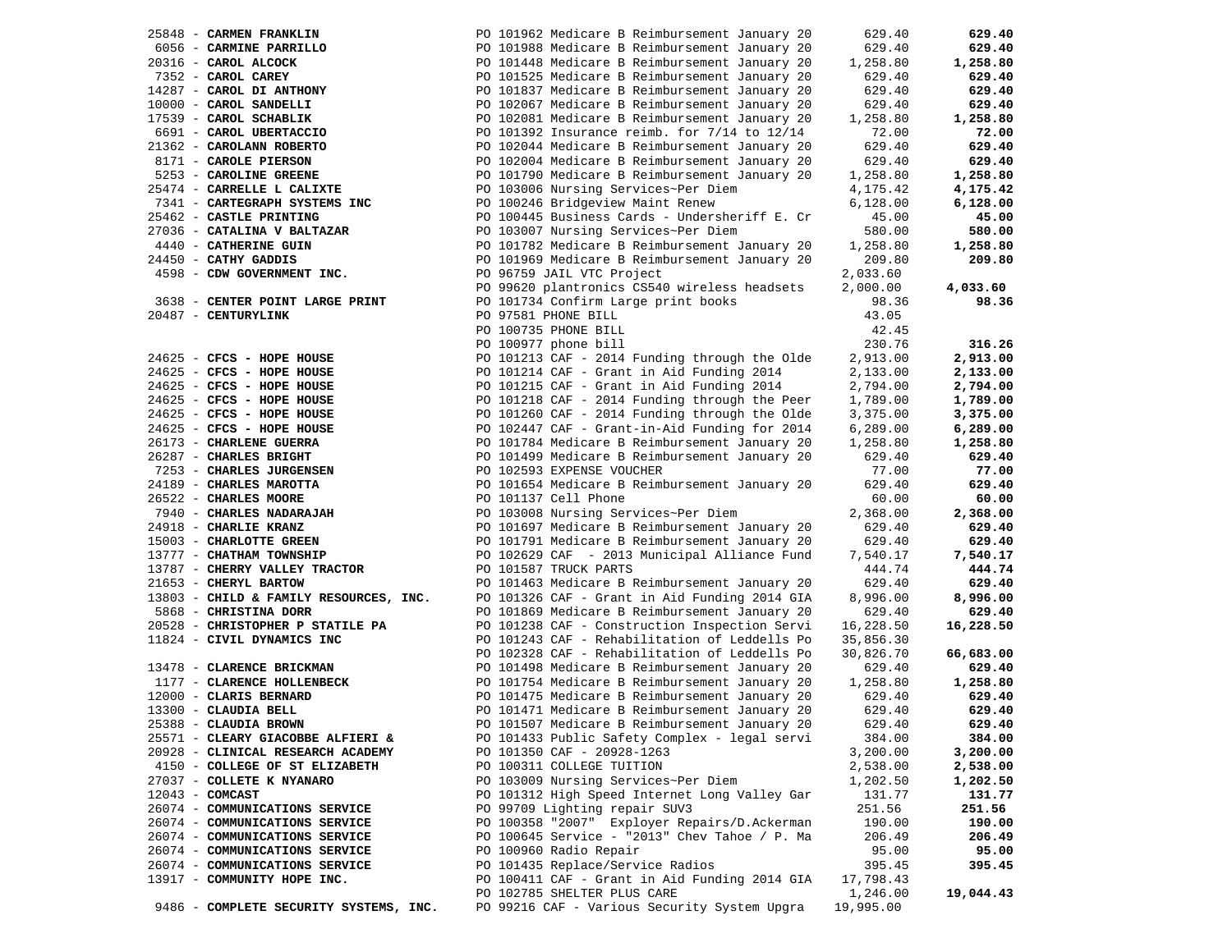| 25848 - CARMEN FRANKLIN           |                                        |                               | PO 101962 Medicare B Reimbursement January 20 | 629.40    | 629.40    |
|-----------------------------------|----------------------------------------|-------------------------------|-----------------------------------------------|-----------|-----------|
| 6056 - CARMINE PARRILLO           |                                        |                               | PO 101988 Medicare B Reimbursement January 20 | 629.40    | 629.40    |
| 20316 - CAROL ALCOCK              |                                        |                               | PO 101448 Medicare B Reimbursement January 20 | 1,258.80  | 1,258.80  |
| 7352 - CAROL CAREY                |                                        |                               | PO 101525 Medicare B Reimbursement January 20 | 629.40    | 629.40    |
| 14287 - CAROL DI ANTHONY          |                                        |                               | PO 101837 Medicare B Reimbursement January 20 | 629.40    | 629.40    |
| 10000 - CAROL SANDELLI            |                                        |                               | PO 102067 Medicare B Reimbursement January 20 | 629.40    | 629.40    |
| 17539 - CAROL SCHABLIK            |                                        |                               | PO 102081 Medicare B Reimbursement January 20 | 1,258.80  | 1,258.80  |
| 6691 - CAROL UBERTACCIO           |                                        |                               | PO 101392 Insurance reimb. for 7/14 to 12/14  | 72.00     | 72.00     |
| 21362 - CAROLANN ROBERTO          |                                        |                               | PO 102044 Medicare B Reimbursement January 20 | 629.40    | 629.40    |
| 8171 - CAROLE PIERSON             |                                        |                               | PO 102004 Medicare B Reimbursement January 20 | 629.40    | 629.40    |
|                                   |                                        |                               |                                               |           |           |
| 5253 - CAROLINE GREENE            |                                        |                               | PO 101790 Medicare B Reimbursement January 20 | 1,258.80  | 1,258.80  |
| 25474 - CARRELLE L CALIXTE        |                                        |                               | PO 103006 Nursing Services~Per Diem           | 4,175.42  | 4,175.42  |
| 7341 - CARTEGRAPH SYSTEMS INC     |                                        |                               | PO 100246 Bridgeview Maint Renew              | 6,128.00  | 6,128.00  |
| 25462 - CASTLE PRINTING           |                                        |                               | PO 100445 Business Cards - Undersheriff E. Cr | 45.00     | 45.00     |
| 27036 - CATALINA V BALTAZAR       |                                        |                               | PO 103007 Nursing Services~Per Diem           | 580.00    | 580.00    |
| 4440 - CATHERINE GUIN             |                                        |                               | PO 101782 Medicare B Reimbursement January 20 | 1,258.80  | 1,258.80  |
| 24450 - CATHY GADDIS              |                                        |                               | PO 101969 Medicare B Reimbursement January 20 | 209.80    | 209.80    |
| 4598 - CDW GOVERNMENT INC.        |                                        | PO 96759 JAIL VTC Project     |                                               | 2,033.60  |           |
|                                   |                                        |                               | PO 99620 plantronics CS540 wireless headsets  | 2,000.00  | 4,033.60  |
| 3638 - CENTER POINT LARGE PRINT   |                                        |                               | PO 101734 Confirm Large print books           | 98.36     | 98.36     |
| 20487 - CENTURYLINK               |                                        | PO 97581 PHONE BILL           |                                               | 43.05     |           |
|                                   |                                        | PO 100735 PHONE BILL          |                                               | 42.45     |           |
|                                   |                                        | PO 100977 phone bill          |                                               | 230.76    | 316.26    |
| $24625$ - CFCS - HOPE HOUSE       |                                        |                               | PO 101213 CAF - 2014 Funding through the Olde | 2,913.00  | 2,913.00  |
| 24625 - CFCS - HOPE HOUSE         |                                        |                               | PO 101214 CAF - Grant in Aid Funding 2014     | 2,133.00  | 2,133.00  |
| 24625 - CFCS - HOPE HOUSE         |                                        |                               | PO 101215 CAF - Grant in Aid Funding 2014     | 2,794.00  | 2,794.00  |
| 24625 - CFCS - HOPE HOUSE         |                                        |                               | PO 101218 CAF - 2014 Funding through the Peer | 1,789.00  | 1,789.00  |
| 24625 - CFCS - HOPE HOUSE         |                                        |                               | PO 101260 CAF - 2014 Funding through the Olde | 3,375.00  | 3,375.00  |
| 24625 - CFCS - HOPE HOUSE         |                                        |                               |                                               | 6,289.00  | 6,289.00  |
|                                   |                                        |                               | PO 102447 CAF - Grant-in-Aid Funding for 2014 |           |           |
| 26173 - CHARLENE GUERRA           |                                        |                               | PO 101784 Medicare B Reimbursement January 20 | 1,258.80  | 1,258.80  |
| 26287 - CHARLES BRIGHT            |                                        |                               | PO 101499 Medicare B Reimbursement January 20 | 629.40    | 629.40    |
| 7253 - CHARLES JURGENSEN          |                                        | PO 102593 EXPENSE VOUCHER     |                                               | 77.00     | 77.00     |
| 24189 - CHARLES MAROTTA           |                                        |                               | PO 101654 Medicare B Reimbursement January 20 | 629.40    | 629.40    |
| 26522 - CHARLES MOORE             |                                        | PO 101137 Cell Phone          |                                               | 60.00     | 60.00     |
| 7940 - CHARLES NADARAJAH          |                                        |                               | PO 103008 Nursing Services~Per Diem           | 2,368.00  | 2,368.00  |
| 24918 - CHARLIE KRANZ             |                                        |                               | PO 101697 Medicare B Reimbursement January 20 | 629.40    | 629.40    |
| 15003 - CHARLOTTE GREEN           |                                        |                               | PO 101791 Medicare B Reimbursement January 20 | 629.40    | 629.40    |
| 13777 - CHATHAM TOWNSHIP          |                                        |                               | PO 102629 CAF - 2013 Municipal Alliance Fund  | 7,540.17  | 7,540.17  |
| 13787 - CHERRY VALLEY TRACTOR     |                                        | PO 101587 TRUCK PARTS         |                                               | 444.74    | 444.74    |
| 21653 - CHERYL BARTOW             |                                        |                               | PO 101463 Medicare B Reimbursement January 20 | 629.40    | 629.40    |
|                                   | 13803 - CHILD & FAMILY RESOURCES, INC. |                               | PO 101326 CAF - Grant in Aid Funding 2014 GIA | 8,996.00  | 8,996.00  |
| 5868 - CHRISTINA DORR             |                                        |                               | PO 101869 Medicare B Reimbursement January 20 | 629.40    | 629.40    |
| 20528 - CHRISTOPHER P STATILE PA  |                                        |                               | PO 101238 CAF - Construction Inspection Servi | 16,228.50 | 16,228.50 |
| 11824 - CIVIL DYNAMICS INC        |                                        |                               | PO 101243 CAF - Rehabilitation of Leddells Po | 35,856.30 |           |
|                                   |                                        |                               | PO 102328 CAF - Rehabilitation of Leddells Po | 30,826.70 | 66,683.00 |
| 13478 - CLARENCE BRICKMAN         |                                        |                               | PO 101498 Medicare B Reimbursement January 20 | 629.40    | 629.40    |
| 1177 - CLARENCE HOLLENBECK        |                                        |                               | PO 101754 Medicare B Reimbursement January 20 | 1,258.80  | 1,258.80  |
| 12000 - CLARIS BERNARD            |                                        |                               | PO 101475 Medicare B Reimbursement January 20 | 629.40    | 629.40    |
| 13300 - CLAUDIA BELL              |                                        |                               | PO 101471 Medicare B Reimbursement January 20 | 629.40    | 629.40    |
| 25388 - CLAUDIA BROWN             |                                        |                               | PO 101507 Medicare B Reimbursement January 20 | 629.40    | 629.40    |
| 25571 - CLEARY GIACOBBE ALFIERI & |                                        |                               | PO 101433 Public Safety Complex - legal servi | 384.00    | 384.00    |
| 20928 - CLINICAL RESEARCH ACADEMY |                                        | PO 101350 CAF - 20928-1263    |                                               | 3,200.00  | 3,200.00  |
| 4150 - COLLEGE OF ST ELIZABETH    |                                        | PO 100311 COLLEGE TUITION     |                                               | 2,538.00  | 2,538.00  |
| 27037 - COLLETE K NYANARO         |                                        |                               | PO 103009 Nursing Services~Per Diem           | 1,202.50  | 1,202.50  |
|                                   |                                        |                               |                                               |           |           |
| $12043$ - COMCAST                 |                                        |                               | PO 101312 High Speed Internet Long Valley Gar | 131.77    | 131.77    |
| 26074 - COMMUNICATIONS SERVICE    |                                        | PO 99709 Lighting repair SUV3 |                                               | 251.56    | 251.56    |
| 26074 - COMMUNICATIONS SERVICE    |                                        |                               | PO 100358 "2007" Exployer Repairs/D.Ackerman  | 190.00    | 190.00    |
| 26074 - COMMUNICATIONS SERVICE    |                                        |                               | PO 100645 Service - "2013" Chev Tahoe / P. Ma | 206.49    | 206.49    |
| 26074 - COMMUNICATIONS SERVICE    |                                        | PO 100960 Radio Repair        |                                               | 95.00     | 95.00     |
| 26074 - COMMUNICATIONS SERVICE    |                                        |                               | PO 101435 Replace/Service Radios              | 395.45    | 395.45    |
| 13917 - COMMUNITY HOPE INC.       |                                        |                               | PO 100411 CAF - Grant in Aid Funding 2014 GIA | 17,798.43 |           |
|                                   |                                        | PO 102785 SHELTER PLUS CARE   |                                               | 1,246.00  | 19,044.43 |
|                                   | 9486 - COMPLETE SECURITY SYSTEMS, INC. |                               | PO 99216 CAF - Various Security System Upgra  | 19,995.00 |           |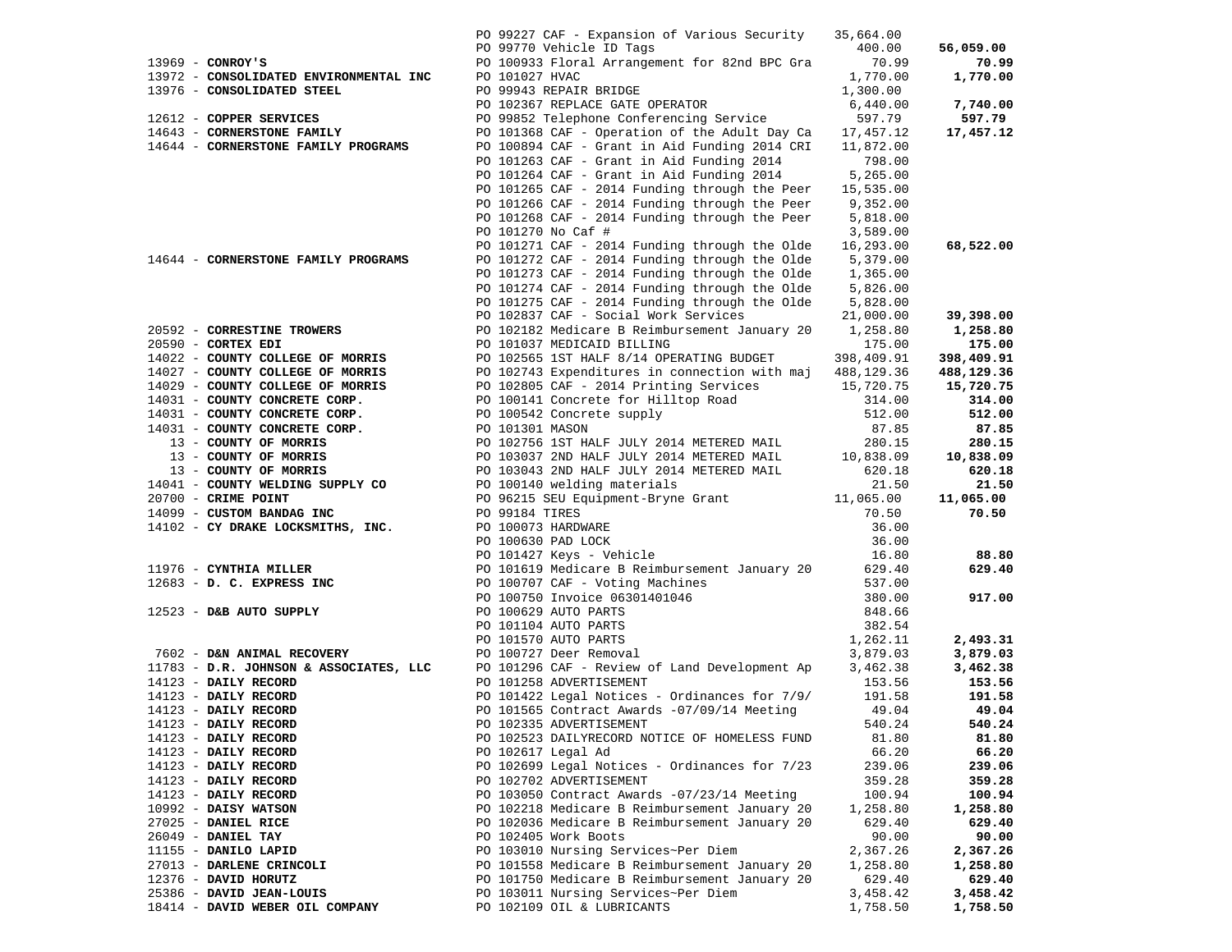|                                                             | PO 99227 CAF - Expansion of Various Security<br>PO 99770 Vehicle ID Tags                                                                                                                                                                    | 35,664.00<br>400.00  | 56,059.00            |
|-------------------------------------------------------------|---------------------------------------------------------------------------------------------------------------------------------------------------------------------------------------------------------------------------------------------|----------------------|----------------------|
| $13969$ - CONROY'S                                          | PO 100933 Floral Arrangement for 82nd BPC Gra                                                                                                                                                                                               | 70.99                | 70.99                |
| 13972 - CONSOLIDATED ENVIRONMENTAL INC                      | PO 101027 HVAC                                                                                                                                                                                                                              | 1,770.00             | 1,770.00             |
| 13976 - CONSOLIDATED STEEL                                  | PO 99943 REPAIR BRIDGE                                                                                                                                                                                                                      | 1,300.00             |                      |
|                                                             | PO 102367 REPLACE GATE OPERATOR                                                                                                                                                                                                             | 6,440.00             | 7,740.00             |
| 12612 - COPPER SERVICES                                     | PO 99852 Telephone Conferencing Service 597.79                                                                                                                                                                                              |                      | 597.79               |
| 14643 - CORNERSTONE FAMILY                                  | PO 101368 CAF - Operation of the Adult Day Ca 17,457.12                                                                                                                                                                                     |                      | 17,457.12            |
| 14644 - CORNERSTONE FAMILY PROGRAMS                         | PO 100894 CAF - Grant in Aid Funding 2014 CRI                                                                                                                                                                                               | 11,872.00            |                      |
|                                                             | PO 101263 CAF - Grant in Aid Funding 2014 798.00                                                                                                                                                                                            |                      |                      |
|                                                             | PO 101264 CAF - Grant in Aid Funding 2014                                                                                                                                                                                                   | 5,265.00             |                      |
|                                                             | PO 101265 CAF - 2014 Funding through the Peer                                                                                                                                                                                               | 15,535.00            |                      |
|                                                             | PO 101266 CAF - 2014 Funding through the Peer                                                                                                                                                                                               | 9,352.00             |                      |
|                                                             | PO 101268 CAF - 2014 Funding through the Peer                                                                                                                                                                                               | 5,818.00             |                      |
|                                                             | PO 101270 No Caf #                                                                                                                                                                                                                          | 3,589.00             |                      |
|                                                             | PO 101271 CAF - 2014 Funding through the Olde                                                                                                                                                                                               | 16,293.00            | 68,522.00            |
| 14644 - CORNERSTONE FAMILY PROGRAMS                         | PO 101272 CAF - 2014 Funding through the Olde                                                                                                                                                                                               | 5,379.00             |                      |
|                                                             | PO 101273 CAF - 2014 Funding through the Olde                                                                                                                                                                                               | 1,365.00             |                      |
|                                                             | PO 101274 CAF - 2014 Funding through the Olde                                                                                                                                                                                               | 5,826.00             |                      |
|                                                             | PO 101275 CAF - 2014 Funding through the Olde                                                                                                                                                                                               | 5,828.00             |                      |
|                                                             | PO 102837 CAF - Social Work Services                                                                                                                                                                                                        | 21,000.00            | 39,398.00            |
| 20592 - CORRESTINE TROWERS                                  | PO 102182 Medicare B Reimbursement January 20 1,258.80                                                                                                                                                                                      |                      | 1,258.80             |
| $20590$ - CORTEX EDI                                        | PO 101037 MEDICAID BILLING                                                                                                                                                                                                                  | 175.00               | 175.00               |
| 14022 - COUNTY COLLEGE OF MORRIS                            | PO 102565 1ST HALF 8/14 OPERATING BUDGET                                                                                                                                                                                                    | 398,409.91           | 398,409.91           |
| 14027 - COUNTY COLLEGE OF MORRIS                            | PO 102743 Expenditures in connection with maj 488,129.36                                                                                                                                                                                    |                      | 488,129.36           |
| 14029 - COUNTY COLLEGE OF MORRIS                            | PO 102805 CAF - 2014 Printing Services                                                                                                                                                                                                      | 15,720.75            | 15,720.75            |
| 14031 - COUNTY CONCRETE CORP.                               | PO 100141 Concrete for Hilltop Road                                                                                                                                                                                                         | 314.00               | 314.00               |
| 14031 - COUNTY CONCRETE CORP.                               | PO 100542 Concrete supply                                                                                                                                                                                                                   | 512.00               | 512.00               |
| 14031 - COUNTY CONCRETE CORP.                               | PO 101301 MASON                                                                                                                                                                                                                             | 87.85                | 87.85                |
|                                                             | $13$ – COUNTY OF MORRIS<br>$13$ – COUNTY OF MORRIS<br>$13$ – COUNTY OF MORRIS<br>$13$ – COUNTY OF MORRIS<br>$14041$ – COUNTY WELDING SUPPLY CO<br>$14041$ – COUNTY WELDING SUPPLY CO<br>$14041$ – COUNTY WELDING SUPPLY CO<br>$14041$ – COU |                      | 280.15               |
|                                                             |                                                                                                                                                                                                                                             |                      | 10,838.09            |
|                                                             |                                                                                                                                                                                                                                             |                      | 620.18               |
|                                                             |                                                                                                                                                                                                                                             |                      | 21.50                |
| 20700 - CRIME POINT                                         |                                                                                                                                                                                                                                             |                      | 11,065.00            |
|                                                             |                                                                                                                                                                                                                                             |                      |                      |
| 14099 - CUSTOM BANDAG INC                                   | PO 96215 SEU Equipment-Bryne Grant 11,065.00<br>PO 99184 TIRES                                                                                                                                                                              | 70.50                | 70.50                |
| 14102 - CY DRAKE LOCKSMITHS, INC.                           |                                                                                                                                                                                                                                             | 36.00                |                      |
|                                                             |                                                                                                                                                                                                                                             | 36.00                |                      |
|                                                             |                                                                                                                                                                                                                                             | 16.80                | 88.80                |
| 11976 - CYNTHIA MILLER                                      | PO 101619 Medicare B Reimbursement January 20 629.40                                                                                                                                                                                        |                      | 629.40               |
| $12683 - D. C. EXPRESS INC$                                 | - AARDWARE<br>PO 100630 PAD LOCK<br>PO 101427 Keys - Vehicle<br>PO 101619 Medicare B Reimburgs                                                                                                                                              | 537.00               |                      |
|                                                             |                                                                                                                                                                                                                                             | 380.00               | 917.00               |
|                                                             |                                                                                                                                                                                                                                             | 848.66               |                      |
| 12523 - D&B AUTO SUPPLY                                     |                                                                                                                                                                                                                                             | 382.54               |                      |
|                                                             |                                                                                                                                                                                                                                             | 1,262.11             | 2,493.31             |
| 7602 - D&N ANIMAL RECOVERY                                  | PO 100707 CAF - Voting Machines Sanaar, 2007<br>PO 100707 CAF - Voting Machines<br>PO 100750 Invoice 06301401046<br>PO 101629 AUTO PARTS<br>PO 101570 AUTO PARTS<br>PO 101570 AUTO PARTS<br>PO 100727 Deer Removal                          | 3,879.03             | 3,879.03             |
| 11783 - D.R. JOHNSON & ASSOCIATES, LLC                      | PO 101296 CAF - Review of Land Development Ap                                                                                                                                                                                               | 3,462.38             | 3,462.38             |
| $14123$ - DAILY RECORD                                      | PO 101258 ADVERTISEMENT                                                                                                                                                                                                                     | 153.56               | 153.56               |
| 14123 - DAILY RECORD                                        | PO 101422 Legal Notices - Ordinances for 7/9/                                                                                                                                                                                               | 191.58               | 191.58               |
| $14123$ - DAILY RECORD                                      | PO 101565 Contract Awards -07/09/14 Meeting                                                                                                                                                                                                 | 49.04                | 49.04                |
| 14123 - DAILY RECORD                                        | PO 102335 ADVERTISEMENT                                                                                                                                                                                                                     | 540.24               | 540.24               |
| 14123 - DAILY RECORD                                        | PO 102523 DAILYRECORD NOTICE OF HOMELESS FUND                                                                                                                                                                                               | 81.80                | 81.80                |
| 14123 - DAILY RECORD                                        | PO 102617 Legal Ad                                                                                                                                                                                                                          | 66.20                | 66.20                |
| 14123 - DAILY RECORD                                        | PO 102699 Legal Notices - Ordinances for 7/23                                                                                                                                                                                               | 239.06               | 239.06               |
| 14123 - DAILY RECORD                                        | PO 102702 ADVERTISEMENT                                                                                                                                                                                                                     | 359.28               | 359.28               |
| 14123 - DAILY RECORD                                        | PO 103050 Contract Awards -07/23/14 Meeting                                                                                                                                                                                                 | 100.94               | 100.94               |
| 10992 - DAISY WATSON                                        | PO 102218 Medicare B Reimbursement January 20                                                                                                                                                                                               | 1,258.80             | 1,258.80             |
| 27025 - DANIEL RICE                                         | PO 102036 Medicare B Reimbursement January 20                                                                                                                                                                                               | 629.40               | 629.40               |
| 26049 - DANIEL TAY                                          | PO 102405 Work Boots                                                                                                                                                                                                                        | 90.00                | 90.00                |
| 11155 - DANILO LAPID                                        | PO 103010 Nursing Services~Per Diem                                                                                                                                                                                                         | 2,367.26             | 2,367.26             |
| 27013 - DARLENE CRINCOLI                                    | PO 101558 Medicare B Reimbursement January 20                                                                                                                                                                                               | 1,258.80             | 1,258.80             |
| 12376 - DAVID HORUTZ                                        | PO 101750 Medicare B Reimbursement January 20                                                                                                                                                                                               | 629.40               | 629.40               |
| 25386 - DAVID JEAN-LOUIS<br>18414 - DAVID WEBER OIL COMPANY | PO 103011 Nursing Services~Per Diem<br>PO 102109 OIL & LUBRICANTS                                                                                                                                                                           | 3,458.42<br>1,758.50 | 3,458.42<br>1,758.50 |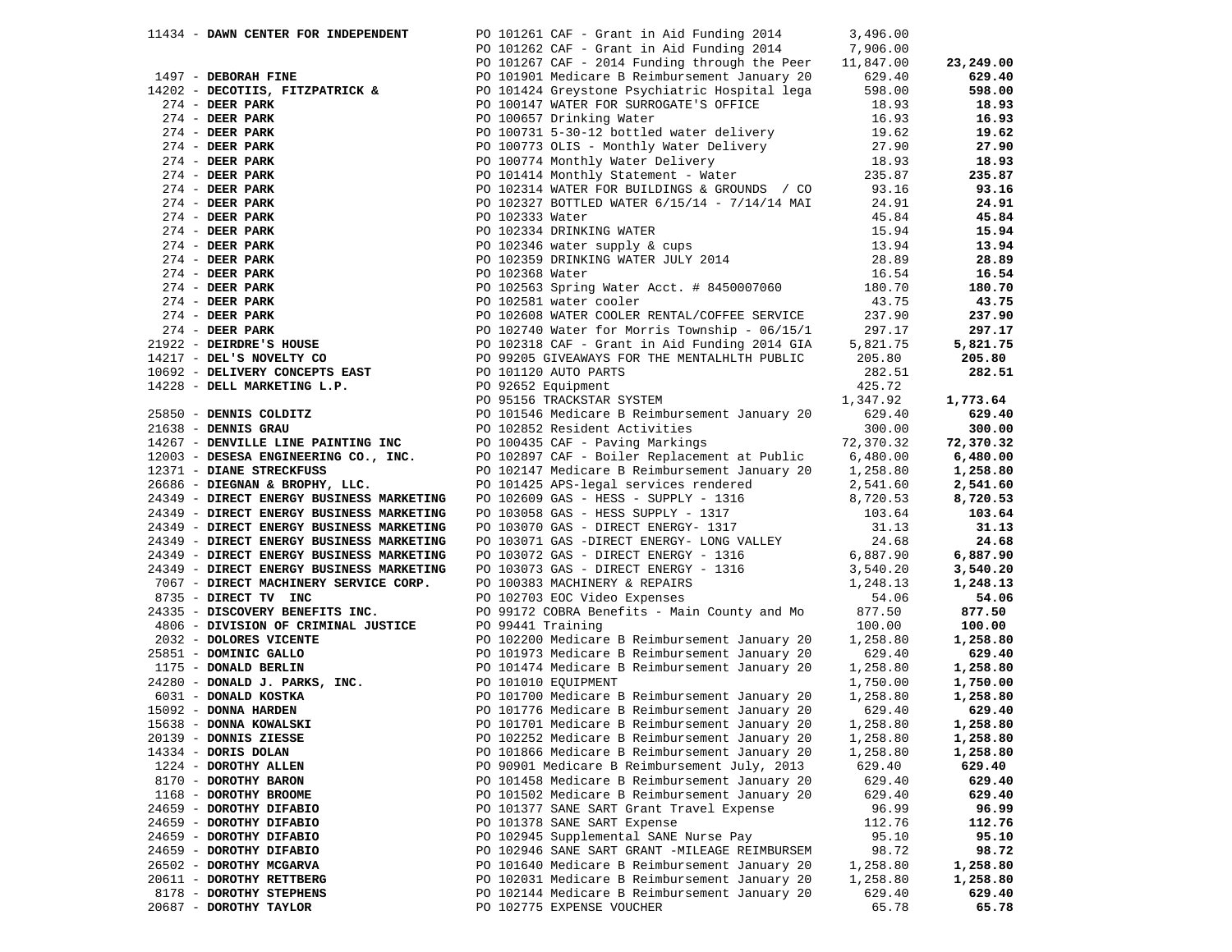| 11434 - DAWN CENTER FOR INDEPENDENT | PO 101261 CAF - Grant in Aid Funding 2014 3,496.00 |          |          |
|-------------------------------------|----------------------------------------------------|----------|----------|
|                                     | PO 101262 CAF - Grant in Aid Funding 2014 7,906.00 |          |          |
|                                     |                                                    |          |          |
|                                     |                                                    |          |          |
|                                     |                                                    |          |          |
|                                     |                                                    |          |          |
|                                     |                                                    |          |          |
|                                     |                                                    |          |          |
|                                     |                                                    |          |          |
|                                     |                                                    |          |          |
|                                     |                                                    |          |          |
|                                     |                                                    |          |          |
|                                     |                                                    |          |          |
|                                     |                                                    |          |          |
|                                     |                                                    |          |          |
|                                     |                                                    |          |          |
|                                     |                                                    |          |          |
|                                     |                                                    |          |          |
|                                     |                                                    |          |          |
|                                     |                                                    |          |          |
|                                     |                                                    |          |          |
|                                     |                                                    |          |          |
|                                     |                                                    |          |          |
|                                     |                                                    |          |          |
|                                     |                                                    |          |          |
|                                     |                                                    |          |          |
|                                     |                                                    |          |          |
|                                     |                                                    |          |          |
|                                     |                                                    |          |          |
|                                     |                                                    |          |          |
|                                     |                                                    |          |          |
|                                     |                                                    |          |          |
|                                     |                                                    |          |          |
|                                     |                                                    |          |          |
|                                     |                                                    |          |          |
|                                     |                                                    |          |          |
|                                     |                                                    |          |          |
|                                     |                                                    |          |          |
|                                     |                                                    |          |          |
|                                     |                                                    |          |          |
|                                     |                                                    |          |          |
|                                     |                                                    |          |          |
|                                     |                                                    |          |          |
|                                     |                                                    |          |          |
|                                     |                                                    |          |          |
|                                     |                                                    |          |          |
|                                     |                                                    |          |          |
|                                     |                                                    |          |          |
|                                     |                                                    |          |          |
|                                     |                                                    |          |          |
|                                     |                                                    |          |          |
|                                     |                                                    |          |          |
| 14334 - DORIS DOLAN                 | PO 101866 Medicare B Reimbursement January 20      | 1,258.80 | 1,258.80 |
| 1224 - DOROTHY ALLEN                | PO 90901 Medicare B Reimbursement July, 2013       | 629.40   | 629.40   |
| 8170 - DOROTHY BARON                | PO 101458 Medicare B Reimbursement January 20      | 629.40   | 629.40   |
| 1168 - DOROTHY BROOME               | PO 101502 Medicare B Reimbursement January 20      | 629.40   | 629.40   |
| 24659 - DOROTHY DIFABIO             | PO 101377 SANE SART Grant Travel Expense           | 96.99    | 96.99    |
| 24659 - DOROTHY DIFABIO             | PO 101378 SANE SART Expense                        | 112.76   | 112.76   |
| 24659 - DOROTHY DIFABIO             | PO 102945 Supplemental SANE Nurse Pay              | 95.10    | 95.10    |
| 24659 - DOROTHY DIFABIO             | PO 102946 SANE SART GRANT -MILEAGE REIMBURSEM      | 98.72    | 98.72    |
| 26502 - DOROTHY MCGARVA             | PO 101640 Medicare B Reimbursement January 20      | 1,258.80 | 1,258.80 |
| 20611 - DOROTHY RETTBERG            | PO 102031 Medicare B Reimbursement January 20      | 1,258.80 | 1,258.80 |
| 8178 - DOROTHY STEPHENS             | PO 102144 Medicare B Reimbursement January 20      | 629.40   | 629.40   |
| 20687 - DOROTHY TAYLOR              | PO 102775 EXPENSE VOUCHER                          | 65.78    | 65.78    |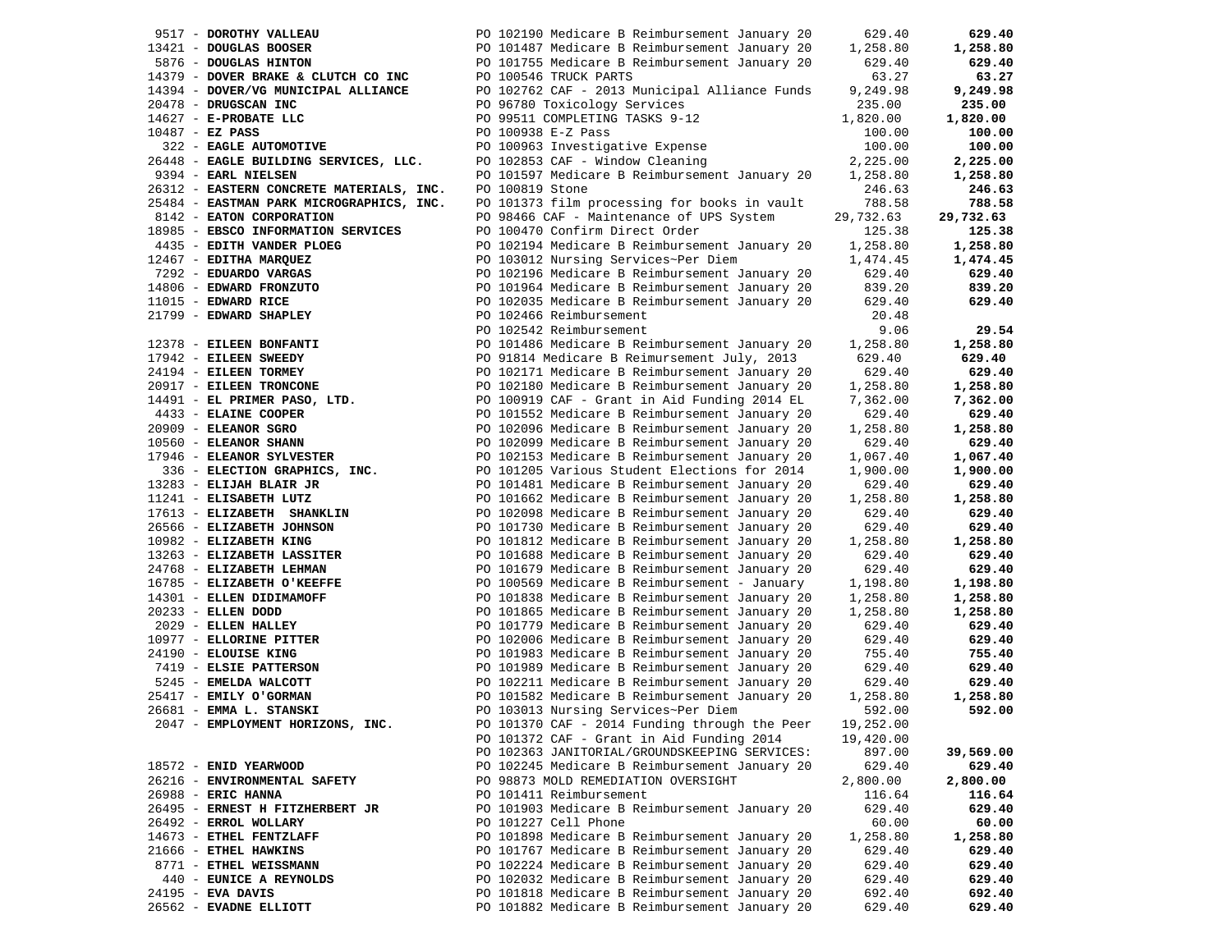| 9517 - DOROTHY VALLEAU                   | PO 102190 Medicare B Reimbursement January 20 | 629.40    | 629.40    |
|------------------------------------------|-----------------------------------------------|-----------|-----------|
| 13421 - DOUGLAS BOOSER                   | PO 101487 Medicare B Reimbursement January 20 | 1,258.80  | 1,258.80  |
| 5876 - DOUGLAS HINTON                    | PO 101755 Medicare B Reimbursement January 20 | 629.40    | 629.40    |
| 14379 - DOVER BRAKE & CLUTCH CO INC      | PO 100546 TRUCK PARTS                         | 63.27     | 63.27     |
| 14394 - DOVER/VG MUNICIPAL ALLIANCE      | PO 102762 CAF - 2013 Municipal Alliance Funds | 9,249.98  | 9,249.98  |
|                                          |                                               |           |           |
| 20478 - DRUGSCAN INC                     | PO 96780 Toxicology Services                  | 235.00    | 235.00    |
| 14627 - E-PROBATE LLC                    | PO 99511 COMPLETING TASKS 9-12                | 1,820.00  | 1,820.00  |
| $10487 - EZ$ PASS                        | PO 100938 E-Z Pass                            | 100.00    | 100.00    |
| 322 - EAGLE AUTOMOTIVE                   | PO 100963 Investigative Expense               | 100.00    | 100.00    |
| 26448 - EAGLE BUILDING SERVICES, LLC.    | PO 102853 CAF - Window Cleaning               | 2,225.00  | 2,225.00  |
| 9394 - EARL NIELSEN                      | PO 101597 Medicare B Reimbursement January 20 | 1,258.80  | 1,258.80  |
| 26312 - EASTERN CONCRETE MATERIALS, INC. | PO 100819 Stone                               | 246.63    | 246.63    |
| 25484 - EASTMAN PARK MICROGRAPHICS, INC. | PO 101373 film processing for books in vault  | 788.58    | 788.58    |
|                                          |                                               |           |           |
| 8142 - EATON CORPORATION                 | PO 98466 CAF - Maintenance of UPS System      | 29,732.63 | 29,732.63 |
| 18985 - EBSCO INFORMATION SERVICES       | PO 100470 Confirm Direct Order                | 125.38    | 125.38    |
| 4435 - EDITH VANDER PLOEG                | PO 102194 Medicare B Reimbursement January 20 | 1,258.80  | 1,258.80  |
| 12467 - EDITHA MARQUEZ                   | PO 103012 Nursing Services~Per Diem           | 1,474.45  | 1,474.45  |
| 7292 - EDUARDO VARGAS                    | PO 102196 Medicare B Reimbursement January 20 | 629.40    | 629.40    |
| 14806 - EDWARD FRONZUTO                  | PO 101964 Medicare B Reimbursement January 20 | 839.20    | 839.20    |
| 11015 - EDWARD RICE                      | PO 102035 Medicare B Reimbursement January 20 | 629.40    | 629.40    |
| 21799 - EDWARD SHAPLEY                   | PO 102466 Reimbursement                       | 20.48     |           |
|                                          |                                               |           |           |
|                                          | PO 102542 Reimbursement                       | 9.06      | 29.54     |
| 12378 - EILEEN BONFANTI                  | PO 101486 Medicare B Reimbursement January 20 | 1,258.80  | 1,258.80  |
| 17942 - EILEEN SWEEDY                    | PO 91814 Medicare B Reimursement July, 2013   | 629.40    | 629.40    |
| 24194 - EILEEN TORMEY                    | PO 102171 Medicare B Reimbursement January 20 | 629.40    | 629.40    |
| 20917 - EILEEN TRONCONE                  | PO 102180 Medicare B Reimbursement January 20 | 1,258.80  | 1,258.80  |
| 14491 - EL PRIMER PASO, LTD.             | PO 100919 CAF - Grant in Aid Funding 2014 EL  | 7,362.00  | 7,362.00  |
| 4433 - ELAINE COOPER                     | PO 101552 Medicare B Reimbursement January 20 | 629.40    | 629.40    |
| $20909$ - ELEANOR SGRO                   | PO 102096 Medicare B Reimbursement January 20 | 1,258.80  | 1,258.80  |
| 10560 - ELEANOR SHANN                    |                                               |           | 629.40    |
|                                          | PO 102099 Medicare B Reimbursement January 20 | 629.40    |           |
| 17946 - ELEANOR SYLVESTER                | PO 102153 Medicare B Reimbursement January 20 | 1,067.40  | 1,067.40  |
| 336 - ELECTION GRAPHICS, INC.            | PO 101205 Various Student Elections for 2014  | 1,900.00  | 1,900.00  |
| 13283 - ELIJAH BLAIR JR                  | PO 101481 Medicare B Reimbursement January 20 | 629.40    | 629.40    |
| 11241 - ELISABETH LUTZ                   | PO 101662 Medicare B Reimbursement January 20 | 1,258.80  | 1,258.80  |
| 17613 - ELIZABETH SHANKLIN               | PO 102098 Medicare B Reimbursement January 20 | 629.40    | 629.40    |
| 26566 - ELIZABETH JOHNSON                | PO 101730 Medicare B Reimbursement January 20 | 629.40    | 629.40    |
| 10982 - ELIZABETH KING                   | PO 101812 Medicare B Reimbursement January 20 | 1,258.80  | 1,258.80  |
| 13263 - ELIZABETH LASSITER               | PO 101688 Medicare B Reimbursement January 20 | 629.40    | 629.40    |
|                                          |                                               |           |           |
| 24768 - ELIZABETH LEHMAN                 | PO 101679 Medicare B Reimbursement January 20 | 629.40    | 629.40    |
| 16785 - ELIZABETH O'KEEFFE               | PO 100569 Medicare B Reimbursement - January  | 1,198.80  | 1,198.80  |
| 14301 - ELLEN DIDIMAMOFF                 | PO 101838 Medicare B Reimbursement January 20 | 1,258.80  | 1,258.80  |
| 20233 - ELLEN DODD                       | PO 101865 Medicare B Reimbursement January 20 | 1,258.80  | 1,258.80  |
| 2029 - ELLEN HALLEY                      | PO 101779 Medicare B Reimbursement January 20 | 629.40    | 629.40    |
| 10977 - ELLORINE PITTER                  | PO 102006 Medicare B Reimbursement January 20 | 629.40    | 629.40    |
| 24190 - ELOUISE KING                     | PO 101983 Medicare B Reimbursement January 20 | 755.40    | 755.40    |
| 7419 - ELSIE PATTERSON                   | PO 101989 Medicare B Reimbursement January 20 | 629.40    | 629.40    |
| 5245 - EMELDA WALCOTT                    | PO 102211 Medicare B Reimbursement January 20 | 629.40    | 629.40    |
| 25417 - EMILY O'GORMAN                   | PO 101582 Medicare B Reimbursement January 20 | 1,258.80  | 1,258.80  |
|                                          |                                               |           |           |
| 26681 - EMMA L. STANSKI                  | PO 103013 Nursing Services~Per Diem           | 592.00    | 592.00    |
| 2047 - EMPLOYMENT HORIZONS, INC.         | PO 101370 CAF - 2014 Funding through the Peer | 19,252.00 |           |
|                                          | PO 101372 CAF - Grant in Aid Funding 2014     | 19,420.00 |           |
|                                          | PO 102363 JANITORIAL/GROUNDSKEEPING SERVICES: | 897.00    | 39,569.00 |
| 18572 - ENID YEARWOOD                    | PO 102245 Medicare B Reimbursement January 20 | 629.40    | 629.40    |
| 26216 - ENVIRONMENTAL SAFETY             | PO 98873 MOLD REMEDIATION OVERSIGHT           | 2,800.00  | 2,800.00  |
| 26988 - ERIC HANNA                       | PO 101411 Reimbursement                       | 116.64    | 116.64    |
| 26495 - ERNEST H FITZHERBERT JR          | PO 101903 Medicare B Reimbursement January 20 | 629.40    | 629.40    |
| 26492 - ERROL WOLLARY                    | PO 101227 Cell Phone                          | 60.00     | 60.00     |
| 14673 - ETHEL FENTZLAFF                  | PO 101898 Medicare B Reimbursement January 20 |           |           |
|                                          |                                               | 1,258.80  | 1,258.80  |
| 21666 - ETHEL HAWKINS                    | PO 101767 Medicare B Reimbursement January 20 | 629.40    | 629.40    |
| 8771 - ETHEL WEISSMANN                   | PO 102224 Medicare B Reimbursement January 20 | 629.40    | 629.40    |
| 440 - EUNICE A REYNOLDS                  | PO 102032 Medicare B Reimbursement January 20 | 629.40    | 629.40    |
| 24195 - EVA DAVIS                        | PO 101818 Medicare B Reimbursement January 20 | 692.40    | 692.40    |
| 26562 - EVADNE ELLIOTT                   | PO 101882 Medicare B Reimbursement January 20 | 629.40    | 629.40    |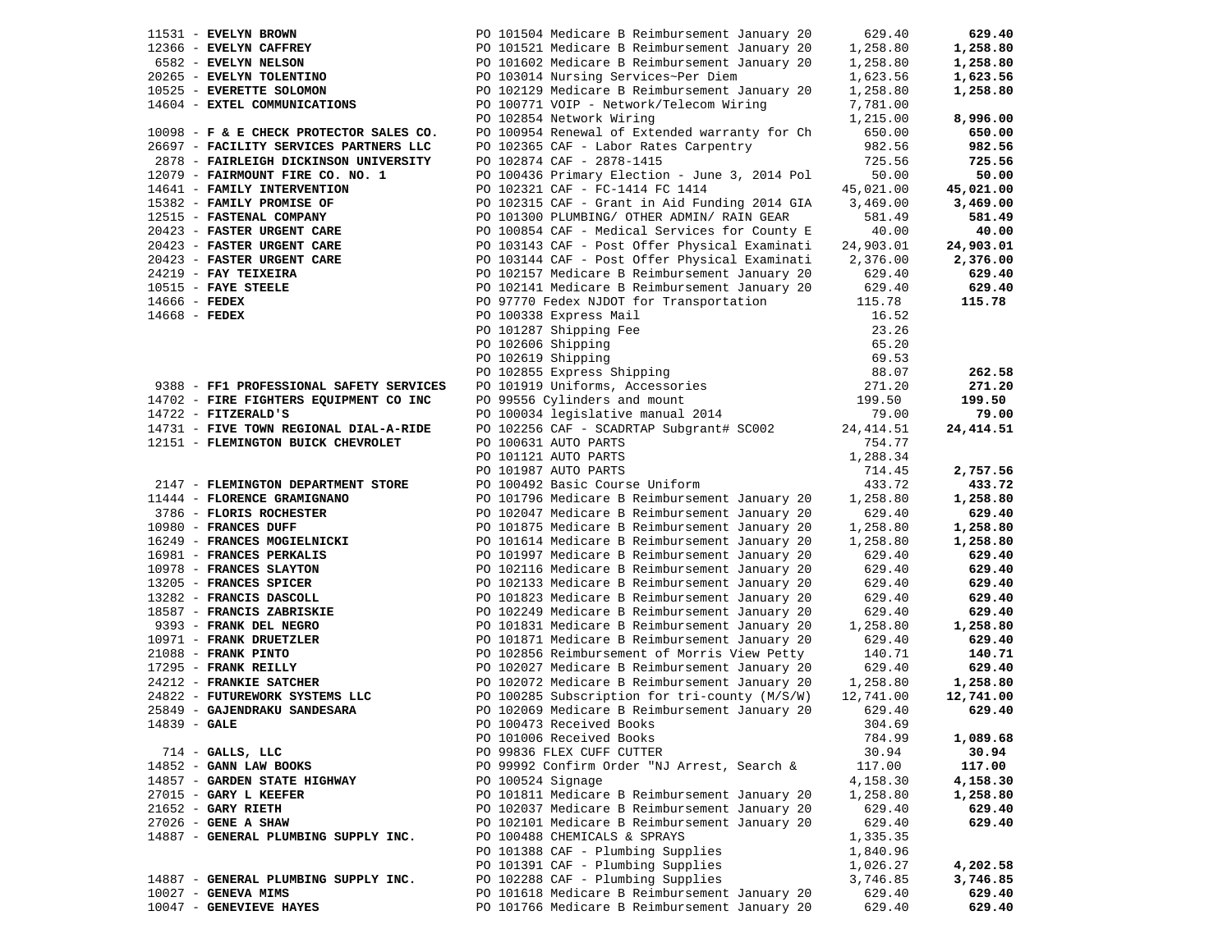|                 | 11531 - EVELYN BROWN                    | PO 101504 Medicare B Reimbursement January 20                          | 629.40     | 629.40     |
|-----------------|-----------------------------------------|------------------------------------------------------------------------|------------|------------|
|                 | 12366 - EVELYN CAFFREY                  | PO 101521 Medicare B Reimbursement January 20                          | 1,258.80   | 1,258.80   |
|                 | 6582 - EVELYN NELSON                    | PO 101602 Medicare B Reimbursement January 20                          | 1,258.80   | 1,258.80   |
|                 | 20265 - EVELYN TOLENTINO                | PO 103014 Nursing Services~Per Diem                                    | 1,623.56   | 1,623.56   |
|                 | 10525 - EVERETTE SOLOMON                | PO 102129 Medicare B Reimbursement January 20                          | 1,258.80   | 1,258.80   |
|                 |                                         |                                                                        |            |            |
|                 | 14604 - EXTEL COMMUNICATIONS            | PO 100771 VOIP - Network/Telecom Wiring                                | 7,781.00   |            |
|                 |                                         | PO 102854 Network Wiring                                               | 1,215.00   | 8,996.00   |
|                 | 10098 - F & E CHECK PROTECTOR SALES CO. | PO 100954 Renewal of Extended warranty for Ch                          | 650.00     | 650.00     |
|                 | 26697 - FACILITY SERVICES PARTNERS LLC  | PO 102365 CAF - Labor Rates Carpentry                                  | 982.56     | 982.56     |
|                 | 2878 - FAIRLEIGH DICKINSON UNIVERSITY   | PO 102874 CAF - 2878-1415                                              | 725.56     | 725.56     |
|                 | 12079 - FAIRMOUNT FIRE CO. NO. 1        | PO 100436 Primary Election - June 3, 2014 Pol                          | 50.00      | 50.00      |
|                 | 14641 - FAMILY INTERVENTION             | PO 102321 CAF - FC-1414 FC 1414                                        | 45,021.00  | 45,021.00  |
|                 | 15382 - FAMILY PROMISE OF               | PO 102315 CAF - Grant in Aid Funding 2014 GIA                          | 3,469.00   | 3,469.00   |
|                 | 12515 - FASTENAL COMPANY                | PO 101300 PLUMBING/ OTHER ADMIN/ RAIN GEAR                             | 581.49     | 581.49     |
|                 | 20423 - FASTER URGENT CARE              | PO 100854 CAF - Medical Services for County E                          | 40.00      | 40.00      |
|                 | 20423 - FASTER URGENT CARE              | PO 103143 CAF - Post Offer Physical Examinati                          | 24,903.01  | 24,903.01  |
|                 | 20423 - FASTER URGENT CARE              | PO 103144 CAF - Post Offer Physical Examinati                          | 2,376.00   | 2,376.00   |
|                 | 24219 - FAY TEIXEIRA                    | PO 102157 Medicare B Reimbursement January 20                          | 629.40     | 629.40     |
|                 | $10515$ - FAYE STEELE                   | PO 102141 Medicare B Reimbursement January 20                          | 629.40     | 629.40     |
| 14666 - FEDEX   |                                         | PO 97770 Fedex NJDOT for Transportation                                | 115.78     | 115.78     |
| $14668$ - FEDEX |                                         | PO 100338 Express Mail                                                 | 16.52      |            |
|                 |                                         | PO 101287 Shipping Fee                                                 | 23.26      |            |
|                 |                                         |                                                                        |            |            |
|                 |                                         | PO 102606 Shipping                                                     | 65.20      |            |
|                 |                                         | PO 102606 Snipping<br>PO 102619 Shipping<br>PO 102855 Express Shipping | 69.53      |            |
|                 |                                         |                                                                        | 88.07      | 262.58     |
|                 | 9388 - FF1 PROFESSIONAL SAFETY SERVICES | PO 101919 Uniforms, Accessories                                        | 271.20     | 271.20     |
|                 | 14702 - FIRE FIGHTERS EQUIPMENT CO INC  | PO 99556 Cylinders and mount                                           | 199.50     | 199.50     |
|                 | $14722$ - FITZERALD'S                   | PO 100034 legislative manual 2014                                      | 79.00      | 79.00      |
|                 | 14731 - FIVE TOWN REGIONAL DIAL-A-RIDE  | PO 102256 CAF - SCADRTAP Subgrant# SC002                               | 24, 414.51 | 24, 414.51 |
|                 | 12151 - FLEMINGTON BUICK CHEVROLET      | PO 100631 AUTO PARTS                                                   | 754.77     |            |
|                 |                                         | PO 101121 AUTO PARTS                                                   | 1,288.34   |            |
|                 |                                         | PO 101987 AUTO PARTS                                                   | 714.45     | 2,757.56   |
|                 | 2147 - FLEMINGTON DEPARTMENT STORE      | PO 100492 Basic Course Uniform                                         | 433.72     | 433.72     |
|                 | 11444 - FLORENCE GRAMIGNANO             | PO 101796 Medicare B Reimbursement January 20                          | 1,258.80   | 1,258.80   |
|                 | 3786 - FLORIS ROCHESTER                 | PO 102047 Medicare B Reimbursement January 20                          | 629.40     | 629.40     |
|                 | 10980 - FRANCES DUFF                    | PO 101875 Medicare B Reimbursement January 20                          | 1,258.80   | 1,258.80   |
|                 | 16249 - FRANCES MOGIELNICKI             | PO 101614 Medicare B Reimbursement January 20                          | 1,258.80   | 1,258.80   |
|                 | 16981 - FRANCES PERKALIS                | PO 101997 Medicare B Reimbursement January 20                          | 629.40     | 629.40     |
|                 | 10978 - FRANCES SLAYTON                 | PO 102116 Medicare B Reimbursement January 20                          | 629.40     | 629.40     |
|                 | 13205 - FRANCES SPICER                  | PO 102133 Medicare B Reimbursement January 20                          | 629.40     | 629.40     |
|                 | 13282 - FRANCIS DASCOLL                 |                                                                        | 629.40     | 629.40     |
|                 |                                         | PO 101823 Medicare B Reimbursement January 20                          |            |            |
|                 | 18587 - FRANCIS ZABRISKIE               | PO 102249 Medicare B Reimbursement January 20                          | 629.40     | 629.40     |
|                 | 9393 - FRANK DEL NEGRO                  | PO 101831 Medicare B Reimbursement January 20                          | 1,258.80   | 1,258.80   |
|                 | 10971 - FRANK DRUETZLER                 | PO 101871 Medicare B Reimbursement January 20                          | 629.40     | 629.40     |
|                 | 21088 - FRANK PINTO                     | PO 102856 Reimbursement of Morris View Petty                           | 140.71     | 140.71     |
|                 | 17295 - FRANK REILLY                    | PO 102027 Medicare B Reimbursement January 20                          | 629.40     | 629.40     |
|                 | 24212 - FRANKIE SATCHER                 | PO 102072 Medicare B Reimbursement January 20                          | 1,258.80   | 1,258.80   |
|                 | 24822 - FUTUREWORK SYSTEMS LLC          | PO 100285 Subscription for tri-county (M/S/W)                          | 12,741.00  | 12,741.00  |
|                 | 25849 - GAJENDRAKU SANDESARA            | PO 102069 Medicare B Reimbursement January 20                          | 629.40     | 629.40     |
| $14839 - GALE$  |                                         | PO 100473 Received Books                                               | 304.69     |            |
|                 |                                         | PO 101006 Received Books                                               | 784.99     | 1,089.68   |
|                 | $714$ - GALLS, LLC                      | PO 99836 FLEX CUFF CUTTER                                              | 30.94      | 30.94      |
|                 | 14852 - GANN LAW BOOKS                  | PO 99992 Confirm Order "NJ Arrest, Search &                            | 117.00     | 117.00     |
|                 | 14857 - GARDEN STATE HIGHWAY            | PO 100524 Signage                                                      | 4,158.30   | 4,158.30   |
|                 | $27015$ - GARY L KEEFER                 | PO 101811 Medicare B Reimbursement January 20                          | 1,258.80   | 1,258.80   |
|                 | $21652$ - GARY RIETH                    | PO 102037 Medicare B Reimbursement January 20                          | 629.40     | 629.40     |
|                 | $27026$ - GENE A SHAW                   | PO 102101 Medicare B Reimbursement January 20                          | 629.40     | 629.40     |
|                 | 14887 - GENERAL PLUMBING SUPPLY INC.    | PO 100488 CHEMICALS & SPRAYS                                           | 1,335.35   |            |
|                 |                                         | PO 101388 CAF - Plumbing Supplies                                      | 1,840.96   |            |
|                 |                                         | PO 101391 CAF - Plumbing Supplies                                      |            | 4,202.58   |
|                 |                                         |                                                                        | 1,026.27   |            |
|                 | 14887 - GENERAL PLUMBING SUPPLY INC.    | PO 102288 CAF - Plumbing Supplies                                      | 3,746.85   | 3,746.85   |
|                 | $10027$ - GENEVA MIMS                   | PO 101618 Medicare B Reimbursement January 20                          | 629.40     | 629.40     |
|                 | 10047 - GENEVIEVE HAYES                 | PO 101766 Medicare B Reimbursement January 20                          | 629.40     | 629.40     |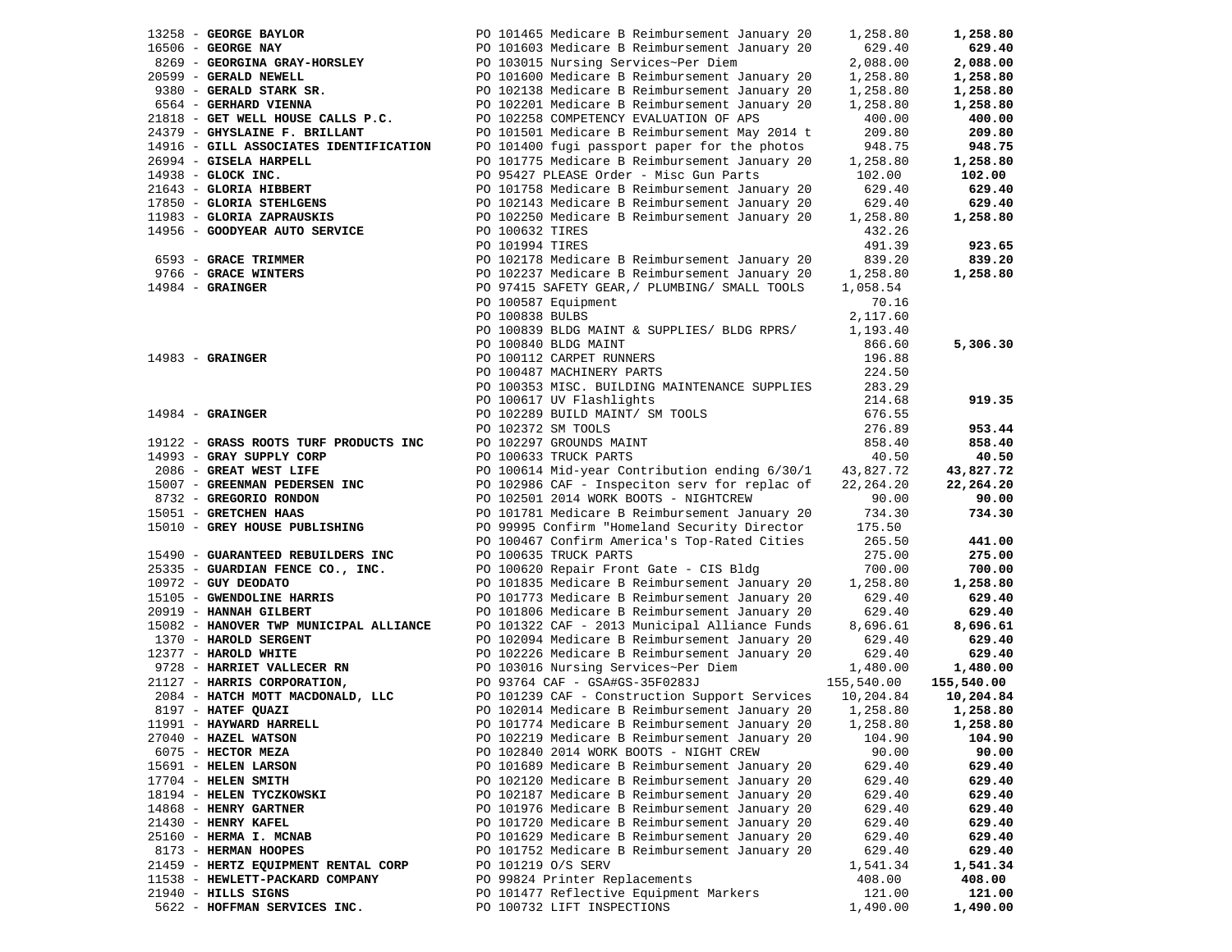| 13258 - GEORGE BAYLOR                  | PO 101465 Medicare B Reimbursement January 20                   | 1,258.80   | 1,258.80   |
|----------------------------------------|-----------------------------------------------------------------|------------|------------|
| 16506 - GEORGE NAY                     | PO 101603 Medicare B Reimbursement January 20                   | 629.40     | 629.40     |
| 8269 - GEORGINA GRAY-HORSLEY           | PO 103015 Nursing Services~Per Diem                             | 2,088.00   | 2,088.00   |
| 20599 - GERALD NEWELL                  | PO 101600 Medicare B Reimbursement January 20                   | 1,258.80   | 1,258.80   |
| 9380 - GERALD STARK SR.                | PO 102138 Medicare B Reimbursement January 20                   | 1,258.80   | 1,258.80   |
| 6564 - GERHARD VIENNA                  | PO 102201 Medicare B Reimbursement January 20                   | 1,258.80   | 1,258.80   |
| 21818 - GET WELL HOUSE CALLS P.C.      | PO 102258 COMPETENCY EVALUATION OF APS                          | 400.00     | 400.00     |
| 24379 - GHYSLAINE F. BRILLANT          | PO 101501 Medicare B Reimbursement May 2014 t                   | 209.80     | 209.80     |
| 14916 - GILL ASSOCIATES IDENTIFICATION | PO 101400 fugi passport paper for the photos                    | 948.75     | 948.75     |
| 26994 - GISELA HARPELL                 | PO 101775 Medicare B Reimbursement January 20                   | 1,258.80   | 1,258.80   |
| $14938$ - GLOCK INC.                   | PO 95427 PLEASE Order - Misc Gun Parts                          | 102.00     | 102.00     |
| 21643 - GLORIA HIBBERT                 | PO 101758 Medicare B Reimbursement January 20                   | 629.40     | 629.40     |
| 17850 - GLORIA STEHLGENS               | PO 102143 Medicare B Reimbursement January 20                   | 629.40     | 629.40     |
| 11983 - GLORIA ZAPRAUSKIS              | PO 102250 Medicare B Reimbursement January 20                   |            | 1,258.80   |
| 14956 - GOODYEAR AUTO SERVICE          |                                                                 | 1,258.80   |            |
|                                        | PO 100632 TIRES                                                 | 432.26     |            |
|                                        | PO 101994 TIRES                                                 | 491.39     | 923.65     |
| 6593 - GRACE TRIMMER                   | PO 102178 Medicare B Reimbursement January 20                   | 839.20     | 839.20     |
| 9766 - GRACE WINTERS                   | PO 102237 Medicare B Reimbursement January 20                   | 1,258.80   | 1,258.80   |
| $14984$ - GRAINGER                     | PO 97415 SAFETY GEAR, / PLUMBING/ SMALL TOOLS                   | 1,058.54   |            |
|                                        | PO 100587 Equipment                                             | 70.16      |            |
|                                        | PO 100838 BULBS                                                 | 2,117.60   |            |
|                                        | PO 100839 BLDG MAINT & SUPPLIES/ BLDG RPRS/                     | 1,193.40   |            |
|                                        | PO 100840 BLDG MAINT                                            | 866.60     | 5,306.30   |
| $14983$ - GRAINGER                     | PO 100112 CARPET RUNNERS                                        | 196.88     |            |
|                                        | PO 100487 MACHINERY PARTS                                       | 224.50     |            |
|                                        | PO 100353 MISC. BUILDING MAINTENANCE SUPPLIES                   | 283.29     |            |
|                                        | PO 100617 UV Flashlights                                        | 214.68     | 919.35     |
| $14984$ - GRAINGER                     | PO 102289 BUILD MAINT/ SM TOOLS                                 | 676.55     |            |
|                                        | PO 102372 SM TOOLS                                              | 276.89     | 953.44     |
| 19122 - GRASS ROOTS TURF PRODUCTS INC  | PO 102297 GROUNDS MAINT                                         | 858.40     | 858.40     |
| 14993 - GRAY SUPPLY CORP               | PO 100633 TRUCK PARTS                                           | 40.50      | 40.50      |
| 2086 - GREAT WEST LIFE                 | PO 100614 Mid-year Contribution ending 6/30/1                   | 43,827.72  | 43,827.72  |
| 15007 - GREENMAN PEDERSEN INC          | PO 102986 CAF - Inspeciton serv for replac of                   | 22,264.20  | 22,264.20  |
| 8732 - GREGORIO RONDON                 | PO 102501 2014 WORK BOOTS - NIGHTCREW                           | 90.00      | 90.00      |
| 15051 - GRETCHEN HAAS                  | PO 101781 Medicare B Reimbursement January 20                   | 734.30     | 734.30     |
| 15010 - GREY HOUSE PUBLISHING          | PO 99995 Confirm "Homeland Security Director                    | 175.50     |            |
|                                        | PO 100467 Confirm America's Top-Rated Cities                    | 265.50     | 441.00     |
| 15490 - GUARANTEED REBUILDERS INC      | PO 100635 TRUCK PARTS                                           | 275.00     | 275.00     |
| 25335 - GUARDIAN FENCE CO., INC.       | PO 100620 Repair Front Gate - CIS Bldg                          | 700.00     | 700.00     |
| $10972 - GUY DEODATO$                  | PO 101835 Medicare B Reimbursement January 20                   | 1,258.80   | 1,258.80   |
| 15105 - GWENDOLINE HARRIS              | PO 101773 Medicare B Reimbursement January 20                   | 629.40     | 629.40     |
| 20919 - HANNAH GILBERT                 | PO 101806 Medicare B Reimbursement January 20                   | 629.40     | 629.40     |
| 15082 - HANOVER TWP MUNICIPAL ALLIANCE | PO 101322 CAF - 2013 Municipal Alliance Funds                   | 8,696.61   | 8,696.61   |
| 1370 - HAROLD SERGENT                  | PO 102094 Medicare B Reimbursement January 20                   | 629.40     | 629.40     |
| 12377 - HAROLD WHITE                   | PO 102226 Medicare B Reimbursement January 20                   | 629.40     | 629.40     |
| 9728 - HARRIET VALLECER RN             | PO 103016 Nursing Services~Per Diem                             | 1,480.00   | 1,480.00   |
| 21127 - HARRIS CORPORATION,            | PO 93764 CAF - GSA#GS-35F0283J                                  | 155,540.00 | 155,540.00 |
| 2084 - HATCH MOTT MACDONALD, LLC       | PO 101239 CAF - Construction Support Services 10,204.84         |            | 10,204.84  |
| 8197 - HATEF QUAZI                     | PO 102014 Medicare B Reimbursement January 20                   | 1,258.80   | 1,258.80   |
| 11991 - HAYWARD HARRELL                | PO 101774 Medicare B Reimbursement January 20 1,258.80 1,258.80 |            |            |
| 27040 - HAZEL WATSON                   | PO 102219 Medicare B Reimbursement January 20                   | 104.90     | 104.90     |
| 6075 - HECTOR MEZA                     | PO 102840 2014 WORK BOOTS - NIGHT CREW                          | 90.00      | 90.00      |
| 15691 - HELEN LARSON                   | PO 101689 Medicare B Reimbursement January 20                   | 629.40     | 629.40     |
| $17704$ - HELEN SMITH                  | PO 102120 Medicare B Reimbursement January 20                   | 629.40     | 629.40     |
| 18194 - HELEN TYCZKOWSKI               | PO 102187 Medicare B Reimbursement January 20                   | 629.40     | 629.40     |
| 14868 - HENRY GARTNER                  | PO 101976 Medicare B Reimbursement January 20                   | 629.40     | 629.40     |
| 21430 - HENRY KAFEL                    | PO 101720 Medicare B Reimbursement January 20                   | 629.40     | 629.40     |
| 25160 - HERMA I. MCNAB                 | PO 101629 Medicare B Reimbursement January 20                   | 629.40     | 629.40     |
| 8173 - HERMAN HOOPES                   | PO 101752 Medicare B Reimbursement January 20                   | 629.40     | 629.40     |
| 21459 - HERTZ EQUIPMENT RENTAL CORP    | PO 101219 O/S SERV                                              | 1,541.34   | 1,541.34   |
| 11538 - HEWLETT-PACKARD COMPANY        | PO 99824 Printer Replacements                                   | 408.00     | 408.00     |
| 21940 - HILLS SIGNS                    | PO 101477 Reflective Equipment Markers                          | 121.00     | 121.00     |
| 5622 - HOFFMAN SERVICES INC.           | PO 100732 LIFT INSPECTIONS                                      | 1,490.00   | 1,490.00   |
|                                        |                                                                 |            |            |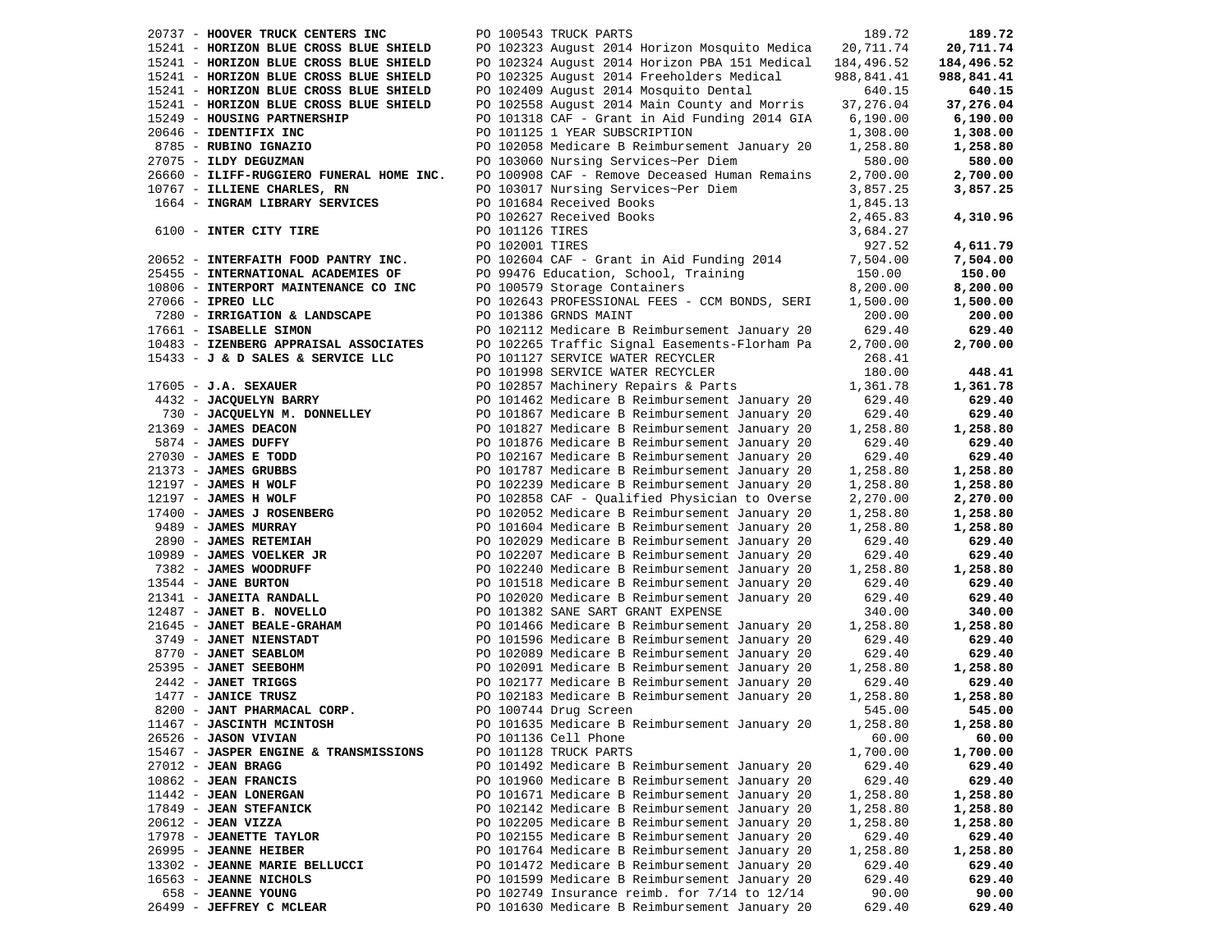20737 - **HOOVER TRUCK CENTERS INC** PO 100543 TRUCK PARTS 189.72 **189.72** 15241 - **HORIZON BLUE CROSS BLUE SHIELD** PO 102323 August 2014 Horizon Mosquito Medica 20,711.74 **20,711.74** 15241 - **HORIZON BLUE CROSS BLUE SHIELD** PO 102324 August 2014 Horizon PBA 151 Medical 184,496.52 **184,496.52** 15241 - **HORIZON BLUE CROSS BLUE SHIELD** PO 102325 August 2014 Freeholders Medical 988,841.41 **988,841.41** 15241 - **HORIZON BLUE CROSS BLUE SHIELD** PO 102409 August 2014 Mosquito Dental 640.15 **640.15** 15241 - **HORIZON BLUE CROSS BLUE SHIELD** PO 102558 August 2014 Main County and Morris 37,276.04 **37,276.04** 15249 - **HOUSING PARTNERSHIP** PO 101318 CAF - Grant in Aid Funding 2014 GIA 6,190.00 **6,190.00** 20646 - **IDENTIFIX INC** PO 101125 1 YEAR SUBSCRIPTION 1,308.00 **1,308.00** 8785 - **RUBINO IGNAZIO** PO 102058 Medicare B Reimbursement January 20 1,258.80 **1,258.80** 27075 - **ILDY DEGUZMAN** PO 103060 Nursing Services~Per Diem 580.00 **580.00** 26660 - **ILIFF-RUGGIERO FUNERAL HOME INC.** PO 100908 CAF - Remove Deceased Human Remains 2,700.00 **2,700.00** 10767 - **ILLIENE CHARLES, RN** PO 103017 Nursing Services~Per Diem 3,857.25 **3,857.25** 1664 - **INGRAM LIBRARY SERVICES** PO 101684 Received Books 1,845.13 PO 102627 Received Books 2,465.83 **4,310.96** 6100 - **INTER CITY TIRE** PO 101126 TIRES 3,684.27 PO 102001 TIRES 927.52 **4,611.79** 20652 - **INTERFAITH FOOD PANTRY INC.** PO 102604 CAF - Grant in Aid Funding 2014 7,504.00 **7,504.00** 25455 - **INTERNATIONAL ACADEMIES OF** PO 99476 Education, School, Training 150.00 **150.00** 10806 - **INTERPORT MAINTENANCE CO INC** PO 100579 Storage Containers 8,200.00 **8,200.00** 27066 - **IPREO LLC** PO 102643 PROFESSIONAL FEES - CCM BONDS, SERI 1,500.00 **1,500.00** 7280 - **IRRIGATION & LANDSCAPE** PO 101386 GRNDS MAINT 200.00 **200.00** 17661 - **ISABELLE SIMON** PO 102112 Medicare B Reimbursement January 20 629.40 **629.40** 10483 - **IZENBERG APPRAISAL ASSOCIATES** 102265 Traffic Signal Easements-Florham Pa 2,700.00 2,700.00<br>15433 - **J & D SALES & SERVICE LLC** 101998 SERVICE WATER RECYCLER 268.41<br>268.41 PO 101998 SERVICE WATER RECYCLER 180.00 4 4432 - **JACQUELYN BARRY** PO 101462 Medicare B Reimbursement January 20 629.40 **629.40** 730 - **JACQUELYN M. DONNELLEY** PO 101867 Medicare B Reimbursement January 20 629.40 **629.40** 21369 - **JAMES DEACON** PO 101827 Medicare B Reimbursement January 20 1,258.80 **1,258.80** 5874 - **JAMES DUFFY** PO 101876 Medicare B Reimbursement January 20 629.40 **629.40** 27030 - **JAMES E TODD** PO 102167 Medicare B Reimbursement January 20 629.40 **629.40** 21373 - **JAMES GRUBBS** PO 101787 Medicare B Reimbursement January 20 1,258.80 **1,258.80** 12197 - **JAMES H WOLF** PO 102239 Medicare B Reimbursement January 20 1,258.80 **1,258.80** 12197 - **JAMES H WOLF** PO 102858 CAF - Qualified Physician to Overse 2,270.00 **2,270.00** 17400 - **JAMES J ROSENBERG** PO 102052 Medicare B Reimbursement January 20 1,258.80 **1,258.80** 9489 - **JAMES MURRAY** PO 101604 Medicare B Reimbursement January 20 1,258.80 **1,258.80** 2890 - **JAMES RETEMIAH** PO 102029 Medicare B Reimbursement January 20 629.40 **629.40** 10989 - **JAMES VOELKER JR** PO 102207 Medicare B Reimbursement January 20 629.40 **629.40** 7382 - **JAMES WOODRUFF** PO 102240 Medicare B Reimbursement January 20 1,258.80 **1,258.80** 13544 - **JANE BURTON** PO 101518 Medicare B Reimbursement January 20 629.40 **629.40** 21341 - **JANEITA RANDALL** PO 102020 Medicare B Reimbursement January 20 629.40 **629.40** 12487 - **JANET B. NOVELLO** PO 101382 SANE SART GRANT EXPENSE 340.00 **340.00** 21645 - **JANET BEALE-GRAHAM** PO 101466 Medicare B Reimbursement January 20 1,258.80 **1,258.80** 3749 - **JANET NIENSTADT** PO 101596 Medicare B Reimbursement January 20 629.40 **629.40** 8770 - **JANET SEABLOM** PO 102089 Medicare B Reimbursement January 20 629.40 **629.40** 25395 - **JANET SEEBOHM** PO 102091 Medicare B Reimbursement January 20 1,258.80 **1,258.80** 2442 - **JANET TRIGGS** PO 102177 Medicare B Reimbursement January 20 629.40 **629.40** 1477 - **JANICE TRUSZ** PO 102183 Medicare B Reimbursement January 20 1,258.80 **1,258.80** 8200 - **JANT PHARMACAL CORP.** PO 100744 Drug Screen 545.00 **545.00** 11467 - **JASCINTH MCINTOSH** PO 101635 Medicare B Reimbursement January 20 1,258.80 **1,258.80** 26526 - **JASON VIVIAN** PO 101136 Cell Phone 60.00 **60.00** 15467 - **JASPER ENGINE & TRANSMISSIONS** PO 101128 TRUCK PARTS 1,700.00 **1,700.00** 27012 - **JEAN BRAGG** PO 101492 Medicare B Reimbursement January 20 629.40 **629.40** 10862 - **JEAN FRANCIS** PO 101960 Medicare B Reimbursement January 20 629.40 **629.40** 11442 - **JEAN LONERGAN** PO 101671 Medicare B Reimbursement January 20 1,258.80 **1,258.80** 17849 - **JEAN STEFANICK** PO 102142 Medicare B Reimbursement January 20 1,258.80 **1,258.80** 20612 - **JEAN VIZZA** PO 102205 Medicare B Reimbursement January 20 1,258.80 **1,258.80** 17978 - **JEANETTE TAYLOR** PO 102155 Medicare B Reimbursement January 20 629.40 **629.40** 26995 - **JEANNE HEIBER** PO 101764 Medicare B Reimbursement January 20 1,258.80 **1,258.80** 13302 - **JEANNE MARIE BELLUCCI** PO 101472 Medicare B Reimbursement January 20 629.40 **629.40** 16563 - **JEANNE NICHOLS** PO 101599 Medicare B Reimbursement January 20 629.40 **629.40** 658 - **JEANNE YOUNG** PO 102749 Insurance reimb. for 7/14 to 12/14 90.00 **90.00** 26499 - **JEFFREY C MCLEAR** PO 101630 Medicare B Reimbursement January 20 629.40 **629.40**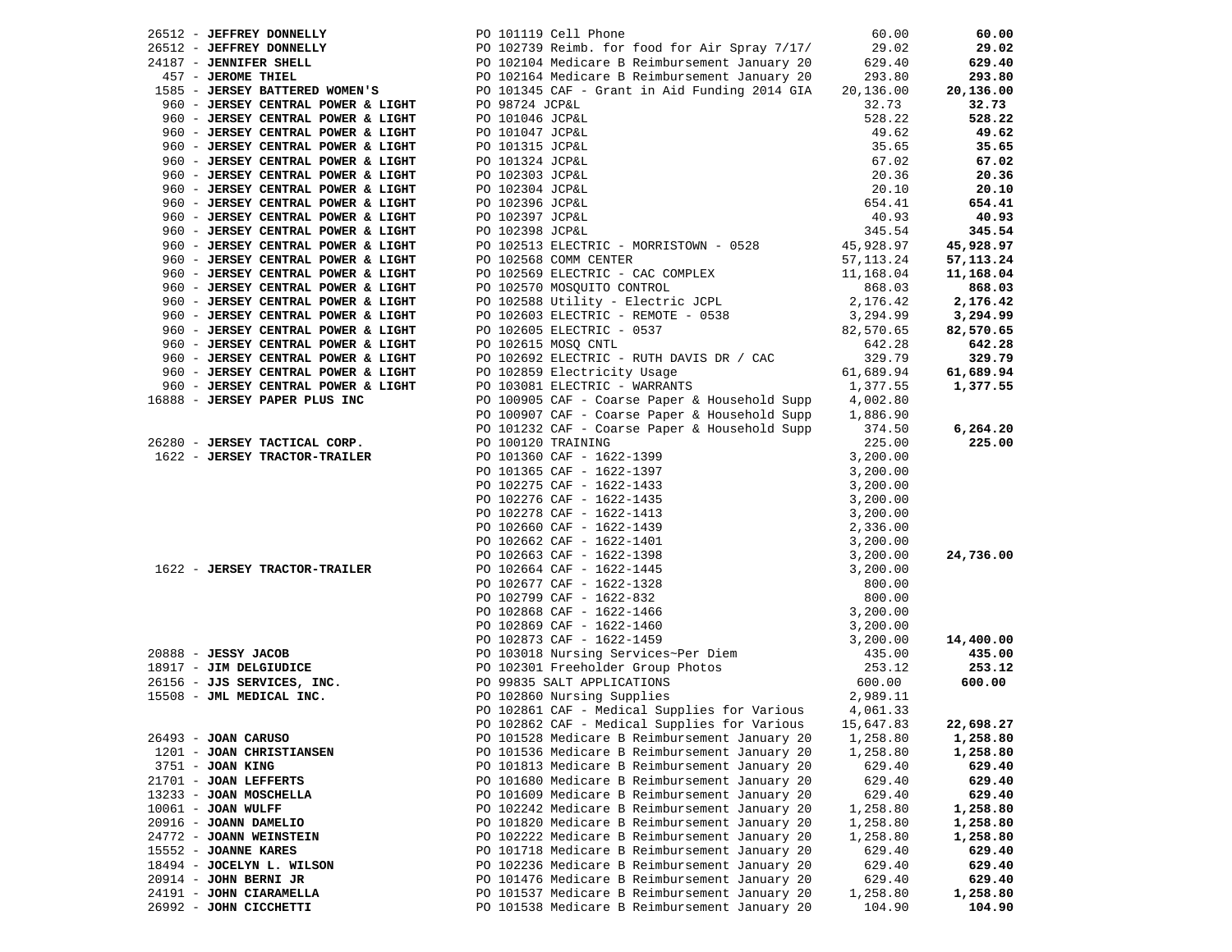|                                    | 26512 - JEFFREY DONNELLY PO 101119 Cell Phone 60.00<br>26512 - JEFFREY DONNELLY PO 102739 Reimb. for food for Air Spray 7/17/ 29.02<br>24187 - JEROME THIEL PO 102104 Medicare B Reimbursement January 20 629.40<br>457 - JEROME THI |           | 60.00       |
|------------------------------------|--------------------------------------------------------------------------------------------------------------------------------------------------------------------------------------------------------------------------------------|-----------|-------------|
|                                    |                                                                                                                                                                                                                                      |           | 29.02       |
|                                    |                                                                                                                                                                                                                                      |           | 629.40      |
|                                    |                                                                                                                                                                                                                                      |           | 293.80      |
|                                    |                                                                                                                                                                                                                                      |           | 20,136.00   |
| 960 - JERSEY CENTRAL POWER & LIGHT | PO 98724 JCP&L                                                                                                                                                                                                                       | 32.73     | 32.73       |
| 960 - JERSEY CENTRAL POWER & LIGHT | PO 101046 JCP&L                                                                                                                                                                                                                      | 528.22    | 528.22      |
| 960 - JERSEY CENTRAL POWER & LIGHT | 528.22<br>49.62<br>35.65<br>57.02<br>20.36<br>20.10<br>654.41<br>40.93<br>20.38<br>20.10<br>654.41<br>40.93<br>PO 101047 JCP&L                                                                                                       |           | 49.62       |
| 960 - JERSEY CENTRAL POWER & LIGHT | PO 101315 JCP&L                                                                                                                                                                                                                      |           | 35.65       |
| 960 - JERSEY CENTRAL POWER & LIGHT | PO 101324 JCP&L                                                                                                                                                                                                                      |           | 67.02       |
| 960 - JERSEY CENTRAL POWER & LIGHT |                                                                                                                                                                                                                                      |           | 20.36       |
|                                    | PO 102303 JCP&L                                                                                                                                                                                                                      |           |             |
| 960 - JERSEY CENTRAL POWER & LIGHT | PO 102304 JCP&L                                                                                                                                                                                                                      |           | 20.10       |
| 960 - JERSEY CENTRAL POWER & LIGHT | PO 102396 JCP&L                                                                                                                                                                                                                      |           | 654.41      |
| 960 - JERSEY CENTRAL POWER & LIGHT | PO 102397 JCP&L                                                                                                                                                                                                                      |           | 40.93       |
| 960 - JERSEY CENTRAL POWER & LIGHT | PO 102398 JCP&L                                                                                                                                                                                                                      |           | 345.54      |
| 960 - JERSEY CENTRAL POWER & LIGHT | PO 102513 ELECTRIC - MORRISTOWN - 0528 45,928.97                                                                                                                                                                                     |           | 45,928.97   |
| 960 - JERSEY CENTRAL POWER & LIGHT | PO 102568 COMM CENTER                                                                                                                                                                                                                | 57,113.24 | 57, 113. 24 |
| 960 - JERSEY CENTRAL POWER & LIGHT | PO 102569 ELECTRIC - CAC COMPLEX 11,168.04                                                                                                                                                                                           |           | 11,168.04   |
| 960 - JERSEY CENTRAL POWER & LIGHT | PO 102569 ELECTRIC - CAR CONTROL<br>PO 102570 MOSQUITO CONTROL<br>PO 102588 Utility - Electric JCPL 2,176.42<br>--------- PEMOTE - 0538 3,294.99                                                                                     |           | 868.03      |
| 960 - JERSEY CENTRAL POWER & LIGHT |                                                                                                                                                                                                                                      |           | 2,176.42    |
| 960 - JERSEY CENTRAL POWER & LIGHT |                                                                                                                                                                                                                                      |           | 3,294.99    |
| 960 - JERSEY CENTRAL POWER & LIGHT | PO 102500 0001107<br>PO 102603 ELECTRIC - REMOTE - 0538<br>PO 102605 ELECTRIC - 0537<br>PO 102615 MOSQ CNTL<br>642.28                                                                                                                |           | 82,570.65   |
| 960 - JERSEY CENTRAL POWER & LIGHT |                                                                                                                                                                                                                                      |           | 642.28      |
| 960 - JERSEY CENTRAL POWER & LIGHT | PO 102692 ELECTRIC - RUTH DAVIS DR / CAC                                                                                                                                                                                             | 329.79    | 329.79      |
| 960 - JERSEY CENTRAL POWER & LIGHT |                                                                                                                                                                                                                                      | 61,689.94 | 61,689.94   |
| 960 - JERSEY CENTRAL POWER & LIGHT | PO 102859 Electricity Usage<br>PO 103081 ELECTRIC - WARRANTS                                                                                                                                                                         | 1,377.55  | 1,377.55    |
| 16888 - JERSEY PAPER PLUS INC      |                                                                                                                                                                                                                                      |           |             |
|                                    | PO 100905 CAF - Coarse Paper & Household Supp $4,002.80$                                                                                                                                                                             |           |             |
|                                    | PO 100907 CAF - Coarse Paper & Household Supp 1,886.90                                                                                                                                                                               |           |             |
|                                    | PO 101232 CAF - Coarse Paper & Household Supp                                                                                                                                                                                        | 374.50    | 6, 264.20   |
| 26280 - JERSEY TACTICAL CORP.      | PO 100120 TRAINING                                                                                                                                                                                                                   | 225.00    | 225.00      |
|                                    |                                                                                                                                                                                                                                      |           |             |
|                                    |                                                                                                                                                                                                                                      |           |             |
|                                    |                                                                                                                                                                                                                                      |           |             |
|                                    |                                                                                                                                                                                                                                      |           |             |
|                                    |                                                                                                                                                                                                                                      |           |             |
|                                    |                                                                                                                                                                                                                                      |           |             |
|                                    |                                                                                                                                                                                                                                      |           |             |
|                                    |                                                                                                                                                                                                                                      |           | 24,736.00   |
|                                    |                                                                                                                                                                                                                                      |           |             |
|                                    |                                                                                                                                                                                                                                      |           |             |
|                                    |                                                                                                                                                                                                                                      |           |             |
|                                    |                                                                                                                                                                                                                                      |           |             |
|                                    |                                                                                                                                                                                                                                      |           |             |
|                                    |                                                                                                                                                                                                                                      |           |             |
|                                    |                                                                                                                                                                                                                                      |           | 14,400.00   |
|                                    |                                                                                                                                                                                                                                      |           | 435.00      |
|                                    |                                                                                                                                                                                                                                      |           | 253.12      |
|                                    |                                                                                                                                                                                                                                      |           | 600.00      |
|                                    |                                                                                                                                                                                                                                      |           |             |
|                                    | PO 102861 CAF - Medical Supplies for Various                                                                                                                                                                                         | 4,061.33  |             |
|                                    | PO 102862 CAF - Medical Supplies for Various 15,647.83 22,698.27                                                                                                                                                                     |           |             |
| 26493 - JOAN CARUSO                | PO 101528 Medicare B Reimbursement January 20                                                                                                                                                                                        | 1,258.80  | 1,258.80    |
| 1201 - JOAN CHRISTIANSEN           | PO 101536 Medicare B Reimbursement January 20                                                                                                                                                                                        | 1,258.80  | 1,258.80    |
| 3751 - JOAN KING                   | PO 101813 Medicare B Reimbursement January 20                                                                                                                                                                                        | 629.40    | 629.40      |
| 21701 - JOAN LEFFERTS              | PO 101680 Medicare B Reimbursement January 20                                                                                                                                                                                        | 629.40    | 629.40      |
| 13233 - JOAN MOSCHELLA             | PO 101609 Medicare B Reimbursement January 20                                                                                                                                                                                        | 629.40    | 629.40      |
| $10061$ - JOAN WULFF               | PO 102242 Medicare B Reimbursement January 20                                                                                                                                                                                        | 1,258.80  | 1,258.80    |
| 20916 - JOANN DAMELIO              | PO 101820 Medicare B Reimbursement January 20                                                                                                                                                                                        | 1,258.80  | 1,258.80    |
| 24772 - JOANN WEINSTEIN            | PO 102222 Medicare B Reimbursement January 20                                                                                                                                                                                        | 1,258.80  | 1,258.80    |
| 15552 - JOANNE KARES               | PO 101718 Medicare B Reimbursement January 20                                                                                                                                                                                        | 629.40    | 629.40      |
| 18494 - JOCELYN L. WILSON          | PO 102236 Medicare B Reimbursement January 20                                                                                                                                                                                        | 629.40    | 629.40      |
| 20914 - JOHN BERNI JR              | PO 101476 Medicare B Reimbursement January 20                                                                                                                                                                                        | 629.40    | 629.40      |
| 24191 - JOHN CIARAMELLA            | PO 101537 Medicare B Reimbursement January 20                                                                                                                                                                                        | 1,258.80  | 1,258.80    |
| 26992 - JOHN CICCHETTI             | PO 101538 Medicare B Reimbursement January 20                                                                                                                                                                                        | 104.90    | 104.90      |
|                                    |                                                                                                                                                                                                                                      |           |             |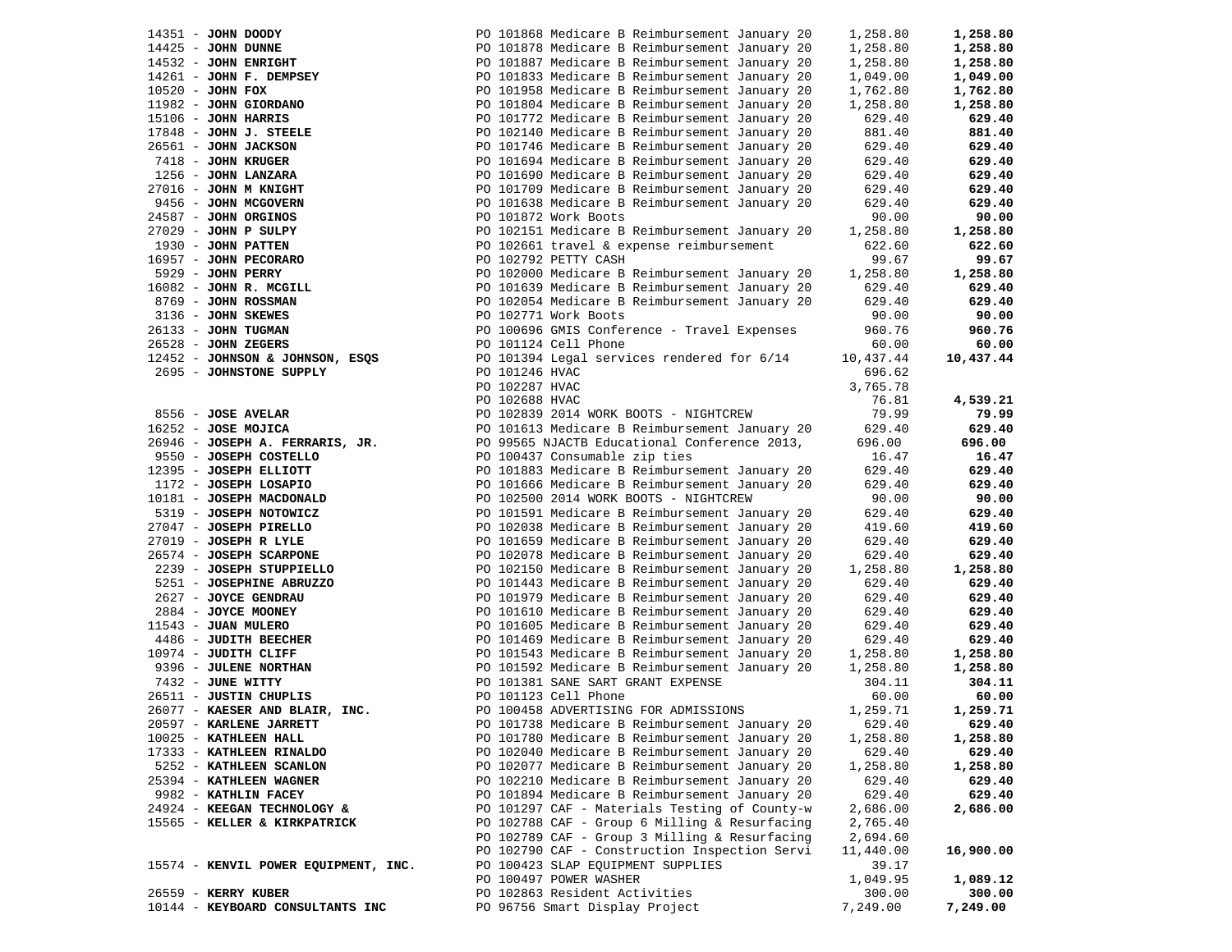| 14351 - JOHN DOODY                                        | PO 101868 Medicare B Reimbursement January 20                                                  | 1,258.80           | 1,258.80           |
|-----------------------------------------------------------|------------------------------------------------------------------------------------------------|--------------------|--------------------|
| $14425$ - JOHN DUNNE                                      | PO 101878 Medicare B Reimbursement January 20                                                  | 1,258.80           | 1,258.80           |
| 14532 - JOHN ENRIGHT                                      | PO 101887 Medicare B Reimbursement January 20                                                  | 1,258.80           | 1,258.80           |
| 14261 - JOHN F. DEMPSEY                                   | PO 101833 Medicare B Reimbursement January 20                                                  | 1,049.00           | 1,049.00           |
| 10520 - JOHN FOX                                          | PO 101958 Medicare B Reimbursement January 20                                                  | 1,762.80           | 1,762.80           |
| 11982 - JOHN GIORDANO                                     | PO 101804 Medicare B Reimbursement January 20                                                  | 1,258.80           | 1,258.80           |
| 15106 - JOHN HARRIS                                       | PO 101772 Medicare B Reimbursement January 20                                                  | 629.40             | 629.40             |
| 17848 - JOHN J. STEELE                                    | PO 102140 Medicare B Reimbursement January 20                                                  | 881.40             | 881.40             |
| 26561 - JOHN JACKSON                                      | PO 101746 Medicare B Reimbursement January 20                                                  | 629.40             | 629.40             |
| 7418 - JOHN KRUGER                                        | PO 101694 Medicare B Reimbursement January 20                                                  | 629.40             | 629.40             |
| 1256 - JOHN LANZARA                                       | PO 101690 Medicare B Reimbursement January 20                                                  | 629.40             | 629.40             |
| 27016 - JOHN M KNIGHT                                     | PO 101709 Medicare B Reimbursement January 20                                                  | 629.40             | 629.40             |
| 9456 - JOHN MCGOVERN                                      | PO 101638 Medicare B Reimbursement January 20                                                  | 629.40             | 629.40             |
| 24587 - JOHN ORGINOS                                      | PO 101872 Work Boots                                                                           | 90.00              | 90.00              |
| $27029$ - JOHN P SULPY                                    | PO 102151 Medicare B Reimbursement January 20                                                  | 1,258.80           | 1,258.80           |
| 1930 - JOHN PATTEN                                        | PO 102661 travel & expense reimbursement                                                       | 622.60             | 622.60             |
| 16957 - JOHN PECORARO                                     | PO 102792 PETTY CASH                                                                           | 99.67              | 99.67              |
| 5929 - JOHN PERRY                                         | PO 102000 Medicare B Reimbursement January 20 1,258.80                                         |                    | 1,258.80           |
| 16082 - JOHN R. MCGILL                                    | PO 101639 Medicare B Reimbursement January 20                                                  | 629.40             | 629.40             |
| 8769 - JOHN ROSSMAN                                       | PO 102054 Medicare B Reimbursement January 20                                                  | 629.40             | 629.40             |
| 3136 - JOHN SKEWES                                        | PO 102771 Work Boots                                                                           | 90.00              | 90.00              |
| 26133 - JOHN TUGMAN                                       | PO 100696 GMIS Conference - Travel Expenses                                                    | 960.76             | 960.76             |
| $26528$ - JOHN ZEGERS                                     | PO 101124 Cell Phone                                                                           | 60.00              | 60.00              |
| 12452 - JOHNSON & JOHNSON, ESQS                           | PO 101394 Legal services rendered for 6/14                                                     | 10,437.44          | 10,437.44          |
| 2695 - JOHNSTONE SUPPLY                                   | PO 101246 HVAC                                                                                 | 696.62             |                    |
|                                                           | PO 102287 HVAC                                                                                 | 3,765.78           |                    |
|                                                           | PO 102688 HVAC                                                                                 | 76.81              | 4,539.21           |
| 8556 - JOSE AVELAR                                        | PO 102839 2014 WORK BOOTS - NIGHTCREW                                                          | 79.99              | 79.99              |
| 16252 - JOSE MOJICA                                       | PO 101613 Medicare B Reimbursement January 20                                                  | 629.40             | 629.40             |
|                                                           | PO 99565 NJACTB Educational Conference 2013,                                                   | 696.00             | 696.00             |
| 26946 - JOSEPH A. FERRARIS, JR.<br>9550 - JOSEPH COSTELLO | PO 100437 Consumable zip ties                                                                  |                    | 16.47              |
| 12395 - JOSEPH ELLIOTT                                    | PO 101883 Medicare B Reimbursement January 20                                                  | 16.47<br>629.40    | 629.40             |
| 1172 - JOSEPH LOSAPIO                                     | PO 101666 Medicare B Reimbursement January 20                                                  | 629.40             | 629.40             |
| 10181 - JOSEPH MACDONALD                                  | PO 102500 2014 WORK BOOTS - NIGHTCREW                                                          | 90.00              | 90.00              |
| 5319 - JOSEPH NOTOWICZ                                    | PO 101591 Medicare B Reimbursement January 20                                                  | 629.40             | 629.40             |
| 27047 - JOSEPH PIRELLO                                    | PO 102038 Medicare B Reimbursement January 20                                                  | 419.60             | 419.60             |
| 27019 - JOSEPH R LYLE                                     | PO 101659 Medicare B Reimbursement January 20                                                  | 629.40             | 629.40             |
| 26574 - JOSEPH SCARPONE                                   | PO 102078 Medicare B Reimbursement January 20                                                  | 629.40             | 629.40             |
| 2239 - JOSEPH STUPPIELLO                                  | PO 102150 Medicare B Reimbursement January 20                                                  |                    | 1,258.80           |
| 5251 - JOSEPHINE ABRUZZO                                  |                                                                                                | 1,258.80<br>629.40 | 629.40             |
| 2627 - JOYCE GENDRAU                                      | PO 101443 Medicare B Reimbursement January 20                                                  | 629.40             | 629.40             |
| 2884 - JOYCE MOONEY                                       | PO 101979 Medicare B Reimbursement January 20                                                  |                    | 629.40             |
|                                                           | PO 101610 Medicare B Reimbursement January 20                                                  | 629.40             |                    |
| 11543 - JUAN MULERO                                       | PO 101605 Medicare B Reimbursement January 20                                                  | 629.40             | 629.40             |
| 4486 - JUDITH BEECHER<br>10974 - JUDITH CLIFF             | PO 101469 Medicare B Reimbursement January 20<br>PO 101543 Medicare B Reimbursement January 20 | 629.40<br>1,258.80 | 629.40<br>1,258.80 |
|                                                           |                                                                                                |                    |                    |
| 9396 - JULENE NORTHAN<br>7432 - JUNE WITTY                | PO 101592 Medicare B Reimbursement January 20                                                  | 1,258.80<br>304.11 | 1,258.80<br>304.11 |
| 26511 - JUSTIN CHUPLIS                                    | PO 101381 SANE SART GRANT EXPENSE<br>PO 101381 SANE SART &<br>PO 101123 Cell Phone             | 60.00              | 60.00              |
|                                                           | PO 100458 ADVERTISING FOR ADMISSIONS                                                           | 1,259.71           | 1,259.71           |
| $26077 -$ KAESER AND BLAIR, INC.                          | PO 101738 Medicare B Reimbursement January 20 629.40                                           |                    | 629.40             |
| 20597 - KARLENE JARRETT<br>10025 - KATHLEEN HALL          | PO 101780 Medicare B Reimbursement January 20                                                  | 1,258.80           | 1,258.80           |
| 17333 - KATHLEEN RINALDO                                  | PO 102040 Medicare B Reimbursement January 20                                                  |                    | 629.40             |
| 5252 - KATHLEEN SCANLON                                   | PO 102077 Medicare B Reimbursement January 20                                                  | 629.40<br>1,258.80 | 1,258.80           |
| 25394 - KATHLEEN WAGNER                                   | PO 102210 Medicare B Reimbursement January 20                                                  | 629.40             | 629.40             |
| 9982 - KATHLIN FACEY                                      | PO 101894 Medicare B Reimbursement January 20                                                  | 629.40             | 629.40             |
| 24924 - KEEGAN TECHNOLOGY &                               | PO 101297 CAF - Materials Testing of County-w                                                  | 2,686.00           | 2,686.00           |
| 15565 - KELLER & KIRKPATRICK                              | PO 102788 CAF - Group 6 Milling & Resurfacing                                                  | 2,765.40           |                    |
|                                                           |                                                                                                |                    |                    |
|                                                           | PO 102789 CAF - Group 3 Milling & Resurfacing                                                  | 2,694.60           |                    |
|                                                           | PO 102790 CAF - Construction Inspection Servi<br>PO 100423 SLAP EQUIPMENT SUPPLIES             | 11,440.00          | 16,900.00          |
| 15574 - KENVIL POWER EQUIPMENT, INC.                      |                                                                                                | 39.17              | 1,089.12           |
|                                                           | PO 100497 POWER WASHER                                                                         | 1,049.95           |                    |
| 26559 - KERRY KUBER                                       | PO 102863 Resident Activities                                                                  | 300.00             | 300.00             |
| 10144 - KEYBOARD CONSULTANTS INC                          | PO 96756 Smart Display Project                                                                 | 7,249.00           | 7,249.00           |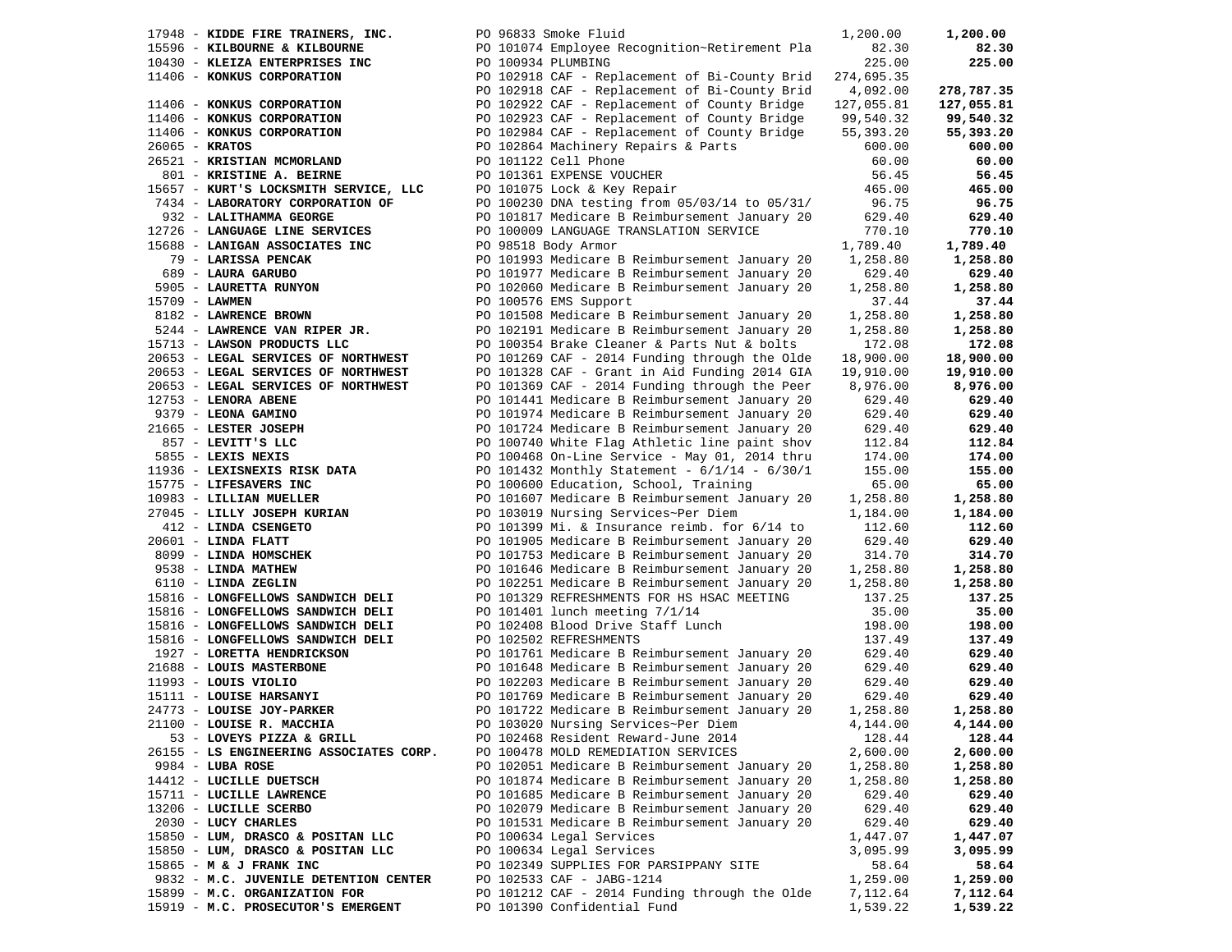| 17948 - KIDDE FIRE TRAINERS, INC.       | PO 96833 Smoke Fluid                              | 1,200.00   | 1,200.00   |
|-----------------------------------------|---------------------------------------------------|------------|------------|
| 15596 - KILBOURNE & KILBOURNE           | PO 101074 Employee Recognition~Retirement Pla     | 82.30      | 82.30      |
| 10430 - KLEIZA ENTERPRISES INC          | PO 100934 PLUMBING                                | 225.00     | 225.00     |
| 11406 - KONKUS CORPORATION              | PO 102918 CAF - Replacement of Bi-County Brid     | 274,695.35 |            |
|                                         | PO 102918 CAF - Replacement of Bi-County Brid     | 4,092.00   | 278,787.35 |
| 11406 - KONKUS CORPORATION              | PO 102922 CAF - Replacement of County Bridge      | 127,055.81 | 127,055.81 |
| 11406 - KONKUS CORPORATION              | PO 102923 CAF - Replacement of County Bridge      | 99,540.32  | 99,540.32  |
| 11406 - KONKUS CORPORATION              | PO 102984 CAF - Replacement of County Bridge      | 55,393.20  | 55,393.20  |
| 26065 - KRATOS                          | PO 102864 Machinery Repairs & Parts               | 600.00     | 600.00     |
| 26521 - KRISTIAN MCMORLAND              | PO 101122 Cell Phone                              | 60.00      | 60.00      |
| 801 - KRISTINE A. BEIRNE                | PO 101361 EXPENSE VOUCHER                         | 56.45      | 56.45      |
| 15657 - KURT'S LOCKSMITH SERVICE, LLC   | PO 101075 Lock & Key Repair                       | 465.00     | 465.00     |
| 7434 - LABORATORY CORPORATION OF        | PO 100230 DNA testing from 05/03/14 to 05/31/     | 96.75      | 96.75      |
| 932 - LALITHAMMA GEORGE                 | PO 101817 Medicare B Reimbursement January 20     | 629.40     | 629.40     |
| 12726 - LANGUAGE LINE SERVICES          | PO 100009 LANGUAGE TRANSLATION SERVICE            | 770.10     | 770.10     |
| 15688 - LANIGAN ASSOCIATES INC          | PO 98518 Body Armor                               | 1,789.40   | 1,789.40   |
| 79 - LARISSA PENCAK                     | PO 101993 Medicare B Reimbursement January 20     | 1,258.80   | 1,258.80   |
| 689 - LAURA GARUBO                      | PO 101977 Medicare B Reimbursement January 20     | 629.40     | 629.40     |
| 5905 - LAURETTA RUNYON                  | PO 102060 Medicare B Reimbursement January 20     | 1,258.80   | 1,258.80   |
| 15709 - LAWMEN                          | PO 100576 EMS Support                             | 37.44      | 37.44      |
| 8182 - LAWRENCE BROWN                   | PO 101508 Medicare B Reimbursement January 20     | 1,258.80   | 1,258.80   |
| 5244 - LAWRENCE VAN RIPER JR.           | PO 102191 Medicare B Reimbursement January 20     | 1,258.80   | 1,258.80   |
| 15713 - LAWSON PRODUCTS LLC             | PO 100354 Brake Cleaner & Parts Nut & bolts       | 172.08     | 172.08     |
| 20653 - LEGAL SERVICES OF NORTHWEST     | PO 101269 CAF - 2014 Funding through the Olde     | 18,900.00  | 18,900.00  |
| 20653 - LEGAL SERVICES OF NORTHWEST     | PO 101328 CAF - Grant in Aid Funding 2014 GIA     | 19,910.00  | 19,910.00  |
| 20653 - LEGAL SERVICES OF NORTHWEST     | PO 101369 CAF - 2014 Funding through the Peer     | 8,976.00   | 8,976.00   |
| 12753 - LENORA ABENE                    | PO 101441 Medicare B Reimbursement January 20     | 629.40     | 629.40     |
| 9379 - LEONA GAMINO                     | PO 101974 Medicare B Reimbursement January 20     | 629.40     | 629.40     |
| 21665 - LESTER JOSEPH                   | PO 101724 Medicare B Reimbursement January 20     | 629.40     | 629.40     |
| 857 - LEVITT'S LLC                      | PO 100740 White Flag Athletic line paint shov     | 112.84     | 112.84     |
| 5855 - LEXIS NEXIS                      | PO 100468 On-Line Service - May 01, 2014 thru     | 174.00     | 174.00     |
| 11936 - LEXISNEXIS RISK DATA            | PO 101432 Monthly Statement - $6/1/14$ - $6/30/1$ | 155.00     | 155.00     |
| 15775 - LIFESAVERS INC                  | PO 100600 Education, School, Training             | 65.00      | 65.00      |
| 10983 - LILLIAN MUELLER                 | PO 101607 Medicare B Reimbursement January 20     | 1,258.80   | 1,258.80   |
| 27045 - LILLY JOSEPH KURIAN             | PO 103019 Nursing Services~Per Diem               | 1,184.00   | 1,184.00   |
| 412 - LINDA CSENGETO                    | PO 101399 Mi. & Insurance reimb. for $6/14$ to    | 112.60     | 112.60     |
| $20601$ - LINDA FLATT                   | PO 101905 Medicare B Reimbursement January 20     | 629.40     | 629.40     |
| 8099 - LINDA HOMSCHEK                   | PO 101753 Medicare B Reimbursement January 20     | 314.70     | 314.70     |
| 9538 - LINDA MATHEW                     | PO 101646 Medicare B Reimbursement January 20     | 1,258.80   | 1,258.80   |
| 6110 - LINDA ZEGLIN                     | PO 102251 Medicare B Reimbursement January 20     | 1,258.80   | 1,258.80   |
| 15816 - LONGFELLOWS SANDWICH DELI       | PO 101329 REFRESHMENTS FOR HS HSAC MEETING        | 137.25     | 137.25     |
| 15816 - LONGFELLOWS SANDWICH DELI       | PO 101401 lunch meeting 7/1/14                    | 35.00      | 35.00      |
| 15816 - LONGFELLOWS SANDWICH DELI       | PO 102408 Blood Drive Staff Lunch                 | 198.00     | 198.00     |
| 15816 - LONGFELLOWS SANDWICH DELI       | PO 102502 REFRESHMENTS                            | 137.49     | 137.49     |
| 1927 - LORETTA HENDRICKSON              | PO 101761 Medicare B Reimbursement January 20     | 629.40     | 629.40     |
| 21688 - LOUIS MASTERBONE                | PO 101648 Medicare B Reimbursement January 20     | 629.40     | 629.40     |
| $11993$ - LOUIS VIOLIO                  | PO 102203 Medicare B Reimbursement January 20     | 629.40     | 629.40     |
| 15111 - LOUISE HARSANYI                 | PO 101769 Medicare B Reimbursement January 20     | 629.40     | 629.40     |
| 24773 - LOUISE JOY-PARKER               | PO 101722 Medicare B Reimbursement January 20     | 1,258.80   | 1,258.80   |
| 21100 - LOUISE R. MACCHIA               | PO 103020 Nursing Services~Per Diem               | 4,144.00   | 4,144.00   |
| 53 - LOVEYS PIZZA & GRILL               | PO 102468 Resident Reward-June 2014               | 128.44     | 128.44     |
| 26155 - LS ENGINEERING ASSOCIATES CORP. | PO 100478 MOLD REMEDIATION SERVICES               | 2,600.00   | 2,600.00   |
| $9984 - LUBA ROSE$                      | PO 102051 Medicare B Reimbursement January 20     | 1,258.80   | 1,258.80   |
| 14412 - LUCILLE DUETSCH                 | PO 101874 Medicare B Reimbursement January 20     | 1,258.80   | 1,258.80   |
| 15711 - LUCILLE LAWRENCE                | PO 101685 Medicare B Reimbursement January 20     | 629.40     | 629.40     |
| 13206 - LUCILLE SCERBO                  | PO 102079 Medicare B Reimbursement January 20     | 629.40     | 629.40     |
| 2030 - LUCY CHARLES                     | PO 101531 Medicare B Reimbursement January 20     | 629.40     | 629.40     |
| 15850 - LUM, DRASCO & POSITAN LLC       | PO 100634 Legal Services                          | 1,447.07   | 1,447.07   |
| 15850 - LUM, DRASCO & POSITAN LLC       | PO 100634 Legal Services                          | 3,095.99   | 3,095.99   |
| 15865 - M & J FRANK INC                 | PO 102349 SUPPLIES FOR PARSIPPANY SITE            | 58.64      | 58.64      |
| 9832 - M.C. JUVENILE DETENTION CENTER   | PO 102533 CAF - JABG-1214                         | 1,259.00   | 1,259.00   |
| 15899 - M.C. ORGANIZATION FOR           | PO 101212 CAF - 2014 Funding through the Olde     | 7,112.64   | 7,112.64   |
| 15919 - M.C. PROSECUTOR'S EMERGENT      | PO 101390 Confidential Fund                       | 1,539.22   | 1,539.22   |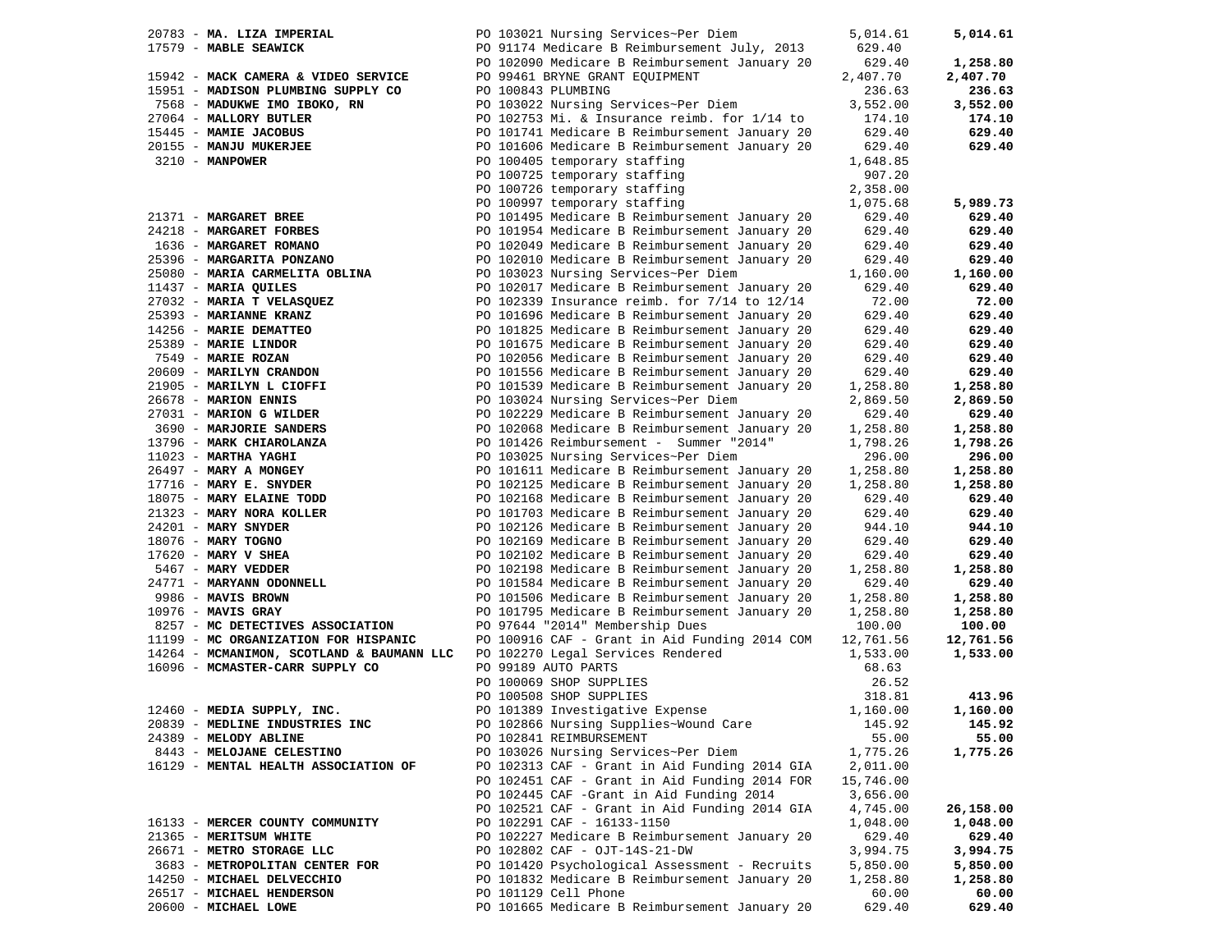| 20783 - MA. LIZA IMPERIAL                                                   | PO 103021 Nursing Services~Per Diem                                                   | 5,014.61  | 5,014.61  |
|-----------------------------------------------------------------------------|---------------------------------------------------------------------------------------|-----------|-----------|
| 17579 - MABLE SEAWICK                                                       | PO 91174 Medicare B Reimbursement July, 2013                                          | 629.40    |           |
|                                                                             | PO 102090 Medicare B Reimbursement January 20                                         | 629.40    | 1,258.80  |
| 15942 - MACK CAMERA & VIDEO SERVICE                                         | PO 99461 BRYNE GRANT EQUIPMENT                                                        | 2,407.70  | 2,407.70  |
| 15951 - MADISON PLUMBING SUPPLY CO                                          | PO 100843 PLUMBING                                                                    | 236.63    | 236.63    |
| 7568 - MADUKWE IMO IBOKO, RN                                                | PO 103022 Nursing Services~Per Diem                                                   | 3,552.00  | 3,552.00  |
| 27064 - MALLORY BUTLER                                                      | PO 102753 Mi. & Insurance reimb. for 1/14 to                                          | 174.10    | 174.10    |
| 15445 - MAMIE JACOBUS                                                       | PO 101741 Medicare B Reimbursement January 20                                         | 629.40    | 629.40    |
| 20155 - MANJU MUKERJEE                                                      | PO 101606 Medicare B Reimbursement January 20                                         | 629.40    | 629.40    |
| 3210 - MANPOWER                                                             | PO 100405 temporary staffing                                                          | 1,648.85  |           |
|                                                                             | PO 100725 temporary staffing                                                          | 907.20    |           |
|                                                                             |                                                                                       |           |           |
|                                                                             | PU 100726 temporary staffing<br>PO 100997 temporary staffing                          | 2,358.00  |           |
|                                                                             |                                                                                       | 1,075.68  | 5,989.73  |
| 21371 - MARGARET BREE                                                       | PO 101495 Medicare B Reimbursement January 20                                         | 629.40    | 629.40    |
| 24218 - MARGARET FORBES                                                     | PO 101954 Medicare B Reimbursement January 20                                         | 629.40    | 629.40    |
| 1636 - MARGARET ROMANO                                                      | PO 102049 Medicare B Reimbursement January 20                                         | 629.40    | 629.40    |
| 25396 - MARGARITA PONZANO                                                   | PO 102010 Medicare B Reimbursement January 20                                         | 629.40    | 629.40    |
| 25080 - MARIA CARMELITA OBLINA                                              | PO 103023 Nursing Services~Per Diem                                                   | 1,160.00  | 1,160.00  |
| 11437 - MARIA QUILES                                                        | PO 102017 Medicare B Reimbursement January 20                                         | 629.40    | 629.40    |
| 27032 - MARIA T VELASQUEZ                                                   | PO 102339 Insurance reimb. for 7/14 to 12/14                                          | 72.00     | 72.00     |
| 25393 - MARIANNE KRANZ                                                      | PO 101696 Medicare B Reimbursement January 20                                         | 629.40    | 629.40    |
| 14256 - MARIE DEMATTEO<br>25389 - MARIE LINDOR<br>7549 - MARIE ROZAN        | PO 101825 Medicare B Reimbursement January 20                                         | 629.40    | 629.40    |
|                                                                             | PO 101675 Medicare B Reimbursement January 20                                         | 629.40    | 629.40    |
|                                                                             | PO 102056 Medicare B Reimbursement January 20                                         | 629.40    | 629.40    |
| 25389 - MARIE LINDOR<br>7549 - MARIE ROZAN<br>20609 - MARILYN CRANDON       | PO 101556 Medicare B Reimbursement January 20                                         | 629.40    | 629.40    |
| 21905 - MARILYN L CIOFFI                                                    | PO 101539 Medicare B Reimbursement January 20                                         | 1,258.80  | 1,258.80  |
| 26678 - MARION ENNIS                                                        | PO 103024 Nursing Services~Per Diem                                                   | 2,869.50  | 2,869.50  |
|                                                                             | PO 102229 Medicare B Reimbursement January 20                                         |           |           |
| 27031 - MARION G WILDER                                                     |                                                                                       | 629.40    | 629.40    |
| 3690 - MARJORIE SANDERS                                                     | PO 102068 Medicare B Reimbursement January 20                                         | 1,258.80  | 1,258.80  |
| 13796 - MARK CHIAROLANZA                                                    | PO 101426 Reimbursement - Summer "2014"                                               | 1,798.26  | 1,798.26  |
| $11023$ - MARTHA YAGHI                                                      | PO 103025 Nursing Services~Per Diem                                                   | 296.00    | 296.00    |
| 26497 - MARY A MONGEY                                                       | PO 101611 Medicare B Reimbursement January 20                                         | 1,258.80  | 1,258.80  |
| $17716$ - MARY E. SNYDER                                                    | PO 102125 Medicare B Reimbursement January 20                                         | 1,258.80  | 1,258.80  |
| 18075 - MARY ELAINE TODD                                                    | PO 102168 Medicare B Reimbursement January 20                                         | 629.40    | 629.40    |
| 21323 - MARY NORA KOLLER                                                    | PO 101703 Medicare B Reimbursement January 20                                         | 629.40    | 629.40    |
| 24201 - MARY SNYDER                                                         | PO 102126 Medicare B Reimbursement January 20                                         | 944.10    | 944.10    |
| 18076 - MARY TOGNO                                                          | PO 102169 Medicare B Reimbursement January 20                                         | 629.40    | 629.40    |
| $17620$ - MARY V SHEA                                                       | PO 102102 Medicare B Reimbursement January 20                                         | 629.40    | 629.40    |
| 5467 - MARY VEDDER                                                          | PO 102198 Medicare B Reimbursement January 20                                         | 1,258.80  | 1,258.80  |
| 24771 - MARYANN ODONNELL                                                    | PO 101584 Medicare B Reimbursement January 20                                         | 629.40    | 629.40    |
| 9986 - MAVIS BROWN                                                          | PO 101506 Medicare B Reimbursement January 20                                         | 1,258.80  | 1,258.80  |
| $10976$ - MAVIS GRAY                                                        | PO 101795 Medicare B Reimbursement January 20                                         | 1,258.80  | 1,258.80  |
| 8257 - MC DETECTIVES ASSOCIATION                                            | PO 97644 "2014" Membership Dues                                                       | 100.00    | 100.00    |
| 11199 - MC ORGANIZATION FOR HISPANIC                                        | PO 100916 CAF - Grant in Aid Funding 2014 COM                                         | 12,761.56 | 12,761.56 |
| 14264 - MCMANIMON, SCOTLAND & BAUMANN LLC PO 102270 Legal Services Rendered |                                                                                       | 1,533.00  | 1,533.00  |
| 16096 - MCMASTER-CARR SUPPLY CO                                             | PO 99189 AUTO PARTS                                                                   | 68.63     |           |
|                                                                             |                                                                                       |           |           |
|                                                                             | PO 100069 SHOP SUPPLIES                                                               | 26.52     |           |
|                                                                             | PO 100069 SHOP SUPPLIES<br>PO 100508 SHOP SUPPLIES<br>PO 101389 Investigative Expense | 318.81    | 413.96    |
| 12460 - MEDIA SUPPLY, INC.                                                  |                                                                                       | 1,160.00  | 1,160.00  |
| 20839 - MEDLINE INDUSTRIES INC                                              | PO 102866 Nursing Supplies~Wound Care 145.92                                          |           | 145.92    |
| 24389 - MELODY ABLINE                                                       | PO 102841 REIMBURSEMENT                                                               | 55.00     | 55.00     |
| 8443 - MELOJANE CELESTINO                                                   | PO 103026 Nursing Services~Per Diem                                                   | 1,775.26  | 1,775.26  |
| 16129 - MENTAL HEALTH ASSOCIATION OF                                        | PO 102313 CAF - Grant in Aid Funding 2014 GIA                                         | 2,011.00  |           |
|                                                                             | PO 102451 CAF - Grant in Aid Funding 2014 FOR                                         | 15,746.00 |           |
|                                                                             | PO 102445 CAF -Grant in Aid Funding 2014                                              | 3,656.00  |           |
|                                                                             | PO 102521 CAF - Grant in Aid Funding 2014 GIA                                         | 4,745.00  | 26,158.00 |
| 16133 - MERCER COUNTY COMMUNITY                                             | PO 102291 CAF - 16133-1150                                                            | 1,048.00  | 1,048.00  |
| 21365 - MERITSUM WHITE                                                      | PO 102227 Medicare B Reimbursement January 20                                         | 629.40    | 629.40    |
| 26671 - METRO STORAGE LLC                                                   | PO 102802 CAF - OJT-14S-21-DW                                                         | 3,994.75  | 3,994.75  |
| 3683 - METROPOLITAN CENTER FOR                                              | PO 101420 Psychological Assessment - Recruits                                         | 5,850.00  | 5,850.00  |
| 14250 - MICHAEL DELVECCHIO                                                  | PO 101832 Medicare B Reimbursement January 20                                         | 1,258.80  | 1,258.80  |
| 26517 - MICHAEL HENDERSON                                                   | PO 101129 Cell Phone                                                                  | 60.00     | 60.00     |
| 20600 - MICHAEL LOWE                                                        | PO 101665 Medicare B Reimbursement January 20                                         | 629.40    | 629.40    |
|                                                                             |                                                                                       |           |           |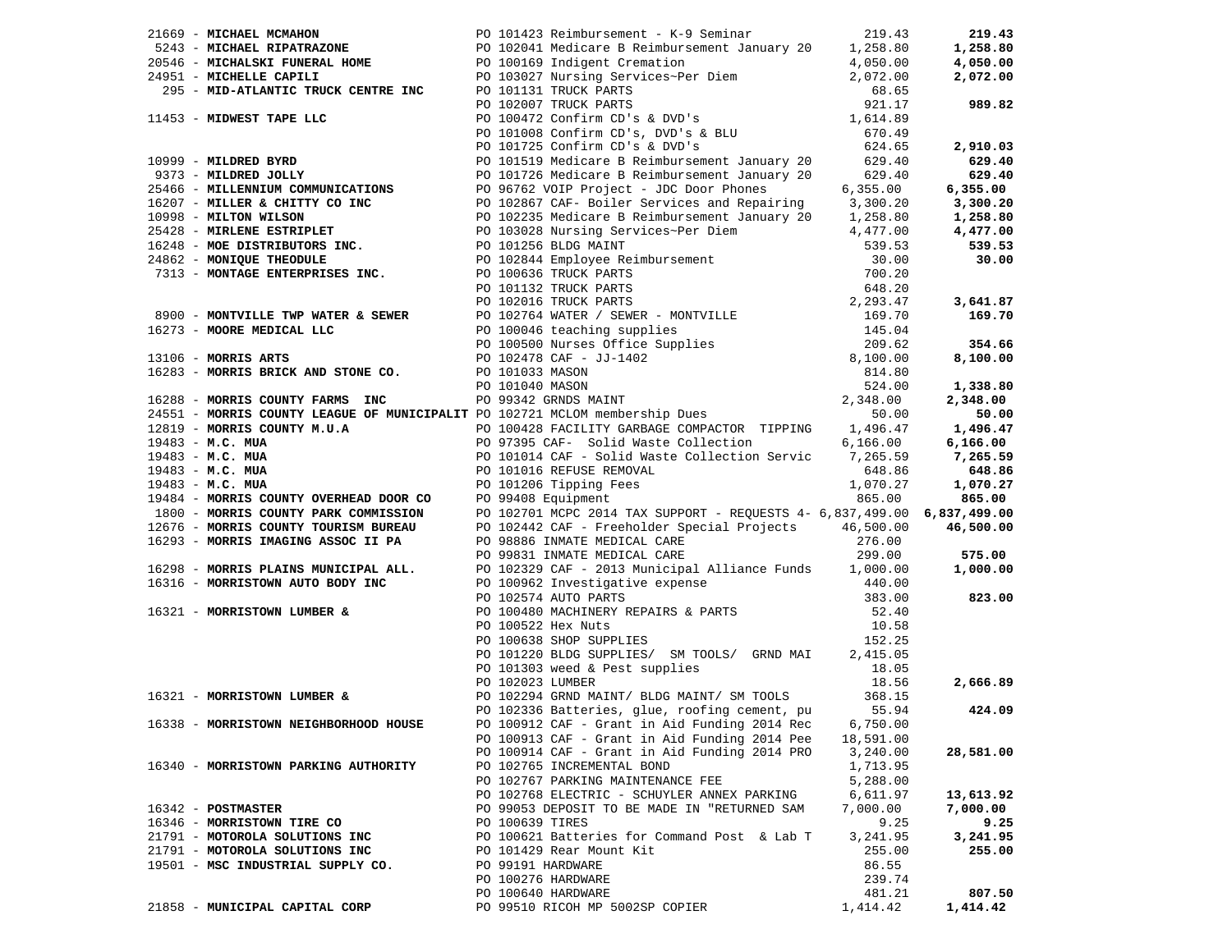|                                      | 2:419 MONDA MONDA (1990) 2011:123 Anison (1990) 2011:124 Anison (1990) 2011:124 Anison (1990) 2011:124 Anison (1991) 2011:124 Anison (1991) 2011:124 Anison (1991) 2013:23 Anison (1991) 2013:23 Anison (1991) 2013:23 Anison                |           |           |
|--------------------------------------|----------------------------------------------------------------------------------------------------------------------------------------------------------------------------------------------------------------------------------------------|-----------|-----------|
|                                      |                                                                                                                                                                                                                                              |           |           |
|                                      |                                                                                                                                                                                                                                              |           |           |
|                                      |                                                                                                                                                                                                                                              |           |           |
|                                      |                                                                                                                                                                                                                                              |           |           |
|                                      |                                                                                                                                                                                                                                              |           |           |
|                                      |                                                                                                                                                                                                                                              |           |           |
|                                      |                                                                                                                                                                                                                                              |           |           |
|                                      |                                                                                                                                                                                                                                              |           |           |
|                                      |                                                                                                                                                                                                                                              |           |           |
|                                      |                                                                                                                                                                                                                                              |           |           |
|                                      |                                                                                                                                                                                                                                              |           |           |
|                                      |                                                                                                                                                                                                                                              |           |           |
|                                      |                                                                                                                                                                                                                                              |           |           |
|                                      |                                                                                                                                                                                                                                              |           |           |
|                                      |                                                                                                                                                                                                                                              |           |           |
|                                      |                                                                                                                                                                                                                                              |           |           |
|                                      | PO 100522 Hex Nuts<br>PO 100522 Hex Nuts<br>PO 100638 SHOP SUPPLIES<br>PO 101220 BLDG SUPPLIES/ SM TOOLS/ GRND MAI<br>PO 101303 weed & Pest supplies<br>PO 102294 GRND MAINT/ BLDG MAINT/ SM TOOLS<br>18.05<br>PO 102294 GRND MAINT/ BLDG MA |           |           |
|                                      |                                                                                                                                                                                                                                              |           |           |
|                                      |                                                                                                                                                                                                                                              |           |           |
|                                      |                                                                                                                                                                                                                                              |           |           |
|                                      |                                                                                                                                                                                                                                              |           |           |
|                                      |                                                                                                                                                                                                                                              |           | 2,666.89  |
|                                      |                                                                                                                                                                                                                                              |           |           |
|                                      |                                                                                                                                                                                                                                              |           | 424.09    |
|                                      | 16338 - MORRISTOWN NEIGHBORHOOD HOUSE PO 100912 CAF - Grant in Aid Funding 2014 Rec 6,750.00                                                                                                                                                 |           |           |
|                                      | PO 100913 CAF - Grant in Aid Funding 2014 Pee                                                                                                                                                                                                | 18,591.00 |           |
|                                      | PO 100914 CAF - Grant in Aid Funding 2014 PRO                                                                                                                                                                                                | 3,240.00  | 28,581.00 |
| 16340 - MORRISTOWN PARKING AUTHORITY | PO 102765 INCREMENTAL BOND                                                                                                                                                                                                                   | 1,713.95  |           |
|                                      | PO 102767 PARKING MAINTENANCE FEE                                                                                                                                                                                                            | 5,288.00  |           |
|                                      | PO 102768 ELECTRIC - SCHUYLER ANNEX PARKING                                                                                                                                                                                                  | 6,611.97  | 13,613.92 |
| 16342 - POSTMASTER                   | PO 99053 DEPOSIT TO BE MADE IN "RETURNED SAM                                                                                                                                                                                                 | 7,000.00  | 7,000.00  |
| 16346 - MORRISTOWN TIRE CO           | PO 100639 TIRES                                                                                                                                                                                                                              | 9.25      | 9.25      |
|                                      | PO 100621 Batteries for Command Post & Lab T                                                                                                                                                                                                 | 3,241.95  | 3,241.95  |
| 21791 - MOTOROLA SOLUTIONS INC       |                                                                                                                                                                                                                                              |           |           |
| 21791 - MOTOROLA SOLUTIONS INC       | PO 101429 Rear Mount Kit                                                                                                                                                                                                                     | 255.00    | 255.00    |
| 19501 - MSC INDUSTRIAL SUPPLY CO.    | PO 99191 HARDWARE                                                                                                                                                                                                                            | 86.55     |           |
|                                      | PO 100276 HARDWARE                                                                                                                                                                                                                           | 239.74    |           |
|                                      | PO 100640 HARDWARE                                                                                                                                                                                                                           | 481.21    | 807.50    |
| 21858 - MUNICIPAL CAPITAL CORP       | PO 99510 RICOH MP 5002SP COPIER                                                                                                                                                                                                              | 1,414.42  | 1,414.42  |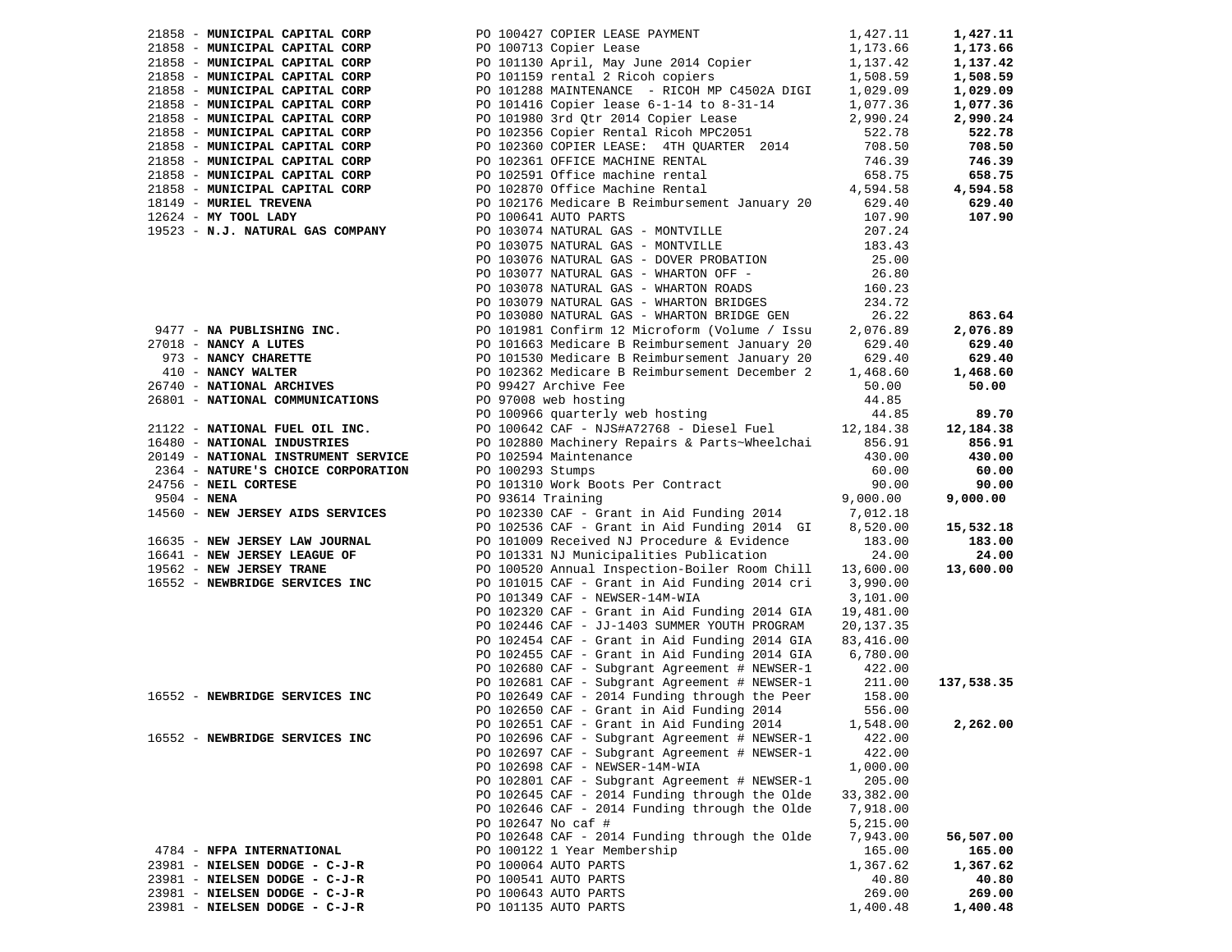| 21858 - MUNICIPAL CAPITAL CORP      |                                                                                                                                                                                                                                                                               |                | 1,427.11   |
|-------------------------------------|-------------------------------------------------------------------------------------------------------------------------------------------------------------------------------------------------------------------------------------------------------------------------------|----------------|------------|
| 21858 - MUNICIPAL CAPITAL CORP      |                                                                                                                                                                                                                                                                               |                | 1,173.66   |
| 21858 - MUNICIPAL CAPITAL CORP      |                                                                                                                                                                                                                                                                               |                | 1,137.42   |
| 21858 - MUNICIPAL CAPITAL CORP      | PO 100427 COPIER LEASE PAYMENT 1,427.11<br>PO 100713 Copier Lease 1,173.66<br>PO 101130 April, May June 2014 Copier 1,137.42<br>PO 101159 rental 2 Ricoh copiers 1,508.59                                                                                                     |                | 1,508.59   |
| 21858 - MUNICIPAL CAPITAL CORP      | PO 101288 MAINTENANCE - RICOH MP C4502A DIGI                                                                                                                                                                                                                                  | 1,029.09       | 1,029.09   |
| 21858 - MUNICIPAL CAPITAL CORP      | PO 101416 Copier lease 6-1-14 to 8-31-14                                                                                                                                                                                                                                      | 1,077.36       | 1,077.36   |
| 21858 - MUNICIPAL CAPITAL CORP      | PO 101980 3rd Qtr 2014 Copier Lease                                                                                                                                                                                                                                           | 2,990.24       | 2,990.24   |
| 21858 - MUNICIPAL CAPITAL CORP      | PO 102356 Copier Rental Ricoh MPC2051                                                                                                                                                                                                                                         | 522.78         | 522.78     |
| 21858 - MUNICIPAL CAPITAL CORP      | PO 102360 COPIER LEASE: 4TH QUARTER 2014                                                                                                                                                                                                                                      | 708.50         | 708.50     |
| 21858 - MUNICIPAL CAPITAL CORP      | PO 102361 OFFICE MACHINE RENTAL                                                                                                                                                                                                                                               | 746.39         | 746.39     |
| 21858 - MUNICIPAL CAPITAL CORP      | PO 102591 Office machine rental                                                                                                                                                                                                                                               | 658.75         | 658.75     |
| 21858 - MUNICIPAL CAPITAL CORP      | PO 102870 Office Machine Rental                                                                                                                                                                                                                                               | 4,594.58       | 4,594.58   |
| 18149 - MURIEL TREVENA              | PO 102176 Medicare B Reimbursement January 20                                                                                                                                                                                                                                 | 629.40         | 629.40     |
| $12624$ - MY TOOL LADY              | PO 100641 AUTO PARTS                                                                                                                                                                                                                                                          | 107.90         | 107.90     |
| 19523 - N.J. NATURAL GAS COMPANY    | PO 103074 NATURAL GAS - MONTVILLE                                                                                                                                                                                                                                             | 207.24         |            |
|                                     | PO 103075 NATURAL GAS - MONTVILLE                                                                                                                                                                                                                                             | 183.43         |            |
|                                     | PO 103076 NATURAL GAS - DOVER PROBATION                                                                                                                                                                                                                                       | 25.00          |            |
|                                     | PO 103077 NATURAL GAS - WHARTON OFF -                                                                                                                                                                                                                                         | 26.80          |            |
|                                     | PO 103078 NATURAL GAS - WHARTON ROADS                                                                                                                                                                                                                                         | 160.23         |            |
|                                     | PO 103079 NATURAL GAS - WHARTON BRIDGES                                                                                                                                                                                                                                       | 234.72         |            |
|                                     | PO 103080 NATURAL GAS - WHARTON BRIDGE GEN                                                                                                                                                                                                                                    | 26.22          | 863.64     |
|                                     | 9477 - <b>NA PUBLISHING INC.</b><br>27018 - <b>NANCY A LUTES</b><br>27018 - <b>NANCY A LUTES</b><br>273 - <b>NANCY CHARETTE</b><br>26 101981 Confirm 12 Microform (Volume / Issu<br>273 - <b>NANCY VALTER</b><br>26 29.40<br>26 29.40<br>26 29.40<br>26 29.40<br>26 29.40<br> |                | 2,076.89   |
|                                     |                                                                                                                                                                                                                                                                               |                | 629.40     |
|                                     |                                                                                                                                                                                                                                                                               |                | 629.40     |
|                                     |                                                                                                                                                                                                                                                                               |                | 1,468.60   |
|                                     |                                                                                                                                                                                                                                                                               |                | 50.00      |
| 26801 - NATIONAL COMMUNICATIONS     |                                                                                                                                                                                                                                                                               |                |            |
|                                     |                                                                                                                                                                                                                                                                               | 44.85<br>44.85 | 89.70      |
| 21122 - NATIONAL FUEL OIL INC.      | PO 100642 CAF - NJS#A72768 - Diesel Fuel 12,184.38                                                                                                                                                                                                                            |                | 12,184.38  |
| 16480 - NATIONAL INDUSTRIES         | PO 102880 Machinery Repairs & Parts~Wheelchai                                                                                                                                                                                                                                 | 856.91         | 856.91     |
|                                     |                                                                                                                                                                                                                                                                               |                |            |
| 20149 - NATIONAL INSTRUMENT SERVICE | PO 102594 Maintenance                                                                                                                                                                                                                                                         | 430.00         | 430.00     |
| 2364 - NATURE'S CHOICE CORPORATION  | PO 100293 Stumps<br>PO 100293 Stumps<br>PO 101310 Work Boots Per Contract                                                                                                                                                                                                     | 60.00          | 60.00      |
| 24756 - NEIL CORTESE                |                                                                                                                                                                                                                                                                               | 90.00          | 90.00      |
| 9504 - NENA                         | PO 93614 Training                                                                                                                                                                                                                                                             | 9,000.00       | 9,000.00   |
| 14560 - NEW JERSEY AIDS SERVICES    | PO 102330 CAF - Grant in Aid Funding 2014 7,012.18                                                                                                                                                                                                                            |                |            |
|                                     | PO 102536 CAF - Grant in Aid Funding 2014 GI                                                                                                                                                                                                                                  | 8,520.00       | 15,532.18  |
| 16635 - NEW JERSEY LAW JOURNAL      | PO 101009 Received NJ Procedure & Evidence                                                                                                                                                                                                                                    | 183.00         | 183.00     |
| 16641 - NEW JERSEY LEAGUE OF        | PO 101331 NJ Municipalities Publication                                                                                                                                                                                                                                       | 24.00          | 24.00      |
| 19562 - NEW JERSEY TRANE            | PO 100520 Annual Inspection-Boiler Room Chill                                                                                                                                                                                                                                 | 13,600.00      | 13,600.00  |
| 16552 - NEWBRIDGE SERVICES INC      | PO 101015 CAF - Grant in Aid Funding 2014 cri 3,990.00                                                                                                                                                                                                                        |                |            |
|                                     | PO 101349 CAF - NEWSER-14M-WIA                                                                                                                                                                                                                                                | 3,101.00       |            |
|                                     | PO 102320 CAF - Grant in Aid Funding 2014 GIA                                                                                                                                                                                                                                 | 19,481.00      |            |
|                                     | PO 102446 CAF - JJ-1403 SUMMER YOUTH PROGRAM                                                                                                                                                                                                                                  | 20,137.35      |            |
|                                     | PO 102454 CAF - Grant in Aid Funding 2014 GIA<br>PO 102455 CAF - Grant in Aid Funding 2014 GIA 6,780.00                                                                                                                                                                       | 83,416.00      |            |
|                                     |                                                                                                                                                                                                                                                                               |                |            |
|                                     | PO 102680 CAF - Subgrant Agreement # NEWSER-1 211.00<br>PO 102681 CAF - Subgrant Agreement # NEWSER-1 211.00<br>2014 European through the Peer 158.00                                                                                                                         |                | 137,538.35 |
| 16552 - NEWBRIDGE SERVICES INC      |                                                                                                                                                                                                                                                                               |                |            |
|                                     | PO 102650 CAF - Grant in Aid Funding 2014                                                                                                                                                                                                                                     | 556.00         |            |
|                                     |                                                                                                                                                                                                                                                                               |                | 2,262.00   |
| 16552 - NEWBRIDGE SERVICES INC      | PO 102651 CAF - Grant in Aid Funding 2014                                                                                                                                                                                                                                     | 1,548.00       |            |
|                                     | PO 102696 CAF - Subgrant Agreement # NEWSER-1                                                                                                                                                                                                                                 | 422.00         |            |
|                                     | PO 102697 CAF - Subgrant Agreement # NEWSER-1                                                                                                                                                                                                                                 | 422.00         |            |
|                                     | PO 102698 CAF - NEWSER-14M-WIA                                                                                                                                                                                                                                                | 1,000.00       |            |
|                                     | PO 102801 CAF - Subgrant Agreement # NEWSER-1                                                                                                                                                                                                                                 | 205.00         |            |
|                                     | PO 102645 CAF - 2014 Funding through the Olde<br>PO 102646 CAF - 2014 Funding through the Olde                                                                                                                                                                                | 33,382.00      |            |
|                                     |                                                                                                                                                                                                                                                                               | 7,918.00       |            |
|                                     | PO 102647 No caf #                                                                                                                                                                                                                                                            | 5,215.00       |            |
|                                     | PO 102648 CAF - 2014 Funding through the Olde                                                                                                                                                                                                                                 | 7,943.00       | 56,507.00  |
| 4784 - NFPA INTERNATIONAL           | PO 100122 1 Year Membership                                                                                                                                                                                                                                                   | 165.00         | 165.00     |
| 23981 - NIELSEN DODGE - C-J-R       | PO 100064 AUTO PARTS                                                                                                                                                                                                                                                          | 1,367.62       | 1,367.62   |
| 23981 - NIELSEN DODGE - C-J-R       | PO 100541 AUTO PARTS                                                                                                                                                                                                                                                          | 40.80          | 40.80      |
| 23981 - NIELSEN DODGE - C-J-R       | PO 100643 AUTO PARTS                                                                                                                                                                                                                                                          | 269.00         | 269.00     |
| 23981 - NIELSEN DODGE - C-J-R       | PO 101135 AUTO PARTS                                                                                                                                                                                                                                                          | 1,400.48       | 1,400.48   |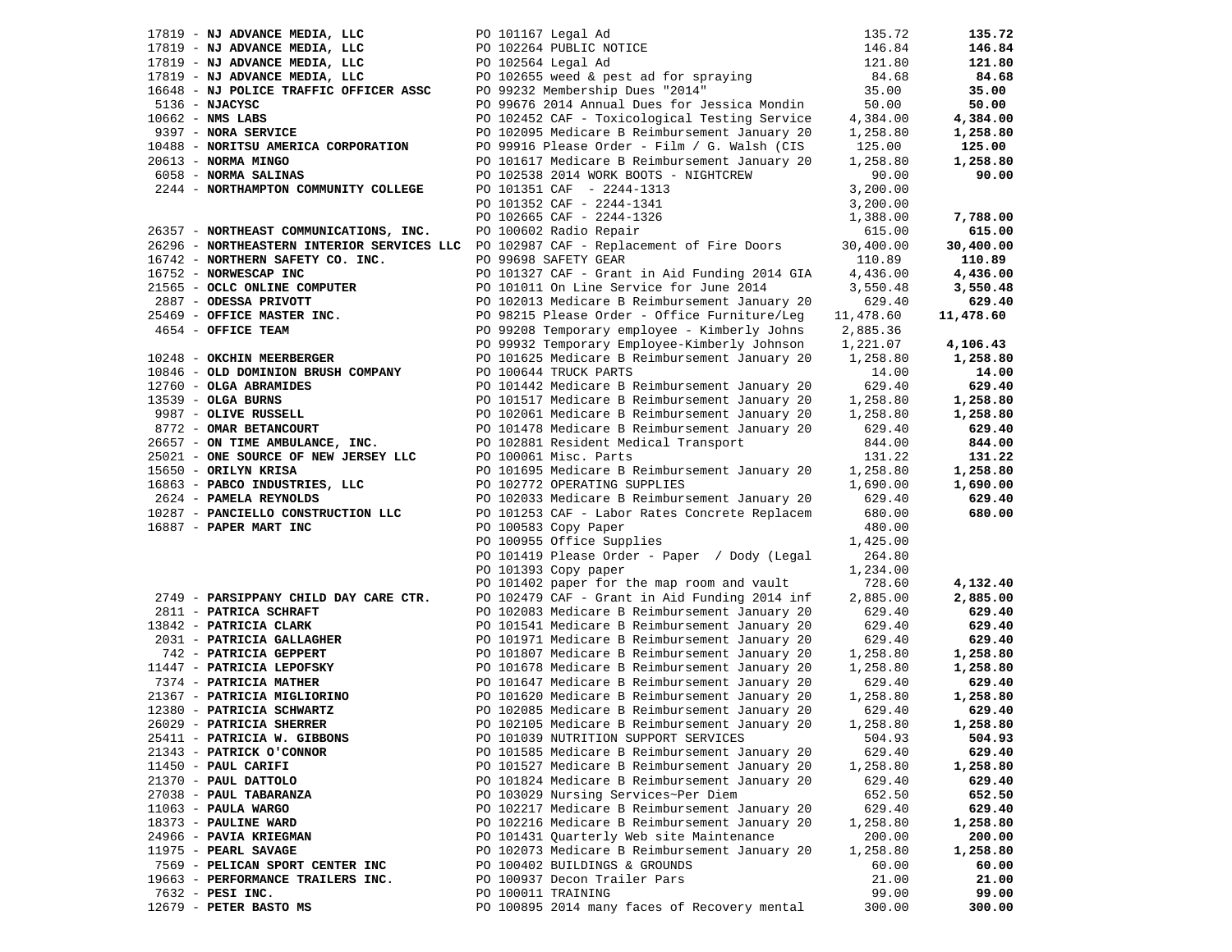| PO 101167 Legal Ad                                                                    | 135.72                                                                                                                                                                                                                                                                                                                                                                                                                                                                                                                                                                                                                                                                                                                                                                                                                                                                                                                                                                                                                                                                                                                                               | 135.72                                                                                                                                                                                                                                                                                                    |
|---------------------------------------------------------------------------------------|------------------------------------------------------------------------------------------------------------------------------------------------------------------------------------------------------------------------------------------------------------------------------------------------------------------------------------------------------------------------------------------------------------------------------------------------------------------------------------------------------------------------------------------------------------------------------------------------------------------------------------------------------------------------------------------------------------------------------------------------------------------------------------------------------------------------------------------------------------------------------------------------------------------------------------------------------------------------------------------------------------------------------------------------------------------------------------------------------------------------------------------------------|-----------------------------------------------------------------------------------------------------------------------------------------------------------------------------------------------------------------------------------------------------------------------------------------------------------|
| PO 102264 PUBLIC NOTICE                                                               | 146.84                                                                                                                                                                                                                                                                                                                                                                                                                                                                                                                                                                                                                                                                                                                                                                                                                                                                                                                                                                                                                                                                                                                                               | 146.84                                                                                                                                                                                                                                                                                                    |
| PO 102564 Legal Ad                                                                    | 121.80                                                                                                                                                                                                                                                                                                                                                                                                                                                                                                                                                                                                                                                                                                                                                                                                                                                                                                                                                                                                                                                                                                                                               | 121.80                                                                                                                                                                                                                                                                                                    |
|                                                                                       | 84.68                                                                                                                                                                                                                                                                                                                                                                                                                                                                                                                                                                                                                                                                                                                                                                                                                                                                                                                                                                                                                                                                                                                                                | 84.68                                                                                                                                                                                                                                                                                                     |
| PO 99232 Membership Dues "2014"                                                       | 35.00                                                                                                                                                                                                                                                                                                                                                                                                                                                                                                                                                                                                                                                                                                                                                                                                                                                                                                                                                                                                                                                                                                                                                | 35.00                                                                                                                                                                                                                                                                                                     |
| PO 99676 2014 Annual Dues for Jessica Mondin                                          | 50.00                                                                                                                                                                                                                                                                                                                                                                                                                                                                                                                                                                                                                                                                                                                                                                                                                                                                                                                                                                                                                                                                                                                                                | 50.00                                                                                                                                                                                                                                                                                                     |
| PO 102452 CAF - Toxicological Testing Service                                         | 4,384.00                                                                                                                                                                                                                                                                                                                                                                                                                                                                                                                                                                                                                                                                                                                                                                                                                                                                                                                                                                                                                                                                                                                                             | 4,384.00                                                                                                                                                                                                                                                                                                  |
| PO 102095 Medicare B Reimbursement January 20                                         | 1,258.80                                                                                                                                                                                                                                                                                                                                                                                                                                                                                                                                                                                                                                                                                                                                                                                                                                                                                                                                                                                                                                                                                                                                             | 1,258.80                                                                                                                                                                                                                                                                                                  |
| PO 99916 Please Order - Film / G. Walsh (CIS                                          | 125.00                                                                                                                                                                                                                                                                                                                                                                                                                                                                                                                                                                                                                                                                                                                                                                                                                                                                                                                                                                                                                                                                                                                                               | 125.00                                                                                                                                                                                                                                                                                                    |
| PO 101617 Medicare B Reimbursement January 20                                         | 1,258.80                                                                                                                                                                                                                                                                                                                                                                                                                                                                                                                                                                                                                                                                                                                                                                                                                                                                                                                                                                                                                                                                                                                                             | 1,258.80                                                                                                                                                                                                                                                                                                  |
| PO 102538 2014 WORK BOOTS - NIGHTCREW                                                 | 90.00                                                                                                                                                                                                                                                                                                                                                                                                                                                                                                                                                                                                                                                                                                                                                                                                                                                                                                                                                                                                                                                                                                                                                | 90.00                                                                                                                                                                                                                                                                                                     |
| PO 101351 CAF - 2244-1313                                                             | 3,200.00                                                                                                                                                                                                                                                                                                                                                                                                                                                                                                                                                                                                                                                                                                                                                                                                                                                                                                                                                                                                                                                                                                                                             |                                                                                                                                                                                                                                                                                                           |
| PO 101352 CAF - 2244-1341                                                             | 3,200.00                                                                                                                                                                                                                                                                                                                                                                                                                                                                                                                                                                                                                                                                                                                                                                                                                                                                                                                                                                                                                                                                                                                                             |                                                                                                                                                                                                                                                                                                           |
| PO 102665 CAF - 2244-1326                                                             | 1,388.00                                                                                                                                                                                                                                                                                                                                                                                                                                                                                                                                                                                                                                                                                                                                                                                                                                                                                                                                                                                                                                                                                                                                             | 7,788.00                                                                                                                                                                                                                                                                                                  |
| PO 100602 Radio Repair                                                                | 615.00                                                                                                                                                                                                                                                                                                                                                                                                                                                                                                                                                                                                                                                                                                                                                                                                                                                                                                                                                                                                                                                                                                                                               | 615.00                                                                                                                                                                                                                                                                                                    |
| PO 102987 CAF - Replacement of Fire Doors                                             | 30,400.00                                                                                                                                                                                                                                                                                                                                                                                                                                                                                                                                                                                                                                                                                                                                                                                                                                                                                                                                                                                                                                                                                                                                            | 30,400.00                                                                                                                                                                                                                                                                                                 |
| PO 99698 SAFETY GEAR                                                                  | 110.89                                                                                                                                                                                                                                                                                                                                                                                                                                                                                                                                                                                                                                                                                                                                                                                                                                                                                                                                                                                                                                                                                                                                               | 110.89                                                                                                                                                                                                                                                                                                    |
|                                                                                       | 4,436.00                                                                                                                                                                                                                                                                                                                                                                                                                                                                                                                                                                                                                                                                                                                                                                                                                                                                                                                                                                                                                                                                                                                                             | 4,436.00                                                                                                                                                                                                                                                                                                  |
| PO 101011 On Line Service for June 2014                                               | 3,550.48                                                                                                                                                                                                                                                                                                                                                                                                                                                                                                                                                                                                                                                                                                                                                                                                                                                                                                                                                                                                                                                                                                                                             | 3,550.48                                                                                                                                                                                                                                                                                                  |
| PO 102013 Medicare B Reimbursement January 20                                         | 629.40                                                                                                                                                                                                                                                                                                                                                                                                                                                                                                                                                                                                                                                                                                                                                                                                                                                                                                                                                                                                                                                                                                                                               | 629.40                                                                                                                                                                                                                                                                                                    |
|                                                                                       |                                                                                                                                                                                                                                                                                                                                                                                                                                                                                                                                                                                                                                                                                                                                                                                                                                                                                                                                                                                                                                                                                                                                                      | 11,478.60                                                                                                                                                                                                                                                                                                 |
|                                                                                       | 2,885.36                                                                                                                                                                                                                                                                                                                                                                                                                                                                                                                                                                                                                                                                                                                                                                                                                                                                                                                                                                                                                                                                                                                                             |                                                                                                                                                                                                                                                                                                           |
|                                                                                       |                                                                                                                                                                                                                                                                                                                                                                                                                                                                                                                                                                                                                                                                                                                                                                                                                                                                                                                                                                                                                                                                                                                                                      | 4,106.43                                                                                                                                                                                                                                                                                                  |
|                                                                                       |                                                                                                                                                                                                                                                                                                                                                                                                                                                                                                                                                                                                                                                                                                                                                                                                                                                                                                                                                                                                                                                                                                                                                      | 1,258.80                                                                                                                                                                                                                                                                                                  |
|                                                                                       |                                                                                                                                                                                                                                                                                                                                                                                                                                                                                                                                                                                                                                                                                                                                                                                                                                                                                                                                                                                                                                                                                                                                                      | 14.00                                                                                                                                                                                                                                                                                                     |
|                                                                                       |                                                                                                                                                                                                                                                                                                                                                                                                                                                                                                                                                                                                                                                                                                                                                                                                                                                                                                                                                                                                                                                                                                                                                      | 629.40                                                                                                                                                                                                                                                                                                    |
|                                                                                       |                                                                                                                                                                                                                                                                                                                                                                                                                                                                                                                                                                                                                                                                                                                                                                                                                                                                                                                                                                                                                                                                                                                                                      | 1,258.80                                                                                                                                                                                                                                                                                                  |
|                                                                                       |                                                                                                                                                                                                                                                                                                                                                                                                                                                                                                                                                                                                                                                                                                                                                                                                                                                                                                                                                                                                                                                                                                                                                      | 1,258.80                                                                                                                                                                                                                                                                                                  |
|                                                                                       |                                                                                                                                                                                                                                                                                                                                                                                                                                                                                                                                                                                                                                                                                                                                                                                                                                                                                                                                                                                                                                                                                                                                                      | 629.40                                                                                                                                                                                                                                                                                                    |
|                                                                                       |                                                                                                                                                                                                                                                                                                                                                                                                                                                                                                                                                                                                                                                                                                                                                                                                                                                                                                                                                                                                                                                                                                                                                      | 844.00                                                                                                                                                                                                                                                                                                    |
|                                                                                       |                                                                                                                                                                                                                                                                                                                                                                                                                                                                                                                                                                                                                                                                                                                                                                                                                                                                                                                                                                                                                                                                                                                                                      | 131.22                                                                                                                                                                                                                                                                                                    |
|                                                                                       |                                                                                                                                                                                                                                                                                                                                                                                                                                                                                                                                                                                                                                                                                                                                                                                                                                                                                                                                                                                                                                                                                                                                                      | 1,258.80                                                                                                                                                                                                                                                                                                  |
|                                                                                       |                                                                                                                                                                                                                                                                                                                                                                                                                                                                                                                                                                                                                                                                                                                                                                                                                                                                                                                                                                                                                                                                                                                                                      | 1,690.00                                                                                                                                                                                                                                                                                                  |
|                                                                                       |                                                                                                                                                                                                                                                                                                                                                                                                                                                                                                                                                                                                                                                                                                                                                                                                                                                                                                                                                                                                                                                                                                                                                      | 629.40                                                                                                                                                                                                                                                                                                    |
|                                                                                       |                                                                                                                                                                                                                                                                                                                                                                                                                                                                                                                                                                                                                                                                                                                                                                                                                                                                                                                                                                                                                                                                                                                                                      | 680.00                                                                                                                                                                                                                                                                                                    |
|                                                                                       |                                                                                                                                                                                                                                                                                                                                                                                                                                                                                                                                                                                                                                                                                                                                                                                                                                                                                                                                                                                                                                                                                                                                                      |                                                                                                                                                                                                                                                                                                           |
|                                                                                       |                                                                                                                                                                                                                                                                                                                                                                                                                                                                                                                                                                                                                                                                                                                                                                                                                                                                                                                                                                                                                                                                                                                                                      |                                                                                                                                                                                                                                                                                                           |
|                                                                                       |                                                                                                                                                                                                                                                                                                                                                                                                                                                                                                                                                                                                                                                                                                                                                                                                                                                                                                                                                                                                                                                                                                                                                      |                                                                                                                                                                                                                                                                                                           |
|                                                                                       |                                                                                                                                                                                                                                                                                                                                                                                                                                                                                                                                                                                                                                                                                                                                                                                                                                                                                                                                                                                                                                                                                                                                                      |                                                                                                                                                                                                                                                                                                           |
|                                                                                       |                                                                                                                                                                                                                                                                                                                                                                                                                                                                                                                                                                                                                                                                                                                                                                                                                                                                                                                                                                                                                                                                                                                                                      | 4,132.40                                                                                                                                                                                                                                                                                                  |
|                                                                                       |                                                                                                                                                                                                                                                                                                                                                                                                                                                                                                                                                                                                                                                                                                                                                                                                                                                                                                                                                                                                                                                                                                                                                      | 2,885.00                                                                                                                                                                                                                                                                                                  |
|                                                                                       |                                                                                                                                                                                                                                                                                                                                                                                                                                                                                                                                                                                                                                                                                                                                                                                                                                                                                                                                                                                                                                                                                                                                                      | 629.40                                                                                                                                                                                                                                                                                                    |
|                                                                                       |                                                                                                                                                                                                                                                                                                                                                                                                                                                                                                                                                                                                                                                                                                                                                                                                                                                                                                                                                                                                                                                                                                                                                      | 629.40                                                                                                                                                                                                                                                                                                    |
| PO 101971 Medicare B Reimbursement January 20                                         | 629.40                                                                                                                                                                                                                                                                                                                                                                                                                                                                                                                                                                                                                                                                                                                                                                                                                                                                                                                                                                                                                                                                                                                                               | 629.40                                                                                                                                                                                                                                                                                                    |
|                                                                                       |                                                                                                                                                                                                                                                                                                                                                                                                                                                                                                                                                                                                                                                                                                                                                                                                                                                                                                                                                                                                                                                                                                                                                      | 1,258.80                                                                                                                                                                                                                                                                                                  |
|                                                                                       |                                                                                                                                                                                                                                                                                                                                                                                                                                                                                                                                                                                                                                                                                                                                                                                                                                                                                                                                                                                                                                                                                                                                                      |                                                                                                                                                                                                                                                                                                           |
| PO 101678 Medicare B Reimbursement January 20                                         | 1,258.80                                                                                                                                                                                                                                                                                                                                                                                                                                                                                                                                                                                                                                                                                                                                                                                                                                                                                                                                                                                                                                                                                                                                             | 1,258.80                                                                                                                                                                                                                                                                                                  |
|                                                                                       | 629.40                                                                                                                                                                                                                                                                                                                                                                                                                                                                                                                                                                                                                                                                                                                                                                                                                                                                                                                                                                                                                                                                                                                                               |                                                                                                                                                                                                                                                                                                           |
| PO 101647 Medicare B Reimbursement January 20                                         |                                                                                                                                                                                                                                                                                                                                                                                                                                                                                                                                                                                                                                                                                                                                                                                                                                                                                                                                                                                                                                                                                                                                                      | 629.40                                                                                                                                                                                                                                                                                                    |
| PO 101620 Medicare B Reimbursement January 20                                         | 1,258.80<br>629.40                                                                                                                                                                                                                                                                                                                                                                                                                                                                                                                                                                                                                                                                                                                                                                                                                                                                                                                                                                                                                                                                                                                                   | 1,258.80<br>629.40                                                                                                                                                                                                                                                                                        |
| PO 102085 Medicare B Reimbursement January 20                                         |                                                                                                                                                                                                                                                                                                                                                                                                                                                                                                                                                                                                                                                                                                                                                                                                                                                                                                                                                                                                                                                                                                                                                      |                                                                                                                                                                                                                                                                                                           |
| PO 102105 Medicare B Reimbursement January 20<br>PO 101039 NUTRITION SUPPORT SERVICES | 1,258.80<br>504.93                                                                                                                                                                                                                                                                                                                                                                                                                                                                                                                                                                                                                                                                                                                                                                                                                                                                                                                                                                                                                                                                                                                                   | 1,258.80<br>504.93                                                                                                                                                                                                                                                                                        |
| PO 101585 Medicare B Reimbursement January 20                                         | 629.40                                                                                                                                                                                                                                                                                                                                                                                                                                                                                                                                                                                                                                                                                                                                                                                                                                                                                                                                                                                                                                                                                                                                               | 629.40                                                                                                                                                                                                                                                                                                    |
| PO 101527 Medicare B Reimbursement January 20                                         | 1,258.80                                                                                                                                                                                                                                                                                                                                                                                                                                                                                                                                                                                                                                                                                                                                                                                                                                                                                                                                                                                                                                                                                                                                             | 1,258.80                                                                                                                                                                                                                                                                                                  |
| PO 101824 Medicare B Reimbursement January 20                                         | 629.40                                                                                                                                                                                                                                                                                                                                                                                                                                                                                                                                                                                                                                                                                                                                                                                                                                                                                                                                                                                                                                                                                                                                               | 629.40                                                                                                                                                                                                                                                                                                    |
| PO 103029 Nursing Services~Per Diem                                                   | 652.50                                                                                                                                                                                                                                                                                                                                                                                                                                                                                                                                                                                                                                                                                                                                                                                                                                                                                                                                                                                                                                                                                                                                               | 652.50                                                                                                                                                                                                                                                                                                    |
| PO 102217 Medicare B Reimbursement January 20                                         | 629.40                                                                                                                                                                                                                                                                                                                                                                                                                                                                                                                                                                                                                                                                                                                                                                                                                                                                                                                                                                                                                                                                                                                                               | 629.40                                                                                                                                                                                                                                                                                                    |
| PO 102216 Medicare B Reimbursement January 20                                         | 1,258.80                                                                                                                                                                                                                                                                                                                                                                                                                                                                                                                                                                                                                                                                                                                                                                                                                                                                                                                                                                                                                                                                                                                                             | 1,258.80                                                                                                                                                                                                                                                                                                  |
| PO 101431 Quarterly Web site Maintenance                                              | 200.00                                                                                                                                                                                                                                                                                                                                                                                                                                                                                                                                                                                                                                                                                                                                                                                                                                                                                                                                                                                                                                                                                                                                               | 200.00                                                                                                                                                                                                                                                                                                    |
| PO 102073 Medicare B Reimbursement January 20                                         | 1,258.80                                                                                                                                                                                                                                                                                                                                                                                                                                                                                                                                                                                                                                                                                                                                                                                                                                                                                                                                                                                                                                                                                                                                             | 1,258.80                                                                                                                                                                                                                                                                                                  |
| PO 100402 BUILDINGS & GROUNDS                                                         | 60.00                                                                                                                                                                                                                                                                                                                                                                                                                                                                                                                                                                                                                                                                                                                                                                                                                                                                                                                                                                                                                                                                                                                                                | 60.00                                                                                                                                                                                                                                                                                                     |
| PO 100937 Decon Trailer Pars                                                          | 21.00                                                                                                                                                                                                                                                                                                                                                                                                                                                                                                                                                                                                                                                                                                                                                                                                                                                                                                                                                                                                                                                                                                                                                | 21.00                                                                                                                                                                                                                                                                                                     |
| PO 100011 TRAINING                                                                    | 99.00                                                                                                                                                                                                                                                                                                                                                                                                                                                                                                                                                                                                                                                                                                                                                                                                                                                                                                                                                                                                                                                                                                                                                | 99.00                                                                                                                                                                                                                                                                                                     |
|                                                                                       | PO 102655 weed & pest ad for spraying<br>26296 - NORTHEASTERN INTERIOR SERVICES LLC<br>PO 101327 CAF - Grant in Aid Funding 2014 GIA<br>PO 98215 Please Order - Office Furniture/Leg<br>PO 99208 Temporary employee - Kimberly Johns<br>PO 99932 Temporary Employee-Kimberly Johnson<br>PO 101625 Medicare B Reimbursement January 20<br>PO 100644 TRUCK PARTS<br>PO 101442 Medicare B Reimbursement January 20<br>PO 101517 Medicare B Reimbursement January 20<br>PO 102061 Medicare B Reimbursement January 20<br>PO 101478 Medicare B Reimbursement January 20<br>PO 102881 Resident Medical Transport<br>PO 100061 Misc. Parts<br>PO 101695 Medicare B Reimbursement January 20<br>PO 102772 OPERATING SUPPLIES<br>PO 102033 Medicare B Reimbursement January 20<br>PO 101253 CAF - Labor Rates Concrete Replacem<br>PO 100583 Copy Paper<br>PO 100955 Office Supplies<br>PO 101419 Please Order - Paper / Dody (Legal<br>PO 101393 Copy paper<br>PO 101402 paper for the map room and vault<br>PO 102479 CAF - Grant in Aid Funding 2014 inf<br>PO 102083 Medicare B Reimbursement January 20<br>PO 101541 Medicare B Reimbursement January 20 | 11,478.60<br>1,221.07<br>1,258.80<br>14.00<br>629.40<br>1,258.80<br>1,258.80<br>629.40<br>844.00<br>131.22<br>1,258.80<br>1,690.00<br>629.40<br>680.00<br>480.00<br>1,425.00<br>264.80<br>1,234.00<br>728.60<br>2,885.00<br>629.40<br>629.40<br>PO 101807 Medicare B Reimbursement January 20<br>1,258.80 |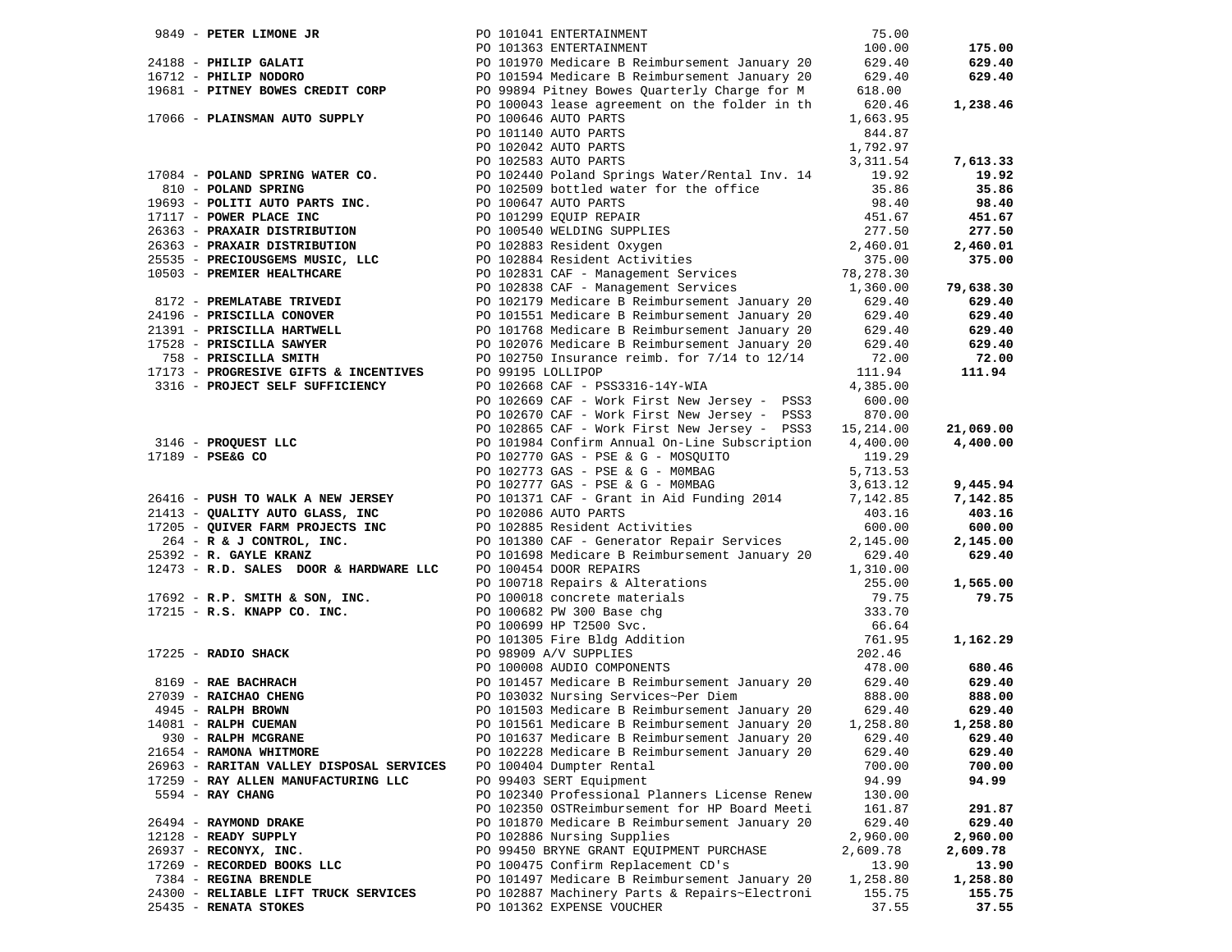|                                          |  | 9849 - PETER LIMONE JR<br>24188 - PHILIP GALATI PO 101041 ENTERTAINMENT 100.00<br>24188 - PHILIP GALATI PO 101363 ENTERTAINMENT 100.00<br>24188 - PHILIP GALATI PO 101363 ENTERTAINMENT 100.00<br>29.40<br>29.40<br>29.40<br>29.40<br>29.40<br>2                           |          |           |
|------------------------------------------|--|----------------------------------------------------------------------------------------------------------------------------------------------------------------------------------------------------------------------------------------------------------------------------|----------|-----------|
|                                          |  |                                                                                                                                                                                                                                                                            |          | 175.00    |
|                                          |  |                                                                                                                                                                                                                                                                            |          | 629.40    |
|                                          |  |                                                                                                                                                                                                                                                                            |          | 629.40    |
|                                          |  |                                                                                                                                                                                                                                                                            |          |           |
|                                          |  |                                                                                                                                                                                                                                                                            | 620.46   | 1,238.46  |
| 17066 - PLAINSMAN AUTO SUPPLY            |  | PO 100043 lease agreement on the folder in th<br>PO 100646 AUTO PARTS                                                                                                                                                                                                      | 1,663.95 |           |
|                                          |  |                                                                                                                                                                                                                                                                            |          |           |
|                                          |  | PO 101140 AUTO PARTS                                                                                                                                                                                                                                                       | 844.87   |           |
|                                          |  | PO 102042 AUTO PARTS                                                                                                                                                                                                                                                       | 1,792.97 |           |
|                                          |  |                                                                                                                                                                                                                                                                            |          | 7,613.33  |
|                                          |  | 17084 - POLAND SPRING WATER CO.<br>PO 102583 AUTO FARTS<br>1993 - POLITI AUTO PARTS INC.<br>1993 - POLITI AUTO PARTS INC.<br>1993 - POLITI AUTO PARTS INC.<br>1993 - POLITI AUTO PARTS INC.<br>1993 - POLITI AUTO PARTS INC.<br>1993 - POLIT                               |          | 19.92     |
|                                          |  |                                                                                                                                                                                                                                                                            |          | 35.86     |
|                                          |  |                                                                                                                                                                                                                                                                            |          | 98.40     |
|                                          |  |                                                                                                                                                                                                                                                                            |          | 451.67    |
|                                          |  |                                                                                                                                                                                                                                                                            |          | 277.50    |
|                                          |  |                                                                                                                                                                                                                                                                            |          | 2,460.01  |
|                                          |  |                                                                                                                                                                                                                                                                            |          | 375.00    |
|                                          |  |                                                                                                                                                                                                                                                                            |          |           |
|                                          |  |                                                                                                                                                                                                                                                                            |          | 79,638.30 |
|                                          |  | 8172 - <b>PREMLATABE TRIVEDI</b><br>24196 - <b>PRISCILLA CONOVER</b><br>24196 - <b>PRISCILLA CONOVER</b><br>24196 - <b>PRISCILLA CONOVER</b><br>21391 - <b>PRISCILLA HARTWELL</b><br>21391 - <b>PRISCILLA HARTWELL</b><br>20101768 Medicare B Reimbursement January 20<br> |          |           |
|                                          |  |                                                                                                                                                                                                                                                                            |          | 629.40    |
|                                          |  |                                                                                                                                                                                                                                                                            |          | 629.40    |
|                                          |  |                                                                                                                                                                                                                                                                            |          | 629.40    |
|                                          |  |                                                                                                                                                                                                                                                                            |          | 629.40    |
|                                          |  |                                                                                                                                                                                                                                                                            |          | 72.00     |
|                                          |  |                                                                                                                                                                                                                                                                            |          | 111.94    |
|                                          |  |                                                                                                                                                                                                                                                                            |          |           |
|                                          |  | PO 102669 CAF - Work First New Jersey - PSS3                                                                                                                                                                                                                               | 600.00   |           |
|                                          |  | PO 102670 CAF - Work First New Jersey - PSS3                                                                                                                                                                                                                               | 870.00   |           |
|                                          |  | PO 102865 CAF - Work First New Jersey - PSS3 15,214.00                                                                                                                                                                                                                     |          | 21,069.00 |
| 3146 - PROQUEST LLC<br>17189 - PSE&G CO  |  | PO 101984 Confirm Annual On-Line Subscription 4,400.00                                                                                                                                                                                                                     |          | 4,400.00  |
| $17189$ - PSE&G CO                       |  |                                                                                                                                                                                                                                                                            | 119.29   |           |
|                                          |  | PO 102770 GAS - PSE & G - MOSQUITO                                                                                                                                                                                                                                         |          |           |
|                                          |  | PO $102773$ GAS - PSE & G - MOMBAG<br>PO $102773$ GAS - PSE & G - MOMBAG<br>PO $102777$ GAS - PSE & G - MOMBAG                                                                                                                                                             | 5,713.53 |           |
|                                          |  |                                                                                                                                                                                                                                                                            | 3,613.12 | 9,445.94  |
|                                          |  | 26416 - PUSH TO WALK A NEW JERSEY<br>21413 - QUALITY AUTO GLASS, INC 2010 202086 AUTO PARTS 2014 21413 - 202011 203.16                                                                                                                                                     |          | 7,142.85  |
|                                          |  |                                                                                                                                                                                                                                                                            |          | 403.16    |
|                                          |  |                                                                                                                                                                                                                                                                            | 600.00   | 600.00    |
|                                          |  |                                                                                                                                                                                                                                                                            | 2,145.00 | 2,145.00  |
|                                          |  | 21413 - QUALITY AUTO GLASS, INC<br>17205 - QUIVER FARM PROJECTS INC<br>264 - R&J CONTROL, INC.<br>25392 - R. GAYLE KRANZ<br>25392 - R. GAYLE KRANZ<br>29392 - R. GAYLE KRANZ<br>29392 - R. GAYLE KRANZ                                                                     | 629.40   | 629.40    |
|                                          |  |                                                                                                                                                                                                                                                                            |          |           |
|                                          |  |                                                                                                                                                                                                                                                                            |          | 1,565.00  |
|                                          |  |                                                                                                                                                                                                                                                                            |          | 79.75     |
|                                          |  |                                                                                                                                                                                                                                                                            |          |           |
|                                          |  |                                                                                                                                                                                                                                                                            |          |           |
|                                          |  |                                                                                                                                                                                                                                                                            |          |           |
|                                          |  |                                                                                                                                                                                                                                                                            |          | 1,162.29  |
|                                          |  | <b>EXERCISE ALLONES AND MARK SULTER AND ALLONE CONSUMER SURFALS ARE SON, INC.</b><br>The SON, INC. BO 1001718 Repairs & Alterations and the subset of the SON, INC. BO 1001718 Repairs & Alterations and the subset of the SON, INC.                                       |          |           |
|                                          |  |                                                                                                                                                                                                                                                                            |          | 680.46    |
|                                          |  |                                                                                                                                                                                                                                                                            |          | 629.40    |
|                                          |  |                                                                                                                                                                                                                                                                            |          | 888.00    |
|                                          |  |                                                                                                                                                                                                                                                                            |          | 629.40    |
|                                          |  | PO 101561 Medicare B Reimbursement January 20 1,258.80                                                                                                                                                                                                                     |          | 1,258.80  |
| 930 - RALPH MCGRANE                      |  | PO 101637 Medicare B Reimbursement January 20                                                                                                                                                                                                                              | 629.40   | 629.40    |
| 21654 - RAMONA WHITMORE                  |  | PO 102228 Medicare B Reimbursement January 20                                                                                                                                                                                                                              | 629.40   | 629.40    |
| 26963 - RARITAN VALLEY DISPOSAL SERVICES |  | PO 100404 Dumpter Rental                                                                                                                                                                                                                                                   | 700.00   | 700.00    |
| 17259 - RAY ALLEN MANUFACTURING LLC      |  | PO 99403 SERT Equipment                                                                                                                                                                                                                                                    | 94.99    | 94.99     |
|                                          |  |                                                                                                                                                                                                                                                                            |          |           |
| 5594 - RAY CHANG                         |  | PO 102340 Professional Planners License Renew                                                                                                                                                                                                                              | 130.00   |           |
|                                          |  | PO 102350 OSTReimbursement for HP Board Meeti                                                                                                                                                                                                                              | 161.87   | 291.87    |
| 26494 - RAYMOND DRAKE                    |  | PO 101870 Medicare B Reimbursement January 20                                                                                                                                                                                                                              | 629.40   | 629.40    |
| 12128 - READY SUPPLY                     |  | PO 102886 Nursing Supplies                                                                                                                                                                                                                                                 | 2,960.00 | 2,960.00  |
| 26937 - RECONYX, INC.                    |  | PO 99450 BRYNE GRANT EQUIPMENT PURCHASE                                                                                                                                                                                                                                    | 2,609.78 | 2,609.78  |
| 17269 - RECORDED BOOKS LLC               |  | PO 100475 Confirm Replacement CD's                                                                                                                                                                                                                                         | 13.90    | 13.90     |
| 7384 - REGINA BRENDLE                    |  | PO 101497 Medicare B Reimbursement January 20                                                                                                                                                                                                                              | 1,258.80 | 1,258.80  |
| 24300 - RELIABLE LIFT TRUCK SERVICES     |  | PO 102887 Machinery Parts & Repairs~Electroni                                                                                                                                                                                                                              | 155.75   | 155.75    |
| 25435 - RENATA STOKES                    |  | PO 101362 EXPENSE VOUCHER                                                                                                                                                                                                                                                  | 37.55    | 37.55     |
|                                          |  |                                                                                                                                                                                                                                                                            |          |           |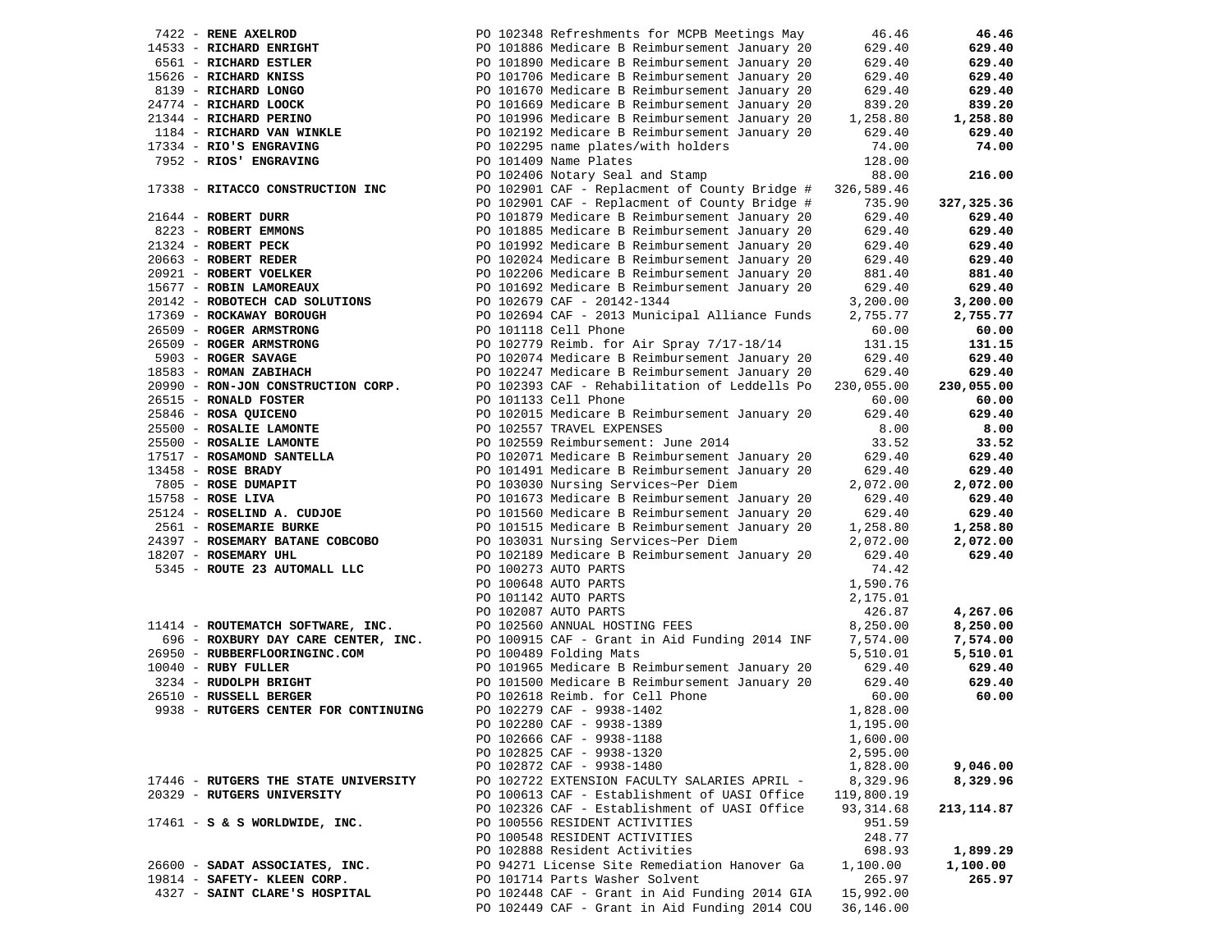|                                               | 46.46                                                                                                                                                                                                                                                                                                                                                                                                                                                                                                                                                                                                                                                                                                                                                                                                                                                                                                                                                                                                                                                                                                                                                                                                                                                                                                                                                                                                                                                                                                                                                                                                                                                                                                                                                                                                                                                                                                                                                                                                                                                                                                                                                                                                                                                                                                                                                                                                                                                                                                                                                                                       | 46.46                                                                                                                                                                                                                                                                                                                                                                                                                                                                                                                                                                                                        |
|-----------------------------------------------|---------------------------------------------------------------------------------------------------------------------------------------------------------------------------------------------------------------------------------------------------------------------------------------------------------------------------------------------------------------------------------------------------------------------------------------------------------------------------------------------------------------------------------------------------------------------------------------------------------------------------------------------------------------------------------------------------------------------------------------------------------------------------------------------------------------------------------------------------------------------------------------------------------------------------------------------------------------------------------------------------------------------------------------------------------------------------------------------------------------------------------------------------------------------------------------------------------------------------------------------------------------------------------------------------------------------------------------------------------------------------------------------------------------------------------------------------------------------------------------------------------------------------------------------------------------------------------------------------------------------------------------------------------------------------------------------------------------------------------------------------------------------------------------------------------------------------------------------------------------------------------------------------------------------------------------------------------------------------------------------------------------------------------------------------------------------------------------------------------------------------------------------------------------------------------------------------------------------------------------------------------------------------------------------------------------------------------------------------------------------------------------------------------------------------------------------------------------------------------------------------------------------------------------------------------------------------------------------|--------------------------------------------------------------------------------------------------------------------------------------------------------------------------------------------------------------------------------------------------------------------------------------------------------------------------------------------------------------------------------------------------------------------------------------------------------------------------------------------------------------------------------------------------------------------------------------------------------------|
|                                               | 629.40                                                                                                                                                                                                                                                                                                                                                                                                                                                                                                                                                                                                                                                                                                                                                                                                                                                                                                                                                                                                                                                                                                                                                                                                                                                                                                                                                                                                                                                                                                                                                                                                                                                                                                                                                                                                                                                                                                                                                                                                                                                                                                                                                                                                                                                                                                                                                                                                                                                                                                                                                                                      | 629.40                                                                                                                                                                                                                                                                                                                                                                                                                                                                                                                                                                                                       |
|                                               | 629.40                                                                                                                                                                                                                                                                                                                                                                                                                                                                                                                                                                                                                                                                                                                                                                                                                                                                                                                                                                                                                                                                                                                                                                                                                                                                                                                                                                                                                                                                                                                                                                                                                                                                                                                                                                                                                                                                                                                                                                                                                                                                                                                                                                                                                                                                                                                                                                                                                                                                                                                                                                                      | 629.40                                                                                                                                                                                                                                                                                                                                                                                                                                                                                                                                                                                                       |
|                                               | 629.40                                                                                                                                                                                                                                                                                                                                                                                                                                                                                                                                                                                                                                                                                                                                                                                                                                                                                                                                                                                                                                                                                                                                                                                                                                                                                                                                                                                                                                                                                                                                                                                                                                                                                                                                                                                                                                                                                                                                                                                                                                                                                                                                                                                                                                                                                                                                                                                                                                                                                                                                                                                      | 629.40                                                                                                                                                                                                                                                                                                                                                                                                                                                                                                                                                                                                       |
|                                               | 629.40                                                                                                                                                                                                                                                                                                                                                                                                                                                                                                                                                                                                                                                                                                                                                                                                                                                                                                                                                                                                                                                                                                                                                                                                                                                                                                                                                                                                                                                                                                                                                                                                                                                                                                                                                                                                                                                                                                                                                                                                                                                                                                                                                                                                                                                                                                                                                                                                                                                                                                                                                                                      | 629.40                                                                                                                                                                                                                                                                                                                                                                                                                                                                                                                                                                                                       |
|                                               |                                                                                                                                                                                                                                                                                                                                                                                                                                                                                                                                                                                                                                                                                                                                                                                                                                                                                                                                                                                                                                                                                                                                                                                                                                                                                                                                                                                                                                                                                                                                                                                                                                                                                                                                                                                                                                                                                                                                                                                                                                                                                                                                                                                                                                                                                                                                                                                                                                                                                                                                                                                             | 839.20                                                                                                                                                                                                                                                                                                                                                                                                                                                                                                                                                                                                       |
|                                               |                                                                                                                                                                                                                                                                                                                                                                                                                                                                                                                                                                                                                                                                                                                                                                                                                                                                                                                                                                                                                                                                                                                                                                                                                                                                                                                                                                                                                                                                                                                                                                                                                                                                                                                                                                                                                                                                                                                                                                                                                                                                                                                                                                                                                                                                                                                                                                                                                                                                                                                                                                                             | 1,258.80                                                                                                                                                                                                                                                                                                                                                                                                                                                                                                                                                                                                     |
|                                               |                                                                                                                                                                                                                                                                                                                                                                                                                                                                                                                                                                                                                                                                                                                                                                                                                                                                                                                                                                                                                                                                                                                                                                                                                                                                                                                                                                                                                                                                                                                                                                                                                                                                                                                                                                                                                                                                                                                                                                                                                                                                                                                                                                                                                                                                                                                                                                                                                                                                                                                                                                                             | 629.40                                                                                                                                                                                                                                                                                                                                                                                                                                                                                                                                                                                                       |
|                                               |                                                                                                                                                                                                                                                                                                                                                                                                                                                                                                                                                                                                                                                                                                                                                                                                                                                                                                                                                                                                                                                                                                                                                                                                                                                                                                                                                                                                                                                                                                                                                                                                                                                                                                                                                                                                                                                                                                                                                                                                                                                                                                                                                                                                                                                                                                                                                                                                                                                                                                                                                                                             | 74.00                                                                                                                                                                                                                                                                                                                                                                                                                                                                                                                                                                                                        |
|                                               |                                                                                                                                                                                                                                                                                                                                                                                                                                                                                                                                                                                                                                                                                                                                                                                                                                                                                                                                                                                                                                                                                                                                                                                                                                                                                                                                                                                                                                                                                                                                                                                                                                                                                                                                                                                                                                                                                                                                                                                                                                                                                                                                                                                                                                                                                                                                                                                                                                                                                                                                                                                             |                                                                                                                                                                                                                                                                                                                                                                                                                                                                                                                                                                                                              |
|                                               |                                                                                                                                                                                                                                                                                                                                                                                                                                                                                                                                                                                                                                                                                                                                                                                                                                                                                                                                                                                                                                                                                                                                                                                                                                                                                                                                                                                                                                                                                                                                                                                                                                                                                                                                                                                                                                                                                                                                                                                                                                                                                                                                                                                                                                                                                                                                                                                                                                                                                                                                                                                             | 216.00                                                                                                                                                                                                                                                                                                                                                                                                                                                                                                                                                                                                       |
|                                               |                                                                                                                                                                                                                                                                                                                                                                                                                                                                                                                                                                                                                                                                                                                                                                                                                                                                                                                                                                                                                                                                                                                                                                                                                                                                                                                                                                                                                                                                                                                                                                                                                                                                                                                                                                                                                                                                                                                                                                                                                                                                                                                                                                                                                                                                                                                                                                                                                                                                                                                                                                                             |                                                                                                                                                                                                                                                                                                                                                                                                                                                                                                                                                                                                              |
|                                               |                                                                                                                                                                                                                                                                                                                                                                                                                                                                                                                                                                                                                                                                                                                                                                                                                                                                                                                                                                                                                                                                                                                                                                                                                                                                                                                                                                                                                                                                                                                                                                                                                                                                                                                                                                                                                                                                                                                                                                                                                                                                                                                                                                                                                                                                                                                                                                                                                                                                                                                                                                                             | 327,325.36                                                                                                                                                                                                                                                                                                                                                                                                                                                                                                                                                                                                   |
|                                               |                                                                                                                                                                                                                                                                                                                                                                                                                                                                                                                                                                                                                                                                                                                                                                                                                                                                                                                                                                                                                                                                                                                                                                                                                                                                                                                                                                                                                                                                                                                                                                                                                                                                                                                                                                                                                                                                                                                                                                                                                                                                                                                                                                                                                                                                                                                                                                                                                                                                                                                                                                                             | 629.40                                                                                                                                                                                                                                                                                                                                                                                                                                                                                                                                                                                                       |
|                                               |                                                                                                                                                                                                                                                                                                                                                                                                                                                                                                                                                                                                                                                                                                                                                                                                                                                                                                                                                                                                                                                                                                                                                                                                                                                                                                                                                                                                                                                                                                                                                                                                                                                                                                                                                                                                                                                                                                                                                                                                                                                                                                                                                                                                                                                                                                                                                                                                                                                                                                                                                                                             | 629.40                                                                                                                                                                                                                                                                                                                                                                                                                                                                                                                                                                                                       |
|                                               |                                                                                                                                                                                                                                                                                                                                                                                                                                                                                                                                                                                                                                                                                                                                                                                                                                                                                                                                                                                                                                                                                                                                                                                                                                                                                                                                                                                                                                                                                                                                                                                                                                                                                                                                                                                                                                                                                                                                                                                                                                                                                                                                                                                                                                                                                                                                                                                                                                                                                                                                                                                             | 629.40                                                                                                                                                                                                                                                                                                                                                                                                                                                                                                                                                                                                       |
|                                               |                                                                                                                                                                                                                                                                                                                                                                                                                                                                                                                                                                                                                                                                                                                                                                                                                                                                                                                                                                                                                                                                                                                                                                                                                                                                                                                                                                                                                                                                                                                                                                                                                                                                                                                                                                                                                                                                                                                                                                                                                                                                                                                                                                                                                                                                                                                                                                                                                                                                                                                                                                                             | 629.40                                                                                                                                                                                                                                                                                                                                                                                                                                                                                                                                                                                                       |
|                                               |                                                                                                                                                                                                                                                                                                                                                                                                                                                                                                                                                                                                                                                                                                                                                                                                                                                                                                                                                                                                                                                                                                                                                                                                                                                                                                                                                                                                                                                                                                                                                                                                                                                                                                                                                                                                                                                                                                                                                                                                                                                                                                                                                                                                                                                                                                                                                                                                                                                                                                                                                                                             | 881.40                                                                                                                                                                                                                                                                                                                                                                                                                                                                                                                                                                                                       |
|                                               |                                                                                                                                                                                                                                                                                                                                                                                                                                                                                                                                                                                                                                                                                                                                                                                                                                                                                                                                                                                                                                                                                                                                                                                                                                                                                                                                                                                                                                                                                                                                                                                                                                                                                                                                                                                                                                                                                                                                                                                                                                                                                                                                                                                                                                                                                                                                                                                                                                                                                                                                                                                             | 629.40                                                                                                                                                                                                                                                                                                                                                                                                                                                                                                                                                                                                       |
|                                               |                                                                                                                                                                                                                                                                                                                                                                                                                                                                                                                                                                                                                                                                                                                                                                                                                                                                                                                                                                                                                                                                                                                                                                                                                                                                                                                                                                                                                                                                                                                                                                                                                                                                                                                                                                                                                                                                                                                                                                                                                                                                                                                                                                                                                                                                                                                                                                                                                                                                                                                                                                                             | 3,200.00                                                                                                                                                                                                                                                                                                                                                                                                                                                                                                                                                                                                     |
|                                               |                                                                                                                                                                                                                                                                                                                                                                                                                                                                                                                                                                                                                                                                                                                                                                                                                                                                                                                                                                                                                                                                                                                                                                                                                                                                                                                                                                                                                                                                                                                                                                                                                                                                                                                                                                                                                                                                                                                                                                                                                                                                                                                                                                                                                                                                                                                                                                                                                                                                                                                                                                                             | 2,755.77                                                                                                                                                                                                                                                                                                                                                                                                                                                                                                                                                                                                     |
|                                               |                                                                                                                                                                                                                                                                                                                                                                                                                                                                                                                                                                                                                                                                                                                                                                                                                                                                                                                                                                                                                                                                                                                                                                                                                                                                                                                                                                                                                                                                                                                                                                                                                                                                                                                                                                                                                                                                                                                                                                                                                                                                                                                                                                                                                                                                                                                                                                                                                                                                                                                                                                                             | 60.00                                                                                                                                                                                                                                                                                                                                                                                                                                                                                                                                                                                                        |
|                                               |                                                                                                                                                                                                                                                                                                                                                                                                                                                                                                                                                                                                                                                                                                                                                                                                                                                                                                                                                                                                                                                                                                                                                                                                                                                                                                                                                                                                                                                                                                                                                                                                                                                                                                                                                                                                                                                                                                                                                                                                                                                                                                                                                                                                                                                                                                                                                                                                                                                                                                                                                                                             | 131.15                                                                                                                                                                                                                                                                                                                                                                                                                                                                                                                                                                                                       |
|                                               |                                                                                                                                                                                                                                                                                                                                                                                                                                                                                                                                                                                                                                                                                                                                                                                                                                                                                                                                                                                                                                                                                                                                                                                                                                                                                                                                                                                                                                                                                                                                                                                                                                                                                                                                                                                                                                                                                                                                                                                                                                                                                                                                                                                                                                                                                                                                                                                                                                                                                                                                                                                             | 629.40                                                                                                                                                                                                                                                                                                                                                                                                                                                                                                                                                                                                       |
|                                               |                                                                                                                                                                                                                                                                                                                                                                                                                                                                                                                                                                                                                                                                                                                                                                                                                                                                                                                                                                                                                                                                                                                                                                                                                                                                                                                                                                                                                                                                                                                                                                                                                                                                                                                                                                                                                                                                                                                                                                                                                                                                                                                                                                                                                                                                                                                                                                                                                                                                                                                                                                                             | 629.40                                                                                                                                                                                                                                                                                                                                                                                                                                                                                                                                                                                                       |
|                                               |                                                                                                                                                                                                                                                                                                                                                                                                                                                                                                                                                                                                                                                                                                                                                                                                                                                                                                                                                                                                                                                                                                                                                                                                                                                                                                                                                                                                                                                                                                                                                                                                                                                                                                                                                                                                                                                                                                                                                                                                                                                                                                                                                                                                                                                                                                                                                                                                                                                                                                                                                                                             | 230,055.00                                                                                                                                                                                                                                                                                                                                                                                                                                                                                                                                                                                                   |
|                                               |                                                                                                                                                                                                                                                                                                                                                                                                                                                                                                                                                                                                                                                                                                                                                                                                                                                                                                                                                                                                                                                                                                                                                                                                                                                                                                                                                                                                                                                                                                                                                                                                                                                                                                                                                                                                                                                                                                                                                                                                                                                                                                                                                                                                                                                                                                                                                                                                                                                                                                                                                                                             |                                                                                                                                                                                                                                                                                                                                                                                                                                                                                                                                                                                                              |
|                                               |                                                                                                                                                                                                                                                                                                                                                                                                                                                                                                                                                                                                                                                                                                                                                                                                                                                                                                                                                                                                                                                                                                                                                                                                                                                                                                                                                                                                                                                                                                                                                                                                                                                                                                                                                                                                                                                                                                                                                                                                                                                                                                                                                                                                                                                                                                                                                                                                                                                                                                                                                                                             | 60.00<br>629.40                                                                                                                                                                                                                                                                                                                                                                                                                                                                                                                                                                                              |
|                                               |                                                                                                                                                                                                                                                                                                                                                                                                                                                                                                                                                                                                                                                                                                                                                                                                                                                                                                                                                                                                                                                                                                                                                                                                                                                                                                                                                                                                                                                                                                                                                                                                                                                                                                                                                                                                                                                                                                                                                                                                                                                                                                                                                                                                                                                                                                                                                                                                                                                                                                                                                                                             | 8.00                                                                                                                                                                                                                                                                                                                                                                                                                                                                                                                                                                                                         |
|                                               |                                                                                                                                                                                                                                                                                                                                                                                                                                                                                                                                                                                                                                                                                                                                                                                                                                                                                                                                                                                                                                                                                                                                                                                                                                                                                                                                                                                                                                                                                                                                                                                                                                                                                                                                                                                                                                                                                                                                                                                                                                                                                                                                                                                                                                                                                                                                                                                                                                                                                                                                                                                             | 33.52                                                                                                                                                                                                                                                                                                                                                                                                                                                                                                                                                                                                        |
|                                               |                                                                                                                                                                                                                                                                                                                                                                                                                                                                                                                                                                                                                                                                                                                                                                                                                                                                                                                                                                                                                                                                                                                                                                                                                                                                                                                                                                                                                                                                                                                                                                                                                                                                                                                                                                                                                                                                                                                                                                                                                                                                                                                                                                                                                                                                                                                                                                                                                                                                                                                                                                                             |                                                                                                                                                                                                                                                                                                                                                                                                                                                                                                                                                                                                              |
|                                               |                                                                                                                                                                                                                                                                                                                                                                                                                                                                                                                                                                                                                                                                                                                                                                                                                                                                                                                                                                                                                                                                                                                                                                                                                                                                                                                                                                                                                                                                                                                                                                                                                                                                                                                                                                                                                                                                                                                                                                                                                                                                                                                                                                                                                                                                                                                                                                                                                                                                                                                                                                                             | 629.40<br>629.40                                                                                                                                                                                                                                                                                                                                                                                                                                                                                                                                                                                             |
|                                               |                                                                                                                                                                                                                                                                                                                                                                                                                                                                                                                                                                                                                                                                                                                                                                                                                                                                                                                                                                                                                                                                                                                                                                                                                                                                                                                                                                                                                                                                                                                                                                                                                                                                                                                                                                                                                                                                                                                                                                                                                                                                                                                                                                                                                                                                                                                                                                                                                                                                                                                                                                                             | 2,072.00                                                                                                                                                                                                                                                                                                                                                                                                                                                                                                                                                                                                     |
|                                               |                                                                                                                                                                                                                                                                                                                                                                                                                                                                                                                                                                                                                                                                                                                                                                                                                                                                                                                                                                                                                                                                                                                                                                                                                                                                                                                                                                                                                                                                                                                                                                                                                                                                                                                                                                                                                                                                                                                                                                                                                                                                                                                                                                                                                                                                                                                                                                                                                                                                                                                                                                                             | 629.40                                                                                                                                                                                                                                                                                                                                                                                                                                                                                                                                                                                                       |
|                                               |                                                                                                                                                                                                                                                                                                                                                                                                                                                                                                                                                                                                                                                                                                                                                                                                                                                                                                                                                                                                                                                                                                                                                                                                                                                                                                                                                                                                                                                                                                                                                                                                                                                                                                                                                                                                                                                                                                                                                                                                                                                                                                                                                                                                                                                                                                                                                                                                                                                                                                                                                                                             | 629.40                                                                                                                                                                                                                                                                                                                                                                                                                                                                                                                                                                                                       |
|                                               |                                                                                                                                                                                                                                                                                                                                                                                                                                                                                                                                                                                                                                                                                                                                                                                                                                                                                                                                                                                                                                                                                                                                                                                                                                                                                                                                                                                                                                                                                                                                                                                                                                                                                                                                                                                                                                                                                                                                                                                                                                                                                                                                                                                                                                                                                                                                                                                                                                                                                                                                                                                             | 1,258.80                                                                                                                                                                                                                                                                                                                                                                                                                                                                                                                                                                                                     |
|                                               |                                                                                                                                                                                                                                                                                                                                                                                                                                                                                                                                                                                                                                                                                                                                                                                                                                                                                                                                                                                                                                                                                                                                                                                                                                                                                                                                                                                                                                                                                                                                                                                                                                                                                                                                                                                                                                                                                                                                                                                                                                                                                                                                                                                                                                                                                                                                                                                                                                                                                                                                                                                             | 2,072.00                                                                                                                                                                                                                                                                                                                                                                                                                                                                                                                                                                                                     |
|                                               |                                                                                                                                                                                                                                                                                                                                                                                                                                                                                                                                                                                                                                                                                                                                                                                                                                                                                                                                                                                                                                                                                                                                                                                                                                                                                                                                                                                                                                                                                                                                                                                                                                                                                                                                                                                                                                                                                                                                                                                                                                                                                                                                                                                                                                                                                                                                                                                                                                                                                                                                                                                             | 629.40                                                                                                                                                                                                                                                                                                                                                                                                                                                                                                                                                                                                       |
|                                               |                                                                                                                                                                                                                                                                                                                                                                                                                                                                                                                                                                                                                                                                                                                                                                                                                                                                                                                                                                                                                                                                                                                                                                                                                                                                                                                                                                                                                                                                                                                                                                                                                                                                                                                                                                                                                                                                                                                                                                                                                                                                                                                                                                                                                                                                                                                                                                                                                                                                                                                                                                                             |                                                                                                                                                                                                                                                                                                                                                                                                                                                                                                                                                                                                              |
|                                               |                                                                                                                                                                                                                                                                                                                                                                                                                                                                                                                                                                                                                                                                                                                                                                                                                                                                                                                                                                                                                                                                                                                                                                                                                                                                                                                                                                                                                                                                                                                                                                                                                                                                                                                                                                                                                                                                                                                                                                                                                                                                                                                                                                                                                                                                                                                                                                                                                                                                                                                                                                                             |                                                                                                                                                                                                                                                                                                                                                                                                                                                                                                                                                                                                              |
|                                               |                                                                                                                                                                                                                                                                                                                                                                                                                                                                                                                                                                                                                                                                                                                                                                                                                                                                                                                                                                                                                                                                                                                                                                                                                                                                                                                                                                                                                                                                                                                                                                                                                                                                                                                                                                                                                                                                                                                                                                                                                                                                                                                                                                                                                                                                                                                                                                                                                                                                                                                                                                                             |                                                                                                                                                                                                                                                                                                                                                                                                                                                                                                                                                                                                              |
|                                               |                                                                                                                                                                                                                                                                                                                                                                                                                                                                                                                                                                                                                                                                                                                                                                                                                                                                                                                                                                                                                                                                                                                                                                                                                                                                                                                                                                                                                                                                                                                                                                                                                                                                                                                                                                                                                                                                                                                                                                                                                                                                                                                                                                                                                                                                                                                                                                                                                                                                                                                                                                                             | 4,267.06                                                                                                                                                                                                                                                                                                                                                                                                                                                                                                                                                                                                     |
|                                               |                                                                                                                                                                                                                                                                                                                                                                                                                                                                                                                                                                                                                                                                                                                                                                                                                                                                                                                                                                                                                                                                                                                                                                                                                                                                                                                                                                                                                                                                                                                                                                                                                                                                                                                                                                                                                                                                                                                                                                                                                                                                                                                                                                                                                                                                                                                                                                                                                                                                                                                                                                                             | 8,250.00                                                                                                                                                                                                                                                                                                                                                                                                                                                                                                                                                                                                     |
|                                               |                                                                                                                                                                                                                                                                                                                                                                                                                                                                                                                                                                                                                                                                                                                                                                                                                                                                                                                                                                                                                                                                                                                                                                                                                                                                                                                                                                                                                                                                                                                                                                                                                                                                                                                                                                                                                                                                                                                                                                                                                                                                                                                                                                                                                                                                                                                                                                                                                                                                                                                                                                                             | 7,574.00                                                                                                                                                                                                                                                                                                                                                                                                                                                                                                                                                                                                     |
|                                               |                                                                                                                                                                                                                                                                                                                                                                                                                                                                                                                                                                                                                                                                                                                                                                                                                                                                                                                                                                                                                                                                                                                                                                                                                                                                                                                                                                                                                                                                                                                                                                                                                                                                                                                                                                                                                                                                                                                                                                                                                                                                                                                                                                                                                                                                                                                                                                                                                                                                                                                                                                                             | 5,510.01                                                                                                                                                                                                                                                                                                                                                                                                                                                                                                                                                                                                     |
|                                               |                                                                                                                                                                                                                                                                                                                                                                                                                                                                                                                                                                                                                                                                                                                                                                                                                                                                                                                                                                                                                                                                                                                                                                                                                                                                                                                                                                                                                                                                                                                                                                                                                                                                                                                                                                                                                                                                                                                                                                                                                                                                                                                                                                                                                                                                                                                                                                                                                                                                                                                                                                                             | 629.40                                                                                                                                                                                                                                                                                                                                                                                                                                                                                                                                                                                                       |
|                                               |                                                                                                                                                                                                                                                                                                                                                                                                                                                                                                                                                                                                                                                                                                                                                                                                                                                                                                                                                                                                                                                                                                                                                                                                                                                                                                                                                                                                                                                                                                                                                                                                                                                                                                                                                                                                                                                                                                                                                                                                                                                                                                                                                                                                                                                                                                                                                                                                                                                                                                                                                                                             | 629.40                                                                                                                                                                                                                                                                                                                                                                                                                                                                                                                                                                                                       |
|                                               |                                                                                                                                                                                                                                                                                                                                                                                                                                                                                                                                                                                                                                                                                                                                                                                                                                                                                                                                                                                                                                                                                                                                                                                                                                                                                                                                                                                                                                                                                                                                                                                                                                                                                                                                                                                                                                                                                                                                                                                                                                                                                                                                                                                                                                                                                                                                                                                                                                                                                                                                                                                             | 60.00                                                                                                                                                                                                                                                                                                                                                                                                                                                                                                                                                                                                        |
|                                               |                                                                                                                                                                                                                                                                                                                                                                                                                                                                                                                                                                                                                                                                                                                                                                                                                                                                                                                                                                                                                                                                                                                                                                                                                                                                                                                                                                                                                                                                                                                                                                                                                                                                                                                                                                                                                                                                                                                                                                                                                                                                                                                                                                                                                                                                                                                                                                                                                                                                                                                                                                                             |                                                                                                                                                                                                                                                                                                                                                                                                                                                                                                                                                                                                              |
|                                               |                                                                                                                                                                                                                                                                                                                                                                                                                                                                                                                                                                                                                                                                                                                                                                                                                                                                                                                                                                                                                                                                                                                                                                                                                                                                                                                                                                                                                                                                                                                                                                                                                                                                                                                                                                                                                                                                                                                                                                                                                                                                                                                                                                                                                                                                                                                                                                                                                                                                                                                                                                                             |                                                                                                                                                                                                                                                                                                                                                                                                                                                                                                                                                                                                              |
|                                               |                                                                                                                                                                                                                                                                                                                                                                                                                                                                                                                                                                                                                                                                                                                                                                                                                                                                                                                                                                                                                                                                                                                                                                                                                                                                                                                                                                                                                                                                                                                                                                                                                                                                                                                                                                                                                                                                                                                                                                                                                                                                                                                                                                                                                                                                                                                                                                                                                                                                                                                                                                                             |                                                                                                                                                                                                                                                                                                                                                                                                                                                                                                                                                                                                              |
|                                               |                                                                                                                                                                                                                                                                                                                                                                                                                                                                                                                                                                                                                                                                                                                                                                                                                                                                                                                                                                                                                                                                                                                                                                                                                                                                                                                                                                                                                                                                                                                                                                                                                                                                                                                                                                                                                                                                                                                                                                                                                                                                                                                                                                                                                                                                                                                                                                                                                                                                                                                                                                                             |                                                                                                                                                                                                                                                                                                                                                                                                                                                                                                                                                                                                              |
|                                               |                                                                                                                                                                                                                                                                                                                                                                                                                                                                                                                                                                                                                                                                                                                                                                                                                                                                                                                                                                                                                                                                                                                                                                                                                                                                                                                                                                                                                                                                                                                                                                                                                                                                                                                                                                                                                                                                                                                                                                                                                                                                                                                                                                                                                                                                                                                                                                                                                                                                                                                                                                                             | 9,046.00                                                                                                                                                                                                                                                                                                                                                                                                                                                                                                                                                                                                     |
|                                               |                                                                                                                                                                                                                                                                                                                                                                                                                                                                                                                                                                                                                                                                                                                                                                                                                                                                                                                                                                                                                                                                                                                                                                                                                                                                                                                                                                                                                                                                                                                                                                                                                                                                                                                                                                                                                                                                                                                                                                                                                                                                                                                                                                                                                                                                                                                                                                                                                                                                                                                                                                                             | 8,329.96                                                                                                                                                                                                                                                                                                                                                                                                                                                                                                                                                                                                     |
|                                               |                                                                                                                                                                                                                                                                                                                                                                                                                                                                                                                                                                                                                                                                                                                                                                                                                                                                                                                                                                                                                                                                                                                                                                                                                                                                                                                                                                                                                                                                                                                                                                                                                                                                                                                                                                                                                                                                                                                                                                                                                                                                                                                                                                                                                                                                                                                                                                                                                                                                                                                                                                                             |                                                                                                                                                                                                                                                                                                                                                                                                                                                                                                                                                                                                              |
|                                               |                                                                                                                                                                                                                                                                                                                                                                                                                                                                                                                                                                                                                                                                                                                                                                                                                                                                                                                                                                                                                                                                                                                                                                                                                                                                                                                                                                                                                                                                                                                                                                                                                                                                                                                                                                                                                                                                                                                                                                                                                                                                                                                                                                                                                                                                                                                                                                                                                                                                                                                                                                                             | 213, 114.87                                                                                                                                                                                                                                                                                                                                                                                                                                                                                                                                                                                                  |
|                                               |                                                                                                                                                                                                                                                                                                                                                                                                                                                                                                                                                                                                                                                                                                                                                                                                                                                                                                                                                                                                                                                                                                                                                                                                                                                                                                                                                                                                                                                                                                                                                                                                                                                                                                                                                                                                                                                                                                                                                                                                                                                                                                                                                                                                                                                                                                                                                                                                                                                                                                                                                                                             |                                                                                                                                                                                                                                                                                                                                                                                                                                                                                                                                                                                                              |
|                                               |                                                                                                                                                                                                                                                                                                                                                                                                                                                                                                                                                                                                                                                                                                                                                                                                                                                                                                                                                                                                                                                                                                                                                                                                                                                                                                                                                                                                                                                                                                                                                                                                                                                                                                                                                                                                                                                                                                                                                                                                                                                                                                                                                                                                                                                                                                                                                                                                                                                                                                                                                                                             |                                                                                                                                                                                                                                                                                                                                                                                                                                                                                                                                                                                                              |
|                                               |                                                                                                                                                                                                                                                                                                                                                                                                                                                                                                                                                                                                                                                                                                                                                                                                                                                                                                                                                                                                                                                                                                                                                                                                                                                                                                                                                                                                                                                                                                                                                                                                                                                                                                                                                                                                                                                                                                                                                                                                                                                                                                                                                                                                                                                                                                                                                                                                                                                                                                                                                                                             | 1,899.29                                                                                                                                                                                                                                                                                                                                                                                                                                                                                                                                                                                                     |
|                                               |                                                                                                                                                                                                                                                                                                                                                                                                                                                                                                                                                                                                                                                                                                                                                                                                                                                                                                                                                                                                                                                                                                                                                                                                                                                                                                                                                                                                                                                                                                                                                                                                                                                                                                                                                                                                                                                                                                                                                                                                                                                                                                                                                                                                                                                                                                                                                                                                                                                                                                                                                                                             | 1,100.00                                                                                                                                                                                                                                                                                                                                                                                                                                                                                                                                                                                                     |
|                                               | 265.97                                                                                                                                                                                                                                                                                                                                                                                                                                                                                                                                                                                                                                                                                                                                                                                                                                                                                                                                                                                                                                                                                                                                                                                                                                                                                                                                                                                                                                                                                                                                                                                                                                                                                                                                                                                                                                                                                                                                                                                                                                                                                                                                                                                                                                                                                                                                                                                                                                                                                                                                                                                      | 265.97                                                                                                                                                                                                                                                                                                                                                                                                                                                                                                                                                                                                       |
|                                               |                                                                                                                                                                                                                                                                                                                                                                                                                                                                                                                                                                                                                                                                                                                                                                                                                                                                                                                                                                                                                                                                                                                                                                                                                                                                                                                                                                                                                                                                                                                                                                                                                                                                                                                                                                                                                                                                                                                                                                                                                                                                                                                                                                                                                                                                                                                                                                                                                                                                                                                                                                                             |                                                                                                                                                                                                                                                                                                                                                                                                                                                                                                                                                                                                              |
| PO 102448 CAF - Grant in Aid Funding 2014 GIA | 15,992.00                                                                                                                                                                                                                                                                                                                                                                                                                                                                                                                                                                                                                                                                                                                                                                                                                                                                                                                                                                                                                                                                                                                                                                                                                                                                                                                                                                                                                                                                                                                                                                                                                                                                                                                                                                                                                                                                                                                                                                                                                                                                                                                                                                                                                                                                                                                                                                                                                                                                                                                                                                                   |                                                                                                                                                                                                                                                                                                                                                                                                                                                                                                                                                                                                              |
|                                               | PO 102348 Refreshments for MCPB Meetings May<br>PO 101886 Medicare B Reimbursement January 20<br>PO 101890 Medicare B Reimbursement January 20<br>PO 101706 Medicare B Reimbursement January 20<br>PO 101670 Medicare B Reimbursement January 20<br>PO 101669 Medicare B Reimbursement January 20<br>PO 101996 Medicare B Reimbursement January 20<br>PO 102192 Medicare B Reimbursement January 20<br>PO 102295 name plates/with holders<br>PO 101409 Name Plates<br>PO 102406 Notary Seal and Stamp<br>PO 102901 CAF - Replacment of County Bridge #<br>PO 102901 CAF - Replacment of County Bridge #<br>PO 101879 Medicare B Reimbursement January 20<br>PO 101885 Medicare B Reimbursement January 20<br>PO 101992 Medicare B Reimbursement January 20<br>PO 102024 Medicare B Reimbursement January 20<br>PO 102206 Medicare B Reimbursement January 20<br>PO 101692 Medicare B Reimbursement January 20<br>PO 102679 CAF - 20142-1344<br>PO 102694 CAF - 2013 Municipal Alliance Funds<br>PO 101118 Cell Phone<br>PO 102779 Reimb. for Air Spray 7/17-18/14<br>PO 102074 Medicare B Reimbursement January 20<br>PO 102247 Medicare B Reimbursement January 20<br>PO 102393 CAF - Rehabilitation of Leddells Po<br>PO 101133 Cell Phone<br>PO 102015 Medicare B Reimbursement January 20<br>PO 102557 TRAVEL EXPENSES<br>PO 102559 Reimbursement: June 2014<br>PO 102071 Medicare B Reimbursement January 20<br>PO 101491 Medicare B Reimbursement January 20<br>PO 103030 Nursing Services~Per Diem<br>PO 101673 Medicare B Reimbursement January 20<br>PO 101560 Medicare B Reimbursement January 20<br>PO 101515 Medicare B Reimbursement January 20<br>PO 103031 Nursing Services~Per Diem<br>PO 102189 Medicare B Reimbursement January 20<br>PO 100273 AUTO PARTS<br>PO 100648 AUTO PARTS<br>PO 101142 AUTO PARTS<br>PO 102087 AUTO PARTS<br>PO 102560 ANNUAL HOSTING FEES<br>PO 100915 CAF - Grant in Aid Funding 2014 INF<br>PO 100489 Folding Mats<br>PO 101965 Medicare B Reimbursement January 20<br>PO 101500 Medicare B Reimbursement January 20<br>PO 102618 Reimb. for Cell Phone<br>PO 102279 CAF - 9938-1402<br>PO 102280 CAF - 9938-1389<br>PO 102666 CAF - 9938-1188<br>PO 102825 CAF - 9938-1320<br>PO 102872 CAF - 9938-1480<br>PO 102722 EXTENSION FACULTY SALARIES APRIL -<br>PO 100613 CAF - Establishment of UASI Office<br>PO 102326 CAF - Establishment of UASI Office<br>PO 100556 RESIDENT ACTIVITIES<br>PO 100548 RESIDENT ACTIVITIES<br>PO 102888 Resident Activities<br>PO 94271 License Site Remediation Hanover Ga<br>PO 101714 Parts Washer Solvent | 839.20<br>1,258.80<br>629.40<br>74.00<br>128.00<br>88.00<br>326,589.46<br>735.90<br>629.40<br>629.40<br>629.40<br>629.40<br>881.40<br>629.40<br>3,200.00<br>2,755.77<br>60.00<br>131.15<br>629.40<br>629.40<br>230,055.00<br>60.00<br>629.40<br>8.00<br>33.52<br>629.40<br>629.40<br>2,072.00<br>629.40<br>629.40<br>1,258.80<br>2,072.00<br>629.40<br>74.42<br>1,590.76<br>2,175.01<br>426.87<br>8,250.00<br>7,574.00<br>5,510.01<br>629.40<br>629.40<br>60.00<br>1,828.00<br>1,195.00<br>1,600.00<br>2,595.00<br>1,828.00<br>8,329.96<br>119,800.19<br>93,314.68<br>951.59<br>248.77<br>698.93<br>1,100.00 |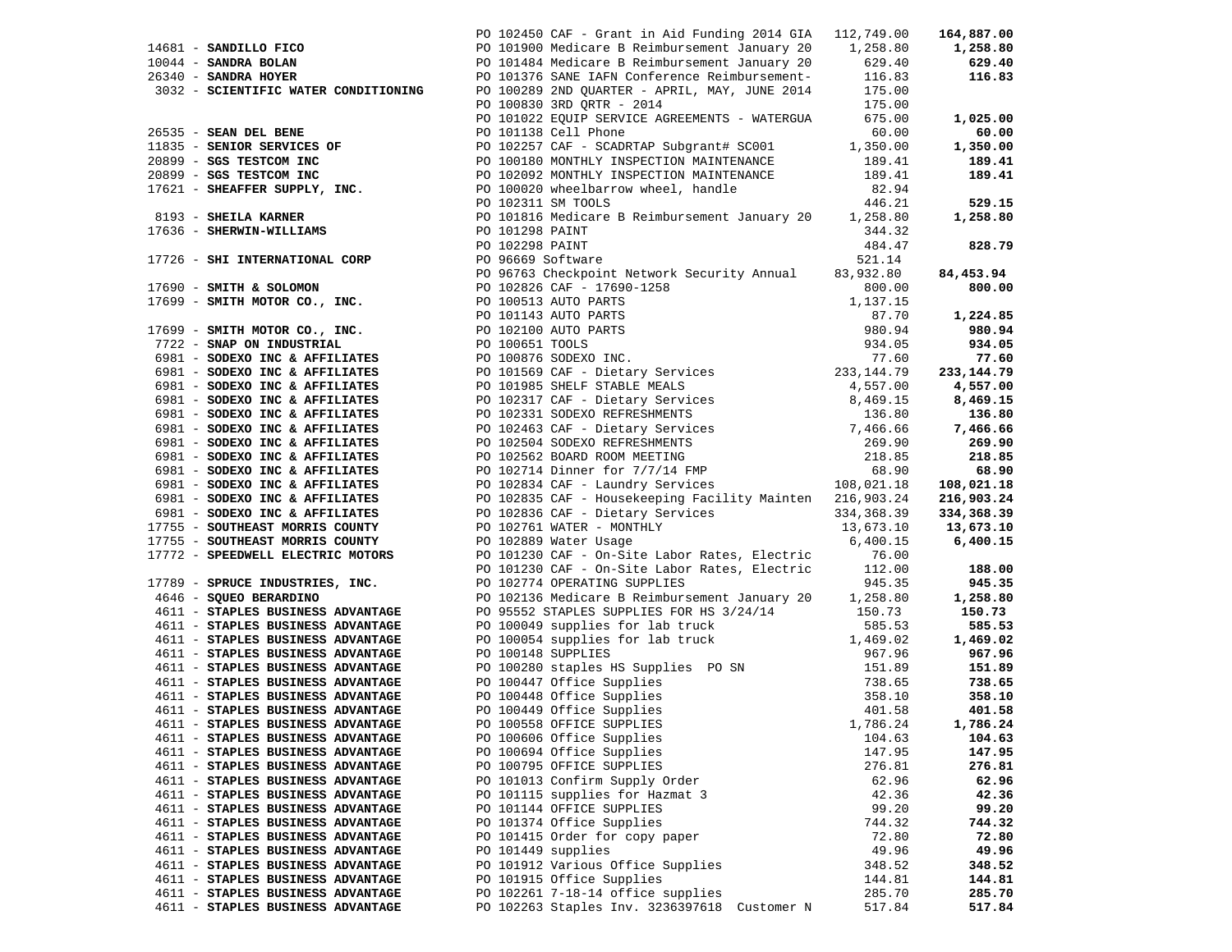|                                   |                                                                                                                                                                                                                                      |        | 164,887.00 |
|-----------------------------------|--------------------------------------------------------------------------------------------------------------------------------------------------------------------------------------------------------------------------------------|--------|------------|
|                                   |                                                                                                                                                                                                                                      |        | 1,258.80   |
|                                   |                                                                                                                                                                                                                                      |        | 629.40     |
|                                   |                                                                                                                                                                                                                                      |        | 116.83     |
|                                   |                                                                                                                                                                                                                                      |        |            |
|                                   | PO 102450 CAF - Grant in Aid Funding 2014 GiA 112, 73.00<br>PO 102450 CAF - Grant in Aid Funding 2014 GiA 112, 73.00<br>PO 101900 Medicare B Reimbursement January 20 1, 258.80<br>PO 101484 Medicare B Reimbursement January 20 629 |        |            |
|                                   |                                                                                                                                                                                                                                      |        |            |
|                                   |                                                                                                                                                                                                                                      |        |            |
|                                   |                                                                                                                                                                                                                                      |        |            |
|                                   |                                                                                                                                                                                                                                      |        |            |
|                                   |                                                                                                                                                                                                                                      |        |            |
|                                   |                                                                                                                                                                                                                                      |        |            |
|                                   |                                                                                                                                                                                                                                      |        |            |
|                                   |                                                                                                                                                                                                                                      |        |            |
|                                   |                                                                                                                                                                                                                                      |        |            |
|                                   |                                                                                                                                                                                                                                      |        |            |
|                                   |                                                                                                                                                                                                                                      |        |            |
|                                   |                                                                                                                                                                                                                                      |        |            |
|                                   |                                                                                                                                                                                                                                      |        |            |
|                                   |                                                                                                                                                                                                                                      |        |            |
|                                   |                                                                                                                                                                                                                                      |        |            |
|                                   |                                                                                                                                                                                                                                      |        |            |
|                                   |                                                                                                                                                                                                                                      |        |            |
|                                   |                                                                                                                                                                                                                                      |        |            |
|                                   |                                                                                                                                                                                                                                      |        |            |
|                                   |                                                                                                                                                                                                                                      |        |            |
|                                   |                                                                                                                                                                                                                                      |        |            |
|                                   |                                                                                                                                                                                                                                      |        |            |
|                                   |                                                                                                                                                                                                                                      |        |            |
|                                   |                                                                                                                                                                                                                                      |        |            |
|                                   |                                                                                                                                                                                                                                      |        |            |
|                                   |                                                                                                                                                                                                                                      |        |            |
|                                   |                                                                                                                                                                                                                                      |        |            |
|                                   |                                                                                                                                                                                                                                      |        |            |
|                                   |                                                                                                                                                                                                                                      |        |            |
|                                   |                                                                                                                                                                                                                                      |        |            |
|                                   |                                                                                                                                                                                                                                      |        |            |
|                                   |                                                                                                                                                                                                                                      |        |            |
|                                   |                                                                                                                                                                                                                                      |        |            |
|                                   |                                                                                                                                                                                                                                      |        |            |
|                                   |                                                                                                                                                                                                                                      |        |            |
|                                   |                                                                                                                                                                                                                                      |        |            |
|                                   |                                                                                                                                                                                                                                      |        |            |
|                                   |                                                                                                                                                                                                                                      |        |            |
|                                   |                                                                                                                                                                                                                                      |        |            |
|                                   |                                                                                                                                                                                                                                      |        |            |
|                                   |                                                                                                                                                                                                                                      |        |            |
|                                   |                                                                                                                                                                                                                                      |        |            |
|                                   |                                                                                                                                                                                                                                      |        |            |
|                                   |                                                                                                                                                                                                                                      |        |            |
|                                   |                                                                                                                                                                                                                                      |        |            |
|                                   | 2611 AMON IDENTIFY WATER CONTINUES IN CONTINUES (2011 AMON IN THE CASE IN THE AIR CONTINUES)<br>2611 AMON IDENTIFY WATER CONTINUES IN CONTINUES IN THE CONTINUES IN THE CASE IN THE CASE IN THE CASE IN THE CASE IN THE CASE I       |        |            |
|                                   |                                                                                                                                                                                                                                      |        |            |
|                                   |                                                                                                                                                                                                                                      |        |            |
|                                   |                                                                                                                                                                                                                                      |        |            |
| 4611 - STAPLES BUSINESS ADVANTAGE | PO 100558 OFFICE SUPPLIES 1,786.24 1,786.24                                                                                                                                                                                          |        |            |
|                                   | PO 100606 Office Supplies                                                                                                                                                                                                            |        |            |
| 4611 - STAPLES BUSINESS ADVANTAGE |                                                                                                                                                                                                                                      | 104.63 | 104.63     |
| 4611 - STAPLES BUSINESS ADVANTAGE | PO 100694 Office Supplies                                                                                                                                                                                                            | 147.95 | 147.95     |
| 4611 - STAPLES BUSINESS ADVANTAGE | PO 100795 OFFICE SUPPLIES                                                                                                                                                                                                            | 276.81 | 276.81     |
| 4611 - STAPLES BUSINESS ADVANTAGE | PO 101013 Confirm Supply Order                                                                                                                                                                                                       | 62.96  | 62.96      |
| 4611 - STAPLES BUSINESS ADVANTAGE | PO 101115 supplies for Hazmat 3                                                                                                                                                                                                      | 42.36  | 42.36      |
| 4611 - STAPLES BUSINESS ADVANTAGE | PO 101144 OFFICE SUPPLIES                                                                                                                                                                                                            | 99.20  | 99.20      |
| 4611 - STAPLES BUSINESS ADVANTAGE | PO 101374 Office Supplies                                                                                                                                                                                                            | 744.32 | 744.32     |
| 4611 - STAPLES BUSINESS ADVANTAGE | PO 101415 Order for copy paper                                                                                                                                                                                                       | 72.80  | 72.80      |
| 4611 - STAPLES BUSINESS ADVANTAGE | PO 101449 supplies                                                                                                                                                                                                                   | 49.96  | 49.96      |
|                                   | PO 101912 Various Office Supplies                                                                                                                                                                                                    |        |            |
| 4611 - STAPLES BUSINESS ADVANTAGE |                                                                                                                                                                                                                                      | 348.52 | 348.52     |
|                                   |                                                                                                                                                                                                                                      |        |            |
| 4611 - STAPLES BUSINESS ADVANTAGE | PO 101915 Office Supplies                                                                                                                                                                                                            | 144.81 | 144.81     |
| 4611 - STAPLES BUSINESS ADVANTAGE | PO 102261 7-18-14 office supplies<br>PO 102263 Staples Inv. 3236397618 Customer N                                                                                                                                                    | 285.70 | 285.70     |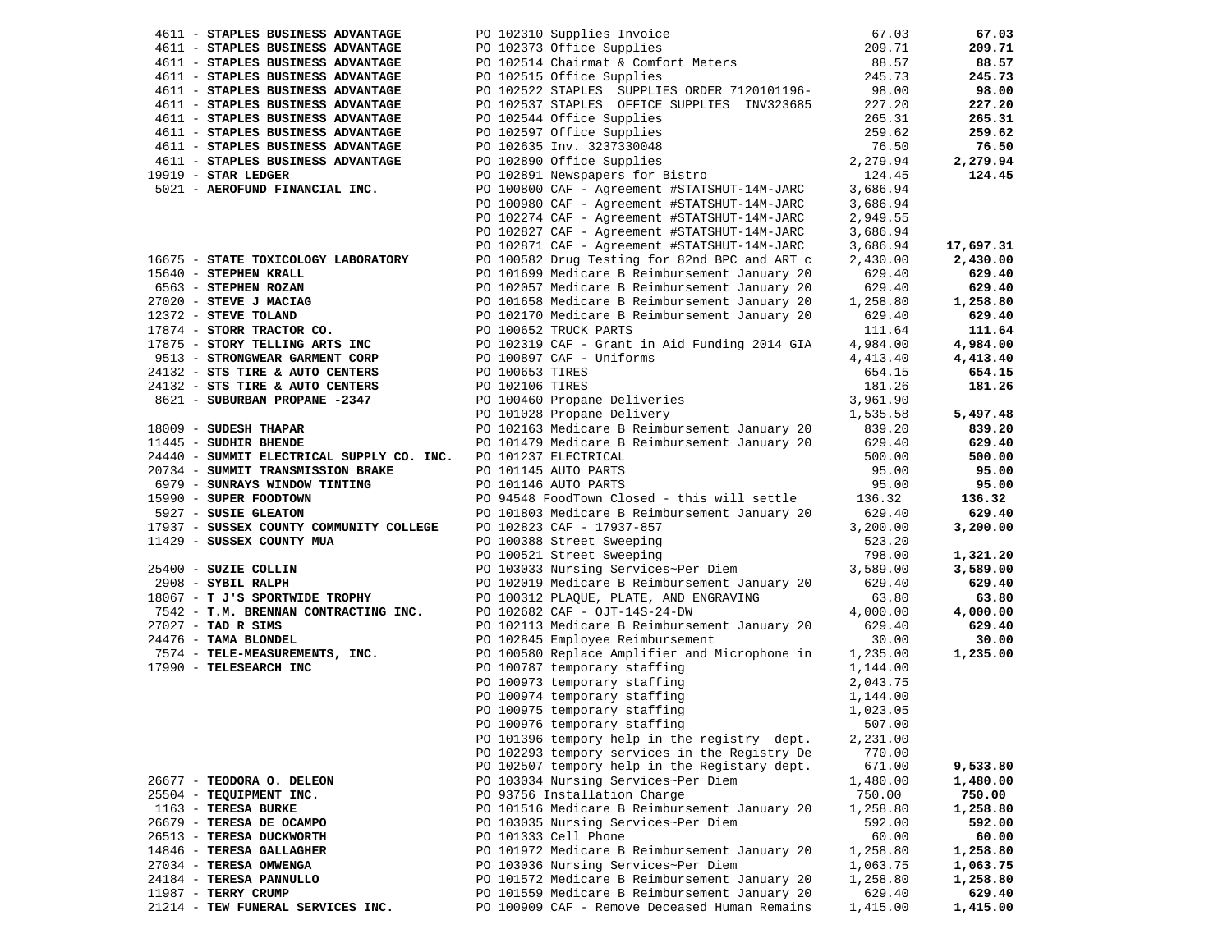| 4611 - STAPLES BUSINESS ADVANTAGE                                                        |                                                                                                                                                            | 67.03    | 67.03             |
|------------------------------------------------------------------------------------------|------------------------------------------------------------------------------------------------------------------------------------------------------------|----------|-------------------|
| 4611 - STAPLES BUSINESS ADVANTAGE                                                        | PO 102310 Supplies Invoice<br>PO 102373 Office Supplies<br>PO 102514 Chairmat & Comfort Meters<br>PO 102515 Office Supplies                                | 209.71   | 209.71            |
| 4611 - STAPLES BUSINESS ADVANTAGE                                                        |                                                                                                                                                            | 88.57    | 88.57             |
| 4611 - STAPLES BUSINESS ADVANTAGE                                                        | PO 102515 Office Supplies                                                                                                                                  | 245.73   | 245.73            |
| 4611 - STAPLES BUSINESS ADVANTAGE                                                        | PO 102522 STAPLES SUPPLIES ORDER 7120101196-<br>98.00                                                                                                      |          | 98.00             |
| 4611 - STAPLES BUSINESS ADVANTAGE                                                        | PO 102537 STAPLES OFFICE SUPPLIES INV323685                                                                                                                | 227.20   | 227.20            |
| 4611 - STAPLES BUSINESS ADVANTAGE                                                        |                                                                                                                                                            |          |                   |
|                                                                                          | PO 102544 Office Supplies                                                                                                                                  | 265.31   | 265.31            |
| 4611 - STAPLES BUSINESS ADVANTAGE                                                        |                                                                                                                                                            | 259.62   | 259.62            |
| 4611 - STAPLES BUSINESS ADVANTAGE                                                        |                                                                                                                                                            | 76.50    | 76.50             |
| 4611 - STAPLES BUSINESS ADVANTAGE                                                        |                                                                                                                                                            | 2,279.94 | 2,279.94          |
| 19919 - STAR LEDGER                                                                      | PO 102597 Office Supplies<br>PO 102635 Inv. 3237330048<br>PO 102890 Office Supplies<br>PO 102891 Newspapers for Bistro                                     | 124.45   | 124.45            |
| 5021 - AEROFUND FINANCIAL INC.                                                           | PO 100800 CAF - Agreement #STATSHUT-14M-JARC                                                                                                               | 3,686.94 |                   |
|                                                                                          | PO 100980 CAF - Agreement #STATSHUT-14M-JARC                                                                                                               | 3,686.94 |                   |
|                                                                                          | PO 102274 CAF - Agreement #STATSHUT-14M-JARC                                                                                                               | 2,949.55 |                   |
|                                                                                          | PO 102827 CAF - Agreement #STATSHUT-14M-JARC                                                                                                               | 3,686.94 |                   |
|                                                                                          | PO 102871 CAF - Agreement #STATSHUT-14M-JARC                                                                                                               | 3,686.94 | 17,697.31         |
| 16675 - STATE TOXICOLOGY LABORATORY                                                      | PO 100582 Drug Testing for 82nd BPC and ART c                                                                                                              | 2,430.00 | 2,430.00          |
| 15640 - STEPHEN KRALL                                                                    | PO 101699 Medicare B Reimbursement January 20                                                                                                              | 629.40   | 629.40            |
| 6563 - STEPHEN ROZAN                                                                     | PO 102057 Medicare B Reimbursement January 20                                                                                                              | 629.40   | 629.40            |
| $27020 -$ STEVE J MACIAG                                                                 | PO 101658 Medicare B Reimbursement January 20                                                                                                              | 1,258.80 | 1,258.80          |
| 12372 - STEVE TOLAND                                                                     | PO 102170 Medicare B Reimbursement January 20                                                                                                              | 629.40   | 629.40            |
| 17874 - SIERR TRACTOR CO.<br>17875 - STORR TRACTOR CO.<br>17875 - STORY TELLING ARTS INC | PO 100652 TRUCK PARTS                                                                                                                                      | 111.64   | 111.64            |
|                                                                                          |                                                                                                                                                            | 4,984.00 | 4,984.00          |
|                                                                                          | PO 102319 CAF - Grant in Aid Funding 2014 GIA                                                                                                              |          |                   |
| 9513 - STRONGWEAR GARMENT CORP                                                           | PO 100897 CAF - Uniforms                                                                                                                                   | 4,413.40 | 4,413.40          |
| 24132 - STS TIRE & AUTO CENTERS                                                          | PO 100653 TIRES                                                                                                                                            | 654.15   | 654.15            |
| 24132 - STS TIRE & AUTO CENTERS                                                          |                                                                                                                                                            | 181.26   | 181.26            |
| 8621 - SUBURBAN PROPANE -2347                                                            | PO 100053 IIRES<br>PO 102106 TIRES<br>PO 100460 Propane Deliveries<br>PO 101028 Propane Delivery                                                           | 3,961.90 |                   |
|                                                                                          | PO 101028 Propane Delivery                                                                                                                                 | 1,535.58 | 5,497.48          |
| 18009 - SUDESH THAPAR                                                                    | PO 102163 Medicare B Reimbursement January 20                                                                                                              | 839.20   | 839.20            |
| 11445 - SUDHIR BHENDE                                                                    | PO 101479 Medicare B Reimbursement January 20                                                                                                              | 629.40   | 629.40            |
| 24440 - SUMMIT ELECTRICAL SUPPLY CO. INC. PO 101237 ELECTRICAL                           |                                                                                                                                                            | 500.00   | 500.00            |
| 20734 - SUMMIT TRANSMISSION BRAKE                                                        | PO 101145 AUTO PARTS                                                                                                                                       | 95.00    | 95.00             |
| 6979 - SUNRAYS WINDOW TINTING                                                            | PO 101146 AUTO PARTS                                                                                                                                       | 95.00    | 95.00             |
| 15990 - SUPER FOODTOWN                                                                   | PO 94548 FoodTown Closed - this will settle                                                                                                                | 136.32   | 136.32            |
| 5927 - SUSIE GLEATON                                                                     | PO 101803 Medicare B Reimbursement January 20                                                                                                              | 629.40   | 629.40            |
| 17937 - SUSSEX COUNTY COMMUNITY COLLEGE                                                  | PO 102823 CAF - 17937-857                                                                                                                                  | 3,200.00 | 3,200.00          |
| 11429 - SUSSEX COUNTY MUA                                                                |                                                                                                                                                            | 523.20   |                   |
|                                                                                          | PO 100388 Street Sweeping<br>PO 100521 Street Sweeping<br>PO 103033 Nursing Services~Per Diem                                                              | 798.00   | 1,321.20          |
| 25400 - SUZIE COLLIN                                                                     |                                                                                                                                                            | 3,589.00 | 3,589.00          |
| 2908 - SYBIL RALPH                                                                       | PO 102019 Medicare B Reimbursement January 20                                                                                                              | 629.40   | 629.40            |
| 18067 - T J'S SPORTWIDE TROPHY                                                           | PO 100312 PLAQUE, PLATE, AND ENGRAVING                                                                                                                     | 63.80    | 63.80             |
| 7542 - T.M. BRENNAN CONTRACTING INC.                                                     | PO 102682 CAF - OJT-14S-24-DW                                                                                                                              | 4,000.00 | 4,000.00          |
| $27027$ - TAD R SIMS                                                                     |                                                                                                                                                            |          | 629.40            |
|                                                                                          | PO 102113 Medicare B Reimbursement January 20                                                                                                              | 629.40   |                   |
| 24476 - TAMA BLONDEL<br>7574 - TELE-MEASUREMENTS, INC.                                   | PO 102845 Employee Reimbursement<br>PO 100580 Replace Amplifier and Microphone in                                                                          | 30.00    | 30.00<br>1,235.00 |
|                                                                                          |                                                                                                                                                            | 1,235.00 |                   |
| 17990 - TELESEARCH INC                                                                   | PO 100787 temporary staffing<br>PO 100973 temporary staffing<br>PO 100974 temporary staffing<br>PO 100975 temporary staffing<br>COMPOSE temporary staffing | 1,144.00 |                   |
|                                                                                          |                                                                                                                                                            | 2,043.75 |                   |
|                                                                                          |                                                                                                                                                            | 1,144.00 |                   |
|                                                                                          |                                                                                                                                                            | 1,023.05 |                   |
|                                                                                          | PO 100976 temporary staffing                                                                                                                               | 507.00   |                   |
|                                                                                          | PO 101396 tempory help in the registry dept.                                                                                                               | 2,231.00 |                   |
|                                                                                          | PO 102293 tempory services in the Registry De                                                                                                              | 770.00   |                   |
|                                                                                          | PO 102507 tempory help in the Registary dept.                                                                                                              | 671.00   | 9,533.80          |
| 26677 - TEODORA O. DELEON                                                                | PO 103034 Nursing Services~Per Diem                                                                                                                        | 1,480.00 | 1,480.00          |
| 25504 - TEQUIPMENT INC.                                                                  | PO 93756 Installation Charge                                                                                                                               | 750.00   | 750.00            |
| 1163 - TERESA BURKE                                                                      | PO 101516 Medicare B Reimbursement January 20                                                                                                              | 1,258.80 | 1,258.80          |
| 26679 - TERESA DE OCAMPO                                                                 | PO 103035 Nursing Services~Per Diem                                                                                                                        | 592.00   | 592.00            |
| 26513 - TERESA DUCKWORTH                                                                 | PO 101333 Cell Phone                                                                                                                                       | 60.00    | 60.00             |
| 14846 - TERESA GALLAGHER                                                                 | PO 101972 Medicare B Reimbursement January 20                                                                                                              | 1,258.80 | 1,258.80          |
| 27034 - TERESA OMWENGA                                                                   | PO 103036 Nursing Services~Per Diem                                                                                                                        | 1,063.75 | 1,063.75          |
| 24184 - TERESA PANNULLO                                                                  | PO 101572 Medicare B Reimbursement January 20                                                                                                              | 1,258.80 | 1,258.80          |
| 11987 - TERRY CRUMP                                                                      | PO 101559 Medicare B Reimbursement January 20                                                                                                              | 629.40   | 629.40            |
| 21214 - TEW FUNERAL SERVICES INC.                                                        | PO 100909 CAF - Remove Deceased Human Remains                                                                                                              | 1,415.00 | 1,415.00          |
|                                                                                          |                                                                                                                                                            |          |                   |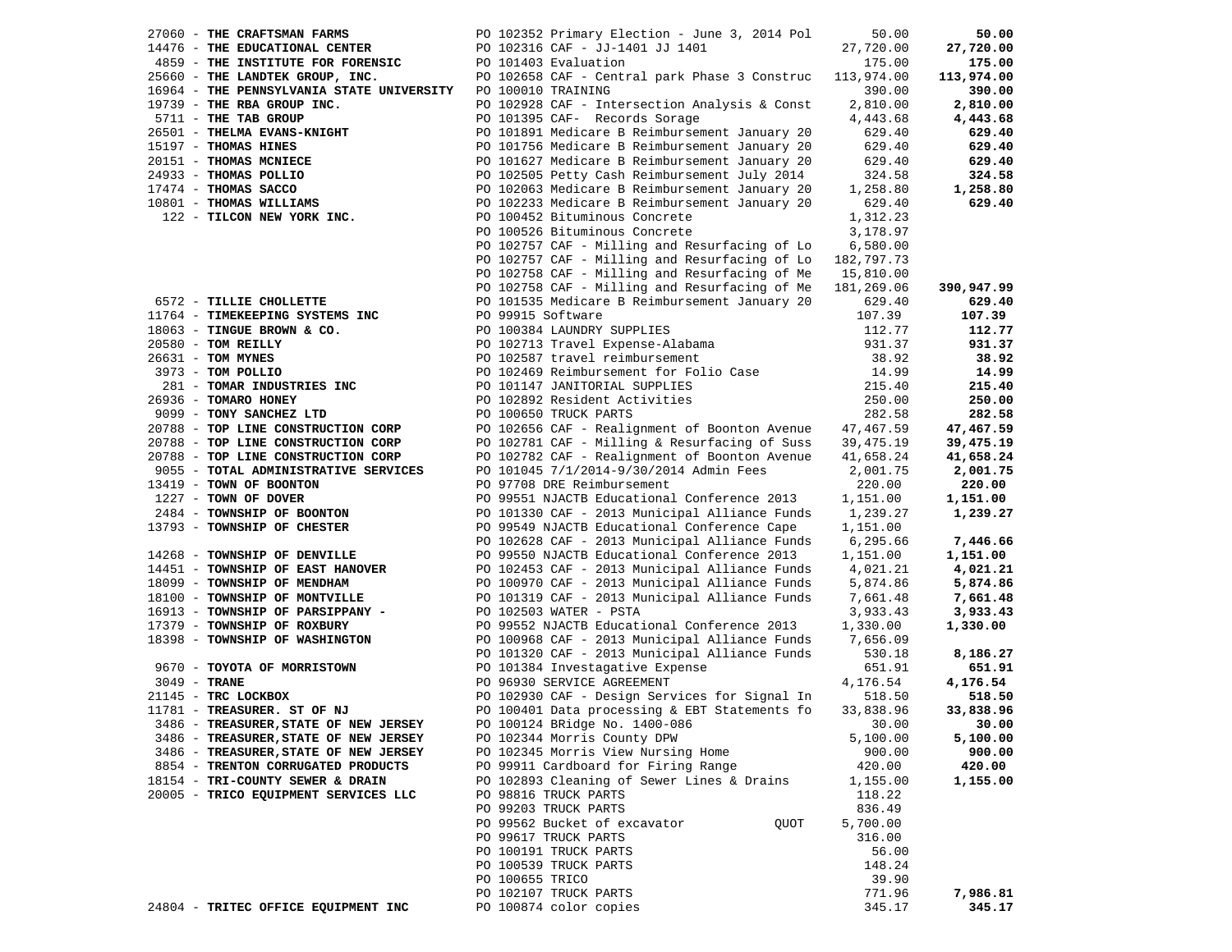| 27060 - THE CRAFTSMAN FARMS                                               | PO 102352 Primary Election - June 3, 2014 Pol            | 50.00      | 50.00      |
|---------------------------------------------------------------------------|----------------------------------------------------------|------------|------------|
| 14476 - THE EDUCATIONAL CENTER                                            | PO 102316 CAF - JJ-1401 JJ 1401                          | 27,720.00  | 27,720.00  |
| 4859 - THE INSTITUTE FOR FORENSIC                                         | PO 101403 Evaluation                                     | 175.00     | 175.00     |
| 25660 - THE LANDTEK GROUP, INC.                                           | PO 102658 CAF - Central park Phase 3 Construc 113,974.00 |            | 113,974.00 |
| 16964 - THE PENNSYLVANIA STATE UNIVERSITY                                 | PO 100010 TRAINING                                       | 390.00     | 390.00     |
| 19739 - THE RBA GROUP INC.                                                | PO 102928 CAF - Intersection Analysis & Const            | 2,810.00   | 2,810.00   |
| 5711 - THE TAB GROUP                                                      | PO 101395 CAF- Records Sorage                            | 4,443.68   | 4,443.68   |
| 26501 - THELMA EVANS-KNIGHT                                               | PO 101891 Medicare B Reimbursement January 20            | 629.40     | 629.40     |
| 15197 - THOMAS HINES                                                      | PO 101756 Medicare B Reimbursement January 20            | 629.40     | 629.40     |
|                                                                           |                                                          |            |            |
| 20151 - THOMAS MCNIECE                                                    | PO 101627 Medicare B Reimbursement January 20            | 629.40     | 629.40     |
| 24933 - THOMAS POLLIO                                                     | PO 102505 Petty Cash Reimbursement July 2014             | 324.58     | 324.58     |
| 17474 - THOMAS SACCO<br>$1/4/4$ - THOMAS SACCO<br>10801 - THOMAS WILLIAMS | PO 102063 Medicare B Reimbursement January 20            | 1,258.80   | 1,258.80   |
|                                                                           | PO 102233 Medicare B Reimbursement January 20            | 629.40     | 629.40     |
| 122 - TILCON NEW YORK INC.                                                | PO 100452 Bituminous Concrete                            | 1,312.23   |            |
|                                                                           | PO 100526 Bituminous Concrete                            | 3,178.97   |            |
|                                                                           | PO 102757 CAF - Milling and Resurfacing of Lo            | 6,580.00   |            |
|                                                                           | PO 102757 CAF - Milling and Resurfacing of Lo 182,797.73 |            |            |
|                                                                           | PO 102758 CAF - Milling and Resurfacing of Me            | 15,810.00  |            |
|                                                                           | PO 102758 CAF - Milling and Resurfacing of Me            | 181,269.06 | 390,947.99 |
| 6572 - TILLIE CHOLLETTE                                                   | PO 101535 Medicare B Reimbursement January 20            | 629.40     | 629.40     |
| 11764 - TIMEKEEPING SYSTEMS INC                                           | PO 99915 Software                                        | 107.39     | 107.39     |
| 18063 - TINGUE BROWN & CO.                                                | PO 100384 LAUNDRY SUPPLIES                               | 112.77     | 112.77     |
| $20580$ - TOM REILLY                                                      | PO 102713 Travel Expense-Alabama                         | 931.37     | 931.37     |
| 26631 - TOM MYNES                                                         | PO 102587 travel reimbursement                           | 38.92      | 38.92      |
| 3973 - TOM POLLIO                                                         | PO 102469 Reimbursement for Folio Case                   | 14.99      | 14.99      |
| 281 - TOMAR INDUSTRIES INC                                                | PO 101147 JANITORIAL SUPPLIES                            | 215.40     | 215.40     |
|                                                                           |                                                          |            |            |
| 26936 - TOMARO HONEY                                                      | PO 102892 Resident Activities                            | 250.00     | 250.00     |
| 9099 - TONY SANCHEZ LTD                                                   | PO 100650 TRUCK PARTS                                    | 282.58     | 282.58     |
| 20788 - TOP LINE CONSTRUCTION CORP                                        | PO 102656 CAF - Realignment of Boonton Avenue            | 47,467.59  | 47,467.59  |
| 20788 - TOP LINE CONSTRUCTION CORP                                        | PO 102781 CAF - Milling & Resurfacing of Suss            | 39,475.19  | 39,475.19  |
| 20788 - TOP LINE CONSTRUCTION CORP                                        | PO 102782 CAF - Realignment of Boonton Avenue            | 41,658.24  | 41,658.24  |
| 9055 - TOTAL ADMINISTRATIVE SERVICES                                      | PO 101045 7/1/2014-9/30/2014 Admin Fees                  | 2,001.75   | 2,001.75   |
| 13419 - TOWN OF BOONTON                                                   | PO 97708 DRE Reimbursement                               | 220.00     | 220.00     |
| 1227 - TOWN OF DOVER                                                      | PO 99551 NJACTB Educational Conference 2013              | 1,151.00   | 1,151.00   |
| 2484 - TOWNSHIP OF BOONTON                                                | PO 101330 CAF - 2013 Municipal Alliance Funds            | 1,239.27   | 1,239.27   |
| 13793 - TOWNSHIP OF CHESTER                                               | PO 99549 NJACTB Educational Conference Cape              | 1,151.00   |            |
|                                                                           | PO 102628 CAF - 2013 Municipal Alliance Funds            | 6,295.66   | 7,446.66   |
| 14268 - TOWNSHIP OF DENVILLE                                              | PO 99550 NJACTB Educational Conference 2013              | 1,151.00   | 1,151.00   |
| 14451 - TOWNSHIP OF EAST HANOVER                                          | PO 102453 CAF - 2013 Municipal Alliance Funds            | 4,021.21   | 4,021.21   |
| 18099 - TOWNSHIP OF MENDHAM                                               | PO 100970 CAF - 2013 Municipal Alliance Funds            | 5,874.86   | 5,874.86   |
| 18100 - TOWNSHIP OF MONTVILLE                                             | PO 101319 CAF - 2013 Municipal Alliance Funds            | 7,661.48   | 7,661.48   |
| 16913 - TOWNSHIP OF PARSIPPANY -                                          | PO 102503 WATER - PSTA                                   | 3,933.43   | 3,933.43   |
| 17379 - TOWNSHIP OF ROXBURY                                               | PO 99552 NJACTB Educational Conference 2013              | 1,330.00   | 1,330.00   |
| 18398 - TOWNSHIP OF WASHINGTON                                            | PO 100968 CAF - 2013 Municipal Alliance Funds            | 7,656.09   |            |
|                                                                           | PO 101320 CAF - 2013 Municipal Alliance Funds            | 530.18     | 8,186.27   |
| 9670 - TOYOTA OF MORRISTOWN                                               | PO 101384 Investagative Expense                          | 651.91     | 651.91     |
| $3049$ - TRANE                                                            | PO 96930 SERVICE AGREEMENT                               | 4,176.54   | 4,176.54   |
| 21145 - TRC LOCKBOX                                                       | PO 102930 CAF - Design Services for Signal In            | 518.50     | 518.50     |
| 11781 - TREASURER. ST OF NJ                                               | PO 100401 Data processing & EBT Statements fo            | 33,838.96  | 33,838.96  |
| 3486 - TREASURER, STATE OF NEW JERSEY                                     | PO 100124 BRidge No. 1400-086                            | 30.00      | 30.00      |
| 3486 - TREASURER, STATE OF NEW JERSEY                                     |                                                          |            | 5,100.00   |
|                                                                           | PO 102344 Morris County DPW                              | 5,100.00   |            |
| 3486 - TREASURER, STATE OF NEW JERSEY                                     | PO 102345 Morris View Nursing Home                       | 900.00     | 900.00     |
| 8854 - TRENTON CORRUGATED PRODUCTS                                        | PO 99911 Cardboard for Firing Range                      | 420.00     | 420.00     |
| 18154 - TRI-COUNTY SEWER & DRAIN                                          | PO 102893 Cleaning of Sewer Lines & Drains               | 1,155.00   | 1,155.00   |
| 20005 - TRICO EQUIPMENT SERVICES LLC                                      | PO 98816 TRUCK PARTS                                     | 118.22     |            |
|                                                                           | PO 99203 TRUCK PARTS                                     | 836.49     |            |
|                                                                           | PO 99562 Bucket of excavator<br>QUOT                     | 5,700.00   |            |
|                                                                           | PO 99617 TRUCK PARTS                                     | 316.00     |            |
|                                                                           | PO 100191 TRUCK PARTS                                    | 56.00      |            |
|                                                                           | PO 100539 TRUCK PARTS                                    | 148.24     |            |
|                                                                           | PO 100655 TRICO                                          | 39.90      |            |
|                                                                           | PO 102107 TRUCK PARTS                                    | 771.96     | 7,986.81   |
| 24804 - TRITEC OFFICE EQUIPMENT INC                                       | PO 100874 color copies                                   | 345.17     | 345.17     |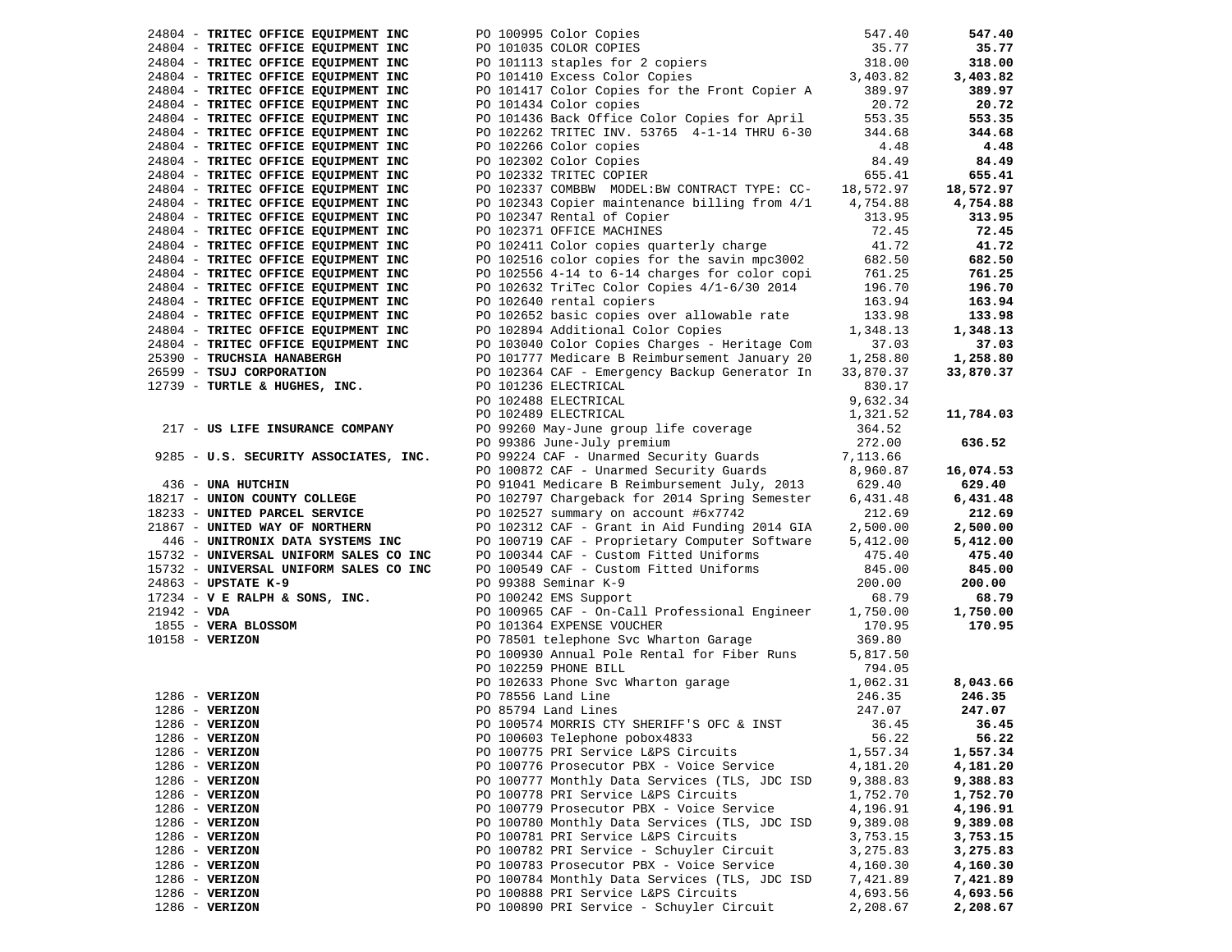| 24804 - TRITEC OFFICE EQUIPMENT INC                                                                                        |                                                                                                                                                                                                           |           | 547.40    |
|----------------------------------------------------------------------------------------------------------------------------|-----------------------------------------------------------------------------------------------------------------------------------------------------------------------------------------------------------|-----------|-----------|
| 24804 - TRITEC OFFICE EQUIPMENT INC                                                                                        |                                                                                                                                                                                                           |           | 35.77     |
| 24804 - TRITEC OFFICE EQUIPMENT INC                                                                                        |                                                                                                                                                                                                           |           | 318.00    |
| 24804 - TRITEC OFFICE EQUIPMENT INC                                                                                        |                                                                                                                                                                                                           |           | 3,403.82  |
| 24804 - TRITEC OFFICE EQUIPMENT INC                                                                                        | PO 100995 Color Copies<br>PO 101035 COLOR COPIES<br>PO 101113 staples for 2 copiers<br>PO 101410 Excess Color Copies<br>PO 101417 Color Copies<br>PO 101417 Color Copies for the Front Copier A<br>389.97 |           | 389.97    |
| 24804 - TRITEC OFFICE EQUIPMENT INC                                                                                        | PO 101434 Color copies                                                                                                                                                                                    | 20.72     | 20.72     |
| 24804 - TRITEC OFFICE EQUIPMENT INC                                                                                        | PO 101436 Back Office Color Copies for April                                                                                                                                                              | 553.35    | 553.35    |
| 24804 - TRITEC OFFICE EQUIPMENT INC                                                                                        |                                                                                                                                                                                                           | 344.68    | 344.68    |
|                                                                                                                            | PO 102262 TRITEC INV. 53765 4-1-14 THRU 6-30                                                                                                                                                              |           |           |
| 24804 - TRITEC OFFICE EQUIPMENT INC                                                                                        | PO 102266 Color copies                                                                                                                                                                                    | 4.48      | 4.48      |
| 24804 - TRITEC OFFICE EQUIPMENT INC                                                                                        | PO 102302 Color Copies                                                                                                                                                                                    | 84.49     | 84.49     |
| 24804 - TRITEC OFFICE EQUIPMENT INC                                                                                        | PO 102332 TRITEC COPIER                                                                                                                                                                                   | 655.41    | 655.41    |
| 24804 - TRITEC OFFICE EQUIPMENT INC                                                                                        | PO 102337 COMBBW MODEL: BW CONTRACT TYPE: CC- 18,572.97                                                                                                                                                   |           | 18,572.97 |
| 24804 - TRITEC OFFICE EQUIPMENT INC                                                                                        | PO 102343 Copier maintenance billing from 4/1                                                                                                                                                             | 4,754.88  | 4,754.88  |
| 24804 - TRITEC OFFICE EQUIPMENT INC                                                                                        | PO 102347 Rental of Copier                                                                                                                                                                                | 313.95    | 313.95    |
| 24804 - TRITEC OFFICE EQUIPMENT INC                                                                                        | PO 102371 OFFICE MACHINES                                                                                                                                                                                 | 72.45     | 72.45     |
| 24804 - TRITEC OFFICE EQUIPMENT INC                                                                                        | PO 102411 Color copies quarterly charge                                                                                                                                                                   | 41.72     | 41.72     |
| 24804 - TRITEC OFFICE EQUIPMENT INC                                                                                        | PO 102516 color copies for the savin mpc3002                                                                                                                                                              | 682.50    | 682.50    |
| 24804 - TRITEC OFFICE EQUIPMENT INC                                                                                        | PO 102556 4-14 to 6-14 charges for color copi                                                                                                                                                             | 761.25    | 761.25    |
| 24804 - TRITEC OFFICE EQUIPMENT INC                                                                                        | PO 102632 TriTec Color Copies 4/1-6/30 2014                                                                                                                                                               | 196.70    | 196.70    |
| 24804 - TRITEC OFFICE EQUIPMENT INC                                                                                        | PO 102640 rental copiers                                                                                                                                                                                  | 163.94    | 163.94    |
| 24804 - TRITEC OFFICE EQUIPMENT INC                                                                                        | PO 102652 basic copies over allowable rate                                                                                                                                                                | 133.98    | 133.98    |
| 24804 - TRITEC OFFICE EQUIPMENT INC                                                                                        | PO 102894 Additional Color Copies                                                                                                                                                                         | 1,348.13  | 1,348.13  |
| 24804 - TRITEC OFFICE EQUIPMENT INC                                                                                        | PO 103040 Color Copies Charges - Heritage Com                                                                                                                                                             | 37.03     | 37.03     |
| 25390 - TRUCHSIA HANABERGH                                                                                                 | PO 101777 Medicare B Reimbursement January 20                                                                                                                                                             | 1,258.80  | 1,258.80  |
| 26599 - TSUJ CORPORATION                                                                                                   | PO 102364 CAF - Emergency Backup Generator In                                                                                                                                                             | 33,870.37 | 33,870.37 |
| 12739 - TURTLE & HUGHES, INC.                                                                                              | PO 101236 ELECTRICAL                                                                                                                                                                                      | 830.17    |           |
|                                                                                                                            | PO 102488 ELECTRICAL                                                                                                                                                                                      | 9,632.34  |           |
|                                                                                                                            | PO 102489 ELECTRICAL                                                                                                                                                                                      | 1,321.52  | 11,784.03 |
| 217 - US LIFE INSURANCE COMPANY                                                                                            |                                                                                                                                                                                                           | 364.52    |           |
|                                                                                                                            | PO 99260 May-June group life coverage<br>PO 99386 June-July premium                                                                                                                                       | 272.00    | 636.52    |
| 9285 - U.S. SECURITY ASSOCIATES, INC.                                                                                      | PO 99224 CAF - Unarmed Security Guards                                                                                                                                                                    | 7,113.66  |           |
|                                                                                                                            | PO 100872 CAF - Unarmed Security Guards 8,960.87                                                                                                                                                          |           |           |
|                                                                                                                            |                                                                                                                                                                                                           |           | 16,074.53 |
| 436 - UNA HUTCHIN                                                                                                          | PO 91041 Medicare B Reimbursement July, 2013                                                                                                                                                              | 629.40    | 629.40    |
| 18217 - UNION COUNTY COLLEGE                                                                                               | PO 102797 Chargeback for 2014 Spring Semester                                                                                                                                                             | 6,431.48  | 6,431.48  |
| 18233 - UNITED PARCEL SERVICE                                                                                              | PO 102527 summary on account #6x7742                                                                                                                                                                      | 212.69    | 212.69    |
| 21867 - UNITED WAY OF NORTHERN                                                                                             | PO 102312 CAF - Grant in Aid Funding 2014 GIA                                                                                                                                                             | 2,500.00  | 2,500.00  |
| 446 - UNITRONIX DATA SYSTEMS INC                                                                                           | PO 100719 CAF - Proprietary Computer Software                                                                                                                                                             | 5,412.00  | 5,412.00  |
| 15732 - UNIVERSAL UNIFORM SALES CO INC                                                                                     | PO 100344 CAF - Custom Fitted Uniforms                                                                                                                                                                    | 475.40    | 475.40    |
| 15732 - UNIVERSAL UNIFORM SALES CO INC                                                                                     | PO 100549 CAF - Custom Fitted Uniforms                                                                                                                                                                    | 845.00    | 845.00    |
| 24863 - UPSTATE K-9                                                                                                        | PO 99388 Seminar K-9                                                                                                                                                                                      | 200.00    | 200.00    |
| $17234 - V$ E RALPH & SONS, INC.                                                                                           | PO 100242 EMS Support                                                                                                                                                                                     | 68.79     | 68.79     |
| $21942 - VDA$                                                                                                              | PO 100965 CAF - On-Call Professional Engineer                                                                                                                                                             | 1,750.00  | 1,750.00  |
|                                                                                                                            | PO 101364 EXPENSE VOUCHER                                                                                                                                                                                 | 170.95    | 170.95    |
| 10158 - VERIZON                                                                                                            | PO 78501 telephone Svc Wharton Garage                                                                                                                                                                     | 369.80    |           |
|                                                                                                                            | PO 100930 Annual Pole Rental for Fiber Runs                                                                                                                                                               | 5,817.50  |           |
|                                                                                                                            | PO 102259 PHONE BILL                                                                                                                                                                                      | 794.05    |           |
| $1855 - VERA$ BLOSSOM<br>$10158 - VERIZON$<br>$1286 - VERIZON$<br>$1286 - VERIZON$<br>$1286 - VERIZON$<br>$1286 - VERIZON$ | PO 102633 Phone Svc Wharton garage<br>PO 78556 Land Line<br>PO 85794 Land Lines                                                                                                                           | 1,062.31  | 8,043.66  |
|                                                                                                                            |                                                                                                                                                                                                           | 246.35    | 246.35    |
|                                                                                                                            | PO 85794 Land Lines                                                                                                                                                                                       | 247.07    | 247.07    |
|                                                                                                                            | PO 100574 MORRIS CTY SHERIFF'S OFC & INST 36.45                                                                                                                                                           |           | 36.45     |
| $1286$ - VERIZON                                                                                                           | PO 100603 Telephone pobox4833                                                                                                                                                                             | 56.22     | 56.22     |
| $1286 - VERIZON$                                                                                                           | PO 100775 PRI Service L&PS Circuits                                                                                                                                                                       | 1,557.34  | 1,557.34  |
| $1286$ - VERIZON                                                                                                           | PO 100776 Prosecutor PBX - Voice Service                                                                                                                                                                  | 4,181.20  | 4,181.20  |
| $1286 - VERIZON$                                                                                                           | PO 100777 Monthly Data Services (TLS, JDC ISD                                                                                                                                                             | 9,388.83  | 9,388.83  |
| $1286$ - VERIZON                                                                                                           | PO 100778 PRI Service L&PS Circuits                                                                                                                                                                       | 1,752.70  | 1,752.70  |
| $1286 - VERIZON$                                                                                                           | PO 100779 Prosecutor PBX - Voice Service                                                                                                                                                                  | 4,196.91  | 4,196.91  |
| $1286$ - VERIZON                                                                                                           | PO 100780 Monthly Data Services (TLS, JDC ISD                                                                                                                                                             | 9,389.08  | 9,389.08  |
| $1286$ - VERIZON                                                                                                           | PO 100781 PRI Service L&PS Circuits                                                                                                                                                                       | 3,753.15  | 3,753.15  |
| $1286 - VERIZON$                                                                                                           | PO 100782 PRI Service - Schuyler Circuit                                                                                                                                                                  | 3,275.83  | 3,275.83  |
| $1286$ - VERIZON                                                                                                           | PO 100783 Prosecutor PBX - Voice Service                                                                                                                                                                  | 4,160.30  | 4,160.30  |
| $1286$ - VERIZON                                                                                                           | PO 100784 Monthly Data Services (TLS, JDC ISD                                                                                                                                                             | 7,421.89  | 7,421.89  |
| $1286 - VERIZON$                                                                                                           | PO 100888 PRI Service L&PS Circuits                                                                                                                                                                       | 4,693.56  |           |
| 1286 - VERIZON                                                                                                             | PO 100890 PRI Service - Schuyler Circuit                                                                                                                                                                  |           | 4,693.56  |
|                                                                                                                            |                                                                                                                                                                                                           | 2,208.67  | 2,208.67  |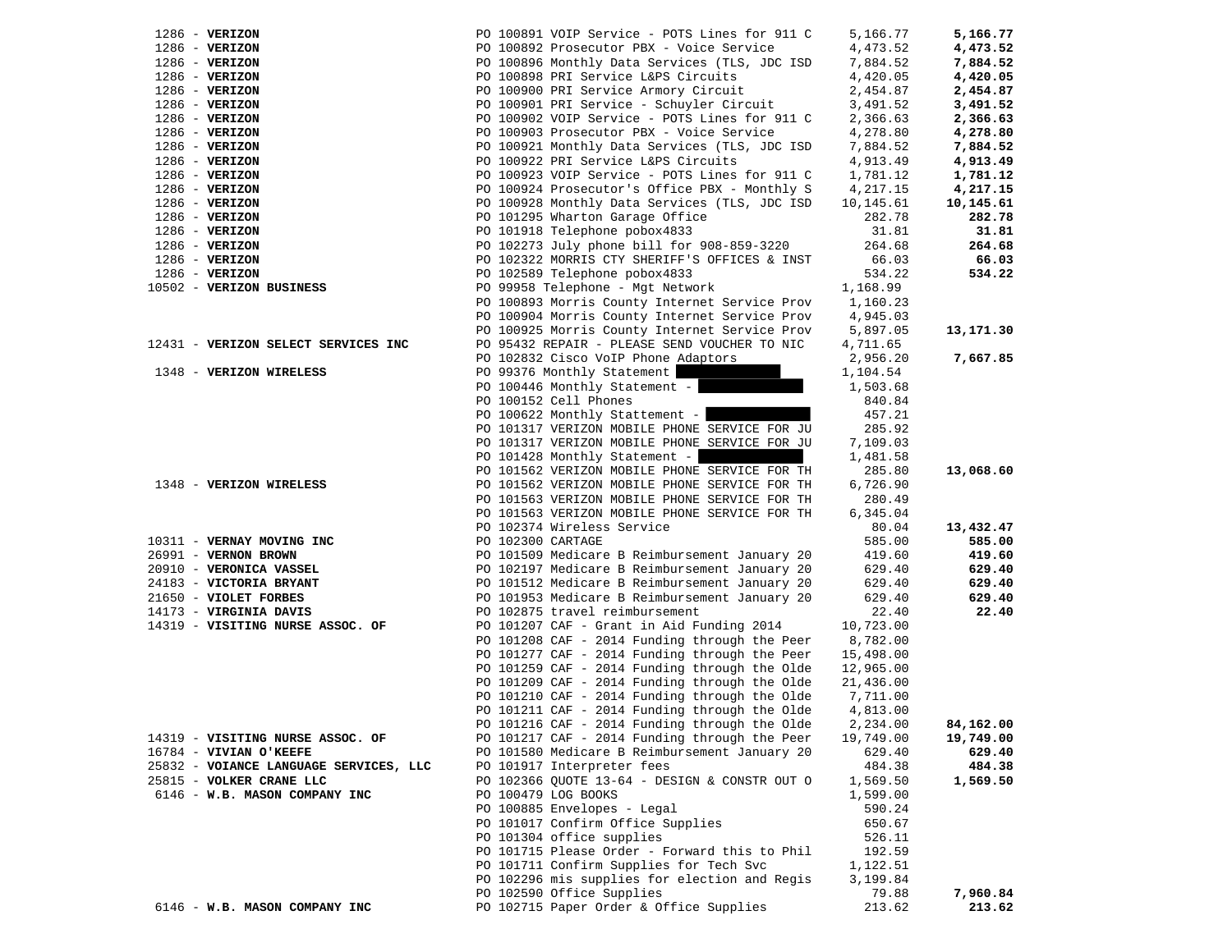| $1286 - VERIZON$                                  | PO 100891 VOIP Service - POTS Lines for 911 C            | 5,166.77        | 5,166.77            |
|---------------------------------------------------|----------------------------------------------------------|-----------------|---------------------|
| $1286 - VERIZON$                                  | PO 100892 Prosecutor PBX - Voice Service                 | 4,473.52        | 4,473.52            |
| $1286 - VERIZON$                                  | PO 100896 Monthly Data Services (TLS, JDC ISD            | 7,884.52        | 7,884.52            |
| $1286 - VERIZON$                                  | PO 100898 PRI Service L&PS Circuits                      | 4,420.05        | 4,420.05            |
| $1286 - VERIZON$                                  | PO 100900 PRI Service Armory Circuit                     | 2,454.87        | 2,454.87            |
| $1286$ - VERIZON                                  | PO 100901 PRI Service - Schuyler Circuit                 | 3,491.52        | 3,491.52            |
| $1286$ - VERIZON                                  | PO 100902 VOIP Service - POTS Lines for 911 C            | 2,366.63        | 2,366.63            |
| $1286$ - VERIZON                                  | PO 100903 Prosecutor PBX - Voice Service                 | 4,278.80        | 4,278.80            |
| 1286 - VERIZON                                    | PO 100921 Monthly Data Services (TLS, JDC ISD            | 7,884.52        | 7,884.52            |
| $1286 - VERIZON$                                  | PO 100922 PRI Service L&PS Circuits                      | 4,913.49        | 4,913.49            |
| $1286 - VERIZON$                                  | PO 100923 VOIP Service - POTS Lines for 911 C            | 1,781.12        | 1,781.12            |
| $1286 - VERIZON$                                  | PO 100924 Prosecutor's Office PBX - Monthly S            | 4,217.15        | 4,217.15            |
| $1286$ - VERIZON                                  | PO 100928 Monthly Data Services (TLS, JDC ISD            | 10,145.61       | 10,145.61           |
| $1286$ - VERIZON                                  | PO 101295 Wharton Garage Office                          | 282.78          | 282.78              |
| $1286$ - VERIZON                                  | PO 101918 Telephone pobox4833                            | 31.81           | 31.81               |
| $1286 - VERIZON$                                  | PO 102273 July phone bill for 908-859-3220               | 264.68          | 264.68              |
| $1286 - VERIZON$                                  | PO 102322 MORRIS CTY SHERIFF'S OFFICES & INST            | 66.03           | 66.03               |
| $1286$ - VERIZON                                  | PO 102589 Telephone pobox4833                            | 534.22          | 534.22              |
| 10502 - VERIZON BUSINESS                          | PO 99958 Telephone - Mgt Network                         | 1,168.99        |                     |
|                                                   | PO 100893 Morris County Internet Service Prov 1,160.23   |                 |                     |
|                                                   | PO 100904 Morris County Internet Service Prov 4,945.03   |                 |                     |
|                                                   | PO 100925 Morris County Internet Service Prov 5,897.05   |                 | 13,171.30           |
| 12431 - VERIZON SELECT SERVICES INC               | PO 95432 REPAIR - PLEASE SEND VOUCHER TO NIC             | 4,711.65        |                     |
|                                                   | PO 102832 Cisco VoIP Phone Adaptors                      | 2,956.20        | 7,667.85            |
| 1348 - VERIZON WIRELESS                           | PO 99376 Monthly Statement                               | 1,104.54        |                     |
|                                                   | PO 100446 Monthly Statement -                            | 1,503.68        |                     |
|                                                   | PO 100152 Cell Phones                                    | 840.84          |                     |
|                                                   | PO 100622 Monthly Stattement -                           | 457.21          |                     |
|                                                   | PO 101317 VERIZON MOBILE PHONE SERVICE FOR JU            | 285.92          |                     |
|                                                   | PO 101317 VERIZON MOBILE PHONE SERVICE FOR JU            | 7,109.03        |                     |
|                                                   | PO 101428 Monthly Statement -                            | 1,481.58        |                     |
|                                                   | PO 101562 VERIZON MOBILE PHONE SERVICE FOR TH            | 285.80          | 13,068.60           |
| 1348 - VERIZON WIRELESS                           | PO 101562 VERIZON MOBILE PHONE SERVICE FOR TH            | 6,726.90        |                     |
|                                                   | PO 101563 VERIZON MOBILE PHONE SERVICE FOR TH            | 280.49          |                     |
|                                                   | PO 101563 VERIZON MOBILE PHONE SERVICE FOR TH            | 6,345.04        |                     |
|                                                   | PO 102374 Wireless Service<br>PO 102300 CARTAGE          | 80.04<br>585.00 | 13,432.47<br>585.00 |
| 10311 - VERNAY MOVING INC<br>26991 - VERNON BROWN | PO 101509 Medicare B Reimbursement January 20            | 419.60          | 419.60              |
| 20910 - VERONICA VASSEL                           | PO 102197 Medicare B Reimbursement January 20            | 629.40          | 629.40              |
| 24183 - VICTORIA BRYANT                           | PO 101512 Medicare B Reimbursement January 20            | 629.40          | 629.40              |
| 21650 - VIOLET FORBES                             | PO 101953 Medicare B Reimbursement January 20            | 629.40          | 629.40              |
| 14173 - VIRGINIA DAVIS                            | PO 102875 travel reimbursement                           | 22.40           | 22.40               |
| 14319 - VISITING NURSE ASSOC. OF                  | PO 101207 CAF - Grant in Aid Funding 2014                | 10,723.00       |                     |
|                                                   | PO $101208$ CAF - 2014 Funding through the Peer 8,782.00 |                 |                     |
|                                                   | PO 101277 CAF - 2014 Funding through the Peer            | 15,498.00       |                     |
|                                                   | PO 101259 CAF - 2014 Funding through the Olde            | 12,965.00       |                     |
|                                                   | PO 101209 CAF - 2014 Funding through the Olde            | 21,436.00       |                     |
|                                                   | PO 101210 CAF - 2014 Funding through the Olde            | 7,711.00        |                     |
|                                                   | PO 101211 CAF - 2014 Funding through the Olde            | 4,813.00        |                     |
|                                                   | PO 101216 CAF - 2014 Funding through the Olde            | 2,234.00        | 84,162.00           |
| 14319 - VISITING NURSE ASSOC. OF                  | PO 101217 CAF - 2014 Funding through the Peer            | 19,749.00       | 19,749.00           |
| 16784 - VIVIAN O'KEEFE                            | PO 101580 Medicare B Reimbursement January 20            | 629.40          | 629.40              |
| 25832 - VOIANCE LANGUAGE SERVICES, LLC            | PO 101917 Interpreter fees                               | 484.38          | 484.38              |
| 25815 - VOLKER CRANE LLC                          | PO 102366 QUOTE 13-64 - DESIGN & CONSTR OUT O            | 1,569.50        | 1,569.50            |
| 6146 - W.B. MASON COMPANY INC                     | PO 100479 LOG BOOKS                                      | 1,599.00        |                     |
|                                                   | PO 100885 Envelopes - Legal                              | 590.24          |                     |
|                                                   | PO 101017 Confirm Office Supplies                        | 650.67          |                     |
|                                                   | PO 101304 office supplies                                | 526.11          |                     |
|                                                   | PO 101715 Please Order - Forward this to Phil            | 192.59          |                     |
|                                                   | PO 101711 Confirm Supplies for Tech Svc                  | 1,122.51        |                     |
|                                                   | PO 102296 mis supplies for election and Regis            | 3,199.84        |                     |
|                                                   | PO 102590 Office Supplies                                | 79.88           | 7,960.84            |
| 6146 - W.B. MASON COMPANY INC                     | PO 102715 Paper Order & Office Supplies                  | 213.62          | 213.62              |
|                                                   |                                                          |                 |                     |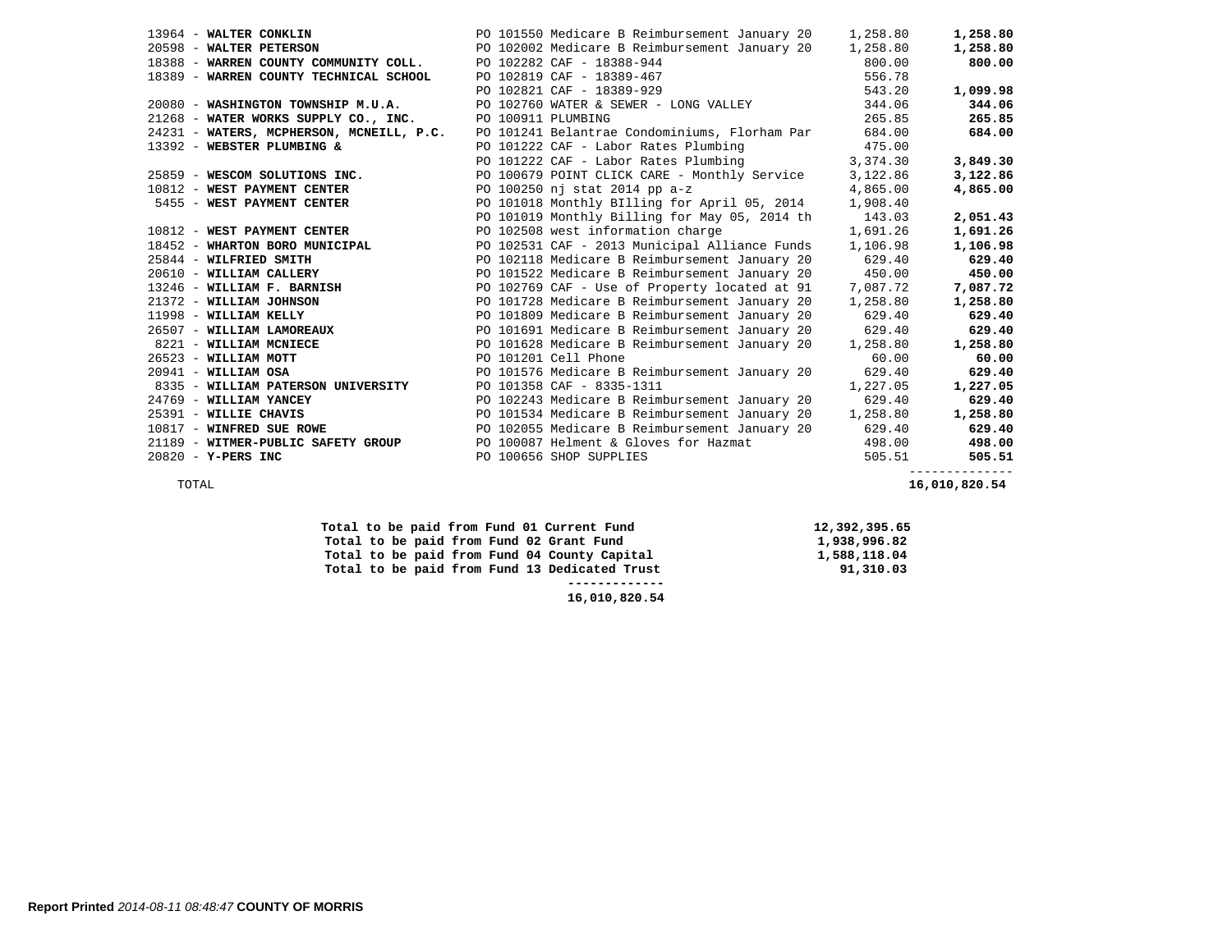|                                                          | 13964 - WALTER CONKLIN THE RELEVEL PO 101550 Medicare B Reimbursement January 20                                                                         | 1,258.80 | 1,258.80 |
|----------------------------------------------------------|----------------------------------------------------------------------------------------------------------------------------------------------------------|----------|----------|
|                                                          | 20598 - WALTER PETERSON PO 102002 Medicare B Reimbursement January 20 1,258.80<br>18388 - WARREN COUNTY COMMUNITY COLL. PO 102282 CAF - 18388-944 800.00 |          | 1,258.80 |
|                                                          |                                                                                                                                                          |          | 800.00   |
| 18389 - WARREN COUNTY TECHNICAL SCHOOL                   |                                                                                                                                                          | 556.78   |          |
|                                                          | PO 102819 CAF - 18389-467<br>PO 102821 CAF - 18389-929                                                                                                   | 543.20   | 1,099.98 |
| 20080 - WASHINGTON TOWNSHIP M.U.A.                       | PO 102760 WATER & SEWER - LONG VALLEY 344.06                                                                                                             |          | 344.06   |
| 21268 - WATER WORKS SUPPLY CO., INC. PO 100911 PLUMBING  |                                                                                                                                                          | 265.85   | 265.85   |
| 24231 - WATERS, MCPHERSON, MCNEILL, P.C.                 | PO 101241 Belantrae Condominiums, Florham Par 684.00                                                                                                     |          | 684.00   |
| 13392 - WEBSTER PLUMBING &                               | PO 101222 CAF - Labor Rates Plumbing 475.00<br>PO 101222 CAF - Labor Rates Plumbing 3,374.30                                                             |          |          |
|                                                          |                                                                                                                                                          |          | 3,849.30 |
| 25859 - WESCOM SOLUTIONS INC.                            | PO 100679 POINT CLICK CARE - Monthly Service 3,122.86                                                                                                    |          | 3,122.86 |
| 10812 - WEST PAYMENT CENTER                              | PO 100250 nj stat 2014 pp a-z                                                                                                                            | 4,865.00 | 4,865.00 |
| 5455 - WEST PAYMENT CENTER                               | PO 101018 Monthly BIlling for April 05, 2014                                                                                                             | 1,908.40 |          |
|                                                          | PO 101019 Monthly Billing for May 05, 2014 th                                                                                                            | 143.03   | 2,051.43 |
| 10812 - WEST PAYMENT CENTER                              | PO 102508 west information charge                                                                                                                        | 1,691.26 | 1,691.26 |
|                                                          | PO 102531 CAF - 2013 Municipal Alliance Funds 1,106.98                                                                                                   |          | 1,106.98 |
| 18452 - WHARTON BORO MUNICIPAL<br>25844 - WILFRIED SMITH | PO 102118 Medicare B Reimbursement January 20                                                                                                            | 629.40   | 629.40   |
| 20610 - WILLIAM CALLERY                                  | PO 101522 Medicare B Reimbursement January 20                                                                                                            | 450.00   | 450.00   |
| 13246 - WILLIAM F. BARNISH                               | PO 102769 CAF - Use of Property located at 91                                                                                                            | 7,087.72 | 7,087.72 |
| 21372 - WILLIAM JOHNSON<br>11998 - WILLIAM KELLY         | PO 101728 Medicare B Reimbursement January 20                                                                                                            | 1,258.80 | 1,258.80 |
|                                                          | PO 101809 Medicare B Reimbursement January 20                                                                                                            | 629.40   | 629.40   |
| 26507 - WILLIAM LAMOREAUX                                | PO 101691 Medicare B Reimbursement January 20 629.40                                                                                                     |          | 629.40   |
| 8221 - WILLIAM MCNIECE                                   | PO 101628 Medicare B Reimbursement January 20                                                                                                            | 1,258.80 | 1,258.80 |
| 26523 - WILLIAM MOTT                                     | PO 101201 Cell Phone                                                                                                                                     | 60.00    | 60.00    |
| $20941 - \text{WILLIAM OSA}$                             | PO 101576 Medicare B Reimbursement January 20                                                                                                            | 629.40   | 629.40   |
| 8335 - WILLIAM PATERSON UNIVERSITY                       | 1,227.05<br>PO 101358 CAF - 8335-1311                                                                                                                    |          | 1,227.05 |
| 24769 - WILLIAM YANCEY                                   | PO 102243 Medicare B Reimbursement January 20 629.40                                                                                                     |          | 629.40   |
| 25391 - WILLIE CHAVIS                                    | PO 101534 Medicare B Reimbursement January 20 1,258.80                                                                                                   |          | 1,258.80 |
| 10817 - WINFRED SUE ROWE                                 | PO 102055 Medicare B Reimbursement January 20 629.40                                                                                                     |          | 629.40   |
| 21189 - WITMER-PUBLIC SAFETY GROUP                       | PO 100087 Helment & Gloves for Hazmat                                                                                                                    | 498.00   | 498.00   |
| 20820 - Y-PERS INC                                       | PO 100656 SHOP SUPPLIES                                                                                                                                  | 505.51   | 505.51   |

--------------

TOTAL **16,010,820.54** 

| Total to be paid from Fund 01 Current Fund    | 12,392,395.65 |
|-----------------------------------------------|---------------|
| Total to be paid from Fund 02 Grant Fund      | 1,938,996.82  |
| Total to be paid from Fund 04 County Capital  | 1,588,118.04  |
| Total to be paid from Fund 13 Dedicated Trust | 91,310.03     |
|                                               |               |
| 16,010,820.54                                 |               |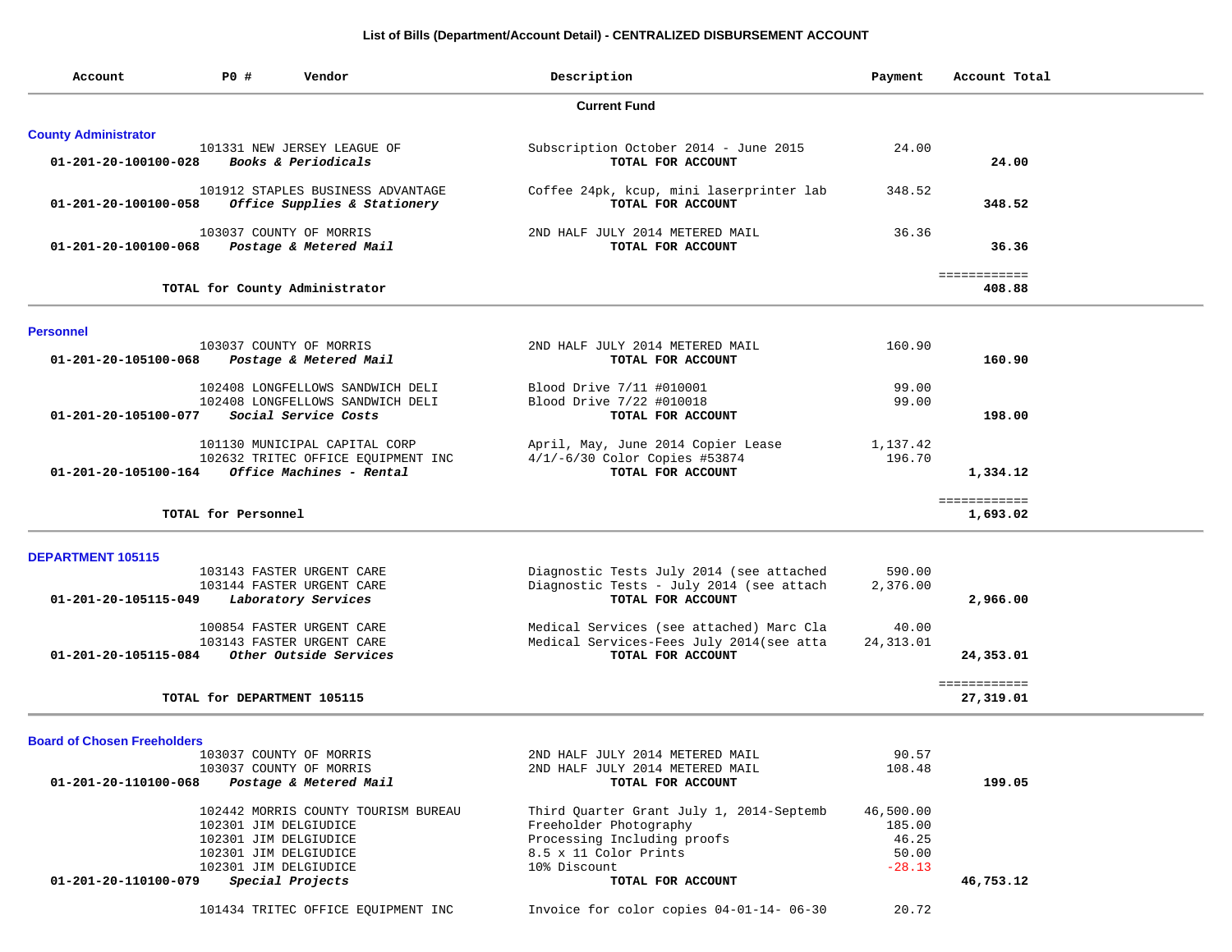## **List of Bills (Department/Account Detail) - CENTRALIZED DISBURSEMENT ACCOUNT**

| Account                            | P0 #<br>Vendor                                                    | Description                                                   | Payment    | Account Total             |
|------------------------------------|-------------------------------------------------------------------|---------------------------------------------------------------|------------|---------------------------|
|                                    |                                                                   | <b>Current Fund</b>                                           |            |                           |
| <b>County Administrator</b>        |                                                                   |                                                               |            |                           |
| 01-201-20-100100-028               | 101331 NEW JERSEY LEAGUE OF<br>Books & Periodicals                | Subscription October 2014 - June 2015<br>TOTAL FOR ACCOUNT    | 24.00      | 24.00                     |
| 01-201-20-100100-058               | 101912 STAPLES BUSINESS ADVANTAGE<br>Office Supplies & Stationery | Coffee 24pk, kcup, mini laserprinter lab<br>TOTAL FOR ACCOUNT | 348.52     | 348.52                    |
| 01-201-20-100100-068               | 103037 COUNTY OF MORRIS<br>Postage & Metered Mail                 | 2ND HALF JULY 2014 METERED MAIL<br>TOTAL FOR ACCOUNT          | 36.36      | 36.36                     |
|                                    | TOTAL for County Administrator                                    |                                                               |            | ============<br>408.88    |
| <b>Personnel</b>                   |                                                                   |                                                               |            |                           |
|                                    | 103037 COUNTY OF MORRIS                                           | 2ND HALF JULY 2014 METERED MAIL                               | 160.90     |                           |
| 01-201-20-105100-068               | Postage & Metered Mail                                            | TOTAL FOR ACCOUNT                                             |            | 160.90                    |
|                                    | 102408 LONGFELLOWS SANDWICH DELI                                  | Blood Drive 7/11 #010001                                      | 99.00      |                           |
|                                    | 102408 LONGFELLOWS SANDWICH DELI                                  | Blood Drive 7/22 #010018                                      | 99.00      |                           |
| 01-201-20-105100-077               | Social Service Costs                                              | TOTAL FOR ACCOUNT                                             |            | 198.00                    |
|                                    | 101130 MUNICIPAL CAPITAL CORP                                     | April, May, June 2014 Copier Lease                            | 1,137.42   |                           |
|                                    | 102632 TRITEC OFFICE EQUIPMENT INC                                | $4/1/-6/30$ Color Copies #53874                               | 196.70     |                           |
|                                    | $01 - 201 - 20 - 105100 - 164$ Office Machines - Rental           | TOTAL FOR ACCOUNT                                             |            | 1,334.12                  |
|                                    |                                                                   |                                                               |            | ============              |
|                                    | TOTAL for Personnel                                               |                                                               |            | 1,693.02                  |
| <b>DEPARTMENT 105115</b>           |                                                                   |                                                               |            |                           |
|                                    | 103143 FASTER URGENT CARE                                         | Diagnostic Tests July 2014 (see attached                      | 590.00     |                           |
|                                    | 103144 FASTER URGENT CARE                                         | Diagnostic Tests - July 2014 (see attach                      | 2,376.00   |                           |
| 01-201-20-105115-049               | Laboratory Services                                               | TOTAL FOR ACCOUNT                                             |            | 2,966.00                  |
|                                    | 100854 FASTER URGENT CARE                                         | Medical Services (see attached) Marc Cla                      | 40.00      |                           |
|                                    | 103143 FASTER URGENT CARE                                         | Medical Services-Fees July 2014(see atta                      | 24, 313.01 |                           |
| 01-201-20-105115-084               | Other Outside Services                                            | TOTAL FOR ACCOUNT                                             |            | 24,353.01                 |
|                                    | TOTAL for DEPARTMENT 105115                                       |                                                               |            | ============<br>27,319.01 |
|                                    |                                                                   |                                                               |            |                           |
| <b>Board of Chosen Freeholders</b> | 103037 COUNTY OF MORRIS                                           | 2ND HALF JULY 2014 METERED MAIL                               | 90.57      |                           |
|                                    | 103037 COUNTY OF MORRIS                                           | 2ND HALF JULY 2014 METERED MAIL                               | 108.48     |                           |
| 01-201-20-110100-068               | Postage & Metered Mail                                            | TOTAL FOR ACCOUNT                                             |            | 199.05                    |
|                                    | 102442 MORRIS COUNTY TOURISM BUREAU                               | Third Quarter Grant July 1, 2014-Septemb                      | 46,500.00  |                           |
|                                    | 102301 JIM DELGIUDICE                                             | Freeholder Photography                                        | 185.00     |                           |
|                                    | 102301 JIM DELGIUDICE                                             | Processing Including proofs                                   | 46.25      |                           |
|                                    | 102301 JIM DELGIUDICE                                             | 8.5 x 11 Color Prints                                         | 50.00      |                           |
|                                    | 102301 JIM DELGIUDICE                                             | 10% Discount                                                  | $-28.13$   |                           |
| 01-201-20-110100-079               | Special Projects                                                  | TOTAL FOR ACCOUNT                                             |            | 46,753.12                 |
|                                    | 101434 TRITEC OFFICE EQUIPMENT INC                                | Invoice for color copies 04-01-14- 06-30                      | 20.72      |                           |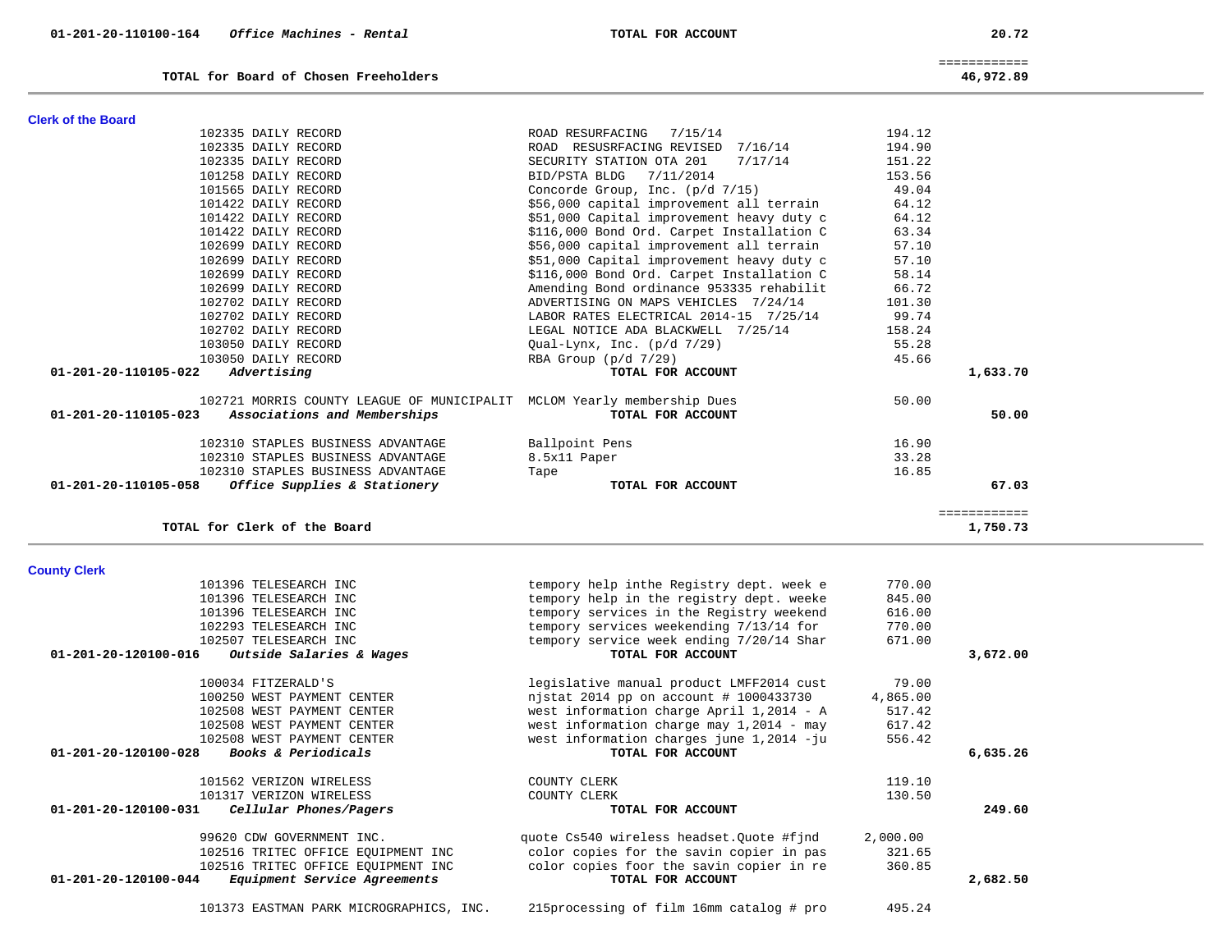|                                |                                         | $m$ coc $m$ nto that characteristic matrix $m$ |          |          |
|--------------------------------|-----------------------------------------|------------------------------------------------|----------|----------|
|                                | 102508 WEST PAYMENT CENTER              | west information charges june 1,2014 -ju       | 556.42   |          |
| $01 - 201 - 20 - 120100 - 028$ | Books & Periodicals                     | TOTAL FOR ACCOUNT                              |          | 6,635.26 |
|                                | 101562 VERIZON WIRELESS                 | COUNTY CLERK                                   | 119.10   |          |
|                                | 101317 VERIZON WIRELESS                 | COUNTY CLERK                                   | 130.50   |          |
| 01-201-20-120100-031           | Cellular Phones/Pagers                  | TOTAL FOR ACCOUNT                              |          | 249.60   |
|                                | 99620 CDW GOVERNMENT INC.               | quote Cs540 wireless headset. Ouote #find      | 2,000.00 |          |
|                                | 102516 TRITEC OFFICE EOUIPMENT INC      | color copies for the savin copier in pas       | 321.65   |          |
|                                | 102516 TRITEC OFFICE EQUIPMENT INC      | color copies foor the savin copier in re       | 360.85   |          |
| $01 - 201 - 20 - 120100 - 044$ | Equipment Service Agreements            | TOTAL FOR ACCOUNT                              |          | 2,682.50 |
|                                | 101373 EASTMAN PARK MICROGRAPHICS, INC. | 215 processing of film 16mm catalog # pro      | 495.24   |          |
|                                |                                         |                                                |          |          |

# **County Clerk**  101396 TELESEARCH INC tempory help inthe Registry dept. week e 770.00 101396 TELESEARCH INC tempory help in the registry dept. weeke 845.00 101396 TELESEARCH INC tempory services in the Registry weekend 616.00 102293 TELESEARCH INC tempory services weekending 7/13/14 for 770.00 102507 TELESEARCH INC tempory service week ending 7/20/14 Shar 671.00  **01-201-20-120100-016** *Outside Salaries & Wages* **TOTAL FOR ACCOUNT 3,672.00** 100034 FITZERALD'S legislative manual product LMFF2014 cust 79.00 100250 WEST PAYMENT CENTER njstat 2014 pp on account # 1000433730 4,865.00 102508 WEST PAYMENT CENTER west information charge April 1,2014 - A 517.42 west information charge may  $1,2014$  - may

**Clerk of the Board** 

| 101422 DAILY RECORD                               | \$56,000 capital improvement all terrain                                | 64.12  |          |
|---------------------------------------------------|-------------------------------------------------------------------------|--------|----------|
| 101422 DAILY RECORD                               | \$51,000 Capital improvement heavy duty c                               | 64.12  |          |
| 101422 DAILY RECORD                               | \$116,000 Bond Ord. Carpet Installation C                               | 63.34  |          |
| 102699 DAILY RECORD                               | \$56,000 capital improvement all terrain                                | 57.10  |          |
| 102699 DAILY RECORD                               | \$51,000 Capital improvement heavy duty c                               | 57.10  |          |
| 102699 DAILY RECORD                               | \$116,000 Bond Ord. Carpet Installation C                               | 58.14  |          |
| 102699 DAILY RECORD                               | Amending Bond ordinance 953335 rehabilit                                | 66.72  |          |
| 102702 DAILY RECORD                               | ADVERTISING ON MAPS VEHICLES 7/24/14                                    | 101.30 |          |
| 102702 DAILY RECORD                               | LABOR RATES ELECTRICAL 2014-15 7/25/14                                  | 99.74  |          |
| 102702 DAILY RECORD                               | LEGAL NOTICE ADA BLACKWELL 7/25/14                                      | 158.24 |          |
| 103050 DAILY RECORD                               | Oual-Lynx, Inc. $(p/d 7/29)$                                            | 55.28  |          |
| 103050 DAILY RECORD                               | RBA Group $(p/d \ 7/29)$                                                | 45.66  |          |
| $01 - 201 - 20 - 110105 - 022$ Advertising        | TOTAL FOR ACCOUNT                                                       |        | 1,633.70 |
|                                                   | 102721 MORRIS COUNTY LEAGUE OF MUNICIPALIT MCLOM Yearly membership Dues | 50.00  |          |
| 01-201-20-110105-023 Associations and Memberships | TOTAL FOR ACCOUNT                                                       |        | 50.00    |
| 102310 STAPLES BUSINESS ADVANTAGE                 | Ballpoint Pens                                                          | 16.90  |          |
| 102310 STAPLES BUSINESS ADVANTAGE                 | 8.5x11 Paper                                                            | 33.28  |          |
| 102310 STAPLES BUSINESS ADVANTAGE                 | Tape                                                                    | 16.85  |          |

 **01-201-20-110105-058** *Office Supplies & Stationery* **TOTAL FOR ACCOUNT 67.03**

**TOTAL for Clerk of the Board 1,750.73**

============

 102335 DAILY RECORD ROAD RESURFACING 7/15/14 194.12 102335 DAILY RECORD ROAD RESUSRFACING REVISED 7/16/14 194.90 102335 DAILY RECORD SECURITY STATION OTA 201 7/17/14 151.22 101258 DAILY RECORD BID/PSTA BLDG 7/11/2014 153.56 101565 DAILY RECORD Concorde Group, Inc. (p/d 7/15) 49.04

 ============ **TOTAL for Board of Chosen Freeholders 46,972.89**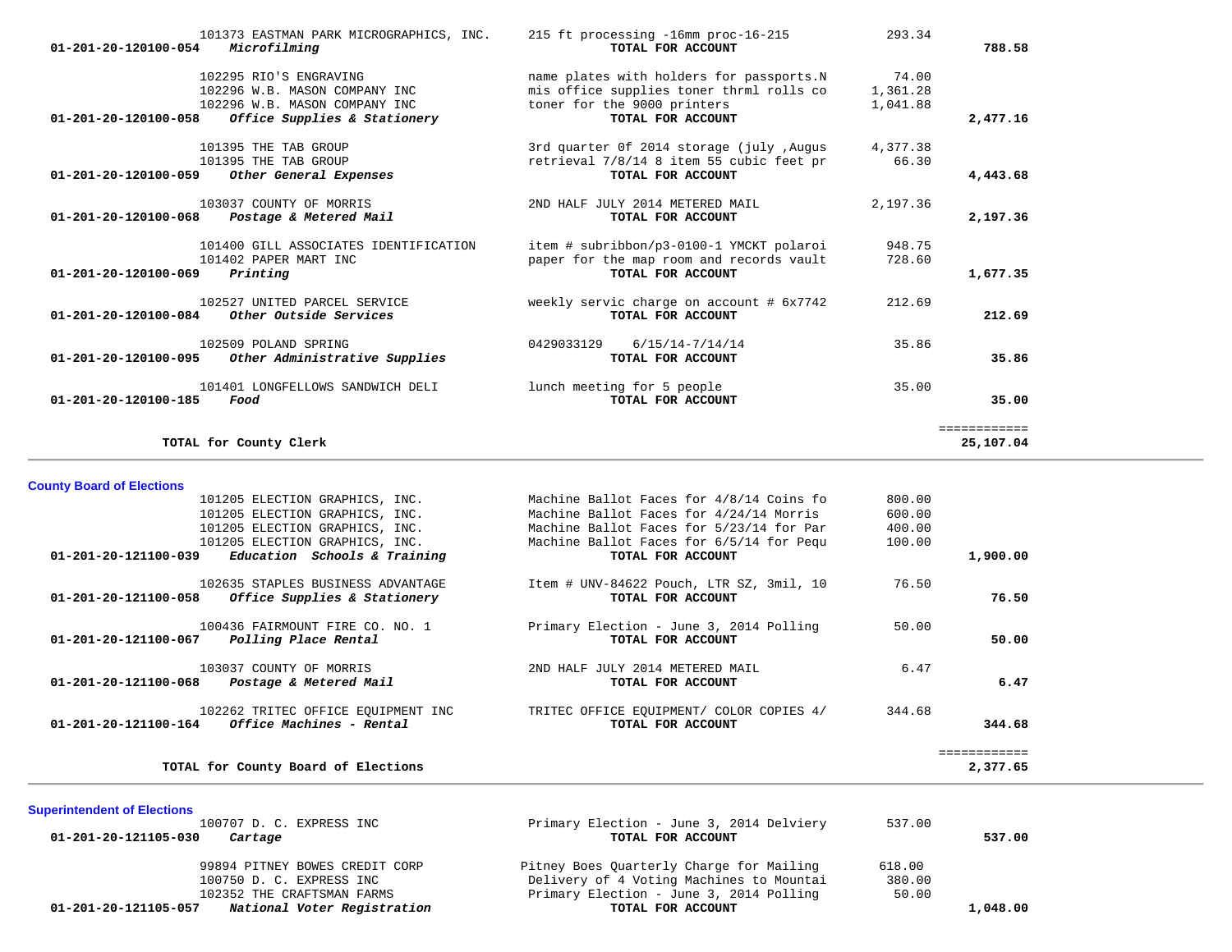| $01 - 201 - 20 - 120100 - 054$ | 101373 EASTMAN PARK MICROGRAPHICS, INC.<br>Microfilming                                                                  | 215 ft processing -16mm proc-16-215<br>TOTAL FOR ACCOUNT                                                                                 | 293.34                        | 788.58                    |
|--------------------------------|--------------------------------------------------------------------------------------------------------------------------|------------------------------------------------------------------------------------------------------------------------------------------|-------------------------------|---------------------------|
| 01-201-20-120100-058           | 102295 RIO'S ENGRAVING<br>102296 W.B. MASON COMPANY INC<br>102296 W.B. MASON COMPANY INC<br>Office Supplies & Stationery | name plates with holders for passports.N<br>mis office supplies toner thrml rolls co<br>toner for the 9000 printers<br>TOTAL FOR ACCOUNT | 74.00<br>1,361.28<br>1,041.88 | 2,477.16                  |
| $01 - 201 - 20 - 120100 - 059$ | 101395 THE TAB GROUP<br>101395 THE TAB GROUP<br>Other General Expenses                                                   | 3rd quarter Of 2014 storage (july, Augus<br>retrieval 7/8/14 8 item 55 cubic feet pr<br>TOTAL FOR ACCOUNT                                | 4,377.38<br>66.30             | 4,443.68                  |
| $01 - 201 - 20 - 120100 - 068$ | 103037 COUNTY OF MORRIS<br>Postage & Metered Mail                                                                        | 2ND HALF JULY 2014 METERED MAIL<br>TOTAL FOR ACCOUNT                                                                                     | 2,197.36                      | 2,197.36                  |
| 01-201-20-120100-069           | 101400 GILL ASSOCIATES IDENTIFICATION<br>101402 PAPER MART INC<br>Printing                                               | item # subribbon/p3-0100-1 YMCKT polaroi<br>paper for the map room and records vault<br>TOTAL FOR ACCOUNT                                | 948.75<br>728.60              | 1,677.35                  |
| 01-201-20-120100-084           | 102527 UNITED PARCEL SERVICE<br>Other Outside Services                                                                   | weekly servic charge on account # 6x7742<br>TOTAL FOR ACCOUNT                                                                            | 212.69                        | 212.69                    |
| 01-201-20-120100-095           | 102509 POLAND SPRING<br>Other Administrative Supplies                                                                    | 0429033129<br>$6/15/14 - 7/14/14$<br>TOTAL FOR ACCOUNT                                                                                   | 35.86                         | 35.86                     |
| $01 - 201 - 20 - 120100 - 185$ | 101401 LONGFELLOWS SANDWICH DELI<br>Food                                                                                 | lunch meeting for 5 people<br>TOTAL FOR ACCOUNT                                                                                          | 35.00                         | 35.00                     |
|                                | TOTAL for County Clerk                                                                                                   |                                                                                                                                          |                               | ============<br>25,107.04 |

**County Board of Elections**

| 101205 ELECTION GRAPHICS, INC.                   |                              | Machine Ballot Faces for 4/8/14 Coins fo | 800.00 |              |
|--------------------------------------------------|------------------------------|------------------------------------------|--------|--------------|
| 101205 ELECTION GRAPHICS, INC.                   |                              | Machine Ballot Faces for 4/24/14 Morris  | 600.00 |              |
| 101205 ELECTION GRAPHICS, INC.                   |                              | Machine Ballot Faces for 5/23/14 for Par | 400.00 |              |
| 101205 ELECTION GRAPHICS, INC.                   |                              | Machine Ballot Faces for 6/5/14 for Pequ | 100.00 |              |
| 01-201-20-121100-039                             | Education Schools & Training | TOTAL FOR ACCOUNT                        |        | 1,900.00     |
| 102635 STAPLES BUSINESS ADVANTAGE                |                              | Item # UNV-84622 Pouch, LTR SZ, 3mil, 10 | 76.50  |              |
| 01-201-20-121100-058                             | Office Supplies & Stationery | TOTAL FOR ACCOUNT                        |        | 76.50        |
| 100436 FAIRMOUNT FIRE CO. NO. 1                  |                              | Primary Election - June 3, 2014 Polling  | 50.00  |              |
| Polling Place Rental<br>01-201-20-121100-067     |                              | TOTAL FOR ACCOUNT                        |        | 50.00        |
| 103037 COUNTY OF MORRIS                          |                              | 2ND HALF JULY 2014 METERED MAIL          | 6.47   |              |
| 01-201-20-121100-068<br>Postage & Metered Mail   |                              | TOTAL FOR ACCOUNT                        |        | 6.47         |
| 102262 TRITEC OFFICE EOUIPMENT INC               |                              | TRITEC OFFICE EQUIPMENT/ COLOR COPIES 4/ | 344.68 |              |
| 01-201-20-121100-164<br>Office Machines - Rental |                              | TOTAL FOR ACCOUNT                        |        | 344.68       |
|                                                  |                              |                                          |        | ============ |
| TOTAL for County Board of Elections              |                              |                                          |        | 2,377.65     |

**Superintendent of Elections** 100707 D. C. EXPRESS INC Primary Election - June 3, 2014 Delviery 537.00  **01-201-20-121105-030** *Cartage* **TOTAL FOR ACCOUNT 537.00** 99894 PITNEY BOWES CREDIT CORP Pitney Boes Quarterly Charge for Mailing 618.00 100750 D. C. EXPRESS INC Delivery of 4 Voting Machines to Mountai 380.00 102352 THE CRAFTSMAN FARMS **Primary Election - June 3, 2014 Polling** 50.00<br>**7 National Voter Registration 100 SEAL FOR ACCOUNT 01-201-20-121105-057** *National Voter Registration* **TOTAL FOR ACCOUNT 1,048.00**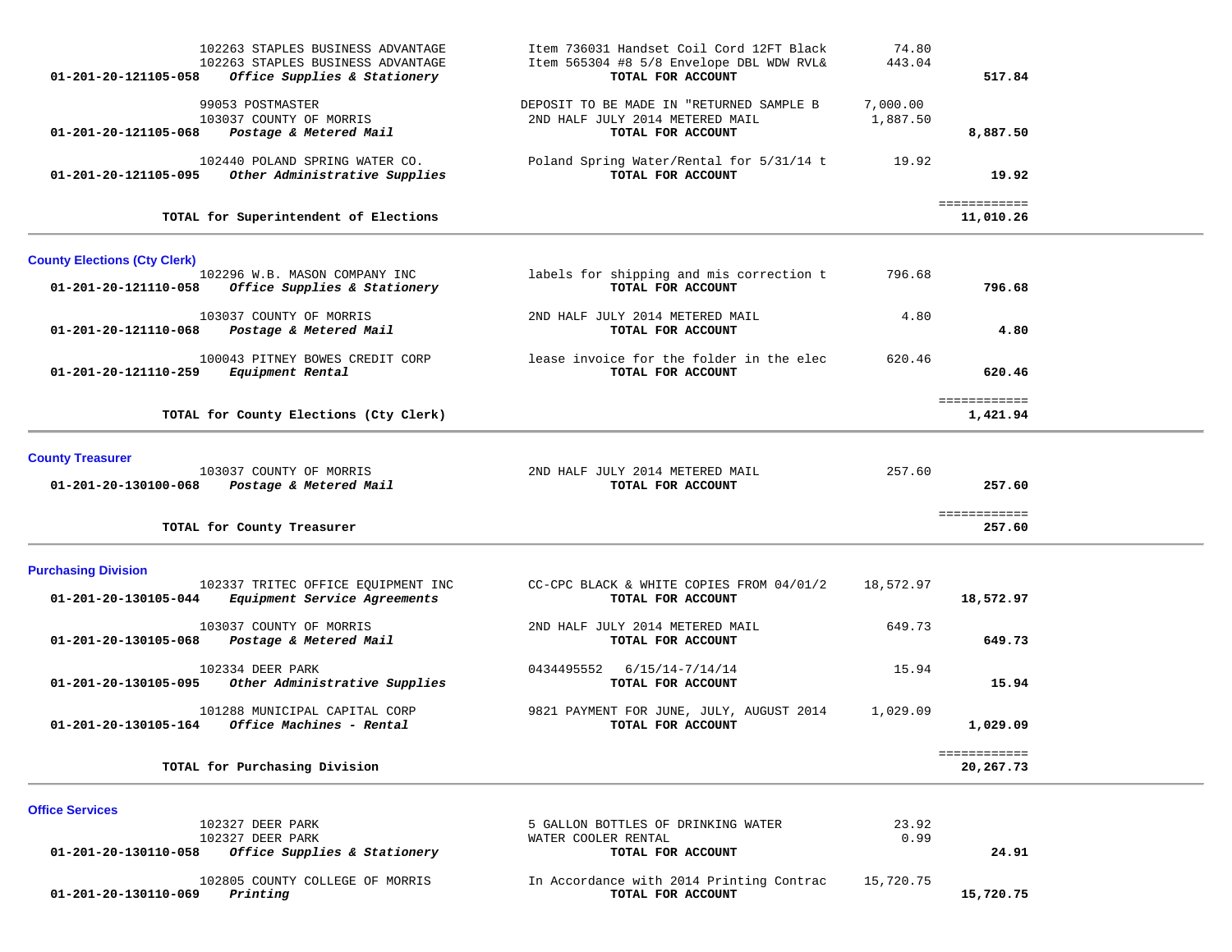| 01-201-20-121105-058                                        | 102263 STAPLES BUSINESS ADVANTAGE<br>102263 STAPLES BUSINESS ADVANTAGE<br>Office Supplies & Stationery | Item 736031 Handset Coil Cord 12FT Black<br>Item 565304 #8 5/8 Envelope DBL WDW RVL&<br>TOTAL FOR ACCOUNT | 74.80<br>443.04      | 517.84                    |  |
|-------------------------------------------------------------|--------------------------------------------------------------------------------------------------------|-----------------------------------------------------------------------------------------------------------|----------------------|---------------------------|--|
| 01-201-20-121105-068                                        | 99053 POSTMASTER<br>103037 COUNTY OF MORRIS<br>Postage & Metered Mail                                  | DEPOSIT TO BE MADE IN "RETURNED SAMPLE B<br>2ND HALF JULY 2014 METERED MAIL<br>TOTAL FOR ACCOUNT          | 7,000.00<br>1,887.50 | 8,887.50                  |  |
| 01-201-20-121105-095                                        | 102440 POLAND SPRING WATER CO.<br>Other Administrative Supplies                                        | Poland Spring Water/Rental for 5/31/14 t<br>TOTAL FOR ACCOUNT                                             | 19.92                | 19.92                     |  |
|                                                             | TOTAL for Superintendent of Elections                                                                  |                                                                                                           |                      | ============<br>11,010.26 |  |
| <b>County Elections (Cty Clerk)</b><br>01-201-20-121110-058 | 102296 W.B. MASON COMPANY INC<br>Office Supplies & Stationery                                          | labels for shipping and mis correction t<br>TOTAL FOR ACCOUNT                                             | 796.68               | 796.68                    |  |
| 01-201-20-121110-068                                        | 103037 COUNTY OF MORRIS<br>Postage & Metered Mail                                                      | 2ND HALF JULY 2014 METERED MAIL<br>TOTAL FOR ACCOUNT                                                      | 4.80                 | 4.80                      |  |
| 01-201-20-121110-259                                        | 100043 PITNEY BOWES CREDIT CORP<br>Equipment Rental                                                    | lease invoice for the folder in the elec<br>TOTAL FOR ACCOUNT                                             | 620.46               | 620.46                    |  |
|                                                             | TOTAL for County Elections (Cty Clerk)                                                                 |                                                                                                           |                      | ============<br>1,421.94  |  |
| <b>County Treasurer</b>                                     | 103037 COUNTY OF MORRIS<br>01-201-20-130100-068 Postage & Metered Mail                                 | 2ND HALF JULY 2014 METERED MAIL<br>TOTAL FOR ACCOUNT                                                      | 257.60               | 257.60                    |  |
|                                                             | TOTAL for County Treasurer                                                                             |                                                                                                           |                      | ============<br>257.60    |  |
| <b>Purchasing Division</b><br>01-201-20-130105-044          | 102337 TRITEC OFFICE EQUIPMENT INC<br>Equipment Service Agreements                                     | CC-CPC BLACK & WHITE COPIES FROM 04/01/2<br>TOTAL FOR ACCOUNT                                             | 18,572.97            | 18,572.97                 |  |
| 01-201-20-130105-068                                        | 103037 COUNTY OF MORRIS<br>Postage & Metered Mail                                                      | 2ND HALF JULY 2014 METERED MAIL<br>TOTAL FOR ACCOUNT                                                      | 649.73               | 649.73                    |  |
| 01-201-20-130105-095                                        | 102334 DEER PARK<br>Other Administrative Supplies                                                      | 0434495552 6/15/14-7/14/14<br>TOTAL FOR ACCOUNT                                                           | 15.94                | 15.94                     |  |
|                                                             | 101288 MUNICIPAL CAPITAL CORP<br>$01 - 201 - 20 - 130105 - 164$ Office Machines - Rental               | 9821 PAYMENT FOR JUNE, JULY, AUGUST 2014<br>TOTAL FOR ACCOUNT                                             | 1,029.09             | 1,029.09                  |  |
|                                                             | TOTAL for Purchasing Division                                                                          |                                                                                                           |                      | ============<br>20,267.73 |  |
| <b>Office Services</b>                                      | 102327 DEER PARK<br>$100227$ prop papy                                                                 | 5 GALLON BOTTLES OF DRINKING WATER<br>$1.72$ mmn $0.001$ mn nmarrow $T$                                   | 23.92<br>0.00        |                           |  |

| 102805 COUNTY COLLEGE OF MORRIS<br>Printing<br>01-201-20-130110-069 | In Accordance with 2014 Printing Contrac<br>TOTAL FOR ACCOUNT | 15,720.75 | 15,720.75 |
|---------------------------------------------------------------------|---------------------------------------------------------------|-----------|-----------|
| <i>Office Supplies &amp; Stationery</i><br>01-201-20-130110-058     | TOTAL FOR ACCOUNT                                             |           | 24.91     |
| 102327 DEER PARK                                                    | WATER COOLER RENTAL                                           | 0.99      |           |
| 104347 DEER PARA                                                    | CALLUN DUIILES UP DRINAING WAILR                              | 23.92     |           |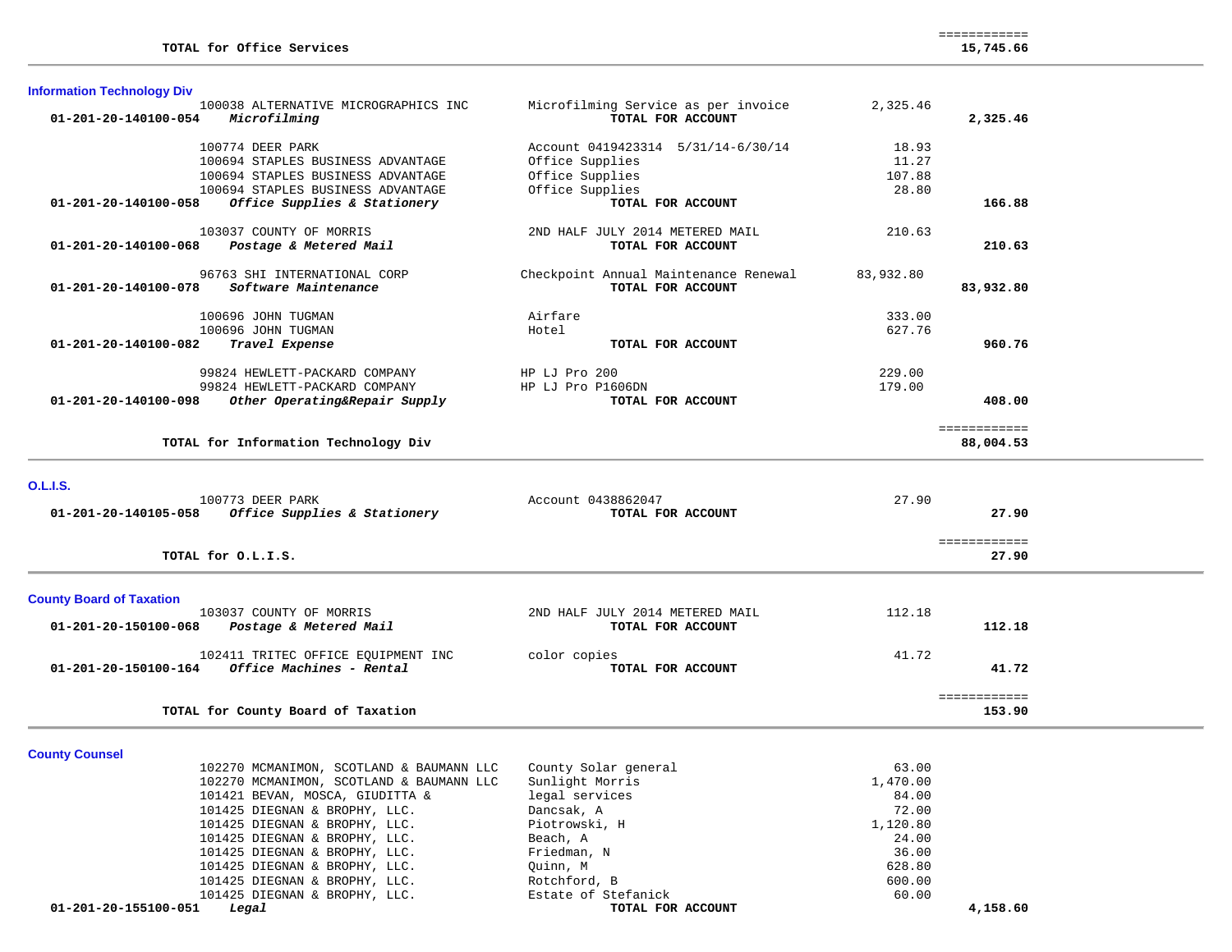| <b>Information Technology Div</b>                                            |                                                          |           |              |
|------------------------------------------------------------------------------|----------------------------------------------------------|-----------|--------------|
| 100038 ALTERNATIVE MICROGRAPHICS INC<br>Microfilming<br>01-201-20-140100-054 | Microfilming Service as per invoice<br>TOTAL FOR ACCOUNT | 2,325.46  | 2,325.46     |
| 100774 DEER PARK                                                             | Account 0419423314 5/31/14-6/30/14                       | 18.93     |              |
| 100694 STAPLES BUSINESS ADVANTAGE                                            | Office Supplies                                          | 11.27     |              |
| 100694 STAPLES BUSINESS ADVANTAGE                                            | Office Supplies                                          | 107.88    |              |
| 100694 STAPLES BUSINESS ADVANTAGE                                            | Office Supplies                                          | 28.80     |              |
| 01-201-20-140100-058<br>Office Supplies & Stationery                         | TOTAL FOR ACCOUNT                                        |           | 166.88       |
| 103037 COUNTY OF MORRIS                                                      | 2ND HALF JULY 2014 METERED MAIL                          | 210.63    |              |
| 01-201-20-140100-068<br>Postage & Metered Mail                               | TOTAL FOR ACCOUNT                                        |           | 210.63       |
| 96763 SHI INTERNATIONAL CORP                                                 | Checkpoint Annual Maintenance Renewal                    | 83,932.80 |              |
| 01-201-20-140100-078<br>Software Maintenance                                 | TOTAL FOR ACCOUNT                                        |           | 83,932.80    |
| 100696 JOHN TUGMAN                                                           | Airfare                                                  | 333.00    |              |
| 100696 JOHN TUGMAN                                                           | Hotel                                                    | 627.76    |              |
| 01-201-20-140100-082<br>Travel Expense                                       | TOTAL FOR ACCOUNT                                        |           | 960.76       |
| 99824 HEWLETT-PACKARD COMPANY                                                | $HP$ LJ $Pro$ 200                                        | 229.00    |              |
| 99824 HEWLETT-PACKARD COMPANY                                                | HP LJ Pro P1606DN                                        | 179.00    |              |
| 01-201-20-140100-098<br>Other Operating&Repair Supply                        | TOTAL FOR ACCOUNT                                        |           | 408.00       |
|                                                                              |                                                          |           | :=========== |
| TOTAL for Information Technology Div                                         |                                                          |           | 88,004.53    |

**O.L.I.S.** 

| 100773 DEER PARK                                        | Account 0438862047              | 27.90        |  |
|---------------------------------------------------------|---------------------------------|--------------|--|
| Office Supplies & Stationery<br>01-201-20-140105-058    | TOTAL FOR ACCOUNT               | 27.90        |  |
|                                                         |                                 |              |  |
|                                                         |                                 |              |  |
| TOTAL for O.L.I.S.                                      |                                 | 27.90        |  |
|                                                         |                                 |              |  |
|                                                         |                                 |              |  |
| <b>County Board of Taxation</b>                         |                                 |              |  |
| 103037 COUNTY OF MORRIS                                 | 2ND HALF JULY 2014 METERED MAIL | 112.18       |  |
| 01-201-20-150100-068<br>Postage & Metered Mail          | TOTAL FOR ACCOUNT               | 112.18       |  |
|                                                         |                                 |              |  |
| 102411 TRITEC OFFICE EQUIPMENT INC                      | color copies                    | 41.72        |  |
| <i>Office Machines - Rental</i><br>01-201-20-150100-164 | TOTAL FOR ACCOUNT               | 41.72        |  |
|                                                         |                                 |              |  |
|                                                         |                                 | ------------ |  |
| TOTAL for County Board of Taxation                      |                                 | 153.90       |  |
|                                                         |                                 |              |  |

**County Counsel** 

| 102270 MCMANIMON, SCOTLAND & BAUMANN LLC | County Solar general | 63.00    |
|------------------------------------------|----------------------|----------|
| 102270 MCMANIMON, SCOTLAND & BAUMANN LLC | Sunlight Morris      | 1,470.00 |
| 101421 BEVAN, MOSCA, GIUDITTA &          | legal services       | 84.00    |
| 101425 DIEGNAN & BROPHY, LLC.            | Dancsak, A           | 72.00    |
| 101425 DIEGNAN & BROPHY, LLC.            | Piotrowski, H        | 1,120.80 |
| 101425 DIEGNAN & BROPHY, LLC.            | Beach, A             | 24.00    |
| 101425 DIEGNAN & BROPHY, LLC.            | Friedman, N          | 36.00    |
| 101425 DIEGNAN & BROPHY, LLC.            | Ouinn, M             | 628.80   |
| 101425 DIEGNAN & BROPHY, LLC.            | Rotchford, B         | 600.00   |
| 101425 DIEGNAN & BROPHY, LLC.            | Estate of Stefanick  | 60.00    |
| 01-201-20-155100-051<br>Legal            | TOTAL FOR ACCOUNT    | 4,158.60 |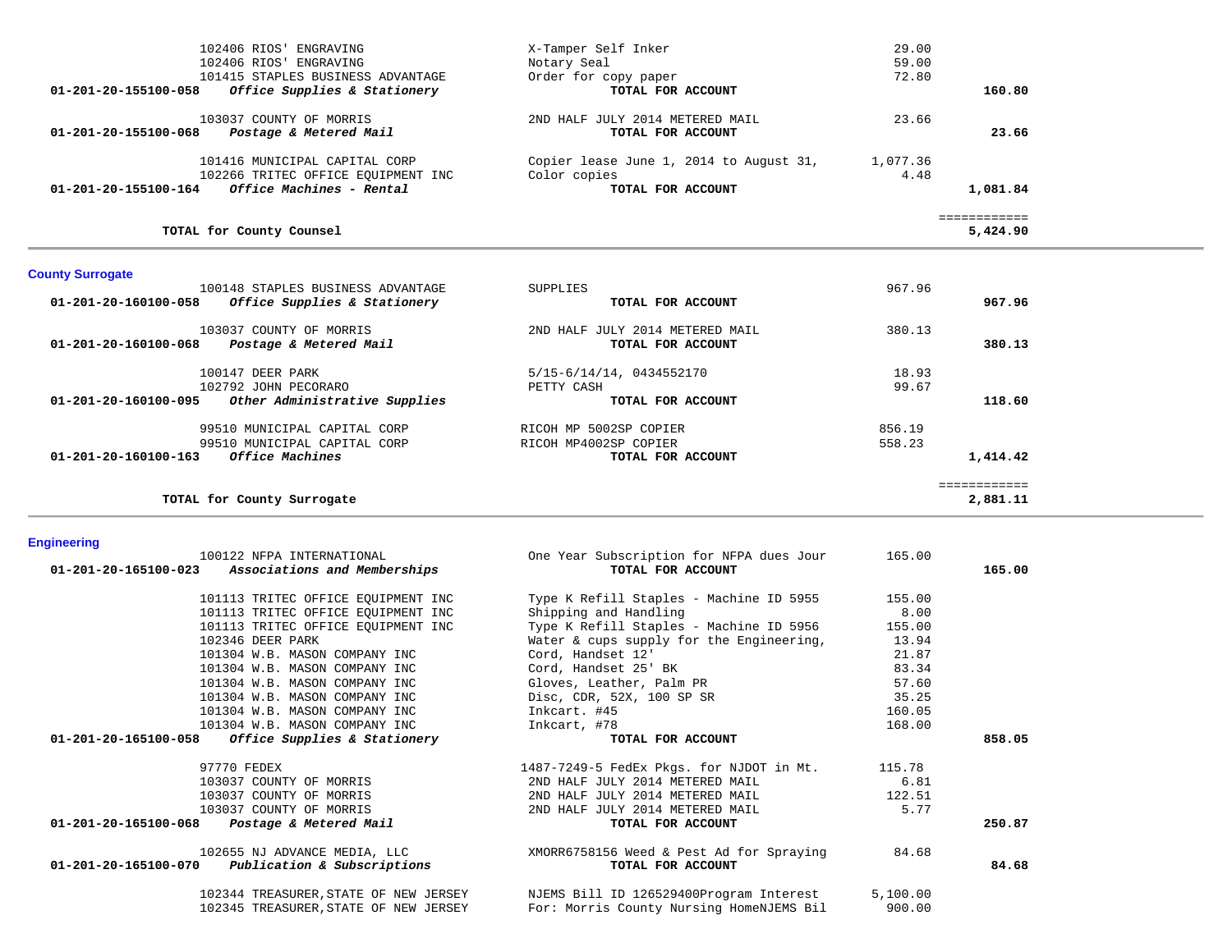| 102406 RIOS' ENGRAVING                               | X-Tamper Self Inker                     | 29.00    |              |
|------------------------------------------------------|-----------------------------------------|----------|--------------|
| 102406 RIOS' ENGRAVING                               | Notary Seal                             | 59.00    |              |
| 101415 STAPLES BUSINESS ADVANTAGE                    | Order for copy paper                    | 72.80    |              |
| 01-201-20-155100-058<br>Office Supplies & Stationery | TOTAL FOR ACCOUNT                       |          | 160.80       |
| 103037 COUNTY OF MORRIS                              | 2ND HALF JULY 2014 METERED MAIL         | 23.66    |              |
| 01-201-20-155100-068<br>Postage & Metered Mail       | TOTAL FOR ACCOUNT                       |          | 23.66        |
| 101416 MUNICIPAL CAPITAL CORP                        | Copier lease June 1, 2014 to August 31, | 1,077.36 |              |
| 102266 TRITEC OFFICE EQUIPMENT INC                   | Color copies                            | 4.48     |              |
| Office Machines - Rental<br>01-201-20-155100-164     | TOTAL FOR ACCOUNT                       |          | 1,081.84     |
|                                                      |                                         |          | ============ |
| TOTAL for County Counsel                             |                                         |          | 5,424.90     |

# **County Surrogate**

| 100148 STAPLES BUSINESS ADVANTAGE                        | SUPPLIES                        | 967.96       |  |
|----------------------------------------------------------|---------------------------------|--------------|--|
| 01-201-20-160100-058<br>Office Supplies & Stationery     | TOTAL FOR ACCOUNT               | 967.96       |  |
| 103037 COUNTY OF MORRIS                                  | 2ND HALF JULY 2014 METERED MAIL | 380.13       |  |
| 01-201-20-160100-068<br>Postage & Metered Mail           | TOTAL FOR ACCOUNT               | 380.13       |  |
| 100147 DEER PARK                                         | 5/15-6/14/14, 0434552170        | 18.93        |  |
| 102792 JOHN PECORARO                                     | PETTY CASH                      | 99.67        |  |
| Other Administrative Supplies<br>01-201-20-160100-095    | TOTAL FOR ACCOUNT               | 118.60       |  |
| 99510 MUNICIPAL CAPITAL CORP                             | RICOH MP 5002SP COPIER          | 856.19       |  |
| 99510 MUNICIPAL CAPITAL CORP                             | RICOH MP4002SP COPIER           | 558.23       |  |
| <i>Office Machines</i><br>$01 - 201 - 20 - 160100 - 163$ | TOTAL FOR ACCOUNT               | 1,414.42     |  |
|                                                          |                                 | ------------ |  |
| TOTAL for County Surrogate                               |                                 | 2,881.11     |  |

## **Engineering**

| 100122 NFPA INTERNATIONAL<br>01-201-20-165100-023 Associations and Memberships | One Year Subscription for NFPA dues Jour<br>TOTAL FOR ACCOUNT | 165.00   | 165.00 |
|--------------------------------------------------------------------------------|---------------------------------------------------------------|----------|--------|
| 101113 TRITEC OFFICE EQUIPMENT INC                                             | Type K Refill Staples - Machine ID 5955                       | 155.00   |        |
| 101113 TRITEC OFFICE EQUIPMENT INC                                             | Shipping and Handling                                         | 8.00     |        |
| 101113 TRITEC OFFICE EQUIPMENT INC                                             | Type K Refill Staples - Machine ID 5956                       | 155.00   |        |
| 102346 DEER PARK                                                               | Water & cups supply for the Engineering,                      | 13.94    |        |
| 101304 W.B. MASON COMPANY INC                                                  | Cord, Handset 12'                                             | 21.87    |        |
| 101304 W.B. MASON COMPANY INC                                                  | Cord, Handset 25' BK                                          | 83.34    |        |
| 101304 W.B. MASON COMPANY INC                                                  | Gloves, Leather, Palm PR                                      | 57.60    |        |
| 101304 W.B. MASON COMPANY INC                                                  | Disc, CDR, 52X, 100 SP SR                                     | 35.25    |        |
| 101304 W.B. MASON COMPANY INC                                                  | Inkcart. #45                                                  | 160.05   |        |
| 101304 W.B. MASON COMPANY INC                                                  | Inkcart, #78                                                  | 168.00   |        |
|                                                                                |                                                               |          |        |
| $01-201-20-165100-058$ Office Supplies & Stationery                            | TOTAL FOR ACCOUNT                                             |          | 858.05 |
| 97770 FEDEX                                                                    | 1487-7249-5 FedEx Pkgs. for NJDOT in Mt.                      | 115.78   |        |
| 103037 COUNTY OF MORRIS                                                        | 2ND HALF JULY 2014 METERED MAIL                               | 6.81     |        |
| 103037 COUNTY OF MORRIS                                                        | 2ND HALF JULY 2014 METERED MAIL                               | 122.51   |        |
| 103037 COUNTY OF MORRIS                                                        | 2ND HALF JULY 2014 METERED MAIL                               | 5.77     |        |
| 01-201-20-165100-068 Postage & Metered Mail                                    | TOTAL FOR ACCOUNT                                             |          | 250.87 |
| 102655 NJ ADVANCE MEDIA, LLC                                                   | XMORR6758156 Weed & Pest Ad for Spraying                      | 84.68    |        |
| $01-201-20-165100-070$ Publication & Subscriptions                             | TOTAL FOR ACCOUNT                                             |          | 84.68  |
| 102344 TREASURER, STATE OF NEW JERSEY                                          | NJEMS Bill ID 126529400Program Interest                       | 5,100.00 |        |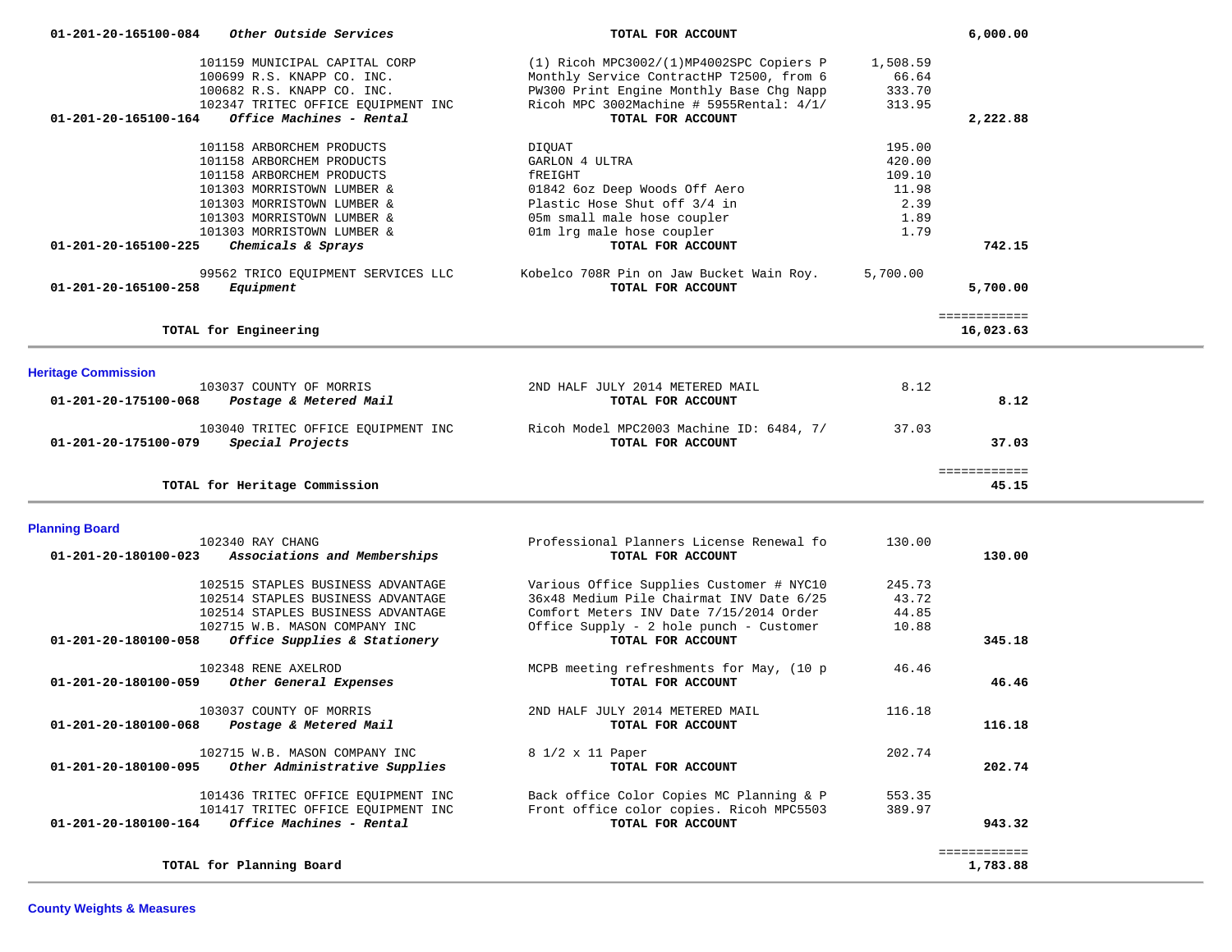| 01-201-20-165100-084<br><i>Other Outside Services</i>                                                                                                                                                                                                     |                                     | TOTAL FOR ACCOUNT                                                                                                                                                              |                                                             | 6,000.00                  |  |
|-----------------------------------------------------------------------------------------------------------------------------------------------------------------------------------------------------------------------------------------------------------|-------------------------------------|--------------------------------------------------------------------------------------------------------------------------------------------------------------------------------|-------------------------------------------------------------|---------------------------|--|
| 101159 MUNICIPAL CAPITAL CORP<br>100699 R.S. KNAPP CO. INC.<br>100682 R.S. KNAPP CO. INC.<br>102347 TRITEC OFFICE EQUIPMENT INC                                                                                                                           |                                     | (1) Ricoh MPC3002/(1)MP4002SPC Copiers P<br>Monthly Service ContractHP T2500, from 6<br>PW300 Print Engine Monthly Base Chg Napp<br>Ricoh MPC 3002Machine # 5955Rental: $4/1/$ | 1,508.59<br>66.64<br>333.70<br>313.95                       |                           |  |
| Office Machines - Rental<br>01-201-20-165100-164                                                                                                                                                                                                          |                                     | TOTAL FOR ACCOUNT                                                                                                                                                              |                                                             | 2,222.88                  |  |
| 101158 ARBORCHEM PRODUCTS<br>101158 ARBORCHEM PRODUCTS<br>101158 ARBORCHEM PRODUCTS<br>101303 MORRISTOWN LUMBER &<br>101303 MORRISTOWN LUMBER &<br>101303 MORRISTOWN LUMBER &<br>101303 MORRISTOWN LUMBER &<br>01-201-20-165100-225<br>Chemicals & Sprays | DIQUAT<br>GARLON 4 ULTRA<br>fREIGHT | 01842 6oz Deep Woods Off Aero<br>Plastic Hose Shut off 3/4 in<br>05m small male hose coupler<br>01m lrg male hose coupler<br>TOTAL FOR ACCOUNT                                 | 195.00<br>420.00<br>109.10<br>11.98<br>2.39<br>1.89<br>1.79 | 742.15                    |  |
| 99562 TRICO EQUIPMENT SERVICES LLC<br>01-201-20-165100-258<br>Equipment                                                                                                                                                                                   |                                     | Kobelco 708R Pin on Jaw Bucket Wain Roy.<br>TOTAL FOR ACCOUNT                                                                                                                  | 5,700.00                                                    | 5,700.00                  |  |
| TOTAL for Engineering                                                                                                                                                                                                                                     |                                     |                                                                                                                                                                                |                                                             | ============<br>16,023.63 |  |
| <b>Heritage Commission</b>                                                                                                                                                                                                                                |                                     |                                                                                                                                                                                |                                                             |                           |  |
| 103037 COUNTY OF MORRIS<br>Postage & Metered Mail<br>01-201-20-175100-068                                                                                                                                                                                 |                                     | 2ND HALF JULY 2014 METERED MAIL<br>TOTAL FOR ACCOUNT                                                                                                                           | 8.12                                                        | 8.12                      |  |
| 103040 TRITEC OFFICE EQUIPMENT INC<br>Special Projects<br>01-201-20-175100-079                                                                                                                                                                            |                                     | Ricoh Model MPC2003 Machine ID: 6484, 7/<br>TOTAL FOR ACCOUNT                                                                                                                  | 37.03                                                       | 37.03                     |  |
| TOTAL for Heritage Commission                                                                                                                                                                                                                             |                                     |                                                                                                                                                                                |                                                             | ============<br>45.15     |  |
| <b>Planning Board</b>                                                                                                                                                                                                                                     |                                     |                                                                                                                                                                                |                                                             |                           |  |
| 102340 RAY CHANG<br>Associations and Memberships<br>01-201-20-180100-023                                                                                                                                                                                  |                                     | Professional Planners License Renewal fo<br>TOTAL FOR ACCOUNT                                                                                                                  | 130.00                                                      | 130.00                    |  |
| 102515 STAPLES BUSINESS ADVANTAGE                                                                                                                                                                                                                         |                                     | Various Office Supplies Customer # NYC10                                                                                                                                       | 245.73                                                      |                           |  |
| 102514 STAPLES BUSINESS ADVANTAGE<br>102514 STAPLES BUSINESS ADVANTAGE                                                                                                                                                                                    |                                     | 36x48 Medium Pile Chairmat INV Date 6/25<br>Comfort Meters INV Date 7/15/2014 Order                                                                                            | 43.72<br>44.85                                              |                           |  |
| 102715 W.B. MASON COMPANY INC<br>Office Supplies & Stationery<br>01-201-20-180100-058                                                                                                                                                                     |                                     | Office Supply - 2 hole punch - Customer<br>TOTAL FOR ACCOUNT                                                                                                                   | 10.88                                                       | 345.18                    |  |
| 102348 RENE AXELROD<br>Other General Expenses<br>01-201-20-180100-059                                                                                                                                                                                     |                                     | MCPB meeting refreshments for May, (10 p<br>TOTAL FOR ACCOUNT                                                                                                                  | 46.46                                                       | 46.46                     |  |
| 103037 COUNTY OF MORRIS<br>01-201-20-180100-068<br>Postage & Metered Mail                                                                                                                                                                                 |                                     | 2ND HALF JULY 2014 METERED MAIL<br>TOTAL FOR ACCOUNT                                                                                                                           | 116.18                                                      | 116.18                    |  |
| 102715 W.B. MASON COMPANY INC<br>Other Administrative Supplies<br>01-201-20-180100-095                                                                                                                                                                    |                                     | 8 1/2 x 11 Paper<br>TOTAL FOR ACCOUNT                                                                                                                                          | 202.74                                                      | 202.74                    |  |
| 101436 TRITEC OFFICE EQUIPMENT INC<br>101417 TRITEC OFFICE EQUIPMENT INC<br>Office Machines - Rental<br>01-201-20-180100-164                                                                                                                              |                                     | Back office Color Copies MC Planning & P<br>Front office color copies. Ricoh MPC5503<br>TOTAL FOR ACCOUNT                                                                      | 553.35<br>389.97                                            | 943.32                    |  |
|                                                                                                                                                                                                                                                           |                                     |                                                                                                                                                                                |                                                             |                           |  |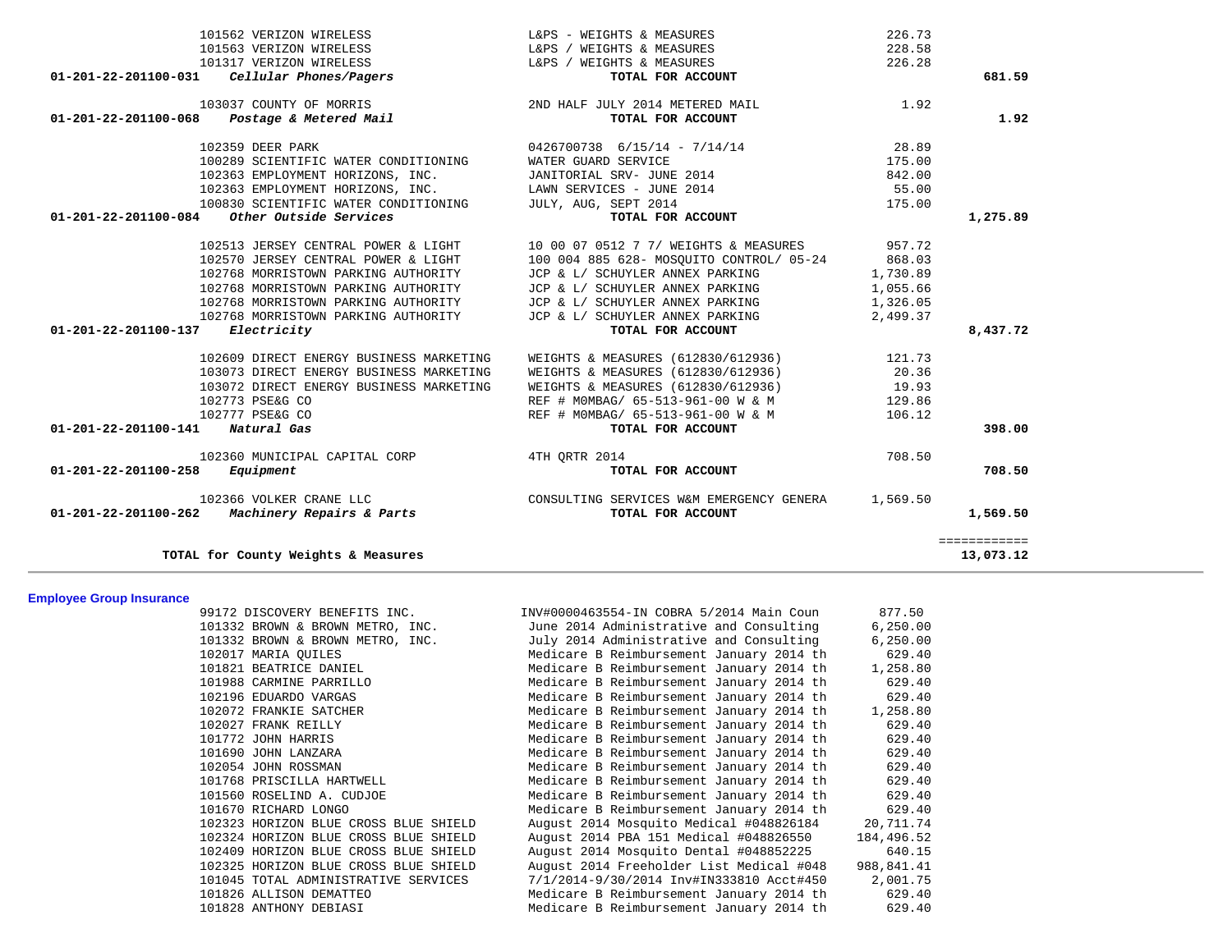| 101562 VERIZON WIRELESS                           | L&PS - WEIGHTS & MEASURES                | 226.73   |              |
|---------------------------------------------------|------------------------------------------|----------|--------------|
| 101563 VERIZON WIRELESS                           | L&PS / WEIGHTS & MEASURES                | 228.58   |              |
| 101317 VERIZON WIRELESS                           | L&PS / WEIGHTS & MEASURES                | 226.28   |              |
| Cellular Phones/Pagers<br>01-201-22-201100-031    | TOTAL FOR ACCOUNT                        |          | 681.59       |
| 103037 COUNTY OF MORRIS                           | 2ND HALF JULY 2014 METERED MAIL          | 1.92     |              |
| Postage & Metered Mail<br>01-201-22-201100-068    | TOTAL FOR ACCOUNT                        |          | 1.92         |
| 102359 DEER PARK                                  | $0426700738$ 6/15/14 - 7/14/14           | 28.89    |              |
| 100289 SCIENTIFIC WATER CONDITIONING              | WATER GUARD SERVICE                      | 175.00   |              |
| 102363 EMPLOYMENT HORIZONS, INC.                  | JANITORIAL SRV- JUNE 2014                | 842.00   |              |
| 102363 EMPLOYMENT HORIZONS, INC.                  | LAWN SERVICES - JUNE 2014                | 55.00    |              |
| 100830 SCIENTIFIC WATER CONDITIONING              | JULY, AUG, SEPT 2014                     | 175.00   |              |
| 01-201-22-201100-084<br>Other Outside Services    | TOTAL FOR ACCOUNT                        |          | 1,275.89     |
| 102513 JERSEY CENTRAL POWER & LIGHT               | 10 00 07 0512 7 7/ WEIGHTS & MEASURES    | 957.72   |              |
| 102570 JERSEY CENTRAL POWER & LIGHT               | 100 004 885 628- MOSOUITO CONTROL/ 05-24 | 868.03   |              |
| 102768 MORRISTOWN PARKING AUTHORITY               | JCP & L/ SCHUYLER ANNEX PARKING          | 1,730.89 |              |
| 102768 MORRISTOWN PARKING AUTHORITY               | JCP & L/ SCHUYLER ANNEX PARKING          | 1,055.66 |              |
| 102768 MORRISTOWN PARKING AUTHORITY               | JCP & L/ SCHUYLER ANNEX PARKING          | 1,326.05 |              |
| 102768 MORRISTOWN PARKING AUTHORITY               | JCP & L/ SCHUYLER ANNEX PARKING          | 2,499.37 |              |
| 01-201-22-201100-137<br>Electricity               | TOTAL FOR ACCOUNT                        |          | 8,437.72     |
| 102609 DIRECT ENERGY BUSINESS MARKETING           | WEIGHTS & MEASURES (612830/612936)       | 121.73   |              |
| 103073 DIRECT ENERGY BUSINESS MARKETING           | WEIGHTS & MEASURES (612830/612936)       | 20.36    |              |
| 103072 DIRECT ENERGY BUSINESS MARKETING           | WEIGHTS & MEASURES (612830/612936)       | 19.93    |              |
| 102773 PSE&G CO                                   | REF # MOMBAG/ 65-513-961-00 W & M        | 129.86   |              |
| 102777 PSE&G CO                                   | REF # MOMBAG/ 65-513-961-00 W & M        | 106.12   |              |
| 01-201-22-201100-141<br>Natural Gas               | TOTAL FOR ACCOUNT                        |          | 398.00       |
| 102360 MUNICIPAL CAPITAL CORP                     | 4TH ORTR 2014                            | 708.50   |              |
| 01-201-22-201100-258<br>Equipment                 | TOTAL FOR ACCOUNT                        |          | 708.50       |
| 102366 VOLKER CRANE LLC                           | CONSULTING SERVICES W&M EMERGENCY GENERA | 1,569.50 |              |
| Machinery Repairs & Parts<br>01-201-22-201100-262 | TOTAL FOR ACCOUNT                        |          | 1,569.50     |
|                                                   |                                          |          | ============ |
| TOTAL for County Weights & Measures               |                                          |          | 13,073.12    |

# **Employee Group Insurance**

| 99172 DISCOVERY BENEFITS INC.         | INV#0000463554-IN COBRA 5/2014 Main Coun          | 877.50     |
|---------------------------------------|---------------------------------------------------|------------|
| 101332 BROWN & BROWN METRO, INC.      | June 2014 Administrative and Consulting           | 6, 250.00  |
| 101332 BROWN & BROWN METRO, INC.      | July 2014 Administrative and Consulting           | 6, 250.00  |
| 102017 MARIA OUILES                   | Medicare B Reimbursement January 2014 th          | 629.40     |
| 101821 BEATRICE DANIEL                | Medicare B Reimbursement January 2014 th          | 1,258.80   |
| 101988 CARMINE PARRILLO               | Medicare B Reimbursement January 2014 th          | 629.40     |
| 102196 EDUARDO VARGAS                 | Medicare B Reimbursement January 2014 th          | 629.40     |
| 102072 FRANKIE SATCHER                | Medicare B Reimbursement January 2014 th          | 1,258.80   |
| 102027 FRANK REILLY                   | Medicare B Reimbursement January 2014 th          | 629.40     |
| 101772 JOHN HARRIS                    | Medicare B Reimbursement January 2014 th          | 629.40     |
| 101690 JOHN LANZARA                   | Medicare B Reimbursement January 2014 th          | 629.40     |
| 102054 JOHN ROSSMAN                   | Medicare B Reimbursement January 2014 th          | 629.40     |
| 101768 PRISCILLA HARTWELL             | Medicare B Reimbursement January 2014 th          | 629.40     |
| 101560 ROSELIND A. CUDJOE             | Medicare B Reimbursement January 2014 th          | 629.40     |
| 101670 RICHARD LONGO                  | Medicare B Reimbursement January 2014 th          | 629.40     |
| 102323 HORIZON BLUE CROSS BLUE SHIELD | August 2014 Mosquito Medical #048826184           | 20,711.74  |
| 102324 HORIZON BLUE CROSS BLUE SHIELD | August 2014 PBA 151 Medical #048826550            | 184,496.52 |
| 102409 HORIZON BLUE CROSS BLUE SHIELD | August 2014 Mosquito Dental #048852225            | 640.15     |
| 102325 HORIZON BLUE CROSS BLUE SHIELD | August 2014 Freeholder List Medical #048          | 988,841.41 |
| 101045 TOTAL ADMINISTRATIVE SERVICES  | 7/1/2014-9/30/2014 Inv#IN333810 Acct#450 2,001.75 |            |
| 101826 ALLISON DEMATTEO               | Medicare B Reimbursement January 2014 th          | 629.40     |
| 101828 ANTHONY DEBIASI                | Medicare B Reimbursement January 2014 th          | 629.40     |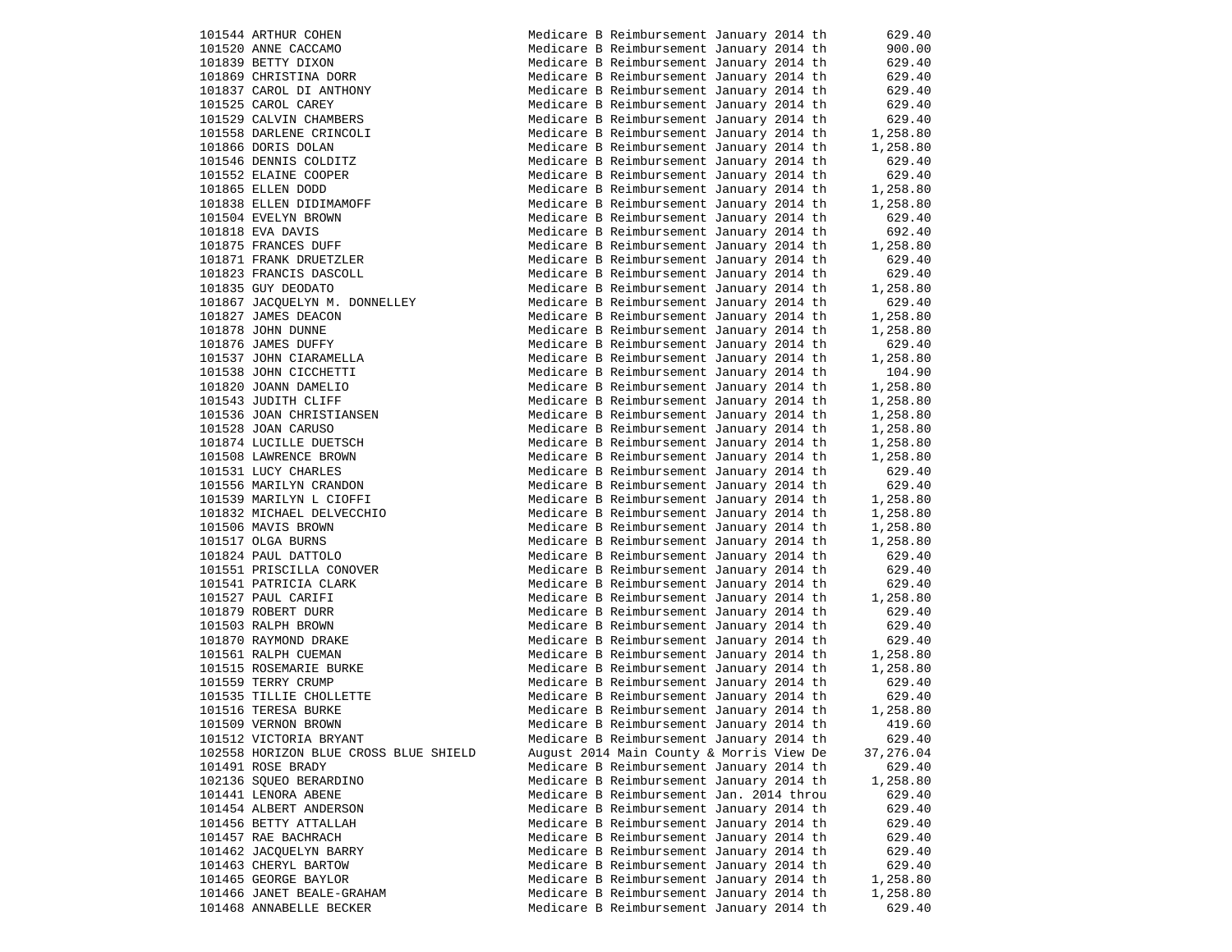101544 ARTHUR COHEN 101520 ANNE CACCAMO 101839 BETTY DIXON 101869 CHRISTINA DORR 101837 CAROL DI ANTHONY 101525 CAROL CAREY 101529 CALVIN CHAMBERS 101558 DARLENE CRINCOLI 101866 DORIS DOLAN 101546 DENNIS COLDITZ 101552 ELAINE COOPER 101865 ELLEN DODD 101838 ELLEN DIDIMAMOFF 101504 EVELYN BROWN 101818 EVA DAVIS 101875 FRANCES DUFF 101871 FRANK DRUETZLER 101823 FRANCIS DASCOLL 101835 GUY DEODATO 101867 JACQUELYN M. DONNELLEY 101827 JAMES DEACON 101878 JOHN DUNNE 101876 JAMES DUFFY 101537 JOHN CIARAMELLA 101538 JOHN CICCHETTI 101820 JOANN DAMELIO 101543 JUDITH CLIFF Medicare B Reimbursement January 2014 th 1,258.80 101536 JOAN CHRISTIANSEN 101528 JOAN CARUSO Medicare B Reimbursement January 2014 th 1,258.80 101874 LUCILLE DUETSCH 101508 LAWRENCE BROWN 101531 LUCY CHARLES 101556 MARILYN CRANDON 101539 MARILYN L CIOFFI 101832 MICHAEL DELVECCHIO 101506 MAVIS BROWN 101517 OLGA BURNS 101824 PAUL DATTOLO 101551 PRISCILLA CONOVER 101541 PATRICIA CLARK 101527 PAUL CARIFI 101879 ROBERT DURR 101503 RALPH BROWN 101870 RAYMOND DRAKE 101561 RALPH CUEMAN 101515 ROSEMARIE BURKE 101559 TERRY CRUMP 101535 TILLIE CHOLLETTE 101516 TERESA BURKE 101509 VERNON BROWN 101512 VICTORIA BRYANT 102558 HORIZON BLUE CROSS BLUE SHIELD 101491 ROSE BRADY 102136 SOUEO BERARDINO 101441 LENORA ABENE 101454 ALBERT ANDERSON 101456 BETTY ATTALLAH 101457 RAE BACHRACH 101462 JACQUELYN BARRY 101463 CHERYL BARTOW 101465 GEORGE BAYLOR 101466 JANET BEALE-GRAHAM 101468 ANNABELLE BECKER

|  | Medicare B Reimbursement January 2014 th                                             |  | 629.40               |
|--|--------------------------------------------------------------------------------------|--|----------------------|
|  | Medicare B Reimbursement January 2014 th                                             |  | 900.00               |
|  | Medicare B Reimbursement January 2014 th                                             |  | 629.40               |
|  | Medicare B Reimbursement January 2014 th                                             |  | 629.40               |
|  | Medicare B Reimbursement January 2014 th                                             |  | 629.40               |
|  | Medicare B Reimbursement January 2014 th                                             |  | 629.40               |
|  | Medicare B Reimbursement January 2014 th                                             |  | 629.40               |
|  | Medicare B Reimbursement January 2014 th                                             |  | 1,258.80             |
|  | Medicare B Reimbursement January 2014 th                                             |  | 1,258.80             |
|  | Medicare B Reimbursement January 2014 th                                             |  | 629.40               |
|  | Medicare B Reimbursement January 2014 th                                             |  | 629.40               |
|  | Medicare B Reimbursement January 2014 th                                             |  | 1,258.80             |
|  | Medicare B Reimbursement January 2014 th                                             |  | 1,258.80             |
|  | Medicare B Reimbursement January 2014 th                                             |  | 629.40               |
|  | Medicare B Reimbursement January 2014 th                                             |  | 692.40               |
|  | Medicare B Reimbursement January 2014 th                                             |  | 1,258.80             |
|  | Medicare B Reimbursement January 2014 th                                             |  | 629.40               |
|  | Medicare B Reimbursement January 2014 th                                             |  | 629.40               |
|  | Medicare B Reimbursement January 2014 th                                             |  | 1,258.80             |
|  | Medicare B Reimbursement January 2014 th                                             |  | 629.40               |
|  | Medicare B Reimbursement January 2014 th                                             |  | 1,258.80             |
|  | Medicare B Reimbursement January 2014 th                                             |  | 1,258.80             |
|  |                                                                                      |  | 629.40               |
|  | Medicare B Reimbursement January 2014 th                                             |  |                      |
|  | Medicare B Reimbursement January 2014 th<br>Medicare B Reimbursement January 2014 th |  | 1,258.80<br>104.90   |
|  |                                                                                      |  |                      |
|  | Medicare B Reimbursement January 2014 th                                             |  | 1,258.80             |
|  | Medicare B Reimbursement January 2014 th                                             |  | 1,258.80<br>1,258.80 |
|  | Medicare B Reimbursement January 2014 th<br>Medicare B Reimbursement January 2014 th |  | 1,258.80             |
|  |                                                                                      |  |                      |
|  | Medicare B Reimbursement January 2014 th                                             |  | 1,258.80             |
|  | Medicare B Reimbursement January 2014 th                                             |  | 1,258.80             |
|  | Medicare B Reimbursement January 2014 th                                             |  | 629.40               |
|  | Medicare B Reimbursement January 2014 th                                             |  | 629.40               |
|  | Medicare B Reimbursement January 2014 th                                             |  | 1,258.80             |
|  | Medicare B Reimbursement January 2014 th                                             |  | 1,258.80             |
|  | Medicare B Reimbursement January 2014 th                                             |  | 1,258.80             |
|  | Medicare B Reimbursement January 2014 th                                             |  | 1,258.80             |
|  | Medicare B Reimbursement January 2014 th                                             |  | 629.40               |
|  | Medicare B Reimbursement January 2014 th                                             |  | 629.40               |
|  | Medicare B Reimbursement January 2014 th                                             |  | 629.40               |
|  | Medicare B Reimbursement January 2014 th                                             |  | 1,258.80             |
|  | Medicare B Reimbursement January 2014 th                                             |  | 629.40               |
|  | Medicare B Reimbursement January 2014 th                                             |  | 629.40               |
|  | Medicare B Reimbursement January 2014 th                                             |  | 629.40               |
|  | Medicare B Reimbursement January 2014 th                                             |  | 1,258.80             |
|  | Medicare B Reimbursement January 2014 th                                             |  | 1,258.80             |
|  | Medicare B Reimbursement January 2014 th                                             |  | 629.40               |
|  | Medicare B Reimbursement January 2014 th                                             |  | 629.40               |
|  | Medicare B Reimbursement January 2014 th                                             |  | 1,258.80             |
|  | Medicare B Reimbursement January 2014 th                                             |  | 419.60               |
|  | Medicare B Reimbursement January 2014 th                                             |  | 629.40               |
|  | August 2014 Main County & Morris View De                                             |  | 37,276.04            |
|  | Medicare B Reimbursement January 2014 th                                             |  | 629.40               |
|  | Medicare B Reimbursement January 2014 th                                             |  | 1,258.80             |
|  | Medicare B Reimbursement Jan. 2014 throu                                             |  | 629.40               |
|  | Medicare B Reimbursement January 2014 th                                             |  | 629.40               |
|  | Medicare B Reimbursement January 2014 th                                             |  | 629.40               |
|  | Medicare B Reimbursement January 2014 th                                             |  | 629.40               |
|  | Medicare B Reimbursement January 2014 th                                             |  | 629.40               |
|  | Medicare B Reimbursement January 2014 th                                             |  | 629.40               |
|  | Medicare B Reimbursement January 2014 th                                             |  | 1,258.80             |
|  | Medicare B Reimbursement January 2014 th                                             |  | 1,258.80             |
|  | Medicare B Reimbursement January 2014 th                                             |  | 629.40               |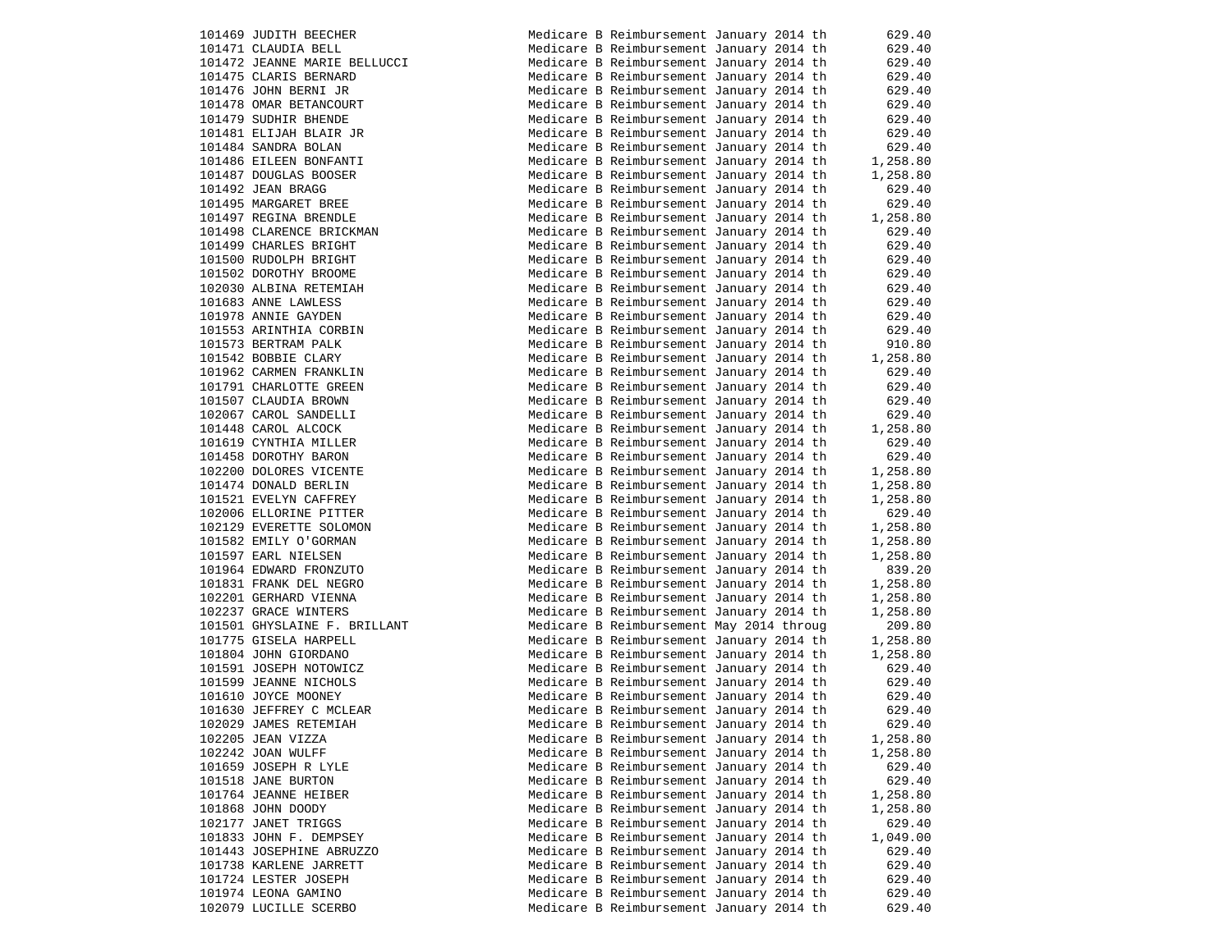|        | 101469 JUDITH BEECHER                          |
|--------|------------------------------------------------|
|        | 101471 CLAUDIA BELL                            |
|        | 101472 JEANNE MARIE BELLUCCI                   |
|        | 101475 CLARIS BERNARD                          |
|        | 101476 JOHN BERNI JR                           |
|        | 101478 OMAR BETANCOURT                         |
|        | 101479 SUDHIR BHENDE                           |
|        | 101481 ELIJAH BLAIR JR                         |
|        | 101484 SANDRA BOLAN                            |
|        | 101486 EILEEN BONFANTI                         |
|        | 101487 DOUGLAS BOOSER                          |
|        | 101492 JEAN BRAGG                              |
|        | 101495 MARGARET BREE                           |
|        | 101497 REGINA BRENDLE                          |
|        | 101498 CLARENCE BRICKMAN                       |
|        | 101499 CHARLES BRIGHT                          |
|        | 101500 RUDOLPH BRIGHT                          |
|        | 101502 DOROTHY BROOME                          |
|        | 102030 ALBINA RETEMIAH                         |
|        | 101683 ANNE LAWLESS                            |
|        | 101978 ANNIE GAYDEN                            |
|        |                                                |
|        | 101553 ARINTHIA CORBIN<br>101573 BERTRAM PALK  |
|        | 101542 BOBBIE CLARY                            |
|        |                                                |
|        | 101962 CARMEN FRANKLIN                         |
|        | 101791 CHARLOTTE GREEN                         |
|        | 101507 CLAUDIA BROWN<br>102067 CAROL SANDELLI  |
|        |                                                |
|        | 101448 CAROL ALCOCK                            |
|        | 101619 CYNTHIA MILLER                          |
|        | 101458 DOROTHY BARON<br>102200 DOLORES VICENTE |
|        | 101474 DONALD BERLIN                           |
|        | 101521 EVELYN CAFFREY                          |
|        | 102006 ELLORINE PITTER                         |
|        | 102129 EVERETTE SOLOMON                        |
|        | 101582 EMILY O'GORMAN                          |
|        | 101597 EARL NIELSEN                            |
|        | 101964 EDWARD FRONZUTO                         |
|        | 101831 FRANK DEL NEGRO                         |
|        | 102201 GERHARD VIENNA                          |
|        | 102237 GRACE WINTERS                           |
|        |                                                |
|        | 101501 GHYSLAINE F. BRILLANT                   |
|        | 101775 GISELA HARPELL<br>101804 JOHN GIORDANO  |
|        |                                                |
|        | 101591 JOSEPH NOTOWICZ                         |
|        | 101599 JEANNE NICHOLS                          |
|        | 101610 JOYCE MOONEY                            |
|        | 101630 JEFFREY C MCLEAR                        |
|        | 102029 JAMES RETEMIAH                          |
|        | 102205 JEAN VIZZA                              |
|        | 102242 JOAN WULFF                              |
|        | 101659 JOSEPH R LYLE                           |
|        | 101518 JANE BURTON                             |
|        | 101764 JEANNE HEIBER                           |
|        | 101868 JOHN DOODY                              |
|        | 102177 JANET TRIGGS                            |
| 101833 | JOHN F. DEMPSEY                                |
|        | 101443 JOSEPHINE ABRUZZO                       |
|        | 101738 KARLENE JARRETT                         |
|        | 101724 LESTER JOSEPH                           |
|        | 101974 LEONA GAMINO                            |
|        | 102079 LUCILLE SCERBO                          |

| 101469 JUDITH BEECHER        | Medicare B Reimbursement January 2014 th | 629.40   |
|------------------------------|------------------------------------------|----------|
| 101471 CLAUDIA BELL          | Medicare B Reimbursement January 2014 th | 629.40   |
| 101472 JEANNE MARIE BELLUCCI | Medicare B Reimbursement January 2014 th | 629.40   |
| 101475 CLARIS BERNARD        | Medicare B Reimbursement January 2014 th | 629.40   |
| 101476 JOHN BERNI JR         | Medicare B Reimbursement January 2014 th | 629.40   |
| 101478 OMAR BETANCOURT       | Medicare B Reimbursement January 2014 th | 629.40   |
| 101479 SUDHIR BHENDE         | Medicare B Reimbursement January 2014 th | 629.40   |
| 101481 ELIJAH BLAIR JR       | Medicare B Reimbursement January 2014 th | 629.40   |
| 101484 SANDRA BOLAN          | Medicare B Reimbursement January 2014 th | 629.40   |
| 101486 EILEEN BONFANTI       | Medicare B Reimbursement January 2014 th | 1,258.80 |
| 101487 DOUGLAS BOOSER        | Medicare B Reimbursement January 2014 th | 1,258.80 |
| 101492 JEAN BRAGG            | Medicare B Reimbursement January 2014 th | 629.40   |
| 101495 MARGARET BREE         | Medicare B Reimbursement January 2014 th | 629.40   |
| 101497 REGINA BRENDLE        | Medicare B Reimbursement January 2014 th | 1,258.80 |
| 101498 CLARENCE BRICKMAN     | Medicare B Reimbursement January 2014 th | 629.40   |
| 101499 CHARLES BRIGHT        | Medicare B Reimbursement January 2014 th | 629.40   |
| 101500 RUDOLPH BRIGHT        | Medicare B Reimbursement January 2014 th | 629.40   |
| 101502 DOROTHY BROOME        | Medicare B Reimbursement January 2014 th | 629.40   |
| 102030 ALBINA RETEMIAH       | Medicare B Reimbursement January 2014 th | 629.40   |
| 101683 ANNE LAWLESS          | Medicare B Reimbursement January 2014 th | 629.40   |
| 101978 ANNIE GAYDEN          | Medicare B Reimbursement January 2014 th | 629.40   |
| 101553 ARINTHIA CORBIN       | Medicare B Reimbursement January 2014 th | 629.40   |
| 101573 BERTRAM PALK          | Medicare B Reimbursement January 2014 th | 910.80   |
| 101542 BOBBIE CLARY          | Medicare B Reimbursement January 2014 th | 1,258.80 |
| 101962 CARMEN FRANKLIN       | Medicare B Reimbursement January 2014 th | 629.40   |
| 101791 CHARLOTTE GREEN       | Medicare B Reimbursement January 2014 th | 629.40   |
| 101507 CLAUDIA BROWN         | Medicare B Reimbursement January 2014 th | 629.40   |
| 102067 CAROL SANDELLI        | Medicare B Reimbursement January 2014 th | 629.40   |
| 101448 CAROL ALCOCK          | Medicare B Reimbursement January 2014 th | 1,258.80 |
| 101619 CYNTHIA MILLER        | Medicare B Reimbursement January 2014 th | 629.40   |
| 101458 DOROTHY BARON         | Medicare B Reimbursement January 2014 th | 629.40   |
| 102200 DOLORES VICENTE       | Medicare B Reimbursement January 2014 th | 1,258.80 |
| 101474 DONALD BERLIN         | Medicare B Reimbursement January 2014 th | 1,258.80 |
|                              |                                          |          |
| 101521 EVELYN CAFFREY        | Medicare B Reimbursement January 2014 th | 1,258.80 |
| 102006 ELLORINE PITTER       | Medicare B Reimbursement January 2014 th | 629.40   |
| 102129 EVERETTE SOLOMON      | Medicare B Reimbursement January 2014 th | 1,258.80 |
| 101582 EMILY O'GORMAN        | Medicare B Reimbursement January 2014 th | 1,258.80 |
| 101597 EARL NIELSEN          | Medicare B Reimbursement January 2014 th | 1,258.80 |
| 101964 EDWARD FRONZUTO       | Medicare B Reimbursement January 2014 th | 839.20   |
| 101831 FRANK DEL NEGRO       | Medicare B Reimbursement January 2014 th | 1,258.80 |
| 102201 GERHARD VIENNA        | Medicare B Reimbursement January 2014 th | 1,258.80 |
| 102237 GRACE WINTERS         | Medicare B Reimbursement January 2014 th | 1,258.80 |
| 101501 GHYSLAINE F. BRILLANT | Medicare B Reimbursement May 2014 throug | 209.80   |
| 101775 GISELA HARPELL        | Medicare B Reimbursement January 2014 th | 1,258.80 |
| 101804 JOHN GIORDANO         | Medicare B Reimbursement January 2014 th | 1,258.80 |
| 101591 JOSEPH NOTOWICZ       | Medicare B Reimbursement January 2014 th | 629.40   |
| 101599 JEANNE NICHOLS        | Medicare B Reimbursement January 2014 th | 629.40   |
| 101610 JOYCE MOONEY          | Medicare B Reimbursement January 2014 th | 629.40   |
| 101630 JEFFREY C MCLEAR      | Medicare B Reimbursement January 2014 th | 629.40   |
| 102029 JAMES RETEMIAH        | Medicare B Reimbursement January 2014 th | 629.40   |
| 102205 JEAN VIZZA            | Medicare B Reimbursement January 2014 th | 1,258.80 |
| 102242 JOAN WULFF            | Medicare B Reimbursement January 2014 th | 1,258.80 |
| 101659 JOSEPH R LYLE         | Medicare B Reimbursement January 2014 th | 629.40   |
| 101518 JANE BURTON           | Medicare B Reimbursement January 2014 th | 629.40   |
| 101764 JEANNE HEIBER         | Medicare B Reimbursement January 2014 th | 1,258.80 |
| 101868 JOHN DOODY            | Medicare B Reimbursement January 2014 th | 1,258.80 |
| 102177 JANET TRIGGS          | Medicare B Reimbursement January 2014 th | 629.40   |
| 101833 JOHN F. DEMPSEY       | Medicare B Reimbursement January 2014 th | 1,049.00 |
| 101443 JOSEPHINE ABRUZZO     | Medicare B Reimbursement January 2014 th | 629.40   |
| 101738 KARLENE JARRETT       | Medicare B Reimbursement January 2014 th | 629.40   |
| 101724 LESTER JOSEPH         | Medicare B Reimbursement January 2014 th | 629.40   |
| 101974 LEONA GAMINO          | Medicare B Reimbursement January 2014 th | 629.40   |
| 102079 LUCILLE SCERBO        | Medicare B Reimbursement January 2014 th | 629.40   |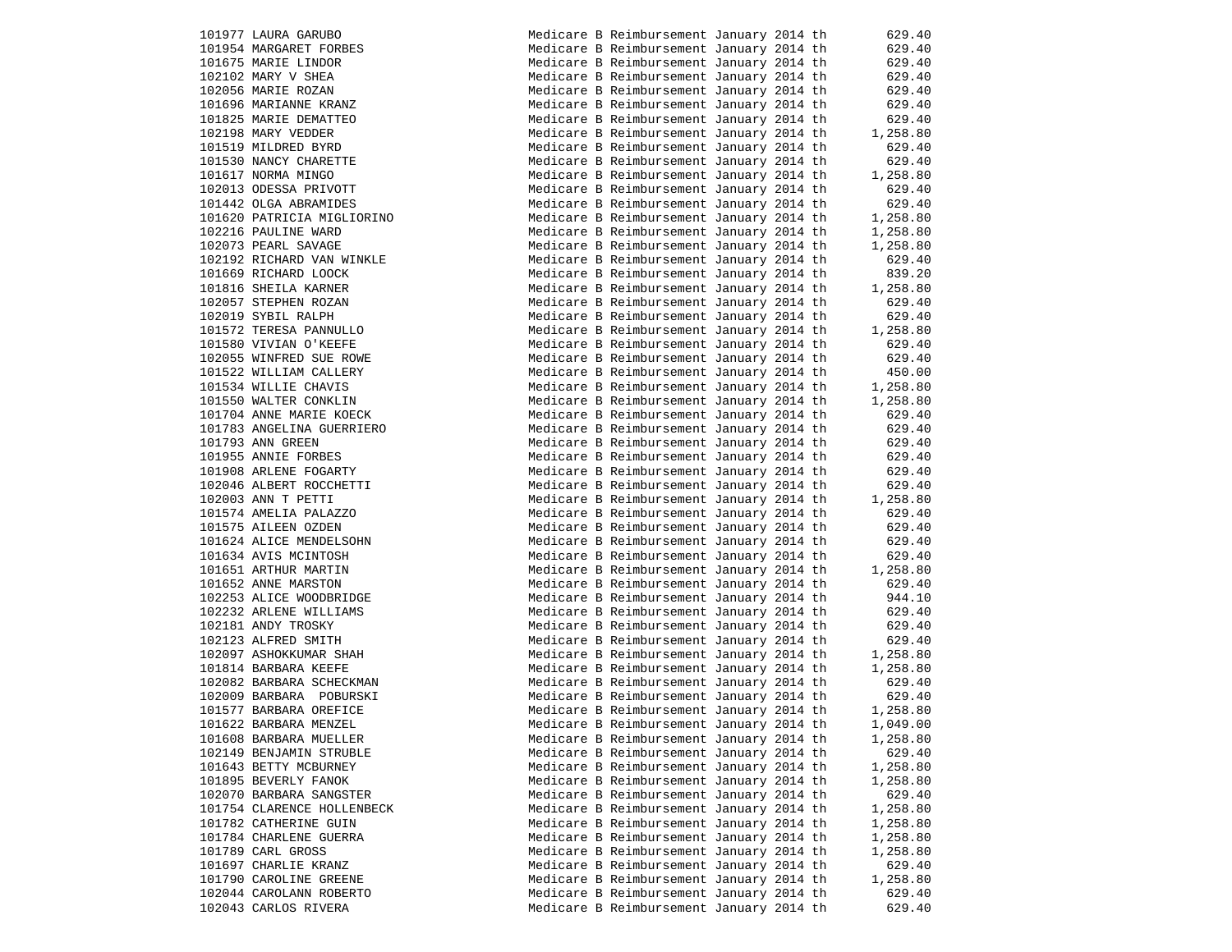101977 LAURA GARUBO 101954 MARGARET FORBES 101675 MARIE LINDOR 102102 MARY V SHEA 102056 MARIE ROZAN 101696 MARIANNE KRANZ 101825 MARIE DEMATTEO 102198 MARY VEDDER 101519 MILDRED BYRD 101530 NANCY CHARETTE 101617 NORMA MINGO 102013 ODESSA PRIVOTT 101442 OLGA ABRAMIDES 101620 PATRICIA MIGLIORINO 102216 PAULINE WARD 102073 PEARL SAVAGE 102192 RICHARD VAN WINKLE 101669 RICHARD LOOCK 101816 SHEILA KARNER 102057 STEPHEN ROZAN 102019 SYBIL RALPH 101572 TERESA PANNULLO Medicare B Reimbursement January 2014 th 1,258.80 101580 VIVIAN O'KEEFE 102055 WINFRED SUE ROWE 101522 WILLIAM CALLERY 101534 WILLIE CHAVIS 101550 WALTER CONKLIN 101704 ANNE MARIE KOECK 101783 ANGELINA GUERRIERO 101793 ANN GREEN 101955 ANNIE FORBES 101908 ARLENE FOGARTY 102046 ALBERT ROCCHETTI 102003 ANN T PETTI 101574 AMELIA PALAZZO 101575 AILEEN OZDEN 101624 ALICE MENDELSOHN 101634 AVIS MCINTOSH 101651 ARTHUR MARTIN 101652 ANNE MARSTON 102253 ALICE WOODBRIDGE 102232 ARLENE WILLIAMS 102181 ANDY TROSKY 102123 ALFRED SMITH 102097 ASHOKKUMAR SHAH 101814 BARBARA KEEFE 102082 BARBARA SCHECKMAN 102009 BARBARA POBURSKI 101577 BARBARA OREFICE 101622 BARBARA MENZEL 101608 BARBARA MUELLER 102149 BENJAMIN STRUBLE 101643 BETTY MCBURNEY 101895 BEVERLY FANOK 102070 BARBARA SANGSTER 101754 CLARENCE HOLLENBECK 101782 CATHERINE GUIN 101784 CHARLENE GUERRA 101789 CARL GROSS 101697 CHARLIE KRANZ 101790 CAROLINE GREENE 102044 CAROLANN ROBERTO 102043 CARLOS RIVERA

|  | Medicare B Reimbursement January 2014 th |  | 629.40   |
|--|------------------------------------------|--|----------|
|  | Medicare B Reimbursement January 2014 th |  | 629.40   |
|  | Medicare B Reimbursement January 2014 th |  | 629.40   |
|  | Medicare B Reimbursement January 2014 th |  | 629.40   |
|  | Medicare B Reimbursement January 2014 th |  | 629.40   |
|  | Medicare B Reimbursement January 2014 th |  | 629.40   |
|  | Medicare B Reimbursement January 2014 th |  | 629.40   |
|  | Medicare B Reimbursement January 2014 th |  | 1,258.80 |
|  | Medicare B Reimbursement January 2014 th |  | 629.40   |
|  | Medicare B Reimbursement January 2014 th |  | 629.40   |
|  | Medicare B Reimbursement January 2014 th |  | 1,258.80 |
|  | Medicare B Reimbursement January 2014 th |  | 629.40   |
|  | Medicare B Reimbursement January 2014 th |  | 629.40   |
|  | Medicare B Reimbursement January 2014 th |  | 1,258.80 |
|  | Medicare B Reimbursement January 2014 th |  | 1,258.80 |
|  | Medicare B Reimbursement January 2014 th |  | 1,258.80 |
|  | Medicare B Reimbursement January 2014 th |  | 629.40   |
|  | Medicare B Reimbursement January 2014 th |  | 839.20   |
|  | Medicare B Reimbursement January 2014 th |  | 1,258.80 |
|  | Medicare B Reimbursement January 2014 th |  | 629.40   |
|  | Medicare B Reimbursement January 2014 th |  | 629.40   |
|  | Medicare B Reimbursement January 2014 th |  | 1,258.80 |
|  | Medicare B Reimbursement January 2014 th |  | 629.40   |
|  | Medicare B Reimbursement January 2014 th |  | 629.40   |
|  | Medicare B Reimbursement January 2014 th |  | 450.00   |
|  | Medicare B Reimbursement January 2014 th |  | 1,258.80 |
|  | Medicare B Reimbursement January 2014 th |  | 1,258.80 |
|  | Medicare B Reimbursement January 2014 th |  | 629.40   |
|  | Medicare B Reimbursement January 2014 th |  | 629.40   |
|  | Medicare B Reimbursement January 2014 th |  | 629.40   |
|  | Medicare B Reimbursement January 2014 th |  | 629.40   |
|  | Medicare B Reimbursement January 2014 th |  | 629.40   |
|  | Medicare B Reimbursement January 2014 th |  | 629.40   |
|  | Medicare B Reimbursement January 2014 th |  | 1,258.80 |
|  | Medicare B Reimbursement January 2014 th |  | 629.40   |
|  | Medicare B Reimbursement January 2014 th |  | 629.40   |
|  | Medicare B Reimbursement January 2014 th |  | 629.40   |
|  | Medicare B Reimbursement January 2014 th |  | 629.40   |
|  | Medicare B Reimbursement January 2014 th |  | 1,258.80 |
|  | Medicare B Reimbursement January 2014 th |  | 629.40   |
|  | Medicare B Reimbursement January 2014 th |  | 944.10   |
|  | Medicare B Reimbursement January 2014 th |  | 629.40   |
|  | Medicare B Reimbursement January 2014 th |  | 629.40   |
|  | Medicare B Reimbursement January 2014 th |  | 629.40   |
|  | Medicare B Reimbursement January 2014 th |  | 1,258.80 |
|  | Medicare B Reimbursement January 2014 th |  | 1,258.80 |
|  | Medicare B Reimbursement January 2014 th |  | 629.40   |
|  | Medicare B Reimbursement January 2014 th |  | 629.40   |
|  | Medicare B Reimbursement January 2014 th |  | 1,258.80 |
|  | Medicare B Reimbursement January 2014 th |  | 1,049.00 |
|  | Medicare B Reimbursement January 2014 th |  | 1,258.80 |
|  | Medicare B Reimbursement January 2014 th |  | 629.40   |
|  | Medicare B Reimbursement January 2014 th |  | 1,258.80 |
|  | Medicare B Reimbursement January 2014 th |  | 1,258.80 |
|  | Medicare B Reimbursement January 2014 th |  | 629.40   |
|  | Medicare B Reimbursement January 2014 th |  | 1,258.80 |
|  | Medicare B Reimbursement January 2014 th |  | 1,258.80 |
|  | Medicare B Reimbursement January 2014 th |  | 1,258.80 |
|  | Medicare B Reimbursement January 2014 th |  | 1,258.80 |
|  | Medicare B Reimbursement January 2014 th |  | 629.40   |
|  | Medicare B Reimbursement January 2014 th |  | 1,258.80 |
|  | Medicare B Reimbursement January 2014 th |  | 629.40   |
|  | Medicare B Reimbursement January 2014 th |  | 629.40   |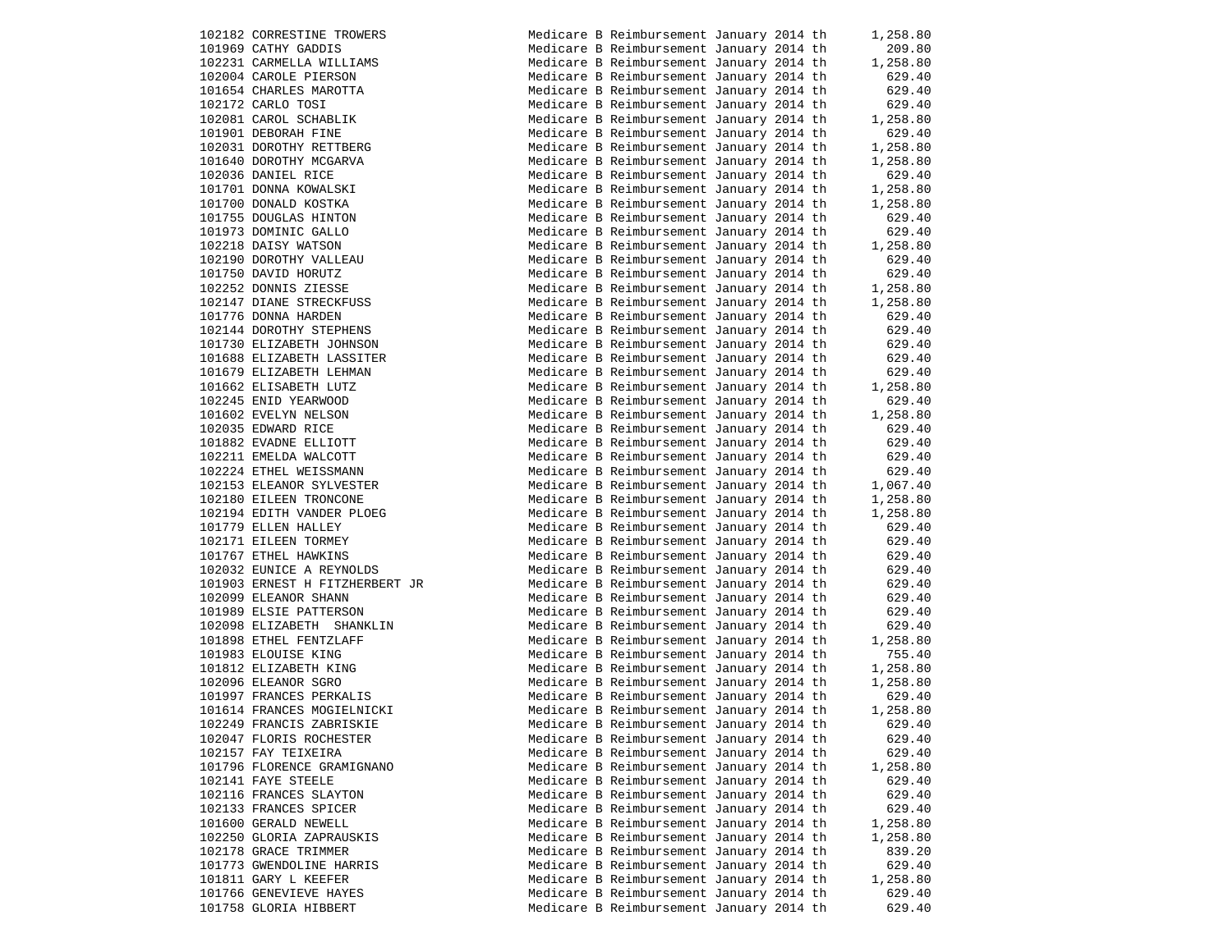|        | 102182 CORRESTINE TROWERS      |  |
|--------|--------------------------------|--|
|        | 101969 CATHY GADDIS            |  |
|        | 102231 CARMELLA WILLIAMS       |  |
|        | 102004 CAROLE PIERSON          |  |
|        | 101654 CHARLES MAROTTA         |  |
|        | 102172 CARLO TOSI              |  |
|        | 102081 CAROL SCHABLIK          |  |
| 101901 | DEBORAH FINE                   |  |
| 102031 | DOROTHY RETTBERG               |  |
| 101640 | DOROTHY MCGARVA                |  |
| 102036 | DANIEL RICE                    |  |
| 101701 | DONNA KOWALSKI                 |  |
| 101700 | DONALD KOSTKA                  |  |
| 101755 | DOUGLAS HINTON                 |  |
| 101973 | DOMINIC GALLO                  |  |
| 102218 | DAISY WATSON                   |  |
| 102190 | DOROTHY VALLEAU                |  |
| 101750 | DAVID HORUTZ                   |  |
| 102252 | DONNIS ZIESSE                  |  |
| 102147 | DIANE STRECKFUSS               |  |
| 101776 | DONNA HARDEN                   |  |
| 102144 | DOROTHY STEPHENS               |  |
|        | 101730 ELIZABETH JOHNSON       |  |
|        | 101688 ELIZABETH LASSITER      |  |
|        | 101679 ELIZABETH LEHMAN        |  |
| 101662 | ELISABETH LUTZ                 |  |
| 102245 | ENID YEARWOOD                  |  |
|        | 101602 EVELYN NELSON           |  |
|        | 102035 EDWARD RICE             |  |
|        | 101882 EVADNE ELLIOTT          |  |
|        | 102211 EMELDA WALCOTT          |  |
|        | 102224 ETHEL WEISSMANN         |  |
|        | 102153 ELEANOR SYLVESTER       |  |
|        | 102180 EILEEN TRONCONE         |  |
|        | 102194 EDITH VANDER PLOEG      |  |
|        | 101779 ELLEN HALLEY            |  |
|        | 102171 EILEEN TORMEY           |  |
|        | 101767 ETHEL HAWKINS           |  |
|        | 102032 EUNICE A REYNOLDS       |  |
|        | 101903 ERNEST H FITZHERBERT JR |  |
|        | 102099 ELEANOR SHANN           |  |
|        | 101989 ELSIE PATTERSON         |  |
|        | 102098 ELIZABETH SHANKLIN      |  |
|        | 101898 ETHEL FENTZLAFF         |  |
|        | 101983 ELOUISE KING            |  |
|        | 101812 ELIZABETH KING          |  |
|        | 102096 ELEANOR SGRO            |  |
|        | 101997 FRANCES PERKALIS        |  |
|        | 101614 FRANCES MOGIELNICKI     |  |
|        | 102249 FRANCIS ZABRISKIE       |  |
|        | 102047 FLORIS ROCHESTER        |  |
|        | 102157 FAY TEIXEIRA            |  |
|        | 101796 FLORENCE GRAMIGNANO     |  |
| 102141 | FAYE STEELE                    |  |
| 102116 | FRANCES SLAYTON                |  |
|        | 102133 FRANCES SPICER          |  |
| 101600 | GERALD NEWELL                  |  |
| 102250 | GLORIA ZAPRAUSKIS              |  |
|        | 102178 GRACE TRIMMER           |  |
|        | 101773 GWENDOLINE HARRIS       |  |
|        | 101811 GARY L KEEFER           |  |
|        | 101766 GENEVIEVE HAYES         |  |
|        | 101758 GLORIA HIBBERT          |  |
|        |                                |  |

| 102182 CORRESTINE TROWERS      | Medicare B Reimbursement January 2014 th |  | 1,258.80 |
|--------------------------------|------------------------------------------|--|----------|
| 101969 CATHY GADDIS            | Medicare B Reimbursement January 2014 th |  | 209.80   |
| 102231 CARMELLA WILLIAMS       | Medicare B Reimbursement January 2014 th |  | 1,258.80 |
| 102004 CAROLE PIERSON          | Medicare B Reimbursement January 2014 th |  | 629.40   |
| 101654 CHARLES MAROTTA         | Medicare B Reimbursement January 2014 th |  | 629.40   |
| 102172 CARLO TOSI              | Medicare B Reimbursement January 2014 th |  | 629.40   |
|                                |                                          |  |          |
| 102081 CAROL SCHABLIK          | Medicare B Reimbursement January 2014 th |  | 1,258.80 |
| 101901 DEBORAH FINE            | Medicare B Reimbursement January 2014 th |  | 629.40   |
| 102031 DOROTHY RETTBERG        | Medicare B Reimbursement January 2014 th |  | 1,258.80 |
| 101640 DOROTHY MCGARVA         | Medicare B Reimbursement January 2014 th |  | 1,258.80 |
| 102036 DANIEL RICE             | Medicare B Reimbursement January 2014 th |  | 629.40   |
| 101701 DONNA KOWALSKI          | Medicare B Reimbursement January 2014 th |  | 1,258.80 |
| 101700 DONALD KOSTKA           | Medicare B Reimbursement January 2014 th |  | 1,258.80 |
| 101755 DOUGLAS HINTON          | Medicare B Reimbursement January 2014 th |  | 629.40   |
| 101973 DOMINIC GALLO           | Medicare B Reimbursement January 2014 th |  | 629.40   |
| 102218 DAISY WATSON            | Medicare B Reimbursement January 2014 th |  | 1,258.80 |
|                                |                                          |  |          |
| 102190 DOROTHY VALLEAU         | Medicare B Reimbursement January 2014 th |  | 629.40   |
| 101750 DAVID HORUTZ            | Medicare B Reimbursement January 2014 th |  | 629.40   |
| 102252 DONNIS ZIESSE           | Medicare B Reimbursement January 2014 th |  | 1,258.80 |
| 102147 DIANE STRECKFUSS        | Medicare B Reimbursement January 2014 th |  | 1,258.80 |
| 101776 DONNA HARDEN            | Medicare B Reimbursement January 2014 th |  | 629.40   |
| 102144 DOROTHY STEPHENS        | Medicare B Reimbursement January 2014 th |  | 629.40   |
| 101730 ELIZABETH JOHNSON       | Medicare B Reimbursement January 2014 th |  | 629.40   |
| 101688 ELIZABETH LASSITER      | Medicare B Reimbursement January 2014 th |  | 629.40   |
| 101679 ELIZABETH LEHMAN        | Medicare B Reimbursement January 2014 th |  | 629.40   |
| 101662 ELISABETH LUTZ          | Medicare B Reimbursement January 2014 th |  | 1,258.80 |
| 102245 ENID YEARWOOD           | Medicare B Reimbursement January 2014 th |  | 629.40   |
|                                |                                          |  |          |
| 101602 EVELYN NELSON           | Medicare B Reimbursement January 2014 th |  | 1,258.80 |
| 102035 EDWARD RICE             | Medicare B Reimbursement January 2014 th |  | 629.40   |
| 101882 EVADNE ELLIOTT          | Medicare B Reimbursement January 2014 th |  | 629.40   |
| 102211 EMELDA WALCOTT          | Medicare B Reimbursement January 2014 th |  | 629.40   |
| 102224 ETHEL WEISSMANN         | Medicare B Reimbursement January 2014 th |  | 629.40   |
| 102153 ELEANOR SYLVESTER       | Medicare B Reimbursement January 2014 th |  | 1,067.40 |
| 102180 EILEEN TRONCONE         | Medicare B Reimbursement January 2014 th |  | 1,258.80 |
| 102194 EDITH VANDER PLOEG      | Medicare B Reimbursement January 2014 th |  | 1,258.80 |
| 101779 ELLEN HALLEY            | Medicare B Reimbursement January 2014 th |  | 629.40   |
| 102171 EILEEN TORMEY           | Medicare B Reimbursement January 2014 th |  | 629.40   |
| 101767 ETHEL HAWKINS           | Medicare B Reimbursement January 2014 th |  | 629.40   |
| 102032 EUNICE A REYNOLDS       | Medicare B Reimbursement January 2014 th |  | 629.40   |
| 101903 ERNEST H FITZHERBERT JR | Medicare B Reimbursement January 2014 th |  | 629.40   |
|                                |                                          |  |          |
| 102099 ELEANOR SHANN           | Medicare B Reimbursement January 2014 th |  | 629.40   |
| 101989 ELSIE PATTERSON         | Medicare B Reimbursement January 2014 th |  | 629.40   |
| 102098 ELIZABETH SHANKLIN      | Medicare B Reimbursement January 2014 th |  | 629.40   |
| 101898 ETHEL FENTZLAFF         | Medicare B Reimbursement January 2014 th |  | 1,258.80 |
| 101983 ELOUISE KING            | Medicare B Reimbursement January 2014 th |  | 755.40   |
| 101812 ELIZABETH KING          | Medicare B Reimbursement January 2014 th |  | 1,258.80 |
| 102096 ELEANOR SGRO            | Medicare B Reimbursement January 2014 th |  | 1,258.80 |
| 101997 FRANCES PERKALIS        | Medicare B Reimbursement January 2014 th |  | 629.40   |
| 101614 FRANCES MOGIELNICKI     | Medicare B Reimbursement January 2014 th |  | 1,258.80 |
| 102249 FRANCIS ZABRISKIE       | Medicare B Reimbursement January 2014 th |  | 629.40   |
| 102047 FLORIS ROCHESTER        | Medicare B Reimbursement January 2014 th |  | 629.40   |
| 102157 FAY TEIXEIRA            | Medicare B Reimbursement January 2014 th |  | 629.40   |
| 101796 FLORENCE GRAMIGNANO     | Medicare B Reimbursement January 2014 th |  | 1,258.80 |
| 102141 FAYE STEELE             | Medicare B Reimbursement January 2014 th |  | 629.40   |
|                                | Medicare B Reimbursement January 2014 th |  |          |
| 102116 FRANCES SLAYTON         |                                          |  | 629.40   |
| 102133 FRANCES SPICER          | Medicare B Reimbursement January 2014 th |  | 629.40   |
| 101600 GERALD NEWELL           | Medicare B Reimbursement January 2014 th |  | 1,258.80 |
| 102250 GLORIA ZAPRAUSKIS       | Medicare B Reimbursement January 2014 th |  | 1,258.80 |
| 102178 GRACE TRIMMER           | Medicare B Reimbursement January 2014 th |  | 839.20   |
| 101773 GWENDOLINE HARRIS       | Medicare B Reimbursement January 2014 th |  | 629.40   |
| 101811 GARY L KEEFER           | Medicare B Reimbursement January 2014 th |  | 1,258.80 |
| 101766 GENEVIEVE HAYES         |                                          |  |          |
|                                | Medicare B Reimbursement January 2014 th |  | 629.40   |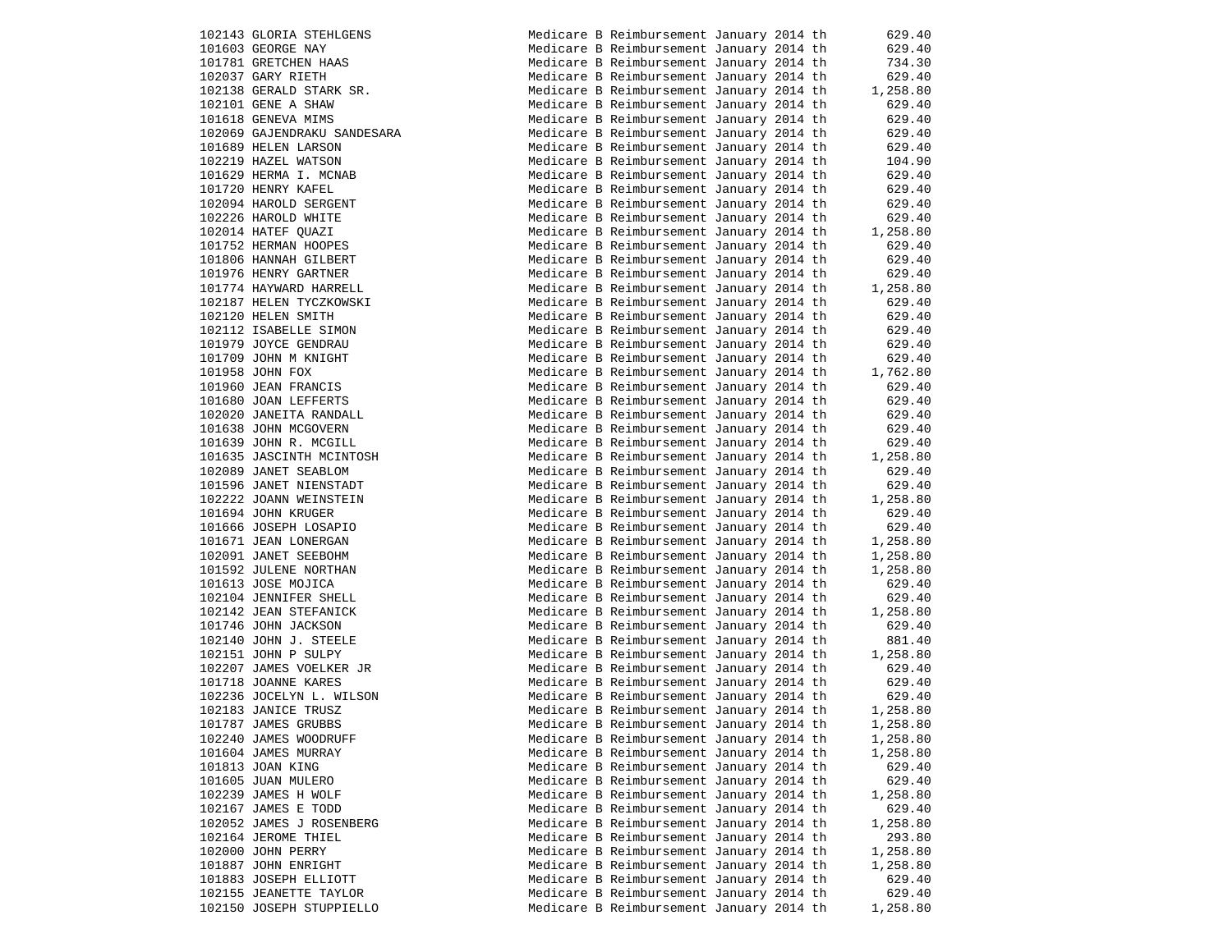| 102143 GLORIA STEHLGENS     |
|-----------------------------|
| 101603 GEORGE NAY           |
| 101781 GRETCHEN HAAS        |
| 102037 GARY RIETH           |
| 102138 GERALD STARK SR.     |
| 102101 GENE A SHAW          |
| 101618 GENEVA MIMS          |
| 102069 GAJENDRAKU SANDESARA |
| 101689 HELEN LARSON         |
| 102219 HAZEL WATSON         |
| 101629 HERMA I. MCNAB       |
| 101720 HENRY KAFEL          |
| 102094 HAROLD SERGENT       |
| 102226 HAROLD WHITE         |
| 102014 HATEF QUAZI          |
| 101752 HERMAN HOOPES        |
| 101806 HANNAH GILBERT       |
| 101976 HENRY GARTNER        |
| 101774 HAYWARD HARRELL      |
| 102187 HELEN TYCZKOWSKI     |
| 102120 HELEN SMITH          |
| 102112 ISABELLE SIMON       |
| 101979 JOYCE GENDRAU        |
| 101709 JOHN M KNIGHT        |
| 101958 JOHN FOX             |
| 101960 JEAN FRANCIS         |
| 101680 JOAN LEFFERTS        |
| 102020 JANEITA RANDALL      |
| 101638 JOHN MCGOVERN        |
| 101639 JOHN R. MCGILL       |
| 101635 JASCINTH MCINTOSH    |
| 102089 JANET SEABLOM        |
| 101596 JANET NIENSTADT      |
| 102222 JOANN WEINSTEIN      |
| 101694 JOHN KRUGER          |
| 101666 JOSEPH LOSAPIO       |
| 101671 JEAN LONERGAN        |
| 102091 JANET SEEBOHM        |
| 101592 JULENE NORTHAN       |
| 101613 JOSE MOJICA          |
| 102104 JENNIFER SHELL       |
| 102142 JEAN STEFANICK       |
| 101746 JOHN JACKSON         |
| 102140 JOHN J. STEELE       |
| 102151 JOHN P SULPY         |
| 102207 JAMES VOELKER JR     |
| 101718 JOANNE KARES         |
| 102236 JOCELYN L. WILSON    |
| 102183 JANICE TRUSZ         |
| 101787 JAMES GRUBBS         |
| 102240 JAMES WOODRUFF       |
| 101604 JAMES MURRAY         |
| 101813 JOAN KING            |
| 101605 JUAN MULERO          |
| 102239 JAMES H WOLF         |
| 102167 JAMES E TODD         |
| 102052 JAMES J ROSENBERG    |
| 102164 JEROME THIEL         |
| 102000 JOHN PERRY           |
| 101887 JOHN ENRIGHT         |
| 101883 JOSEPH ELLIOTT       |
| 102155 JEANETTE TAYLOR      |
| 102150 JOSEPH STUPPIELLO    |

| 102143 GLORIA STEHLGENS     | Medicare B Reimbursement January 2014 th |  | 629.40   |
|-----------------------------|------------------------------------------|--|----------|
| 101603 GEORGE NAY           | Medicare B Reimbursement January 2014 th |  | 629.40   |
| 101781 GRETCHEN HAAS        | Medicare B Reimbursement January 2014 th |  | 734.30   |
| 102037 GARY RIETH           | Medicare B Reimbursement January 2014 th |  | 629.40   |
| 102138 GERALD STARK SR.     | Medicare B Reimbursement January 2014 th |  | 1,258.80 |
| 102101 GENE A SHAW          | Medicare B Reimbursement January 2014 th |  | 629.40   |
| 101618 GENEVA MIMS          | Medicare B Reimbursement January 2014 th |  | 629.40   |
| 102069 GAJENDRAKU SANDESARA | Medicare B Reimbursement January 2014 th |  | 629.40   |
|                             |                                          |  |          |
| 101689 HELEN LARSON         | Medicare B Reimbursement January 2014 th |  | 629.40   |
| 102219 HAZEL WATSON         | Medicare B Reimbursement January 2014 th |  | 104.90   |
| 101629 HERMA I. MCNAB       | Medicare B Reimbursement January 2014 th |  | 629.40   |
| 101720 HENRY KAFEL          | Medicare B Reimbursement January 2014 th |  | 629.40   |
| 102094 HAROLD SERGENT       | Medicare B Reimbursement January 2014 th |  | 629.40   |
| 102226 HAROLD WHITE         | Medicare B Reimbursement January 2014 th |  | 629.40   |
| 102014 HATEF OUAZI          | Medicare B Reimbursement January 2014 th |  | 1,258.80 |
| 101752 HERMAN HOOPES        | Medicare B Reimbursement January 2014 th |  | 629.40   |
| 101806 HANNAH GILBERT       | Medicare B Reimbursement January 2014 th |  | 629.40   |
| 101976 HENRY GARTNER        | Medicare B Reimbursement January 2014 th |  | 629.40   |
| 101774 HAYWARD HARRELL      | Medicare B Reimbursement January 2014 th |  | 1,258.80 |
| 102187 HELEN TYCZKOWSKI     | Medicare B Reimbursement January 2014 th |  | 629.40   |
|                             |                                          |  |          |
| 102120 HELEN SMITH          | Medicare B Reimbursement January 2014 th |  | 629.40   |
| 102112 ISABELLE SIMON       | Medicare B Reimbursement January 2014 th |  | 629.40   |
| 101979 JOYCE GENDRAU        | Medicare B Reimbursement January 2014 th |  | 629.40   |
| 101709 JOHN M KNIGHT        | Medicare B Reimbursement January 2014 th |  | 629.40   |
| 101958 JOHN FOX             | Medicare B Reimbursement January 2014 th |  | 1,762.80 |
| 101960 JEAN FRANCIS         | Medicare B Reimbursement January 2014 th |  | 629.40   |
| 101680 JOAN LEFFERTS        | Medicare B Reimbursement January 2014 th |  | 629.40   |
| 102020 JANEITA RANDALL      | Medicare B Reimbursement January 2014 th |  | 629.40   |
| 101638 JOHN MCGOVERN        | Medicare B Reimbursement January 2014 th |  | 629.40   |
| 101639 JOHN R. MCGILL       | Medicare B Reimbursement January 2014 th |  | 629.40   |
| 101635 JASCINTH MCINTOSH    | Medicare B Reimbursement January 2014 th |  | 1,258.80 |
| 102089 JANET SEABLOM        | Medicare B Reimbursement January 2014 th |  | 629.40   |
|                             |                                          |  |          |
| 101596 JANET NIENSTADT      | Medicare B Reimbursement January 2014 th |  | 629.40   |
| 102222 JOANN WEINSTEIN      | Medicare B Reimbursement January 2014 th |  | 1,258.80 |
| 101694 JOHN KRUGER          | Medicare B Reimbursement January 2014 th |  | 629.40   |
| 101666 JOSEPH LOSAPIO       | Medicare B Reimbursement January 2014 th |  | 629.40   |
| 101671 JEAN LONERGAN        | Medicare B Reimbursement January 2014 th |  | 1,258.80 |
| 102091 JANET SEEBOHM        | Medicare B Reimbursement January 2014 th |  | 1,258.80 |
| 101592 JULENE NORTHAN       | Medicare B Reimbursement January 2014 th |  | 1,258.80 |
| 101613 JOSE MOJICA          | Medicare B Reimbursement January 2014 th |  | 629.40   |
| 102104 JENNIFER SHELL       | Medicare B Reimbursement January 2014 th |  | 629.40   |
| 102142 JEAN STEFANICK       | Medicare B Reimbursement January 2014 th |  | 1,258.80 |
| 101746 JOHN JACKSON         | Medicare B Reimbursement January 2014 th |  | 629.40   |
| 102140 JOHN J. STEELE       | Medicare B Reimbursement January 2014 th |  | 881.40   |
| 102151 JOHN P SULPY         | Medicare B Reimbursement January 2014 th |  | 1,258.80 |
|                             |                                          |  |          |
| 102207 JAMES VOELKER JR     | Medicare B Reimbursement January 2014 th |  | 629.40   |
| 101718 JOANNE KARES         | Medicare B Reimbursement January 2014 th |  | 629.40   |
| 102236 JOCELYN L. WILSON    | Medicare B Reimbursement January 2014 th |  | 629.40   |
| 102183 JANICE TRUSZ         | Medicare B Reimbursement January 2014 th |  | 1,258.80 |
| 101787 JAMES GRUBBS         | Medicare B Reimbursement January 2014 th |  | 1,258.80 |
| 102240 JAMES WOODRUFF       | Medicare B Reimbursement January 2014 th |  | 1,258.80 |
| 101604 JAMES MURRAY         | Medicare B Reimbursement January 2014 th |  | 1,258.80 |
| 101813 JOAN KING            | Medicare B Reimbursement January 2014 th |  | 629.40   |
| 101605 JUAN MULERO          | Medicare B Reimbursement January 2014 th |  | 629.40   |
| 102239 JAMES H WOLF         | Medicare B Reimbursement January 2014 th |  | 1,258.80 |
| 102167 JAMES E TODD         | Medicare B Reimbursement January 2014 th |  | 629.40   |
| 102052 JAMES J ROSENBERG    | Medicare B Reimbursement January 2014 th |  | 1,258.80 |
| 102164 JEROME THIEL         |                                          |  |          |
|                             | Medicare B Reimbursement January 2014 th |  | 293.80   |
| 102000 JOHN PERRY           | Medicare B Reimbursement January 2014 th |  | 1,258.80 |
| 101887 JOHN ENRIGHT         | Medicare B Reimbursement January 2014 th |  | 1,258.80 |
| 101883 JOSEPH ELLIOTT       | Medicare B Reimbursement January 2014 th |  | 629.40   |
| 102155 JEANETTE TAYLOR      | Medicare B Reimbursement January 2014 th |  | 629.40   |
| 102150 JOSEPH STUPPIELLO    | Medicare B Reimbursement January 2014 th |  | 1,258.80 |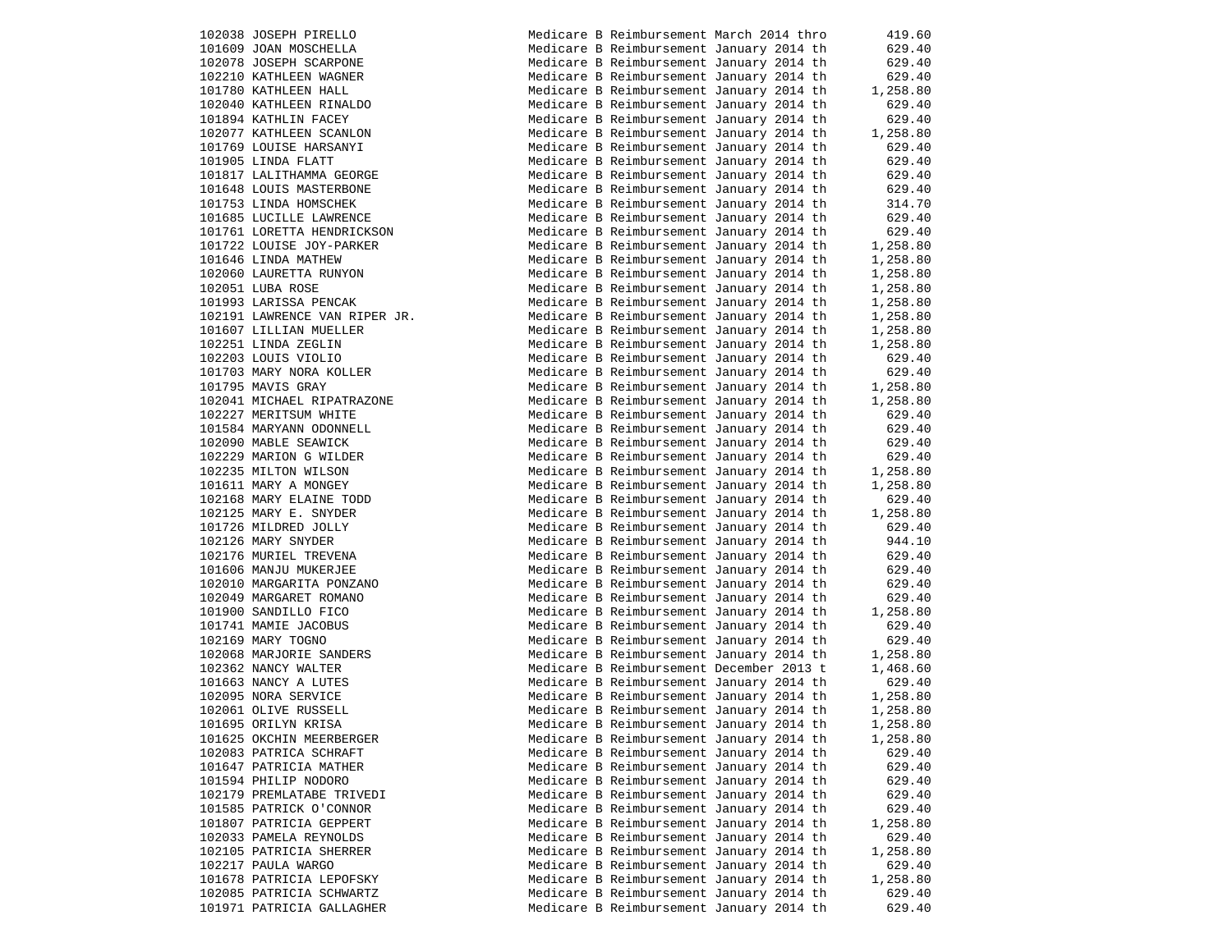102038 JOSEPH PIRELLO 101609 JOAN MOSCHELLA 102078 JOSEPH SCARPONE 102210 KATHLEEN WAGNER 101780 KATHLEEN HALL 102040 KATHLEEN RINALDO 101894 KATHLIN FACEY 102077 KATHLEEN SCANLON 101769 LOUISE HARSANYI 101905 LINDA FLATT 101817 LALITHAMMA GEORGE 101648 LOUIS MASTERBONE 101753 LINDA HOMSCHEK 101685 LUCILLE LAWRENCE 101761 LORETTA HENDRICKSON 101722 LOUISE JOY-PARKER 101646 LINDA MATHEW 102060 LAURETTA RUNYON  $102051$  LUBA ROSE 101993 LARISSA PENCAK 102191 LAWRENCE VAN RIPER JR. 101607 LILLIAN MUELLER 102251 LINDA ZEGLIN 102203 LOUIS VIOLIO 101703 MARY NORA KOLLER 101795 MAVIS GRAY 102041 MICHAEL RIPATRAZONE 102227 MERITSUM WHITE 101584 MARYANN ODONNELL 102090 MABLE SEAWICK 102229 MARION G WILDER 102235 MILTON WILSON 101611 MARY A MONGEY 102168 MARY ELAINE TODD 102125 MARY E. SNYDER 101726 MILDRED JOLLY 102126 MARY SNYDER 102176 MURIEL TREVENA 101606 MANJU MUKERJEE 102010 MARGARITA PONZANO 102049 MARGARET ROMANO 101900 SANDILLO FICO 101741 MAMIE JACOBUS 102169 MARY TOGNO 102068 MARJORIE SANDERS 102362 NANCY WALTER 101663 NANCY A LUTES 102095 NORA SERVICE 102061 OLIVE RUSSELL 101695 ORILYN KRISA 101625 OKCHIN MEERBERGER 102083 PATRICA SCHRAFT 101647 PATRICIA MATHER 101594 PHILIP NODORO 102179 PREMLATABE TRIVEDI 101585 PATRICK O'CONNOR 101807 PATRICIA GEPPERT 102033 PAMELA REYNOLDS 102105 PATRICIA SHERRER 102217 PAULA WARGO 101678 PATRICIA LEPOFSKY 102085 PATRICIA SCHWARTZ 101971 PATRICIA GALLAGHER

|  | Medicare B Reimbursement March 2014 thro |  | 419.60   |
|--|------------------------------------------|--|----------|
|  | Medicare B Reimbursement January 2014 th |  | 629.40   |
|  | Medicare B Reimbursement January 2014 th |  | 629.40   |
|  | Medicare B Reimbursement January 2014 th |  | 629.40   |
|  | Medicare B Reimbursement January 2014 th |  | 1,258.80 |
|  |                                          |  |          |
|  | Medicare B Reimbursement January 2014 th |  | 629.40   |
|  | Medicare B Reimbursement January 2014 th |  | 629.40   |
|  | Medicare B Reimbursement January 2014 th |  | 1,258.80 |
|  | Medicare B Reimbursement January 2014 th |  | 629.40   |
|  | Medicare B Reimbursement January 2014 th |  | 629.40   |
|  | Medicare B Reimbursement January 2014 th |  | 629.40   |
|  | Medicare B Reimbursement January 2014 th |  | 629.40   |
|  | Medicare B Reimbursement January 2014 th |  | 314.70   |
|  | Medicare B Reimbursement January 2014 th |  | 629.40   |
|  | Medicare B Reimbursement January 2014 th |  | 629.40   |
|  | Medicare B Reimbursement January 2014 th |  | 1,258.80 |
|  | Medicare B Reimbursement January 2014 th |  | 1,258.80 |
|  | Medicare B Reimbursement January 2014 th |  | 1,258.80 |
|  | Medicare B Reimbursement January 2014 th |  | 1,258.80 |
|  | Medicare B Reimbursement January 2014 th |  | 1,258.80 |
|  | Medicare B Reimbursement January 2014 th |  | 1,258.80 |
|  | Medicare B Reimbursement January 2014 th |  | 1,258.80 |
|  | Medicare B Reimbursement January 2014 th |  | 1,258.80 |
|  | Medicare B Reimbursement January 2014 th |  | 629.40   |
|  |                                          |  | 629.40   |
|  | Medicare B Reimbursement January 2014 th |  |          |
|  | Medicare B Reimbursement January 2014 th |  | 1,258.80 |
|  | Medicare B Reimbursement January 2014 th |  | 1,258.80 |
|  | Medicare B Reimbursement January 2014 th |  | 629.40   |
|  | Medicare B Reimbursement January 2014 th |  | 629.40   |
|  | Medicare B Reimbursement January 2014 th |  | 629.40   |
|  | Medicare B Reimbursement January 2014 th |  | 629.40   |
|  | Medicare B Reimbursement January 2014 th |  | 1,258.80 |
|  | Medicare B Reimbursement January 2014 th |  | 1,258.80 |
|  | Medicare B Reimbursement January 2014 th |  | 629.40   |
|  | Medicare B Reimbursement January 2014 th |  | 1,258.80 |
|  | Medicare B Reimbursement January 2014 th |  | 629.40   |
|  | Medicare B Reimbursement January 2014 th |  | 944.10   |
|  | Medicare B Reimbursement January 2014 th |  | 629.40   |
|  | Medicare B Reimbursement January 2014 th |  | 629.40   |
|  | Medicare B Reimbursement January 2014 th |  | 629.40   |
|  | Medicare B Reimbursement January 2014 th |  | 629.40   |
|  | Medicare B Reimbursement January 2014 th |  | 1,258.80 |
|  | Medicare B Reimbursement January 2014 th |  | 629.40   |
|  | Medicare B Reimbursement January 2014 th |  | 629.40   |
|  | Medicare B Reimbursement January 2014 th |  | 1,258.80 |
|  | Medicare B Reimbursement December 2013 t |  | 1,468.60 |
|  | Medicare B Reimbursement January 2014 th |  | 629.40   |
|  | Medicare B Reimbursement January 2014 th |  | 1,258.80 |
|  |                                          |  |          |
|  | Medicare B Reimbursement January 2014 th |  | 1,258.80 |
|  | Medicare B Reimbursement January 2014 th |  | 1,258.80 |
|  | Medicare B Reimbursement January 2014 th |  | 1,258.80 |
|  | Medicare B Reimbursement January 2014 th |  | 629.40   |
|  | Medicare B Reimbursement January 2014 th |  | 629.40   |
|  | Medicare B Reimbursement January 2014 th |  | 629.40   |
|  | Medicare B Reimbursement January 2014 th |  | 629.40   |
|  | Medicare B Reimbursement January 2014 th |  | 629.40   |
|  | Medicare B Reimbursement January 2014 th |  | 1,258.80 |
|  | Medicare B Reimbursement January 2014 th |  | 629.40   |
|  | Medicare B Reimbursement January 2014 th |  | 1,258.80 |
|  | Medicare B Reimbursement January 2014 th |  | 629.40   |
|  | Medicare B Reimbursement January 2014 th |  | 1,258.80 |
|  | Medicare B Reimbursement January 2014 th |  | 629.40   |
|  | Medicare B Reimbursement January 2014 th |  | 629.40   |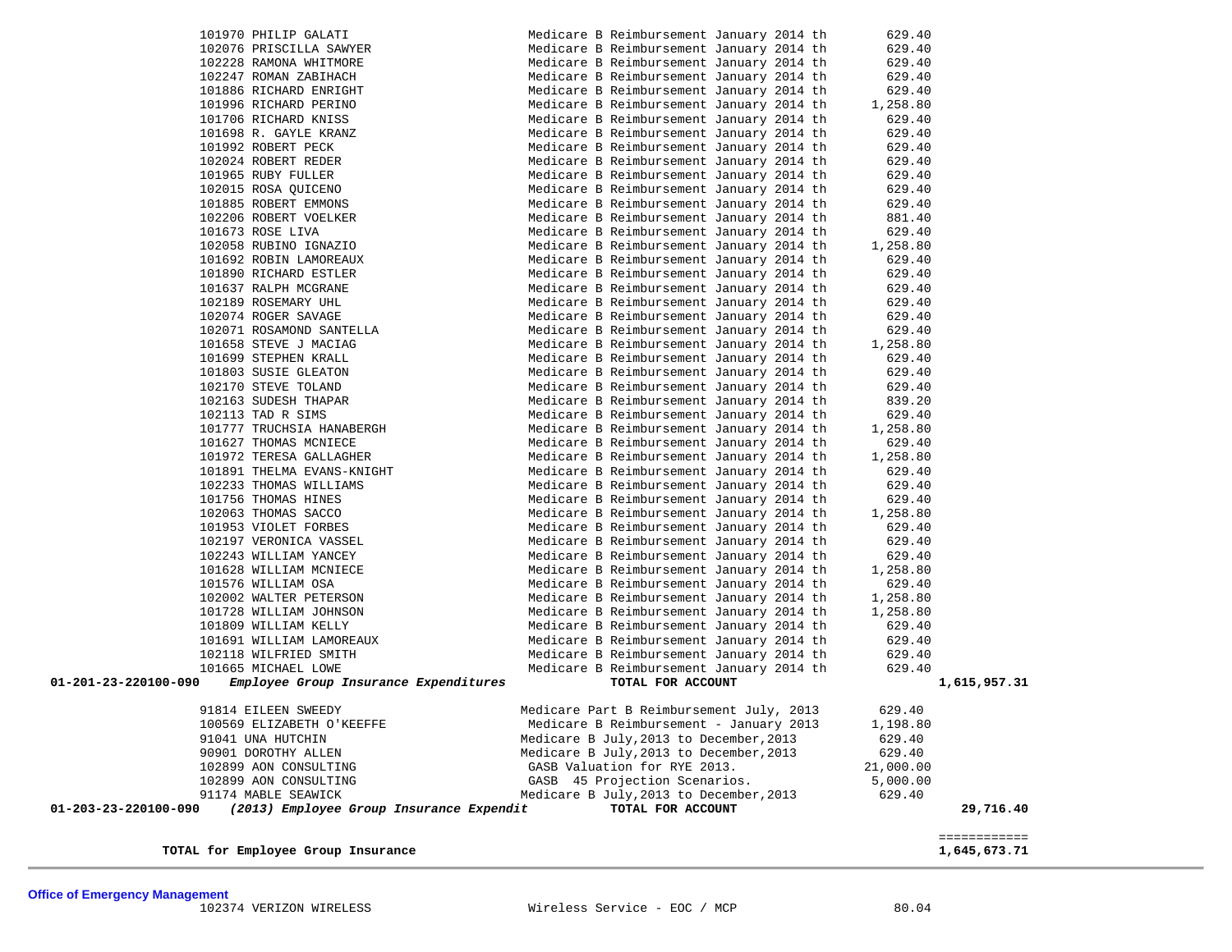| 101953 VIOLET FORBES                                                    | Medicare B Reimbursement January 2014 th | 629.40                       |
|-------------------------------------------------------------------------|------------------------------------------|------------------------------|
| 102197 VERONICA VASSEL                                                  | Medicare B Reimbursement January 2014 th | 629.40                       |
| 102243 WILLIAM YANCEY                                                   | Medicare B Reimbursement January 2014 th | 629.40                       |
| 101628 WILLIAM MCNIECE                                                  | Medicare B Reimbursement January 2014 th | 1,258.80                     |
| 101576 WILLIAM OSA                                                      | Medicare B Reimbursement January 2014 th | 629.40                       |
| 102002 WALTER PETERSON                                                  | Medicare B Reimbursement January 2014 th | 1,258.80                     |
| 101728 WILLIAM JOHNSON                                                  | Medicare B Reimbursement January 2014 th | 1,258.80                     |
| 101809 WILLIAM KELLY                                                    | Medicare B Reimbursement January 2014 th | 629.40                       |
| 101691 WILLIAM LAMOREAUX                                                | Medicare B Reimbursement January 2014 th | 629.40                       |
| 102118 WILFRIED SMITH                                                   | Medicare B Reimbursement January 2014 th | 629.40                       |
| 101665 MICHAEL LOWE                                                     | Medicare B Reimbursement January 2014 th | 629.40                       |
| Employee Group Insurance Expenditures<br>$01 - 201 - 23 - 220100 - 090$ | TOTAL FOR ACCOUNT                        | 1,615,957.31                 |
|                                                                         |                                          |                              |
| 91814 EILEEN SWEEDY                                                     | Medicare Part B Reimbursement July, 2013 | 629.40                       |
| 100569 ELIZABETH O'KEEFFE                                               | Medicare B Reimbursement - January 2013  | 1,198.80                     |
| 91041 UNA HUTCHIN                                                       | Medicare B July, 2013 to December, 2013  | 629.40                       |
| 90901 DOROTHY ALLEN                                                     | Medicare B July, 2013 to December, 2013  | 629.40                       |
| 102899 AON CONSULTING                                                   | GASB Valuation for RYE 2013.             | 21,000.00                    |
| 102899 AON CONSULTING                                                   |                                          |                              |
|                                                                         | GASB 45 Projection Scenarios.            | 5,000.00                     |
| 91174 MABLE SEAWICK                                                     | Medicare B July, 2013 to December, 2013  | 629.40                       |
| 01-203-23-220100-090<br>(2013) Employee Group Insurance Expendit        | TOTAL FOR ACCOUNT                        | 29,716.40                    |
|                                                                         |                                          |                              |
| TOTAL for Employee Group Insurance                                      |                                          | ============<br>1,645,673.71 |

| 101970 PHILIP GALATI                                                                            | Medicare B Reimbursement January 2014 th                                                                                                                                                                                      | 629.40               |
|-------------------------------------------------------------------------------------------------|-------------------------------------------------------------------------------------------------------------------------------------------------------------------------------------------------------------------------------|----------------------|
| 102076 PRISCILLA SAWYER                                                                         | Medicare B Reimbursement January 2014 th                                                                                                                                                                                      | 629.40               |
| 102228 RAMONA WHITMORE                                                                          | Medicare B Reimbursement January 2014 th                                                                                                                                                                                      | 629.40               |
| 102247 ROMAN ZABIHACH                                                                           | Medicare B Reimbursement January 2014 th                                                                                                                                                                                      | 629.40               |
| 101886 RICHARD ENRIGHT                                                                          | Medicare B Reimbursement January 2014 th                                                                                                                                                                                      | 629.40               |
| 101996 RICHARD PERINO                                                                           | Medicare B Reimbursement January 2014 th                                                                                                                                                                                      | 1,258.80             |
| 101706 RICHARD KNISS                                                                            | Medicare B Reimbursement January 2014 th                                                                                                                                                                                      | 629.40               |
| 101698 R. GAYLE KRANZ                                                                           | Medicare B Reimbursement January 2014 th                                                                                                                                                                                      | 629.40               |
| 101992 ROBERT PECK                                                                              | Medicare B Reimbursement January 2014 th                                                                                                                                                                                      | 629.40               |
| 102024 ROBERT REDER                                                                             | Medicare B Reimbursement January 2014 th                                                                                                                                                                                      | 629.40               |
| 101965 RUBY FULLER                                                                              | Medicare B Reimbursement January 2014 th                                                                                                                                                                                      | 629.40               |
| 102015 ROSA QUICENO                                                                             | Medicare B Reimbursement January 2014 th                                                                                                                                                                                      | 629.40               |
| 101885 ROBERT EMMONS                                                                            | Medicare B Reimbursement January 2014 th                                                                                                                                                                                      | 629.40               |
| 102206 ROBERT VOELKER                                                                           | Medicare B Reimbursement January 2014 th                                                                                                                                                                                      | 881.40               |
| 101673 ROSE LIVA                                                                                | Medicare B Reimbursement January 2014 th                                                                                                                                                                                      | 629.40               |
| 102058 RUBINO IGNAZIO                                                                           | Medicare B Reimbursement January 2014 th                                                                                                                                                                                      | 1,258.80             |
| 101692 ROBIN LAMOREAUX                                                                          | Medicare B Reimbursement January 2014 th                                                                                                                                                                                      | 629.40               |
| 101890 RICHARD ESTLER                                                                           | Medicare B Reimbursement January 2014 th                                                                                                                                                                                      | 629.40               |
| 101637 RALPH MCGRANE                                                                            | Medicare B Reimbursement January 2014 th                                                                                                                                                                                      | 629.40               |
| 102189 ROSEMARY UHL                                                                             | Medicare B Reimbursement January 2014 th                                                                                                                                                                                      | 629.40               |
|                                                                                                 | Medicare B Reimbursement January 2014 th                                                                                                                                                                                      | 629.40               |
| 102189 ROSEMARY UHL<br>102074 ROGER SAVAGE<br>102071 ROSAMOND SANTELLA<br>101658 STEVE J MACIAG | Medicare B Reimbursement January 2014 th                                                                                                                                                                                      | 629.40               |
|                                                                                                 | Medicare B Reimbursement January 2014 th                                                                                                                                                                                      | 1,258.80             |
| 101699 STEPHEN KRALL                                                                            | Medicare B Reimbursement January 2014 th                                                                                                                                                                                      | 629.40               |
| 101803 SUSIE GLEATON                                                                            | Medicare B Reimbursement January 2014 th                                                                                                                                                                                      | 629.40               |
| 102170 STEVE TOLAND                                                                             | Medicare B Reimbursement January 2014 th                                                                                                                                                                                      | 629.40               |
| 102163 SUDESH THAPAR                                                                            | Medicare B Reimbursement January 2014 th                                                                                                                                                                                      | 839.20               |
| 102113 TAD R SIMS                                                                               | Medicare B Reimbursement January 2014 th                                                                                                                                                                                      | 629.40               |
| 101777 TRUCHSIA HANABERGH                                                                       | Medicare B Reimbursement January 2014 th                                                                                                                                                                                      | 1,258.80             |
| 101627 THOMAS MCNIECE                                                                           | Medicare B Reimbursement January 2014 th                                                                                                                                                                                      | 629.40               |
| 101972 TERESA GALLAGHER                                                                         | Medicare B Reimbursement January 2014 th                                                                                                                                                                                      | 1,258.80             |
| 101891 THELMA EVANS-KNIGHT                                                                      | Medicare B Reimbursement January 2014 th                                                                                                                                                                                      | 629.40               |
| 102233 THOMAS WILLIAMS                                                                          | Medicare B Reimbursement January 2014 th                                                                                                                                                                                      | 629.40               |
| 101756 THOMAS HINES                                                                             | Medicare B Reimbursement January 2014 th                                                                                                                                                                                      | 629.40               |
|                                                                                                 | Medicare B Reimbursement January 2014 th                                                                                                                                                                                      | 1,258.80             |
|                                                                                                 | Medicare B Reimbursement January 2014 th                                                                                                                                                                                      | 629.40               |
| 101756 THOMAS HINES<br>102063 THOMAS SACCO<br>101953 VIOLET FORBES<br>102197 VERONICA VASSEL    | Medicare B Reimbursement January 2014 th                                                                                                                                                                                      | 629.40               |
| 102243 WILLIAM YANCEY                                                                           | Medicare B Reimbursement January 2014 th                                                                                                                                                                                      | 629.40               |
| 101628 WILLIAM MCNIECE                                                                          | Medicare B Reimbursement January 2014 th                                                                                                                                                                                      | 1,258.80             |
| 101576 WILLIAM OSA                                                                              | Medicare B Reimbursement January 2014 th                                                                                                                                                                                      | 629.40               |
| 102002 WALTER PETERSON                                                                          | Medicare B Reimbursement January 2014 th                                                                                                                                                                                      | 1,258.80             |
| 101728 WILLIAM JOHNSON                                                                          | Medicare B Reimbursement January 2014 th                                                                                                                                                                                      | 1,258.80             |
| 101809 WILLIAM KELLY                                                                            | Medicare B Reimbursement January 2014 th                                                                                                                                                                                      | 629.40               |
| 101691 WILLIAM LAMOREAUX                                                                        | Medicare B Reimbursement January 2014 th                                                                                                                                                                                      | 629.40               |
| 102118 WILFRIED SMITH                                                                           | Medicare B Reimbursement January 2014 th                                                                                                                                                                                      | 629.40               |
| 101665 MICHAEL LOWE                                                                             | Medicare B Reimbursement January 2014 th                                                                                                                                                                                      | 629.40               |
| 01-201-23-220100-090<br>Employee Group Insurance Expenditures                                   | TOTAL FOR ACCOUNT                                                                                                                                                                                                             | 1,615,9              |
| 91814 EILEEN SWEEDY                                                                             | Medicare Part B Reimbursement July, 2013                                                                                                                                                                                      | 629.40               |
| 100569 ELIZABETH O'KEEFFE                                                                       | Medicare B Reimbursement - January 2013                                                                                                                                                                                       | 1,198.80             |
| 91041 UNA HUTCHIN                                                                               | Medicare B July, 2013 to December, 2013                                                                                                                                                                                       | 629.40               |
| $0.0001$ popomini strmi                                                                         | $(1)$ $(2)$ $(3)$ $(4)$ $(5)$ $(6)$ $(6)$ $(6)$ $(6)$ $(6)$ $(6)$ $(6)$ $(6)$ $(6)$ $(6)$ $(6)$ $(6)$ $(6)$ $(6)$ $(6)$ $(6)$ $(6)$ $(6)$ $(6)$ $(6)$ $(6)$ $(6)$ $(6)$ $(6)$ $(6)$ $(6)$ $(6)$ $(6)$ $(6)$ $(6)$ $(6)$ $(6)$ | $\sim$ $\sim$ $\sim$ |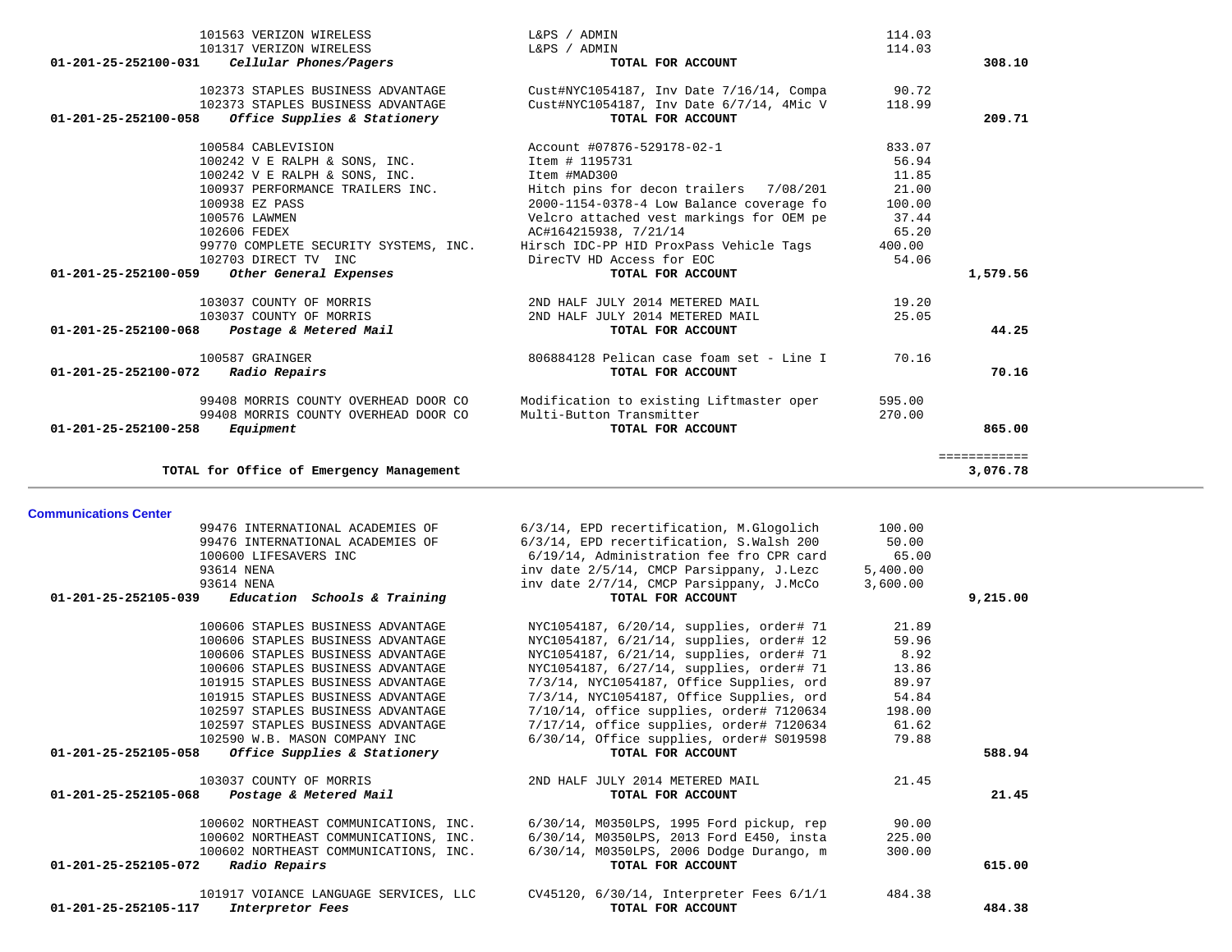|                              | 101563 VERIZON WIRELESS                  | L&PS / ADMIN                             | 114.03   |              |
|------------------------------|------------------------------------------|------------------------------------------|----------|--------------|
|                              | 101317 VERIZON WIRELESS                  | L&PS / ADMIN                             | 114.03   |              |
| 01-201-25-252100-031         | Cellular Phones/Pagers                   | TOTAL FOR ACCOUNT                        |          | 308.10       |
|                              |                                          |                                          |          |              |
|                              | 102373 STAPLES BUSINESS ADVANTAGE        | Cust#NYC1054187, Inv Date 7/16/14, Compa | 90.72    |              |
|                              | 102373 STAPLES BUSINESS ADVANTAGE        | Cust#NYC1054187, Inv Date 6/7/14, 4Mic V | 118.99   |              |
| 01-201-25-252100-058         | Office Supplies & Stationery             | TOTAL FOR ACCOUNT                        |          | 209.71       |
|                              | 100584 CABLEVISION                       | Account #07876-529178-02-1               | 833.07   |              |
|                              | 100242 V E RALPH & SONS, INC.            | Item # 1195731                           | 56.94    |              |
|                              | 100242 V E RALPH & SONS, INC.            | Item #MAD300                             | 11.85    |              |
|                              | 100937 PERFORMANCE TRAILERS INC.         | Hitch pins for decon trailers 7/08/201   | 21.00    |              |
|                              | 100938 EZ PASS                           | 2000-1154-0378-4 Low Balance coverage fo | 100.00   |              |
|                              | 100576 LAWMEN                            | Velcro attached vest markings for OEM pe | 37.44    |              |
|                              | 102606 FEDEX                             | AC#164215938, 7/21/14                    | 65.20    |              |
|                              | 99770 COMPLETE SECURITY SYSTEMS, INC.    | Hirsch IDC-PP HID ProxPass Vehicle Tags  | 400.00   |              |
|                              | 102703 DIRECT TV INC                     | DirecTV HD Access for EOC                | 54.06    |              |
| 01-201-25-252100-059         | Other General Expenses                   | TOTAL FOR ACCOUNT                        |          | 1,579.56     |
|                              | 103037 COUNTY OF MORRIS                  | 2ND HALF JULY 2014 METERED MAIL          | 19.20    |              |
|                              | 103037 COUNTY OF MORRIS                  | 2ND HALF JULY 2014 METERED MAIL          | 25.05    |              |
| 01-201-25-252100-068         | Postage & Metered Mail                   | TOTAL FOR ACCOUNT                        |          | 44.25        |
|                              |                                          |                                          |          |              |
|                              | 100587 GRAINGER                          | 806884128 Pelican case foam set - Line I | 70.16    |              |
| 01-201-25-252100-072         | Radio Repairs                            | TOTAL FOR ACCOUNT                        |          | 70.16        |
|                              | 99408 MORRIS COUNTY OVERHEAD DOOR CO     | Modification to existing Liftmaster oper | 595.00   |              |
|                              | 99408 MORRIS COUNTY OVERHEAD DOOR CO     | Multi-Button Transmitter                 | 270.00   |              |
| 01-201-25-252100-258         | Equipment                                | TOTAL FOR ACCOUNT                        |          | 865.00       |
|                              |                                          |                                          |          | ============ |
|                              | TOTAL for Office of Emergency Management |                                          |          | 3,076.78     |
| <b>Communications Center</b> |                                          |                                          |          |              |
|                              | 99476 INTERNATIONAL ACADEMIES OF         | 6/3/14, EPD recertification, M.Glogolich | 100.00   |              |
|                              | 99476 INTERNATIONAL ACADEMIES OF         | 6/3/14, EPD recertification, S.Walsh 200 | 50.00    |              |
|                              | 100600 LIFESAVERS INC                    | 6/19/14, Administration fee fro CPR card | 65.00    |              |
|                              | 93614 NENA                               | inv date 2/5/14, CMCP Parsippany, J.Lezc | 5,400.00 |              |
|                              | 93614 NENA                               | inv date 2/7/14, CMCP Parsippany, J.McCo | 3,600.00 |              |
| 01-201-25-252105-039         | Education Schools & Training             | TOTAL FOR ACCOUNT                        |          | 9,215.00     |
|                              | 100606 STAPLES BUSINESS ADVANTAGE        | NYC1054187, 6/20/14, supplies, order# 71 | 21.89    |              |
|                              | 100606 STAPLES BUSINESS ADVANTAGE        | NYC1054187, 6/21/14, supplies, order# 12 | 59.96    |              |
|                              | 100606 STAPLES BUSINESS ADVANTAGE        | NYC1054187, 6/21/14, supplies, order# 71 | 8.92     |              |
|                              | 100606 STAPLES BUSINESS ADVANTAGE        | NYC1054187, 6/27/14, supplies, order# 71 | 13.86    |              |
|                              | 101915 STAPLES BUSINESS ADVANTAGE        | 7/3/14, NYC1054187, Office Supplies, ord | 89.97    |              |
|                              | 101915 STAPLES BUSINESS ADVANTAGE        | 7/3/14, NYC1054187, Office Supplies, ord | 54.84    |              |
|                              | 102597 STAPLES BUSINESS ADVANTAGE        | 7/10/14, office supplies, order# 7120634 | 198.00   |              |
|                              |                                          |                                          |          |              |
|                              | 102597 STAPLES BUSINESS ADVANTAGE        | 7/17/14, office supplies, order# 7120634 | 61.62    |              |

| 102590 W.B. MASON COMPANY INC                        | $6/30/14$ , Office supplies, order# $S019598$ | 79.88  |        |
|------------------------------------------------------|-----------------------------------------------|--------|--------|
| 01-201-25-252105-058<br>Office Supplies & Stationery | TOTAL FOR ACCOUNT                             |        | 588.94 |
| 103037 COUNTY OF MORRIS                              | 2ND HALF JULY 2014 METERED MAIL               | 21.45  |        |
| 01-201-25-252105-068<br>Postage & Metered Mail       | TOTAL FOR ACCOUNT                             |        | 21.45  |
| 100602 NORTHEAST COMMUNICATIONS, INC.                | 6/30/14, M0350LPS, 1995 Ford pickup, rep      | 90.00  |        |
| 100602 NORTHEAST COMMUNICATIONS, INC.                | 6/30/14, M0350LPS, 2013 Ford E450, insta      | 225.00 |        |
| 100602 NORTHEAST COMMUNICATIONS, INC.                | 6/30/14, M0350LPS, 2006 Dodge Durango, m      | 300.00 |        |
| Radio Repairs<br>01-201-25-252105-072                | TOTAL FOR ACCOUNT                             |        | 615.00 |
| 101917 VOIANCE LANGUAGE SERVICES, LLC                | CV45120, 6/30/14, Interpreter Fees 6/1/1      | 484.38 |        |
| 01-201-25-252105-117<br>Interpretor Fees             | TOTAL FOR ACCOUNT                             |        | 484.38 |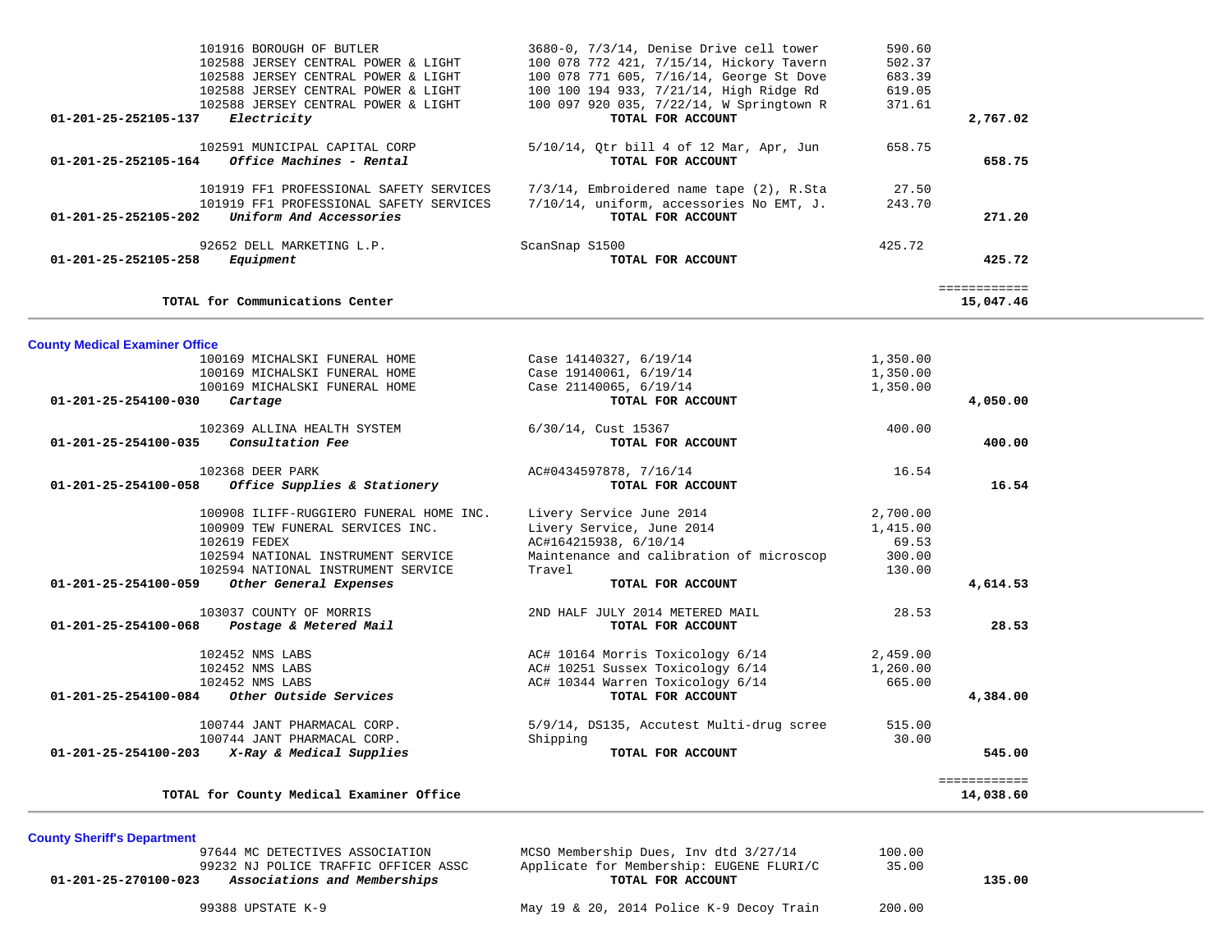| 101916 BOROUGH OF BUTLER<br>102588 JERSEY CENTRAL POWER & LIGHT | 3680-0, 7/3/14, Denise Drive cell tower<br>100 078 772 421, 7/15/14, Hickory Tavern<br>100 078 771 605, 7/16/14, George St Dove                                                                                                                                                                                                                                                                                                                                                                                                                                                                                                                                                                                                                                                                                                             | 590.60<br>502.37<br>683.39                                                                                                                                                                                                                                                                                                                                                                                 |                                                                                                               |
|-----------------------------------------------------------------|---------------------------------------------------------------------------------------------------------------------------------------------------------------------------------------------------------------------------------------------------------------------------------------------------------------------------------------------------------------------------------------------------------------------------------------------------------------------------------------------------------------------------------------------------------------------------------------------------------------------------------------------------------------------------------------------------------------------------------------------------------------------------------------------------------------------------------------------|------------------------------------------------------------------------------------------------------------------------------------------------------------------------------------------------------------------------------------------------------------------------------------------------------------------------------------------------------------------------------------------------------------|---------------------------------------------------------------------------------------------------------------|
|                                                                 |                                                                                                                                                                                                                                                                                                                                                                                                                                                                                                                                                                                                                                                                                                                                                                                                                                             |                                                                                                                                                                                                                                                                                                                                                                                                            |                                                                                                               |
| Electricity                                                     | TOTAL FOR ACCOUNT                                                                                                                                                                                                                                                                                                                                                                                                                                                                                                                                                                                                                                                                                                                                                                                                                           |                                                                                                                                                                                                                                                                                                                                                                                                            | 2,767.02                                                                                                      |
| Office Machines - Rental                                        | 5/10/14, Qtr bill 4 of 12 Mar, Apr, Jun<br>TOTAL FOR ACCOUNT                                                                                                                                                                                                                                                                                                                                                                                                                                                                                                                                                                                                                                                                                                                                                                                | 658.75                                                                                                                                                                                                                                                                                                                                                                                                     | 658.75                                                                                                        |
|                                                                 | 7/3/14, Embroidered name tape (2), R.Sta                                                                                                                                                                                                                                                                                                                                                                                                                                                                                                                                                                                                                                                                                                                                                                                                    | 27.50                                                                                                                                                                                                                                                                                                                                                                                                      |                                                                                                               |
| Uniform And Accessories                                         | TOTAL FOR ACCOUNT                                                                                                                                                                                                                                                                                                                                                                                                                                                                                                                                                                                                                                                                                                                                                                                                                           |                                                                                                                                                                                                                                                                                                                                                                                                            | 271.20                                                                                                        |
|                                                                 |                                                                                                                                                                                                                                                                                                                                                                                                                                                                                                                                                                                                                                                                                                                                                                                                                                             | 425.72                                                                                                                                                                                                                                                                                                                                                                                                     |                                                                                                               |
| Equipment                                                       | TOTAL FOR ACCOUNT                                                                                                                                                                                                                                                                                                                                                                                                                                                                                                                                                                                                                                                                                                                                                                                                                           |                                                                                                                                                                                                                                                                                                                                                                                                            | 425.72                                                                                                        |
|                                                                 |                                                                                                                                                                                                                                                                                                                                                                                                                                                                                                                                                                                                                                                                                                                                                                                                                                             |                                                                                                                                                                                                                                                                                                                                                                                                            | ============<br>15,047.46                                                                                     |
|                                                                 |                                                                                                                                                                                                                                                                                                                                                                                                                                                                                                                                                                                                                                                                                                                                                                                                                                             |                                                                                                                                                                                                                                                                                                                                                                                                            |                                                                                                               |
|                                                                 |                                                                                                                                                                                                                                                                                                                                                                                                                                                                                                                                                                                                                                                                                                                                                                                                                                             |                                                                                                                                                                                                                                                                                                                                                                                                            |                                                                                                               |
|                                                                 |                                                                                                                                                                                                                                                                                                                                                                                                                                                                                                                                                                                                                                                                                                                                                                                                                                             |                                                                                                                                                                                                                                                                                                                                                                                                            |                                                                                                               |
|                                                                 | Case 21140065, 6/19/14                                                                                                                                                                                                                                                                                                                                                                                                                                                                                                                                                                                                                                                                                                                                                                                                                      | 1,350.00                                                                                                                                                                                                                                                                                                                                                                                                   |                                                                                                               |
| Cartage                                                         | TOTAL FOR ACCOUNT                                                                                                                                                                                                                                                                                                                                                                                                                                                                                                                                                                                                                                                                                                                                                                                                                           |                                                                                                                                                                                                                                                                                                                                                                                                            | 4,050.00                                                                                                      |
|                                                                 | 6/30/14, Cust 15367                                                                                                                                                                                                                                                                                                                                                                                                                                                                                                                                                                                                                                                                                                                                                                                                                         | 400.00                                                                                                                                                                                                                                                                                                                                                                                                     |                                                                                                               |
|                                                                 |                                                                                                                                                                                                                                                                                                                                                                                                                                                                                                                                                                                                                                                                                                                                                                                                                                             |                                                                                                                                                                                                                                                                                                                                                                                                            | 400.00                                                                                                        |
|                                                                 | AC#0434597878, 7/16/14                                                                                                                                                                                                                                                                                                                                                                                                                                                                                                                                                                                                                                                                                                                                                                                                                      | 16.54                                                                                                                                                                                                                                                                                                                                                                                                      |                                                                                                               |
| Office Supplies & Stationery                                    | TOTAL FOR ACCOUNT                                                                                                                                                                                                                                                                                                                                                                                                                                                                                                                                                                                                                                                                                                                                                                                                                           |                                                                                                                                                                                                                                                                                                                                                                                                            | 16.54                                                                                                         |
|                                                                 | Livery Service June 2014                                                                                                                                                                                                                                                                                                                                                                                                                                                                                                                                                                                                                                                                                                                                                                                                                    | 2,700.00                                                                                                                                                                                                                                                                                                                                                                                                   |                                                                                                               |
|                                                                 |                                                                                                                                                                                                                                                                                                                                                                                                                                                                                                                                                                                                                                                                                                                                                                                                                                             |                                                                                                                                                                                                                                                                                                                                                                                                            |                                                                                                               |
|                                                                 |                                                                                                                                                                                                                                                                                                                                                                                                                                                                                                                                                                                                                                                                                                                                                                                                                                             |                                                                                                                                                                                                                                                                                                                                                                                                            |                                                                                                               |
|                                                                 |                                                                                                                                                                                                                                                                                                                                                                                                                                                                                                                                                                                                                                                                                                                                                                                                                                             |                                                                                                                                                                                                                                                                                                                                                                                                            |                                                                                                               |
| Other General Expenses                                          | TOTAL FOR ACCOUNT                                                                                                                                                                                                                                                                                                                                                                                                                                                                                                                                                                                                                                                                                                                                                                                                                           |                                                                                                                                                                                                                                                                                                                                                                                                            | 4,614.53                                                                                                      |
|                                                                 |                                                                                                                                                                                                                                                                                                                                                                                                                                                                                                                                                                                                                                                                                                                                                                                                                                             |                                                                                                                                                                                                                                                                                                                                                                                                            |                                                                                                               |
| Postage & Metered Mail                                          | TOTAL FOR ACCOUNT                                                                                                                                                                                                                                                                                                                                                                                                                                                                                                                                                                                                                                                                                                                                                                                                                           |                                                                                                                                                                                                                                                                                                                                                                                                            | 28.53                                                                                                         |
|                                                                 | AC# 10164 Morris Toxicology 6/14                                                                                                                                                                                                                                                                                                                                                                                                                                                                                                                                                                                                                                                                                                                                                                                                            | 2,459.00                                                                                                                                                                                                                                                                                                                                                                                                   |                                                                                                               |
|                                                                 | AC# 10251 Sussex Toxicology 6/14                                                                                                                                                                                                                                                                                                                                                                                                                                                                                                                                                                                                                                                                                                                                                                                                            | 1,260.00                                                                                                                                                                                                                                                                                                                                                                                                   |                                                                                                               |
|                                                                 | AC# 10344 Warren Toxicology 6/14                                                                                                                                                                                                                                                                                                                                                                                                                                                                                                                                                                                                                                                                                                                                                                                                            | 665.00                                                                                                                                                                                                                                                                                                                                                                                                     |                                                                                                               |
| Other Outside Services                                          | TOTAL FOR ACCOUNT                                                                                                                                                                                                                                                                                                                                                                                                                                                                                                                                                                                                                                                                                                                                                                                                                           |                                                                                                                                                                                                                                                                                                                                                                                                            | 4,384.00                                                                                                      |
|                                                                 | 5/9/14, DS135, Accutest Multi-drug scree                                                                                                                                                                                                                                                                                                                                                                                                                                                                                                                                                                                                                                                                                                                                                                                                    | 515.00                                                                                                                                                                                                                                                                                                                                                                                                     |                                                                                                               |
|                                                                 |                                                                                                                                                                                                                                                                                                                                                                                                                                                                                                                                                                                                                                                                                                                                                                                                                                             |                                                                                                                                                                                                                                                                                                                                                                                                            |                                                                                                               |
|                                                                 |                                                                                                                                                                                                                                                                                                                                                                                                                                                                                                                                                                                                                                                                                                                                                                                                                                             |                                                                                                                                                                                                                                                                                                                                                                                                            | 545.00                                                                                                        |
| TOTAL for County Medical Examiner Office                        |                                                                                                                                                                                                                                                                                                                                                                                                                                                                                                                                                                                                                                                                                                                                                                                                                                             |                                                                                                                                                                                                                                                                                                                                                                                                            | ============<br>14,038.60                                                                                     |
| <b>County Medical Examiner Office</b>                           | 102588 JERSEY CENTRAL POWER & LIGHT<br>102588 JERSEY CENTRAL POWER & LIGHT<br>102588 JERSEY CENTRAL POWER & LIGHT<br>102591 MUNICIPAL CAPITAL CORP<br>101919 FF1 PROFESSIONAL SAFETY SERVICES<br>101919 FF1 PROFESSIONAL SAFETY SERVICES<br>92652 DELL MARKETING L.P.<br>TOTAL for Communications Center<br>100169 MICHALSKI FUNERAL HOME<br>100169 MICHALSKI FUNERAL HOME<br>100169 MICHALSKI FUNERAL HOME<br>102369 ALLINA HEALTH SYSTEM<br>Consultation Fee<br>102368 DEER PARK<br>100908 ILIFF-RUGGIERO FUNERAL HOME INC.<br>100909 TEW FUNERAL SERVICES INC.<br>102619 FEDEX<br>102594 NATIONAL INSTRUMENT SERVICE<br>102594 NATIONAL INSTRUMENT SERVICE<br>103037 COUNTY OF MORRIS<br>102452 NMS LABS<br>102452 NMS LABS<br>102452 NMS LABS<br>100744 JANT PHARMACAL CORP.<br>100744 JANT PHARMACAL CORP.<br>X-Ray & Medical Supplies | 100 100 194 933, 7/21/14, High Ridge Rd<br>100 097 920 035, 7/22/14, W Springtown R<br>7/10/14, uniform, accessories No EMT, J.<br>ScanSnap S1500<br>Case 14140327, 6/19/14<br>Case 19140061, 6/19/14<br>TOTAL FOR ACCOUNT<br>Livery Service, June 2014<br>AC#164215938, 6/10/14<br>Maintenance and calibration of microscop<br>Travel<br>2ND HALF JULY 2014 METERED MAIL<br>Shipping<br>TOTAL FOR ACCOUNT | 619.05<br>371.61<br>243.70<br>1,350.00<br>1,350.00<br>1,415.00<br>69.53<br>300.00<br>130.00<br>28.53<br>30.00 |

**County Sheriff's Department**<br>97644 MC DETECTIVES ASSOCIATION 97644 MC DETECTIVES ASSOCIATION MCSO Membership Dues, Inv dtd 3/27/14 100.00<br>99232 NJ POLICE TRAFFIC OFFICER ASSC Applicate for Membership: EUGENE FLURI/C 35.00 Applicate for Membership: EUGENE FLURI/C<br>Applicate for Membership: EUGENE FLURI/C<br>**TOTAL FOR ACCOUNT 01-201-25-270100-023** *Associations and Memberships* **TOTAL FOR ACCOUNT 135.00**

99388 UPSTATE K-9 May 19 & 20, 2014 Police K-9 Decoy Train 200.00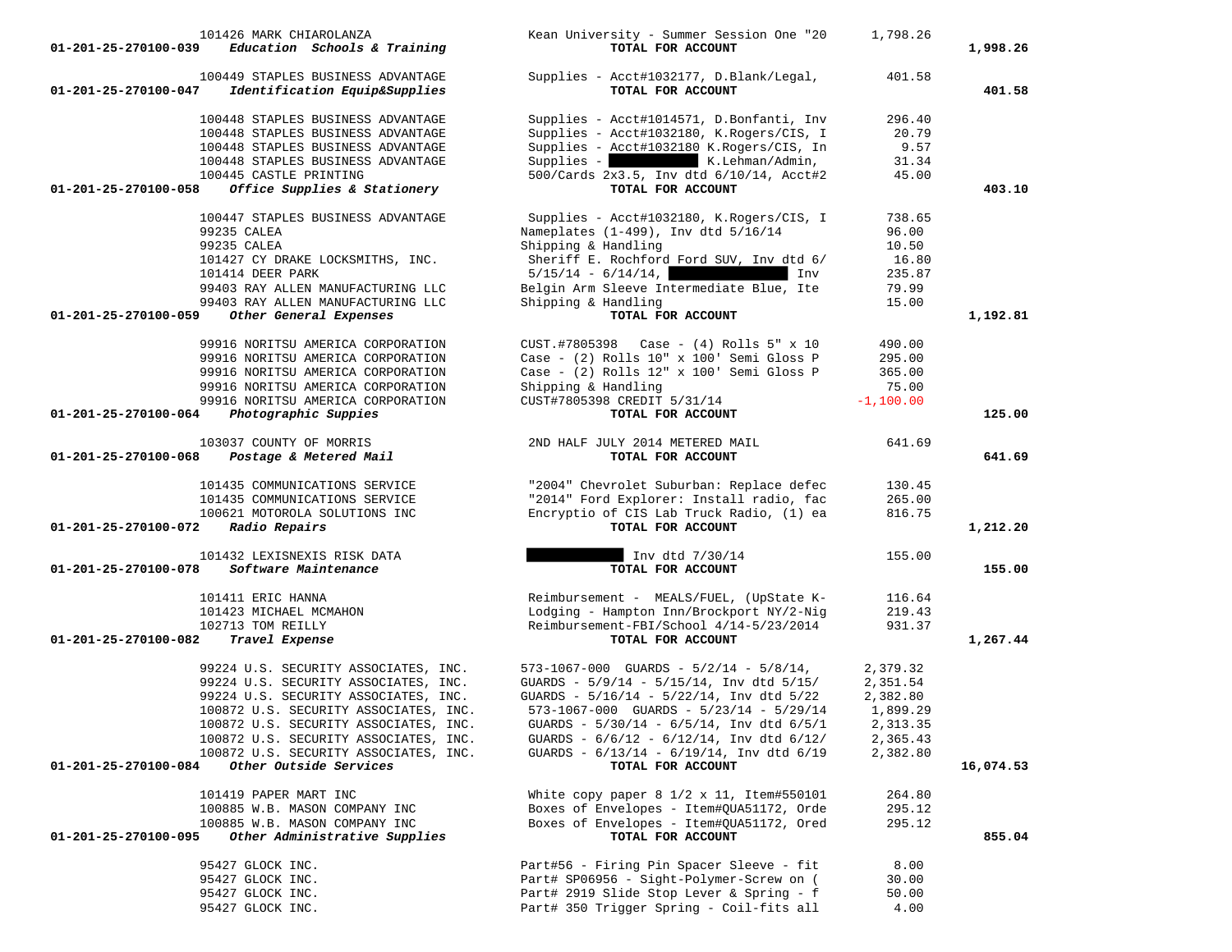| 101426 MARK CHIAROLANZA<br>Education Schools & Training<br>01-201-25-270100-039            | Kean University - Summer Session One "20<br>TOTAL FOR ACCOUNT                                      | 1,798.26             | 1,998.26  |
|--------------------------------------------------------------------------------------------|----------------------------------------------------------------------------------------------------|----------------------|-----------|
| 100449 STAPLES BUSINESS ADVANTAGE<br>01-201-25-270100-047<br>Identification Equip&Supplies | Supplies - Acct#1032177, D.Blank/Legal,<br>TOTAL FOR ACCOUNT                                       | 401.58               | 401.58    |
| 100448 STAPLES BUSINESS ADVANTAGE                                                          | Supplies - Acct#1014571, D.Bonfanti, Inv                                                           | 296.40               |           |
| 100448 STAPLES BUSINESS ADVANTAGE                                                          | Supplies - Acct#1032180, K.Rogers/CIS, I                                                           | 20.79                |           |
| 100448 STAPLES BUSINESS ADVANTAGE                                                          | Supplies - Acct#1032180 K.Rogers/CIS, In                                                           | 9.57                 |           |
| 100448 STAPLES BUSINESS ADVANTAGE                                                          | Supplies - K.Lehman/Admin,                                                                         | 31.34                |           |
| 100445 CASTLE PRINTING                                                                     | 500/Cards 2x3.5, Inv dtd 6/10/14, Acct#2                                                           | 45.00                |           |
| 01-201-25-270100-058<br>Office Supplies & Stationery                                       | TOTAL FOR ACCOUNT                                                                                  |                      | 403.10    |
| 100447 STAPLES BUSINESS ADVANTAGE                                                          | Supplies - Acct#1032180, K.Rogers/CIS, I                                                           | 738.65               |           |
| 99235 CALEA                                                                                | Nameplates (1-499), Inv dtd 5/16/14                                                                | 96.00                |           |
| 99235 CALEA                                                                                | Shipping & Handling                                                                                | 10.50                |           |
| 101427 CY DRAKE LOCKSMITHS, INC.                                                           | Sheriff E. Rochford Ford SUV, Inv dtd 6/                                                           | 16.80                |           |
| 101414 DEER PARK                                                                           | $5/15/14 - 6/14/14$ ,<br>Inv                                                                       | 235.87               |           |
| 99403 RAY ALLEN MANUFACTURING LLC                                                          | Belgin Arm Sleeve Intermediate Blue, Ite                                                           | 79.99                |           |
| 99403 RAY ALLEN MANUFACTURING LLC                                                          | Shipping & Handling                                                                                | 15.00                |           |
| 01-201-25-270100-059<br>Other General Expenses                                             | TOTAL FOR ACCOUNT                                                                                  |                      | 1,192.81  |
| 99916 NORITSU AMERICA CORPORATION                                                          | CUST.#7805398<br>Case - (4) Rolls 5" x 10                                                          | 490.00               |           |
| 99916 NORITSU AMERICA CORPORATION                                                          | Case - (2) Rolls 10" x 100' Semi Gloss P                                                           | 295.00               |           |
| 99916 NORITSU AMERICA CORPORATION                                                          | Case - (2) Rolls 12" x 100' Semi Gloss P                                                           | 365.00               |           |
| 99916 NORITSU AMERICA CORPORATION                                                          | Shipping & Handling                                                                                | 75.00                |           |
| 99916 NORITSU AMERICA CORPORATION                                                          | CUST#7805398 CREDIT 5/31/14                                                                        | $-1,100.00$          |           |
| Photographic Suppies<br>01-201-25-270100-064                                               | TOTAL FOR ACCOUNT                                                                                  |                      | 125.00    |
|                                                                                            |                                                                                                    |                      |           |
| 103037 COUNTY OF MORRIS<br>01-201-25-270100-068<br>Postage & Metered Mail                  | 2ND HALF JULY 2014 METERED MAIL<br>TOTAL FOR ACCOUNT                                               | 641.69               | 641.69    |
| 101435 COMMUNICATIONS SERVICE                                                              | "2004" Chevrolet Suburban: Replace defec                                                           | 130.45               |           |
| 101435 COMMUNICATIONS SERVICE                                                              | "2014" Ford Explorer: Install radio, fac                                                           | 265.00               |           |
| 100621 MOTOROLA SOLUTIONS INC                                                              | Encryptio of CIS Lab Truck Radio, (1) ea                                                           | 816.75               |           |
| 01-201-25-270100-072<br>Radio Repairs                                                      | TOTAL FOR ACCOUNT                                                                                  |                      | 1,212.20  |
| 101432 LEXISNEXIS RISK DATA                                                                | Inv dtd 7/30/14                                                                                    | 155.00               |           |
| Software Maintenance<br>01-201-25-270100-078                                               | TOTAL FOR ACCOUNT                                                                                  |                      | 155.00    |
| 101411 ERIC HANNA                                                                          | Reimbursement - MEALS/FUEL, (UpState K-                                                            | 116.64               |           |
| 101423 MICHAEL MCMAHON                                                                     | Lodging - Hampton Inn/Brockport NY/2-Nig                                                           | 219.43               |           |
| 102713 TOM REILLY                                                                          | Reimbursement-FBI/School 4/14-5/23/2014                                                            | 931.37               |           |
| 01-201-25-270100-082<br>Travel Expense                                                     | TOTAL FOR ACCOUNT                                                                                  |                      | 1,267.44  |
| 99224 U.S. SECURITY ASSOCIATES, INC.                                                       | $573-1067-000$ GUARDS - $5/2/14$ - $5/8/14$ ,                                                      | 2,379.32             |           |
|                                                                                            | GUARDS - $5/9/14$ - $5/15/14$ , Inv dtd $5/15/$                                                    |                      |           |
| 99224 U.S. SECURITY ASSOCIATES, INC.<br>99224 U.S. SECURITY ASSOCIATES, INC.               |                                                                                                    | 2,351.54<br>2,382.80 |           |
| 100872 U.S. SECURITY ASSOCIATES, INC.                                                      | GUARDS - 5/16/14 - 5/22/14, Inv dtd 5/22<br>$573-1067-000$ GUARDS - $5/23/14$ - $5/29/14$          | 1,899.29             |           |
|                                                                                            |                                                                                                    |                      |           |
| 100872 U.S. SECURITY ASSOCIATES, INC.<br>100872 U.S. SECURITY ASSOCIATES, INC.             | GUARDS - $5/30/14$ - $6/5/14$ , Inv dtd $6/5/1$<br>GUARDS - $6/6/12$ - $6/12/14$ , Inv dtd $6/12/$ | 2,313.35<br>2,365.43 |           |
| 100872 U.S. SECURITY ASSOCIATES, INC.                                                      | GUARDS - 6/13/14 - 6/19/14, Inv dtd 6/19                                                           | 2,382.80             |           |
| 01-201-25-270100-084<br>Other Outside Services                                             | TOTAL FOR ACCOUNT                                                                                  |                      | 16,074.53 |
|                                                                                            |                                                                                                    |                      |           |
| 101419 PAPER MART INC                                                                      | White copy paper $8 \frac{1}{2} \times 11$ , Item#550101                                           | 264.80               |           |
| 100885 W.B. MASON COMPANY INC                                                              | Boxes of Envelopes - Item#OUA51172, Orde                                                           | 295.12               |           |
| 100885 W.B. MASON COMPANY INC<br>Other Administrative Supplies<br>01-201-25-270100-095     | Boxes of Envelopes - Item#QUA51172, Ored<br>TOTAL FOR ACCOUNT                                      | 295.12               | 855.04    |
|                                                                                            |                                                                                                    |                      |           |
| 95427 GLOCK INC.                                                                           | Part#56 - Firing Pin Spacer Sleeve - fit                                                           | 8.00                 |           |
| 95427 GLOCK INC.                                                                           | Part# SP06956 - Sight-Polymer-Screw on (                                                           | 30.00                |           |
| 95427 GLOCK INC.                                                                           | Part# 2919 Slide Stop Lever & Spring - f                                                           | 50.00                |           |
| 95427 GLOCK INC.                                                                           | Part# 350 Trigger Spring - Coil-fits all                                                           | 4.00                 |           |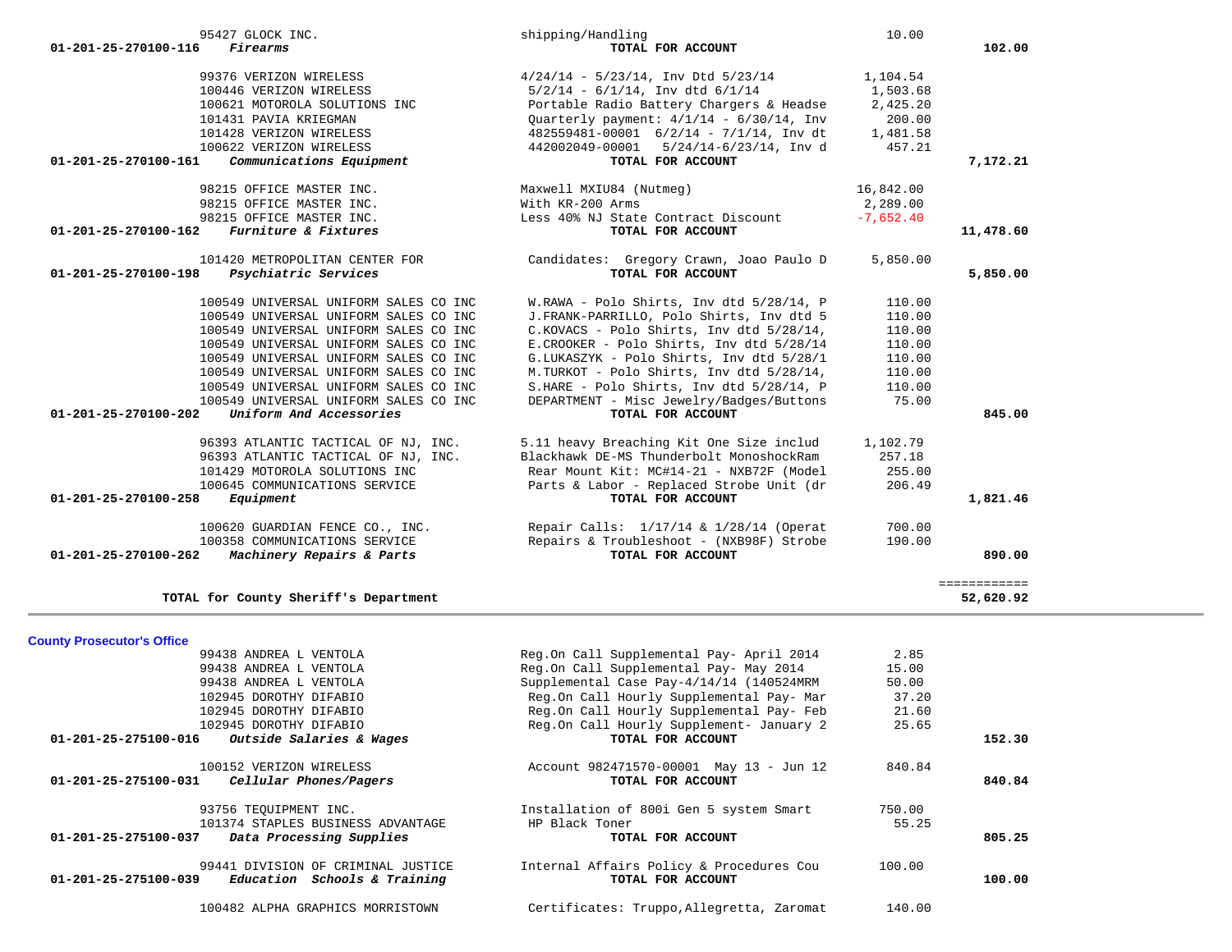| <b>County Prosecutor's Office</b>                          |                                           |        |        |
|------------------------------------------------------------|-------------------------------------------|--------|--------|
| 99438 ANDREA L VENTOLA                                     | Reg.On Call Supplemental Pay- April 2014  | 2.85   |        |
| 99438 ANDREA L VENTOLA                                     | Reg.On Call Supplemental Pay- May 2014    | 15.00  |        |
| 99438 ANDREA L VENTOLA                                     | Supplemental Case Pay-4/14/14 (140524MRM  | 50.00  |        |
| 102945 DOROTHY DIFABIO                                     | Reg.On Call Hourly Supplemental Pay- Mar  | 37.20  |        |
| 102945 DOROTHY DIFABIO                                     | Reg.On Call Hourly Supplemental Pay- Feb  | 21.60  |        |
| 102945 DOROTHY DIFABIO                                     | Reg.On Call Hourly Supplement- January 2  | 25.65  |        |
| Outside Salaries & Wages<br>01-201-25-275100-016           | TOTAL FOR ACCOUNT                         |        | 152.30 |
| 100152 VERIZON WIRELESS                                    | Account 982471570-00001 May 13 - Jun 12   | 840.84 |        |
| 01-201-25-275100-031<br>Cellular Phones/Pagers             | TOTAL FOR ACCOUNT                         |        | 840.84 |
| 93756 TEOUIPMENT INC.                                      | Installation of 800i Gen 5 system Smart   | 750.00 |        |
| 101374 STAPLES BUSINESS ADVANTAGE                          | HP Black Toner                            | 55.25  |        |
| $01 - 201 - 25 - 275100 - 037$<br>Data Processing Supplies | TOTAL FOR ACCOUNT                         |        | 805.25 |
| 99441 DIVISION OF CRIMINAL JUSTICE                         | Internal Affairs Policy & Procedures Cou  | 100.00 |        |
| 01-201-25-275100-039<br>Education Schools & Training       | TOTAL FOR ACCOUNT                         |        | 100.00 |
| 100482 ALPHA GRAPHICS MORRISTOWN                           | Certificates: Truppo, Allegretta, Zaromat | 140.00 |        |
|                                                            |                                           |        |        |

TOTAL for County Sheriff's Department

52,620.92

| 01-201-25-270100-116<br><i>Firearms</i>                    | TOTAL FOR ACCOUNT                                       |             | 102.00       |
|------------------------------------------------------------|---------------------------------------------------------|-------------|--------------|
| 99376 VERIZON WIRELESS                                     | $4/24/14$ - $5/23/14$ , Inv Dtd $5/23/14$               | 1,104.54    |              |
| 100446 VERIZON WIRELESS                                    | $5/2/14$ - $6/1/14$ , Inv dtd $6/1/14$                  | 1,503.68    |              |
| 100621 MOTOROLA SOLUTIONS INC                              | Portable Radio Battery Chargers & Headse                | 2,425.20    |              |
| 101431 PAVIA KRIEGMAN                                      | Ouarterly payment: $4/1/14 - 6/30/14$ , Inv             | 200.00      |              |
| 101428 VERIZON WIRELESS                                    | $482559481-00001$ $6/2/14$ - $7/1/14$ , Inv dt 1,481.58 |             |              |
| 100622 VERIZON WIRELESS                                    | 442002049-00001 5/24/14-6/23/14, Inv d                  | 457.21      |              |
| $01 - 201 - 25 - 270100 - 161$<br>Communications Equipment | TOTAL FOR ACCOUNT                                       |             | 7,172.21     |
| 98215 OFFICE MASTER INC.                                   | Maxwell MXIU84 (Nutmeg)<br>16,842.00                    |             |              |
| 98215 OFFICE MASTER INC.                                   | With KR-200 Arms                                        | 2,289.00    |              |
| 98215 OFFICE MASTER INC.                                   | Less 40% NJ State Contract Discount                     | $-7,652.40$ |              |
| Furniture & Fixtures<br>$01 - 201 - 25 - 270100 - 162$     | TOTAL FOR ACCOUNT                                       |             | 11,478.60    |
| 101420 METROPOLITAN CENTER FOR                             | Candidates: Gregory Crawn, Joao Paulo D                 | 5,850.00    |              |
| Psychiatric Services<br>01-201-25-270100-198               | TOTAL FOR ACCOUNT                                       |             | 5,850.00     |
| 100549 UNIVERSAL UNIFORM SALES CO INC                      | W.RAWA - Polo Shirts, Inv dtd 5/28/14, P                | 110.00      |              |
| 100549 UNIVERSAL UNIFORM SALES CO INC                      | J.FRANK-PARRILLO, Polo Shirts, Inv dtd 5                | 110.00      |              |
| 100549 UNIVERSAL UNIFORM SALES CO INC                      | C.KOVACS - Polo Shirts, Inv dtd 5/28/14,                | 110.00      |              |
| 100549 UNIVERSAL UNIFORM SALES CO INC                      | E. CROOKER - Polo Shirts, Inv dtd 5/28/14               | 110.00      |              |
| 100549 UNIVERSAL UNIFORM SALES CO INC                      | G.LUKASZYK - Polo Shirts, Inv dtd 5/28/1                | 110.00      |              |
| 100549 UNIVERSAL UNIFORM SALES CO INC                      | M.TURKOT - Polo Shirts, Inv dtd 5/28/14,                | 110.00      |              |
| 100549 UNIVERSAL UNIFORM SALES CO INC                      | S.HARE - Polo Shirts, Inv dtd 5/28/14, P                | 110.00      |              |
| 100549 UNIVERSAL UNIFORM SALES CO INC                      | DEPARTMENT - Misc Jewelry/Badges/Buttons                | 75.00       |              |
| Uniform And Accessories<br>01-201-25-270100-202            | TOTAL FOR ACCOUNT                                       |             | 845.00       |
| 96393 ATLANTIC TACTICAL OF NJ, INC.                        | 5.11 heavy Breaching Kit One Size includ                | 1,102.79    |              |
| 96393 ATLANTIC TACTICAL OF NJ, INC.                        | Blackhawk DE-MS Thunderbolt MonoshockRam                | 257.18      |              |
| 101429 MOTOROLA SOLUTIONS INC                              | Rear Mount Kit: MC#14-21 - NXB72F (Model                | 255.00      |              |
| 100645 COMMUNICATIONS SERVICE                              | Parts & Labor - Replaced Strobe Unit (dr                | 206.49      |              |
| 01-201-25-270100-258<br>Equipment                          | TOTAL FOR ACCOUNT                                       |             | 1,821.46     |
| 100620 GUARDIAN FENCE CO., INC.                            | Repair Calls: 1/17/14 & 1/28/14 (Operat                 | 700.00      |              |
| 100358 COMMUNICATIONS SERVICE                              | Repairs & Troubleshoot - (NXB98F) Strobe                | 190.00      |              |
| 01-201-25-270100-262<br>Machinery Repairs & Parts          | TOTAL FOR ACCOUNT                                       |             | 890.00       |
|                                                            |                                                         |             | ============ |

95427 GLOCK INC. Shipping/Handling 10.00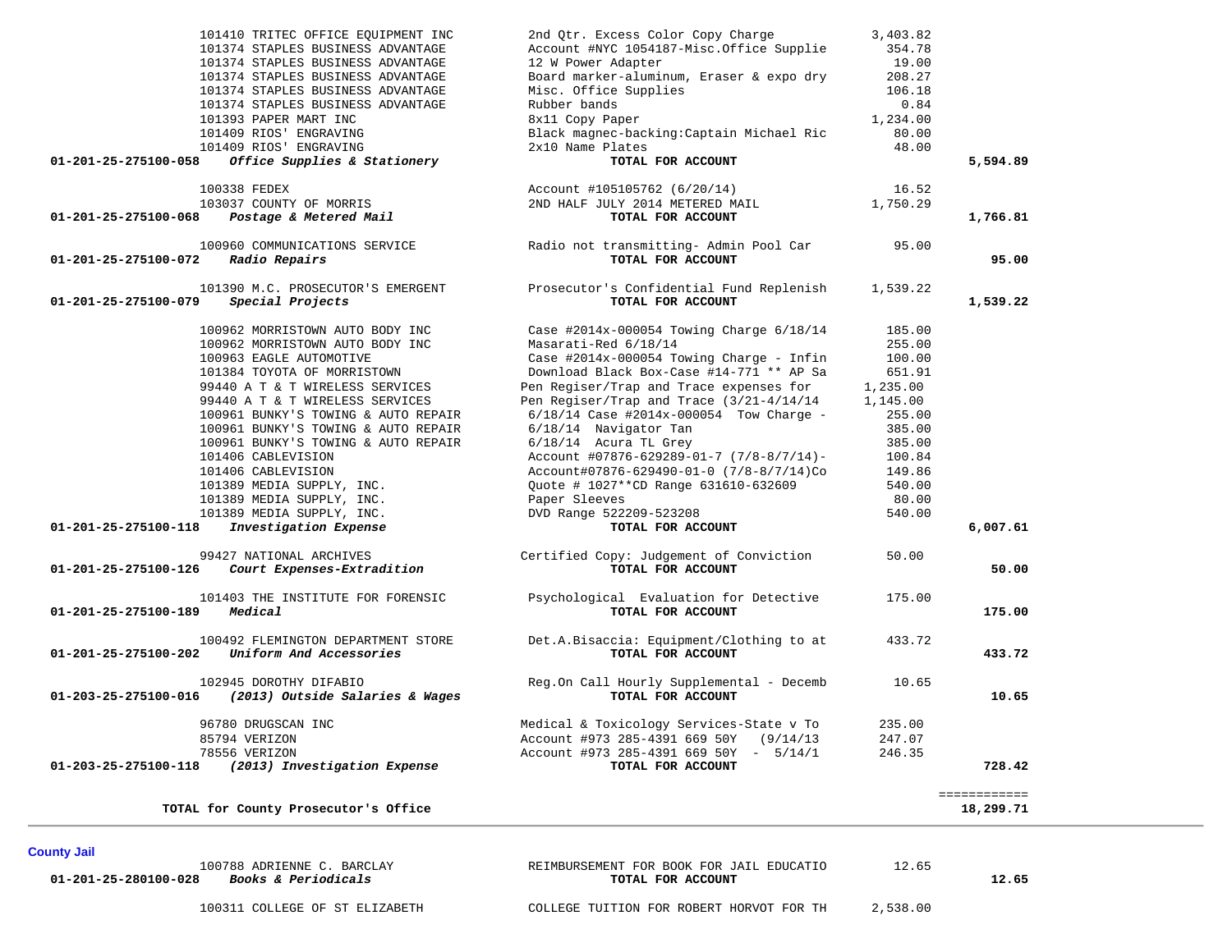| 101410 TRITEC OFFICE EQUIPMENT INC<br>101374 STAPLES BUSINESS ADVANTAGE<br>101374 STAPLES BUSINESS ADVANTAGE<br>101374 STAPLES BUSINESS ADVANTAGE<br>101374 STAPLES BUSINESS ADVANTAGE<br>101374 STAPLES BUSINESS ADVANTAGE<br>101393 PAPER MART INC<br>101409 RIOS' ENGRAVING<br>101409 RIOS' ENGRAVING                                                                                                                                                                                                    | 2nd Qtr. Excess Color Copy Charge<br>Account #NYC 1054187-Misc.Office Supplie<br>12 W Power Adapter<br>Board marker-aluminum, Eraser & expo dry<br>Misc. Office Supplies<br>Rubber bands<br>8x11 Copy Paper<br>Black magnec-backing: Captain Michael Ric<br>2x10 Name Plates                                                                                                                                                                                                                                                                           | 3,403.82<br>354.78<br>19.00<br>208.27<br>106.18<br>0.84<br>1,234.00<br>80.00<br>48.00                                                       |                           |
|-------------------------------------------------------------------------------------------------------------------------------------------------------------------------------------------------------------------------------------------------------------------------------------------------------------------------------------------------------------------------------------------------------------------------------------------------------------------------------------------------------------|--------------------------------------------------------------------------------------------------------------------------------------------------------------------------------------------------------------------------------------------------------------------------------------------------------------------------------------------------------------------------------------------------------------------------------------------------------------------------------------------------------------------------------------------------------|---------------------------------------------------------------------------------------------------------------------------------------------|---------------------------|
| Office Supplies & Stationery<br>01-201-25-275100-058                                                                                                                                                                                                                                                                                                                                                                                                                                                        | TOTAL FOR ACCOUNT                                                                                                                                                                                                                                                                                                                                                                                                                                                                                                                                      |                                                                                                                                             | 5,594.89                  |
| 100338 FEDEX<br>103037 COUNTY OF MORRIS<br>Postage & Metered Mail<br>01-201-25-275100-068                                                                                                                                                                                                                                                                                                                                                                                                                   | Account #105105762 (6/20/14)<br>2ND HALF JULY 2014 METERED MAIL<br>TOTAL FOR ACCOUNT                                                                                                                                                                                                                                                                                                                                                                                                                                                                   | 16.52<br>1,750.29                                                                                                                           | 1,766.81                  |
| 100960 COMMUNICATIONS SERVICE<br>Radio Repairs<br>01-201-25-275100-072                                                                                                                                                                                                                                                                                                                                                                                                                                      | Radio not transmitting- Admin Pool Car<br>TOTAL FOR ACCOUNT                                                                                                                                                                                                                                                                                                                                                                                                                                                                                            | 95.00                                                                                                                                       | 95.00                     |
| 101390 M.C. PROSECUTOR'S EMERGENT<br>$01 - 201 - 25 - 275100 - 079$<br>Special Projects                                                                                                                                                                                                                                                                                                                                                                                                                     | Prosecutor's Confidential Fund Replenish<br>TOTAL FOR ACCOUNT                                                                                                                                                                                                                                                                                                                                                                                                                                                                                          | 1,539.22                                                                                                                                    | 1,539.22                  |
| 100962 MORRISTOWN AUTO BODY INC<br>100962 MORRISTOWN AUTO BODY INC<br>100963 EAGLE AUTOMOTIVE<br>101384 TOYOTA OF MORRISTOWN<br>99440 A T & T WIRELESS SERVICES<br>99440 A T & T WIRELESS SERVICES<br>100961 BUNKY'S TOWING & AUTO REPAIR<br>100961 BUNKY'S TOWING & AUTO REPAIR<br>100961 BUNKY'S TOWING & AUTO REPAIR<br>101406 CABLEVISION<br>101406 CABLEVISION<br>101389 MEDIA SUPPLY, INC.<br>101389 MEDIA SUPPLY, INC.<br>101389 MEDIA SUPPLY, INC.<br>01-201-25-275100-118<br>Investigation Expense | Case #2014x-000054 Towing Charge $6/18/14$<br>Masarati-Red 6/18/14<br>Case #2014x-000054 Towing Charge - Infin<br>Download Black Box-Case #14-771 ** AP Sa<br>Pen Regiser/Trap and Trace expenses for<br>Pen Regiser/Trap and Trace (3/21-4/14/14<br>$6/18/14$ Case #2014x-000054 Tow Charge -<br>6/18/14 Navigator Tan<br>$6/18/14$ Acura TL Grey<br>Account #07876-629289-01-7 $(7/8-8/7/14)$ -<br>Account#07876-629490-01-0 (7/8-8/7/14)Co<br>Quote # 1027**CD Range 631610-632609<br>Paper Sleeves<br>DVD Range 522209-523208<br>TOTAL FOR ACCOUNT | 185.00<br>255.00<br>100.00<br>651.91<br>1,235.00<br>1,145.00<br>255.00<br>385.00<br>385.00<br>100.84<br>149.86<br>540.00<br>80.00<br>540.00 | 6,007.61                  |
| 99427 NATIONAL ARCHIVES<br>01-201-25-275100-126<br>Court Expenses-Extradition                                                                                                                                                                                                                                                                                                                                                                                                                               | Certified Copy: Judgement of Conviction<br>TOTAL FOR ACCOUNT                                                                                                                                                                                                                                                                                                                                                                                                                                                                                           | 50.00                                                                                                                                       | 50.00                     |
| 101403 THE INSTITUTE FOR FORENSIC<br>01-201-25-275100-189<br>Medical                                                                                                                                                                                                                                                                                                                                                                                                                                        | Psychological Evaluation for Detective<br>TOTAL FOR ACCOUNT                                                                                                                                                                                                                                                                                                                                                                                                                                                                                            | 175.00                                                                                                                                      | 175.00                    |
| 100492 FLEMINGTON DEPARTMENT STORE<br>Uniform And Accessories<br>01-201-25-275100-202                                                                                                                                                                                                                                                                                                                                                                                                                       | Det.A.Bisaccia: Equipment/Clothing to at<br>TOTAL FOR ACCOUNT                                                                                                                                                                                                                                                                                                                                                                                                                                                                                          | 433.72                                                                                                                                      | 433.72                    |
| 102945 DOROTHY DIFABIO<br>01-203-25-275100-016<br>(2013) Outside Salaries & Wages                                                                                                                                                                                                                                                                                                                                                                                                                           | Reg.On Call Hourly Supplemental - Decemb<br>TOTAL FOR ACCOUNT                                                                                                                                                                                                                                                                                                                                                                                                                                                                                          | 10.65                                                                                                                                       | 10.65                     |
| 96780 DRUGSCAN INC<br>85794 VERIZON<br>78556 VERIZON<br>(2013) Investigation Expense<br>01-203-25-275100-118                                                                                                                                                                                                                                                                                                                                                                                                | Medical & Toxicology Services-State v To<br>Account #973 285-4391 669 50Y (9/14/13<br>Account #973 285-4391 669 50Y - 5/14/1<br>TOTAL FOR ACCOUNT                                                                                                                                                                                                                                                                                                                                                                                                      | 235.00<br>247.07<br>246.35                                                                                                                  | 728.42                    |
| TOTAL for County Prosecutor's Office                                                                                                                                                                                                                                                                                                                                                                                                                                                                        |                                                                                                                                                                                                                                                                                                                                                                                                                                                                                                                                                        |                                                                                                                                             | ============<br>18,299.71 |

**County Jail** 

 100788 ADRIENNE C. BARCLAY REIMBURSEMENT FOR BOOK FOR JAIL EDUCATIO 12.65  **01-201-25-280100-028** *Books & Periodicals* **TOTAL FOR ACCOUNT 12.65**

12.65

100311 COLLEGE OF ST ELIZABETH COLLEGE TUITION FOR ROBERT HORVOT FOR TH 2,538.00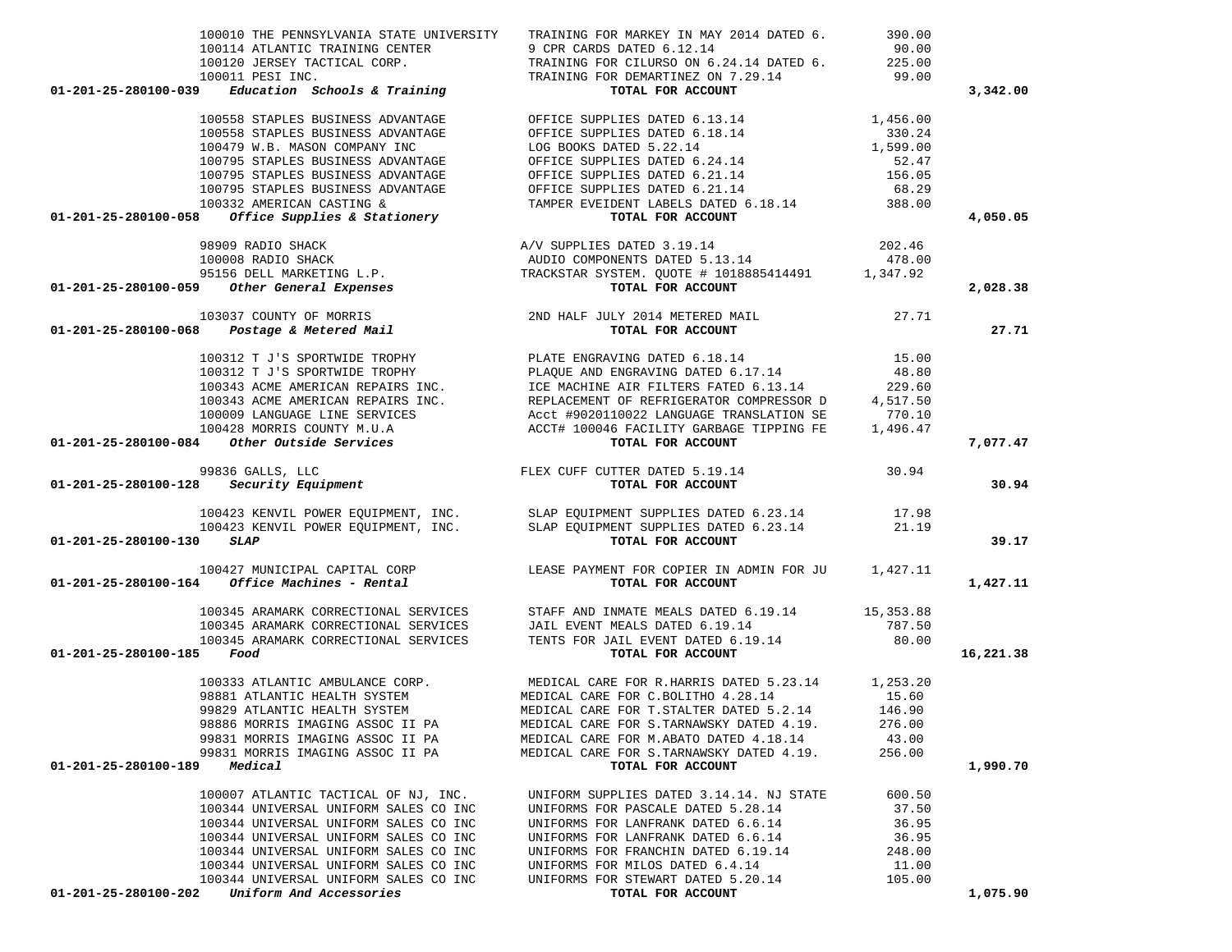| 100010 THE PENNSYLVANIA STATE UNIVERSITY                                                                                                                                                                                                                                                                                                                              | TRAINING FOR MARKEY IN MAY 2014 DATED 6.                                                                                                                                                                                                       | 390.00          |           |
|-----------------------------------------------------------------------------------------------------------------------------------------------------------------------------------------------------------------------------------------------------------------------------------------------------------------------------------------------------------------------|------------------------------------------------------------------------------------------------------------------------------------------------------------------------------------------------------------------------------------------------|-----------------|-----------|
|                                                                                                                                                                                                                                                                                                                                                                       |                                                                                                                                                                                                                                                |                 |           |
|                                                                                                                                                                                                                                                                                                                                                                       |                                                                                                                                                                                                                                                |                 |           |
| 01-201-25-280100-039                                                                                                                                                                                                                                                                                                                                                  | 100114 ATLANTIC TRAINING CENTER<br>100120 JERSEY TACTICAL CORP.<br>100120 JERSEY TACTICAL CORP.<br>100011 PESI INC.<br>TRAINING FOR OEMARTINEZ ON 7.29.14<br><b>Education Schools &amp; Training</b><br>TOTAL FOR ACCOUNT<br>TOTAL FOR ACCOUNT |                 | 3,342.00  |
|                                                                                                                                                                                                                                                                                                                                                                       |                                                                                                                                                                                                                                                |                 |           |
|                                                                                                                                                                                                                                                                                                                                                                       |                                                                                                                                                                                                                                                |                 |           |
|                                                                                                                                                                                                                                                                                                                                                                       |                                                                                                                                                                                                                                                |                 |           |
|                                                                                                                                                                                                                                                                                                                                                                       |                                                                                                                                                                                                                                                |                 |           |
|                                                                                                                                                                                                                                                                                                                                                                       |                                                                                                                                                                                                                                                |                 |           |
|                                                                                                                                                                                                                                                                                                                                                                       |                                                                                                                                                                                                                                                |                 |           |
|                                                                                                                                                                                                                                                                                                                                                                       |                                                                                                                                                                                                                                                |                 | 4,050.05  |
|                                                                                                                                                                                                                                                                                                                                                                       |                                                                                                                                                                                                                                                |                 |           |
|                                                                                                                                                                                                                                                                                                                                                                       |                                                                                                                                                                                                                                                |                 |           |
|                                                                                                                                                                                                                                                                                                                                                                       |                                                                                                                                                                                                                                                |                 |           |
|                                                                                                                                                                                                                                                                                                                                                                       |                                                                                                                                                                                                                                                |                 | 2,028.38  |
|                                                                                                                                                                                                                                                                                                                                                                       |                                                                                                                                                                                                                                                |                 |           |
|                                                                                                                                                                                                                                                                                                                                                                       |                                                                                                                                                                                                                                                |                 | 27.71     |
|                                                                                                                                                                                                                                                                                                                                                                       |                                                                                                                                                                                                                                                |                 |           |
|                                                                                                                                                                                                                                                                                                                                                                       |                                                                                                                                                                                                                                                |                 |           |
|                                                                                                                                                                                                                                                                                                                                                                       |                                                                                                                                                                                                                                                |                 |           |
|                                                                                                                                                                                                                                                                                                                                                                       |                                                                                                                                                                                                                                                |                 |           |
|                                                                                                                                                                                                                                                                                                                                                                       |                                                                                                                                                                                                                                                |                 |           |
| $100312 T J'S SPORTWIDE TROPHY\n100312 T J'S SPORTWIDE TROPHY\n100313 ACME AMERTCAN REPAIRS INC.\n100343 ACME AMERTCAN REPAIRS INC.\n100343 ACME AMERTICAN REPAIRS INC.\n10009 LANGUAGE LINE SERVICES\n100428 MORRIS COUNTY M.U.A\n100428 MORRIS COUNTY M.U.A\n100428 MORRIS COUNTY M.U.A\n100428 MORRS COUNTY M.U.A\n100428 MORIS COUNTY M.U.A\n10048\n100428 MORIS$ |                                                                                                                                                                                                                                                |                 | 7,077.47  |
| 99836 GALLS, LLC<br>99836 GALLS, LLC<br>99836 FLEX CUFF CUTTER DATED 5.19.14<br><b>101-201-25-280100-128</b> Security Equipment                                                                                                                                                                                                                                       |                                                                                                                                                                                                                                                |                 |           |
|                                                                                                                                                                                                                                                                                                                                                                       |                                                                                                                                                                                                                                                |                 | 30.94     |
|                                                                                                                                                                                                                                                                                                                                                                       | 100423 KENVIL POWER EQUIPMENT, INC. SLAP EQUIPMENT SUPPLIES DATED 6.23.14 17.98<br>100423 KENVIL POWER EQUIPMENT, INC. SLAP EQUIPMENT SUPPLIES DATED 6.23.14 21.19                                                                             |                 |           |
|                                                                                                                                                                                                                                                                                                                                                                       |                                                                                                                                                                                                                                                |                 |           |
| 01-201-25-280100-130 SLAP                                                                                                                                                                                                                                                                                                                                             | TOTAL FOR ACCOUNT                                                                                                                                                                                                                              |                 | 39.17     |
| 100427 MUNICIPAL CAPITAL CORP<br>1,427.11 LEASE PAYMENT FOR COPIER IN ADMIN FOR JU 1,427.11<br>TOTAL FOR ACCOUNT                                                                                                                                                                                                                                                      |                                                                                                                                                                                                                                                |                 | 1,427.11  |
|                                                                                                                                                                                                                                                                                                                                                                       |                                                                                                                                                                                                                                                |                 |           |
|                                                                                                                                                                                                                                                                                                                                                                       |                                                                                                                                                                                                                                                |                 |           |
|                                                                                                                                                                                                                                                                                                                                                                       |                                                                                                                                                                                                                                                |                 |           |
| 01-201-25-280100-185 Food                                                                                                                                                                                                                                                                                                                                             |                                                                                                                                                                                                                                                |                 | 16,221.38 |
|                                                                                                                                                                                                                                                                                                                                                                       |                                                                                                                                                                                                                                                |                 |           |
|                                                                                                                                                                                                                                                                                                                                                                       |                                                                                                                                                                                                                                                |                 |           |
|                                                                                                                                                                                                                                                                                                                                                                       |                                                                                                                                                                                                                                                |                 |           |
|                                                                                                                                                                                                                                                                                                                                                                       | 98886 MORRIS IMAGING ASSOC II PA MEDICAL CARE FOR S. TARNAWSKY DATED 4.19. 276.00                                                                                                                                                              |                 |           |
| 99831 MORRIS IMAGING ASSOC II PA                                                                                                                                                                                                                                                                                                                                      | MEDICAL CARE FOR M.ABATO DATED 4.18.14                                                                                                                                                                                                         | 43.00           |           |
| 99831 MORRIS IMAGING ASSOC II PA                                                                                                                                                                                                                                                                                                                                      | MEDICAL CARE FOR S.TARNAWSKY DATED 4.19.                                                                                                                                                                                                       | 256.00          |           |
| 01-201-25-280100-189 Medical                                                                                                                                                                                                                                                                                                                                          | TOTAL FOR ACCOUNT                                                                                                                                                                                                                              |                 | 1,990.70  |
| 100007 ATLANTIC TACTICAL OF NJ, INC.                                                                                                                                                                                                                                                                                                                                  | UNIFORM SUPPLIES DATED 3.14.14. NJ STATE                                                                                                                                                                                                       | 600.50          |           |
| 100344 UNIVERSAL UNIFORM SALES CO INC                                                                                                                                                                                                                                                                                                                                 | UNIFORMS FOR PASCALE DATED 5.28.14                                                                                                                                                                                                             | 37.50           |           |
| 100344 UNIVERSAL UNIFORM SALES CO INC                                                                                                                                                                                                                                                                                                                                 | UNIFORMS FOR LANFRANK DATED 6.6.14                                                                                                                                                                                                             | 36.95           |           |
| 100344 UNIVERSAL UNIFORM SALES CO INC                                                                                                                                                                                                                                                                                                                                 | UNIFORMS FOR LANFRANK DATED 6.6.14                                                                                                                                                                                                             | 36.95           |           |
| 100344 UNIVERSAL UNIFORM SALES CO INC<br>100344 UNIVERSAL UNIFORM SALES CO INC                                                                                                                                                                                                                                                                                        | UNIFORMS FOR FRANCHIN DATED 6.19.14<br>UNIFORMS FOR MILOS DATED 6.4.14                                                                                                                                                                         | 248.00<br>11.00 |           |
| 100344 UNIVERSAL UNIFORM SALES CO INC                                                                                                                                                                                                                                                                                                                                 | UNIFORMS FOR STEWART DATED 5.20.14 105.00                                                                                                                                                                                                      |                 |           |
|                                                                                                                                                                                                                                                                                                                                                                       |                                                                                                                                                                                                                                                |                 |           |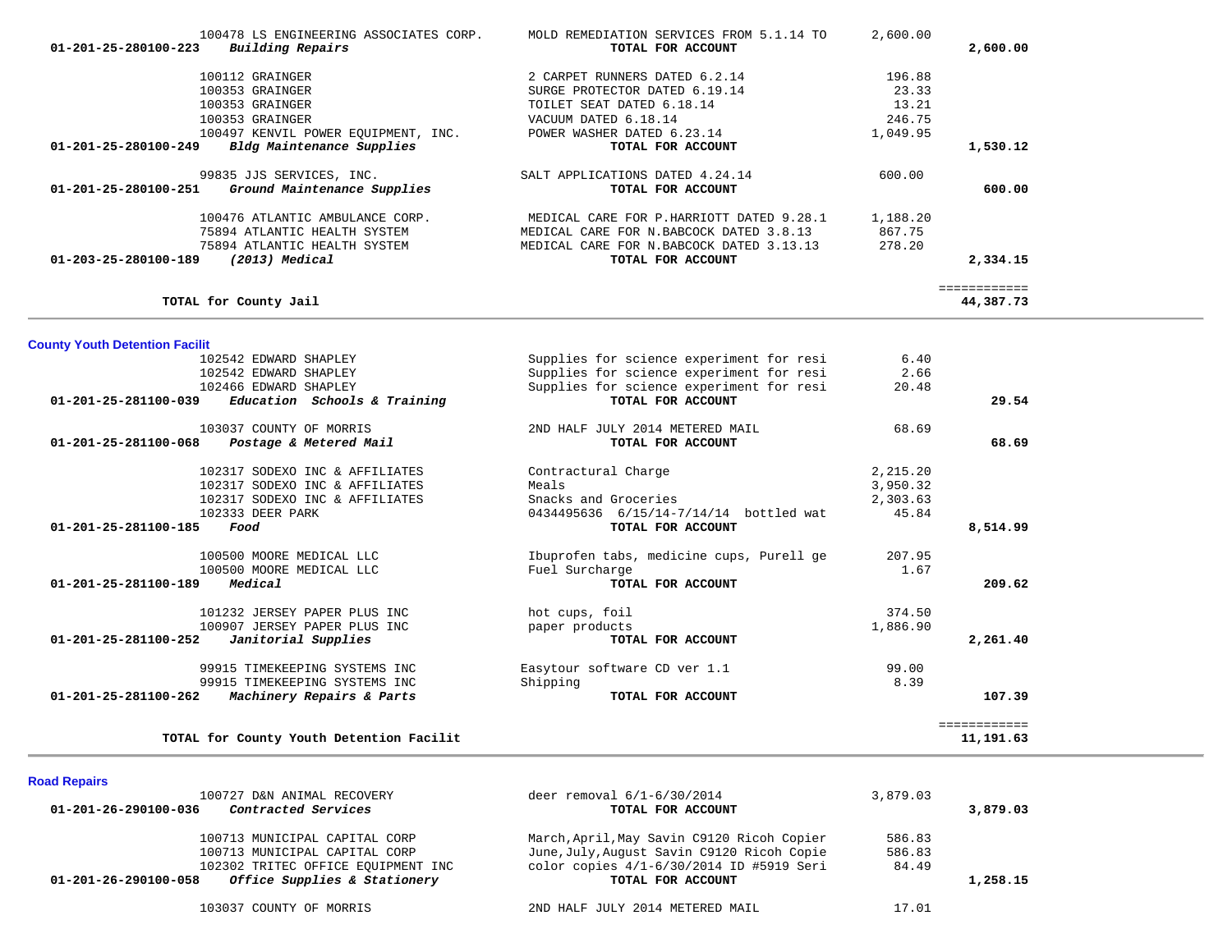| 100478 LS ENGINEERING ASSOCIATES CORP.<br>Building Repairs<br>01-201-25-280100-223                                                        | MOLD REMEDIATION SERVICES FROM 5.1.14 TO<br>TOTAL FOR ACCOUNT                                                                                         | 2,600.00                           | 2,600.00                  |
|-------------------------------------------------------------------------------------------------------------------------------------------|-------------------------------------------------------------------------------------------------------------------------------------------------------|------------------------------------|---------------------------|
| 100112 GRAINGER<br>100353 GRAINGER<br>100353 GRAINGER<br>100353 GRAINGER                                                                  | 2 CARPET RUNNERS DATED 6.2.14<br>SURGE PROTECTOR DATED 6.19.14<br>TOILET SEAT DATED 6.18.14<br>VACUUM DATED 6.18.14                                   | 196.88<br>23.33<br>13.21<br>246.75 |                           |
| 100497 KENVIL POWER EQUIPMENT, INC.<br>Bldg Maintenance Supplies<br>01-201-25-280100-249                                                  | POWER WASHER DATED 6.23.14<br>TOTAL FOR ACCOUNT                                                                                                       | 1,049.95                           | 1,530.12                  |
| 99835 JJS SERVICES, INC.<br>Ground Maintenance Supplies<br>01-201-25-280100-251                                                           | SALT APPLICATIONS DATED 4.24.14<br>TOTAL FOR ACCOUNT                                                                                                  | 600.00                             | 600.00                    |
| 100476 ATLANTIC AMBULANCE CORP.<br>75894 ATLANTIC HEALTH SYSTEM<br>75894 ATLANTIC HEALTH SYSTEM<br>(2013) Medical<br>01-203-25-280100-189 | MEDICAL CARE FOR P.HARRIOTT DATED 9.28.1<br>MEDICAL CARE FOR N.BABCOCK DATED 3.8.13<br>MEDICAL CARE FOR N. BABCOCK DATED 3.13.13<br>TOTAL FOR ACCOUNT | 1,188.20<br>867.75<br>278.20       | 2,334.15                  |
| TOTAL for County Jail                                                                                                                     |                                                                                                                                                       |                                    | ============<br>44,387.73 |
| <b>County Youth Detention Facilit</b>                                                                                                     |                                                                                                                                                       |                                    |                           |
| 102542 EDWARD SHAPLEY                                                                                                                     | Supplies for science experiment for resi                                                                                                              | 6.40                               |                           |
| 102542 EDWARD SHAPLEY                                                                                                                     | Supplies for science experiment for resi                                                                                                              | 2.66                               |                           |
| 102466 EDWARD SHAPLEY                                                                                                                     | Supplies for science experiment for resi                                                                                                              | 20.48                              |                           |
| 01-201-25-281100-039<br>Education Schools & Training                                                                                      | TOTAL FOR ACCOUNT                                                                                                                                     |                                    | 29.54                     |
| 103037 COUNTY OF MORRIS                                                                                                                   | 2ND HALF JULY 2014 METERED MAIL                                                                                                                       | 68.69                              |                           |
| Postage & Metered Mail<br>$01 - 201 - 25 - 281100 - 068$                                                                                  | TOTAL FOR ACCOUNT                                                                                                                                     |                                    | 68.69                     |
| 102317 SODEXO INC & AFFILIATES                                                                                                            | Contractural Charge                                                                                                                                   | 2,215.20                           |                           |
| 102317 SODEXO INC & AFFILIATES                                                                                                            | Meals                                                                                                                                                 | 3,950.32                           |                           |
| 102317 SODEXO INC & AFFILIATES                                                                                                            | Snacks and Groceries                                                                                                                                  | 2,303.63                           |                           |
| 102333 DEER PARK                                                                                                                          | 0434495636 6/15/14-7/14/14 bottled wat                                                                                                                | 45.84                              |                           |
| $01 - 201 - 25 - 281100 - 185$<br>Food                                                                                                    | TOTAL FOR ACCOUNT                                                                                                                                     |                                    | 8,514.99                  |
| 100500 MOORE MEDICAL LLC                                                                                                                  | Ibuprofen tabs, medicine cups, Purell ge                                                                                                              | 207.95                             |                           |
| 100500 MOORE MEDICAL LLC                                                                                                                  | Fuel Surcharge                                                                                                                                        | 1.67                               |                           |
| Medical<br>01-201-25-281100-189                                                                                                           | TOTAL FOR ACCOUNT                                                                                                                                     |                                    | 209.62                    |
| 101232 JERSEY PAPER PLUS INC                                                                                                              | hot cups, foil                                                                                                                                        | 374.50                             |                           |
| 100907 JERSEY PAPER PLUS INC                                                                                                              | paper products                                                                                                                                        | 1,886.90                           |                           |
| Janitorial Supplies<br>01-201-25-281100-252                                                                                               | TOTAL FOR ACCOUNT                                                                                                                                     |                                    | 2,261.40                  |
| 99915 TIMEKEEPING SYSTEMS INC                                                                                                             | Easytour software CD ver 1.1                                                                                                                          | 99.00                              |                           |
| 99915 TIMEKEEPING SYSTEMS INC                                                                                                             | Shipping                                                                                                                                              | 8.39                               |                           |
| 01-201-25-281100-262<br>Machinery Repairs & Parts                                                                                         | TOTAL FOR ACCOUNT                                                                                                                                     |                                    | 107.39                    |
|                                                                                                                                           |                                                                                                                                                       |                                    | ============              |
| TOTAL for County Youth Detention Facilit                                                                                                  |                                                                                                                                                       |                                    | 11,191.63                 |
|                                                                                                                                           |                                                                                                                                                       |                                    |                           |

| <b>Road Repairs</b> |
|---------------------|
|---------------------|

| 100727 D&N ANIMAL RECOVERY                           | deer removal 6/1-6/30/2014                 | 3,879.03 |          |
|------------------------------------------------------|--------------------------------------------|----------|----------|
| Contracted Services<br>01-201-26-290100-036          | TOTAL FOR ACCOUNT                          |          | 3,879.03 |
| 100713 MUNICIPAL CAPITAL CORP                        | March, April, May Savin C9120 Ricoh Copier | 586.83   |          |
| 100713 MUNICIPAL CAPITAL CORP                        | June, July, August Savin C9120 Ricoh Copie | 586.83   |          |
| 102302 TRITEC OFFICE EQUIPMENT INC                   | color copies 4/1-6/30/2014 ID #5919 Seri   | 84.49    |          |
| Office Supplies & Stationery<br>01-201-26-290100-058 | TOTAL FOR ACCOUNT                          |          | 1,258.15 |
| 103037 COUNTY OF MORRIS                              | 2ND HALF JULY 2014 METERED MAIL            | 17.01    |          |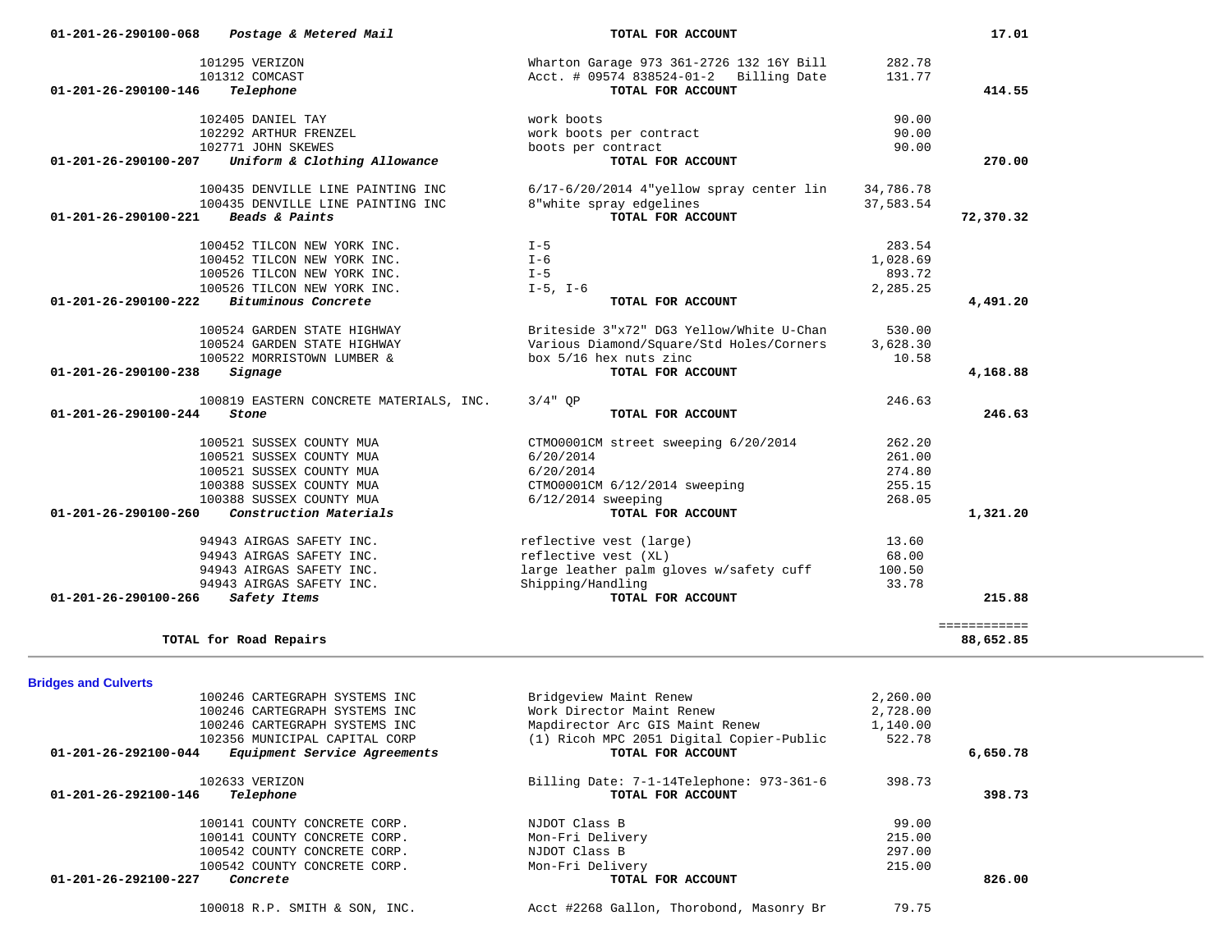| 102405 DANIEL TAY                                            | work boots                                 | 90.00     |              |
|--------------------------------------------------------------|--------------------------------------------|-----------|--------------|
| 102292 ARTHUR FRENZEL                                        | work boots per contract                    | 90.00     |              |
| 102771 JOHN SKEWES                                           | boots per contract                         | 90.00     |              |
| Uniform & Clothing Allowance<br>01-201-26-290100-207         | TOTAL FOR ACCOUNT                          |           | 270.00       |
| 100435 DENVILLE LINE PAINTING INC                            | $6/17-6/20/2014$ 4"yellow spray center lin | 34,786.78 |              |
| 100435 DENVILLE LINE PAINTING INC                            | 8"white spray edgelines                    | 37,583.54 |              |
| Beads & Paints<br>$01 - 201 - 26 - 290100 - 221$             | TOTAL FOR ACCOUNT                          |           | 72,370.32    |
|                                                              |                                            |           |              |
| 100452 TILCON NEW YORK INC.                                  | $I - 5$                                    | 283.54    |              |
| 100452 TILCON NEW YORK INC.                                  | $I - 6$                                    | 1,028.69  |              |
| 100526 TILCON NEW YORK INC.                                  | $I - 5$                                    | 893.72    |              |
| 100526 TILCON NEW YORK INC.                                  | $I-5$ , $I-6$                              | 2,285.25  |              |
| 01-201-26-290100-222<br>Bituminous Concrete                  | TOTAL FOR ACCOUNT                          |           | 4,491.20     |
| 100524 GARDEN STATE HIGHWAY                                  | Briteside 3"x72" DG3 Yellow/White U-Chan   | 530.00    |              |
| 100524 GARDEN STATE HIGHWAY                                  | Various Diamond/Square/Std Holes/Corners   | 3,628.30  |              |
| 100522 MORRISTOWN LUMBER &                                   | box 5/16 hex nuts zinc                     | 10.58     |              |
| 01-201-26-290100-238<br>Signage                              | TOTAL FOR ACCOUNT                          |           | 4,168.88     |
|                                                              |                                            |           |              |
| 100819 EASTERN CONCRETE MATERIALS, INC.                      | $3/4"$ OP                                  | 246.63    |              |
| $01 - 201 - 26 - 290100 - 244$<br>Stone                      | TOTAL FOR ACCOUNT                          |           | 246.63       |
| 100521 SUSSEX COUNTY MUA                                     | CTM00001CM street sweeping 6/20/2014       | 262.20    |              |
| 100521 SUSSEX COUNTY MUA                                     | 6/20/2014                                  | 261.00    |              |
| 100521 SUSSEX COUNTY MUA                                     | 6/20/2014                                  | 274.80    |              |
| 100388 SUSSEX COUNTY MUA                                     | CTM00001CM 6/12/2014 sweeping              | 255.15    |              |
| 100388 SUSSEX COUNTY MUA                                     | $6/12/2014$ sweeping                       | 268.05    |              |
| Construction Materials<br>01-201-26-290100-260               | TOTAL FOR ACCOUNT                          |           | 1,321.20     |
|                                                              |                                            |           |              |
| 94943 AIRGAS SAFETY INC.                                     | reflective vest (large)                    | 13.60     |              |
| 94943 AIRGAS SAFETY INC.                                     | reflective vest (XL)                       | 68.00     |              |
| 94943 AIRGAS SAFETY INC.                                     | large leather palm gloves w/safety cuff    | 100.50    |              |
| 94943 AIRGAS SAFETY INC.<br>01-201-26-290100-266             | Shipping/Handling<br>TOTAL FOR ACCOUNT     | 33.78     | 215.88       |
| Safety Items                                                 |                                            |           |              |
|                                                              |                                            |           | ============ |
| TOTAL for Road Repairs                                       |                                            |           | 88,652.85    |
|                                                              |                                            |           |              |
| <b>Bridges and Culverts</b><br>100246 CARTEGRAPH SYSTEMS INC | Bridgeview Maint Renew                     | 2,260.00  |              |
| 100246 CARTEGRAPH SYSTEMS INC                                | Work Director Maint Renew                  | 2,728.00  |              |
| 100246 CARTEGRAPH SYSTEMS INC                                | Mapdirector Arc GIS Maint Renew            | 1,140.00  |              |
| 102356 MUNICIPAL CAPITAL CORP                                | (1) Ricoh MPC 2051 Digital Copier-Public   | 522.78    |              |
| Equipment Service Agreements<br>01-201-26-292100-044         | TOTAL FOR ACCOUNT                          |           | 6,650.78     |
|                                                              |                                            |           |              |
| 102633 VERIZON                                               | Billing Date: 7-1-14Telephone: 973-361-6   | 398.73    |              |
| 01-201-26-292100-146<br>Telephone                            | TOTAL FOR ACCOUNT                          |           | 398.73       |
| 100141 COUNTY CONCRETE CORP.                                 | NJDOT Class B                              | 99.00     |              |
| 100141 COUNTY CONCRETE CORP.                                 | Mon-Fri Delivery                           | 215.00    |              |
| 100542 COUNTY CONCRETE CORP.                                 | NJDOT Class B                              | 297.00    |              |
| 100542 COUNTY CONCRETE CORP.                                 | Mon-Fri Delivery                           | 215.00    |              |
| 01-201-26-292100-227<br>Concrete                             | TOTAL FOR ACCOUNT                          |           | 826.00       |
|                                                              |                                            |           |              |
| 100018 R.P. SMITH & SON, INC.                                | Acct #2268 Gallon, Thorobond, Masonry Br   | 79.75     |              |
|                                                              |                                            |           |              |
|                                                              |                                            |           |              |

 **01-201-26-290100-068** *Postage & Metered Mail* **TOTAL FOR ACCOUNT 17.01**

 **01-201-26-290100-146** *Telephone* **TOTAL FOR ACCOUNT 414.55**

 101295 VERIZON Wharton Garage 973 361-2726 132 16Y Bill 282.78 101312 COMCAST Acct. # 09574 838524-01-2 Billing Date 131.77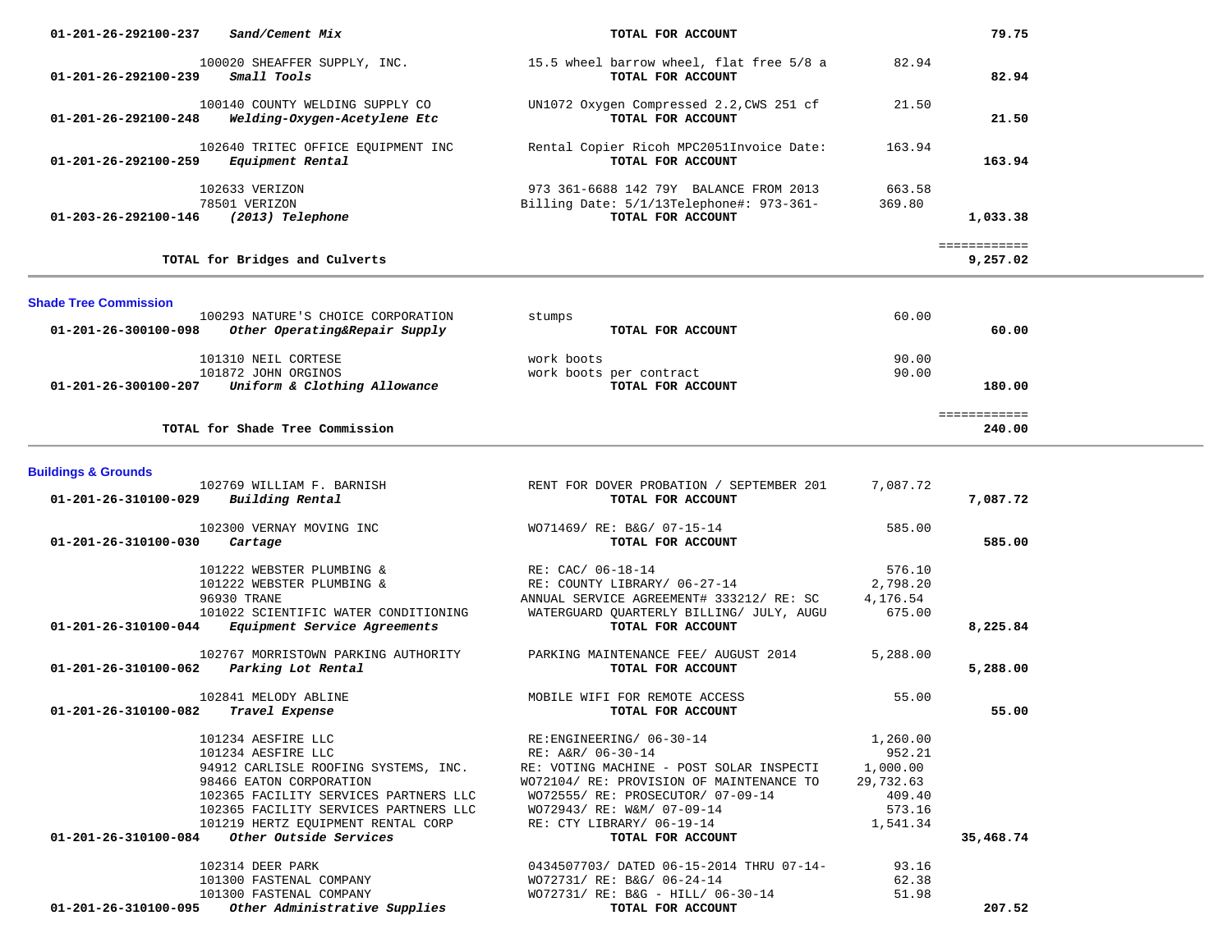| 01-201-26-292100-237<br>Sand/Cement Mix                                                                                                                                                                               | TOTAL FOR ACCOUNT                                                                                                                                              |                                             | 79.75                    |  |
|-----------------------------------------------------------------------------------------------------------------------------------------------------------------------------------------------------------------------|----------------------------------------------------------------------------------------------------------------------------------------------------------------|---------------------------------------------|--------------------------|--|
| 100020 SHEAFFER SUPPLY, INC.<br>01-201-26-292100-239<br>Small Tools                                                                                                                                                   | 15.5 wheel barrow wheel, flat free 5/8 a<br>TOTAL FOR ACCOUNT                                                                                                  | 82.94                                       | 82.94                    |  |
| 100140 COUNTY WELDING SUPPLY CO<br>01-201-26-292100-248<br>Welding-Oxygen-Acetylene Etc                                                                                                                               | UN1072 Oxygen Compressed 2.2, CWS 251 cf<br>TOTAL FOR ACCOUNT                                                                                                  | 21.50                                       | 21.50                    |  |
| 102640 TRITEC OFFICE EQUIPMENT INC<br>01-201-26-292100-259<br>Equipment Rental                                                                                                                                        | Rental Copier Ricoh MPC2051Invoice Date:<br>TOTAL FOR ACCOUNT                                                                                                  | 163.94                                      | 163.94                   |  |
| 102633 VERIZON<br>78501 VERIZON<br>(2013) Telephone<br>01-203-26-292100-146                                                                                                                                           | 973 361-6688 142 79Y BALANCE FROM 2013<br>Billing Date: 5/1/13Telephone#: 973-361-<br>TOTAL FOR ACCOUNT                                                        | 663.58<br>369.80                            | 1,033.38                 |  |
| TOTAL for Bridges and Culverts                                                                                                                                                                                        |                                                                                                                                                                |                                             | ============<br>9,257.02 |  |
| <b>Shade Tree Commission</b>                                                                                                                                                                                          |                                                                                                                                                                |                                             |                          |  |
| 100293 NATURE'S CHOICE CORPORATION<br>01-201-26-300100-098<br>Other Operating&Repair Supply                                                                                                                           | stumps<br>TOTAL FOR ACCOUNT                                                                                                                                    | 60.00                                       | 60.00                    |  |
| 101310 NEIL CORTESE<br>101872 JOHN ORGINOS<br>Uniform & Clothing Allowance<br>01-201-26-300100-207                                                                                                                    | work boots<br>work boots per contract<br>TOTAL FOR ACCOUNT                                                                                                     | 90.00<br>90.00                              | 180.00                   |  |
| TOTAL for Shade Tree Commission                                                                                                                                                                                       |                                                                                                                                                                |                                             | ============<br>240.00   |  |
| <b>Buildings &amp; Grounds</b>                                                                                                                                                                                        |                                                                                                                                                                |                                             |                          |  |
| 102769 WILLIAM F. BARNISH<br>01-201-26-310100-029<br>Building Rental                                                                                                                                                  | RENT FOR DOVER PROBATION / SEPTEMBER 201<br>TOTAL FOR ACCOUNT                                                                                                  | 7,087.72                                    | 7,087.72                 |  |
| 102300 VERNAY MOVING INC<br>01-201-26-310100-030<br>Cartage                                                                                                                                                           | WO71469/ RE: B&G/ 07-15-14<br>TOTAL FOR ACCOUNT                                                                                                                | 585.00                                      | 585.00                   |  |
| 101222 WEBSTER PLUMBING &<br>101222 WEBSTER PLUMBING &<br>96930 TRANE<br>101022 SCIENTIFIC WATER CONDITIONING<br>Equipment Service Agreements<br>01-201-26-310100-044                                                 | RE: CAC/ 06-18-14<br>RE: COUNTY LIBRARY/ 06-27-14<br>ANNUAL SERVICE AGREEMENT# 333212/ RE: SC<br>WATERGUARD QUARTERLY BILLING/ JULY, AUGU<br>TOTAL FOR ACCOUNT | 576.10<br>2,798.20<br>4,176.54<br>675.00    | 8,225.84                 |  |
| 102767 MORRISTOWN PARKING AUTHORITY<br>01-201-26-310100-062<br>Parking Lot Rental                                                                                                                                     | PARKING MAINTENANCE FEE/ AUGUST 2014<br>TOTAL FOR ACCOUNT                                                                                                      | 5,288.00                                    | 5,288.00                 |  |
| 102841 MELODY ABLINE<br>01-201-26-310100-082<br>Travel Expense                                                                                                                                                        | MOBILE WIFI FOR REMOTE ACCESS<br>TOTAL FOR ACCOUNT                                                                                                             | 55.00                                       | 55.00                    |  |
| 101234 AESFIRE LLC<br>101234 AESFIRE LLC<br>94912 CARLISLE ROOFING SYSTEMS, INC.                                                                                                                                      | RE: ENGINEERING/ 06-30-14<br>RE: A&R/ 06-30-14<br>RE: VOTING MACHINE - POST SOLAR INSPECTI<br>WO72104/ RE: PROVISION OF MAINTENANCE TO                         | 1,260.00<br>952.21<br>1,000.00<br>29,732.63 |                          |  |
| 98466 EATON CORPORATION<br>102365 FACILITY SERVICES PARTNERS LLC<br>102365 FACILITY SERVICES PARTNERS LLC<br>101219 HERTZ EQUIPMENT RENTAL CORP<br>01-201-26-310100-084<br>Other Outside Services<br>102314 DEER PARK | WO72555/ RE: PROSECUTOR/ 07-09-14<br>WO72943/ RE: W&M/ 07-09-14<br>RE: CTY LIBRARY/ 06-19-14<br>TOTAL FOR ACCOUNT<br>0434507703/ DATED 06-15-2014 THRU 07-14-  | 409.40<br>573.16<br>1,541.34<br>93.16       | 35,468.74                |  |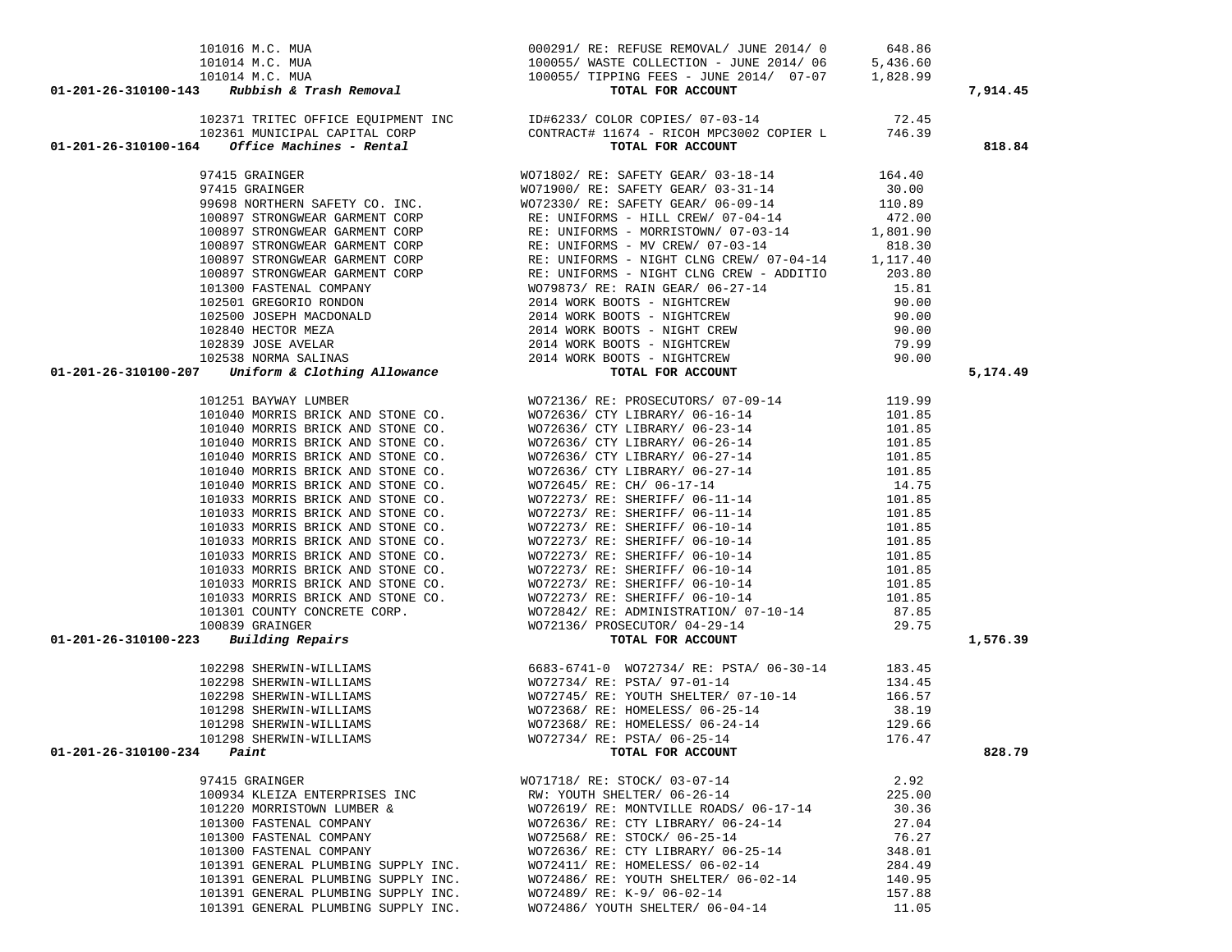| 101016 M.C. MUA<br>101014 M.C. MUA<br>101014 M.C. MUA<br>101014 M.C. MUA<br>101014 M.C. MUA<br>100055/ WASTE COLLECTION - JUNE 2014/06 5,436.60<br>100055/ TIPPING FEES - JUNE 2014/07-07 1,828.99<br><b>TOTAL FOR ACCOUNT</b> |                                                            |        |          |
|--------------------------------------------------------------------------------------------------------------------------------------------------------------------------------------------------------------------------------|------------------------------------------------------------|--------|----------|
|                                                                                                                                                                                                                                |                                                            |        |          |
|                                                                                                                                                                                                                                |                                                            |        |          |
|                                                                                                                                                                                                                                |                                                            |        | 7,914.45 |
|                                                                                                                                                                                                                                |                                                            |        |          |
|                                                                                                                                                                                                                                |                                                            |        |          |
|                                                                                                                                                                                                                                |                                                            |        |          |
|                                                                                                                                                                                                                                |                                                            |        | 818.84   |
|                                                                                                                                                                                                                                |                                                            |        |          |
|                                                                                                                                                                                                                                |                                                            |        |          |
|                                                                                                                                                                                                                                |                                                            |        |          |
|                                                                                                                                                                                                                                |                                                            |        |          |
|                                                                                                                                                                                                                                |                                                            |        |          |
|                                                                                                                                                                                                                                |                                                            |        |          |
|                                                                                                                                                                                                                                |                                                            |        |          |
|                                                                                                                                                                                                                                |                                                            |        |          |
|                                                                                                                                                                                                                                |                                                            |        |          |
|                                                                                                                                                                                                                                |                                                            |        |          |
|                                                                                                                                                                                                                                |                                                            |        |          |
|                                                                                                                                                                                                                                |                                                            |        |          |
|                                                                                                                                                                                                                                |                                                            |        |          |
|                                                                                                                                                                                                                                |                                                            |        |          |
|                                                                                                                                                                                                                                |                                                            |        |          |
|                                                                                                                                                                                                                                |                                                            |        | 5,174.49 |
|                                                                                                                                                                                                                                |                                                            |        |          |
|                                                                                                                                                                                                                                |                                                            |        |          |
|                                                                                                                                                                                                                                |                                                            |        |          |
|                                                                                                                                                                                                                                |                                                            |        |          |
|                                                                                                                                                                                                                                |                                                            |        |          |
|                                                                                                                                                                                                                                |                                                            |        |          |
|                                                                                                                                                                                                                                |                                                            |        |          |
|                                                                                                                                                                                                                                |                                                            |        |          |
|                                                                                                                                                                                                                                |                                                            |        |          |
|                                                                                                                                                                                                                                |                                                            |        |          |
|                                                                                                                                                                                                                                |                                                            |        |          |
|                                                                                                                                                                                                                                |                                                            |        |          |
|                                                                                                                                                                                                                                |                                                            |        |          |
|                                                                                                                                                                                                                                |                                                            |        |          |
|                                                                                                                                                                                                                                |                                                            |        |          |
|                                                                                                                                                                                                                                |                                                            |        |          |
|                                                                                                                                                                                                                                |                                                            |        |          |
|                                                                                                                                                                                                                                |                                                            |        |          |
|                                                                                                                                                                                                                                |                                                            |        | 1,576.39 |
|                                                                                                                                                                                                                                |                                                            |        |          |
|                                                                                                                                                                                                                                |                                                            |        |          |
|                                                                                                                                                                                                                                |                                                            |        |          |
|                                                                                                                                                                                                                                |                                                            |        |          |
|                                                                                                                                                                                                                                |                                                            |        |          |
|                                                                                                                                                                                                                                |                                                            |        |          |
|                                                                                                                                                                                                                                | 101298 SHERWIN-WILLIAMS WO72734/ RE: PSTA/ 06-25-14 176.47 |        |          |
| $01 - 201 - 26 - 310100 - 234$ Paint                                                                                                                                                                                           | TOTAL FOR ACCOUNT                                          |        | 828.79   |
|                                                                                                                                                                                                                                |                                                            |        |          |
| 97415 GRAINGER                                                                                                                                                                                                                 | WO71718/ RE: STOCK/ 03-07-14                               | 2.92   |          |
| 100934 KLEIZA ENTERPRISES INC                                                                                                                                                                                                  | RW: YOUTH SHELTER/ 06-26-14                                | 225.00 |          |
| 101220 MORRISTOWN LUMBER &                                                                                                                                                                                                     | WO72619/RE: MONTVILLE ROADS/06-17-14                       | 30.36  |          |
| 101300 FASTENAL COMPANY                                                                                                                                                                                                        | WO72636/ RE: CTY LIBRARY/ 06-24-14                         | 27.04  |          |
| 101300 FASTENAL COMPANY                                                                                                                                                                                                        | WO72568/ RE: STOCK/ 06-25-14                               | 76.27  |          |
| 101300 FASTENAL COMPANY                                                                                                                                                                                                        | WO72636/ RE: CTY LIBRARY/ 06-25-14                         | 348.01 |          |
| 101391 GENERAL PLUMBING SUPPLY INC.                                                                                                                                                                                            | WO72411/ RE: HOMELESS/ 06-02-14                            | 284.49 |          |
| 101391 GENERAL PLUMBING SUPPLY INC.                                                                                                                                                                                            | WO72486/ RE: YOUTH SHELTER/ 06-02-14                       | 140.95 |          |
| 101391 GENERAL PLUMBING SUPPLY INC.                                                                                                                                                                                            | WO72489/ RE: K-9/ 06-02-14                                 | 157.88 |          |
| 101391 GENERAL PLUMBING SUPPLY INC.                                                                                                                                                                                            | WO72486/ YOUTH SHELTER/ 06-04-14                           | 11.05  |          |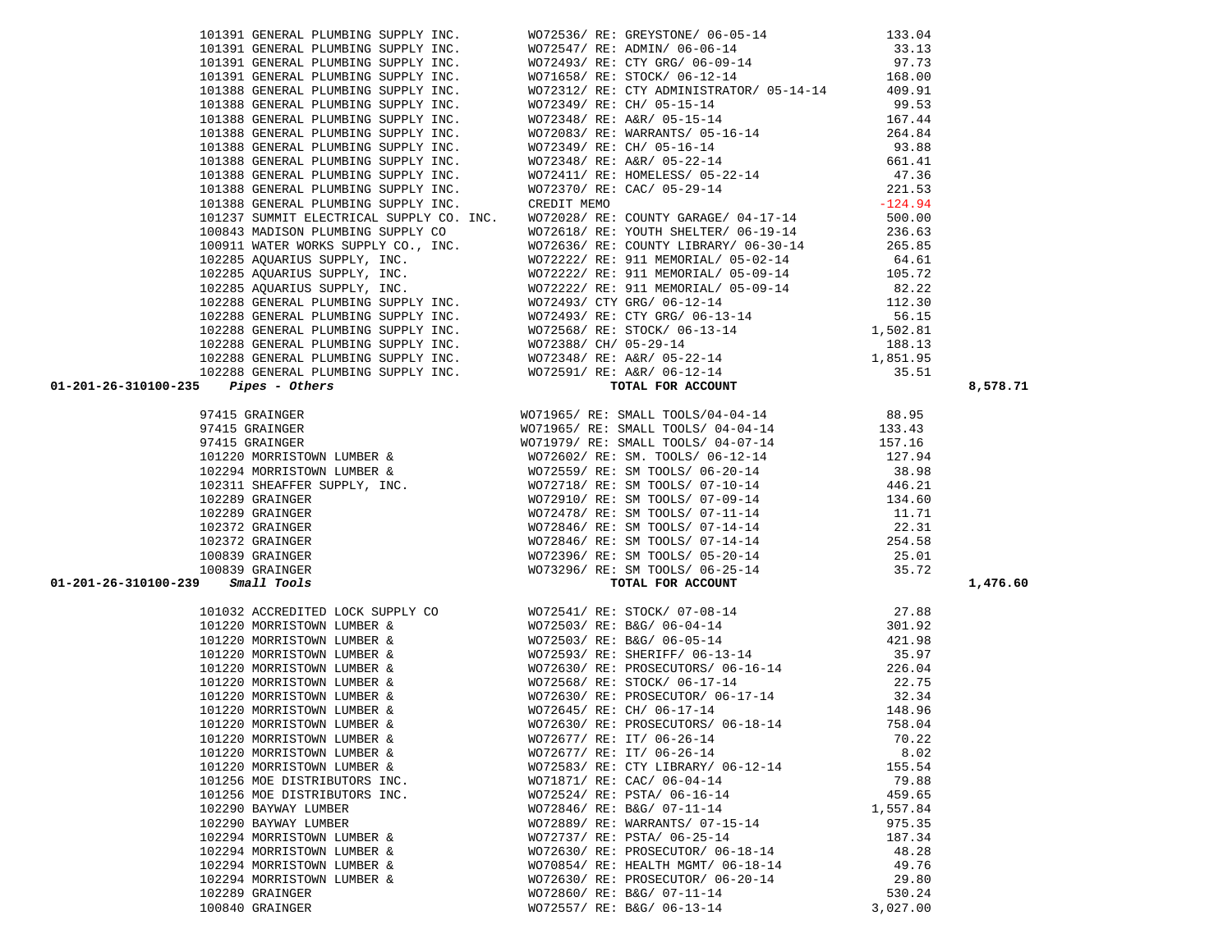| IUZZY4 MURRISIOWN LUMBER &                 | WU7Z5597 KL. SM IOOLS/ 00-Z0-14                                 | 38.98                       |
|--------------------------------------------|-----------------------------------------------------------------|-----------------------------|
|                                            | 102311 SHEAFFER SUPPLY, INC. WO72718/ RE: SM TOOLS/ 07-10-14    | 446.21                      |
| 102289 GRAINGER                            | WO72910/ RE: SM TOOLS/ 07-09-14                                 | 134.60                      |
| 102289 GRAINGER                            | WO72478/ RE: SM TOOLS/ 07-11-14 11.71                           |                             |
| 102372 GRAINGER                            | WO72846/ RE: SM TOOLS/ 07-14-14 22.31                           |                             |
| 102372 GRAINGER                            | WO72846/RE: SM TOOLS/07-14-14 254.58                            |                             |
| 100839 GRAINGER                            | WO72396/RE: SM TOOLS/ 05-20-14 25.01                            |                             |
| 100839 GRAINGER                            | WO73296/ RE: SM TOOLS/ 06-25-14 35.72                           |                             |
| $01 - 201 - 26 - 310100 - 239$ Small Tools | TOTAL FOR ACCOUNT                                               |                             |
|                                            | 101032 ACCREDITED LOCK SUPPLY CO WO72541/ RE: STOCK/ 07-08-14   | 27.88                       |
|                                            | 101220 MORRISTOWN LUMBER & WO72503/RE: B&G/06-04-14             | 301.92                      |
| 101220 MORRISTOWN LUMBER &                 | WO72503/RE: B&G/ 06-05-14 421.98                                |                             |
| 101220 MORRISTOWN LUMBER &                 | WO72593/RE: SHERIFF/ 06-13-14 35.97                             |                             |
| 101220 MORRISTOWN LUMBER &                 | WO72630/ RE: PROSECUTORS/ 06-16-14 226.04                       |                             |
| 101220 MORRISTOWN LUMBER &                 | WO72568/RE: STOCK/06-17-14 22.75                                |                             |
| 101220 MORRISTOWN LUMBER &                 | WO72630/ RE: PROSECUTOR/ 06-17-14 32.34                         |                             |
| 101220 MORRISTOWN LUMBER &                 | WO72645/ RE: CH/ 06-17-14 148.96                                |                             |
| 101220 MORRISTOWN LUMBER &                 | WO72630/RE: PROSECUTORS/06-18-14 758.04                         |                             |
| 101220 MORRISTOWN LUMBER &                 | WO72677/ RE: IT/ 06-26-14                                       | 70.22                       |
| 101220 MORRISTOWN LUMBER &                 | WO72677/ RE: IT/ 06-26-14                                       | 8.02                        |
| 101220 MORRISTOWN LUMBER &                 | WO72583/ RE: CTY LIBRARY/ 06-12-14 155.54                       |                             |
|                                            | 101256 MOE DISTRIBUTORS INC. WO71871/RE: CAC/ 06-04-14 79.88    |                             |
|                                            | 101256 MOE DISTRIBUTORS INC. WO72524/ RE: PSTA/ 06-16-14 459.65 |                             |
| 102290 BAYWAY LUMBER                       | WO72846/RE: B&G/ 07-11-14 1,557.84                              |                             |
| 102290 BAYWAY LUMBER                       | WO72889/ RE: WARRANTS/ 07-15-14 975.35                          |                             |
| 102294 MORRISTOWN LUMBER &                 | WO72737/ RE: PSTA/ 06-25-14 187.34                              |                             |
| 102294 MORRISTOWN LUMBER &                 | WO72630/ RE: PROSECUTOR/ 06-18-14 48.28                         |                             |
| 102294 MORRISTOWN LUMBER &                 | WO70854/ RE: HEALTH MGMT/ 06-18-14 49.76                        |                             |
| 102294 MORRISTOWN LUMBER &                 | WO72630/RE: PROSECUTOR/06-20-14 29.80                           |                             |
| 102289 GRAINGER                            | WO72860/ RE: B&G/ 07-11-14                                      | 530.24                      |
| $100010$ $100010$                          |                                                                 | $\sim$ $\sim$ $\sim$ $\sim$ |

 97415 GRAINGER WO71965/ RE: SMALL TOOLS/04-04-14 88.95 97415 GRAINGER WO71965/ RE: SMALL TOOLS/ 04-04-14 133.43 97415 GRAINGER WO71979/ RE: SMALL TOOLS/ 04-07-14 157.16 101220 MORRISTOWN LUMBER & WO72602/ RE: SM. TOOLS/ 06-12-14 127.94 102294 MORRISTOWN LUMBER & WO72559/ RE: SM TOOLS/ 06-20-14 38.98

|                                            | 100839 GRAINGER                                                                                                       | WO72396/ RE: SM TOOLS/ 05-20-14 | 25.01    |          |
|--------------------------------------------|-----------------------------------------------------------------------------------------------------------------------|---------------------------------|----------|----------|
|                                            |                                                                                                                       |                                 |          |          |
| $01 - 201 - 26 - 310100 - 239$ Small Tools | 100839 GRAINGER $\begin{array}{c} \texttt{WO73296/ RE: SM TOOLS/ 06-25-14} \\ \texttt{Smail Tools} \end{array}$ 35.72 | TOTAL FOR ACCOUNT               |          | 1,476.60 |
|                                            | 101032 ACCREDITED LOCK SUPPLY CO WO72541/RE: STOCK/07-08-14                                                           |                                 | 27.88    |          |
|                                            | 101220 MORRISTOWN LUMBER & WO72503/RE: B&G/06-04-14                                                                   |                                 | 301.92   |          |
|                                            | 101220 MORRISTOWN LUMBER & WO72503/ RE: B&G/ 06-05-14                                                                 |                                 | 421.98   |          |
|                                            | 101220 MORRISTOWN LUMBER & WO72593/ RE: SHERIFF/ 06-13-14 35.97                                                       |                                 |          |          |
|                                            | 101220 MORRISTOWN LUMBER & WO72630/RE: PROSECUTORS/06-16-14                                                           |                                 | 226.04   |          |
|                                            | 101220 MORRISTOWN LUMBER & WO72568/ RE: STOCK/ 06-17-14 22.75                                                         |                                 |          |          |
|                                            | 101220 MORRISTOWN LUMBER & WO72630/ RE: PROSECUTOR/ 06-17-14 32.34                                                    |                                 |          |          |
|                                            | 101220 MORRISTOWN LUMBER & WO72645/RE: CH/ 06-17-14                                                                   |                                 | 148.96   |          |
|                                            | 101220 MORRISTOWN LUMBER & WO72630/RE: PROSECUTORS/06-18-14                                                           |                                 | 758.04   |          |
|                                            | 101220 MORRISTOWN LUMBER & WO72677/RE: IT/ 06-26-14 70.22                                                             |                                 |          |          |
|                                            |                                                                                                                       |                                 |          |          |
|                                            |                                                                                                                       |                                 |          |          |
|                                            |                                                                                                                       |                                 |          |          |
|                                            | 101256 MOE DISTRIBUTORS INC. WO72524/ RE: PSTA/ 06-16-14 459.65                                                       |                                 |          |          |
|                                            | 102290 BAYWAY LUMBER WO72846/ RE: B&G/ 07-11-14 1,557.84                                                              |                                 |          |          |
|                                            | 102290 BAYWAY LUMBER WO72889/ RE: WARRANTS/ 07-15-14 975.35                                                           |                                 |          |          |
|                                            | 102294 MORRISTOWN LUMBER & WO72737/RE: PSTA/06-25-14                                                                  |                                 | 187.34   |          |
|                                            | 102294 MORRISTOWN LUMBER & WO72630/ RE: PROSECUTOR/ 06-18-14 48.28                                                    |                                 |          |          |
|                                            | 102294 MORRISTOWN LUMBER & WO70854/ RE: HEALTH MGMT/ 06-18-14 49.76                                                   |                                 |          |          |
|                                            | 102294 MORRISTOWN LUMBER & WO72630/ RE: PROSECUTOR/ 06-20-14 29.80                                                    |                                 |          |          |
|                                            | 102289 GRAINGER                                                                                                       | $WO72860/RE: B&G/07-11-14$      | 530.24   |          |
|                                            | 100840 GRAINGER                                                                                                       | WO72557/ RE: B&G/ 06-13-14      | 3,027.00 |          |
|                                            |                                                                                                                       |                                 |          |          |

 101391 GENERAL PLUMBING SUPPLY INC. WO72536/ RE: GREYSTONE/ 06-05-14 133.04 101391 GENERAL PLUMBING SUPPLY INC. WO72547/ RE: ADMIN/ 06-06-14 33.13 101391 GENERAL PLUMBING SUPPLY INC. WO72493/ RE: CTY GRG/ 06-09-14 97.73 101391 GENERAL PLUMBING SUPPLY INC. WO71658/ RE: STOCK/ 06-12-14 168.00 101388 GENERAL PLUMBING SUPPLY INC. WO72312/ RE: CTY ADMINISTRATOR/ 05-14-14 409.91 101388 GENERAL PLUMBING SUPPLY INC. WO72349/ RE: CH/ 05-15-14 99.53 101388 GENERAL PLUMBING SUPPLY INC. WO72348/ RE: A&R/ 05-15-14 167.44 101388 GENERAL PLUMBING SUPPLY INC. WO72083/ RE: WARRANTS/ 05-16-14 264.84 101388 GENERAL PLUMBING SUPPLY INC. WO72349/ RE: CH/ 05-16-14 93.88 101388 GENERAL PLUMBING SUPPLY INC. WO72348/ RE: A&R/ 05-22-14 661.41 101388 GENERAL PLUMBING SUPPLY INC. WO72411/ RE: HOMELESS/ 05-22-14 47.36 101388 GENERAL PLUMBING SUPPLY INC. WO72370/ RE: CAC/ 05-29-14 221.53 101388 GENERAL PLUMBING SUPPLY INC. CREDIT MEMO -124.94 101237 SUMMIT ELECTRICAL SUPPLY CO. INC. WO72028/ RE: COUNTY GARAGE/ 04-17-14 500.00 100843 MADISON PLUMBING SUPPLY CO WO72618/ RE: YOUTH SHELTER/ 06-19-14 236.63 100911 WATER WORKS SUPPLY CO., INC. WO72636/ RE: COUNTY LIBRARY/ 06-30-14 265.85 102285 AQUARIUS SUPPLY, INC. WO72222/ RE: 911 MEMORIAL/ 05-02-14 64.61 102285 AQUARIUS SUPPLY, INC. WO72222/ RE: 911 MEMORIAL/ 05-09-14 105.72 102285 AQUARIUS SUPPLY, INC. WO72222/ RE: 911 MEMORIAL/ 05-09-14 82.22 102288 GENERAL PLUMBING SUPPLY INC. WO72493/ CTY GRG/ 06-12-14 112.30 102288 GENERAL PLUMBING SUPPLY INC. WO72493/ RE: CTY GRG/ 06-13-14 56.15 102288 GENERAL PLUMBING SUPPLY INC. WO72568/ RE: STOCK/ 06-13-14 1,502.81 102288 GENERAL PLUMBING SUPPLY INC. WO72388/ CH/ 05-29-14 188.13 102288 GENERAL PLUMBING SUPPLY INC. WO72348/ RE: A&R/ 05-22-14 1,851.95 102288 GENERAL PLUMBING SUPPLY INC. WO72591/ RE: A&R/ 06-12-14 35.51  **01-201-26-310100-235** *Pipes - Others* **TOTAL FOR ACCOUNT 8,578.71**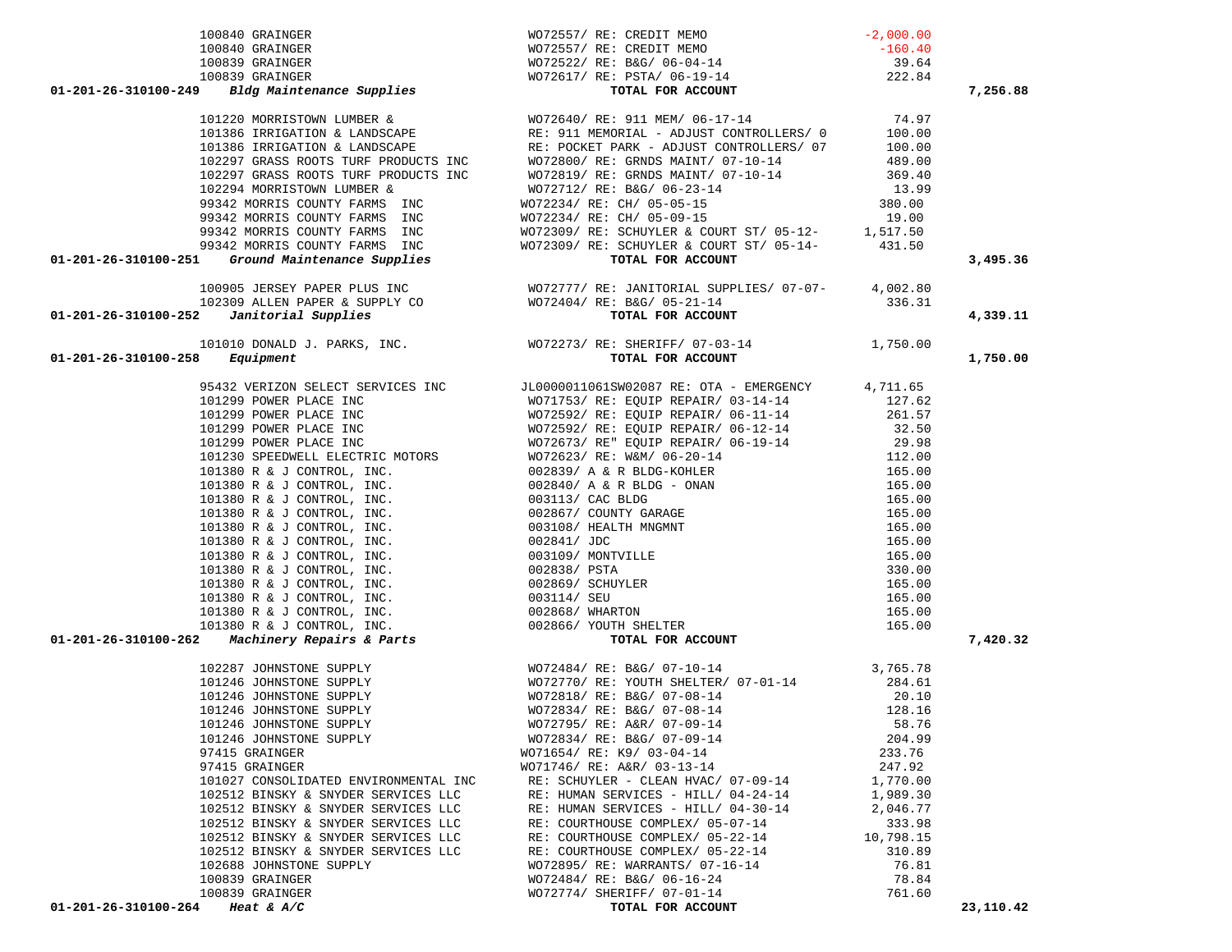|                                          | 99342 MORRIS COUNTY FARMS INC<br>99342 MORRIS COUNTY FARMS INC<br><b>COUNT FOR ACCOUNT FOR ACCOUNT</b><br>99342 MORRIS COUNTY FARMS INC<br><b>COUNT FOR ACCOUNT</b><br>99342 MORRIS COUNTY FARMS INC<br>99342 MORRIS COUNT<br>99342 MORRIS COUNT<br>993 | 3,495.36  |
|------------------------------------------|---------------------------------------------------------------------------------------------------------------------------------------------------------------------------------------------------------------------------------------------------------|-----------|
|                                          |                                                                                                                                                                                                                                                         |           |
|                                          |                                                                                                                                                                                                                                                         |           |
|                                          |                                                                                                                                                                                                                                                         |           |
|                                          |                                                                                                                                                                                                                                                         | 4,339.11  |
|                                          |                                                                                                                                                                                                                                                         |           |
| $01 - 201 - 26 - 310100 - 258$ Equipment | 101010 DONALD J. PARKS, INC. WO72273/RE: SHERIFF/07-03-14 1,750.00<br><b>8</b> Equipment TOTAL FOR ACCOUNT                                                                                                                                              | 1,750.00  |
|                                          |                                                                                                                                                                                                                                                         |           |
|                                          |                                                                                                                                                                                                                                                         |           |
|                                          |                                                                                                                                                                                                                                                         |           |
|                                          |                                                                                                                                                                                                                                                         |           |
|                                          |                                                                                                                                                                                                                                                         |           |
|                                          |                                                                                                                                                                                                                                                         |           |
|                                          |                                                                                                                                                                                                                                                         |           |
|                                          |                                                                                                                                                                                                                                                         |           |
|                                          |                                                                                                                                                                                                                                                         |           |
|                                          |                                                                                                                                                                                                                                                         |           |
|                                          |                                                                                                                                                                                                                                                         |           |
|                                          |                                                                                                                                                                                                                                                         |           |
|                                          |                                                                                                                                                                                                                                                         |           |
|                                          |                                                                                                                                                                                                                                                         |           |
|                                          |                                                                                                                                                                                                                                                         |           |
|                                          |                                                                                                                                                                                                                                                         |           |
|                                          |                                                                                                                                                                                                                                                         |           |
|                                          |                                                                                                                                                                                                                                                         |           |
|                                          |                                                                                                                                                                                                                                                         | 7,420.32  |
|                                          |                                                                                                                                                                                                                                                         |           |
|                                          |                                                                                                                                                                                                                                                         |           |
|                                          |                                                                                                                                                                                                                                                         |           |
|                                          |                                                                                                                                                                                                                                                         |           |
|                                          |                                                                                                                                                                                                                                                         |           |
|                                          |                                                                                                                                                                                                                                                         |           |
|                                          |                                                                                                                                                                                                                                                         |           |
|                                          |                                                                                                                                                                                                                                                         |           |
|                                          |                                                                                                                                                                                                                                                         |           |
|                                          |                                                                                                                                                                                                                                                         |           |
|                                          |                                                                                                                                                                                                                                                         |           |
|                                          |                                                                                                                                                                                                                                                         |           |
|                                          |                                                                                                                                                                                                                                                         |           |
|                                          |                                                                                                                                                                                                                                                         |           |
|                                          |                                                                                                                                                                                                                                                         |           |
|                                          |                                                                                                                                                                                                                                                         |           |
|                                          |                                                                                                                                                                                                                                                         |           |
|                                          | 01-201-26-11030-261 Distribution Francisco COMPACT (1991-2011) As comparison the control of the second of the second of the second of the second of the second of the second of the second of the second of the second of the                           | 23,110.42 |
|                                          |                                                                                                                                                                                                                                                         |           |

| IUU84U GRAINGER                                        | WO/Z55// RE: CREDII MEMO                 | $-160.40$       |
|--------------------------------------------------------|------------------------------------------|-----------------|
| 100839 GRAINGER                                        | WO72522/ RE: B&G/ 06-04-14               | 39.64           |
| 100839 GRAINGER                                        | WO72617/ RE: PSTA/ 06-19-14              | 222.84          |
| 9 Bldg Maintenance Supplies                            | TOTAL FOR ACCOUNT                        |                 |
| 101220 MORRISTOWN LUMBER &                             | WO72640/ RE: 911 MEM/ 06-17-14           | 74.97           |
| 101386 IRRIGATION & LANDSCAPE                          | RE: 911 MEMORIAL - ADJUST CONTROLLERS/ 0 | 100.00          |
| 101386 IRRIGATION & LANDSCAPE                          | RE: POCKET PARK - ADJUST CONTROLLERS/07  | 100.00          |
| 102297 GRASS ROOTS TURF PRODUCTS INC                   | WO72800/ RE: GRNDS MAINT/ 07-10-14       | 489.00          |
| 102297 GRASS ROOTS TURF PRODUCTS INC                   | WO72819/ RE: GRNDS MAINT/ 07-10-14       | 369.40          |
| 102294 MORRISTOWN LUMBER &                             | WO72712/ RE: B&G/ 06-23-14               | 13.99           |
| 99342 MORRIS COUNTY FARMS INC                          | WO72234/ RE: CH/ 05-05-15                | 380.00          |
| 99342 MORRIS COUNTY FARMS INC                          | WO72234/ RE: CH/ 05-09-15                | 19.00           |
| $0.0010$ $1.000070$ $0.0000000$ $0.00000$<br>$- - - -$ |                                          | 1 <b>F1P FA</b> |

99342 MORRIS COUNTY FARMS INC WO72309/ RE: SCHUYLER & COURT ST/ 05-12- 1,517.50

 100840 GRAINGER WO72557/ RE: CREDIT MEMO -2,000.00 100840 GRAINGER WO72557/ RE: CREDIT MEMO -160.40  **01-201-26-310100-249** *Bldg Maintenance Supplies* **TOTAL FOR ACCOUNT 7,256.88**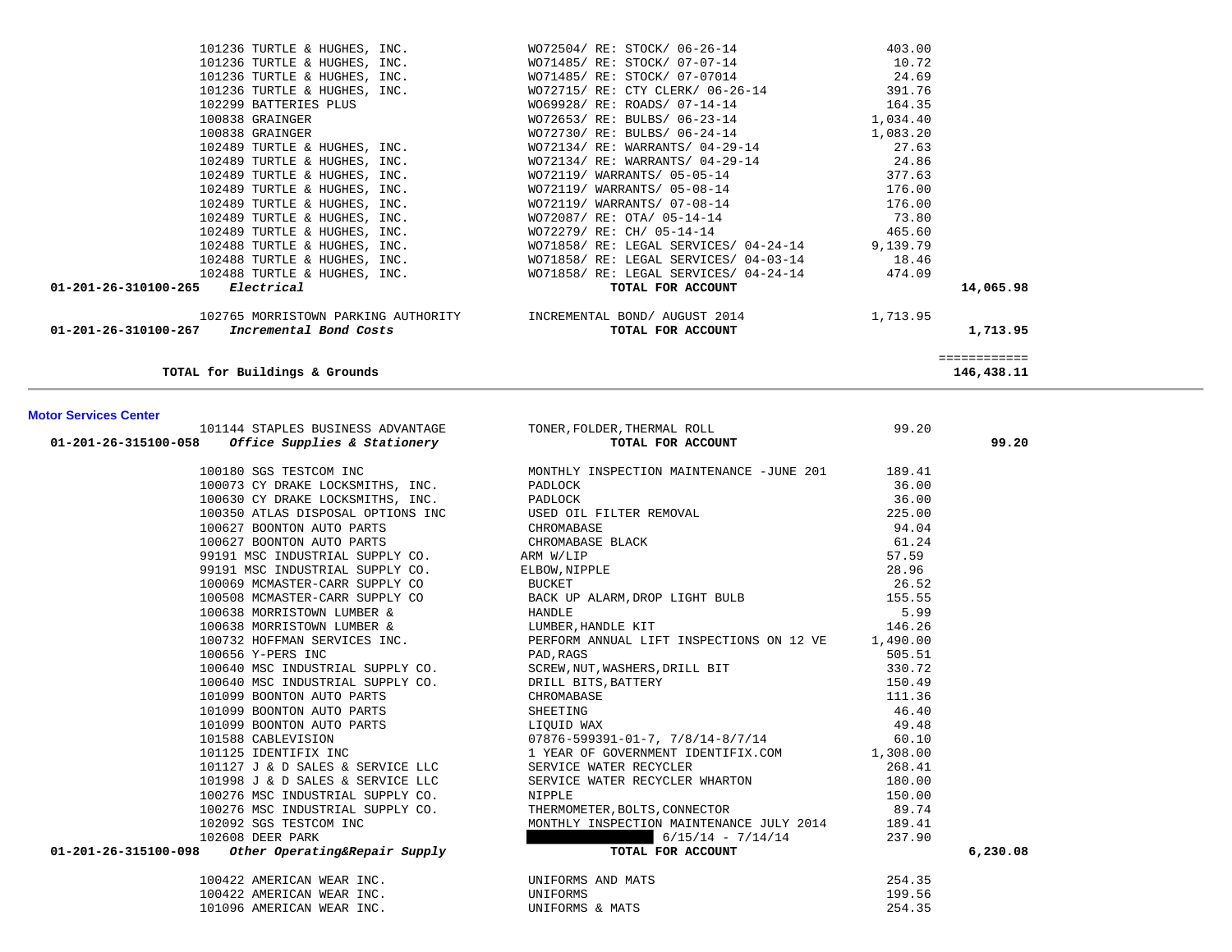| 101236 TURTLE & HUGHES, INC.                          | WO72504/ RE: STOCK/ 06-26-14                                                                     | 403.00       |
|-------------------------------------------------------|--------------------------------------------------------------------------------------------------|--------------|
|                                                       | 101236 TURTLE & HUGHES, INC. WO71485/RE: STOCK/07-07-14                                          | 10.72        |
|                                                       | 101236 TURTLE & HUGHES, INC. WO71485/RE: STOCK/07-07014 24.69                                    |              |
|                                                       | 101236 TURTLE & HUGHES, INC. WO72715/ RE: CTY CLERK/ 06-26-14 391.76                             |              |
| 102299 BATTERIES PLUS                                 | WO69928/ RE: ROADS/ 07-14-14 164.35                                                              |              |
| 100838 GRAINGER                                       | WO72653/RE: BULBS/06-23-14 1,034.40                                                              |              |
| 100838 GRAINGER AND THE STATE OF STRINGER             | WO72730/RE: BULBS/06-24-14 1,083.20                                                              |              |
|                                                       | 102489 TURTLE & HUGHES, INC. $\text{WO72134}/ \text{RE}: \text{WARRANTS}/ \text{04-29-14}$ 27.63 |              |
|                                                       | 102489 TURTLE & HUGHES, INC. WO72134/ RE: WARRANTS/ 04-29-14 24.86                               |              |
|                                                       | 102489 TURTLE & HUGHES, INC. WO72119/ WARRANTS/ 05-05-14                                         | 377.63       |
|                                                       | 102489 TURTLE & HUGHES, INC. WO72119/WARRANTS/05-08-14                                           | 176.00       |
|                                                       | 102489 TURTLE & HUGHES, INC. WO72119/WARRANTS/07-08-14                                           | 176.00       |
|                                                       | 102489 TURTLE & HUGHES, INC. WO72087/ RE: OTA/ 05-14-14 73.80                                    |              |
|                                                       | 102489 TURTLE & HUGHES, INC. WO72279/RE: CH/05-14-14 465.60                                      |              |
|                                                       | 102488 TURTLE & HUGHES, INC. WO71858/RE: LEGAL SERVICES/04-24-14 9,139.79                        |              |
|                                                       | 18.46 18.46 TURTLE & HUGHES, INC. WO71858/ RE: LEGAL SERVICES/ 04-03-14                          |              |
|                                                       | 102488 TURTLE & HUGHES, INC. WO71858/ RE: LEGAL SERVICES/ 04-24-14 474.09                        |              |
| $01 - 201 - 26 - 310100 - 265$ Electrical             | TOTAL FOR ACCOUNT                                                                                | 14,065.98    |
|                                                       | 1,713.95 NORRISTOWN PARKING AUTHORITY TIMCREMENTAL BOND/AUGUST 2014 1.713.95                     |              |
| 01-201-26-310100-267<br><i>Incremental Bond Costs</i> | TOTAL FOR ACCOUNT                                                                                | 1,713.95     |
|                                                       |                                                                                                  | ============ |
| TOTAL for Buildings & Grounds                         |                                                                                                  | 146,438.11   |

## **Motor Services Center**

| 101144 STAPLES BUSINESS ADVANTAGE                                                                        |                                                                                                              | 99.20  |          |
|----------------------------------------------------------------------------------------------------------|--------------------------------------------------------------------------------------------------------------|--------|----------|
| 01-201-26-315100-058 Office Supplies & Stationery                                                        | TONER, FOLDER, THERMAL ROLL<br><b>TOTAL FOR ACCOUNT</b>                                                      |        | 99.20    |
| 100180 SGS TESTCOM INC                                                                                   | MONTHLY INSPECTION MAINTENANCE -JUNE 201 189.41                                                              |        |          |
| 100073 CY DRAKE LOCKSMITHS, INC.                                                                         |                                                                                                              |        |          |
|                                                                                                          |                                                                                                              |        |          |
|                                                                                                          |                                                                                                              |        |          |
|                                                                                                          |                                                                                                              |        |          |
|                                                                                                          |                                                                                                              |        |          |
|                                                                                                          |                                                                                                              |        |          |
|                                                                                                          |                                                                                                              |        |          |
|                                                                                                          |                                                                                                              |        |          |
|                                                                                                          |                                                                                                              |        |          |
|                                                                                                          |                                                                                                              |        |          |
|                                                                                                          |                                                                                                              |        |          |
|                                                                                                          |                                                                                                              |        |          |
|                                                                                                          |                                                                                                              |        |          |
|                                                                                                          |                                                                                                              |        |          |
|                                                                                                          |                                                                                                              |        |          |
|                                                                                                          |                                                                                                              |        |          |
|                                                                                                          |                                                                                                              |        |          |
|                                                                                                          |                                                                                                              |        |          |
|                                                                                                          |                                                                                                              |        |          |
|                                                                                                          |                                                                                                              |        |          |
|                                                                                                          |                                                                                                              |        |          |
| 101998 J & D SALES & SERVICE LLC                                                                         | SERVICE WATER RECYCLER WHARTON<br>NIPPLE<br>THERMOMETER, BOLTS, CONNECTOR                                    | 180.00 |          |
| 100276 MSC INDUSTRIAL SUPPLY CO.<br>100276 MSC INDUSTRIAL SUPPLY CO.<br>100276 MSC INDUSTRIAL SUPPLY CO. |                                                                                                              | 150.00 |          |
|                                                                                                          |                                                                                                              | 89.74  |          |
| 102092 SGS TESTCOM INC                                                                                   | MONTHLY INSPECTION MAINTENANCE JULY 2014 189.41<br>6/15/14 - 7/14/14 237.90                                  |        |          |
|                                                                                                          | $6/15/14 - 7/14/14$ 237.90                                                                                   |        |          |
| 102608 DEER PARK<br>102608 DEER PARK<br><b>01-201-26-315100-098</b> other Operating&Repair Supply        | TOTAL FOR ACCOUNT                                                                                            |        | 6,230.08 |
|                                                                                                          | 100422 AMERICAN WEAR INC.<br>100422 AMERICAN WEAR INC. UNIFORMS<br>101096 AMERICAN WEAR INC. UNIFORMS & MATS | 254.35 |          |
|                                                                                                          |                                                                                                              | 199.56 |          |
|                                                                                                          |                                                                                                              | 254.35 |          |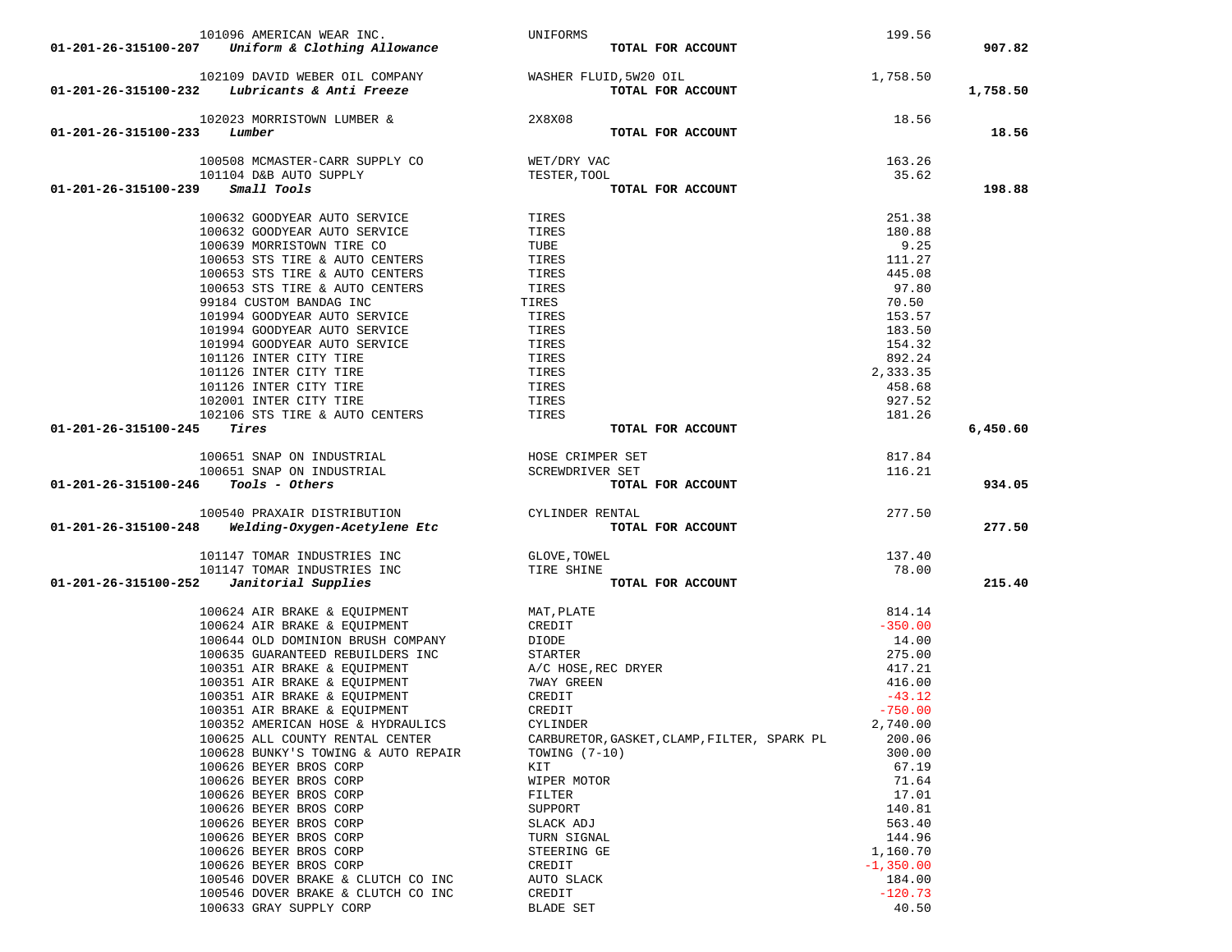|                      | 101096 AMERICAN WEAR INC.                             | UNIFORMS                                    | 199.56       |          |
|----------------------|-------------------------------------------------------|---------------------------------------------|--------------|----------|
| 01-201-26-315100-207 | Uniform & Clothing Allowance                          | TOTAL FOR ACCOUNT                           |              | 907.82   |
|                      |                                                       |                                             |              |          |
|                      | 102109 DAVID WEBER OIL COMPANY WASHER FLUID, 5W20 OIL |                                             | 1,758.50     |          |
|                      | $01-201-26-315100-232$ Lubricants & Anti Freeze       | TOTAL FOR ACCOUNT                           |              | 1,758.50 |
|                      |                                                       |                                             |              |          |
|                      | 102023 MORRISTOWN LUMBER &                            | 2X8X08                                      | 18.56        |          |
| 01-201-26-315100-233 | Lumber                                                | TOTAL FOR ACCOUNT                           |              | 18.56    |
|                      |                                                       |                                             |              |          |
|                      | 100508 MCMASTER-CARR SUPPLY CO                        | WET/DRY VAC                                 | 163.26       |          |
|                      | 101104 D&B AUTO SUPPLY                                | TESTER, TOOL                                | 35.62        |          |
| 01-201-26-315100-239 | Small Tools                                           | TOTAL FOR ACCOUNT                           |              | 198.88   |
|                      |                                                       |                                             |              |          |
|                      | 100632 GOODYEAR AUTO SERVICE                          | TIRES                                       | 251.38       |          |
|                      | 100632 GOODYEAR AUTO SERVICE                          | TIRES                                       | 180.88       |          |
|                      | 100639 MORRISTOWN TIRE CO                             | TUBE                                        | 9.25         |          |
|                      | 100653 STS TIRE & AUTO CENTERS                        | TIRES                                       | 111.27       |          |
|                      | 100653 STS TIRE & AUTO CENTERS                        | TIRES                                       | 445.08       |          |
|                      | 100653 STS TIRE & AUTO CENTERS                        | TIRES                                       | 97.80        |          |
|                      | 99184 CUSTOM BANDAG INC                               | TIRES                                       | 70.50        |          |
|                      | 101994 GOODYEAR AUTO SERVICE                          | TIRES                                       | 153.57       |          |
|                      | 101994 GOODYEAR AUTO SERVICE                          |                                             |              |          |
|                      |                                                       | TIRES                                       | 183.50       |          |
|                      | 101994 GOODYEAR AUTO SERVICE                          | TIRES                                       | 154.32       |          |
|                      | 101126 INTER CITY TIRE                                | TIRES                                       | 892.24       |          |
|                      | 101126 INTER CITY TIRE                                | TIRES                                       | 2,333.35     |          |
|                      | 101126 INTER CITY TIRE                                | TIRES                                       | 458.68       |          |
|                      | 102001 INTER CITY TIRE                                | TIRES                                       | 927.52       |          |
|                      | 102106 STS TIRE & AUTO CENTERS                        | TIRES                                       | 181.26       |          |
| 01-201-26-315100-245 | Tires                                                 | TOTAL FOR ACCOUNT                           |              | 6,450.60 |
|                      |                                                       |                                             |              |          |
|                      | 100651 SNAP ON INDUSTRIAL                             | HOSE CRIMPER SET                            | 817.84       |          |
|                      | 100651 SNAP ON INDUSTRIAL                             | SCREWDRIVER SET                             | 116.21       |          |
|                      |                                                       |                                             |              |          |
| 01-201-26-315100-246 | Tools - Others                                        | TOTAL FOR ACCOUNT                           |              | 934.05   |
|                      |                                                       |                                             |              |          |
|                      | 100540 PRAXAIR DISTRIBUTION                           | CYLINDER RENTAL                             | 277.50       |          |
| 01-201-26-315100-248 | Welding-Oxygen-Acetylene Etc                          | TOTAL FOR ACCOUNT                           |              | 277.50   |
|                      |                                                       |                                             |              |          |
|                      | 101147 TOMAR INDUSTRIES INC                           | GLOVE, TOWEL                                | 137.40       |          |
|                      | 101147 TOMAR INDUSTRIES INC                           | TIRE SHINE                                  | 78.00        |          |
| 01-201-26-315100-252 | Janitorial Supplies                                   | TOTAL FOR ACCOUNT                           |              | 215.40   |
|                      |                                                       |                                             |              |          |
|                      | 100624 AIR BRAKE & EQUIPMENT                          | MAT, PLATE                                  | 814.14       |          |
|                      | 100624 AIR BRAKE & EQUIPMENT                          | CREDIT                                      | $-350.00$    |          |
|                      | 100644 OLD DOMINION BRUSH COMPANY                     | DIODE                                       | 14.00        |          |
|                      | 100635 GUARANTEED REBUILDERS INC                      | STARTER                                     | 275.00       |          |
|                      | 100351 AIR BRAKE & EQUIPMENT                          | A/C HOSE, REC DRYER                         | 417.21       |          |
|                      | 100351 AIR BRAKE & EQUIPMENT                          | 7WAY GREEN                                  | 416.00       |          |
|                      | 100351 AIR BRAKE & EQUIPMENT                          | CREDIT                                      | $-43.12$     |          |
|                      | 100351 AIR BRAKE & EQUIPMENT                          | CREDIT                                      | $-750.00$    |          |
|                      | 100352 AMERICAN HOSE & HYDRAULICS                     | CYLINDER                                    | 2,740.00     |          |
|                      | 100625 ALL COUNTY RENTAL CENTER                       | CARBURETOR, GASKET, CLAMP, FILTER, SPARK PL | 200.06       |          |
|                      | 100628 BUNKY'S TOWING & AUTO REPAIR                   | TOWING $(7-10)$                             | 300.00       |          |
|                      | 100626 BEYER BROS CORP                                | KIT                                         | 67.19        |          |
|                      | 100626 BEYER BROS CORP                                | WIPER MOTOR                                 | 71.64        |          |
|                      | 100626 BEYER BROS CORP                                | FILTER                                      | 17.01        |          |
|                      | 100626 BEYER BROS CORP                                | SUPPORT                                     | 140.81       |          |
|                      | 100626 BEYER BROS CORP                                | SLACK ADJ                                   | 563.40       |          |
|                      | 100626 BEYER BROS CORP                                | TURN SIGNAL                                 | 144.96       |          |
|                      | 100626 BEYER BROS CORP                                | STEERING GE                                 | 1,160.70     |          |
|                      | 100626 BEYER BROS CORP                                | CREDIT                                      | $-1, 350.00$ |          |
|                      | 100546 DOVER BRAKE & CLUTCH CO INC                    | AUTO SLACK                                  | 184.00       |          |
|                      | 100546 DOVER BRAKE & CLUTCH CO INC                    | CREDIT                                      | $-120.73$    |          |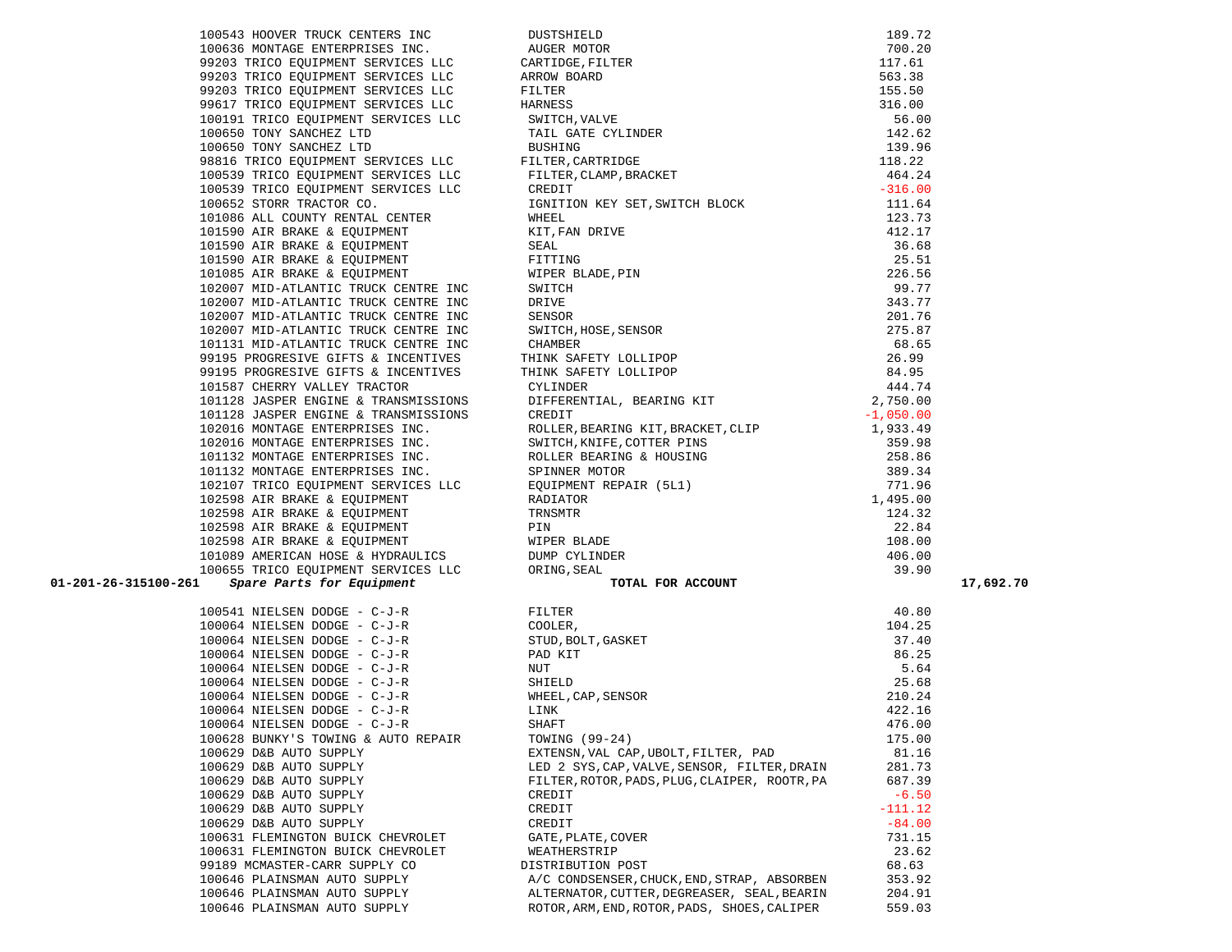|  | TARJIO WIK DKWKE & EQUIFMENT        |
|--|-------------------------------------|
|  | 102598 AIR BRAKE & EQUIPMENT        |
|  | 102598 AIR BRAKE & EQUIPMENT        |
|  | 102598 AIR BRAKE & EOUIPMENT        |
|  | 101089 AMERICAN HOSE & HYDRAULICS   |
|  | 100655 TRICO EQUIPMENT SERVICES LLC |
|  | 61 Spare Parts for Equipment        |
|  |                                     |
|  | 100541 NIELSEN DODGE - C-J-R        |
|  | 100064 NIELSEN DODGE - C-J-R        |
|  | 100064 NIELSEN DODGE - C-J-R        |
|  | 100064 NIELSEN DODGE - C-J-R        |
|  | 100064 NIELSEN DODGE - C-J-R        |
|  | 100064 NIELSEN DODGE - C-J-R        |
|  | 100064 NIELSEN DODGE - C-J-R        |
|  | 100064 NIELSEN DODGE - C-J-R        |
|  | 100064 NIELSEN DODGE - C-J-R        |
|  | 100628 BUNKY'S TOWING & AUTO REPAIR |
|  | 100629 D&B AUTO SUPPLY              |
|  | 100629 D&B AUTO SUPPLY              |
|  | 100629 D&B AUTO SUPPLY              |
|  | 100629 D&B AUTO SUPPLY              |
|  | 100629 D&B AUTO SUPPLY              |
|  | 100629 D&B AUTO SUPPLY              |
|  | 100631 FLEMINGTON BUICK CHEVROLET   |
|  | 100631 FLEMINGTON BUICK CHEVROLET   |
|  | 99189 MCMASTER-CARR SUPPLY CO       |
|  | 100646 PLAINSMAN AUTO SUPPLY        |
|  | 100646 PLAINSMAN AUTO SUPPLY        |
|  | $100010$ praticular arms $\alpha$   |

| 100636 MONTAGE ENTERPRISES INC.      |
|--------------------------------------|
| 99203 TRICO EQUIPMENT SERVICES LLC   |
| 99203 TRICO EQUIPMENT SERVICES LLC   |
| 99203 TRICO EQUIPMENT SERVICES LLC   |
| 99617 TRICO EQUIPMENT SERVICES LLC   |
| 100191 TRICO EQUIPMENT SERVICES LLC  |
| 100650 TONY SANCHEZ LTD              |
| 100650 TONY SANCHEZ LTD              |
| 98816 TRICO EQUIPMENT SERVICES LLC   |
| 100539 TRICO EOUIPMENT SERVICES LLC  |
| 100539 TRICO EQUIPMENT SERVICES LLC  |
| 100652 STORR TRACTOR CO.             |
| 101086 ALL COUNTY RENTAL CENTER      |
| 101590 AIR BRAKE & EQUIPMENT         |
| 101590 AIR BRAKE & EQUIPMENT         |
| 101590 AIR BRAKE & EQUIPMENT         |
| 101085 AIR BRAKE & EQUIPMENT         |
| 102007 MID-ATLANTIC TRUCK CENTRE INC |
| 102007 MID-ATLANTIC TRUCK CENTRE INC |
| 102007 MID-ATLANTIC TRUCK CENTRE INC |
| 102007 MID-ATLANTIC TRUCK CENTRE INC |
| 101131 MID-ATLANTIC TRUCK CENTRE INC |
| 99195 PROGRESIVE GIFTS & INCENTIVES  |
| 99195 PROGRESIVE GIFTS & INCENTIVES  |
| 101587 CHERRY VALLEY TRACTOR         |
| 101128 JASPER ENGINE & TRANSMISSIONS |
| 101128 JASPER ENGINE & TRANSMISSIONS |
| 102016 MONTAGE ENTERPRISES INC.      |
| 102016 MONTAGE ENTERPRISES INC.      |
| 101132 MONTAGE ENTERPRISES INC.      |
| 101132 MONTAGE ENTERPRISES INC.      |
| 102107 TRICO EQUIPMENT SERVICES LLC  |
| 102598 AIR BRAKE & EQUIPMENT         |
| 102598 AIR BRAKE & EOUIPMENT         |
| 102598 AIR BRAKE & EQUIPMENT         |
| 102598 AIR BRAKE & EQUIPMENT         |
| 101089 AMERICAN HOSE & HYDRAULICS    |
| 100655 TRICO EQUIPMENT SERVICES LLC  |
| 100-261 - Spare Parts for Equipment  |

| IUIU89 AMERICAN HOSE & HYDRAULICS                 | DUMP CITINDEK                                 | 400.00    |
|---------------------------------------------------|-----------------------------------------------|-----------|
| 100655 TRICO EOUIPMENT SERVICES LLC               | ORING, SEAL                                   | 39.90     |
| 01-201-26-315100-261<br>Spare Parts for Equipment | TOTAL FOR ACCOUNT                             |           |
|                                                   |                                               |           |
| 100541 NIELSEN DODGE - C-J-R                      | FILTER                                        | 40.80     |
| 100064 NIELSEN DODGE - C-J-R                      | COOLER,                                       | 104.25    |
| 100064 NIELSEN DODGE - C-J-R                      | STUD, BOLT, GASKET                            | 37.40     |
| 100064 NIELSEN DODGE - C-J-R                      | PAD KIT                                       | 86.25     |
| 100064 NIELSEN DODGE - C-J-R                      | NUT                                           | 5.64      |
| 100064 NIELSEN DODGE - C-J-R                      | SHIELD                                        | 25.68     |
| 100064 NIELSEN DODGE - C-J-R                      | WHEEL, CAP, SENSOR                            | 210.24    |
| 100064 NIELSEN DODGE - C-J-R                      | LINK                                          | 422.16    |
| 100064 NIELSEN DODGE - C-J-R                      | SHAFT                                         | 476.00    |
| 100628 BUNKY'S TOWING & AUTO REPAIR               | TOWING (99-24)                                | 175.00    |
| 100629 D&B AUTO SUPPLY                            | EXTENSN, VAL CAP, UBOLT, FILTER, PAD          | 81.16     |
| 100629 D&B AUTO SUPPLY                            | LED 2 SYS, CAP, VALVE, SENSOR, FILTER, DRAIN  | 281.73    |
| 100629 D&B AUTO SUPPLY                            | FILTER, ROTOR, PADS, PLUG, CLAIPER, ROOTR, PA | 687.39    |
| 100629 D&B AUTO SUPPLY                            | CREDIT                                        | $-6.50$   |
| 100629 D&B AUTO SUPPLY                            | CREDIT                                        | $-111.12$ |
| 100629 D&B AUTO SUPPLY                            | CREDIT                                        | $-84.00$  |
| 100631 FLEMINGTON BUICK CHEVROLET                 | GATE, PLATE, COVER                            | 731.15    |
| 100631 FLEMINGTON BUICK CHEVROLET                 | WEATHERSTRIP                                  | 23.62     |
| 99189 MCMASTER-CARR SUPPLY CO                     | DISTRIBUTION POST                             | 68.63     |
| 100646 PLAINSMAN AUTO SUPPLY                      | A/C CONDSENSER, CHUCK, END, STRAP, ABSORBEN   | 353.92    |
| 100646 PLAINSMAN AUTO SUPPLY                      | ALTERNATOR, CUTTER, DEGREASER, SEAL, BEARIN   | 204.91    |
| 100646 PLAINSMAN AUTO SUPPLY                      | ROTOR, ARM, END, ROTOR, PADS, SHOES, CALIPER  | 559.03    |

| 105543 -HOWEN TRUCK CONTROL (1957-778) (1957-1978)<br>105545 -HOWEN TRUCK CONTROL (1967-1978) (1967-201)<br>105545 -HOWENCE DEVELOPMENT SIRVICUS (1979-1978) (1979-201)<br>107545 -HOWENCE TRUCK CONTROL (1979-1978) (1979-201)<br>10 |  |  |
|---------------------------------------------------------------------------------------------------------------------------------------------------------------------------------------------------------------------------------------|--|--|
|                                                                                                                                                                                                                                       |  |  |
|                                                                                                                                                                                                                                       |  |  |
|                                                                                                                                                                                                                                       |  |  |
|                                                                                                                                                                                                                                       |  |  |
|                                                                                                                                                                                                                                       |  |  |
|                                                                                                                                                                                                                                       |  |  |
|                                                                                                                                                                                                                                       |  |  |
|                                                                                                                                                                                                                                       |  |  |
|                                                                                                                                                                                                                                       |  |  |
|                                                                                                                                                                                                                                       |  |  |
|                                                                                                                                                                                                                                       |  |  |
|                                                                                                                                                                                                                                       |  |  |
|                                                                                                                                                                                                                                       |  |  |
|                                                                                                                                                                                                                                       |  |  |
|                                                                                                                                                                                                                                       |  |  |
|                                                                                                                                                                                                                                       |  |  |
|                                                                                                                                                                                                                                       |  |  |
|                                                                                                                                                                                                                                       |  |  |
|                                                                                                                                                                                                                                       |  |  |
|                                                                                                                                                                                                                                       |  |  |
|                                                                                                                                                                                                                                       |  |  |
|                                                                                                                                                                                                                                       |  |  |
|                                                                                                                                                                                                                                       |  |  |
|                                                                                                                                                                                                                                       |  |  |
|                                                                                                                                                                                                                                       |  |  |
|                                                                                                                                                                                                                                       |  |  |
|                                                                                                                                                                                                                                       |  |  |
|                                                                                                                                                                                                                                       |  |  |
|                                                                                                                                                                                                                                       |  |  |
|                                                                                                                                                                                                                                       |  |  |
|                                                                                                                                                                                                                                       |  |  |
|                                                                                                                                                                                                                                       |  |  |
|                                                                                                                                                                                                                                       |  |  |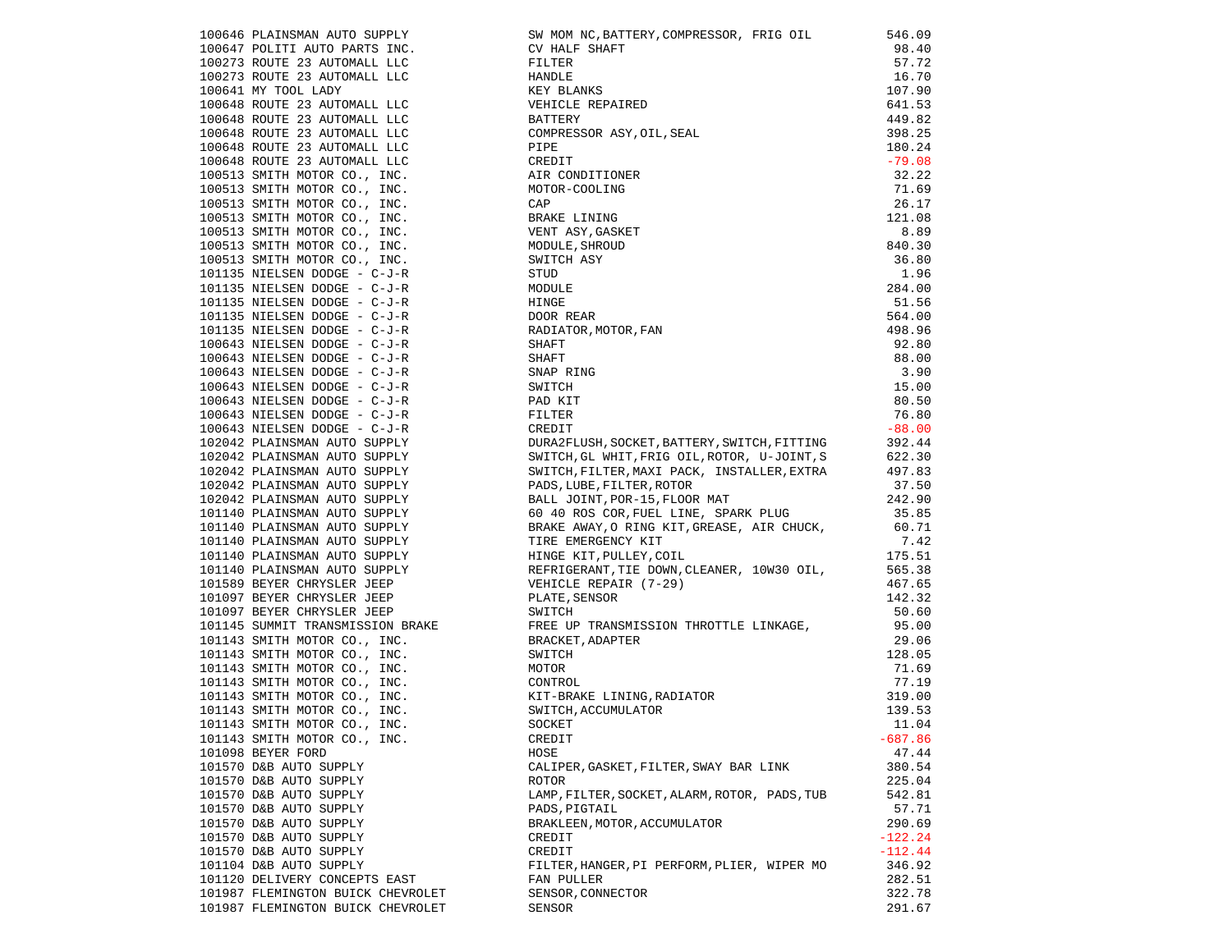|                                                                                               | 106449 PLAINSMAN AUTO SUPPENT IN: SW MON NC, BATTERY, COMPRESSOR, FRIO OIL<br>106447 POLITI AUTO PARTS INC. CV HALP SHAPT<br>106737 ROUTE 23 AUTOWALL LLC FILITER<br>106231 ROUTE 23 AUTOWALL LLC EXP BLANCLE<br>106448 ROUTE 23 AUTOWALL | 546.09    |
|-----------------------------------------------------------------------------------------------|-------------------------------------------------------------------------------------------------------------------------------------------------------------------------------------------------------------------------------------------|-----------|
|                                                                                               |                                                                                                                                                                                                                                           | 98.40     |
|                                                                                               |                                                                                                                                                                                                                                           | 57.72     |
|                                                                                               |                                                                                                                                                                                                                                           | 16.70     |
|                                                                                               |                                                                                                                                                                                                                                           | 107.90    |
|                                                                                               |                                                                                                                                                                                                                                           | 641.53    |
|                                                                                               |                                                                                                                                                                                                                                           | 449.82    |
|                                                                                               |                                                                                                                                                                                                                                           | 398.25    |
|                                                                                               |                                                                                                                                                                                                                                           | 180.24    |
|                                                                                               |                                                                                                                                                                                                                                           | $-79.08$  |
|                                                                                               |                                                                                                                                                                                                                                           | 32.22     |
|                                                                                               |                                                                                                                                                                                                                                           | 71.69     |
|                                                                                               |                                                                                                                                                                                                                                           | 26.17     |
|                                                                                               |                                                                                                                                                                                                                                           | 121.08    |
|                                                                                               |                                                                                                                                                                                                                                           | 8.89      |
|                                                                                               |                                                                                                                                                                                                                                           | 840.30    |
|                                                                                               |                                                                                                                                                                                                                                           | 36.80     |
|                                                                                               |                                                                                                                                                                                                                                           | 1.96      |
|                                                                                               |                                                                                                                                                                                                                                           |           |
|                                                                                               |                                                                                                                                                                                                                                           | 284.00    |
|                                                                                               |                                                                                                                                                                                                                                           | 51.56     |
|                                                                                               |                                                                                                                                                                                                                                           | 564.00    |
|                                                                                               |                                                                                                                                                                                                                                           | 498.96    |
|                                                                                               |                                                                                                                                                                                                                                           | 92.80     |
|                                                                                               |                                                                                                                                                                                                                                           | 88.00     |
|                                                                                               |                                                                                                                                                                                                                                           | 3.90      |
|                                                                                               |                                                                                                                                                                                                                                           | 15.00     |
|                                                                                               |                                                                                                                                                                                                                                           | 80.50     |
|                                                                                               |                                                                                                                                                                                                                                           | 76.80     |
|                                                                                               |                                                                                                                                                                                                                                           | $-88.00$  |
| 100015 NIBBEN 20001 - 0 0 0 0<br>102042 PLAINSMAN AUTO SUPPLY<br>102042 PLAINSMAN AUTO SUPPLY | DURA2FLUSH, SOCKET, BATTERY, SWITCH, FITTING 392.44                                                                                                                                                                                       |           |
|                                                                                               | SWITCH, GL WHIT, FRIG OIL, ROTOR, U-JOINT, S                                                                                                                                                                                              | 622.30    |
| 102042 PLAINSMAN AUTO SUPPLY                                                                  | SWITCH, FILTER, MAXI PACK, INSTALLER, EXTRA 497.83                                                                                                                                                                                        |           |
| 102042 PLAINSMAN AUTO SUPPLY                                                                  | PADS, LUBE, FILTER, ROTOR                                                                                                                                                                                                                 | 37.50     |
| 102042 PLAINSMAN AUTO SUPPLY                                                                  | BALL JOINT, POR-15, FLOOR MAT                                                                                                                                                                                                             | 242.90    |
|                                                                                               | 60 40 ROS COR, FUEL LINE, SPARK PLUG 35.85<br>BRAKE AWAY, ORING KIT, GREASE, AIR CHUCK, 60.71                                                                                                                                             |           |
| 101140 PLAINSMAN AUTO SUPPLY<br>101140 PLAINSMAN AUTO SUPPLY                                  |                                                                                                                                                                                                                                           |           |
|                                                                                               | TIRE EMERGENCY KIT                                                                                                                                                                                                                        | 7.42      |
| 101140 PLAINSMAN AUTO SUPPLY<br>101140 PLAINSMAN AUTO SUPPLY                                  | HINGE KIT, PULLEY, COIL 175.51<br>REFRIGERANT, THE DOWN, CLEANER, 10W30 OIL, 565.38<br>REFRIGERANT, THE DOWN, CLEANER, 10W30 OIL, 565.38                                                                                                  |           |
|                                                                                               |                                                                                                                                                                                                                                           |           |
| 101140 PLAINSMAN AUTO SUPPLY<br>101589 BEYER CHRYSLER JEEP                                    | VEHICLE REPAIR (7-29)                                                                                                                                                                                                                     | 467.65    |
| 101097 BEYER CHRYSLER JEEP                                                                    |                                                                                                                                                                                                                                           | 142.32    |
| 101097 BEIER CHRYSLER JEEP<br>101097 BEYER CHRYSLER JEEP                                      | PLATE, SENSOR                                                                                                                                                                                                                             |           |
|                                                                                               | SWITCH                                                                                                                                                                                                                                    | 50.60     |
|                                                                                               |                                                                                                                                                                                                                                           |           |
|                                                                                               |                                                                                                                                                                                                                                           |           |
|                                                                                               |                                                                                                                                                                                                                                           |           |
|                                                                                               |                                                                                                                                                                                                                                           |           |
|                                                                                               | 10197 BETER CHRISLER JEEP<br>10143 SUMMIT TRANSMISSION BRAKE TREE UP TRANSMISSION THROTTLE LINKAGE, 95.06<br>10143 SMITH MOTOR CO., INC.<br>101143 SMITH MOTOR CO., INC.<br>101143 SMITH MOTOR CO., INC.<br>101143 SMITH MOTOR CO., INC.  |           |
|                                                                                               |                                                                                                                                                                                                                                           |           |
|                                                                                               |                                                                                                                                                                                                                                           |           |
| 101143 SMITH MOTOR CO., INC.                                                                  | SOCKET                                                                                                                                                                                                                                    | 11.04     |
| 101143 SMITH MOTOR CO., INC.                                                                  | CREDIT                                                                                                                                                                                                                                    | $-687.86$ |
| 101098 BEYER FORD                                                                             | HOSE                                                                                                                                                                                                                                      | 47.44     |
| 101570 D&B AUTO SUPPLY                                                                        | CALIPER, GASKET, FILTER, SWAY BAR LINK                                                                                                                                                                                                    | 380.54    |
| 101570 D&B AUTO SUPPLY                                                                        | <b>ROTOR</b>                                                                                                                                                                                                                              | 225.04    |
| 101570 D&B AUTO SUPPLY                                                                        | LAMP, FILTER, SOCKET, ALARM, ROTOR, PADS, TUB                                                                                                                                                                                             | 542.81    |
| 101570 D&B AUTO SUPPLY                                                                        | PADS, PIGTAIL                                                                                                                                                                                                                             | 57.71     |
| 101570 D&B AUTO SUPPLY                                                                        | BRAKLEEN, MOTOR, ACCUMULATOR                                                                                                                                                                                                              | 290.69    |
| 101570 D&B AUTO SUPPLY                                                                        | CREDIT                                                                                                                                                                                                                                    | $-122.24$ |
| 101570 D&B AUTO SUPPLY                                                                        | CREDIT                                                                                                                                                                                                                                    | $-112.44$ |
| 101104 D&B AUTO SUPPLY                                                                        | FILTER, HANGER, PI PERFORM, PLIER, WIPER MO                                                                                                                                                                                               | 346.92    |
| 101120 DELIVERY CONCEPTS EAST                                                                 | FAN PULLER                                                                                                                                                                                                                                | 282.51    |
| 101987 FLEMINGTON BUICK CHEVROLET                                                             | SENSOR, CONNECTOR                                                                                                                                                                                                                         | 322.78    |
| 101987 FLEMINGTON BUICK CHEVROLET                                                             | SENSOR                                                                                                                                                                                                                                    | 291.67    |
|                                                                                               |                                                                                                                                                                                                                                           |           |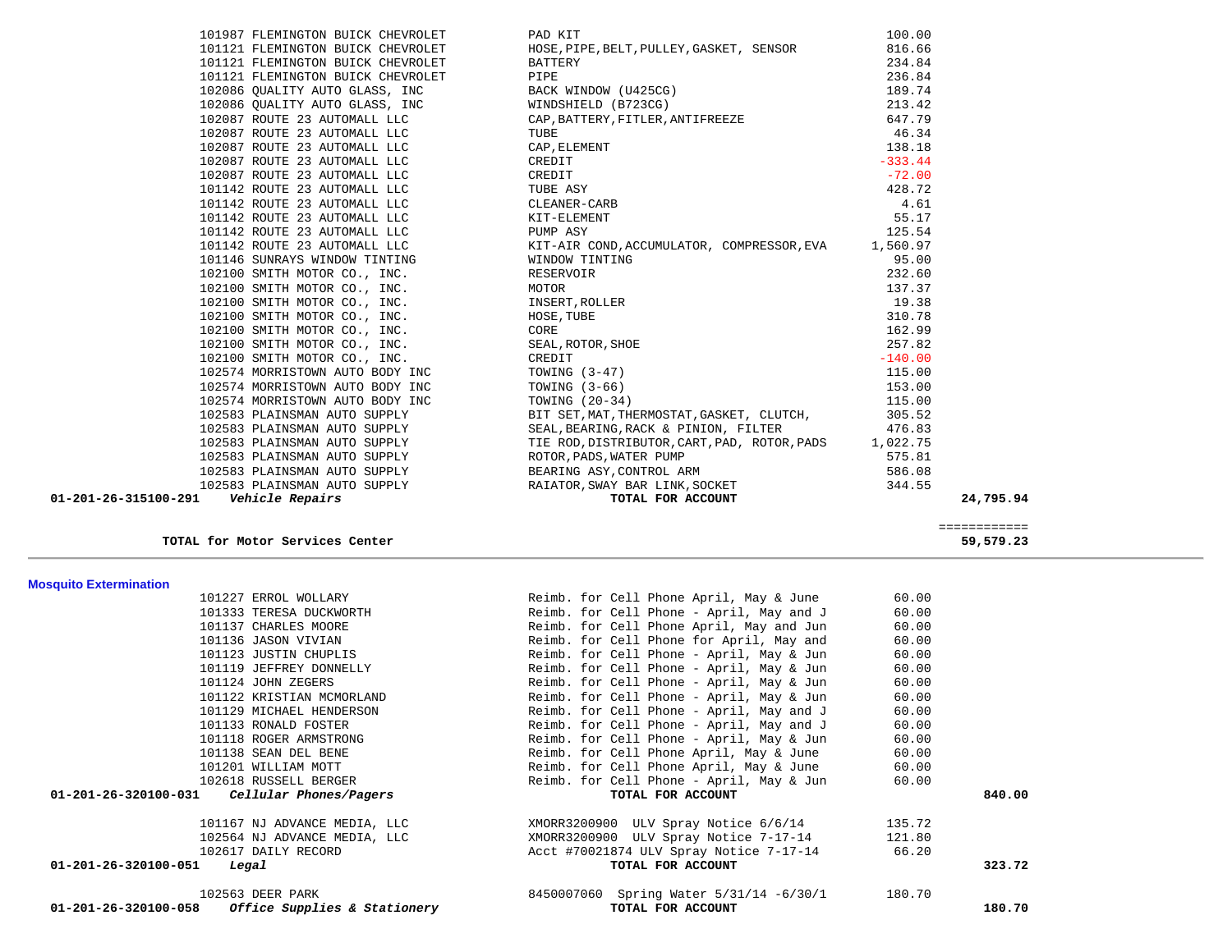| <b>Mosquito Extermination</b>                       |                                          |        |        |
|-----------------------------------------------------|------------------------------------------|--------|--------|
| 101227 ERROL WOLLARY                                | Reimb. for Cell Phone April, May & June  | 60.00  |        |
| 101333 TERESA DUCKWORTH                             | Reimb. for Cell Phone - April, May and J | 60.00  |        |
| 101137 CHARLES MOORE                                | Reimb. for Cell Phone April, May and Jun | 60.00  |        |
| 101136 JASON VIVIAN                                 | Reimb. for Cell Phone for April, May and | 60.00  |        |
| 101123 JUSTIN CHUPLIS                               | Reimb. for Cell Phone - April, May & Jun | 60.00  |        |
| 101119 JEFFREY DONNELLY                             | Reimb. for Cell Phone - April, May & Jun | 60.00  |        |
| 101124 JOHN ZEGERS                                  | Reimb. for Cell Phone - April, May & Jun | 60.00  |        |
| 101122 KRISTIAN MCMORLAND                           | Reimb. for Cell Phone - April, May & Jun | 60.00  |        |
| 101129 MICHAEL HENDERSON                            | Reimb. for Cell Phone - April, May and J | 60.00  |        |
| 101133 RONALD FOSTER                                | Reimb. for Cell Phone - April, May and J | 60.00  |        |
| 101118 ROGER ARMSTRONG                              | Reimb. for Cell Phone - April, May & Jun | 60.00  |        |
| 101138 SEAN DEL BENE                                | Reimb. for Cell Phone April, May & June  | 60.00  |        |
| 101201 WILLIAM MOTT                                 | Reimb. for Cell Phone April, May & June  | 60.00  |        |
| 102618 RUSSELL BERGER                               | Reimb. for Cell Phone - April, May & Jun | 60.00  |        |
| $01-201-26-320100-031$ Cellular Phones/Pagers       | TOTAL FOR ACCOUNT                        |        | 840.00 |
| 101167 NJ ADVANCE MEDIA, LLC                        | XMORR3200900 ULV Spray Notice 6/6/14     | 135.72 |        |
| 102564 NJ ADVANCE MEDIA, LLC                        | XMORR3200900 ULV Spray Notice 7-17-14    | 121.80 |        |
| 102617 DAILY RECORD                                 | Acct #70021874 ULV Spray Notice 7-17-14  | 66.20  |        |
| 01-201-26-320100-051<br>Legal                       | TOTAL FOR ACCOUNT                        |        | 323.72 |
| 102563 DEER PARK                                    | 8450007060 Spring Water 5/31/14 -6/30/1  | 180.70 |        |
| $01-201-26-320100-058$ Office Supplies & Stationery | TOTAL FOR ACCOUNT                        |        | 180.70 |

| 102100 SMITH MOTOR CO., INC.    | RESERVOIR                                    | 232.60    |
|---------------------------------|----------------------------------------------|-----------|
| 102100 SMITH MOTOR CO., INC.    | MOTOR                                        | 137.37    |
| 102100 SMITH MOTOR CO., INC.    | INSERT, ROLLER                               | 19.38     |
| 102100 SMITH MOTOR CO., INC.    | HOSE, TUBE                                   | 310.78    |
| 102100 SMITH MOTOR CO., INC.    | CORE                                         | 162.99    |
| 102100 SMITH MOTOR CO., INC.    | SEAL, ROTOR, SHOE                            | 257.82    |
| 102100 SMITH MOTOR CO., INC.    | CREDIT                                       | $-140.00$ |
| 102574 MORRISTOWN AUTO BODY INC | TOWING (3-47)                                | 115.00    |
| 102574 MORRISTOWN AUTO BODY INC | TOWING $(3-66)$                              | 153.00    |
| 102574 MORRISTOWN AUTO BODY INC | TOWING (20-34)                               | 115.00    |
| 102583 PLAINSMAN AUTO SUPPLY    | BIT SET, MAT, THERMOSTAT, GASKET, CLUTCH,    | 305.52    |
| 102583 PLAINSMAN AUTO SUPPLY    | SEAL, BEARING, RACK & PINION, FILTER         | 476.83    |
| 102583 PLAINSMAN AUTO SUPPLY    | TIE ROD, DISTRIBUTOR, CART, PAD, ROTOR, PADS | 1,022.75  |
| 102583 PLAINSMAN AUTO SUPPLY    | ROTOR, PADS, WATER PUMP                      | 575.81    |
| 102583 PLAINSMAN AUTO SUPPLY    | BEARING ASY, CONTROL ARM                     | 586.08    |
| 102583 PLAINSMAN AUTO SUPPLY    | RAIATOR, SWAY BAR LINK, SOCKET               | 344.55    |

|  | 101987 FLEMINGTON BUICK CHEVROLET |
|--|-----------------------------------|
|  | 101121 FLEMINGTON BUICK CHEVROLET |
|  | 101121 FLEMINGTON BUICK CHEVROLET |
|  | 101121 FLEMINGTON BUICK CHEVROLET |
|  | 102086 OUALITY AUTO GLASS, INC    |
|  | 102086 OUALITY AUTO GLASS, INC    |
|  | 102087 ROUTE 23 AUTOMALL LLC      |
|  | 102087 ROUTE 23 AUTOMALL LLC      |
|  | 102087 ROUTE 23 AUTOMALL LLC      |
|  | 102087 ROUTE 23 AUTOMALL LLC      |
|  | 102087 ROUTE 23 AUTOMALL LLC      |
|  | 101142 ROUTE 23 AUTOMALL LLC      |
|  | 101142 ROUTE 23 AUTOMALL LLC      |
|  | 101142 ROUTE 23 AUTOMALL LLC      |
|  | 101142 ROUTE 23 AUTOMALL LLC      |
|  | 101142 ROUTE 23 AUTOMALL LLC      |
|  | 101146 SUNRAYS WINDOW TINTING     |
|  | 102100 SMITH MOTOR CO., INC.      |
|  | 102100 SMITH MOTOR CO., INC.      |
|  | 102100 SMITH MOTOR CO., INC.      |
|  | 102100 SMITH MOTOR CO., INC.      |
|  | 102100 SMITH MOTOR CO., INC.      |
|  | 102100 SMITH MOTOR CO., INC.      |
|  | 102100 SMITH MOTOR CO., INC.      |
|  | 102574 MORRISTOWN AUTO BODY INC   |
|  | 102574 MORRISTOWN AUTO BODY INC   |
|  | 102574 MORRISTOWN AUTO BODY INC   |
|  | 102583 PLAINSMAN AUTO SUPPLY      |

TOTAL for Motor Services Center

| 01-201-26-315100-291<br><i><b>Vehicle Repairs</b></i>                                                                          |                                                                                                                                                                                                                                              |                       | 24,795.94 |
|--------------------------------------------------------------------------------------------------------------------------------|----------------------------------------------------------------------------------------------------------------------------------------------------------------------------------------------------------------------------------------------|-----------------------|-----------|
| 102583 PLAINSMAN AUTO SUPPLY                                                                                                   | RAIATOR, SWAY BAR LINK, SOCKET<br>TOTAL FOR ACCOUNT                                                                                                                                                                                          | 344.55                |           |
| 102583 PLAINSMAN AUTO SUPPLY                                                                                                   |                                                                                                                                                                                                                                              | 586.08                |           |
| 102583 PLAINSMAN AUTO SUPPLY                                                                                                   | ROTOR, PADS, WATER PUMP<br>BEARING ASY, CONTROL ARM                                                                                                                                                                                          | 575.81                |           |
| 102583 PLAINSMAN AUTO SUPPLY                                                                                                   | TIE ROD, DISTRIBUTOR, CART, PAD, ROTOR, PADS 1, 022.75                                                                                                                                                                                       |                       |           |
| 102583 PLAINSMAN AUTO SUPPLY                                                                                                   | BIT SET, MAT, THERMOSTAT, GASKET, CLUTCH, 305.52<br>SEAL, BEARING, RACK & PINION, FILTER 476.83                                                                                                                                              |                       |           |
| 102583 PLAINSMAN AUTO SUPPLY                                                                                                   |                                                                                                                                                                                                                                              |                       |           |
| 102574 MORRISTOWN AUTO BODY INC                                                                                                |                                                                                                                                                                                                                                              | 115.00                |           |
|                                                                                                                                |                                                                                                                                                                                                                                              | 153.00                |           |
|                                                                                                                                | 101146 SUNRAYS WINDOW TINTING<br>101146 SUNRAYS WINDOW TINTING<br>102100 SMITH MOTOR CO., INC.<br>102100 SMITH MOTOR CO., INC.<br>102100 SMITH MOTOR CO., INC.<br>102100 SMITH MOTOR CO., INC.<br>102100 SMITH MOTOR CO., INC.<br>102100 SMI | 115.00                |           |
|                                                                                                                                |                                                                                                                                                                                                                                              | $-140.00$             |           |
|                                                                                                                                |                                                                                                                                                                                                                                              | 257.82                |           |
|                                                                                                                                |                                                                                                                                                                                                                                              | 162.99                |           |
|                                                                                                                                |                                                                                                                                                                                                                                              | 310.78                |           |
|                                                                                                                                |                                                                                                                                                                                                                                              | 19.38                 |           |
|                                                                                                                                |                                                                                                                                                                                                                                              | 137.37                |           |
|                                                                                                                                |                                                                                                                                                                                                                                              | 232.60                |           |
| 101146 SUNRAYS WINDOW TINTING                                                                                                  |                                                                                                                                                                                                                                              | 95.00                 |           |
| 101142 ROUTE 23 AUTOMALL LLC                                                                                                   | KIT-AIR COND, ACCUMULATOR, COMPRESSOR, EVA 1,560.97                                                                                                                                                                                          |                       |           |
| 101142 ROUTE 23 AUTOMALL LLC                                                                                                   | PUMP ASY                                                                                                                                                                                                                                     | 125.54                |           |
| 101142 ROUTE 23 AUTOMALL LLC TUBE ASY<br>101142 ROUTE 23 AUTOMALL LLC CLEANER-CARB<br>101142 ROUTE 23 AUTOMALL LLC KIT-ELEMENT |                                                                                                                                                                                                                                              | 55.17                 |           |
|                                                                                                                                |                                                                                                                                                                                                                                              | 4.61                  |           |
|                                                                                                                                | TUBE ASY                                                                                                                                                                                                                                     | 428.72                |           |
| 102087 ROUTE 23 AUTOMALL LLC                                                                                                   | CREDIT                                                                                                                                                                                                                                       | $-72.00$              |           |
| 102087 ROUTE 23 AUTOMALL LLC                                                                                                   | CREDIT                                                                                                                                                                                                                                       | $138.18$<br>$-333.44$ |           |
| 102087 ROUTE 23 AUTOMALL LLC                                                                                                   | CAP, ELEMENT                                                                                                                                                                                                                                 |                       |           |
|                                                                                                                                |                                                                                                                                                                                                                                              | 46.34                 |           |
|                                                                                                                                | 101121 FLEMINGTON BUICK CHEVROLET<br>101121 FLEMINGTON BUICK CHEVROLET<br>102086 QUALITY AUTO GLASS, INC<br>102086 QUALITY AUTO GLASS, INC<br>102086 QUALITY AUTO GLASS, INC<br>102087 ROUTE 23 AUTOMALL LLC<br>102087 ROUTE 23 AUTOMALL L   | 647.79                |           |
|                                                                                                                                |                                                                                                                                                                                                                                              | 213.42                |           |
|                                                                                                                                |                                                                                                                                                                                                                                              | 189.74                |           |
|                                                                                                                                |                                                                                                                                                                                                                                              | 236.84                |           |
|                                                                                                                                |                                                                                                                                                                                                                                              | 234.84                |           |
| 101121 FLEMINGTON BUICK CHEVROLET                                                                                              | HOSE, PIPE, BELT, PULLEY, GASKET, SENSOR                                                                                                                                                                                                     | 816.66                |           |
| 101987 FLEMINGTON BUICK CHEVROLET                                                                                              | PAD KIT                                                                                                                                                                                                                                      | 100.00                |           |

 ============ 59,579.23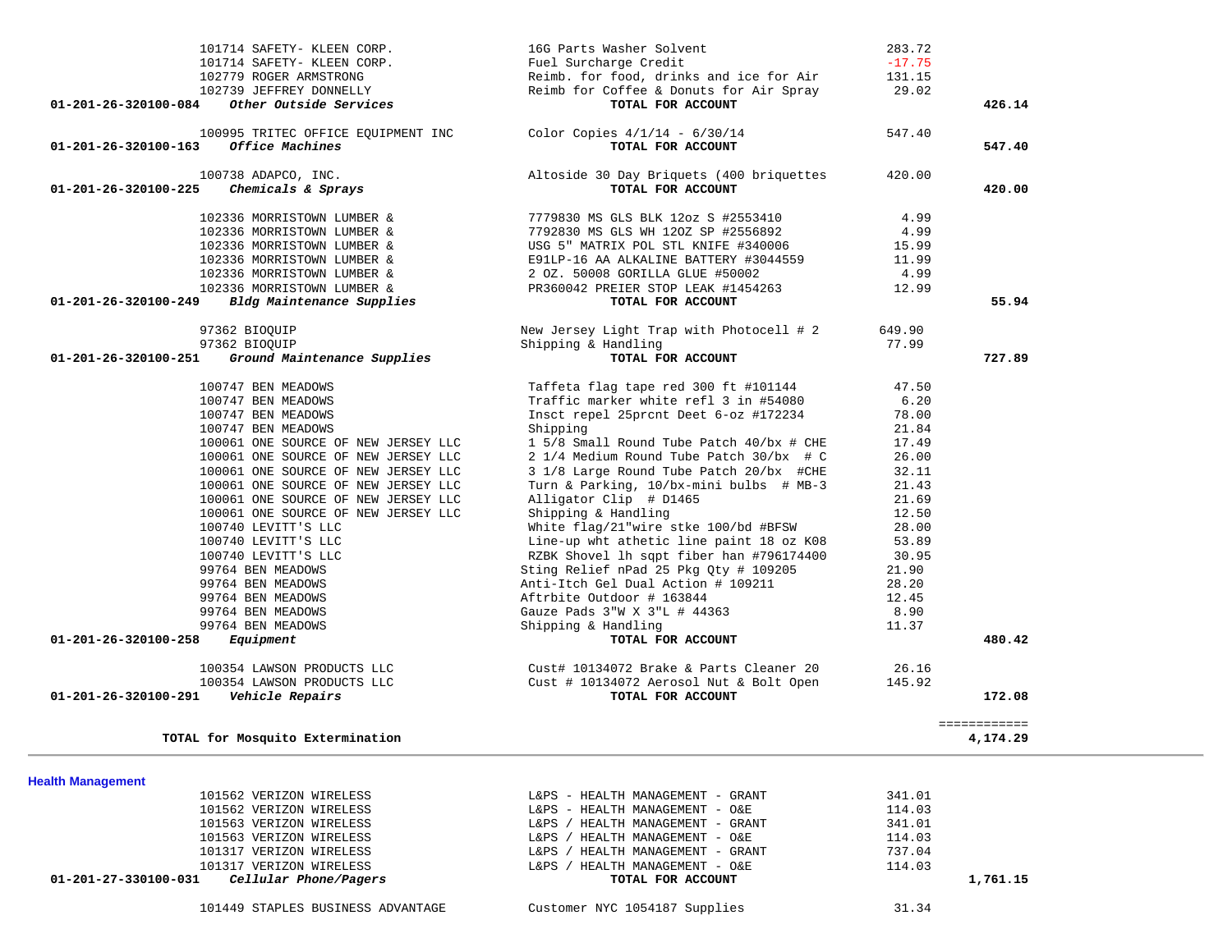| 100995 TRITEC OFFICE EQUIPMENT INC                  | Color Copies $4/1/14 - 6/30/14$          | 547.40 |              |  |
|-----------------------------------------------------|------------------------------------------|--------|--------------|--|
| Office Machines<br>01-201-26-320100-163             | TOTAL FOR ACCOUNT                        |        | 547.40       |  |
|                                                     |                                          |        |              |  |
| 100738 ADAPCO, INC.                                 | Altoside 30 Day Briquets (400 briquettes | 420.00 |              |  |
| 01-201-26-320100-225<br>Chemicals & Sprays          | TOTAL FOR ACCOUNT                        |        | 420.00       |  |
|                                                     |                                          |        |              |  |
| 102336 MORRISTOWN LUMBER &                          | 7779830 MS GLS BLK 12oz S #2553410       | 4.99   |              |  |
| 102336 MORRISTOWN LUMBER &                          | 7792830 MS GLS WH 120Z SP #2556892       | 4.99   |              |  |
| 102336 MORRISTOWN LUMBER &                          | USG 5" MATRIX POL STL KNIFE #340006      | 15.99  |              |  |
| 102336 MORRISTOWN LUMBER &                          | E91LP-16 AA ALKALINE BATTERY #3044559    | 11.99  |              |  |
| 102336 MORRISTOWN LUMBER &                          | 2 OZ. 50008 GORILLA GLUE #50002          | 4.99   |              |  |
| 102336 MORRISTOWN LUMBER &                          | PR360042 PREIER STOP LEAK #1454263       | 12.99  |              |  |
| Bldg Maintenance Supplies<br>01-201-26-320100-249   | TOTAL FOR ACCOUNT                        |        | 55.94        |  |
|                                                     |                                          |        |              |  |
| 97362 BIOQUIP                                       | New Jersey Light Trap with Photocell # 2 | 649.90 |              |  |
| 97362 BIOQUIP                                       | Shipping & Handling                      | 77.99  |              |  |
| Ground Maintenance Supplies<br>01-201-26-320100-251 | TOTAL FOR ACCOUNT                        |        | 727.89       |  |
|                                                     |                                          |        |              |  |
| 100747 BEN MEADOWS                                  | Taffeta flag tape red 300 ft #101144     | 47.50  |              |  |
| 100747 BEN MEADOWS                                  | Traffic marker white refl 3 in #54080    | 6.20   |              |  |
| 100747 BEN MEADOWS                                  | Insct repel 25prcnt Deet 6-oz #172234    | 78.00  |              |  |
| 100747 BEN MEADOWS                                  | Shipping                                 | 21.84  |              |  |
| 100061 ONE SOURCE OF NEW JERSEY LLC                 | 1 5/8 Small Round Tube Patch 40/bx # CHE | 17.49  |              |  |
| 100061 ONE SOURCE OF NEW JERSEY LLC                 | 2 1/4 Medium Round Tube Patch 30/bx # C  | 26.00  |              |  |
| 100061 ONE SOURCE OF NEW JERSEY LLC                 | 3 1/8 Large Round Tube Patch 20/bx #CHE  | 32.11  |              |  |
| 100061 ONE SOURCE OF NEW JERSEY LLC                 | Turn & Parking, 10/bx-mini bulbs # MB-3  | 21.43  |              |  |
| 100061 ONE SOURCE OF NEW JERSEY LLC                 | Alligator Clip # D1465                   | 21.69  |              |  |
| 100061 ONE SOURCE OF NEW JERSEY LLC                 | Shipping & Handling                      | 12.50  |              |  |
| 100740 LEVITT'S LLC                                 | White flag/21"wire stke 100/bd #BFSW     | 28.00  |              |  |
|                                                     |                                          | 53.89  |              |  |
| 100740 LEVITT'S LLC                                 | Line-up wht athetic line paint 18 oz K08 |        |              |  |
| 100740 LEVITT'S LLC                                 | RZBK Shovel lh sqpt fiber han #796174400 | 30.95  |              |  |
| 99764 BEN MEADOWS                                   | Sting Relief nPad 25 Pkg Qty # 109205    | 21.90  |              |  |
| 99764 BEN MEADOWS                                   | Anti-Itch Gel Dual Action # 109211       | 28.20  |              |  |
| 99764 BEN MEADOWS                                   | Aftrbite Outdoor # 163844                | 12.45  |              |  |
| 99764 BEN MEADOWS                                   | Gauze Pads 3"W X 3"L # 44363             | 8.90   |              |  |
| 99764 BEN MEADOWS                                   | Shipping & Handling                      | 11.37  |              |  |
| 01-201-26-320100-258<br>Equipment                   | TOTAL FOR ACCOUNT                        |        | 480.42       |  |
| 100354 LAWSON PRODUCTS LLC                          | Cust# 10134072 Brake & Parts Cleaner 20  | 26.16  |              |  |
| 100354 LAWSON PRODUCTS LLC                          | Cust # 10134072 Aerosol Nut & Bolt Open  | 145.92 |              |  |
| 01-201-26-320100-291<br>Vehicle Repairs             | TOTAL FOR ACCOUNT                        |        | 172.08       |  |
|                                                     |                                          |        |              |  |
|                                                     |                                          |        | ============ |  |
| TOTAL for Mosquito Extermination                    |                                          |        | 4,174.29     |  |
|                                                     |                                          |        |              |  |
| <b>Health Management</b>                            |                                          |        |              |  |
| 101562 VERIZON WIRELESS                             | L&PS - HEALTH MANAGEMENT - GRANT         | 341.01 |              |  |
| 101562 VERIZON WIRELESS                             | L&PS - HEALTH MANAGEMENT - O&E           | 114.03 |              |  |
|                                                     |                                          |        |              |  |
| 101563 VERIZON WIRELESS                             | L&PS / HEALTH MANAGEMENT - GRANT         | 341.01 |              |  |
| 101563 VERIZON WIRELESS                             | L&PS / HEALTH MANAGEMENT - O&E           | 114.03 |              |  |
| 101317 VERIZON WIRELESS                             | L&PS / HEALTH MANAGEMENT - GRANT         | 737.04 |              |  |
| 101317 VERIZON WIRELESS                             | L&PS / HEALTH MANAGEMENT - O&E           | 114.03 |              |  |
| Cellular Phone/Pagers<br>01-201-27-330100-031       | TOTAL FOR ACCOUNT                        |        | 1,761.15     |  |
|                                                     |                                          |        |              |  |
| 101449 STAPLES BUSINESS ADVANTAGE                   | Customer NYC 1054187 Supplies            | 31.34  |              |  |
|                                                     |                                          |        |              |  |

101714 SAFETY- KLEEN CORP. 16G Parts Washer Solvent 283.72

101714 SAFETY- KLEEN CORP. Fuel Surcharge Credit -17.75

 102739 JEFFREY DONNELLY Reimb for Coffee & Donuts for Air Spray 29.02  **01-201-26-320100-084** *Other Outside Services* **TOTAL FOR ACCOUNT 426.14**

Reimb. for food, drinks and ice for Air

 $-17.75$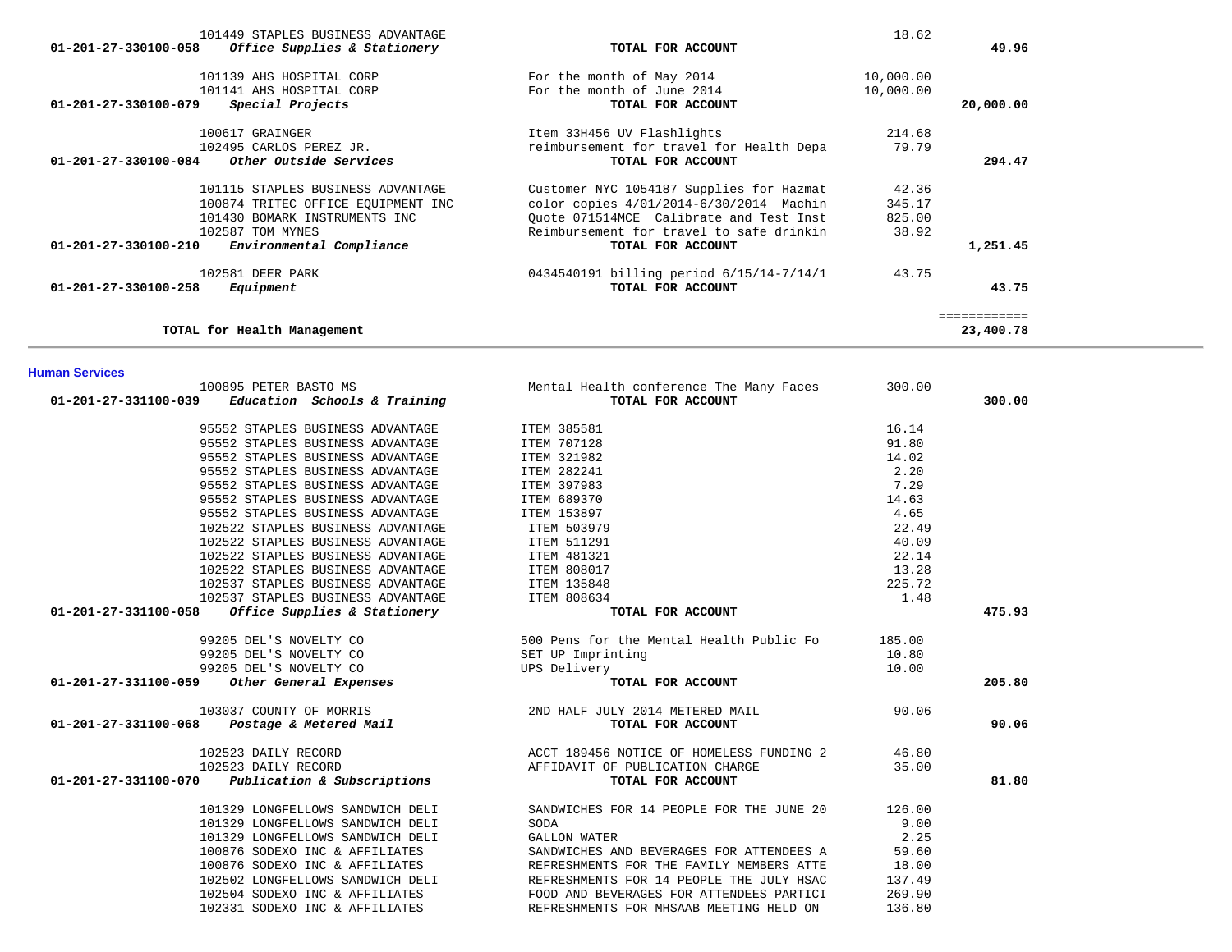|                                                                               | 18.62     |              |
|-------------------------------------------------------------------------------|-----------|--------------|
| TOTAL FOR ACCOUNT                                                             |           | 49.96        |
| For the month of May 2014                                                     | 10,000.00 |              |
| For the month of June 2014                                                    | 10,000.00 |              |
| TOTAL FOR ACCOUNT                                                             |           | 20,000.00    |
| Item 33H456 UV Flashlights                                                    | 214.68    |              |
| reimbursement for travel for Health Depa                                      | 79.79     |              |
| TOTAL FOR ACCOUNT                                                             |           | 294.47       |
| Customer NYC 1054187 Supplies for Hazmat                                      | 42.36     |              |
| color copies 4/01/2014-6/30/2014 Machin<br>100874 TRITEC OFFICE EQUIPMENT INC | 345.17    |              |
| Ouote 071514MCE Calibrate and Test Inst                                       | 825.00    |              |
| Reimbursement for travel to safe drinkin                                      | 38.92     |              |
| TOTAL FOR ACCOUNT                                                             |           | 1,251.45     |
| 0434540191 billing period 6/15/14-7/14/1                                      | 43.75     |              |
| TOTAL FOR ACCOUNT                                                             |           | 43.75        |
|                                                                               |           | ============ |
|                                                                               |           | 23,400.78    |
|                                                                               |           |              |

**Human Services** 

| 100895 PETER BASTO MS                                | Mental Health conference The Many Faces  | 300.00 |        |
|------------------------------------------------------|------------------------------------------|--------|--------|
| 01-201-27-331100-039<br>Education Schools & Training | TOTAL FOR ACCOUNT                        |        | 300.00 |
| 95552 STAPLES BUSINESS ADVANTAGE                     | ITEM 385581                              | 16.14  |        |
| 95552 STAPLES BUSINESS ADVANTAGE                     | ITEM 707128                              | 91.80  |        |
| 95552 STAPLES BUSINESS ADVANTAGE                     | ITEM 321982                              | 14.02  |        |
| 95552 STAPLES BUSINESS ADVANTAGE                     | ITEM 282241                              | 2.20   |        |
| 95552 STAPLES BUSINESS ADVANTAGE                     | ITEM 397983                              | 7.29   |        |
| 95552 STAPLES BUSINESS ADVANTAGE                     | ITEM 689370                              | 14.63  |        |
| 95552 STAPLES BUSINESS ADVANTAGE                     | ITEM 153897                              | 4.65   |        |
| 102522 STAPLES BUSINESS ADVANTAGE                    | ITEM 503979                              | 22.49  |        |
| 102522 STAPLES BUSINESS ADVANTAGE                    | ITEM 511291                              | 40.09  |        |
| 102522 STAPLES BUSINESS ADVANTAGE                    | ITEM 481321                              | 22.14  |        |
| 102522 STAPLES BUSINESS ADVANTAGE                    | <b>ITEM 808017</b>                       | 13.28  |        |
| 102537 STAPLES BUSINESS ADVANTAGE                    | ITEM 135848                              | 225.72 |        |
| 102537 STAPLES BUSINESS ADVANTAGE                    | ITEM 808634                              | 1.48   |        |
| 01-201-27-331100-058<br>Office Supplies & Stationery | TOTAL FOR ACCOUNT                        |        | 475.93 |
| 99205 DEL'S NOVELTY CO                               | 500 Pens for the Mental Health Public Fo | 185.00 |        |
| 99205 DEL'S NOVELTY CO                               | SET UP Imprinting                        | 10.80  |        |
| 99205 DEL'S NOVELTY CO                               | UPS Delivery                             | 10.00  |        |
| Other General Expenses<br>01-201-27-331100-059       | TOTAL FOR ACCOUNT                        |        | 205.80 |
| 103037 COUNTY OF MORRIS                              | 2ND HALF JULY 2014 METERED MAIL          | 90.06  |        |
| 01-201-27-331100-068    Postage & Metered Mail       | TOTAL FOR ACCOUNT                        |        | 90.06  |
| 102523 DAILY RECORD                                  | ACCT 189456 NOTICE OF HOMELESS FUNDING 2 | 46.80  |        |
| 102523 DAILY RECORD                                  | AFFIDAVIT OF PUBLICATION CHARGE          | 35.00  |        |
| 01-201-27-331100-070<br>Publication & Subscriptions  | TOTAL FOR ACCOUNT                        |        | 81.80  |
| 101329 LONGFELLOWS SANDWICH DELI                     | SANDWICHES FOR 14 PEOPLE FOR THE JUNE 20 | 126.00 |        |
| 101329 LONGFELLOWS SANDWICH DELI                     | SODA                                     | 9.00   |        |
| 101329 LONGFELLOWS SANDWICH DELI                     | <b>GALLON WATER</b>                      | 2.25   |        |
| 100876 SODEXO INC & AFFILIATES                       | SANDWICHES AND BEVERAGES FOR ATTENDEES A | 59.60  |        |
| 100876 SODEXO INC & AFFILIATES                       | REFRESHMENTS FOR THE FAMILY MEMBERS ATTE | 18.00  |        |
| 102502 LONGFELLOWS SANDWICH DELI                     | REFRESHMENTS FOR 14 PEOPLE THE JULY HSAC | 137.49 |        |
| 102504 SODEXO INC & AFFILIATES                       | FOOD AND BEVERAGES FOR ATTENDEES PARTICI | 269.90 |        |
| 102331 SODEXO INC & AFFILIATES                       | REFRESHMENTS FOR MHSAAB MEETING HELD ON  | 136.80 |        |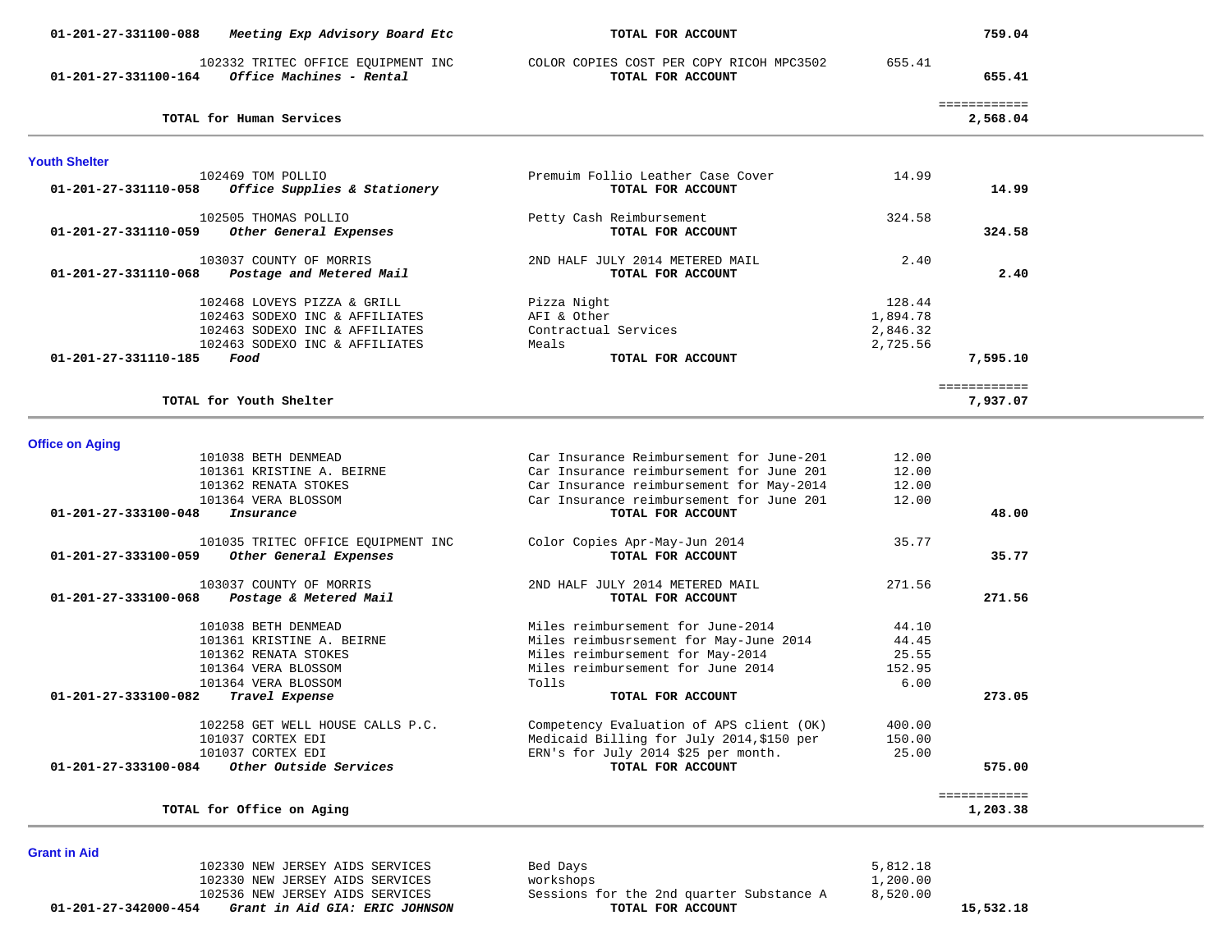| 01-201-27-331100-088                           | Meeting Exp Advisory Board Etc                                                                                                    | TOTAL FOR ACCOUNT                                                                                                                                                                                 |                                            | 759.04                               |  |
|------------------------------------------------|-----------------------------------------------------------------------------------------------------------------------------------|---------------------------------------------------------------------------------------------------------------------------------------------------------------------------------------------------|--------------------------------------------|--------------------------------------|--|
| 01-201-27-331100-164                           | 102332 TRITEC OFFICE EQUIPMENT INC<br>Office Machines - Rental                                                                    | COLOR COPIES COST PER COPY RICOH MPC3502<br>TOTAL FOR ACCOUNT                                                                                                                                     | 655.41                                     | 655.41                               |  |
|                                                | TOTAL for Human Services                                                                                                          |                                                                                                                                                                                                   |                                            | ============<br>2,568.04             |  |
| <b>Youth Shelter</b>                           |                                                                                                                                   |                                                                                                                                                                                                   |                                            |                                      |  |
| 01-201-27-331110-058                           | 102469 TOM POLLIO<br>Office Supplies & Stationery                                                                                 | Premuim Follio Leather Case Cover<br>TOTAL FOR ACCOUNT                                                                                                                                            | 14.99                                      | 14.99                                |  |
| 01-201-27-331110-059                           | 102505 THOMAS POLLIO<br>Other General Expenses                                                                                    | Petty Cash Reimbursement<br>TOTAL FOR ACCOUNT                                                                                                                                                     | 324.58                                     | 324.58                               |  |
| 01-201-27-331110-068                           | 103037 COUNTY OF MORRIS<br>Postage and Metered Mail                                                                               | 2ND HALF JULY 2014 METERED MAIL<br>TOTAL FOR ACCOUNT                                                                                                                                              | 2.40                                       | 2.40                                 |  |
|                                                | 102468 LOVEYS PIZZA & GRILL<br>102463 SODEXO INC & AFFILIATES<br>102463 SODEXO INC & AFFILIATES<br>102463 SODEXO INC & AFFILIATES | Pizza Night<br>AFI & Other<br>Contractual Services<br>Meals                                                                                                                                       | 128.44<br>1,894.78<br>2,846.32<br>2,725.56 |                                      |  |
| $01 - 201 - 27 - 331110 - 185$                 | Food<br>TOTAL for Youth Shelter                                                                                                   | TOTAL FOR ACCOUNT                                                                                                                                                                                 |                                            | 7,595.10<br>============<br>7,937.07 |  |
|                                                |                                                                                                                                   |                                                                                                                                                                                                   |                                            |                                      |  |
| <b>Office on Aging</b><br>01-201-27-333100-048 | 101038 BETH DENMEAD<br>101361 KRISTINE A. BEIRNE<br>101362 RENATA STOKES<br>101364 VERA BLOSSOM<br>Insurance                      | Car Insurance Reimbursement for June-201<br>Car Insurance reimbursement for June 201<br>Car Insurance reimbursement for May-2014<br>Car Insurance reimbursement for June 201<br>TOTAL FOR ACCOUNT | 12.00<br>12.00<br>12.00<br>12.00           | 48.00                                |  |
| 01-201-27-333100-059                           | 101035 TRITEC OFFICE EQUIPMENT INC<br>Other General Expenses                                                                      | Color Copies Apr-May-Jun 2014<br>TOTAL FOR ACCOUNT                                                                                                                                                | 35.77                                      | 35.77                                |  |
| 01-201-27-333100-068                           | 103037 COUNTY OF MORRIS<br>Postage & Metered Mail                                                                                 | 2ND HALF JULY 2014 METERED MAIL<br>TOTAL FOR ACCOUNT                                                                                                                                              | 271.56                                     | 271.56                               |  |
|                                                | 101038 BETH DENMEAD<br>101361 KRISTINE A. BEIRNE<br>101362 RENATA STOKES<br>101364 VERA BLOSSOM<br>101364 VERA BLOSSOM            | Miles reimbursement for June-2014<br>Miles reimbusrsement for May-June 2014<br>Miles reimbursement for May-2014<br>Miles reimbursement for June 2014<br>Tolls                                     | 44.10<br>44.45<br>25.55<br>152.95<br>6.00  |                                      |  |
| 01-201-27-333100-082                           | Travel Expense                                                                                                                    | TOTAL FOR ACCOUNT                                                                                                                                                                                 |                                            | 273.05                               |  |
| 01-201-27-333100-084                           | 102258 GET WELL HOUSE CALLS P.C.<br>101037 CORTEX EDI<br>101037 CORTEX EDI<br>Other Outside Services                              | Competency Evaluation of APS client (OK)<br>Medicaid Billing for July 2014, \$150 per<br>ERN's for July 2014 \$25 per month.<br>TOTAL FOR ACCOUNT                                                 | 400.00<br>150.00<br>25.00                  | 575.00                               |  |
|                                                | TOTAL for Office on Aging                                                                                                         |                                                                                                                                                                                                   |                                            | ============<br>1,203.38             |  |

#### **Grant in Aid**

 **01-201-27-342000-454** *Grant in Aid GIA: ERIC JOHNSON* **TOTAL FOR ACCOUNT 15,532.18**

 102330 NEW JERSEY AIDS SERVICES Bed Days 5,812.18 102330 NEW JERSEY AIDS SERVICES workshops the 2nd quarter Substance A 1,200.00<br>102536 NEW JERSEY AIDS SERVICES Sessions for the 2nd quarter Substance A 3,520.00 102536 NEW JERSEY AIDS SERVICES SESSIONS for the 2nd quarter Substance A 3,520.0000 Sessions for the 2nd quarter Substance A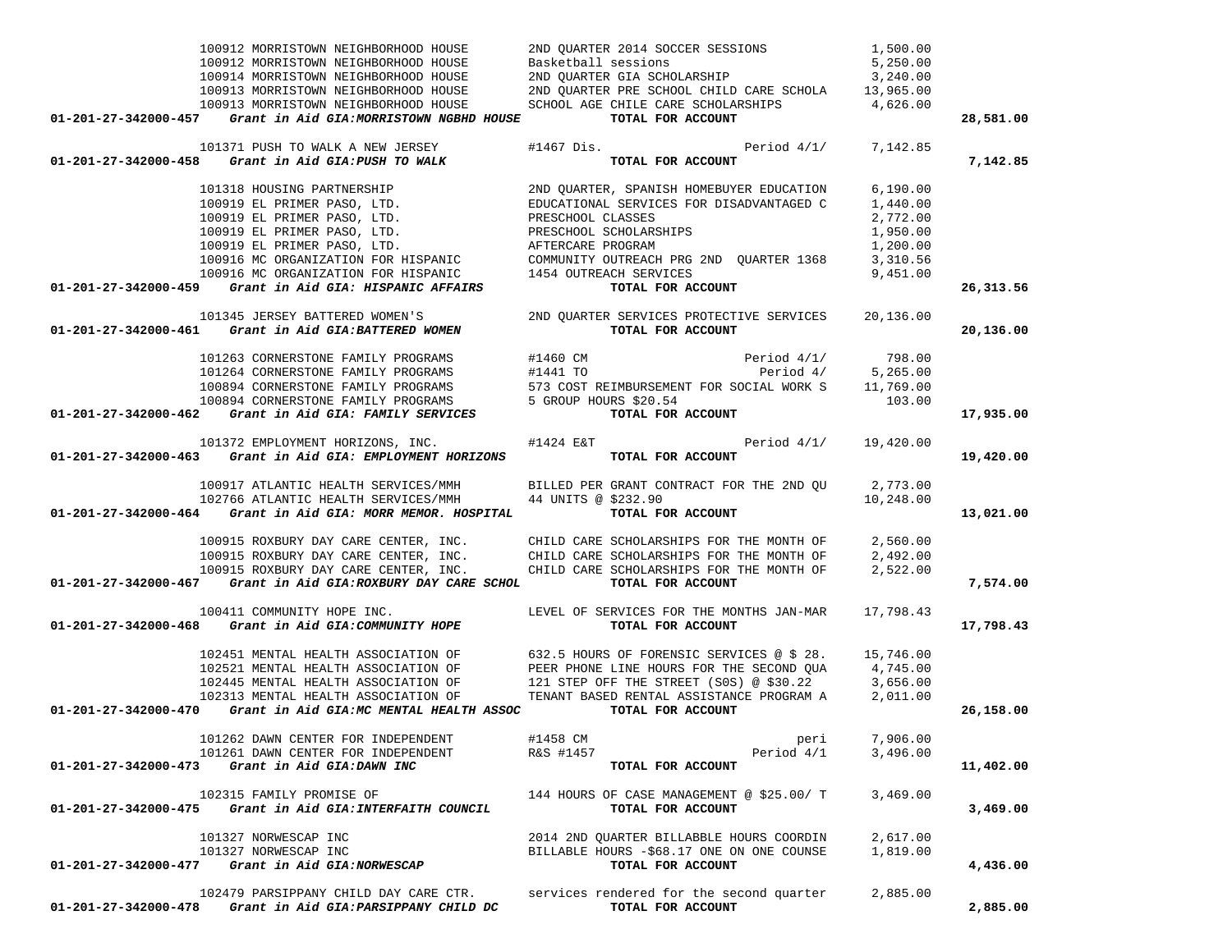| 100912 MORRISTOWN NEIGHBORHOOD HOUSE                                                                                                                                                                                                                                                                                                                                                                                                                                  |                                                                                                                                                                                                                                      |          |           |
|-----------------------------------------------------------------------------------------------------------------------------------------------------------------------------------------------------------------------------------------------------------------------------------------------------------------------------------------------------------------------------------------------------------------------------------------------------------------------|--------------------------------------------------------------------------------------------------------------------------------------------------------------------------------------------------------------------------------------|----------|-----------|
| 100912 MORRISTOWN NEIGHBORHOOD HOUSE                                                                                                                                                                                                                                                                                                                                                                                                                                  | 2ND QUARTER 2014 SOCCER SESSIONS 1,500.00<br>Basketball sessions 5,250.00<br>2ND QUARTER GIA SCHOLARSHIP 3,240.00<br>2ND QUARTER PRE SCHOOL CHILD CARE SCHOLA 13,965.00                                                              |          |           |
| 100914 MORRISTOWN NEIGHBORHOOD HOUSE                                                                                                                                                                                                                                                                                                                                                                                                                                  |                                                                                                                                                                                                                                      |          |           |
| 100913 MORRISTOWN NEIGHBORHOOD HOUSE                                                                                                                                                                                                                                                                                                                                                                                                                                  |                                                                                                                                                                                                                                      |          |           |
| 100913 MORRISTOWN NEIGHBORHOOD HOUSE                                                                                                                                                                                                                                                                                                                                                                                                                                  | SCHOOL AGE CHILE CARE SCHOLARSHIPS 4,626.00                                                                                                                                                                                          |          |           |
| 01-201-27-342000-457 Grant in Aid GIA:MORRISTOWN NGBHD HOUSE TOTAL FOR ACCOUNT                                                                                                                                                                                                                                                                                                                                                                                        |                                                                                                                                                                                                                                      |          | 28,581.00 |
|                                                                                                                                                                                                                                                                                                                                                                                                                                                                       |                                                                                                                                                                                                                                      |          |           |
|                                                                                                                                                                                                                                                                                                                                                                                                                                                                       | 101371 PUSH TO WALK A NEW JERSEY $#1467$ Dis. Period $4/1/$ 7,142.85                                                                                                                                                                 |          |           |
| 01-201-27-342000-458 <i>Grant in Aid GIA: PUSH TO WALK</i> TOTAL FOR ACCOUNT                                                                                                                                                                                                                                                                                                                                                                                          |                                                                                                                                                                                                                                      |          | 7,142.85  |
|                                                                                                                                                                                                                                                                                                                                                                                                                                                                       |                                                                                                                                                                                                                                      |          |           |
|                                                                                                                                                                                                                                                                                                                                                                                                                                                                       |                                                                                                                                                                                                                                      |          |           |
|                                                                                                                                                                                                                                                                                                                                                                                                                                                                       |                                                                                                                                                                                                                                      |          |           |
|                                                                                                                                                                                                                                                                                                                                                                                                                                                                       |                                                                                                                                                                                                                                      |          |           |
|                                                                                                                                                                                                                                                                                                                                                                                                                                                                       |                                                                                                                                                                                                                                      |          |           |
|                                                                                                                                                                                                                                                                                                                                                                                                                                                                       |                                                                                                                                                                                                                                      |          |           |
|                                                                                                                                                                                                                                                                                                                                                                                                                                                                       |                                                                                                                                                                                                                                      |          |           |
|                                                                                                                                                                                                                                                                                                                                                                                                                                                                       |                                                                                                                                                                                                                                      |          |           |
|                                                                                                                                                                                                                                                                                                                                                                                                                                                                       |                                                                                                                                                                                                                                      |          |           |
| $01-201-27-342000-459$ Grant in Aid GIA: HISPANIC AFFAIRS                                                                                                                                                                                                                                                                                                                                                                                                             |                                                                                                                                                                                                                                      |          | 26,313.56 |
|                                                                                                                                                                                                                                                                                                                                                                                                                                                                       |                                                                                                                                                                                                                                      |          |           |
| 01-201-27-342000-461 Grant in Aid GIA:BATTERED WOMEN                                                                                                                                                                                                                                                                                                                                                                                                                  |                                                                                                                                                                                                                                      |          | 20,136.00 |
|                                                                                                                                                                                                                                                                                                                                                                                                                                                                       | 101345 JERSEY BATTERED WOMEN'S 2ND QUARTER SERVICES PROTECTIVE SERVICES 20,136.00<br><b>61</b> Grant in Aid GIA:BATTERED WOMEN TOTAL FOR ACCOUNT                                                                                     |          |           |
| $\begin{tabular}{lllllllllllll} \multicolumn{3}{l}{} & 101263 CORNERSTONE FAMILY PROGRAMS & \multicolumn{3}{l}{} & \multicolumn{3}{l}{} & 101264 CORNERSTONE FAMILY PROGRAMS & \multicolumn{3}{l}{} & \multicolumn{3}{l}{} & 101264 CORNERSTONE FAMILY PROGRAMS & \multicolumn{3}{l}{} & \multicolumn{3}{l}{} & 101264 CORNERSTONE FAMILY PROGRAMS & \multicolumn{3}{l}{} & \multicolumn{3}{l}{} & 101264 CORNERSTONE FAMILY PROGRAMS & \multicolumn{3}{l}{} & 11441$ |                                                                                                                                                                                                                                      |          |           |
|                                                                                                                                                                                                                                                                                                                                                                                                                                                                       |                                                                                                                                                                                                                                      |          |           |
|                                                                                                                                                                                                                                                                                                                                                                                                                                                                       |                                                                                                                                                                                                                                      |          |           |
|                                                                                                                                                                                                                                                                                                                                                                                                                                                                       |                                                                                                                                                                                                                                      |          |           |
|                                                                                                                                                                                                                                                                                                                                                                                                                                                                       |                                                                                                                                                                                                                                      |          | 17,935.00 |
|                                                                                                                                                                                                                                                                                                                                                                                                                                                                       |                                                                                                                                                                                                                                      |          |           |
| 101372 EMPLOYMENT HORIZONS, INC. #1424 E&T Period 4/1/ 19,420.00<br><b>01-201-27-342000-463</b> Grant in Aid GIA: EMPLOYMENT HORIZONS TOTAL FOR ACCOUNT                                                                                                                                                                                                                                                                                                               |                                                                                                                                                                                                                                      |          |           |
|                                                                                                                                                                                                                                                                                                                                                                                                                                                                       |                                                                                                                                                                                                                                      |          | 19,420.00 |
|                                                                                                                                                                                                                                                                                                                                                                                                                                                                       |                                                                                                                                                                                                                                      |          |           |
|                                                                                                                                                                                                                                                                                                                                                                                                                                                                       |                                                                                                                                                                                                                                      |          |           |
|                                                                                                                                                                                                                                                                                                                                                                                                                                                                       |                                                                                                                                                                                                                                      |          |           |
| 100917 ATLANTIC HEALTH SERVICES/MMH BILLED PER GRANT CONTRACT FOR THE 2ND QU $102766$ ATLANTIC HEALTH SERVICES/MMH 44 UNITS @ \$232.90 10,248.00 10,248.00                                                                                                                                                                                                                                                                                                            |                                                                                                                                                                                                                                      |          | 13,021.00 |
|                                                                                                                                                                                                                                                                                                                                                                                                                                                                       |                                                                                                                                                                                                                                      |          |           |
|                                                                                                                                                                                                                                                                                                                                                                                                                                                                       | 100915 ROXBURY DAY CARE CENTER, INC. CHILD CARE SCHOLARSHIPS FOR THE MONTH OF 2,560.00<br>100915 ROXBURY DAY CARE CENTER, INC. CHILD CARE SCHOLARSHIPS FOR THE MONTH OF 2,492.00<br>100915 ROXBURY DAY CARE CENTER, INC. CHILD CARE  |          |           |
|                                                                                                                                                                                                                                                                                                                                                                                                                                                                       |                                                                                                                                                                                                                                      |          |           |
|                                                                                                                                                                                                                                                                                                                                                                                                                                                                       |                                                                                                                                                                                                                                      |          |           |
| $01-201-27-342000-467$ Grant in Aid GIA:ROXBURY DAY CARE SCHOL                                                                                                                                                                                                                                                                                                                                                                                                        | TOTAL FOR ACCOUNT                                                                                                                                                                                                                    |          | 7,574.00  |
|                                                                                                                                                                                                                                                                                                                                                                                                                                                                       |                                                                                                                                                                                                                                      |          |           |
|                                                                                                                                                                                                                                                                                                                                                                                                                                                                       | 100411 COMMUNITY HOPE INC. The SERVICES FOR THE MONTHS JAN-MAR 17,798.43                                                                                                                                                             |          |           |
| 01-201-27-342000-468 Grant in Aid GIA:COMMUNITY HOPE                                                                                                                                                                                                                                                                                                                                                                                                                  | TOTAL FOR ACCOUNT                                                                                                                                                                                                                    |          | 17,798.43 |
|                                                                                                                                                                                                                                                                                                                                                                                                                                                                       |                                                                                                                                                                                                                                      |          |           |
|                                                                                                                                                                                                                                                                                                                                                                                                                                                                       |                                                                                                                                                                                                                                      |          |           |
|                                                                                                                                                                                                                                                                                                                                                                                                                                                                       |                                                                                                                                                                                                                                      |          |           |
|                                                                                                                                                                                                                                                                                                                                                                                                                                                                       | 102451 MENTAL HEALTH ASSOCIATION OF 632.5 HOURS OF FORENSIC SERVICES @ \$ 28. 15,746.00<br>102521 MENTAL HEALTH ASSOCIATION OF PEER PHONE LINE HOURS FOR THE SECOND QUA 4,745.00<br>102445 MENTAL HEALTH ASSOCIATION OF 121 STEP OFF |          |           |
|                                                                                                                                                                                                                                                                                                                                                                                                                                                                       | 102313 MENTAL HEALTH ASSOCIATION OF TENANT BASED RENTAL ASSISTANCE PROGRAM A 2,011.00                                                                                                                                                |          |           |
| 01-201-27-342000-470 Grant in Aid GIA:MC MENTAL HEALTH ASSOC TOTAL FOR ACCOUNT                                                                                                                                                                                                                                                                                                                                                                                        |                                                                                                                                                                                                                                      |          | 26,158.00 |
|                                                                                                                                                                                                                                                                                                                                                                                                                                                                       |                                                                                                                                                                                                                                      |          |           |
| 101262 DAWN CENTER FOR INDEPENDENT                                                                                                                                                                                                                                                                                                                                                                                                                                    | #1458 CM<br>peri                                                                                                                                                                                                                     | 7,906.00 |           |
| 101261 DAWN CENTER FOR INDEPENDENT                                                                                                                                                                                                                                                                                                                                                                                                                                    | R&S #1457<br>Period 4/1                                                                                                                                                                                                              | 3,496.00 |           |
| 01-201-27-342000-473<br>Grant in Aid GIA:DAWN INC                                                                                                                                                                                                                                                                                                                                                                                                                     | TOTAL FOR ACCOUNT                                                                                                                                                                                                                    |          | 11,402.00 |
|                                                                                                                                                                                                                                                                                                                                                                                                                                                                       |                                                                                                                                                                                                                                      |          |           |
| 102315 FAMILY PROMISE OF                                                                                                                                                                                                                                                                                                                                                                                                                                              | 144 HOURS OF CASE MANAGEMENT @ \$25.00/ T                                                                                                                                                                                            | 3,469.00 |           |
| 01-201-27-342000-475 Grant in Aid GIA: INTERFAITH COUNCIL                                                                                                                                                                                                                                                                                                                                                                                                             | TOTAL FOR ACCOUNT                                                                                                                                                                                                                    |          | 3,469.00  |
|                                                                                                                                                                                                                                                                                                                                                                                                                                                                       |                                                                                                                                                                                                                                      |          |           |
| 101327 NORWESCAP INC                                                                                                                                                                                                                                                                                                                                                                                                                                                  | 2014 2ND QUARTER BILLABBLE HOURS COORDIN                                                                                                                                                                                             | 2,617.00 |           |
| 101327 NORWESCAP INC                                                                                                                                                                                                                                                                                                                                                                                                                                                  | BILLABLE HOURS -\$68.17 ONE ON ONE COUNSE                                                                                                                                                                                            | 1,819.00 |           |
| Grant in Aid GIA: NORWESCAP<br>01-201-27-342000-477                                                                                                                                                                                                                                                                                                                                                                                                                   | TOTAL FOR ACCOUNT                                                                                                                                                                                                                    |          | 4,436.00  |
| 102479 PARSIPPANY CHILD DAY CARE CTR.                                                                                                                                                                                                                                                                                                                                                                                                                                 | services rendered for the second quarter                                                                                                                                                                                             | 2,885.00 |           |
| 01-201-27-342000-478 Grant in Aid GIA: PARSIPPANY CHILD DC                                                                                                                                                                                                                                                                                                                                                                                                            | TOTAL FOR ACCOUNT                                                                                                                                                                                                                    |          | 2,885.00  |
|                                                                                                                                                                                                                                                                                                                                                                                                                                                                       |                                                                                                                                                                                                                                      |          |           |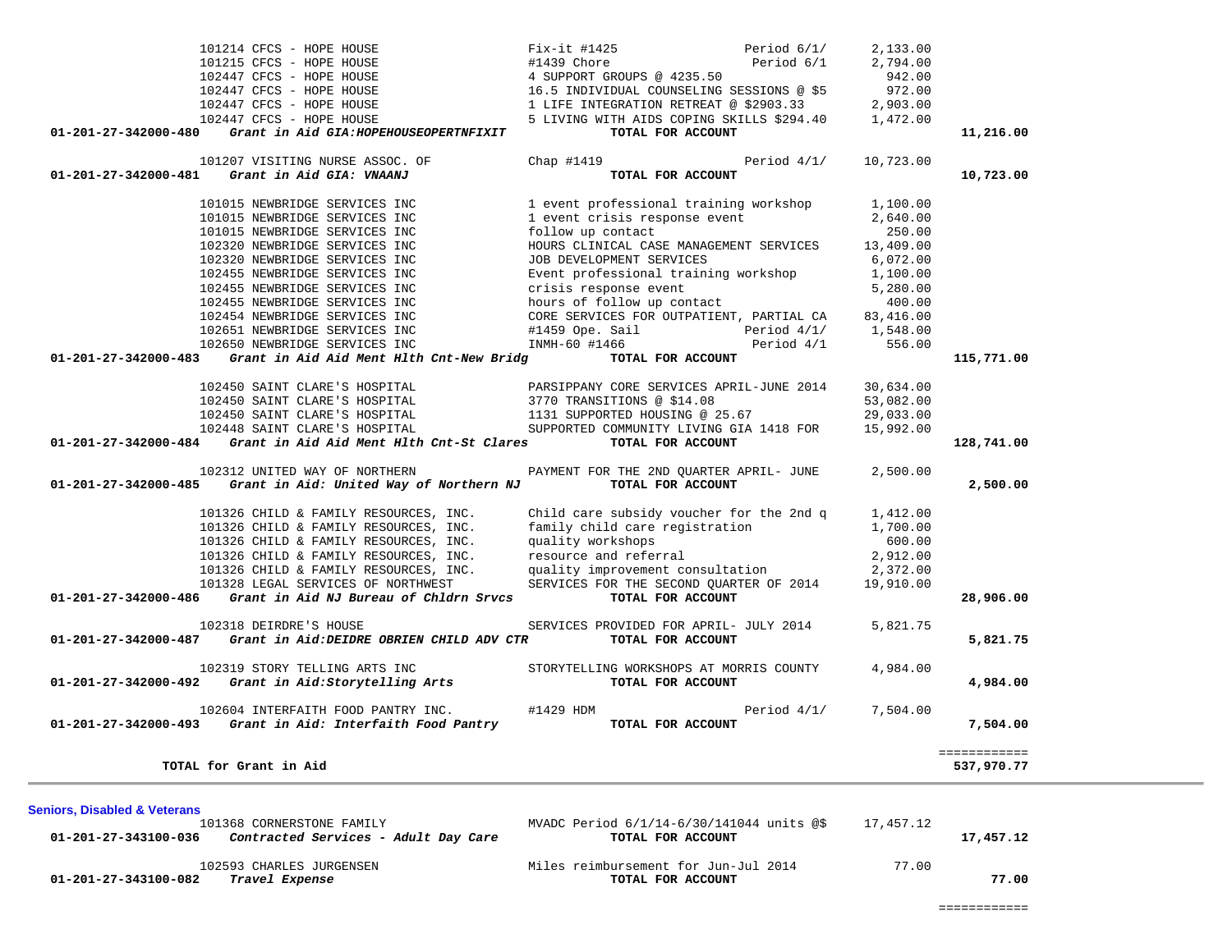| 101368 CORNERSTONE FAMILY<br>Contracted Services - Adult Day Care<br>01-201-27-343100-036 | MVADC Period 6/1/14-6/30/141044 units @\$<br>TOTAL FOR ACCOUNT | 17,457.12 | 17,457.12 |
|-------------------------------------------------------------------------------------------|----------------------------------------------------------------|-----------|-----------|
| 102593 CHARLES JURGENSEN<br>01-201-27-343100-082<br>Travel Expense                        | Miles reimbursement for Jun-Jul 2014<br>TOTAL FOR ACCOUNT      | 77.00     | 77.00     |

**Seniors, Disabled & Veterans**

|                      | 101015 NEWBRIDGE SERVICES INC                                 | 1 event professional training workshop                                                                                                                                                                                                  | 1,100.00  |              |
|----------------------|---------------------------------------------------------------|-----------------------------------------------------------------------------------------------------------------------------------------------------------------------------------------------------------------------------------------|-----------|--------------|
|                      | 101015 NEWBRIDGE SERVICES INC                                 | 1 event crisis response event 2,640.00                                                                                                                                                                                                  |           |              |
|                      | 101015 NEWBRIDGE SERVICES INC                                 | follow up contact                                                                                                                                                                                                                       | 250.00    |              |
|                      | 102320 NEWBRIDGE SERVICES INC                                 | HOURS CLINICAL CASE MANAGEMENT SERVICES                                                                                                                                                                                                 | 13,409.00 |              |
|                      | 102320 NEWBRIDGE SERVICES INC                                 | JOB DEVELOPMENT SERVICES                                                                                                                                                                                                                | 6,072.00  |              |
|                      | 102455 NEWBRIDGE SERVICES INC                                 | Event professional training workshop 1,100.00                                                                                                                                                                                           |           |              |
|                      | 102455 NEWBRIDGE SERVICES INC                                 | crisis response event 5,280.00<br>hours of follow up contact 400.00<br>CORE SERVICES FOR OUTPATIENT, PARTIAL CA 83,416.00                                                                                                               |           |              |
|                      | 102455 NEWBRIDGE SERVICES INC                                 |                                                                                                                                                                                                                                         |           |              |
|                      | 102454 NEWBRIDGE SERVICES INC                                 |                                                                                                                                                                                                                                         |           |              |
|                      |                                                               | 102651 NEWBRIDGE SERVICES INC #1459 Ope. Sail Period 4/1/ 1,548.00                                                                                                                                                                      |           |              |
|                      | 102650 NEWBRIDGE SERVICES INC                                 | INMH-60 #1466 Period 4/1                                                                                                                                                                                                                | 556.00    |              |
| 01-201-27-342000-483 |                                                               |                                                                                                                                                                                                                                         |           | 115,771.00   |
|                      |                                                               |                                                                                                                                                                                                                                         |           |              |
|                      |                                                               |                                                                                                                                                                                                                                         |           |              |
|                      |                                                               |                                                                                                                                                                                                                                         |           |              |
|                      |                                                               |                                                                                                                                                                                                                                         |           |              |
| 01-201-27-342000-484 | Grant in Aid Aid Ment Hlth Cnt-St Clares TOTAL FOR ACCOUNT    |                                                                                                                                                                                                                                         |           | 128,741.00   |
|                      |                                                               | 102312 UNITED WAY OF NORTHERN PAYMENT FOR THE 2ND QUARTER APRIL- JUNE 2,500.00                                                                                                                                                          |           |              |
| 01-201-27-342000-485 | Grant in Aid: United Way of Northern NJ TOTAL FOR ACCOUNT     |                                                                                                                                                                                                                                         |           | 2,500.00     |
|                      |                                                               | 101326 CHILD & FAMILY RESOURCES, INC. Child care subsidy voucher for the 2nd q 1,412.00                                                                                                                                                 |           |              |
|                      |                                                               |                                                                                                                                                                                                                                         |           |              |
|                      |                                                               | 101326 CHILD & FAMILY RESOURCES, INC. family child care registration 1,700.00<br>101326 CHILD & FAMILY RESOURCES, INC. quality workshops 600.00<br>101326 CHILD & FAMILY RESOURCES, INC. resource and referral 2,912.00<br>101326 CHILD |           |              |
|                      |                                                               |                                                                                                                                                                                                                                         |           |              |
|                      |                                                               |                                                                                                                                                                                                                                         |           |              |
|                      |                                                               | 101328 LEGAL SERVICES OF NORTHWEST SERVICES FOR THE SECOND QUARTER OF 2014 19,910.00                                                                                                                                                    |           |              |
|                      | $01-201-27-342000-486$ Grant in Aid NJ Bureau of Chldrn Srvcs | TOTAL FOR ACCOUNT                                                                                                                                                                                                                       |           | 28,906.00    |
|                      | 102318 DEIRDRE'S HOUSE                                        | SERVICES PROVIDED FOR APRIL- JULY 2014                                                                                                                                                                                                  | 5,821.75  |              |
| 01-201-27-342000-487 | Grant in Aid: DEIDRE OBRIEN CHILD ADV CTR TOTAL FOR ACCOUNT   |                                                                                                                                                                                                                                         |           | 5,821.75     |
|                      | 102319 STORY TELLING ARTS INC                                 | STORYTELLING WORKSHOPS AT MORRIS COUNTY                                                                                                                                                                                                 | 4,984.00  |              |
|                      | $01-201-27-342000-492$ Grant in Aid:Storytelling Arts         | TOTAL FOR ACCOUNT                                                                                                                                                                                                                       |           | 4,984.00     |
|                      |                                                               | 102604 INTERFAITH FOOD PANTRY INC. #1429 HDM $\qquad \qquad$ Period 4/1/ 7,504.00                                                                                                                                                       |           |              |
| 01-201-27-342000-493 | Grant in Aid: Interfaith Food Pantry TOTAL FOR ACCOUNT        |                                                                                                                                                                                                                                         |           | 7,504.00     |
|                      |                                                               |                                                                                                                                                                                                                                         |           | ============ |
|                      | TOTAL for Grant in Aid                                        |                                                                                                                                                                                                                                         |           | 537,970.77   |

| 01-201-27-342000-481<br>Grant in Aid GIA: VNAANJ                        | TOTAL FOR ACCOUNT                         |               |           | 10,723.00 |
|-------------------------------------------------------------------------|-------------------------------------------|---------------|-----------|-----------|
| 101207 VISITING NURSE ASSOC. OF                                         | Chap #1419                                | Period $4/1/$ | 10,723.00 |           |
| Grant in Aid GIA:HOPEHOUSEOPERTNFIXIT<br>$01 - 201 - 27 - 342000 - 480$ | TOTAL FOR ACCOUNT                         |               |           | 11,216.00 |
| 102447 CFCS - HOPE HOUSE                                                | 5 LIVING WITH AIDS COPING SKILLS \$294.40 |               | 1,472.00  |           |
| 102447 CFCS - HOPE HOUSE                                                | 1 LIFE INTEGRATION RETREAT @ \$2903.33    |               | 2,903.00  |           |
| 102447 CFCS - HOPE HOUSE                                                | 16.5 INDIVIDUAL COUNSELING SESSIONS @ \$5 |               | 972.00    |           |
| 102447 CFCS - HOPE HOUSE                                                | 4 SUPPORT GROUPS @ 4235.50                |               | 942.00    |           |
| 101215 CFCS - HOPE HOUSE                                                | #1439 Chore                               | Period 6/1    | 2,794.00  |           |
| 101214 CFCS - HOPE HOUSE                                                | Fix-it #1425                              | Period $6/1/$ | 2,133.00  |           |
|                                                                         |                                           |               |           |           |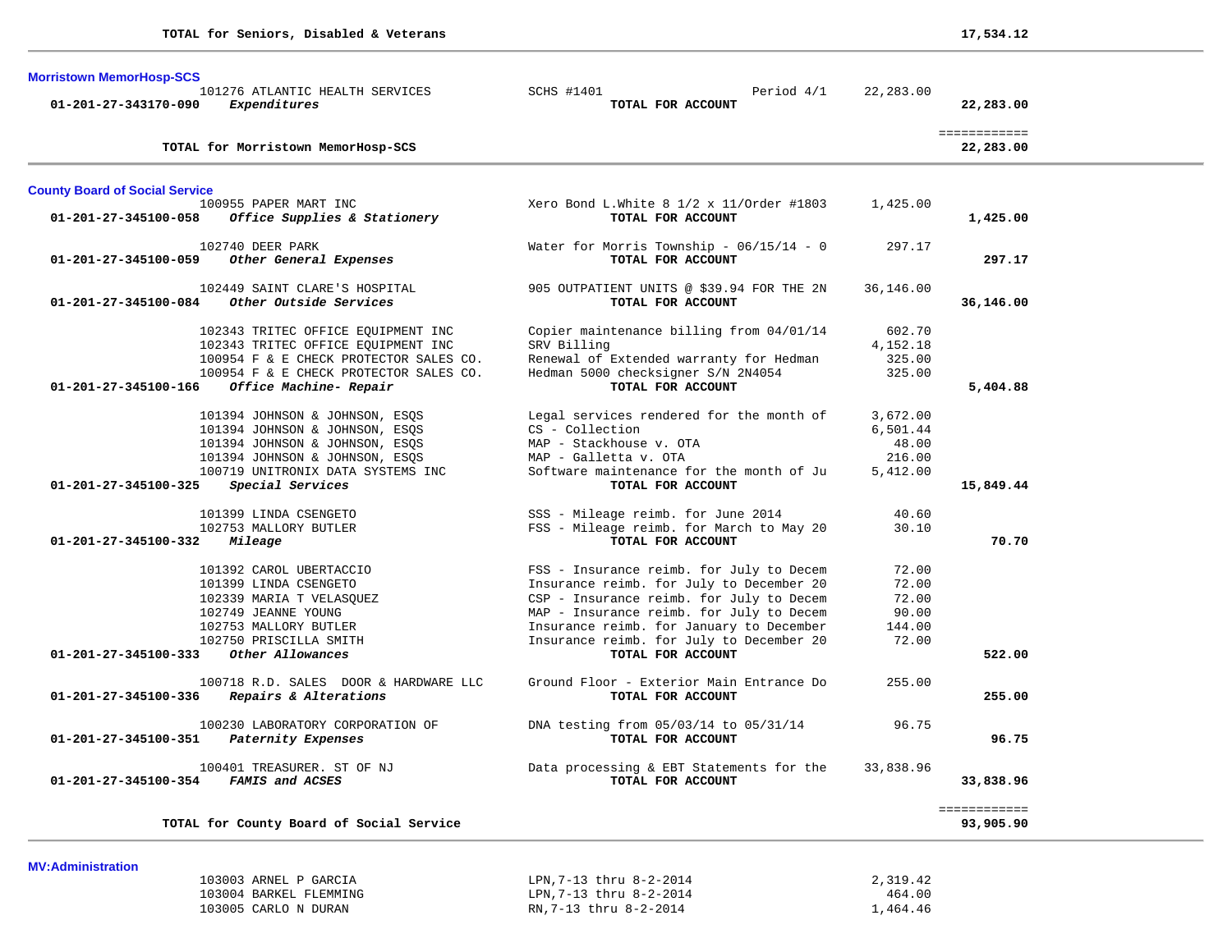| <b>Morristown MemorHosp-SCS</b><br>101276 ATLANTIC HEALTH SERVICES<br>Expenditures<br>01-201-27-343170-090 | SCHS #1401<br>Period 4/1<br>TOTAL FOR ACCOUNT                                        | 22,283.00            | 22,283.00                 |
|------------------------------------------------------------------------------------------------------------|--------------------------------------------------------------------------------------|----------------------|---------------------------|
| TOTAL for Morristown MemorHosp-SCS                                                                         |                                                                                      |                      | ============<br>22,283.00 |
| <b>County Board of Social Service</b>                                                                      |                                                                                      |                      |                           |
| 100955 PAPER MART INC<br>Office Supplies & Stationery<br>01-201-27-345100-058                              | Xero Bond L.White $8\ 1/2 \times 11/0$ rder #1803<br>TOTAL FOR ACCOUNT               | 1,425.00             | 1,425.00                  |
| 102740 DEER PARK<br>01-201-27-345100-059<br>Other General Expenses                                         | Water for Morris Township - $06/15/14 - 0$<br>TOTAL FOR ACCOUNT                      | 297.17               | 297.17                    |
| 102449 SAINT CLARE'S HOSPITAL<br>01-201-27-345100-084 Other Outside Services                               | 905 OUTPATIENT UNITS @ \$39.94 FOR THE 2N<br>TOTAL FOR ACCOUNT                       | 36,146.00            | 36,146.00                 |
| 102343 TRITEC OFFICE EQUIPMENT INC                                                                         | Copier maintenance billing from 04/01/14                                             | 602.70               |                           |
| 102343 TRITEC OFFICE EQUIPMENT INC                                                                         | SRV Billing                                                                          | 4,152.18             |                           |
| 100954 F & E CHECK PROTECTOR SALES CO.<br>100954 F & E CHECK PROTECTOR SALES CO.                           | Renewal of Extended warranty for Hedman<br>Hedman 5000 checksigner S/N 2N4054        | 325.00<br>325.00     |                           |
| Office Machine- Repair<br>01-201-27-345100-166                                                             | TOTAL FOR ACCOUNT                                                                    |                      | 5,404.88                  |
|                                                                                                            |                                                                                      |                      |                           |
| 101394 JOHNSON & JOHNSON, ESQS<br>101394 JOHNSON & JOHNSON, ESOS                                           | Legal services rendered for the month of<br>CS - Collection                          | 3,672.00<br>6,501.44 |                           |
| 101394 JOHNSON & JOHNSON, ESQS                                                                             | MAP - Stackhouse v. OTA                                                              | 48.00                |                           |
| 101394 JOHNSON & JOHNSON, ESQS                                                                             | MAP - Galletta v. OTA                                                                | 216.00               |                           |
| 100719 UNITRONIX DATA SYSTEMS INC                                                                          | Software maintenance for the month of Ju                                             | 5,412.00             |                           |
| Special Services<br>01-201-27-345100-325                                                                   | TOTAL FOR ACCOUNT                                                                    |                      | 15,849.44                 |
| 101399 LINDA CSENGETO                                                                                      | SSS - Mileage reimb. for June 2014                                                   | 40.60                |                           |
| 102753 MALLORY BUTLER                                                                                      | FSS - Mileage reimb. for March to May 20                                             | 30.10                |                           |
| 01-201-27-345100-332<br>Mileage                                                                            | TOTAL FOR ACCOUNT                                                                    |                      | 70.70                     |
| 101392 CAROL UBERTACCIO                                                                                    | FSS - Insurance reimb. for July to Decem                                             | 72.00                |                           |
| 101399 LINDA CSENGETO                                                                                      | Insurance reimb. for July to December 20                                             | 72.00                |                           |
| 102339 MARIA T VELASQUEZ                                                                                   | CSP - Insurance reimb. for July to Decem                                             | 72.00                |                           |
| 102749 JEANNE YOUNG                                                                                        | MAP - Insurance reimb. for July to Decem                                             | 90.00                |                           |
| 102753 MALLORY BUTLER<br>102750 PRISCILLA SMITH                                                            | Insurance reimb. for January to December<br>Insurance reimb. for July to December 20 | 144.00<br>72.00      |                           |
| $01 - 201 - 27 - 345100 - 333$<br>Other Allowances                                                         | TOTAL FOR ACCOUNT                                                                    |                      | 522.00                    |
|                                                                                                            |                                                                                      |                      |                           |
| 100718 R.D. SALES DOOR & HARDWARE LLC<br>Repairs & Alterations<br>01-201-27-345100-336                     | Ground Floor - Exterior Main Entrance Do<br>TOTAL FOR ACCOUNT                        | 255.00               | 255.00                    |
| 100230 LABORATORY CORPORATION OF                                                                           | DNA testing from 05/03/14 to 05/31/14                                                | 96.75                |                           |
| Paternity Expenses<br>01-201-27-345100-351                                                                 | TOTAL FOR ACCOUNT                                                                    |                      | 96.75                     |
| 100401 TREASURER. ST OF NJ                                                                                 | Data processing & EBT Statements for the                                             | 33,838.96            |                           |
| FAMIS and ACSES<br>01-201-27-345100-354                                                                    | TOTAL FOR ACCOUNT                                                                    |                      | 33,838.96                 |
| TOTAL for County Board of Social Service                                                                   |                                                                                      |                      | ============<br>93,905.90 |

| 103003 ARNEL P GARCIA  | LPN.7-13 thru 8-2-2014 | 2,319.42 |
|------------------------|------------------------|----------|
| 103004 BARKEL FLEMMING | LPN.7-13 thru 8-2-2014 | 464.00   |
| 103005 CARLO N DURAN   | RN.7-13 thru 8-2-2014  | .464.46  |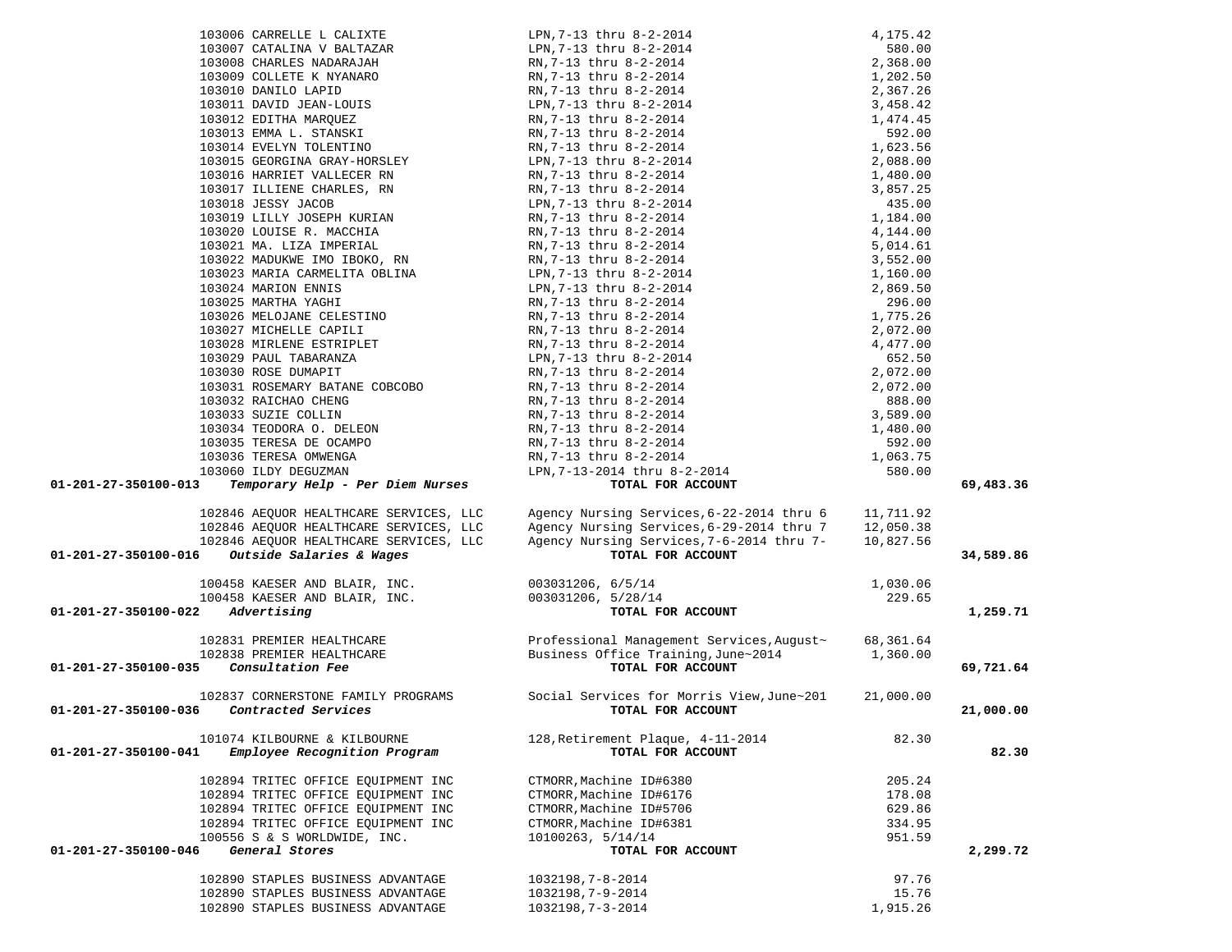| 103006 CARRELLE L CALIXTE                                                                                                                                                                                                                                                                                                                                                                                  |                                                                                                                                                                                                                                                                                                                                            |           |           |
|------------------------------------------------------------------------------------------------------------------------------------------------------------------------------------------------------------------------------------------------------------------------------------------------------------------------------------------------------------------------------------------------------------|--------------------------------------------------------------------------------------------------------------------------------------------------------------------------------------------------------------------------------------------------------------------------------------------------------------------------------------------|-----------|-----------|
|                                                                                                                                                                                                                                                                                                                                                                                                            |                                                                                                                                                                                                                                                                                                                                            |           |           |
| 103007 CATALINA V BALTAZAR<br>103007 CATALINA V BALTAZAR                                                                                                                                                                                                                                                                                                                                                   |                                                                                                                                                                                                                                                                                                                                            |           |           |
| 103009 COLLETE K NYANARO                                                                                                                                                                                                                                                                                                                                                                                   |                                                                                                                                                                                                                                                                                                                                            |           |           |
| 103010 DANILO LAPID                                                                                                                                                                                                                                                                                                                                                                                        |                                                                                                                                                                                                                                                                                                                                            |           |           |
|                                                                                                                                                                                                                                                                                                                                                                                                            | RN, 7-13 thru 8-2-2014                                                                                                                                                                                                                                                                                                                     |           |           |
| 103011 DAVID JEAN-LOUIS<br>103012 EDITHA MARQUEZ                                                                                                                                                                                                                                                                                                                                                           |                                                                                                                                                                                                                                                                                                                                            |           |           |
|                                                                                                                                                                                                                                                                                                                                                                                                            |                                                                                                                                                                                                                                                                                                                                            |           |           |
| 103013 EMMA L. STANSKI<br>103014 EVELYN TOLENTINO                                                                                                                                                                                                                                                                                                                                                          |                                                                                                                                                                                                                                                                                                                                            |           |           |
|                                                                                                                                                                                                                                                                                                                                                                                                            |                                                                                                                                                                                                                                                                                                                                            |           |           |
| 103015 GEORGINA GRAY-HORSLEY                                                                                                                                                                                                                                                                                                                                                                               |                                                                                                                                                                                                                                                                                                                                            |           |           |
| 103016 HARRIET VALLECER RN RN, 7-13 thru 8-2-2014                                                                                                                                                                                                                                                                                                                                                          |                                                                                                                                                                                                                                                                                                                                            |           |           |
| 103017 ILLIENE CHARLES, RN                                                                                                                                                                                                                                                                                                                                                                                 |                                                                                                                                                                                                                                                                                                                                            |           |           |
| 103018 JESSY JACOB                                                                                                                                                                                                                                                                                                                                                                                         |                                                                                                                                                                                                                                                                                                                                            |           |           |
| 103019 LILLY JOSEPH KURIAN                                                                                                                                                                                                                                                                                                                                                                                 |                                                                                                                                                                                                                                                                                                                                            |           |           |
| 103020 LOUISE R. MACCHIA                                                                                                                                                                                                                                                                                                                                                                                   | RN, 7-13 thru 8-2-2014                                                                                                                                                                                                                                                                                                                     |           |           |
| 103021 MA. LIZA IMPERIAL                                                                                                                                                                                                                                                                                                                                                                                   |                                                                                                                                                                                                                                                                                                                                            |           |           |
| 103021 MA. LIZA IMPERIAL<br>103022 MADUKWE IMO IBOKO, RN                                                                                                                                                                                                                                                                                                                                                   |                                                                                                                                                                                                                                                                                                                                            |           |           |
|                                                                                                                                                                                                                                                                                                                                                                                                            |                                                                                                                                                                                                                                                                                                                                            |           |           |
| 103023 MARIA CARMELITA OBLINA<br>103024 MARION ENNIS                                                                                                                                                                                                                                                                                                                                                       |                                                                                                                                                                                                                                                                                                                                            |           |           |
| 103024 MARION ENNIS                                                                                                                                                                                                                                                                                                                                                                                        |                                                                                                                                                                                                                                                                                                                                            |           |           |
|                                                                                                                                                                                                                                                                                                                                                                                                            |                                                                                                                                                                                                                                                                                                                                            |           |           |
| $\begin{tabular}{lllllllllllllllllllll} \textbf{103024} \textbf{ MARKION}_{EMNLS} \textbf{103025} \textbf{ MARKION}_{EMNLS} \textbf{103026} \textbf{MRFHA} \textbf{YAGHI} & \textbf{RN}, 7-13 \text{ triu } 0.2-1.103026 \textbf{MELOJANE} \textbf{CELESTINO} & \textbf{RN}, 7-13 \textbf{ triu } 8-2-2014 \textbf{N} \\ \textbf{103027} \textbf{MICHELLE CAPILI} & \textbf{RN}, 7-13 \textbf{ triu } 8-2$ | $\begin{tabular}{l c c c} \hline LPM, 7-13 \text{ thru} & 8-2-2014 & 4, 175.42 \\ \hline LPM, 7-13 \text{ thru} & 8-2-2014 & 580.00 \\ \hline RM, 7-13 \text{ thru} & 8-2-2014 & 1, 202.50 \\ \hline RM, 7-13 \text{ thru} & 8-2-2014 & 1, 202.50 \\ \hline LPM, 7-13 \text{ thru} & 8-2-2014 & 3, 458.42 \\ \hline RM, 7-13 \text{ thru}$ |           |           |
|                                                                                                                                                                                                                                                                                                                                                                                                            |                                                                                                                                                                                                                                                                                                                                            |           |           |
|                                                                                                                                                                                                                                                                                                                                                                                                            |                                                                                                                                                                                                                                                                                                                                            |           |           |
|                                                                                                                                                                                                                                                                                                                                                                                                            |                                                                                                                                                                                                                                                                                                                                            |           |           |
| 103030 ROSE DUMAPIT                                                                                                                                                                                                                                                                                                                                                                                        |                                                                                                                                                                                                                                                                                                                                            |           |           |
|                                                                                                                                                                                                                                                                                                                                                                                                            |                                                                                                                                                                                                                                                                                                                                            |           |           |
| 103031 ROSEMARY BATANE COBCOBO<br>103032 RAICHAO CHENG                                                                                                                                                                                                                                                                                                                                                     |                                                                                                                                                                                                                                                                                                                                            |           |           |
|                                                                                                                                                                                                                                                                                                                                                                                                            |                                                                                                                                                                                                                                                                                                                                            |           |           |
| 103033 SUZIE COLLIN<br>RN, 7-13 thru 8-2-2014<br>RN, 7-13 thru 8-2-2014<br>RN, 7-13 thru 8-2-2014                                                                                                                                                                                                                                                                                                          |                                                                                                                                                                                                                                                                                                                                            |           |           |
| 103035 TERESA DE OCAMPO                                                                                                                                                                                                                                                                                                                                                                                    |                                                                                                                                                                                                                                                                                                                                            |           |           |
| 103036 TERESA OMWENGA                                                                                                                                                                                                                                                                                                                                                                                      |                                                                                                                                                                                                                                                                                                                                            |           |           |
| 103060 ILDY DEGUZMAN                                                                                                                                                                                                                                                                                                                                                                                       |                                                                                                                                                                                                                                                                                                                                            |           |           |
| 01-201-27-350100-013<br>Temporary Help - Per Diem Nurses                                                                                                                                                                                                                                                                                                                                                   |                                                                                                                                                                                                                                                                                                                                            |           | 69,483.36 |
|                                                                                                                                                                                                                                                                                                                                                                                                            |                                                                                                                                                                                                                                                                                                                                            |           |           |
| 102846 AEQUOR HEALTHCARE SERVICES, LLC                                                                                                                                                                                                                                                                                                                                                                     | Agency Nursing Services, 6-22-2014 thru 6 11, 711.92                                                                                                                                                                                                                                                                                       |           |           |
| 102846 AEQUOR HEALTHCARE SERVICES, LLC                                                                                                                                                                                                                                                                                                                                                                     | Agency Nursing Services, 6-29-2014 thru 7                                                                                                                                                                                                                                                                                                  | 12,050.38 |           |
| 102846 AEQUOR HEALTHCARE SERVICES, LLC                                                                                                                                                                                                                                                                                                                                                                     | Agency Nursing Services, 7-6-2014 thru 7-                                                                                                                                                                                                                                                                                                  | 10,827.56 |           |
| 01-201-27-350100-016<br>Outside Salaries & Wages                                                                                                                                                                                                                                                                                                                                                           | TOTAL FOR ACCOUNT                                                                                                                                                                                                                                                                                                                          |           | 34,589.86 |
|                                                                                                                                                                                                                                                                                                                                                                                                            |                                                                                                                                                                                                                                                                                                                                            |           |           |
|                                                                                                                                                                                                                                                                                                                                                                                                            |                                                                                                                                                                                                                                                                                                                                            |           |           |
| 100458 KAESER AND BLAIR, INC.<br>100458 KAESER AND BLAIR, INC.<br>100458 KAESER AND BLAIR, INC. 003031206, 5/28/14<br>2 Advertising TOTAL FO                                                                                                                                                                                                                                                               |                                                                                                                                                                                                                                                                                                                                            | 1,030.06  |           |
|                                                                                                                                                                                                                                                                                                                                                                                                            |                                                                                                                                                                                                                                                                                                                                            | 229.65    |           |
| 01-201-27-350100-022<br>Advertising                                                                                                                                                                                                                                                                                                                                                                        | TOTAL FOR ACCOUNT                                                                                                                                                                                                                                                                                                                          |           | 1,259.71  |
|                                                                                                                                                                                                                                                                                                                                                                                                            |                                                                                                                                                                                                                                                                                                                                            |           |           |
|                                                                                                                                                                                                                                                                                                                                                                                                            | 102831 PREMIER HEALTHCARE                         Professional Management Services, August ~       68, 361.64<br>102838 PREMIER HEALTHCARE                       Business Office Training, June~2014               1, 360.00                                                                                                               |           |           |
|                                                                                                                                                                                                                                                                                                                                                                                                            |                                                                                                                                                                                                                                                                                                                                            |           |           |
| 01-201-27-350100-035<br>Consultation Fee                                                                                                                                                                                                                                                                                                                                                                   | TOTAL FOR ACCOUNT                                                                                                                                                                                                                                                                                                                          |           | 69,721.64 |
|                                                                                                                                                                                                                                                                                                                                                                                                            |                                                                                                                                                                                                                                                                                                                                            |           |           |
| 102837 CORNERSTONE FAMILY PROGRAMS                                                                                                                                                                                                                                                                                                                                                                         | Social Services for Morris View, June~201                                                                                                                                                                                                                                                                                                  | 21,000.00 |           |
| Contracted Services<br>01-201-27-350100-036                                                                                                                                                                                                                                                                                                                                                                | TOTAL FOR ACCOUNT                                                                                                                                                                                                                                                                                                                          |           | 21,000.00 |
|                                                                                                                                                                                                                                                                                                                                                                                                            |                                                                                                                                                                                                                                                                                                                                            |           |           |
| 101074 KILBOURNE & KILBOURNE                                                                                                                                                                                                                                                                                                                                                                               | 128, Retirement Plaque, 4-11-2014                                                                                                                                                                                                                                                                                                          | 82.30     |           |
| 01-201-27-350100-041<br>Employee Recognition Program                                                                                                                                                                                                                                                                                                                                                       | TOTAL FOR ACCOUNT                                                                                                                                                                                                                                                                                                                          |           | 82.30     |
|                                                                                                                                                                                                                                                                                                                                                                                                            |                                                                                                                                                                                                                                                                                                                                            |           |           |
| 102894 TRITEC OFFICE EQUIPMENT INC                                                                                                                                                                                                                                                                                                                                                                         | CTMORR, Machine ID#6380                                                                                                                                                                                                                                                                                                                    | 205.24    |           |
| 102894 TRITEC OFFICE EQUIPMENT INC                                                                                                                                                                                                                                                                                                                                                                         | CTMORR, Machine ID#6176                                                                                                                                                                                                                                                                                                                    | 178.08    |           |
| 102894 TRITEC OFFICE EQUIPMENT INC                                                                                                                                                                                                                                                                                                                                                                         | CTMORR, Machine ID#5706                                                                                                                                                                                                                                                                                                                    | 629.86    |           |
| 102894 TRITEC OFFICE EQUIPMENT INC                                                                                                                                                                                                                                                                                                                                                                         | CTMORR, Machine ID#6381                                                                                                                                                                                                                                                                                                                    | 334.95    |           |
| 100556 S & S WORLDWIDE, INC.                                                                                                                                                                                                                                                                                                                                                                               | 10100263, 5/14/14                                                                                                                                                                                                                                                                                                                          | 951.59    |           |
| General Stores<br>01-201-27-350100-046                                                                                                                                                                                                                                                                                                                                                                     | TOTAL FOR ACCOUNT                                                                                                                                                                                                                                                                                                                          |           | 2,299.72  |
|                                                                                                                                                                                                                                                                                                                                                                                                            |                                                                                                                                                                                                                                                                                                                                            |           |           |
| 102890 STAPLES BUSINESS ADVANTAGE                                                                                                                                                                                                                                                                                                                                                                          | $1032198, 7 - 8 - 2014$                                                                                                                                                                                                                                                                                                                    | 97.76     |           |
| 102890 STAPLES BUSINESS ADVANTAGE                                                                                                                                                                                                                                                                                                                                                                          | 1032198, 7-9-2014                                                                                                                                                                                                                                                                                                                          | 15.76     |           |
| 102890 STAPLES BUSINESS ADVANTAGE                                                                                                                                                                                                                                                                                                                                                                          | 1032198, 7-3-2014                                                                                                                                                                                                                                                                                                                          | 1,915.26  |           |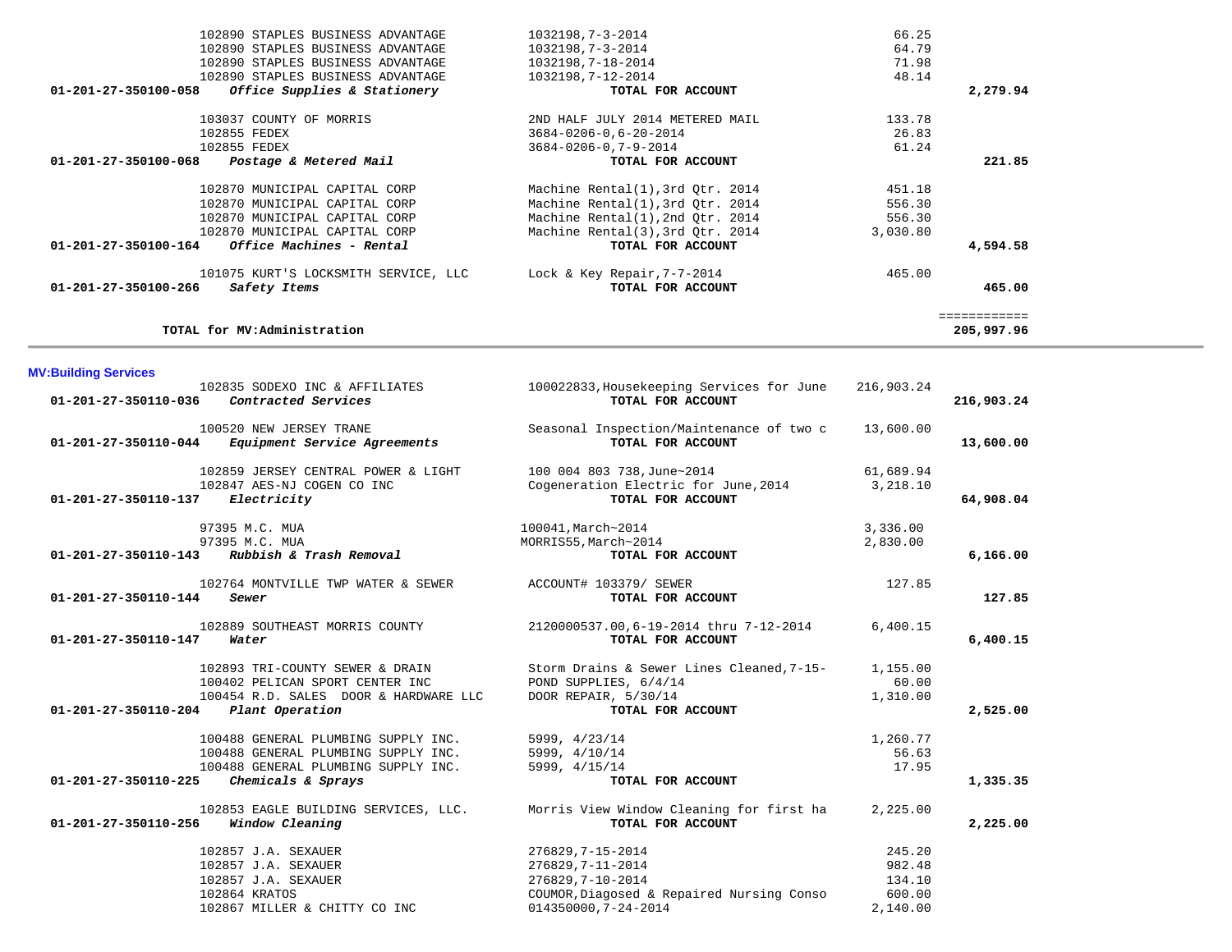|          | 66.25    | 1032198,7-3-2014                 | 102890 STAPLES BUSINESS ADVANTAGE                    |
|----------|----------|----------------------------------|------------------------------------------------------|
|          | 64.79    | 1032198,7-3-2014                 | 102890 STAPLES BUSINESS ADVANTAGE                    |
|          | 71.98    | 1032198,7-18-2014                | 102890 STAPLES BUSINESS ADVANTAGE                    |
|          | 48.14    | 1032198.7-12-2014                | 102890 STAPLES BUSINESS ADVANTAGE                    |
| 2,279.94 |          | TOTAL FOR ACCOUNT                | Office Supplies & Stationery<br>01-201-27-350100-058 |
|          | 133.78   | 2ND HALF JULY 2014 METERED MAIL  | 103037 COUNTY OF MORRIS                              |
|          | 26.83    | $3684 - 0206 - 0, 6 - 20 - 2014$ | 102855 FEDEX                                         |
|          | 61.24    | $3684 - 0206 - 0, 7 - 9 - 2014$  | 102855 FEDEX                                         |
| 221.85   |          | TOTAL FOR ACCOUNT                | 01-201-27-350100-068<br>Postage & Metered Mail       |
|          | 451.18   | Machine Rental(1), 3rd Qtr. 2014 | 102870 MUNICIPAL CAPITAL CORP                        |
|          | 556.30   | Machine Rental(1), 3rd Qtr. 2014 | 102870 MUNICIPAL CAPITAL CORP                        |
|          | 556.30   | Machine Rental(1), 2nd Otr. 2014 | 102870 MUNICIPAL CAPITAL CORP                        |
|          | 3,030.80 | Machine Rental(3), 3rd Otr. 2014 | 102870 MUNICIPAL CAPITAL CORP                        |
| 4,594.58 |          | TOTAL FOR ACCOUNT                | 01-201-27-350100-164<br>Office Machines - Rental     |
|          | 465.00   | Lock & Key Repair, $7-7-2014$    | 101075 KURT'S LOCKSMITH SERVICE, LLC                 |
|          |          | TOTAL FOR ACCOUNT                | 01-201-27-350100-266<br>Safety Items                 |

**MV:Building Services** 

| 01-201-27-350110-036 | 102835 SODEXO INC & AFFILIATES<br>Contracted Services                                                                                   | 100022833, Housekeeping Services for June<br>TOTAL FOR ACCOUNT                                                                  | 216,903.24                                       | 216,903.24 |
|----------------------|-----------------------------------------------------------------------------------------------------------------------------------------|---------------------------------------------------------------------------------------------------------------------------------|--------------------------------------------------|------------|
| 01-201-27-350110-044 | 100520 NEW JERSEY TRANE<br>Equipment Service Agreements                                                                                 | Seasonal Inspection/Maintenance of two c<br>TOTAL FOR ACCOUNT                                                                   | 13,600.00                                        | 13,600.00  |
| 01-201-27-350110-137 | 102859 JERSEY CENTRAL POWER & LIGHT<br>102847 AES-NJ COGEN CO INC<br>Electricity                                                        | 100 004 803 738, June~2014<br>Cogeneration Electric for June, 2014<br>TOTAL FOR ACCOUNT                                         | 61,689.94<br>3,218.10                            | 64,908.04  |
| 01-201-27-350110-143 | 97395 M.C. MUA<br>97395 M.C. MUA<br>Rubbish & Trash Removal                                                                             | 100041, March~2014<br>MORRIS55, March~2014<br>TOTAL FOR ACCOUNT                                                                 | 3,336.00<br>2,830.00                             | 6,166.00   |
| 01-201-27-350110-144 | 102764 MONTVILLE TWP WATER & SEWER<br>Sewer                                                                                             | ACCOUNT# 103379/ SEWER<br>TOTAL FOR ACCOUNT                                                                                     | 127.85                                           | 127.85     |
| 01-201-27-350110-147 | 102889 SOUTHEAST MORRIS COUNTY<br>Water                                                                                                 | 2120000537.00,6-19-2014 thru 7-12-2014<br>TOTAL FOR ACCOUNT                                                                     | 6,400.15                                         | 6,400.15   |
| 01-201-27-350110-204 | 102893 TRI-COUNTY SEWER & DRAIN<br>100402 PELICAN SPORT CENTER INC<br>100454 R.D. SALES DOOR & HARDWARE LLC<br>Plant Operation          | Storm Drains & Sewer Lines Cleaned, 7-15-<br>POND SUPPLIES, 6/4/14<br>DOOR REPAIR, 5/30/14<br>TOTAL FOR ACCOUNT                 | 1,155.00<br>60.00<br>1,310.00                    | 2,525.00   |
| 01-201-27-350110-225 | 100488 GENERAL PLUMBING SUPPLY INC.<br>100488 GENERAL PLUMBING SUPPLY INC.<br>100488 GENERAL PLUMBING SUPPLY INC.<br>Chemicals & Sprays | 5999, 4/23/14<br>5999, 4/10/14<br>5999, 4/15/14<br>TOTAL FOR ACCOUNT                                                            | 1,260.77<br>56.63<br>17.95                       | 1,335.35   |
| 01-201-27-350110-256 | 102853 EAGLE BUILDING SERVICES, LLC.<br>Window Cleaning                                                                                 | Morris View Window Cleaning for first ha<br>TOTAL FOR ACCOUNT                                                                   | 2,225.00                                         | 2,225.00   |
|                      | 102857 J.A. SEXAUER<br>102857 J.A. SEXAUER<br>102857 J.A. SEXAUER<br>102864 KRATOS<br>102867 MILLER & CHITTY CO INC                     | 276829, 7-15-2014<br>276829, 7-11-2014<br>276829, 7-10-2014<br>COUMOR, Diagosed & Repaired Nursing Conso<br>014350000,7-24-2014 | 245.20<br>982.48<br>134.10<br>600.00<br>2.140.00 |            |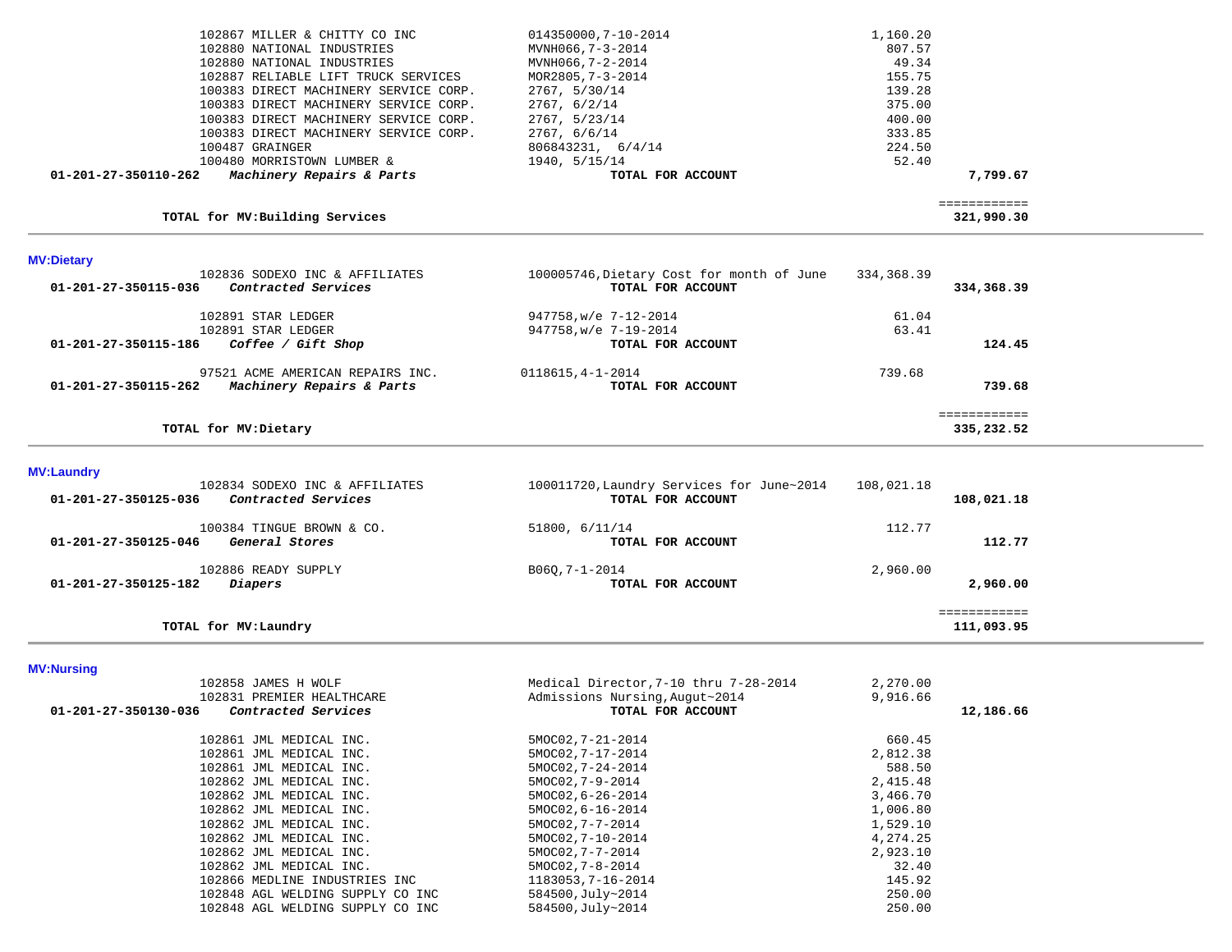| 102867 MILLER & CHITTY CO INC                     | 014350000,7-10-2014 | 1,160.20 |
|---------------------------------------------------|---------------------|----------|
| 102880 NATIONAL INDUSTRIES                        | MVNH066,7-3-2014    | 807.57   |
| 102880 NATIONAL INDUSTRIES                        | MVNH066,7-2-2014    | 49.34    |
| 102887 RELIABLE LIFT TRUCK SERVICES               | MOR2805, 7-3-2014   | 155.75   |
| 100383 DIRECT MACHINERY SERVICE CORP.             | 2767, 5/30/14       | 139.28   |
| 100383 DIRECT MACHINERY SERVICE CORP.             | 2767, 6/2/14        | 375.00   |
| 100383 DIRECT MACHINERY SERVICE CORP.             | 2767, 5/23/14       | 400.00   |
| 100383 DIRECT MACHINERY SERVICE CORP.             | 2767, 6/6/14        | 333.85   |
| 100487 GRAINGER                                   | 806843231, 6/4/14   | 224.50   |
| 100480 MORRISTOWN LUMBER &                        | 1940, 5/15/14       | 52.40    |
| Machinery Repairs & Parts<br>01-201-27-350110-262 | TOTAL FOR ACCOUNT   | 7,799.67 |
|                                                   |                     |          |

## **TOTAL for MV:Building Services 321,990.30**

 ============ 321,990.30

| <b>MV:Dietary</b>                                                             |                                                                |                          |
|-------------------------------------------------------------------------------|----------------------------------------------------------------|--------------------------|
| 102836 SODEXO INC & AFFILIATES<br>Contracted Services<br>01-201-27-350115-036 | 100005746, Dietary Cost for month of June<br>TOTAL FOR ACCOUNT | 334,368.39<br>334,368.39 |
| 102891 STAR LEDGER                                                            | 947758, w/e 7-12-2014                                          | 61.04                    |
| 102891 STAR LEDGER                                                            | 947758, w/e 7-19-2014                                          | 63.41                    |
| 01-201-27-350115-186<br>Coffee / Gift Shop                                    | TOTAL FOR ACCOUNT                                              | 124.45                   |
| 97521 ACME AMERICAN REPAIRS INC.                                              | 0118615, 4-1-2014                                              | 739.68                   |
| 01-201-27-350115-262<br>Machinery Repairs & Parts                             | TOTAL FOR ACCOUNT                                              | 739.68                   |
|                                                                               |                                                                | ------------             |
| TOTAL for MV:Dietary                                                          |                                                                | 335,232.52               |

**MV:Laundry** 

| 102834 SODEXO INC & AFFILIATES<br>01-201-27-350125-036<br>Contracted Services | 100011720, Laundry Services for June~2014<br>TOTAL FOR ACCOUNT | 108,021.18<br>108,021.18   |  |
|-------------------------------------------------------------------------------|----------------------------------------------------------------|----------------------------|--|
| 100384 TINGUE BROWN & CO.<br>01-201-27-350125-046<br>General Stores           | 51800, 6/11/14<br>TOTAL FOR ACCOUNT                            | 112.77<br>112.77           |  |
| 102886 READY SUPPLY<br>01-201-27-350125-182<br>Diapers                        | B060,7-1-2014<br>TOTAL FOR ACCOUNT                             | 2,960.00<br>2,960.00       |  |
| TOTAL for MV:Laundry                                                          |                                                                | ============<br>111,093.95 |  |

**MV:Nursing** 

| 102858 JAMES H WOLF                         |                                  |                    | Medical Director, 7-10 thru 7-28-2014 | 2,270.00   |           |
|---------------------------------------------|----------------------------------|--------------------|---------------------------------------|------------|-----------|
| 102831 PREMIER HEALTHCARE                   |                                  |                    | Admissions Nursing, Augut~2014        | 9,916.66   |           |
| 01-201-27-350130-036<br>Contracted Services |                                  |                    | TOTAL FOR ACCOUNT                     |            | 12,186.66 |
| 102861 JML MEDICAL INC.                     |                                  | 5MOC02,7-21-2014   |                                       | 660.45     |           |
| 102861 JML MEDICAL INC.                     |                                  | 5MOC02, 7-17-2014  |                                       | 2,812.38   |           |
| 102861 JML MEDICAL INC.                     |                                  | 5MOC02, 7-24-2014  |                                       | 588.50     |           |
| 102862 JML MEDICAL INC.                     |                                  | 5MOC02,7-9-2014    |                                       | 2,415.48   |           |
| 102862 JML MEDICAL INC.                     |                                  | 5MOC02, 6-26-2014  |                                       | 3,466.70   |           |
| 102862 JML MEDICAL INC.                     |                                  | 5MOC02, 6-16-2014  |                                       | 1,006.80   |           |
| 102862 JML MEDICAL INC.                     |                                  | 5MOC02,7-7-2014    |                                       | 1,529.10   |           |
| 102862 JML MEDICAL INC.                     |                                  | 5MOC02, 7-10-2014  |                                       | 4, 274, 25 |           |
| 102862 JML MEDICAL INC.                     |                                  | 5MOC02,7-7-2014    |                                       | 2,923.10   |           |
| 102862 JML MEDICAL INC.                     |                                  | 5MOC02, 7-8-2014   |                                       | 32.40      |           |
|                                             | 102866 MEDLINE INDUSTRIES INC    | 1183053, 7-16-2014 |                                       | 145.92     |           |
|                                             | 102848 AGL WELDING SUPPLY CO INC | 584500, July~2014  |                                       | 250.00     |           |
|                                             | 102848 AGL WELDING SUPPLY CO INC | 584500, July~2014  |                                       | 250.00     |           |
|                                             |                                  |                    |                                       |            |           |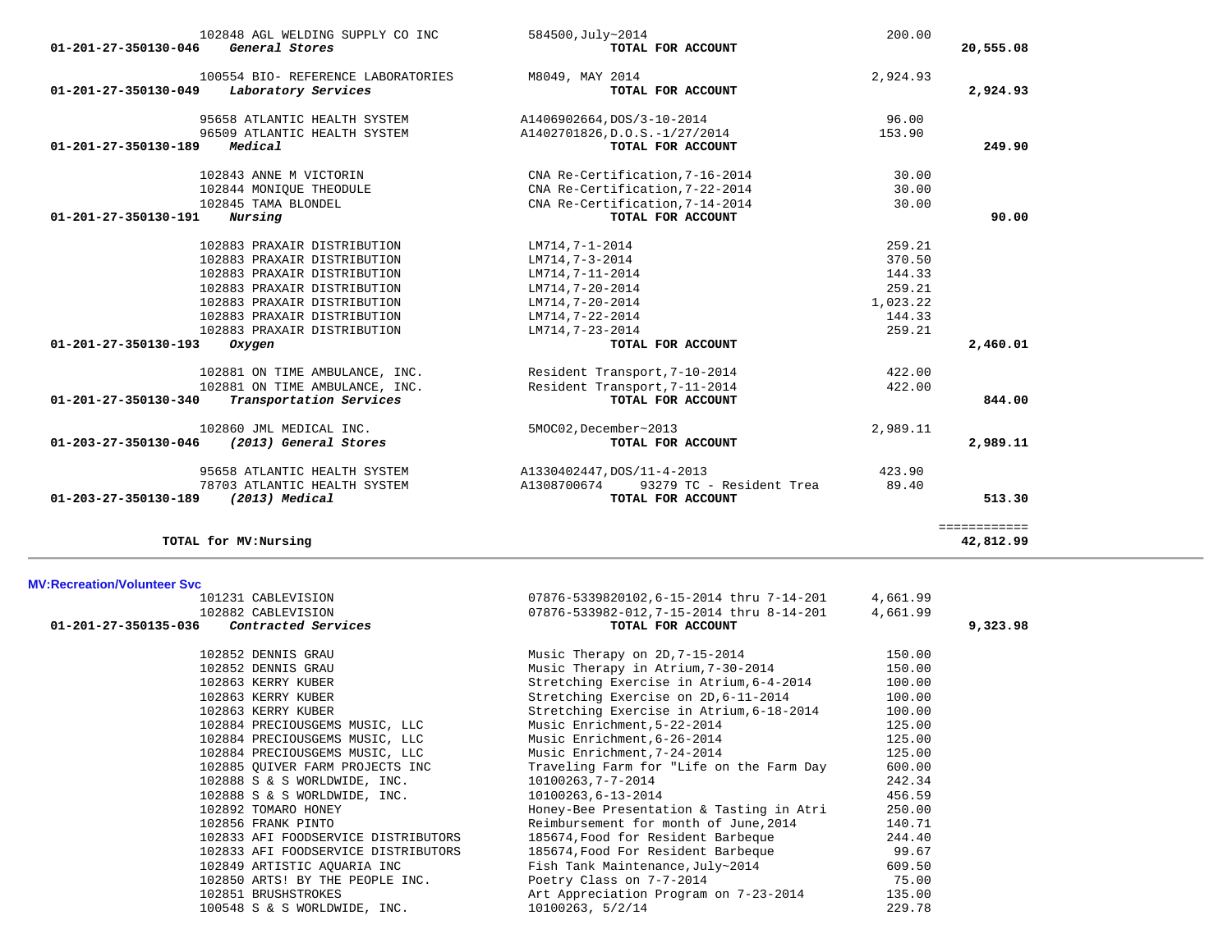| 102848 AGL WELDING SUPPLY CO INC<br>$01 - 201 - 27 - 350130 - 046$<br>General Stores | 584500, July~2014<br>TOTAL FOR ACCOUNT  | 200.00   | 20,555.08    |
|--------------------------------------------------------------------------------------|-----------------------------------------|----------|--------------|
|                                                                                      |                                         |          |              |
| 100554 BIO- REFERENCE LABORATORIES                                                   | M8049, MAY 2014                         | 2,924.93 |              |
| 01-201-27-350130-049<br>Laboratory Services                                          | TOTAL FOR ACCOUNT                       |          | 2,924.93     |
| 95658 ATLANTIC HEALTH SYSTEM                                                         | A1406902664, DOS/3-10-2014              | 96.00    |              |
| 96509 ATLANTIC HEALTH SYSTEM                                                         | A1402701826, D.O.S.-1/27/2014           | 153.90   |              |
| Medical<br>01-201-27-350130-189                                                      | TOTAL FOR ACCOUNT                       |          | 249.90       |
| 102843 ANNE M VICTORIN                                                               | CNA Re-Certification, 7-16-2014         | 30.00    |              |
| 102844 MONIQUE THEODULE                                                              | CNA Re-Certification, 7-22-2014         | 30.00    |              |
| 102845 TAMA BLONDEL                                                                  | CNA Re-Certification, 7-14-2014         | 30.00    |              |
| Nursing<br>01-201-27-350130-191                                                      | TOTAL FOR ACCOUNT                       |          | 90.00        |
| 102883 PRAXAIR DISTRIBUTION                                                          | LM714,7-1-2014                          | 259.21   |              |
| 102883 PRAXAIR DISTRIBUTION                                                          | LM714,7-3-2014                          | 370.50   |              |
| 102883 PRAXAIR DISTRIBUTION                                                          | LM714,7-11-2014                         | 144.33   |              |
| 102883 PRAXAIR DISTRIBUTION                                                          | LM714,7-20-2014                         | 259.21   |              |
| 102883 PRAXAIR DISTRIBUTION                                                          | LM714,7-20-2014                         | 1,023.22 |              |
| 102883 PRAXAIR DISTRIBUTION                                                          | LM714,7-22-2014                         | 144.33   |              |
| 102883 PRAXAIR DISTRIBUTION                                                          | LM714,7-23-2014                         | 259.21   |              |
| 01-201-27-350130-193<br>Oxygen                                                       | TOTAL FOR ACCOUNT                       |          | 2,460.01     |
| 102881 ON TIME AMBULANCE, INC.                                                       | Resident Transport, 7-10-2014           | 422.00   |              |
| 102881 ON TIME AMBULANCE, INC.                                                       | Resident Transport, 7-11-2014           | 422.00   |              |
| Transportation Services<br>01-201-27-350130-340                                      | TOTAL FOR ACCOUNT                       |          | 844.00       |
| 102860 JML MEDICAL INC.                                                              | 5MOC02, December~2013                   | 2,989.11 |              |
| (2013) General Stores<br>01-203-27-350130-046                                        | TOTAL FOR ACCOUNT                       |          | 2,989.11     |
| 95658 ATLANTIC HEALTH SYSTEM                                                         | A1330402447, DOS/11-4-2013              | 423.90   |              |
| 78703 ATLANTIC HEALTH SYSTEM                                                         | A1308700674<br>93279 TC - Resident Trea | 89.40    |              |
| (2013) Medical<br>01-203-27-350130-189                                               | TOTAL FOR ACCOUNT                       |          | 513.30       |
|                                                                                      |                                         |          | ============ |
| TOTAL for MV: Nursing                                                                |                                         |          | 42,812.99    |

## **TOTAL for MV:Nursing 42,812.99**

### **MV:Recreation/Volunteer Svc**

| 101231 CABLEVISION                                 | 07876-5339820102,6-15-2014 thru 7-14-201 | 4,661.99 |          |
|----------------------------------------------------|------------------------------------------|----------|----------|
| 102882 CABLEVISION                                 | 07876-533982-012,7-15-2014 thru 8-14-201 | 4,661.99 |          |
| 01-201-27-350135-036<br><i>Contracted Services</i> | TOTAL FOR ACCOUNT                        |          | 9,323.98 |
| 102852 DENNIS GRAU                                 | Music Therapy on 2D, 7-15-2014           | 150.00   |          |
| 102852 DENNIS GRAU                                 | Music Therapy in Atrium, 7-30-2014       | 150.00   |          |
| 102863 KERRY KUBER                                 | Stretching Exercise in Atrium, 6-4-2014  | 100.00   |          |
| 102863 KERRY KUBER                                 | Stretching Exercise on 2D, 6-11-2014     | 100.00   |          |
| 102863 KERRY KUBER                                 | Stretching Exercise in Atrium, 6-18-2014 | 100.00   |          |
| 102884 PRECIOUSGEMS MUSIC, LLC                     | Music Enrichment, 5-22-2014              | 125.00   |          |
| 102884 PRECIOUSGEMS MUSIC, LLC                     | Music Enrichment, 6-26-2014              | 125.00   |          |
| 102884 PRECIOUSGEMS MUSIC, LLC                     | Music Enrichment, 7-24-2014              | 125.00   |          |
| 102885 OUIVER FARM PROJECTS INC                    | Traveling Farm for "Life on the Farm Day | 600.00   |          |
| 102888 S & S WORLDWIDE, INC.                       | 10100263,7-7-2014                        | 242.34   |          |
| 102888 S & S WORLDWIDE, INC.                       | 10100263,6-13-2014                       | 456.59   |          |
| 102892 TOMARO HONEY                                | Honey-Bee Presentation & Tasting in Atri | 250.00   |          |
| 102856 FRANK PINTO                                 | Reimbursement for month of June, 2014    | 140.71   |          |
| 102833 AFI FOODSERVICE DISTRIBUTORS                | 185674, Food for Resident Barbeque       | 244.40   |          |
| 102833 AFI FOODSERVICE DISTRIBUTORS                | 185674, Food For Resident Barbeque       | 99.67    |          |
| 102849 ARTISTIC AOUARIA INC                        | Fish Tank Maintenance, July~2014         | 609.50   |          |
| 102850 ARTS! BY THE PEOPLE INC.                    | Poetry Class on 7-7-2014                 | 75.00    |          |
| 102851 BRUSHSTROKES                                | Art Appreciation Program on 7-23-2014    | 135.00   |          |
| 100548 S & S WORLDWIDE, INC.                       | 10100263, 5/2/14                         | 229.78   |          |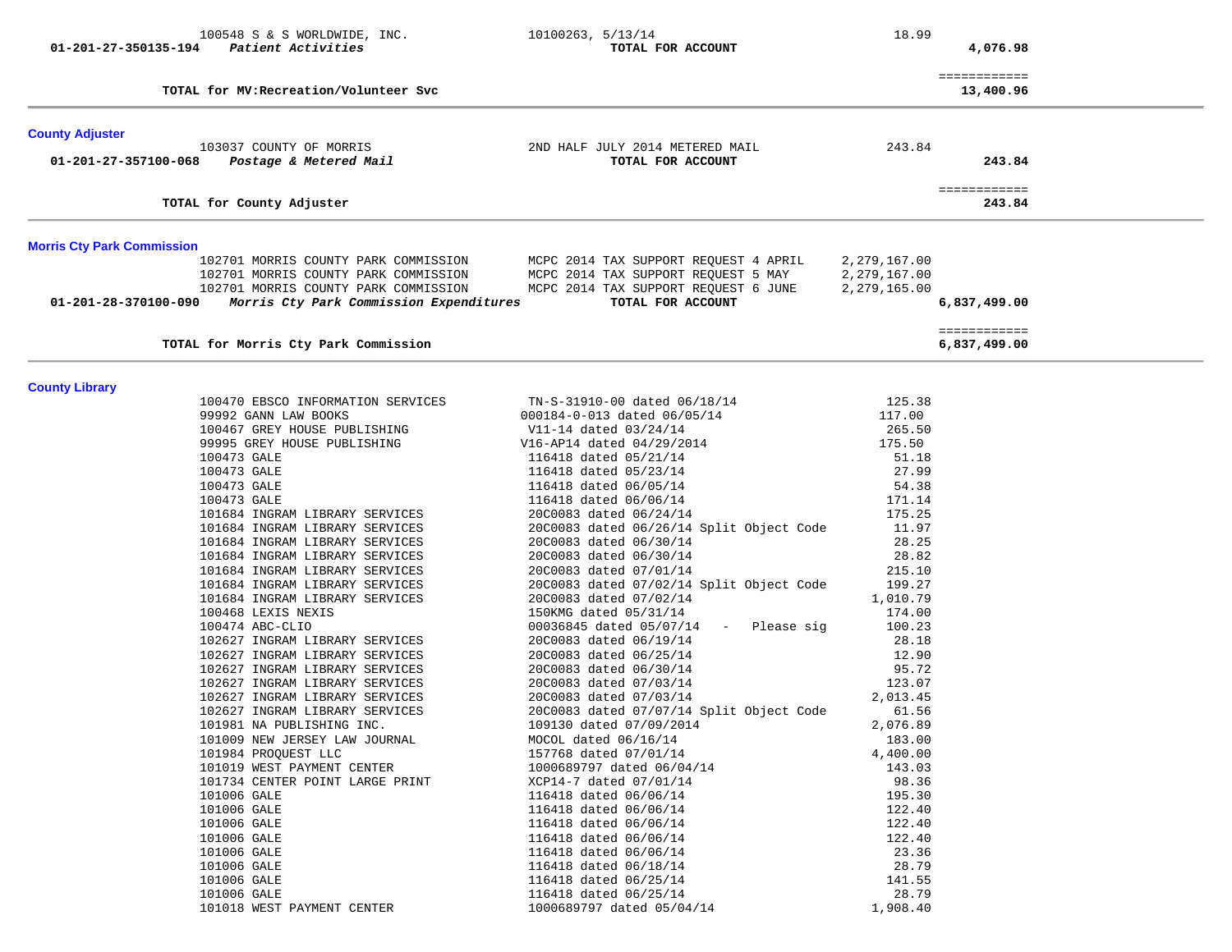|                                   | 100548 S & S WORLDWIDE, INC.            | 10100263, 5/13/14                        | 18.99        |                              |  |
|-----------------------------------|-----------------------------------------|------------------------------------------|--------------|------------------------------|--|
| 01-201-27-350135-194              | Patient Activities                      | TOTAL FOR ACCOUNT                        |              | 4,076.98                     |  |
|                                   |                                         |                                          |              | ============                 |  |
|                                   | TOTAL for MV: Recreation/Volunteer Svc  |                                          |              | 13,400.96                    |  |
| <b>County Adjuster</b>            |                                         |                                          |              |                              |  |
|                                   | 103037 COUNTY OF MORRIS                 | 2ND HALF JULY 2014 METERED MAIL          | 243.84       |                              |  |
| 01-201-27-357100-068              | Postage & Metered Mail                  | TOTAL FOR ACCOUNT                        |              | 243.84                       |  |
|                                   | TOTAL for County Adjuster               |                                          |              | ============<br>243.84       |  |
| <b>Morris Cty Park Commission</b> |                                         |                                          |              |                              |  |
|                                   | 102701 MORRIS COUNTY PARK COMMISSION    | MCPC 2014 TAX SUPPORT REQUEST 4 APRIL    | 2,279,167.00 |                              |  |
|                                   | 102701 MORRIS COUNTY PARK COMMISSION    | MCPC 2014 TAX SUPPORT REQUEST 5 MAY      | 2,279,167.00 |                              |  |
|                                   | 102701 MORRIS COUNTY PARK COMMISSION    | MCPC 2014 TAX SUPPORT REQUEST 6 JUNE     | 2,279,165.00 |                              |  |
| 01-201-28-370100-090              | Morris Cty Park Commission Expenditures | TOTAL FOR ACCOUNT                        |              | 6,837,499.00                 |  |
|                                   | TOTAL for Morris Cty Park Commission    |                                          |              | ============<br>6,837,499.00 |  |
|                                   |                                         |                                          |              |                              |  |
| <b>County Library</b>             | 100470 EBSCO INFORMATION SERVICES       | TN-S-31910-00 dated 06/18/14             | 125.38       |                              |  |
|                                   | 99992 GANN LAW BOOKS                    | 000184-0-013 dated 06/05/14              | 117.00       |                              |  |
|                                   | 100467 GREY HOUSE PUBLISHING            | V11-14 dated 03/24/14                    | 265.50       |                              |  |
|                                   | 99995 GREY HOUSE PUBLISHING             | V16-AP14 dated 04/29/2014                | 175.50       |                              |  |
|                                   | 100473 GALE                             | 116418 dated 05/21/14                    | 51.18        |                              |  |
|                                   | 100473 GALE                             | 116418 dated 05/23/14                    | 27.99        |                              |  |
|                                   | 100473 GALE                             | 116418 dated 06/05/14                    | 54.38        |                              |  |
|                                   | 100473 GALE                             | 116418 dated 06/06/14                    | 171.14       |                              |  |
|                                   | 101684 INGRAM LIBRARY SERVICES          | 20C0083 dated 06/24/14                   | 175.25       |                              |  |
|                                   | 101684 INGRAM LIBRARY SERVICES          | 20C0083 dated 06/26/14 Split Object Code | 11.97        |                              |  |
|                                   | 101684 INGRAM LIBRARY SERVICES          | 20C0083 dated 06/30/14                   | 28.25        |                              |  |
|                                   | 101684 INGRAM LIBRARY SERVICES          | 20C0083 dated 06/30/14                   | 28.82        |                              |  |
|                                   | 101684 INGRAM LIBRARY SERVICES          | 20C0083 dated 07/01/14                   | 215.10       |                              |  |
|                                   | 101684 INGRAM LIBRARY SERVICES          | 20C0083 dated 07/02/14 Split Object Code | 199.27       |                              |  |
|                                   | 101684 INGRAM LIBRARY SERVICES          | 20C0083 dated 07/02/14                   | 1,010.79     |                              |  |
|                                   | 100468 LEXIS NEXIS                      | 150KMG dated 05/31/14                    | 174.00       |                              |  |
|                                   | 100474 ABC-CLIO                         | $00036845$ dated $05/07/14$ - Please sig | 100.23       |                              |  |
|                                   | 102627 INGRAM LIBRARY SERVICES          | 20C0083 dated 06/19/14                   | 28.18        |                              |  |
|                                   | 102627 INGRAM LIBRARY SERVICES          | 20C0083 dated 06/25/14                   | 12.90        |                              |  |
|                                   | 102627 INGRAM LIBRARY SERVICES          | 20C0083 dated 06/30/14                   | 95.72        |                              |  |
|                                   | 102627 INGRAM LIBRARY SERVICES          | 20C0083 dated 07/03/14                   | 123.07       |                              |  |
|                                   | 102627 INGRAM LIBRARY SERVICES          | 20C0083 dated 07/03/14                   | 2,013.45     |                              |  |
|                                   | 102627 INGRAM LIBRARY SERVICES          | 20C0083 dated 07/07/14 Split Object Code | 61.56        |                              |  |
|                                   | 101981 NA PUBLISHING INC.               | 109130 dated 07/09/2014                  | 2,076.89     |                              |  |
|                                   | 101009 NEW JERSEY LAW JOURNAL           | MOCOL dated 06/16/14                     | 183.00       |                              |  |
|                                   | 101984 PROQUEST LLC                     | 157768 dated 07/01/14                    | 4,400.00     |                              |  |
|                                   | 101019 WEST PAYMENT CENTER              | 1000689797 dated 06/04/14                | 143.03       |                              |  |
|                                   | 101734 CENTER POINT LARGE PRINT         | XCP14-7 dated 07/01/14                   | 98.36        |                              |  |
|                                   | 101006 GALE                             | 116418 dated 06/06/14                    | 195.30       |                              |  |
|                                   | 101006 GALE                             | 116418 dated 06/06/14                    | 122.40       |                              |  |
|                                   | 101006 GALE                             | 116418 dated 06/06/14                    | 122.40       |                              |  |
|                                   | 101006 GALE                             | 116418 dated 06/06/14                    | 122.40       |                              |  |
|                                   | 101006 GALE                             | 116418 dated 06/06/14                    | 23.36        |                              |  |
|                                   | 101006 GALE                             | 116418 dated 06/18/14                    | 28.79        |                              |  |
|                                   | 101006 GALE                             | 116418 dated 06/25/14                    | 141.55       |                              |  |
|                                   | 101006 GALE                             | 116418 dated 06/25/14                    | 28.79        |                              |  |
|                                   | 101018 WEST PAYMENT CENTER              | 1000689797 dated 05/04/14                | 1,908.40     |                              |  |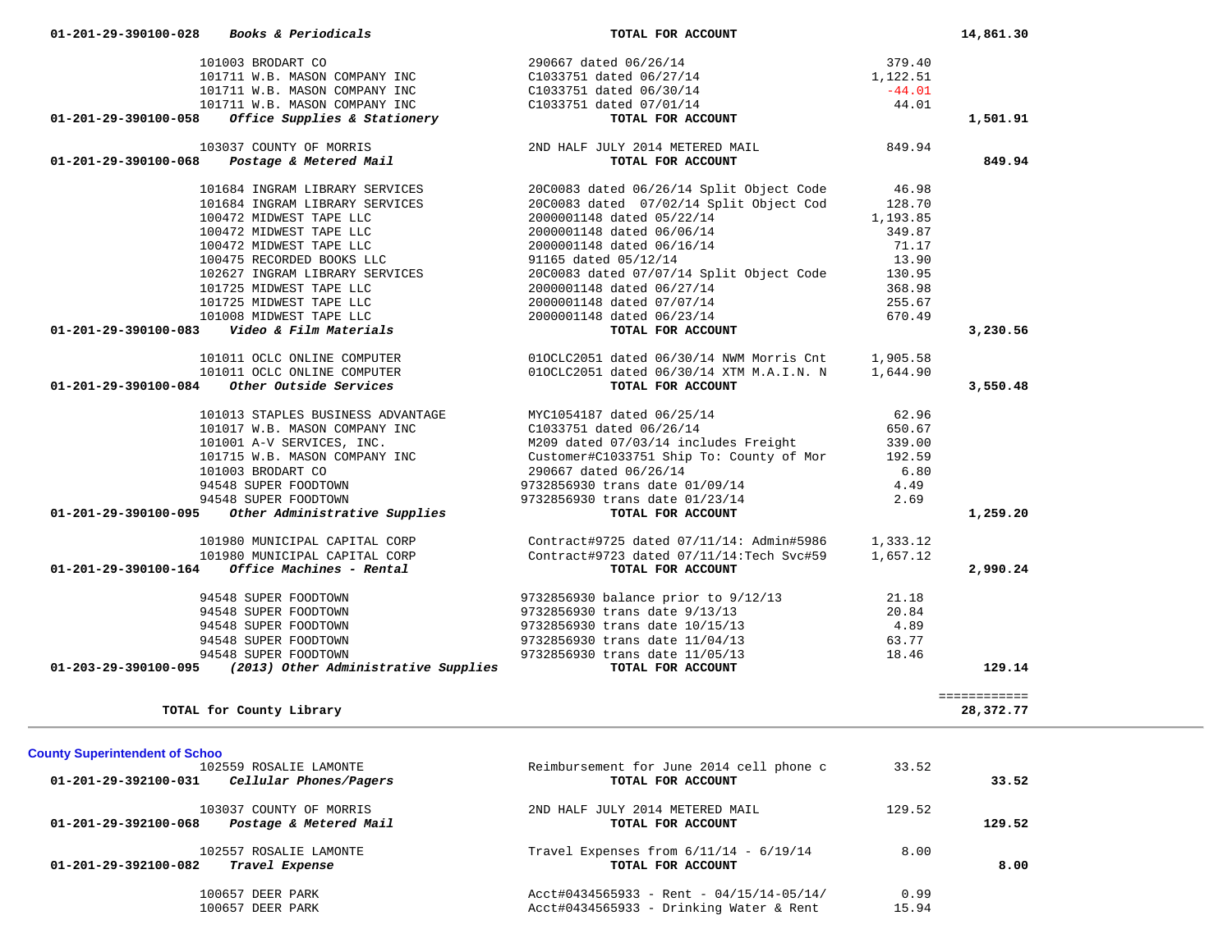|                                       | 101003 BRODART CO                                                     | 290667 dated 06/26/14                                                                                                                                                      | 379.40   |                           |
|---------------------------------------|-----------------------------------------------------------------------|----------------------------------------------------------------------------------------------------------------------------------------------------------------------------|----------|---------------------------|
|                                       | 101711 W.B. MASON COMPANY INC                                         | C1033751 dated 06/27/14                                                                                                                                                    | 1,122.51 |                           |
|                                       | 101711 W.B. MASON COMPANY INC                                         | C1033751 dated 06/30/14                                                                                                                                                    | $-44.01$ |                           |
|                                       | 101711 W.B. MASON COMPANY INC                                         | C1033751 dated 07/01/14                                                                                                                                                    | 44.01    |                           |
| 01-201-29-390100-058                  | Office Supplies & Stationery                                          | TOTAL FOR ACCOUNT                                                                                                                                                          |          | 1,501.91                  |
|                                       | 103037 COUNTY OF MORRIS                                               | 2ND HALF JULY 2014 METERED MAIL                                                                                                                                            | 849.94   |                           |
| 01-201-29-390100-068                  | Postage & Metered Mail                                                | TOTAL FOR ACCOUNT                                                                                                                                                          |          | 849.94                    |
|                                       | 101684 INGRAM LIBRARY SERVICES                                        | 20C0083 dated 06/26/14 Split Object Code                                                                                                                                   | 46.98    |                           |
|                                       | 101684 INGRAM LIBRARY SERVICES                                        | 20C0083 dated 07/02/14 Split Object Cod                                                                                                                                    | 128.70   |                           |
|                                       | 100472 MIDWEST TAPE LLC                                               | 2000001148 dated 05/22/14                                                                                                                                                  | 1,193.85 |                           |
|                                       | 100472 MIDWEST TAPE LLC                                               | 2000001148 dated 06/06/14                                                                                                                                                  | 349.87   |                           |
|                                       | 100472 MIDWEST TAPE LLC                                               | 2000001148 dated 06/16/14                                                                                                                                                  | 71.17    |                           |
|                                       | 100475 RECORDED BOOKS LLC                                             | 91165 dated 05/12/14                                                                                                                                                       | 13.90    |                           |
|                                       | 102627 INGRAM LIBRARY SERVICES                                        | 20C0083 dated 07/07/14 Split Object Code                                                                                                                                   | 130.95   |                           |
|                                       | 101725 MIDWEST TAPE LLC                                               | 2000001148 dated 06/27/14                                                                                                                                                  | 368.98   |                           |
|                                       | 101725 MIDWEST TAPE LLC                                               | 2000001148 dated 07/07/14                                                                                                                                                  | 255.67   |                           |
|                                       | 101008 MIDWEST TAPE LLC                                               | 2000001148 dated 06/23/14                                                                                                                                                  | 670.49   |                           |
| 01-201-29-390100-083                  | Video & Film Materials                                                | TOTAL FOR ACCOUNT                                                                                                                                                          |          | 3,230.56                  |
|                                       | 101011 OCLC ONLINE COMPUTER                                           | 010CLC2051 dated 06/30/14 NWM Morris Cnt 1,905.58                                                                                                                          |          |                           |
|                                       | 101011 OCLC ONLINE COMPUTER                                           | 010CLC2051 dated 06/30/14 XTM M.A.I.N. N                                                                                                                                   | 1,644.90 |                           |
| 01-201-29-390100-084                  | Other Outside Services                                                | TOTAL FOR ACCOUNT                                                                                                                                                          |          | 3,550.48                  |
|                                       | 101013 STAPLES BUSINESS ADVANTAGE                                     | MYC1054187 dated 06/25/14                                                                                                                                                  | 62.96    |                           |
|                                       | 101017 W.B. MASON COMPANY INC                                         | C1033751 dated 06/26/14                                                                                                                                                    | 650.67   |                           |
|                                       | 101001 A-V SERVICES, INC.                                             | M209 dated 07/03/14 includes Freight                                                                                                                                       | 339.00   |                           |
|                                       | 101715 W.B. MASON COMPANY INC                                         | Customer#C1033751 Ship To: County of Mor                                                                                                                                   | 192.59   |                           |
|                                       | 101003 BRODART CO                                                     | 290667 dated 06/26/14                                                                                                                                                      | 6.80     |                           |
|                                       | 94548 SUPER FOODTOWN                                                  | 9732856930 trans date 01/09/14                                                                                                                                             | 4.49     |                           |
|                                       | 94548 SUPER FOODTOWN                                                  | 9732856930 trans date 01/23/14                                                                                                                                             | 2.69     |                           |
| 01-201-29-390100-095                  | Other Administrative Supplies                                         | TOTAL FOR ACCOUNT                                                                                                                                                          |          | 1,259.20                  |
|                                       | 101980 MUNICIPAL CAPITAL CORP                                         | Contract#9725 dated 07/11/14: Admin#5986                                                                                                                                   | 1,333.12 |                           |
|                                       | 101980 MUNICIPAL CAPITAL CORP                                         | Contract#9723 dated 07/11/14:Tech Svc#59                                                                                                                                   | 1,657.12 |                           |
| 01-201-29-390100-164                  | Office Machines - Rental                                              | TOTAL FOR ACCOUNT                                                                                                                                                          |          | 2,990.24                  |
|                                       | 94548 SUPER FOODTOWN                                                  | 9732856930 balance prior to 9/12/13<br>9732856930 trans date 9/13/13<br>9732856930 trans date 10/15/13<br>9732856930 trans date 11/04/13<br>9732856930 trans date 11/05/13 | 21.18    |                           |
|                                       |                                                                       |                                                                                                                                                                            | 20.84    |                           |
|                                       | 94548 SUPER FOODTOWN<br>94548 SUPER FOODTOWN                          |                                                                                                                                                                            | 4.89     |                           |
|                                       | 94548 SUPER FOODTOWN                                                  |                                                                                                                                                                            | 63.77    |                           |
|                                       | 94548 SUPER FOODTOWN                                                  |                                                                                                                                                                            | 18.46    |                           |
|                                       | $01-203-29-390100-095$ (2013) Other Administrative Supplies           | TOTAL FOR ACCOUNT                                                                                                                                                          |          | 129.14                    |
|                                       | TOTAL for County Library                                              |                                                                                                                                                                            |          | ============<br>28,372.77 |
|                                       |                                                                       |                                                                                                                                                                            |          |                           |
| <b>County Superintendent of Schoo</b> |                                                                       |                                                                                                                                                                            |          |                           |
|                                       |                                                                       |                                                                                                                                                                            | 33.52    |                           |
|                                       | 102559 ROSALIE LAMONTE<br>01-201-29-392100-031 Cellular Phones/Pagers | Reimbursement for June 2014 cell phone c<br>TOTAL FOR ACCOUNT                                                                                                              |          | 33.52                     |

| vi 201 2, jjelov vji – teildidi filonebyfagelb                             | TOIRD FOR RECOUNT                                                                     |               | ----   |
|----------------------------------------------------------------------------|---------------------------------------------------------------------------------------|---------------|--------|
| 103037 COUNTY OF MORRIS<br>Postage & Metered Mail<br>01-201-29-392100-068  | 2ND HALF JULY 2014 METERED MAIL<br>TOTAL FOR ACCOUNT                                  | 129.52        | 129.52 |
| 102557 ROSALIE LAMONTE<br>$01 - 201 - 29 - 392100 - 082$<br>Travel Expense | Travel Expenses from $6/11/14 - 6/19/14$<br>TOTAL FOR ACCOUNT                         | 8.00          | 8.00   |
| 100657 DEER PARK<br>100657 DEER PARK                                       | $Acct#0434565933 - Rent - 04/15/14-05/14/$<br>Acct#0434565933 - Drinking Water & Rent | 0.99<br>15.94 |        |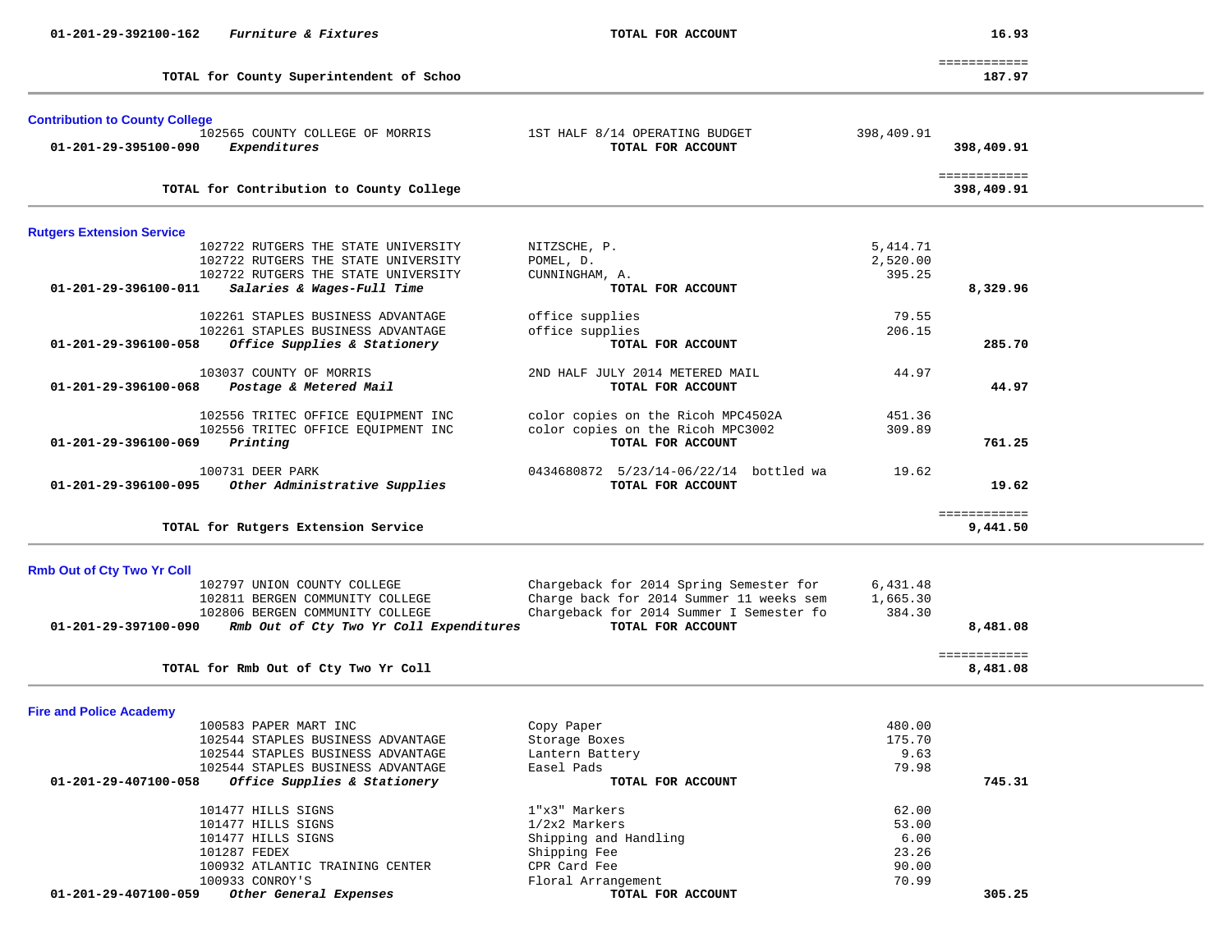| $01 - 201 - 29 - 392100 - 162$        | Furniture & Fixtures                     | TOTAL FOR ACCOUNT                        |            | 16.93                      |
|---------------------------------------|------------------------------------------|------------------------------------------|------------|----------------------------|
|                                       | TOTAL for County Superintendent of Schoo |                                          |            | ============<br>187.97     |
|                                       |                                          |                                          |            |                            |
| <b>Contribution to County College</b> |                                          |                                          |            |                            |
|                                       | 102565 COUNTY COLLEGE OF MORRIS          | 1ST HALF 8/14 OPERATING BUDGET           | 398,409.91 |                            |
| 01-201-29-395100-090                  | Expenditures                             | TOTAL FOR ACCOUNT                        |            | 398,409.91                 |
|                                       | TOTAL for Contribution to County College |                                          |            | ============<br>398,409.91 |
| <b>Rutgers Extension Service</b>      |                                          |                                          |            |                            |
|                                       | 102722 RUTGERS THE STATE UNIVERSITY      | NITZSCHE, P.                             | 5,414.71   |                            |
|                                       | 102722 RUTGERS THE STATE UNIVERSITY      | POMEL, D.                                | 2,520.00   |                            |
|                                       | 102722 RUTGERS THE STATE UNIVERSITY      | CUNNINGHAM, A.                           | 395.25     |                            |
| 01-201-29-396100-011                  | Salaries & Wages-Full Time               | TOTAL FOR ACCOUNT                        |            | 8,329.96                   |
|                                       | 102261 STAPLES BUSINESS ADVANTAGE        | office supplies                          | 79.55      |                            |
|                                       | 102261 STAPLES BUSINESS ADVANTAGE        | office supplies                          | 206.15     |                            |
| 01-201-29-396100-058                  | Office Supplies & Stationery             | TOTAL FOR ACCOUNT                        |            | 285.70                     |
|                                       | 103037 COUNTY OF MORRIS                  | 2ND HALF JULY 2014 METERED MAIL          | 44.97      |                            |
| 01-201-29-396100-068                  | Postage & Metered Mail                   | TOTAL FOR ACCOUNT                        |            | 44.97                      |
|                                       | 102556 TRITEC OFFICE EQUIPMENT INC       | color copies on the Ricoh MPC4502A       | 451.36     |                            |
|                                       | 102556 TRITEC OFFICE EQUIPMENT INC       | color copies on the Ricoh MPC3002        | 309.89     |                            |
| 01-201-29-396100-069                  | Printing                                 | TOTAL FOR ACCOUNT                        |            | 761.25                     |
|                                       | 100731 DEER PARK                         | 0434680872 5/23/14-06/22/14 bottled wa   | 19.62      |                            |
| 01-201-29-396100-095                  | Other Administrative Supplies            | TOTAL FOR ACCOUNT                        |            | 19.62                      |
|                                       |                                          |                                          |            | ============               |
|                                       | TOTAL for Rutgers Extension Service      |                                          |            | 9,441.50                   |
| <b>Rmb Out of Cty Two Yr Coll</b>     |                                          |                                          |            |                            |
|                                       | 102797 UNION COUNTY COLLEGE              | Chargeback for 2014 Spring Semester for  | 6,431.48   |                            |
|                                       | 102811 BERGEN COMMUNITY COLLEGE          | Charge back for 2014 Summer 11 weeks sem | 1,665.30   |                            |
|                                       | 102806 BERGEN COMMUNITY COLLEGE          | Chargeback for 2014 Summer I Semester fo | 384.30     |                            |
| 01-201-29-397100-090                  | Rmb Out of Cty Two Yr Coll Expenditures  | TOTAL FOR ACCOUNT                        |            | 8,481.08                   |
|                                       | TOTAL for Rmb Out of Cty Two Yr Coll     |                                          |            | ============<br>8,481.08   |
|                                       |                                          |                                          |            |                            |
| <b>Fire and Police Academy</b>        | 100583 PAPER MART INC                    | Copy Paper                               | 480.00     |                            |
|                                       | 102544 STAPLES BUSINESS ADVANTAGE        | Storage Boxes                            | 175.70     |                            |
|                                       | 102544 STAPLES BUSINESS ADVANTAGE        | Lantern Battery                          | 9.63       |                            |
|                                       | 102544 STAPLES BUSINESS ADVANTAGE        | Easel Pads                               | 79.98      |                            |
| 01-201-29-407100-058                  | Office Supplies & Stationery             | TOTAL FOR ACCOUNT                        |            | 745.31                     |
|                                       | 101477 HILLS SIGNS                       | 1"x3" Markers                            | 62.00      |                            |
|                                       | 101477 HILLS SIGNS                       | 1/2x2 Markers                            | 53.00      |                            |
|                                       | 101477 HILLS SIGNS                       | Shipping and Handling                    | 6.00       |                            |
|                                       | 101287 FEDEX                             | Shipping Fee                             | 23.26      |                            |
|                                       | 100932 ATLANTIC TRAINING CENTER          | CPR Card Fee                             | 90.00      |                            |
|                                       | 100933 CONROY'S                          | Floral Arrangement                       | 70.99      |                            |
| 01-201-29-407100-059                  | Other General Expenses                   | TOTAL FOR ACCOUNT                        |            | 305.25                     |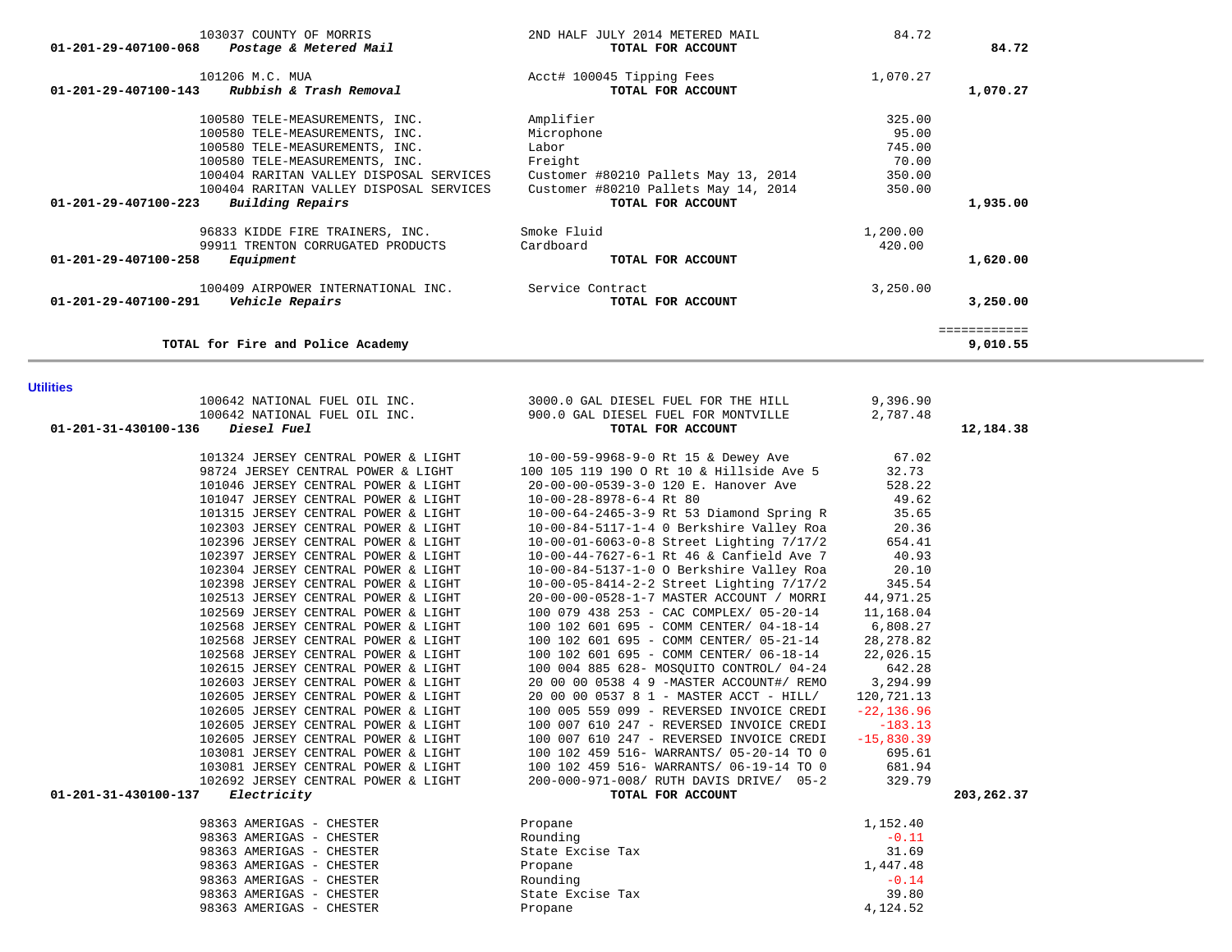| 01-201-29-407100-223                    | Building Repairs                                                                                                                                                                                                                                                                                                                                                                                                                                                                                                                                                                                                                                                                                                                                                                                                                                                                                                                            | 100404 RARITAN VALLEY DISPOSAL SERVICES Customer #80210 Pallets May 14, 2014<br>TOTAL FOR ACCOUNT                                                                                                                                                                                                                                                                                                                                                                                                                                                                                                                                                                                                                                                                                                                                                                                                                                                                                                                                                                                                                              | -----<br>350.00                                                                                                                                                                                                                                                | 1,935.00                 |
|-----------------------------------------|---------------------------------------------------------------------------------------------------------------------------------------------------------------------------------------------------------------------------------------------------------------------------------------------------------------------------------------------------------------------------------------------------------------------------------------------------------------------------------------------------------------------------------------------------------------------------------------------------------------------------------------------------------------------------------------------------------------------------------------------------------------------------------------------------------------------------------------------------------------------------------------------------------------------------------------------|--------------------------------------------------------------------------------------------------------------------------------------------------------------------------------------------------------------------------------------------------------------------------------------------------------------------------------------------------------------------------------------------------------------------------------------------------------------------------------------------------------------------------------------------------------------------------------------------------------------------------------------------------------------------------------------------------------------------------------------------------------------------------------------------------------------------------------------------------------------------------------------------------------------------------------------------------------------------------------------------------------------------------------------------------------------------------------------------------------------------------------|----------------------------------------------------------------------------------------------------------------------------------------------------------------------------------------------------------------------------------------------------------------|--------------------------|
| 01-201-29-407100-258                    | 96833 KIDDE FIRE TRAINERS, INC. Smoke Fluid<br>99911 TRENTON CORRUGATED PRODUCTS<br>Equipment                                                                                                                                                                                                                                                                                                                                                                                                                                                                                                                                                                                                                                                                                                                                                                                                                                               | Cardboard<br>TOTAL FOR ACCOUNT                                                                                                                                                                                                                                                                                                                                                                                                                                                                                                                                                                                                                                                                                                                                                                                                                                                                                                                                                                                                                                                                                                 | 1,200.00<br>420.00                                                                                                                                                                                                                                             | 1,620.00                 |
| 01-201-29-407100-291    Vehicle Repairs | 100409 AIRPOWER INTERNATIONAL INC. Service Contract                                                                                                                                                                                                                                                                                                                                                                                                                                                                                                                                                                                                                                                                                                                                                                                                                                                                                         | TOTAL FOR ACCOUNT                                                                                                                                                                                                                                                                                                                                                                                                                                                                                                                                                                                                                                                                                                                                                                                                                                                                                                                                                                                                                                                                                                              | 3,250.00                                                                                                                                                                                                                                                       | 3,250.00                 |
|                                         | TOTAL for Fire and Police Academy                                                                                                                                                                                                                                                                                                                                                                                                                                                                                                                                                                                                                                                                                                                                                                                                                                                                                                           |                                                                                                                                                                                                                                                                                                                                                                                                                                                                                                                                                                                                                                                                                                                                                                                                                                                                                                                                                                                                                                                                                                                                |                                                                                                                                                                                                                                                                | ============<br>9,010.55 |
| <b>Utilities</b>                        |                                                                                                                                                                                                                                                                                                                                                                                                                                                                                                                                                                                                                                                                                                                                                                                                                                                                                                                                             |                                                                                                                                                                                                                                                                                                                                                                                                                                                                                                                                                                                                                                                                                                                                                                                                                                                                                                                                                                                                                                                                                                                                |                                                                                                                                                                                                                                                                |                          |
| 01-201-31-430100-136                    | 100642 NATIONAL FUEL OIL INC.<br>Diesel Fuel                                                                                                                                                                                                                                                                                                                                                                                                                                                                                                                                                                                                                                                                                                                                                                                                                                                                                                | 100642 NATIONAL FUEL OIL INC. 3000.0 GAL DIESEL FUEL FOR THE HILL 9,396.90<br>900.0 GAL DIESEL FUEL FOR MONTVILLE<br>TOTAL FOR ACCOUNT                                                                                                                                                                                                                                                                                                                                                                                                                                                                                                                                                                                                                                                                                                                                                                                                                                                                                                                                                                                         | 2,787.48                                                                                                                                                                                                                                                       | 12,184.38                |
| 01-201-31-430100-137                    | 98724 JERSEY CENTRAL POWER & LIGHT<br>101046 JERSEY CENTRAL POWER & LIGHT<br>101047 JERSEY CENTRAL POWER & LIGHT<br>101315 JERSEY CENTRAL POWER & LIGHT<br>102303 JERSEY CENTRAL POWER & LIGHT<br>102396 JERSEY CENTRAL POWER & LIGHT<br>102397 JERSEY CENTRAL POWER & LIGHT<br>102304 JERSEY CENTRAL POWER & LIGHT<br>102398 JERSEY CENTRAL POWER & LIGHT<br>102513 JERSEY CENTRAL POWER & LIGHT<br>102569 JERSEY CENTRAL POWER & LIGHT<br>102568 JERSEY CENTRAL POWER & LIGHT<br>102568 JERSEY CENTRAL POWER & LIGHT<br>102568 JERSEY CENTRAL POWER & LIGHT<br>102615 JERSEY CENTRAL POWER & LIGHT<br>102603 JERSEY CENTRAL POWER & LIGHT<br>102605 JERSEY CENTRAL POWER & LIGHT<br>102605 JERSEY CENTRAL POWER & LIGHT<br>102605 JERSEY CENTRAL POWER & LIGHT<br>102605 JERSEY CENTRAL POWER & LIGHT<br>103081 JERSEY CENTRAL POWER & LIGHT<br>103081 JERSEY CENTRAL POWER & LIGHT<br>102692 JERSEY CENTRAL POWER & LIGHT<br>Electricity | 101324 JERSEY CENTRAL POWER & LIGHT 10-00-59-9968-9-0 Rt 15 & Dewey Ave<br>100 105 119 190 O Rt 10 & Hillside Ave 5<br>20-00-00-0539-3-0 120 E. Hanover Ave<br>10-00-28-8978-6-4 Rt 80<br>10-00-64-2465-3-9 Rt 53 Diamond Spring R<br>10-00-84-5117-1-4 0 Berkshire Valley Roa<br>10-00-01-6063-0-8 Street Lighting 7/17/2<br>10-00-44-7627-6-1 Rt 46 & Canfield Ave 7<br>10-00-84-5137-1-0 O Berkshire Valley Roa<br>10-00-05-8414-2-2 Street Lighting 7/17/2<br>20-00-00-0528-1-7 MASTER ACCOUNT / MORRI<br>100 079 438 253 - CAC COMPLEX/ 05-20-14<br>100 102 601 695 - COMM CENTER/ 04-18-14 6,808.27<br>100 102 601 695 - COMM CENTER/ 05-21-14<br>100 102 601 695 - COMM CENTER/ 06-18-14<br>100 004 885 628- MOSQUITO CONTROL/ 04-24<br>20 00 00 0538 4 9 -MASTER ACCOUNT#/ REMO<br>20 00 00 0537 8 1 - MASTER ACCT - HILL/<br>100 005 559 099 - REVERSED INVOICE CREDI<br>100 007 610 247 - REVERSED INVOICE CREDI<br>100 007 610 247 - REVERSED INVOICE CREDI<br>100 102 459 516- WARRANTS/ 05-20-14 TO 0<br>100 102 459 516- WARRANTS/ 06-19-14 TO 0<br>200-000-971-008/ RUTH DAVIS DRIVE/ 05-2<br>TOTAL FOR ACCOUNT | 67.02<br>32.73<br>528.22<br>49.62<br>35.65<br>20.36<br>654.41<br>40.93<br>20.10<br>345.54<br>44,971.25<br>11,168.04<br>28, 278.82<br>22,026.15<br>642.28<br>3,294.99<br>120,721.13<br>$-22, 136.96$<br>$-183.13$<br>$-15,830.39$<br>695.61<br>681.94<br>329.79 | 203,262.37               |
|                                         | 98363 AMERIGAS - CHESTER<br>98363 AMERIGAS - CHESTER<br>98363 AMERIGAS - CHESTER<br>98363 AMERIGAS - CHESTER<br>98363 AMERIGAS - CHESTER<br>98363 AMERIGAS - CHESTER<br>98363 AMERIGAS - CHESTER                                                                                                                                                                                                                                                                                                                                                                                                                                                                                                                                                                                                                                                                                                                                            | Propane<br>Rounding<br>State Excise Tax<br>Propane<br>Rounding<br>State Excise Tax<br>Propane                                                                                                                                                                                                                                                                                                                                                                                                                                                                                                                                                                                                                                                                                                                                                                                                                                                                                                                                                                                                                                  | 1,152.40<br>$-0.11$<br>31.69<br>1,447.48<br>$-0.14$<br>39.80<br>4,124.52                                                                                                                                                                                       |                          |

# 103037 COUNTY OF MORRIS 2ND HALF JULY 2014 METERED MAIL 84.72  **01-201-29-407100-068** *Postage & Metered Mail* **TOTAL FOR ACCOUNT 84.72** 101206 M.C. MUA **Accl<sup>#</sup>** 100045 Tipping Fees 1,070.27<br>3 **Rubbish & Trash Removal Accl<sup>#</sup>** 100045 Toral For account  **01-201-29-407100-143** *Rubbish & Trash Removal* **TOTAL FOR ACCOUNT 1,070.27** 100580 TELE-MEASUREMENTS, INC. Amplifier 325.00 100580 TELE-MEASUREMENTS, INC. Microphone 95.00 100580 TELE-MEASUREMENTS, INC. Labor 745.00 100580 TELE-MEASUREMENTS, INC. Freight 70.00 100404 RARITAN VALLEY DISPOSAL SERVICES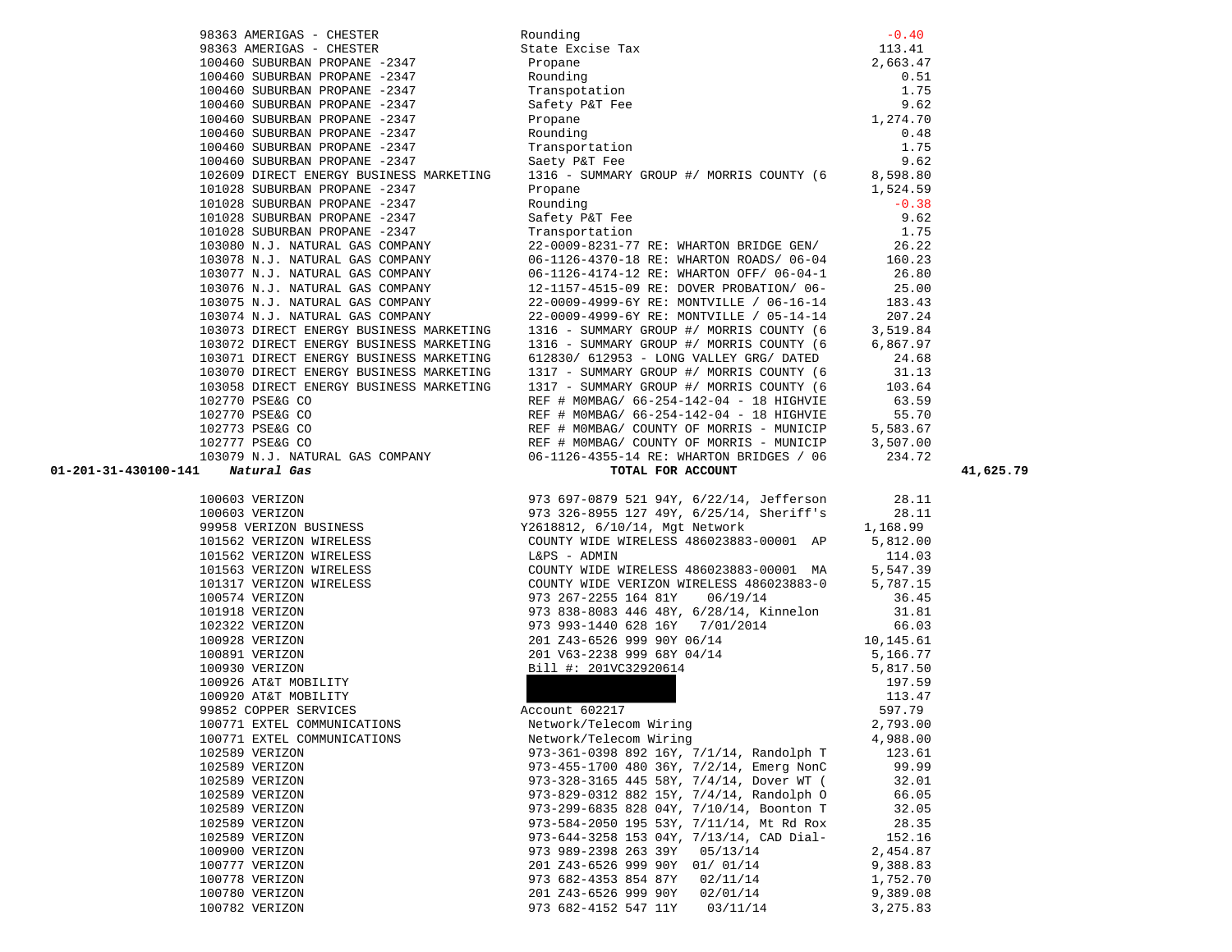| 98363 AMERIGAS - CHESTER                                                           | Rounding<br>State Excise Tax<br>Propane<br>Rounding<br>Rounding<br>Transpotation<br>1.75<br>Safety P&T Fee<br>Propane<br>Rounding<br>Transportation<br>2.663.47<br>1.75<br>Safety P&T Fee<br>9.62<br>Propane<br>1.274.70<br>Rounding<br>0.48<br>Transportation<br>1.75                                |                |           |
|------------------------------------------------------------------------------------|-------------------------------------------------------------------------------------------------------------------------------------------------------------------------------------------------------------------------------------------------------------------------------------------------------|----------------|-----------|
| 98363 AMERIGAS - CHESTER<br>100460 SUBURBAN PROPANE -2347                          |                                                                                                                                                                                                                                                                                                       |                |           |
|                                                                                    | Propane                                                                                                                                                                                                                                                                                               |                |           |
| 100460 SUBURBAN PROPANE -2347<br>100460 SUBURBAN PROPANE -2347                     | Rounding<br>Transpota                                                                                                                                                                                                                                                                                 |                |           |
|                                                                                    |                                                                                                                                                                                                                                                                                                       |                |           |
|                                                                                    |                                                                                                                                                                                                                                                                                                       |                |           |
|                                                                                    |                                                                                                                                                                                                                                                                                                       |                |           |
|                                                                                    |                                                                                                                                                                                                                                                                                                       |                |           |
|                                                                                    |                                                                                                                                                                                                                                                                                                       |                |           |
|                                                                                    | 100460 SUBURBAN PROPANE -2347 Rounding 0.48<br>100460 SUBURBAN PROPANE -2347 Transportation 1.75<br>100460 SUBURBAN PROPANE -2347 Saety P&T Fee 9.62<br>102609 DIRECT ENERGY BUSINESS MARKETING 1316 - SUMMARY GROUP #/ MORRIS COUNTY (                                                               |                |           |
|                                                                                    |                                                                                                                                                                                                                                                                                                       |                |           |
| 101028 SUBURBAN PROPANE -2347                                                      |                                                                                                                                                                                                                                                                                                       | 1,524.59       |           |
| 101028 SUBURBAN PROPANE -2347                                                      |                                                                                                                                                                                                                                                                                                       | $-0.38$        |           |
|                                                                                    | Propane<br>Rounding<br>Safety P&T Fee<br>Transportation<br>101028 SUBURBAN PROPANE -2347<br>101028 SUBURBAN PROPANE -2347<br>103080 N.J. NATURAL GAS COMPANY<br>103080 N.J. NATURAL GAS COMPANY<br>103078 N.J. NATURAL GAS COMPANY<br>103077 N.J. NATURAL GAS COMPANY<br>103077 N.J. NATURAL GAS COMP |                |           |
|                                                                                    |                                                                                                                                                                                                                                                                                                       |                |           |
|                                                                                    |                                                                                                                                                                                                                                                                                                       |                |           |
|                                                                                    |                                                                                                                                                                                                                                                                                                       |                |           |
|                                                                                    |                                                                                                                                                                                                                                                                                                       |                |           |
|                                                                                    |                                                                                                                                                                                                                                                                                                       |                |           |
|                                                                                    |                                                                                                                                                                                                                                                                                                       |                |           |
|                                                                                    | 22-0009-4999-6Y RE: MONTVILLE / 05-14-14<br>1316 - SUMMARY GROUP #/ MORRIS COUNTY (6                                                                                                                                                                                                                  | 3,519.84       |           |
| 103073 DIRECT ENERGY BUSINESS MARKETING<br>103072 DIRECT ENERGY BUSINESS MARKETING | 1316 - SUMMARY GROUP #/ MORRIS COUNTY (6                                                                                                                                                                                                                                                              | 6,867.97       |           |
| 103071 DIRECT ENERGY BUSINESS MARKETING                                            | 612830/ 612953 - LONG VALLEY GRG/ DATED 24.68                                                                                                                                                                                                                                                         |                |           |
| 103070 DIRECT ENERGY BUSINESS MARKETING                                            | 1317 - SUMMARY GROUP #/ MORRIS COUNTY (6                                                                                                                                                                                                                                                              | 31.13          |           |
|                                                                                    | 103058 DIRECT ENERGY BUSINESS MARKETING 1317 - SUMMARY GROUP #/ MORRIS COUNTY (6 103.64                                                                                                                                                                                                               |                |           |
|                                                                                    |                                                                                                                                                                                                                                                                                                       |                |           |
|                                                                                    |                                                                                                                                                                                                                                                                                                       |                |           |
|                                                                                    |                                                                                                                                                                                                                                                                                                       |                |           |
|                                                                                    |                                                                                                                                                                                                                                                                                                       |                |           |
|                                                                                    |                                                                                                                                                                                                                                                                                                       |                |           |
|                                                                                    |                                                                                                                                                                                                                                                                                                       |                |           |
| 01-201-31-430100-141                                                               |                                                                                                                                                                                                                                                                                                       |                | 41,625.79 |
|                                                                                    | 102770 BE&G CO<br>102770 BE&G CO<br>102770 BE&G CO<br>102770 BE&G CO<br>102770 BE&G CO<br>23.59<br>102770 BE&G CO<br>23.59<br>102770 BE&G CO<br>23.59<br>REF # MOMBAG/ 66-254-142-04 - 18 HIGHVIE<br>EEF # MOMBAG/ 66-254-142-04 - 18 HIGHVIE<br>5,583                                                |                |           |
|                                                                                    |                                                                                                                                                                                                                                                                                                       |                |           |
|                                                                                    |                                                                                                                                                                                                                                                                                                       |                |           |
|                                                                                    |                                                                                                                                                                                                                                                                                                       |                |           |
|                                                                                    |                                                                                                                                                                                                                                                                                                       |                |           |
|                                                                                    |                                                                                                                                                                                                                                                                                                       |                |           |
|                                                                                    |                                                                                                                                                                                                                                                                                                       |                |           |
|                                                                                    |                                                                                                                                                                                                                                                                                                       |                |           |
|                                                                                    |                                                                                                                                                                                                                                                                                                       |                |           |
|                                                                                    |                                                                                                                                                                                                                                                                                                       |                |           |
|                                                                                    |                                                                                                                                                                                                                                                                                                       |                |           |
|                                                                                    |                                                                                                                                                                                                                                                                                                       |                |           |
|                                                                                    |                                                                                                                                                                                                                                                                                                       |                |           |
|                                                                                    |                                                                                                                                                                                                                                                                                                       |                |           |
|                                                                                    |                                                                                                                                                                                                                                                                                                       |                |           |
|                                                                                    |                                                                                                                                                                                                                                                                                                       |                |           |
|                                                                                    |                                                                                                                                                                                                                                                                                                       |                |           |
| 100771 EXTEL COMMUNICATIONS                                                        | Network/Telecom Wiring                                                                                                                                                                                                                                                                                | 2,793.00       |           |
| 100771 EXTEL COMMUNICATIONS                                                        | Network/Telecom Wiring                                                                                                                                                                                                                                                                                | 4,988.00       |           |
| 102589 VERIZON                                                                     | 973-361-0398 892 16Y, 7/1/14, Randolph T                                                                                                                                                                                                                                                              | 123.61         |           |
| 102589 VERIZON                                                                     | 973-455-1700 480 36Y, 7/2/14, Emerg NonC<br>973-328-3165 445 58Y, 7/4/14, Dover WT (                                                                                                                                                                                                                  | 99.99          |           |
| 102589 VERIZON<br>102589 VERIZON                                                   | 973-829-0312 882 15Y, 7/4/14, Randolph O                                                                                                                                                                                                                                                              | 32.01<br>66.05 |           |
| 102589 VERIZON                                                                     | 973-299-6835 828 04Y, 7/10/14, Boonton T                                                                                                                                                                                                                                                              | 32.05          |           |
| 102589 VERIZON                                                                     | 973-584-2050 195 53Y, 7/11/14, Mt Rd Rox                                                                                                                                                                                                                                                              | 28.35          |           |
| 102589 VERIZON                                                                     | 973-644-3258 153 04Y, 7/13/14, CAD Dial-                                                                                                                                                                                                                                                              | 152.16         |           |
| 100900 VERIZON                                                                     | 973 989-2398 263 39Y<br>05/13/14                                                                                                                                                                                                                                                                      | 2,454.87       |           |
| 100777 VERIZON                                                                     | 201 Z43-6526 999 90Y<br>01/ 01/14                                                                                                                                                                                                                                                                     | 9,388.83       |           |
| 100778 VERIZON                                                                     | 973 682-4353 854 87Y<br>02/11/14                                                                                                                                                                                                                                                                      | 1,752.70       |           |
| 100780 VERIZON                                                                     | 201 Z43-6526 999 90Y<br>02/01/14                                                                                                                                                                                                                                                                      | 9,389.08       |           |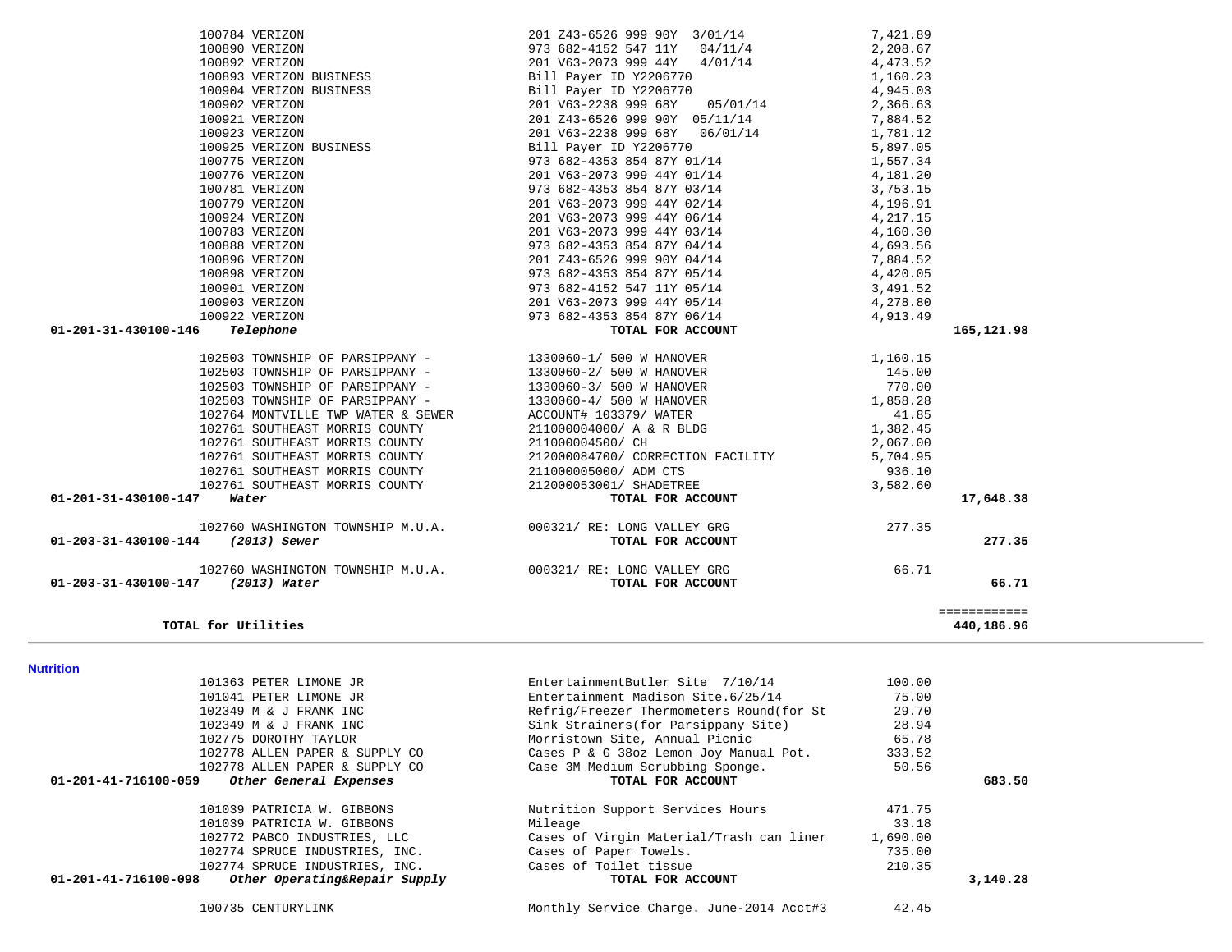| 101363 PETER LIMONE JR                                | EntertainmentButler Site 7/10/14         | 100.00   |          |
|-------------------------------------------------------|------------------------------------------|----------|----------|
| 101041 PETER LIMONE JR                                | Entertainment Madison Site.6/25/14       | 75.00    |          |
| 102349 M & J FRANK INC                                | Refrig/Freezer Thermometers Round(for St | 29.70    |          |
| 102349 M & J FRANK INC                                | Sink Strainers (for Parsippany Site)     | 28.94    |          |
| 102775 DOROTHY TAYLOR                                 | Morristown Site, Annual Picnic           | 65.78    |          |
| 102778 ALLEN PAPER & SUPPLY CO                        | Cases P & G 38oz Lemon Joy Manual Pot.   | 333.52   |          |
| 102778 ALLEN PAPER & SUPPLY CO                        | Case 3M Medium Scrubbing Sponge.         | 50.56    |          |
| 01-201-41-716100-059<br>Other General Expenses        | TOTAL FOR ACCOUNT                        |          | 683.50   |
| 101039 PATRICIA W. GIBBONS                            | Nutrition Support Services Hours         | 471.75   |          |
| 101039 PATRICIA W. GIBBONS                            | Mileage                                  | 33.18    |          |
| 102772 PABCO INDUSTRIES, LLC                          | Cases of Virgin Material/Trash can liner | 1,690.00 |          |
| 102774 SPRUCE INDUSTRIES, INC.                        | Cases of Paper Towels.                   | 735.00   |          |
| 102774 SPRUCE INDUSTRIES, INC.                        | Cases of Toilet tissue                   | 210.35   |          |
| 01-201-41-716100-098<br>Other Operating&Repair Supply | TOTAL FOR ACCOUNT                        |          | 3,140.28 |
| 100735 CENTURYLINK                                    | Monthly Service Charge. June-2014 Acct#3 | 42.45    |          |

**Nutrition** 

 $\sim$ 

| TOTAL for Utilities                                                                                                                                                                                                                                                                                                                                                                                                     |                                                                                                                                     |                        | ============<br>440,186.96 |
|-------------------------------------------------------------------------------------------------------------------------------------------------------------------------------------------------------------------------------------------------------------------------------------------------------------------------------------------------------------------------------------------------------------------------|-------------------------------------------------------------------------------------------------------------------------------------|------------------------|----------------------------|
| 01-203-31-430100-147 (2013) Water                                                                                                                                                                                                                                                                                                                                                                                       | 102760 WASHINGTON TOWNSHIP M.U.A. $000321/RE: LONG VALLEY GRG$ 66.71<br>7 (2013) Water TOTAL FOR ACCOUNT                            |                        | 66.71                      |
| 01-203-31-430100-144 (2013) Sewer                                                                                                                                                                                                                                                                                                                                                                                       | 102760 WASHINGTON TOWNSHIP M.U.A. $000321/RE: LONG VALLEY GRG$ 277.35<br>1 (2013) Sewer                                             |                        | 277.35                     |
|                                                                                                                                                                                                                                                                                                                                                                                                                         |                                                                                                                                     |                        | 17,648.38                  |
| 102761 SOUTHEAST MORRIS COUNTY<br>01-201-31-430100-147 Water                                                                                                                                                                                                                                                                                                                                                            | 212000084700/ CORRECTION FACILITY 5,704.95<br>211000005000/ ADM CTS 936.10<br>212000053001/ SHADETREE 3,582.60<br>TOTAL FOR ACCOUNT |                        |                            |
|                                                                                                                                                                                                                                                                                                                                                                                                                         |                                                                                                                                     |                        |                            |
| 102761 SOUTHEAST MORRIS COUNTY<br>102761 SOUTHEAST MORRIS COUNTY                                                                                                                                                                                                                                                                                                                                                        |                                                                                                                                     |                        |                            |
| 102761 SOUTHEAST MORRIS COUNTY                                                                                                                                                                                                                                                                                                                                                                                          |                                                                                                                                     |                        |                            |
|                                                                                                                                                                                                                                                                                                                                                                                                                         |                                                                                                                                     |                        |                            |
| 102764 MONTVILLE TWP WATER & SEWER<br>102764 MONTVILLE TWP WATER & SEWER                                                                                                                                                                                                                                                                                                                                                |                                                                                                                                     |                        |                            |
| 102503 TOWNSHIP OF PARSIPPANY -                                                                                                                                                                                                                                                                                                                                                                                         |                                                                                                                                     |                        |                            |
| 102503 TOWNSHIP OF PARSIPPANY -<br>102503 TOWNSHIP OF PARSIPPANY -                                                                                                                                                                                                                                                                                                                                                      |                                                                                                                                     |                        |                            |
|                                                                                                                                                                                                                                                                                                                                                                                                                         |                                                                                                                                     |                        |                            |
| 102503 TOWNSHIP OF PARSIPPANY - 1330060-1/ 500 W HANOVER                                                                                                                                                                                                                                                                                                                                                                |                                                                                                                                     |                        |                            |
| $100784 \text{ VERIZON} \\ 100890 \text{ VERIZON} \\ 100892 \text{ VERIZON} \\ 100893 \text{ VERIZON} \\ 100904 \text{ VERIZON} \\ 100904 \text{ VERIZON} \\ 100902 \text{ VERIZON} \\ 100923 \text{ VERIZON} \\ 100923 \text{ VERIZON} \\ 100775 \text{ VERIZON} \\ 100775 \text{ VERIZON} \\ 100776 \text{ VERIZON} \\ 100779 \text{ VERIZON} \\ 100791 \text{ VERIZON} \\ 100793 \text{ VER$<br>01-201-31-430100-146 |                                                                                                                                     |                        | 165,121.98                 |
|                                                                                                                                                                                                                                                                                                                                                                                                                         | 973 682-4353 854 87Y 06/14 $\frac{4}{913.49}$                                                                                       |                        |                            |
|                                                                                                                                                                                                                                                                                                                                                                                                                         | 201 V63-2073 999 44Y 05/14                                                                                                          |                        |                            |
|                                                                                                                                                                                                                                                                                                                                                                                                                         | 973 682-4152 547 11Y 05/14                                                                                                          | $3, 42 -$<br>4, 278.80 |                            |
|                                                                                                                                                                                                                                                                                                                                                                                                                         | 973 682-4353 854 87Y 05/14                                                                                                          | 4,420.05               |                            |
|                                                                                                                                                                                                                                                                                                                                                                                                                         | 201 Z43-6526 999 90Y 04/14                                                                                                          | 7,884.52               |                            |
|                                                                                                                                                                                                                                                                                                                                                                                                                         | 973 682-4353 854 87Y 04/14                                                                                                          | 4,693.56               |                            |
|                                                                                                                                                                                                                                                                                                                                                                                                                         | 201 V63-2073 999 44Y 03/14                                                                                                          | 4,160.30               |                            |
|                                                                                                                                                                                                                                                                                                                                                                                                                         | 201 V63-2073 999 44Y 06/14                                                                                                          | 4,217.15               |                            |
|                                                                                                                                                                                                                                                                                                                                                                                                                         | 201 V63-2073 999 44Y 02/14                                                                                                          | 4,196.91               |                            |
|                                                                                                                                                                                                                                                                                                                                                                                                                         | 201 V63-2073 999 44Y 01/14<br>973 682-4353 854 87Y 03/14                                                                            | 4,181.20<br>3,753.15   |                            |
|                                                                                                                                                                                                                                                                                                                                                                                                                         | 973 682-4353 854 87Y 01/14                                                                                                          | 1,557.34               |                            |
|                                                                                                                                                                                                                                                                                                                                                                                                                         | Bill Payer ID Y2206770                                                                                                              | 5,897.05               |                            |
|                                                                                                                                                                                                                                                                                                                                                                                                                         | 201 $20223899968Y$ 06/01/14                                                                                                         | 1,781.12               |                            |
|                                                                                                                                                                                                                                                                                                                                                                                                                         | 201 Z43-6526 999 90Y 05/11/14                                                                                                       | 7,884.52               |                            |
|                                                                                                                                                                                                                                                                                                                                                                                                                         | $201 \text{ V63}-223899968Y$ $05/01/14$ 2,366.63                                                                                    |                        |                            |
|                                                                                                                                                                                                                                                                                                                                                                                                                         | Bill Payer ID Y2206770                                                                                                              | 4,945.03               |                            |
|                                                                                                                                                                                                                                                                                                                                                                                                                         | Bill Payer ID Y2206770                                                                                                              | 1,160.23               |                            |
|                                                                                                                                                                                                                                                                                                                                                                                                                         | 973 682-4152 547 11Y 04/11/4<br>201 V63-2073 999 44Y 4/01/14                                                                        | 4,473.52               |                            |
|                                                                                                                                                                                                                                                                                                                                                                                                                         |                                                                                                                                     | 2,208.67               |                            |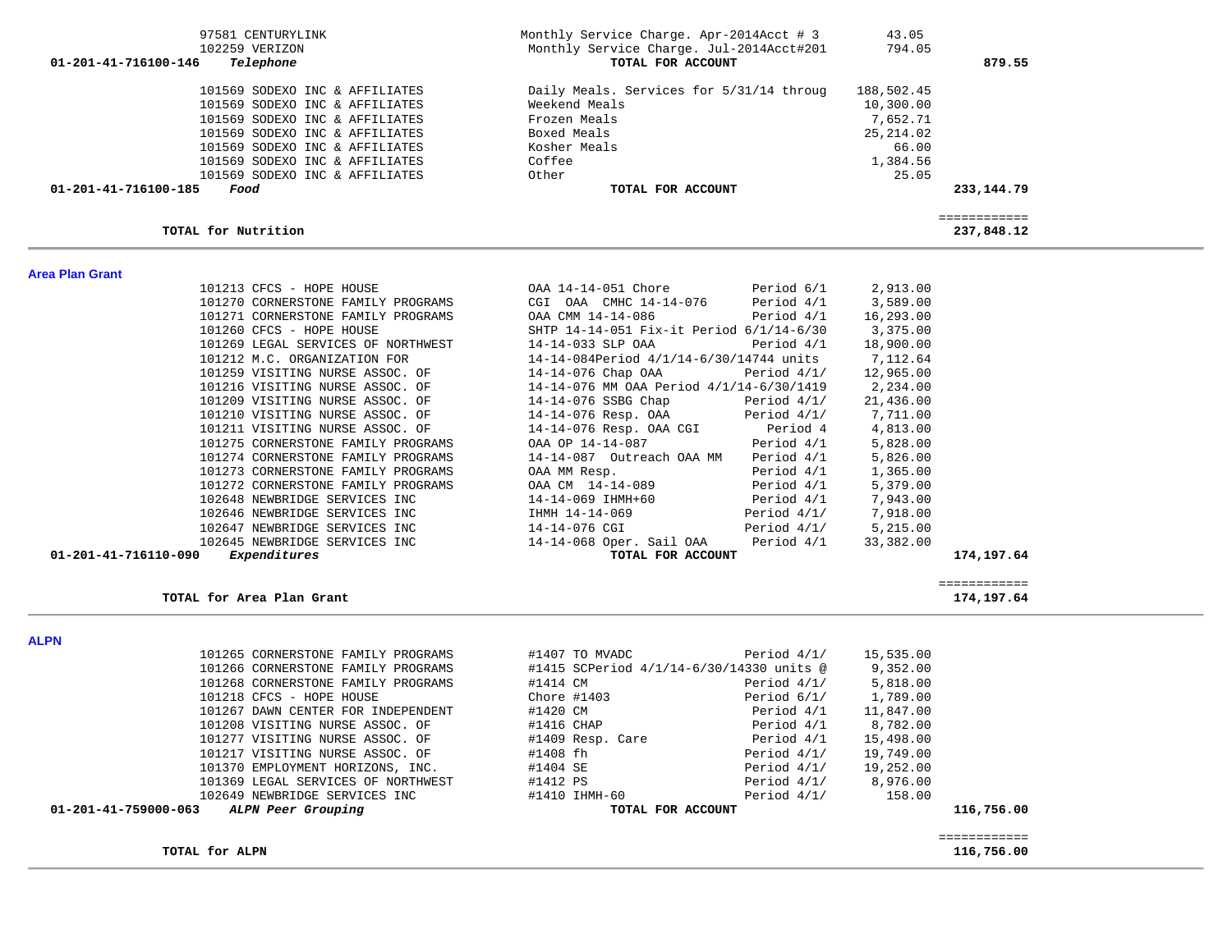| 102647 NEWBRIDGE SERVICES INC              | 14-14-076 CGI                            | Period $4/1/$ | 5,215.00  |              |
|--------------------------------------------|------------------------------------------|---------------|-----------|--------------|
| 102645 NEWBRIDGE SERVICES INC              | 14-14-068 Oper. Sail OAA                 | Period 4/1    | 33,382.00 |              |
| 01-201-41-716110-090<br>Expenditures       | TOTAL FOR ACCOUNT                        |               |           | 174,197.64   |
|                                            |                                          |               |           | ============ |
| TOTAL for Area Plan Grant                  |                                          |               |           | 174,197.64   |
| <b>ALPN</b>                                |                                          |               |           |              |
| 101265 CORNERSTONE FAMILY PROGRAMS         | #1407 TO MVADC                           | Period 4/1/   | 15,535.00 |              |
| 101266 CORNERSTONE FAMILY PROGRAMS         | #1415 SCPeriod 4/1/14-6/30/14330 units @ |               | 9,352.00  |              |
| 101268 CORNERSTONE FAMILY PROGRAMS         | #1414 CM                                 | Period 4/1/   | 5,818.00  |              |
| 101218 CFCS - HOPE HOUSE                   | Chore $#1403$                            | Period $6/1/$ | 1,789.00  |              |
| 101267 DAWN CENTER FOR INDEPENDENT         | #1420 CM                                 | Period 4/1    | 11,847.00 |              |
| 101208 VISITING NURSE ASSOC. OF            | #1416 CHAP                               | Period 4/1    | 8,782.00  |              |
| 101277 VISITING NURSE ASSOC. OF            | #1409 Resp. Care                         | Period 4/1    | 15,498.00 |              |
| 101217 VISITING NURSE ASSOC. OF            | #1408 fh                                 | Period $4/1/$ | 19,749.00 |              |
| 101370 EMPLOYMENT HORIZONS, INC.           | #1404 SE                                 | Period 4/1/   | 19,252.00 |              |
| 101369 LEGAL SERVICES OF NORTHWEST         | #1412 PS                                 | Period $4/1/$ | 8,976.00  |              |
| 102649 NEWBRIDGE SERVICES INC              | #1410 IHMH-60                            | Period $4/1/$ | 158.00    |              |
| 01-201-41-759000-063<br>ALPN Peer Grouping | TOTAL FOR ACCOUNT                        |               |           | 116,756.00   |
|                                            |                                          |               |           |              |
|                                            |                                          |               |           | ============ |
| TOTAL for ALPN                             |                                          |               |           | 116,756.00   |

| 101213 CFCS - HOPE HOUSE 6/1       |                                          |             | 2,913.00  |
|------------------------------------|------------------------------------------|-------------|-----------|
| 101270 CORNERSTONE FAMILY PROGRAMS | CGI OAA CMHC 14-14-076                   | Period 4/1  | 3,589.00  |
| 101271 CORNERSTONE FAMILY PROGRAMS | OAA CMM 14-14-086                        | Period 4/1  | 16,293.00 |
| 101260 CFCS - HOPE HOUSE           | SHTP 14-14-051 Fix-it Period 6/1/14-6/30 |             | 3,375.00  |
| 101269 LEGAL SERVICES OF NORTHWEST | 14-14-033 SLP OAA Period 4/1             |             | 18,900.00 |
| 101212 M.C. ORGANIZATION FOR       | 14-14-084Period 4/1/14-6/30/14744 units  |             | 7,112.64  |
| 101259 VISITING NURSE ASSOC. OF    | $14-14-076$ Chap OAA Period $4/1/$       |             | 12,965.00 |
| 101216 VISITING NURSE ASSOC. OF    | 14-14-076 MM OAA Period 4/1/14-6/30/1419 |             | 2,234.00  |
| 101209 VISITING NURSE ASSOC. OF    | 14-14-076 SSBG Chap                      | Period 4/1/ | 21,436.00 |
| 101210 VISITING NURSE ASSOC. OF    | 14-14-076 Resp. OAA                      | Period 4/1/ | 7,711.00  |
| 101211 VISITING NURSE ASSOC. OF    | 14-14-076 Resp. OAA CGI Period 4         |             | 4,813.00  |
| 101275 CORNERSTONE FAMILY PROGRAMS | OAA OP 14-14-087                         | Period 4/1  | 5,828.00  |
| 101274 CORNERSTONE FAMILY PROGRAMS | 14-14-087 Outreach OAA MM                | Period 4/1  | 5,826.00  |
| 101273 CORNERSTONE FAMILY PROGRAMS | OAA MM Resp.                             | Period 4/1  | 1,365.00  |
| 101272 CORNERSTONE FAMILY PROGRAMS | OAA CM 14-14-089                         | Period 4/1  | 5,379.00  |
| 102648 NEWBRIDGE SERVICES INC      | 14-14-069 IHMH+60                        | Period 4/1  | 7,943.00  |
| 102646 NEWBRIDGE SERVICES INC      | IHMH 14-14-069                           | Period 4/1/ | 7,918.00  |
| 102647 NEWBRIDGE SERVICES INC      | 14-14-076 CGI                            | Period 4/1/ | 5,215.00  |
| 102645 NEWBRIDGE SERVICES INC      | $14-14-068$ Oper Sail $0\overline{a}$    | Period 4/1  | 33 382 00 |

| OAA 14-14-051 Chore                               | Period 6/1 | 2,913.00             |
|---------------------------------------------------|------------|----------------------|
| CGI OAA CMHC 14-14-076 Period 4/1 3,589.00        |            |                      |
| OAA CMM 14-14-086 Period 4/1                      |            | 16,293.00            |
| SHTP 14-14-051 Fix-it Period 6/1/14-6/30 3,375.00 |            |                      |
| 14-14-033 SLP OAA Period 4/1                      |            | 18,900.00            |
| 14-14-084Period 4/1/14-6/30/14744 units           |            | 7,112.64             |
| $14-14-076$ Chap OAA Period $4/1/$                |            | 12,965.00            |
| 14-14-076 MM OAA Period 4/1/14-6/30/1419          |            | 2,234.00             |
| $14-14-076$ SSBG Chap Period $4/1/$               |            | 21,436.00            |
| 14-14-076 Resp. OAA Period $4/1/$ 7,711.00        |            |                      |
| 14-14-076 Resp. OAA CGI Period 4 4,813.00         |            |                      |
| OAA OP 14-14-087                                  |            | Period 4/1 5,828.00  |
| 14-14-087 Outreach OAA MM Period 4/1 5,826.00     |            |                      |
| OAA MM Resp.                                      | Period 4/1 | 1,365.00             |
| OAA CM 14-14-089                                  |            | Period 4/1 5,379.00  |
| 14-14-069 IHMH+60                                 |            | Period 4/1 7,943.00  |
| IHMH 14-14-069                                    |            | Period 4/1/ 7,918.00 |
|                                                   |            | <b>F 21 F 00</b>     |

**Area Plan Grant** 

| 879.55      | 43.05<br>794.05 | Monthly Service Charge. Apr-2014Acct # 3<br>Monthly Service Charge. Jul-2014Acct#201<br>TOTAL FOR ACCOUNT | 97581 CENTURYLINK<br>102259 VERIZON<br>01-201-41-716100-146<br>Telephone |
|-------------|-----------------|-----------------------------------------------------------------------------------------------------------|--------------------------------------------------------------------------|
|             |                 |                                                                                                           |                                                                          |
|             | 188,502.45      | Daily Meals. Services for 5/31/14 throug                                                                  | 101569 SODEXO INC & AFFILIATES                                           |
|             | 10,300.00       | Weekend Meals                                                                                             | 101569 SODEXO INC & AFFILIATES                                           |
|             | 7,652.71        | Frozen Meals                                                                                              | 101569 SODEXO INC & AFFILIATES                                           |
|             | 25, 214.02      | Boxed Meals                                                                                               | 101569 SODEXO INC & AFFILIATES                                           |
|             | 66.00           | Kosher Meals                                                                                              | 101569 SODEXO INC & AFFILIATES                                           |
|             | 1,384.56        | Coffee                                                                                                    | 101569 SODEXO INC & AFFILIATES                                           |
|             | 25.05           | Other                                                                                                     | 101569 SODEXO INC & AFFILIATES                                           |
| 233, 144.79 |                 | TOTAL FOR ACCOUNT                                                                                         | 01-201-41-716100-185<br>Food                                             |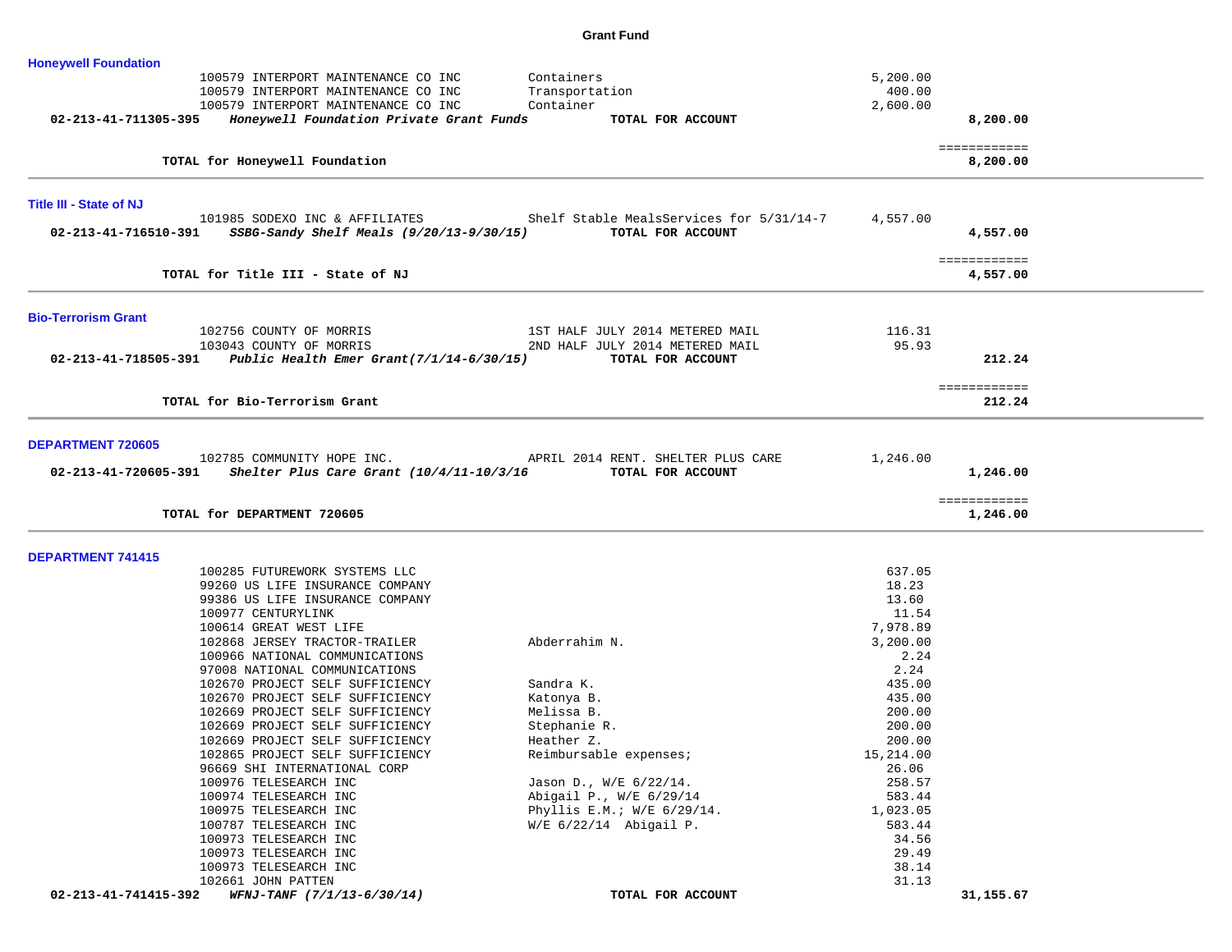## **Grant Fund**

| <b>Honeywell Foundation</b>    | 100579 INTERPORT MAINTENANCE CO INC                           | Containers                                                              | 5,200.00         |                          |
|--------------------------------|---------------------------------------------------------------|-------------------------------------------------------------------------|------------------|--------------------------|
|                                | 100579 INTERPORT MAINTENANCE CO INC                           | Transportation                                                          | 400.00           |                          |
|                                | 100579 INTERPORT MAINTENANCE CO INC                           | Container                                                               | 2,600.00         |                          |
| 02-213-41-711305-395           | Honeywell Foundation Private Grant Funds                      | TOTAL FOR ACCOUNT                                                       |                  | 8,200.00                 |
|                                |                                                               |                                                                         |                  | ============             |
|                                | TOTAL for Honeywell Foundation                                |                                                                         |                  | 8,200.00                 |
| <b>Title III - State of NJ</b> |                                                               |                                                                         |                  |                          |
|                                |                                                               | 101985 SODEXO INC & AFFILIATES Shelf Stable MealsServices for 5/31/14-7 | 4,557.00         |                          |
| 02-213-41-716510-391           | SSBG-Sandy Shelf Meals (9/20/13-9/30/15)                      | TOTAL FOR ACCOUNT                                                       |                  | 4,557.00                 |
|                                |                                                               |                                                                         |                  | ============             |
|                                | TOTAL for Title III - State of NJ                             |                                                                         |                  | 4,557.00                 |
|                                |                                                               |                                                                         |                  |                          |
| <b>Bio-Terrorism Grant</b>     | 102756 COUNTY OF MORRIS                                       | 1ST HALF JULY 2014 METERED MAIL                                         | 116.31           |                          |
|                                |                                                               | 2ND HALF JULY 2014 METERED MAIL                                         | 95.93            |                          |
|                                | 02-213-41-718505-391 Public Health Emer Grant(7/1/14-6/30/15) | TOTAL FOR ACCOUNT                                                       |                  | 212.24                   |
|                                |                                                               |                                                                         |                  | ============             |
|                                | TOTAL for Bio-Terrorism Grant                                 |                                                                         |                  | 212.24                   |
| <b>DEPARTMENT 720605</b>       | 102785 COMMUNITY HOPE INC.                                    | APRIL 2014 RENT. SHELTER PLUS CARE                                      | 1,246.00         |                          |
|                                | 02-213-41-720605-391 Shelter Plus Care Grant (10/4/11-10/3/16 | TOTAL FOR ACCOUNT                                                       |                  | 1,246.00                 |
|                                | TOTAL for DEPARTMENT 720605                                   |                                                                         |                  | ============<br>1,246.00 |
|                                |                                                               |                                                                         |                  |                          |
|                                |                                                               |                                                                         |                  |                          |
| <b>DEPARTMENT 741415</b>       |                                                               |                                                                         |                  |                          |
|                                | 100285 FUTUREWORK SYSTEMS LLC                                 |                                                                         | 637.05           |                          |
|                                | 99260 US LIFE INSURANCE COMPANY                               |                                                                         | 18.23            |                          |
|                                | 99386 US LIFE INSURANCE COMPANY                               |                                                                         | 13.60            |                          |
|                                | 100977 CENTURYLINK                                            |                                                                         | 11.54            |                          |
|                                | 100614 GREAT WEST LIFE<br>102868 JERSEY TRACTOR-TRAILER       | Abderrahim N.                                                           | 7,978.89         |                          |
|                                | 100966 NATIONAL COMMUNICATIONS                                |                                                                         | 3,200.00<br>2.24 |                          |
|                                | 97008 NATIONAL COMMUNICATIONS                                 |                                                                         | 2.24             |                          |
|                                | 102670 PROJECT SELF SUFFICIENCY                               | Sandra K.                                                               | 435.00           |                          |
|                                | 102670 PROJECT SELF SUFFICIENCY                               | Katonya B.                                                              | 435.00           |                          |
|                                | 102669 PROJECT SELF SUFFICIENCY                               | Melissa B.                                                              | 200.00           |                          |
|                                | 102669 PROJECT SELF SUFFICIENCY                               | Stephanie R.                                                            | 200.00           |                          |
|                                | 102669 PROJECT SELF SUFFICIENCY                               | Heather Z.                                                              | 200.00           |                          |
|                                | 102865 PROJECT SELF SUFFICIENCY                               | Reimbursable expenses;                                                  | 15,214.00        |                          |
|                                | 96669 SHI INTERNATIONAL CORP                                  |                                                                         | 26.06            |                          |
|                                | 100976 TELESEARCH INC                                         | Jason D., W/E 6/22/14.                                                  | 258.57           |                          |
|                                | 100974 TELESEARCH INC                                         | Abigail P., W/E 6/29/14                                                 | 583.44           |                          |
|                                | 100975 TELESEARCH INC                                         | Phyllis E.M.; $W/E$ 6/29/14.                                            | 1,023.05         |                          |
|                                | 100787 TELESEARCH INC<br>100973 TELESEARCH INC                | $W/E$ 6/22/14 Abigail P.                                                | 583.44<br>34.56  |                          |
|                                | 100973 TELESEARCH INC                                         |                                                                         | 29.49            |                          |
|                                | 100973 TELESEARCH INC                                         |                                                                         | 38.14            |                          |
| 02-213-41-741415-392           | 102661 JOHN PATTEN<br>WFNJ-TANF (7/1/13-6/30/14)              | TOTAL FOR ACCOUNT                                                       | 31.13            | 31,155.67                |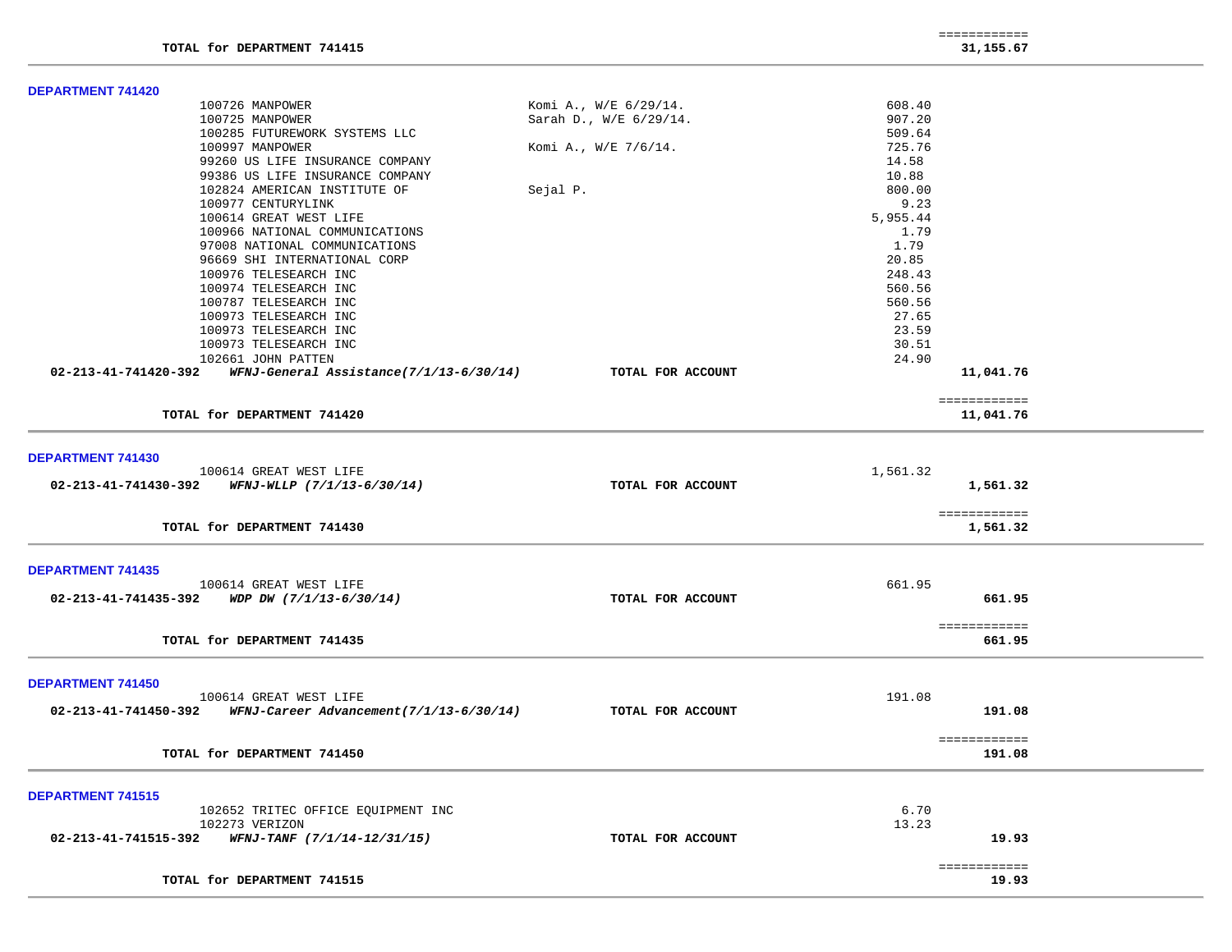| <b>DEPARTMENT 741420</b>                                                       |                        |                        |  |
|--------------------------------------------------------------------------------|------------------------|------------------------|--|
| 100726 MANPOWER                                                                | Komi A., W/E 6/29/14.  | 608.40                 |  |
| 100725 MANPOWER                                                                | Sarah D., W/E 6/29/14. | 907.20                 |  |
| 100285 FUTUREWORK SYSTEMS LLC                                                  |                        | 509.64                 |  |
| 100997 MANPOWER                                                                | Komi A., W/E 7/6/14.   | 725.76                 |  |
| 99260 US LIFE INSURANCE COMPANY                                                |                        | 14.58                  |  |
| 99386 US LIFE INSURANCE COMPANY                                                |                        | 10.88                  |  |
| 102824 AMERICAN INSTITUTE OF                                                   | Sejal P.               | 800.00                 |  |
| 100977 CENTURYLINK                                                             |                        | 9.23                   |  |
| 100614 GREAT WEST LIFE                                                         |                        | 5,955.44               |  |
| 100966 NATIONAL COMMUNICATIONS                                                 |                        | 1.79                   |  |
| 97008 NATIONAL COMMUNICATIONS                                                  |                        | 1.79                   |  |
| 96669 SHI INTERNATIONAL CORP                                                   |                        | 20.85                  |  |
| 100976 TELESEARCH INC                                                          |                        | 248.43                 |  |
| 100974 TELESEARCH INC                                                          |                        | 560.56                 |  |
| 100787 TELESEARCH INC                                                          |                        | 560.56                 |  |
| 100973 TELESEARCH INC                                                          |                        | 27.65                  |  |
| 100973 TELESEARCH INC                                                          |                        | 23.59                  |  |
| 100973 TELESEARCH INC                                                          |                        | 30.51                  |  |
| 102661 JOHN PATTEN                                                             |                        | 24.90                  |  |
| $02-213-41-741420-392$ WFNJ-General Assistance(7/1/13-6/30/14)                 | TOTAL FOR ACCOUNT      | 11,041.76              |  |
|                                                                                |                        |                        |  |
|                                                                                |                        | ============           |  |
| TOTAL for DEPARTMENT 741420                                                    |                        | 11,041.76              |  |
|                                                                                |                        |                        |  |
|                                                                                |                        |                        |  |
| DEPARTMENT 741430                                                              |                        |                        |  |
| 100614 GREAT WEST LIFE                                                         |                        | 1,561.32               |  |
| 02-213-41-741430-392 WFNJ-WLLP (7/1/13-6/30/14)                                | TOTAL FOR ACCOUNT      | 1,561.32               |  |
|                                                                                |                        | ============           |  |
| TOTAL for DEPARTMENT 741430                                                    |                        | 1,561.32               |  |
|                                                                                |                        |                        |  |
|                                                                                |                        |                        |  |
| <b>DEPARTMENT 741435</b>                                                       |                        |                        |  |
| 100614 GREAT WEST LIFE                                                         |                        | 661.95                 |  |
| 02-213-41-741435-392 WDP DW $(7/1/13-6/30/14)$                                 | TOTAL FOR ACCOUNT      | 661.95                 |  |
|                                                                                |                        |                        |  |
|                                                                                |                        | ============           |  |
| TOTAL for DEPARTMENT 741435                                                    |                        | 661.95                 |  |
|                                                                                |                        |                        |  |
|                                                                                |                        |                        |  |
| <b>DEPARTMENT 741450</b>                                                       |                        |                        |  |
| 100614 GREAT WEST LIFE                                                         |                        | 191.08                 |  |
| 02-213-41-741450-392 WFNJ-Career Advancement(7/1/13-6/30/14) TOTAL FOR ACCOUNT |                        | 191.08                 |  |
|                                                                                |                        |                        |  |
| TOTAL for DEPARTMENT 741450                                                    |                        | ============<br>191.08 |  |
|                                                                                |                        |                        |  |
|                                                                                |                        |                        |  |
| <b>DEPARTMENT 741515</b>                                                       |                        |                        |  |
| 102652 TRITEC OFFICE EQUIPMENT INC                                             |                        | 6.70                   |  |
| 102273 VERIZON                                                                 |                        | 13.23                  |  |
| $02 - 213 - 41 - 741515 - 392$ WFNJ-TANF $(7/1/14 - 12/31/15)$                 | TOTAL FOR ACCOUNT      | 19.93                  |  |
|                                                                                |                        |                        |  |
|                                                                                |                        | <b>EEEEEEEEEEE</b>     |  |
| TOTAL for DEPARTMENT 741515                                                    |                        | 19.93                  |  |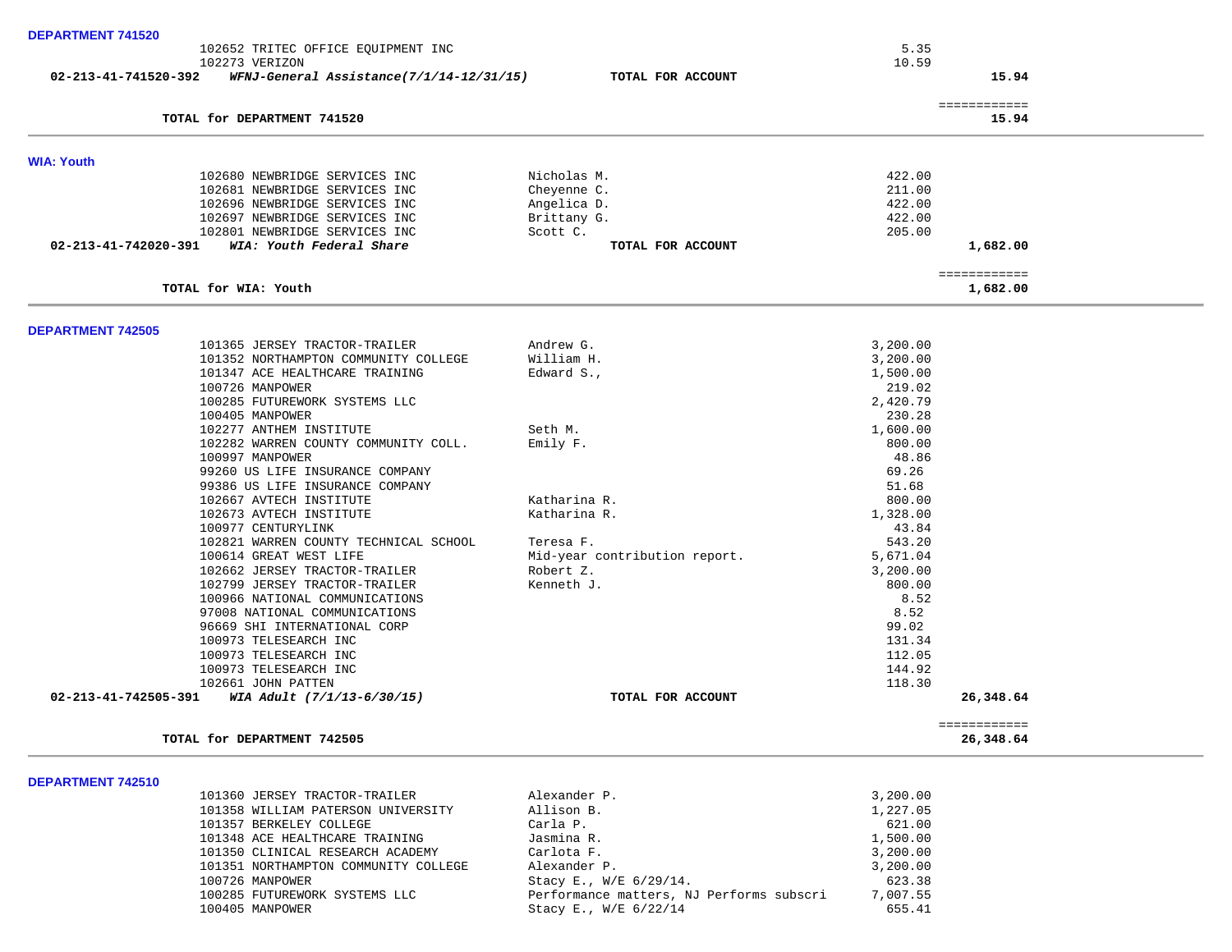| <b>DEPARTMENT 741520</b> |                                                                     |                               |                           |  |
|--------------------------|---------------------------------------------------------------------|-------------------------------|---------------------------|--|
|                          | 102652 TRITEC OFFICE EQUIPMENT INC                                  |                               | 5.35                      |  |
|                          | 102273 VERIZON                                                      |                               | 10.59                     |  |
| 02-213-41-741520-392     | WFNJ-General Assistance(7/1/14-12/31/15)                            | TOTAL FOR ACCOUNT             | 15.94                     |  |
|                          | TOTAL for DEPARTMENT 741520                                         |                               | ============<br>15.94     |  |
|                          |                                                                     |                               |                           |  |
| <b>WIA: Youth</b>        |                                                                     |                               |                           |  |
|                          | 102680 NEWBRIDGE SERVICES INC                                       | Nicholas M.                   | 422.00                    |  |
|                          | 102681 NEWBRIDGE SERVICES INC<br>102696 NEWBRIDGE SERVICES INC      | Cheyenne C.<br>Angelica D.    | 211.00<br>422.00          |  |
|                          | 102697 NEWBRIDGE SERVICES INC                                       | Brittany G.                   | 422.00                    |  |
|                          | 102801 NEWBRIDGE SERVICES INC                                       | Scott C.                      | 205.00                    |  |
| 02-213-41-742020-391     | WIA: Youth Federal Share                                            | TOTAL FOR ACCOUNT             | 1,682.00                  |  |
|                          |                                                                     |                               | ============              |  |
|                          | TOTAL for WIA: Youth                                                |                               | 1,682.00                  |  |
| <b>DEPARTMENT 742505</b> |                                                                     |                               |                           |  |
|                          | 101365 JERSEY TRACTOR-TRAILER                                       | Andrew G.                     | 3,200.00                  |  |
|                          | 101352 NORTHAMPTON COMMUNITY COLLEGE                                | William H.                    | 3,200.00                  |  |
|                          | 101347 ACE HEALTHCARE TRAINING                                      | Edward S.,                    | 1,500.00                  |  |
|                          | 100726 MANPOWER                                                     |                               | 219.02                    |  |
|                          | 100285 FUTUREWORK SYSTEMS LLC                                       |                               | 2,420.79                  |  |
|                          | 100405 MANPOWER                                                     |                               | 230.28                    |  |
|                          | 102277 ANTHEM INSTITUTE                                             | Seth M.                       | 1,600.00                  |  |
|                          | 102282 WARREN COUNTY COMMUNITY COLL.                                | Emily F.                      | 800.00                    |  |
|                          | 100997 MANPOWER                                                     |                               | 48.86                     |  |
|                          | 99260 US LIFE INSURANCE COMPANY                                     |                               | 69.26                     |  |
|                          | 99386 US LIFE INSURANCE COMPANY                                     |                               | 51.68                     |  |
|                          | 102667 AVTECH INSTITUTE<br>102673 AVTECH INSTITUTE                  | Katharina R.<br>Katharina R.  | 800.00<br>1,328.00        |  |
|                          | 100977 CENTURYLINK                                                  |                               | 43.84                     |  |
|                          | 102821 WARREN COUNTY TECHNICAL SCHOOL                               | Teresa F.                     | 543.20                    |  |
|                          | 100614 GREAT WEST LIFE                                              | Mid-year contribution report. | 5,671.04                  |  |
|                          | 102662 JERSEY TRACTOR-TRAILER                                       | Robert Z.                     | 3,200.00                  |  |
|                          | 102799 JERSEY TRACTOR-TRAILER                                       | Kenneth J.                    | 800.00                    |  |
|                          | 100966 NATIONAL COMMUNICATIONS                                      |                               | 8.52                      |  |
|                          | 97008 NATIONAL COMMUNICATIONS                                       |                               | 8.52                      |  |
|                          | 96669 SHI INTERNATIONAL CORP                                        |                               | 99.02                     |  |
|                          | 100973 TELESEARCH INC                                               |                               | 131.34                    |  |
|                          | 100973 TELESEARCH INC                                               |                               | 112.05                    |  |
|                          | 100973 TELESEARCH INC                                               |                               | 144.92                    |  |
|                          | 102661 JOHN PATTEN                                                  |                               | 118.30                    |  |
| 02-213-41-742505-391     | WIA Adult (7/1/13-6/30/15)                                          | TOTAL FOR ACCOUNT             | 26,348.64                 |  |
|                          | TOTAL for DEPARTMENT 742505                                         |                               | ============<br>26,348.64 |  |
|                          |                                                                     |                               |                           |  |
| <b>DEPARTMENT 742510</b> |                                                                     |                               |                           |  |
|                          | 101360 JERSEY TRACTOR-TRAILER<br>101358 WILLIAM PATERSON UNIVERSITY | Alexander P.<br>Allison B.    | 3,200.00<br>1,227.05      |  |
|                          | 101357 BERKELEY COLLEGE                                             | Carla P.                      | 621.00                    |  |
|                          | 101348 ACE HEALTHCARE TRAINING                                      | Jasmina R.                    | 1,500.00                  |  |
|                          | 101350 CLINICAL RESEARCH ACADEMY                                    | Carlota F.                    | 3,200.00                  |  |
|                          | 101351 NORTHAMPTON COMMUNITY COLLEGE                                | Alexander P.                  | 3,200.00                  |  |
|                          | 100726 MANPOWER                                                     | Stacy E., W/E 6/29/14.        | 623.38                    |  |
|                          |                                                                     |                               |                           |  |

 100285 FUTUREWORK SYSTEMS LLC Performance matters, NJ Performs subscri 7,007.55 Stacy E., W/E 6/22/14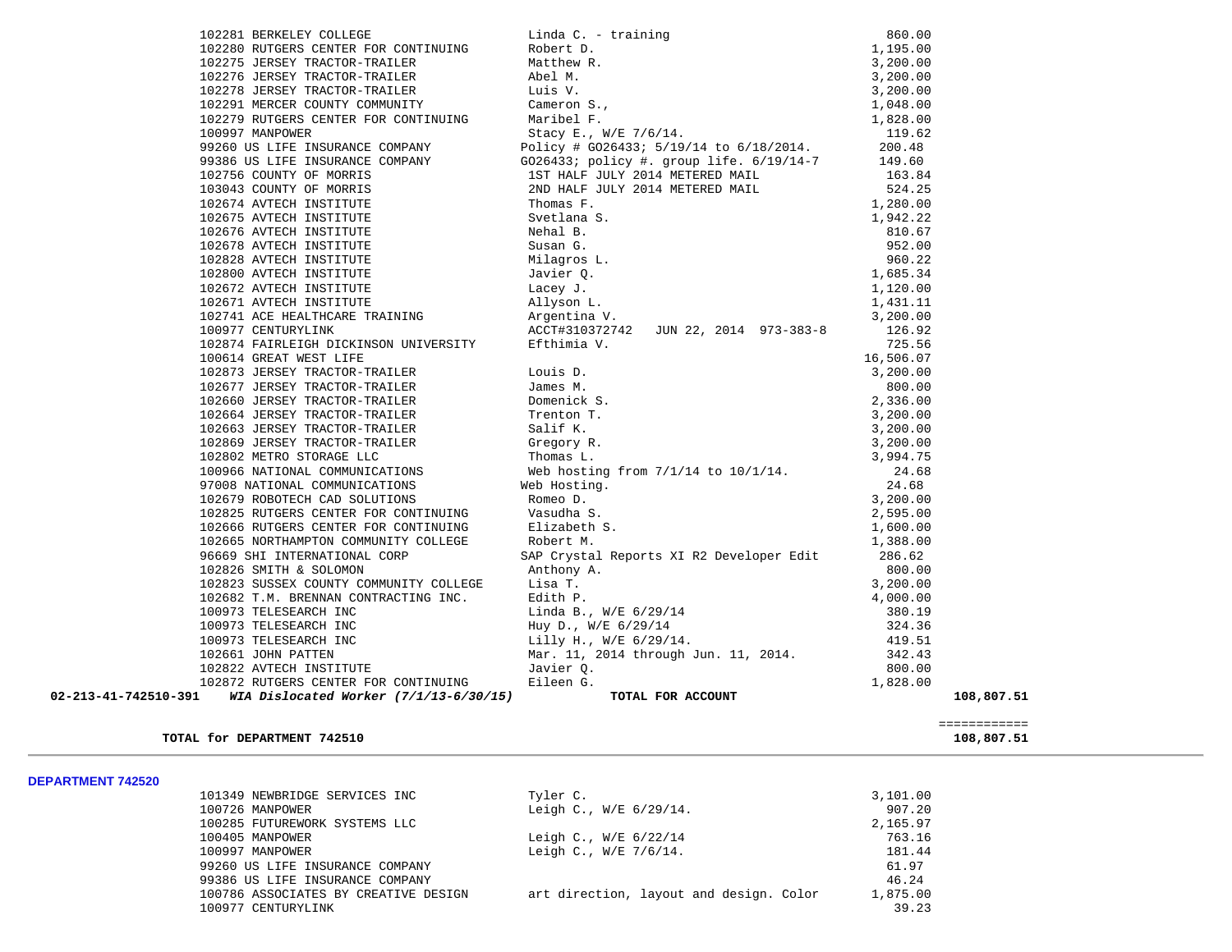| TINUING Elizabeth<br>COLLEGE Robert M.<br>SAP Crysta<br>96669 SHI INTERNATIONAL CORP | SAP Crystal Reports XI R2 Developer Edit 286.62                                                                                                                                                                                          |            |
|--------------------------------------------------------------------------------------|------------------------------------------------------------------------------------------------------------------------------------------------------------------------------------------------------------------------------------------|------------|
|                                                                                      |                                                                                                                                                                                                                                          |            |
|                                                                                      |                                                                                                                                                                                                                                          |            |
|                                                                                      |                                                                                                                                                                                                                                          |            |
|                                                                                      | 102823 SUSSEX COUNTY COMMUNITY COLLEGE<br>102823 SUSSEX COUNTY COMMUNITY COLLEGE<br>102682 T.M. BRENNAN CONTRACTING INC.<br>100973 TELESEARCH INC LIND BR., W/E 6/29/14<br>100973 TELESEARCH INC Huy D., W/E 6/29/14<br>100973 TELESEARC |            |
|                                                                                      |                                                                                                                                                                                                                                          |            |
|                                                                                      |                                                                                                                                                                                                                                          |            |
|                                                                                      |                                                                                                                                                                                                                                          |            |
|                                                                                      |                                                                                                                                                                                                                                          |            |
|                                                                                      |                                                                                                                                                                                                                                          |            |
| 02-213-41-742510-391<br>WIA Dislocated Worker (7/1/13-6/30/15)                       | TOTAL FOR ACCOUNT                                                                                                                                                                                                                        | 108,807.51 |

## TOTAL for DEPARTMENT 742510

**DEPARTMENT 742520** 

| -------------------- |                                      |                                         |          |
|----------------------|--------------------------------------|-----------------------------------------|----------|
|                      | 101349 NEWBRIDGE SERVICES INC        | Tyler C.                                | 3,101.00 |
|                      | 100726 MANPOWER                      | Leigh C., W/E 6/29/14.                  | 907.20   |
|                      | 100285 FUTUREWORK SYSTEMS LLC        |                                         | 2,165.97 |
|                      | 100405 MANPOWER                      | Leigh C., $W/E$ 6/22/14                 | 763.16   |
|                      | 100997 MANPOWER                      | Leigh C., W/E 7/6/14.                   | 181.44   |
|                      | 99260 US LIFE INSURANCE COMPANY      |                                         | 61.97    |
|                      | 99386 US LIFE INSURANCE COMPANY      |                                         | 46.24    |
|                      | 100786 ASSOCIATES BY CREATIVE DESIGN | art direction, layout and design. Color | 1,875.00 |
|                      | 100977 CENTURYLINK                   |                                         | 39.23    |
|                      |                                      |                                         |          |

============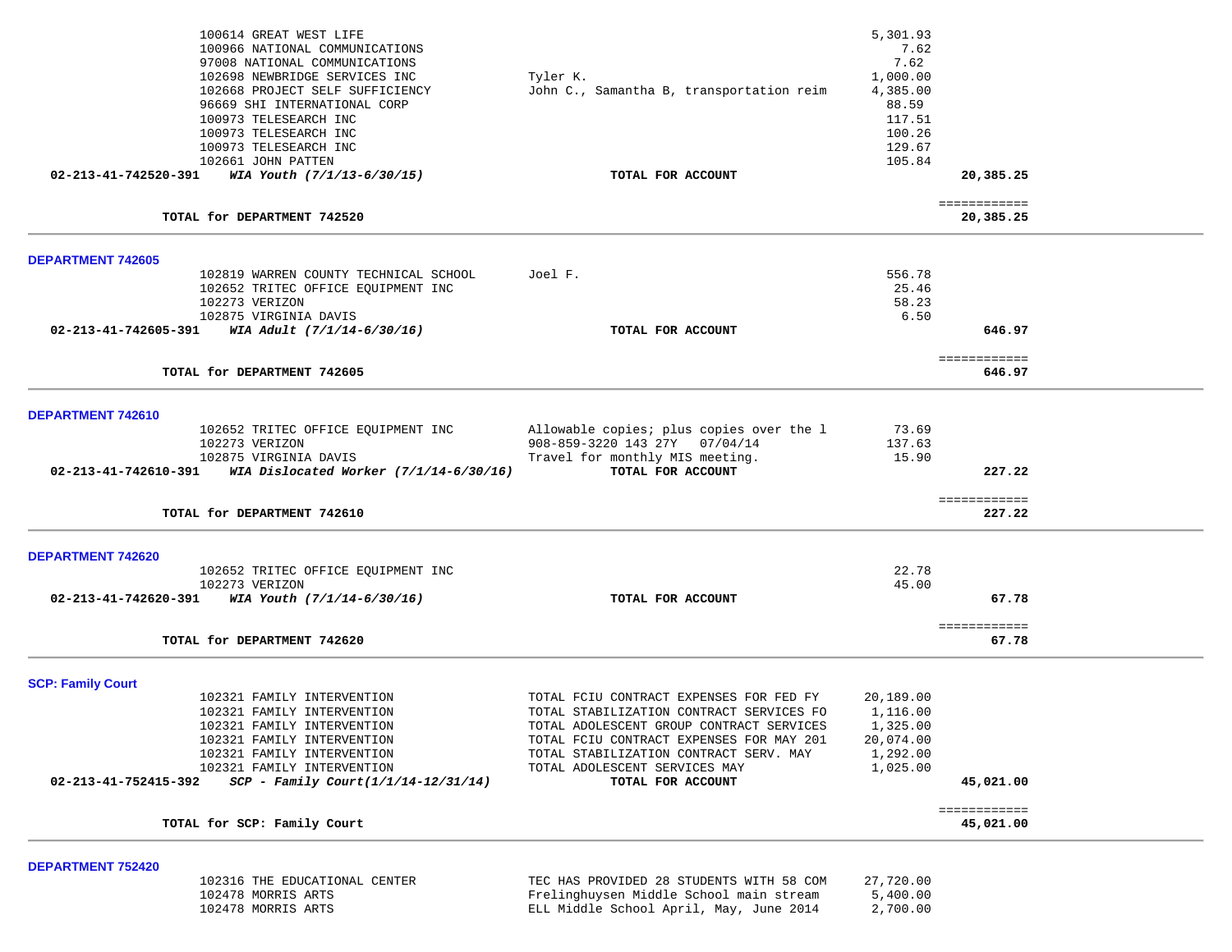|                                                  | 100614 GREAT WEST LIFE<br>100966 NATIONAL COMMUNICATIONS<br>97008 NATIONAL COMMUNICATIONS<br>102698 NEWBRIDGE SERVICES INC<br>102668 PROJECT SELF SUFFICIENCY<br>96669 SHI INTERNATIONAL CORP<br>100973 TELESEARCH INC<br>100973 TELESEARCH INC<br>100973 TELESEARCH INC<br>102661 JOHN PATTEN | Tyler K.<br>John C., Samantha B, transportation reim                                                                                                                                                                                                                        | 5,301.93<br>7.62<br>7.62<br>1,000.00<br>4,385.00<br>88.59<br>117.51<br>100.26<br>129.67<br>105.84 |                           |  |
|--------------------------------------------------|------------------------------------------------------------------------------------------------------------------------------------------------------------------------------------------------------------------------------------------------------------------------------------------------|-----------------------------------------------------------------------------------------------------------------------------------------------------------------------------------------------------------------------------------------------------------------------------|---------------------------------------------------------------------------------------------------|---------------------------|--|
|                                                  | 02-213-41-742520-391 WIA Youth $(7/1/13-6/30/15)$                                                                                                                                                                                                                                              | TOTAL FOR ACCOUNT                                                                                                                                                                                                                                                           |                                                                                                   | 20,385.25                 |  |
|                                                  | TOTAL for DEPARTMENT 742520                                                                                                                                                                                                                                                                    |                                                                                                                                                                                                                                                                             |                                                                                                   | ============<br>20,385.25 |  |
| <b>DEPARTMENT 742605</b>                         |                                                                                                                                                                                                                                                                                                |                                                                                                                                                                                                                                                                             |                                                                                                   |                           |  |
| 02-213-41-742605-391                             | 102819 WARREN COUNTY TECHNICAL SCHOOL<br>102652 TRITEC OFFICE EQUIPMENT INC<br>102273 VERIZON<br>102875 VIRGINIA DAVIS<br>WIA Adult (7/1/14-6/30/16)                                                                                                                                           | Joel F.<br>TOTAL FOR ACCOUNT                                                                                                                                                                                                                                                | 556.78<br>25.46<br>58.23<br>6.50                                                                  | 646.97                    |  |
|                                                  | TOTAL for DEPARTMENT 742605                                                                                                                                                                                                                                                                    |                                                                                                                                                                                                                                                                             |                                                                                                   | ============<br>646.97    |  |
| DEPARTMENT 742610                                |                                                                                                                                                                                                                                                                                                |                                                                                                                                                                                                                                                                             |                                                                                                   |                           |  |
| 02-213-41-742610-391                             | 102652 TRITEC OFFICE EQUIPMENT INC<br>102273 VERIZON<br>102875 VIRGINIA DAVIS<br>WIA Dislocated Worker $(7/1/14-6/30/16)$                                                                                                                                                                      | Allowable copies; plus copies over the 1<br>908-859-3220 143 27Y 07/04/14<br>Travel for monthly MIS meeting.<br>TOTAL FOR ACCOUNT                                                                                                                                           | 73.69<br>137.63<br>15.90                                                                          | 227.22                    |  |
|                                                  | TOTAL for DEPARTMENT 742610                                                                                                                                                                                                                                                                    |                                                                                                                                                                                                                                                                             |                                                                                                   | ============<br>227.22    |  |
| <b>DEPARTMENT 742620</b>                         | 102652 TRITEC OFFICE EQUIPMENT INC                                                                                                                                                                                                                                                             |                                                                                                                                                                                                                                                                             | 22.78                                                                                             |                           |  |
| 02-213-41-742620-391                             | 102273 VERIZON<br>WIA Youth (7/1/14-6/30/16)                                                                                                                                                                                                                                                   | TOTAL FOR ACCOUNT                                                                                                                                                                                                                                                           | 45.00                                                                                             | 67.78                     |  |
|                                                  | TOTAL for DEPARTMENT 742620                                                                                                                                                                                                                                                                    |                                                                                                                                                                                                                                                                             |                                                                                                   | ============<br>67.78     |  |
| <b>SCP: Family Court</b><br>02-213-41-752415-392 | 102321 FAMILY INTERVENTION<br>102321 FAMILY INTERVENTION<br>102321 FAMILY INTERVENTION<br>102321 FAMILY INTERVENTION<br>102321 FAMILY INTERVENTION<br>102321 FAMILY INTERVENTION<br>$SCP - Family Court (1/1/14-12/31/14)$                                                                     | TOTAL FCIU CONTRACT EXPENSES FOR FED FY<br>TOTAL STABILIZATION CONTRACT SERVICES FO<br>TOTAL ADOLESCENT GROUP CONTRACT SERVICES<br>TOTAL FCIU CONTRACT EXPENSES FOR MAY 201<br>TOTAL STABILIZATION CONTRACT SERV. MAY<br>TOTAL ADOLESCENT SERVICES MAY<br>TOTAL FOR ACCOUNT | 20,189.00<br>1,116.00<br>1,325.00<br>20,074.00<br>1,292.00<br>1,025.00                            | 45,021.00                 |  |
|                                                  | TOTAL for SCP: Family Court                                                                                                                                                                                                                                                                    |                                                                                                                                                                                                                                                                             |                                                                                                   | ============<br>45,021.00 |  |
|                                                  |                                                                                                                                                                                                                                                                                                |                                                                                                                                                                                                                                                                             |                                                                                                   |                           |  |
| DEPARTMENT 752420                                | 102316 THE EDUCATIONAL CENTER<br>102478 MORRIS ARTS<br>102478 MORRIS ARTS                                                                                                                                                                                                                      | TEC HAS PROVIDED 28 STUDENTS WITH 58 COM<br>Frelinghuysen Middle School main stream<br>ELL Middle School April, May, June 2014                                                                                                                                              | 27,720.00<br>5,400.00<br>2,700.00                                                                 |                           |  |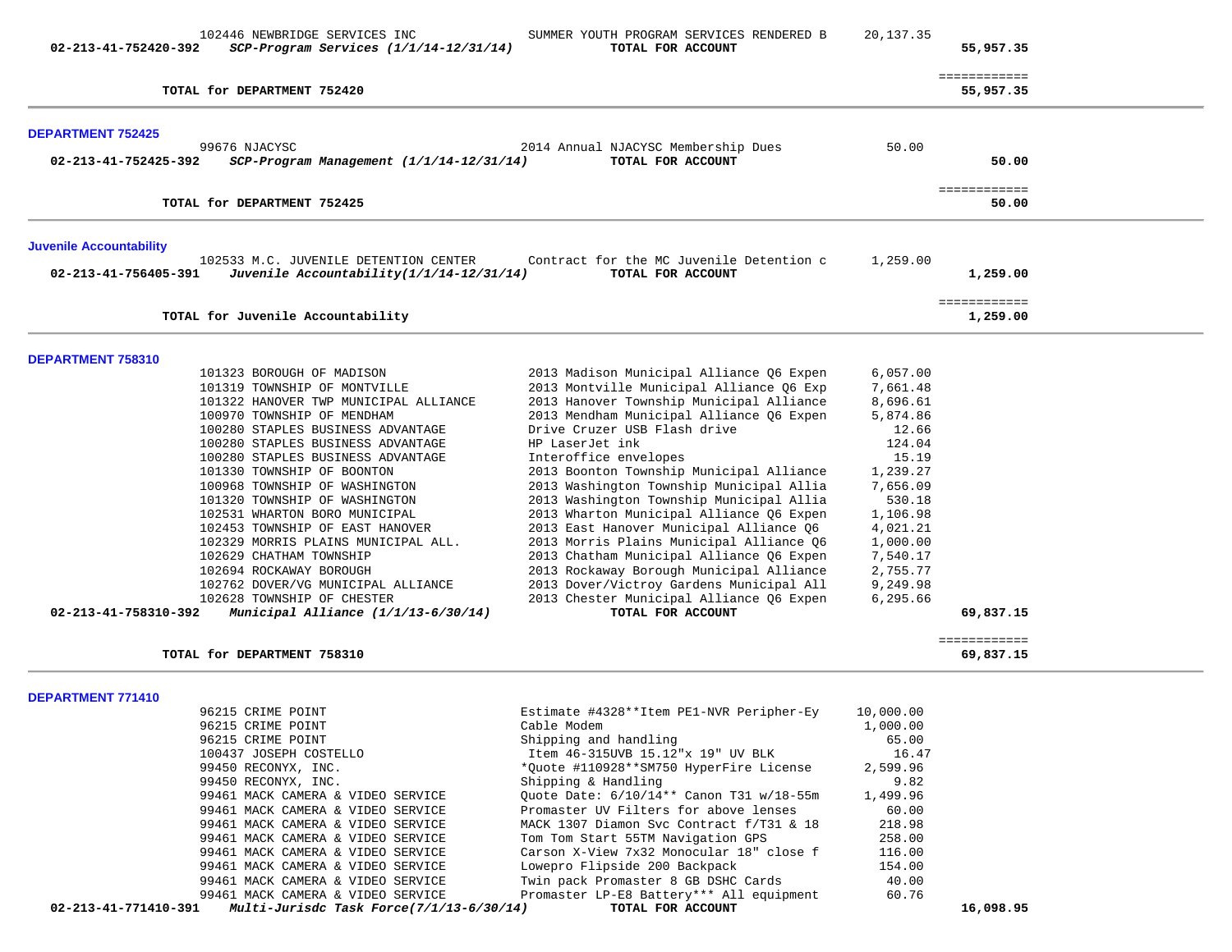| 02-213-41-752420-392           | 102446 NEWBRIDGE SERVICES INC<br>SCP-Program Services (1/1/14-12/31/14)                                                                                                                                                                                                                                                                                                                                                                                                                                                                                                                                                                                    | SUMMER YOUTH PROGRAM SERVICES RENDERED B<br>TOTAL FOR ACCOUNT                                                                                                                                                                                                                                                                                                                                                                                                                                                                                                                                                                                                                                                                        | 20, 137.35                                                                                                                                                                                     | 55,957.35                              |
|--------------------------------|------------------------------------------------------------------------------------------------------------------------------------------------------------------------------------------------------------------------------------------------------------------------------------------------------------------------------------------------------------------------------------------------------------------------------------------------------------------------------------------------------------------------------------------------------------------------------------------------------------------------------------------------------------|--------------------------------------------------------------------------------------------------------------------------------------------------------------------------------------------------------------------------------------------------------------------------------------------------------------------------------------------------------------------------------------------------------------------------------------------------------------------------------------------------------------------------------------------------------------------------------------------------------------------------------------------------------------------------------------------------------------------------------------|------------------------------------------------------------------------------------------------------------------------------------------------------------------------------------------------|----------------------------------------|
|                                | TOTAL for DEPARTMENT 752420                                                                                                                                                                                                                                                                                                                                                                                                                                                                                                                                                                                                                                |                                                                                                                                                                                                                                                                                                                                                                                                                                                                                                                                                                                                                                                                                                                                      |                                                                                                                                                                                                | ============<br>55,957.35              |
| <b>DEPARTMENT 752425</b>       |                                                                                                                                                                                                                                                                                                                                                                                                                                                                                                                                                                                                                                                            |                                                                                                                                                                                                                                                                                                                                                                                                                                                                                                                                                                                                                                                                                                                                      |                                                                                                                                                                                                |                                        |
| 02-213-41-752425-392           | 99676 NJACYSC<br>$SCP-Program$ Management $(1/1/14-12/31/14)$                                                                                                                                                                                                                                                                                                                                                                                                                                                                                                                                                                                              | 2014 Annual NJACYSC Membership Dues<br>TOTAL FOR ACCOUNT                                                                                                                                                                                                                                                                                                                                                                                                                                                                                                                                                                                                                                                                             | 50.00                                                                                                                                                                                          | 50.00                                  |
|                                | TOTAL for DEPARTMENT 752425                                                                                                                                                                                                                                                                                                                                                                                                                                                                                                                                                                                                                                |                                                                                                                                                                                                                                                                                                                                                                                                                                                                                                                                                                                                                                                                                                                                      |                                                                                                                                                                                                | ============<br>50.00                  |
| <b>Juvenile Accountability</b> |                                                                                                                                                                                                                                                                                                                                                                                                                                                                                                                                                                                                                                                            |                                                                                                                                                                                                                                                                                                                                                                                                                                                                                                                                                                                                                                                                                                                                      |                                                                                                                                                                                                |                                        |
| 02-213-41-756405-391           | 102533 M.C. JUVENILE DETENTION CENTER<br>Juvenile Accountability(1/1/14-12/31/14)                                                                                                                                                                                                                                                                                                                                                                                                                                                                                                                                                                          | Contract for the MC Juvenile Detention c<br>TOTAL FOR ACCOUNT                                                                                                                                                                                                                                                                                                                                                                                                                                                                                                                                                                                                                                                                        | 1,259.00                                                                                                                                                                                       | 1,259.00                               |
|                                | TOTAL for Juvenile Accountability                                                                                                                                                                                                                                                                                                                                                                                                                                                                                                                                                                                                                          |                                                                                                                                                                                                                                                                                                                                                                                                                                                                                                                                                                                                                                                                                                                                      |                                                                                                                                                                                                | ============<br>1,259.00               |
| DEPARTMENT 758310              |                                                                                                                                                                                                                                                                                                                                                                                                                                                                                                                                                                                                                                                            |                                                                                                                                                                                                                                                                                                                                                                                                                                                                                                                                                                                                                                                                                                                                      |                                                                                                                                                                                                |                                        |
| 02-213-41-758310-392           | 101323 BOROUGH OF MADISON<br>101319 TOWNSHIP OF MONTVILLE<br>101322 HANOVER TWP MUNICIPAL ALLIANCE<br>100970 TOWNSHIP OF MENDHAM<br>100280 STAPLES BUSINESS ADVANTAGE<br>100280 STAPLES BUSINESS ADVANTAGE<br>100280 STAPLES BUSINESS ADVANTAGE<br>101330 TOWNSHIP OF BOONTON<br>100968 TOWNSHIP OF WASHINGTON<br>101320 TOWNSHIP OF WASHINGTON<br>102531 WHARTON BORO MUNICIPAL<br>102453 TOWNSHIP OF EAST HANOVER<br>102329 MORRIS PLAINS MUNICIPAL ALL.<br>102629 CHATHAM TOWNSHIP<br>102694 ROCKAWAY BOROUGH<br>102762 DOVER/VG MUNICIPAL ALLIANCE<br>102628 TOWNSHIP OF CHESTER<br>Municipal Alliance (1/1/13-6/30/14)<br>TOTAL for DEPARTMENT 758310 | 2013 Madison Municipal Alliance Q6 Expen<br>2013 Montville Municipal Alliance Q6 Exp<br>2013 Hanover Township Municipal Alliance<br>2013 Mendham Municipal Alliance Q6 Expen<br>Drive Cruzer USB Flash drive<br>HP LaserJet ink<br>Interoffice envelopes<br>2013 Boonton Township Municipal Alliance<br>2013 Washington Township Municipal Allia<br>2013 Washington Township Municipal Allia<br>2013 Wharton Municipal Alliance Q6 Expen<br>2013 East Hanover Municipal Alliance Q6<br>2013 Morris Plains Municipal Alliance Q6<br>2013 Chatham Municipal Alliance Q6 Expen<br>2013 Rockaway Borough Municipal Alliance<br>2013 Dover/Victroy Gardens Municipal All<br>2013 Chester Municipal Alliance Q6 Expen<br>TOTAL FOR ACCOUNT | 6,057.00<br>7,661.48<br>8,696.61<br>5,874.86<br>12.66<br>124.04<br>15.19<br>1,239.27<br>7,656.09<br>530.18<br>1,106.98<br>4,021.21<br>1,000.00<br>7,540.17<br>2,755.77<br>9,249.98<br>6,295.66 | 69,837.15<br>============<br>69,837.15 |
| DEPARTMENT 771410              |                                                                                                                                                                                                                                                                                                                                                                                                                                                                                                                                                                                                                                                            |                                                                                                                                                                                                                                                                                                                                                                                                                                                                                                                                                                                                                                                                                                                                      |                                                                                                                                                                                                |                                        |
|                                | 96215 CRIME POINT<br>96215 CRIME POINT<br>96215 CRIME POINT<br>100437 JOSEPH COSTELLO<br>99450 RECONYX, INC.<br>99450 RECONYX, INC.<br>99461 MACK CAMERA & VIDEO SERVICE<br>99461 MACK CAMERA & VIDEO SERVICE<br>99461 MACK CAMERA & VIDEO SERVICE<br>99461 MACK CAMERA & VIDEO SERVICE<br>99461 MACK CAMERA & VIDEO SERVICE<br>99461 MACK CAMERA & VIDEO SERVICE<br>99461 MACK CAMERA & VIDEO SERVICE<br>99461 MACK CAMERA & VIDEO SERVICE                                                                                                                                                                                                                | Estimate #4328**Item PE1-NVR Peripher-Ey<br>Cable Modem<br>Shipping and handling<br>Item 46-315UVB 15.12"x 19" UV BLK<br>*Quote #110928**SM750 HyperFire License<br>Shipping & Handling<br>Ouote Date: 6/10/14** Canon T31 w/18-55m<br>Promaster UV Filters for above lenses<br>MACK 1307 Diamon Svc Contract f/T31 & 18<br>Tom Tom Start 55TM Navigation GPS<br>Carson X-View 7x32 Monocular 18" close f<br>Lowepro Flipside 200 Backpack<br>Twin pack Promaster 8 GB DSHC Cards<br>Promaster LP-E8 Battery *** All equipment                                                                                                                                                                                                       | 10,000.00<br>1,000.00<br>65.00<br>16.47<br>2,599.96<br>9.82<br>1,499.96<br>60.00<br>218.98<br>258.00<br>116.00<br>154.00<br>40.00<br>60.76                                                     |                                        |
| 02-213-41-771410-391           | Multi-Jurisdc Task Force(7/1/13-6/30/14)                                                                                                                                                                                                                                                                                                                                                                                                                                                                                                                                                                                                                   | TOTAL FOR ACCOUNT                                                                                                                                                                                                                                                                                                                                                                                                                                                                                                                                                                                                                                                                                                                    |                                                                                                                                                                                                | 16,098.95                              |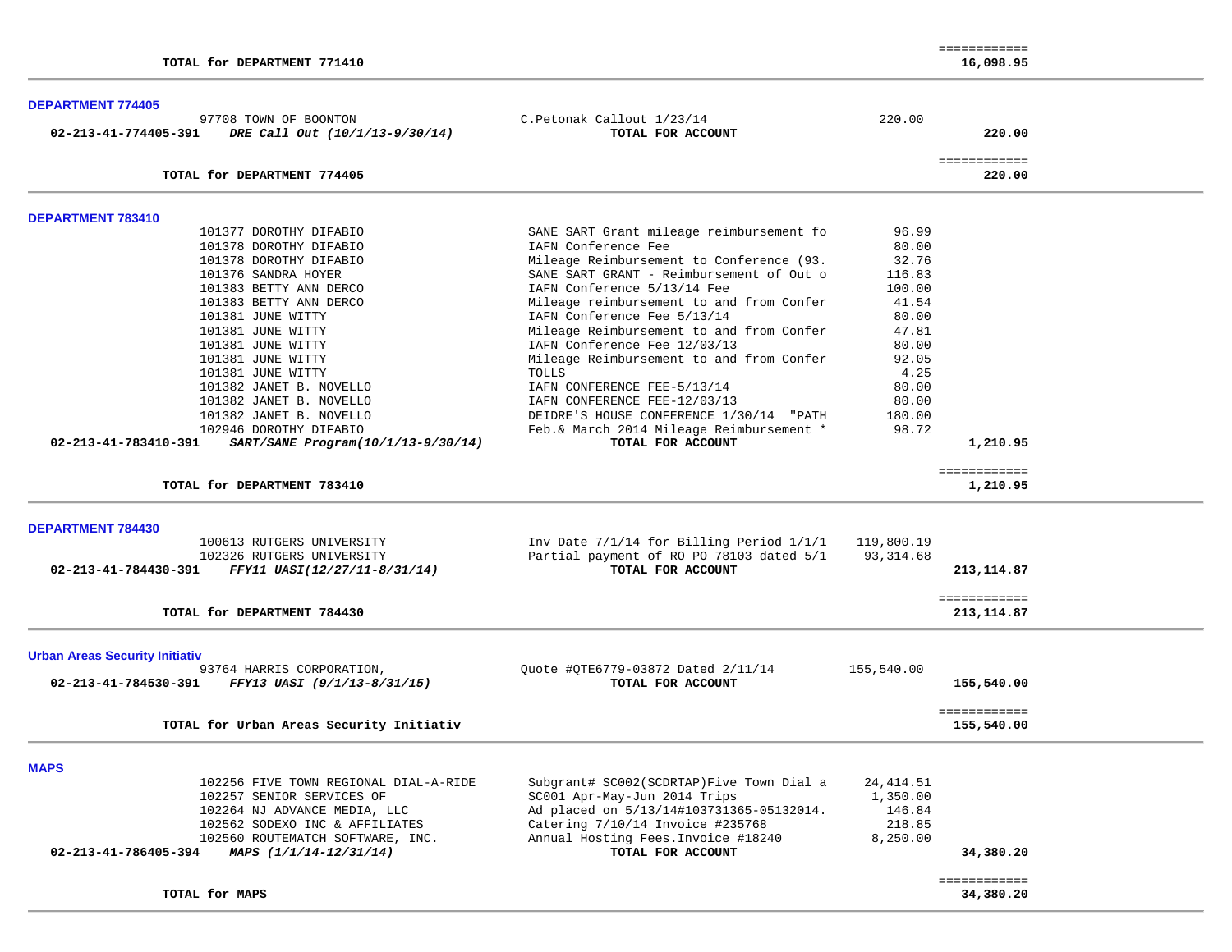| TOTAL for DEPARTMENT 771410                                                                                                                                                                                                                                                                                                                                                                       |                                                                                                                                                                                                                                                                                                                                                                                                                                                                                                                                                                               |                                                                                                                                       | ============<br>16,098.95            |  |
|---------------------------------------------------------------------------------------------------------------------------------------------------------------------------------------------------------------------------------------------------------------------------------------------------------------------------------------------------------------------------------------------------|-------------------------------------------------------------------------------------------------------------------------------------------------------------------------------------------------------------------------------------------------------------------------------------------------------------------------------------------------------------------------------------------------------------------------------------------------------------------------------------------------------------------------------------------------------------------------------|---------------------------------------------------------------------------------------------------------------------------------------|--------------------------------------|--|
| <b>DEPARTMENT 774405</b><br>97708 TOWN OF BOONTON<br>02-213-41-774405-391<br>DRE Call Out (10/1/13-9/30/14)                                                                                                                                                                                                                                                                                       | C.Petonak Callout 1/23/14<br>TOTAL FOR ACCOUNT                                                                                                                                                                                                                                                                                                                                                                                                                                                                                                                                | 220.00                                                                                                                                | 220.00                               |  |
| TOTAL for DEPARTMENT 774405                                                                                                                                                                                                                                                                                                                                                                       |                                                                                                                                                                                                                                                                                                                                                                                                                                                                                                                                                                               |                                                                                                                                       | ============<br>220.00               |  |
| DEPARTMENT 783410                                                                                                                                                                                                                                                                                                                                                                                 |                                                                                                                                                                                                                                                                                                                                                                                                                                                                                                                                                                               |                                                                                                                                       |                                      |  |
| 101377 DOROTHY DIFABIO<br>101378 DOROTHY DIFABIO<br>101378 DOROTHY DIFABIO<br>101376 SANDRA HOYER<br>101383 BETTY ANN DERCO<br>101383 BETTY ANN DERCO<br>101381 JUNE WITTY<br>101381 JUNE WITTY<br>101381 JUNE WITTY<br>101381 JUNE WITTY<br>101381 JUNE WITTY<br>101382 JANET B. NOVELLO<br>101382 JANET B. NOVELLO<br>101382 JANET B. NOVELLO<br>102946 DOROTHY DIFABIO<br>02-213-41-783410-391 | SANE SART Grant mileage reimbursement fo<br>IAFN Conference Fee<br>Mileage Reimbursement to Conference (93.<br>SANE SART GRANT - Reimbursement of Out o<br>IAFN Conference 5/13/14 Fee<br>Mileage reimbursement to and from Confer<br>IAFN Conference Fee 5/13/14<br>Mileage Reimbursement to and from Confer<br>IAFN Conference Fee 12/03/13<br>Mileage Reimbursement to and from Confer<br>TOLLS<br>IAFN CONFERENCE FEE-5/13/14<br>IAFN CONFERENCE FEE-12/03/13<br>DEIDRE'S HOUSE CONFERENCE 1/30/14 "PATH<br>Feb.& March 2014 Mileage Reimbursement *<br>TOTAL FOR ACCOUNT | 96.99<br>80.00<br>32.76<br>116.83<br>100.00<br>41.54<br>80.00<br>47.81<br>80.00<br>92.05<br>4.25<br>80.00<br>80.00<br>180.00<br>98.72 |                                      |  |
| SART/SANE Program(10/1/13-9/30/14)<br>TOTAL for DEPARTMENT 783410                                                                                                                                                                                                                                                                                                                                 |                                                                                                                                                                                                                                                                                                                                                                                                                                                                                                                                                                               |                                                                                                                                       | 1,210.95<br>============<br>1,210.95 |  |
| DEPARTMENT 784430<br>100613 RUTGERS UNIVERSITY                                                                                                                                                                                                                                                                                                                                                    | Inv Date $7/1/14$ for Billing Period $1/1/1$ 119,800.19                                                                                                                                                                                                                                                                                                                                                                                                                                                                                                                       |                                                                                                                                       |                                      |  |
| 102326 RUTGERS UNIVERSITY<br>FFY11 UASI(12/27/11-8/31/14)<br>02-213-41-784430-391                                                                                                                                                                                                                                                                                                                 | Partial payment of RO PO 78103 dated 5/1<br>TOTAL FOR ACCOUNT                                                                                                                                                                                                                                                                                                                                                                                                                                                                                                                 | 93,314.68                                                                                                                             | 213, 114.87                          |  |
| TOTAL for DEPARTMENT 784430                                                                                                                                                                                                                                                                                                                                                                       |                                                                                                                                                                                                                                                                                                                                                                                                                                                                                                                                                                               |                                                                                                                                       | ============<br>213, 114.87          |  |
| <b>Urban Areas Security Initiativ</b><br>93764 HARRIS CORPORATION,<br>FFY13 UASI (9/1/13-8/31/15)<br>02-213-41-784530-391                                                                                                                                                                                                                                                                         | Ouote #0TE6779-03872 Dated 2/11/14<br>TOTAL FOR ACCOUNT                                                                                                                                                                                                                                                                                                                                                                                                                                                                                                                       | 155,540.00                                                                                                                            | 155,540.00                           |  |
| TOTAL for Urban Areas Security Initiativ                                                                                                                                                                                                                                                                                                                                                          |                                                                                                                                                                                                                                                                                                                                                                                                                                                                                                                                                                               |                                                                                                                                       | ============<br>155,540.00           |  |
| <b>MAPS</b><br>102256 FIVE TOWN REGIONAL DIAL-A-RIDE<br>102257 SENIOR SERVICES OF<br>102264 NJ ADVANCE MEDIA, LLC<br>102562 SODEXO INC & AFFILIATES<br>102560 ROUTEMATCH SOFTWARE, INC.<br>02-213-41-786405-394<br>MAPS (1/1/14-12/31/14)                                                                                                                                                         | Subgrant# SC002(SCDRTAP)Five Town Dial a<br>SC001 Apr-May-Jun 2014 Trips<br>Ad placed on 5/13/14#103731365-05132014.<br>Catering 7/10/14 Invoice #235768<br>Annual Hosting Fees. Invoice #18240<br>TOTAL FOR ACCOUNT                                                                                                                                                                                                                                                                                                                                                          | 24, 414.51<br>1,350.00<br>146.84<br>218.85<br>8,250.00                                                                                | 34,380.20                            |  |
| TOTAL for MAPS                                                                                                                                                                                                                                                                                                                                                                                    |                                                                                                                                                                                                                                                                                                                                                                                                                                                                                                                                                                               |                                                                                                                                       | ============<br>34,380.20            |  |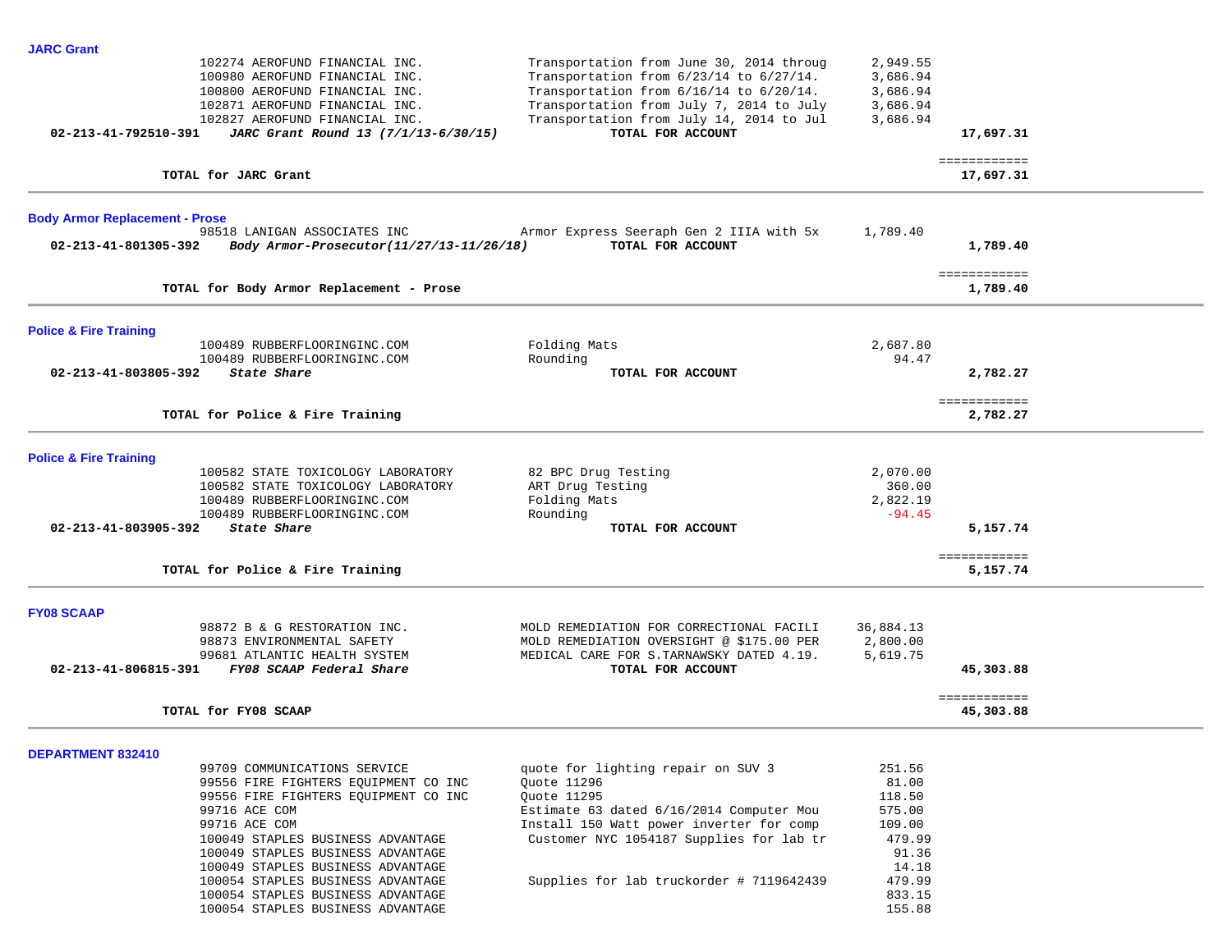| <b>JARC Grant</b>                     |                                                                      |                                                               |                 |              |  |
|---------------------------------------|----------------------------------------------------------------------|---------------------------------------------------------------|-----------------|--------------|--|
|                                       | 102274 AEROFUND FINANCIAL INC.                                       | Transportation from June 30, 2014 throug                      | 2,949.55        |              |  |
|                                       | 100980 AEROFUND FINANCIAL INC.                                       | Transportation from 6/23/14 to 6/27/14.                       | 3,686.94        |              |  |
|                                       | 100800 AEROFUND FINANCIAL INC.                                       | Transportation from 6/16/14 to 6/20/14.                       | 3,686.94        |              |  |
|                                       | 102871 AEROFUND FINANCIAL INC.                                       | Transportation from July 7, 2014 to July                      | 3,686.94        |              |  |
|                                       | 102827 AEROFUND FINANCIAL INC.                                       | Transportation from July 14, 2014 to Jul                      | 3,686.94        |              |  |
| 02-213-41-792510-391                  | JARC Grant Round 13 (7/1/13-6/30/15)                                 | TOTAL FOR ACCOUNT                                             |                 | 17,697.31    |  |
|                                       |                                                                      |                                                               |                 | ============ |  |
|                                       | TOTAL for JARC Grant                                                 |                                                               |                 | 17,697.31    |  |
|                                       |                                                                      |                                                               |                 |              |  |
| <b>Body Armor Replacement - Prose</b> | 98518 LANIGAN ASSOCIATES INC                                         |                                                               | 1,789.40        |              |  |
| 02-213-41-801305-392                  | Body Armor-Prosecutor(11/27/13-11/26/18)                             | Armor Express Seeraph Gen 2 IIIA with 5x<br>TOTAL FOR ACCOUNT |                 | 1,789.40     |  |
|                                       |                                                                      |                                                               |                 |              |  |
|                                       |                                                                      |                                                               |                 | ============ |  |
|                                       | TOTAL for Body Armor Replacement - Prose                             |                                                               |                 | 1,789.40     |  |
| <b>Police &amp; Fire Training</b>     |                                                                      |                                                               |                 |              |  |
|                                       | 100489 RUBBERFLOORINGINC.COM                                         | Folding Mats                                                  | 2,687.80        |              |  |
|                                       | 100489 RUBBERFLOORINGINC.COM                                         | Rounding                                                      | 94.47           |              |  |
| 02-213-41-803805-392                  | State Share                                                          | TOTAL FOR ACCOUNT                                             |                 | 2,782.27     |  |
|                                       |                                                                      |                                                               |                 | ============ |  |
|                                       | TOTAL for Police & Fire Training                                     |                                                               |                 | 2,782.27     |  |
|                                       |                                                                      |                                                               |                 |              |  |
| <b>Police &amp; Fire Training</b>     |                                                                      |                                                               |                 |              |  |
|                                       | 100582 STATE TOXICOLOGY LABORATORY                                   | 82 BPC Drug Testing                                           | 2,070.00        |              |  |
|                                       | 100582 STATE TOXICOLOGY LABORATORY                                   | ART Drug Testing                                              | 360.00          |              |  |
|                                       | 100489 RUBBERFLOORINGINC.COM                                         | Folding Mats                                                  | 2,822.19        |              |  |
|                                       | 100489 RUBBERFLOORINGINC.COM                                         | Rounding                                                      | $-94.45$        |              |  |
| 02-213-41-803905-392                  | State Share                                                          | TOTAL FOR ACCOUNT                                             |                 | 5,157.74     |  |
|                                       |                                                                      |                                                               |                 | ============ |  |
|                                       | TOTAL for Police & Fire Training                                     |                                                               |                 | 5,157.74     |  |
|                                       |                                                                      |                                                               |                 |              |  |
| <b>FY08 SCAAP</b>                     | 98872 B & G RESTORATION INC.                                         | MOLD REMEDIATION FOR CORRECTIONAL FACILI                      | 36,884.13       |              |  |
|                                       | 98873 ENVIRONMENTAL SAFETY                                           | MOLD REMEDIATION OVERSIGHT @ \$175.00 PER                     | 2,800.00        |              |  |
|                                       | 99681 ATLANTIC HEALTH SYSTEM                                         | MEDICAL CARE FOR S. TARNAWSKY DATED 4.19.                     | 5,619.75        |              |  |
| 02-213-41-806815-391                  | FY08 SCAAP Federal Share                                             | TOTAL FOR ACCOUNT                                             |                 | 45,303.88    |  |
|                                       |                                                                      |                                                               |                 | ============ |  |
|                                       | TOTAL for FY08 SCAAP                                                 |                                                               |                 | 45,303.88    |  |
|                                       |                                                                      |                                                               |                 |              |  |
| DEPARTMENT 832410                     |                                                                      |                                                               |                 |              |  |
|                                       | 99709 COMMUNICATIONS SERVICE<br>99556 FIRE FIGHTERS EQUIPMENT CO INC | quote for lighting repair on SUV 3<br>Quote 11296             | 251.56<br>81.00 |              |  |
|                                       |                                                                      | Quote 11295                                                   | 118.50          |              |  |
|                                       | 99556 FIRE FIGHTERS EQUIPMENT CO INC<br>99716 ACE COM                | Estimate 63 dated 6/16/2014 Computer Mou                      | 575.00          |              |  |
|                                       | 99716 ACE COM                                                        | Install 150 Watt power inverter for comp                      | 109.00          |              |  |
|                                       | 100049 STAPLES BUSINESS ADVANTAGE                                    | Customer NYC 1054187 Supplies for lab tr                      | 479.99          |              |  |
|                                       | 100049 STAPLES BUSINESS ADVANTAGE                                    |                                                               | 91.36           |              |  |
|                                       | 100049 STAPLES BUSINESS ADVANTAGE                                    |                                                               | 14.18           |              |  |
|                                       | 100054 STAPLES BUSINESS ADVANTAGE                                    | Supplies for lab truckorder # 7119642439                      | 479.99          |              |  |
|                                       | 100054 STAPLES BUSINESS ADVANTAGE                                    |                                                               | 833.15          |              |  |
|                                       | 100054 STAPLES BUSINESS ADVANTAGE                                    |                                                               | 155.88          |              |  |
|                                       |                                                                      |                                                               |                 |              |  |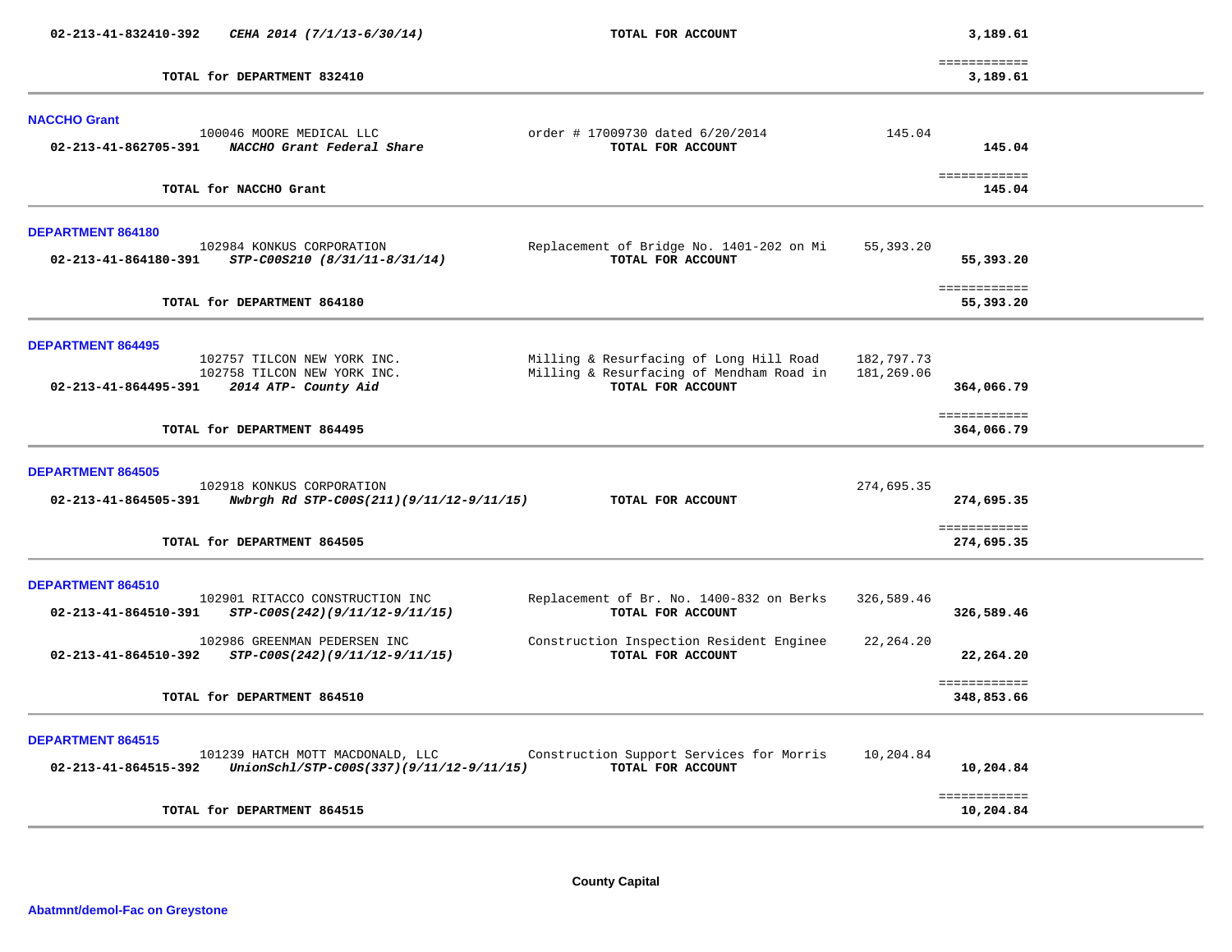| 02-213-41-832410-392     | CEHA 2014 (7/1/13-6/30/14)                                                         | TOTAL FOR ACCOUNT                                                                                        | 3,189.61                               |  |
|--------------------------|------------------------------------------------------------------------------------|----------------------------------------------------------------------------------------------------------|----------------------------------------|--|
|                          | TOTAL for DEPARTMENT 832410                                                        |                                                                                                          | ============<br>3,189.61               |  |
| <b>NACCHO Grant</b>      |                                                                                    |                                                                                                          |                                        |  |
| 02-213-41-862705-391     | 100046 MOORE MEDICAL LLC<br>NACCHO Grant Federal Share                             | order # 17009730 dated 6/20/2014<br>TOTAL FOR ACCOUNT                                                    | 145.04<br>145.04                       |  |
|                          | TOTAL for NACCHO Grant                                                             |                                                                                                          | ============<br>145.04                 |  |
| <b>DEPARTMENT 864180</b> |                                                                                    |                                                                                                          |                                        |  |
| 02-213-41-864180-391     | 102984 KONKUS CORPORATION<br>STP-C00S210 (8/31/11-8/31/14)                         | Replacement of Bridge No. 1401-202 on Mi<br>TOTAL FOR ACCOUNT                                            | 55,393.20<br>55,393.20                 |  |
|                          | TOTAL for DEPARTMENT 864180                                                        |                                                                                                          | ============<br>55,393.20              |  |
| <b>DEPARTMENT 864495</b> |                                                                                    |                                                                                                          |                                        |  |
| 02-213-41-864495-391     | 102757 TILCON NEW YORK INC.<br>102758 TILCON NEW YORK INC.<br>2014 ATP- County Aid | Milling & Resurfacing of Long Hill Road<br>Milling & Resurfacing of Mendham Road in<br>TOTAL FOR ACCOUNT | 182,797.73<br>181,269.06<br>364,066.79 |  |
|                          | TOTAL for DEPARTMENT 864495                                                        |                                                                                                          | ============<br>364,066.79             |  |
| <b>DEPARTMENT 864505</b> |                                                                                    |                                                                                                          |                                        |  |
| 02-213-41-864505-391     | 102918 KONKUS CORPORATION<br>Nwbrgh Rd STP-C00S(211)(9/11/12-9/11/15)              | TOTAL FOR ACCOUNT                                                                                        | 274,695.35<br>274,695.35               |  |
|                          | TOTAL for DEPARTMENT 864505                                                        |                                                                                                          | ============<br>274,695.35             |  |
| DEPARTMENT 864510        |                                                                                    |                                                                                                          |                                        |  |
| 02-213-41-864510-391     | 102901 RITACCO CONSTRUCTION INC<br>STP-C00S(242)(9/11/12-9/11/15)                  | Replacement of Br. No. 1400-832 on Berks<br>TOTAL FOR ACCOUNT                                            | 326,589.46<br>326,589.46               |  |
| 02-213-41-864510-392     | 102986 GREENMAN PEDERSEN INC<br>STP-C00S(242)(9/11/12-9/11/15)                     | Construction Inspection Resident Enginee<br>TOTAL FOR ACCOUNT                                            | 22, 264.20<br>22,264.20                |  |
|                          | TOTAL for DEPARTMENT 864510                                                        |                                                                                                          | ============<br>348,853.66             |  |
| <b>DEPARTMENT 864515</b> | 101239 HATCH MOTT MACDONALD, LLC                                                   | Construction Support Services for Morris                                                                 | 10,204.84                              |  |
| 02-213-41-864515-392     | $UnionSchl/STP-C00S(337)(9/11/12-9/11/15)$                                         | TOTAL FOR ACCOUNT                                                                                        | 10,204.84                              |  |
|                          | TOTAL for DEPARTMENT 864515                                                        |                                                                                                          | ============<br>10,204.84              |  |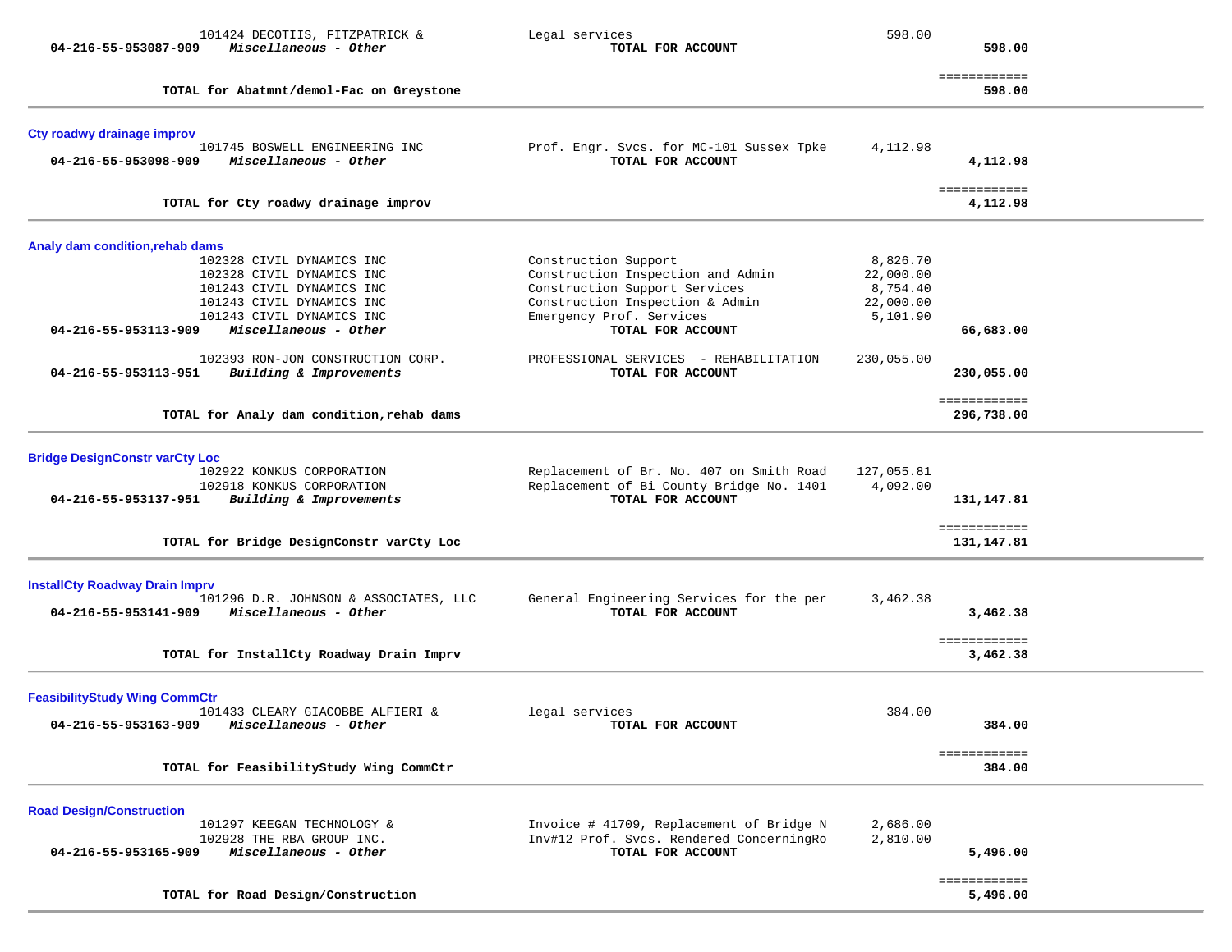| 101424 DECOTIIS, FITZPATRICK &<br>Miscellaneous - Other<br>04-216-55-953087-909        | Legal services<br>TOTAL FOR ACCOUNT                           | 598.00     | 598.00                     |  |
|----------------------------------------------------------------------------------------|---------------------------------------------------------------|------------|----------------------------|--|
| TOTAL for Abatmnt/demol-Fac on Greystone                                               |                                                               |            | ============<br>598.00     |  |
| Cty roadwy drainage improv<br>101745 BOSWELL ENGINEERING INC                           | Prof. Engr. Svcs. for MC-101 Sussex Tpke                      | 4,112.98   |                            |  |
| Miscellaneous - Other<br>04-216-55-953098-909                                          | TOTAL FOR ACCOUNT                                             |            | 4,112.98                   |  |
| TOTAL for Cty roadwy drainage improv                                                   |                                                               |            | ============<br>4,112.98   |  |
| Analy dam condition, rehab dams<br>102328 CIVIL DYNAMICS INC                           | Construction Support                                          | 8,826.70   |                            |  |
| 102328 CIVIL DYNAMICS INC                                                              | Construction Inspection and Admin                             | 22,000.00  |                            |  |
| 101243 CIVIL DYNAMICS INC                                                              | Construction Support Services                                 | 8,754.40   |                            |  |
| 101243 CIVIL DYNAMICS INC                                                              | Construction Inspection & Admin                               | 22,000.00  |                            |  |
| 101243 CIVIL DYNAMICS INC                                                              | Emergency Prof. Services                                      | 5,101.90   |                            |  |
| Miscellaneous - Other<br>04-216-55-953113-909                                          | TOTAL FOR ACCOUNT                                             |            | 66,683.00                  |  |
| 102393 RON-JON CONSTRUCTION CORP.                                                      | PROFESSIONAL SERVICES - REHABILITATION                        | 230,055.00 |                            |  |
| 04-216-55-953113-951<br>Building & Improvements                                        | TOTAL FOR ACCOUNT                                             |            | 230,055.00                 |  |
| TOTAL for Analy dam condition, rehab dams                                              |                                                               |            | ============<br>296,738.00 |  |
| <b>Bridge DesignConstr varCty Loc</b>                                                  |                                                               |            |                            |  |
| 102922 KONKUS CORPORATION                                                              | Replacement of Br. No. 407 on Smith Road                      | 127,055.81 |                            |  |
| 102918 KONKUS CORPORATION                                                              | Replacement of Bi County Bridge No. 1401                      | 4,092.00   |                            |  |
| 04-216-55-953137-951<br>Building & Improvements                                        | TOTAL FOR ACCOUNT                                             |            | 131,147.81                 |  |
| TOTAL for Bridge DesignConstr varCty Loc                                               |                                                               |            | ============<br>131,147.81 |  |
|                                                                                        |                                                               |            |                            |  |
| <b>InstallCty Roadway Drain Imprv</b>                                                  |                                                               |            |                            |  |
| 101296 D.R. JOHNSON & ASSOCIATES, LLC<br>Miscellaneous - Other<br>04-216-55-953141-909 | General Engineering Services for the per<br>TOTAL FOR ACCOUNT | 3,462.38   | 3,462.38                   |  |
|                                                                                        |                                                               |            |                            |  |
| TOTAL for InstallCty Roadway Drain Imprv                                               |                                                               |            | ============<br>3,462.38   |  |
| <b>FeasibilityStudy Wing CommCtr</b>                                                   |                                                               |            |                            |  |
| 101433 CLEARY GIACOBBE ALFIERI &                                                       | legal services                                                | 384.00     |                            |  |
| 04-216-55-953163-909<br>Miscellaneous - Other                                          | TOTAL FOR ACCOUNT                                             |            | 384.00                     |  |
| TOTAL for FeasibilityStudy Wing CommCtr                                                |                                                               |            | ============<br>384.00     |  |
| <b>Road Design/Construction</b>                                                        |                                                               |            |                            |  |
| 101297 KEEGAN TECHNOLOGY &                                                             | Invoice # 41709, Replacement of Bridge N                      | 2,686.00   |                            |  |
| 102928 THE RBA GROUP INC.                                                              | Inv#12 Prof. Svcs. Rendered ConcerningRo                      | 2,810.00   |                            |  |
| Miscellaneous - Other<br>04-216-55-953165-909                                          | TOTAL FOR ACCOUNT                                             |            | 5,496.00                   |  |
| TOTAL for Road Design/Construction                                                     |                                                               |            | ============<br>5,496.00   |  |
|                                                                                        |                                                               |            |                            |  |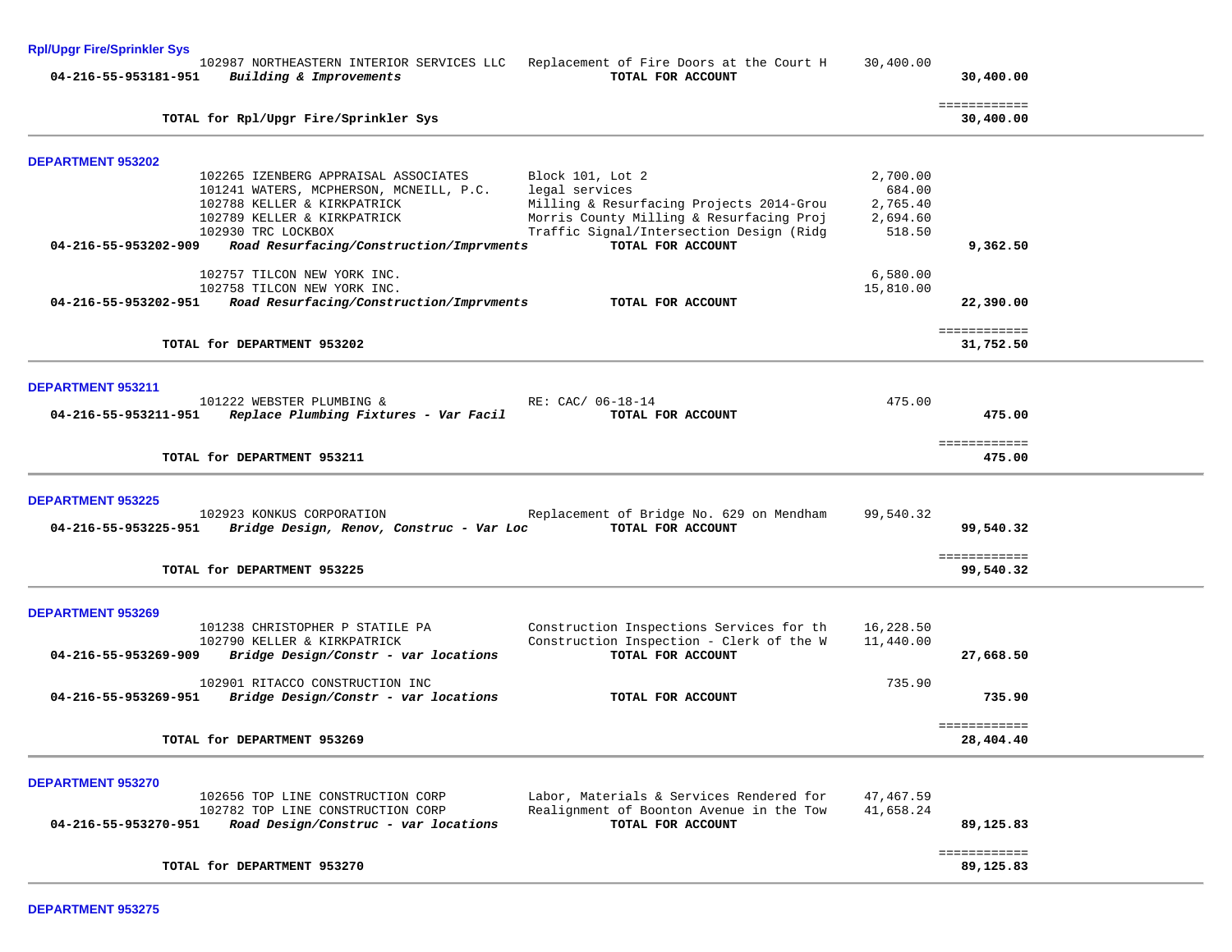| <b>Rpl/Upgr Fire/Sprinkler Sys</b>                                                            |                                                                                                         |           |                           |  |
|-----------------------------------------------------------------------------------------------|---------------------------------------------------------------------------------------------------------|-----------|---------------------------|--|
| 04-216-55-953181-951<br>Building & Improvements                                               | 102987 NORTHEASTERN INTERIOR SERVICES LLC Replacement of Fire Doors at the Court H<br>TOTAL FOR ACCOUNT | 30,400.00 | 30,400.00                 |  |
| TOTAL for Rpl/Upgr Fire/Sprinkler Sys                                                         |                                                                                                         |           | ============<br>30,400.00 |  |
| <b>DEPARTMENT 953202</b>                                                                      |                                                                                                         |           |                           |  |
| 102265 IZENBERG APPRAISAL ASSOCIATES                                                          | Block 101, Lot 2                                                                                        | 2,700.00  |                           |  |
| 101241 WATERS, MCPHERSON, MCNEILL, P.C.                                                       | legal services                                                                                          | 684.00    |                           |  |
| 102788 KELLER & KIRKPATRICK                                                                   | Milling & Resurfacing Projects 2014-Grou                                                                | 2,765.40  |                           |  |
| 102789 KELLER & KIRKPATRICK                                                                   | Morris County Milling & Resurfacing Proj                                                                | 2,694.60  |                           |  |
| 102930 TRC LOCKBOX<br>Road Resurfacing/Construction/Imprvments<br>04-216-55-953202-909        | Traffic Signal/Intersection Design (Ridg<br>TOTAL FOR ACCOUNT                                           | 518.50    | 9,362.50                  |  |
|                                                                                               |                                                                                                         |           |                           |  |
| 102757 TILCON NEW YORK INC.                                                                   |                                                                                                         | 6,580.00  |                           |  |
| 102758 TILCON NEW YORK INC.                                                                   |                                                                                                         | 15,810.00 |                           |  |
| Road Resurfacing/Construction/Imprvments<br>04-216-55-953202-951                              | TOTAL FOR ACCOUNT                                                                                       |           | 22,390.00                 |  |
|                                                                                               |                                                                                                         |           |                           |  |
| TOTAL for DEPARTMENT 953202                                                                   |                                                                                                         |           | ============<br>31,752.50 |  |
|                                                                                               |                                                                                                         |           |                           |  |
|                                                                                               |                                                                                                         |           |                           |  |
| <b>DEPARTMENT 953211</b>                                                                      |                                                                                                         |           |                           |  |
| 101222 WEBSTER PLUMBING &                                                                     | RE: CAC/ 06-18-14                                                                                       | 475.00    |                           |  |
| 04-216-55-953211-951<br>Replace Plumbing Fixtures - Var Facil                                 | TOTAL FOR ACCOUNT                                                                                       |           | 475.00                    |  |
|                                                                                               |                                                                                                         |           | ============              |  |
| TOTAL for DEPARTMENT 953211                                                                   |                                                                                                         |           | 475.00                    |  |
|                                                                                               |                                                                                                         |           |                           |  |
|                                                                                               |                                                                                                         |           |                           |  |
| <b>DEPARTMENT 953225</b>                                                                      |                                                                                                         |           |                           |  |
| 102923 KONKUS CORPORATION<br>Bridge Design, Renov, Construc - Var Loc<br>04-216-55-953225-951 | Replacement of Bridge No. 629 on Mendham<br>TOTAL FOR ACCOUNT                                           | 99,540.32 | 99,540.32                 |  |
|                                                                                               |                                                                                                         |           |                           |  |
|                                                                                               |                                                                                                         |           | ============              |  |
| TOTAL for DEPARTMENT 953225                                                                   |                                                                                                         |           | 99,540.32                 |  |
|                                                                                               |                                                                                                         |           |                           |  |
| <b>DEPARTMENT 953269</b>                                                                      |                                                                                                         |           |                           |  |
| 101238 CHRISTOPHER P STATILE PA                                                               | Construction Inspections Services for th                                                                | 16,228.50 |                           |  |
| 102790 KELLER & KIRKPATRICK                                                                   | Construction Inspection - Clerk of the W                                                                | 11,440.00 |                           |  |
| 04-216-55-953269-909<br>Bridge Design/Constr - var locations                                  | TOTAL FOR ACCOUNT                                                                                       |           | 27,668.50                 |  |
|                                                                                               |                                                                                                         |           |                           |  |
| 102901 RITACCO CONSTRUCTION INC                                                               |                                                                                                         | 735.90    |                           |  |
| 04-216-55-953269-951<br>Bridge Design/Constr - var locations                                  | TOTAL FOR ACCOUNT                                                                                       |           | 735.90                    |  |
|                                                                                               |                                                                                                         |           | ============              |  |
| TOTAL for DEPARTMENT 953269                                                                   |                                                                                                         |           | 28,404.40                 |  |
|                                                                                               |                                                                                                         |           |                           |  |
|                                                                                               |                                                                                                         |           |                           |  |
| <b>DEPARTMENT 953270</b>                                                                      |                                                                                                         |           |                           |  |
| 102656 TOP LINE CONSTRUCTION CORP                                                             | Labor, Materials & Services Rendered for                                                                | 47,467.59 |                           |  |
| 102782 TOP LINE CONSTRUCTION CORP                                                             | Realignment of Boonton Avenue in the Tow                                                                | 41,658.24 |                           |  |
| Road Design/Construc - var locations<br>04-216-55-953270-951                                  | TOTAL FOR ACCOUNT                                                                                       |           | 89,125.83                 |  |
|                                                                                               |                                                                                                         |           | ============              |  |
| TOTAL for DEPARTMENT 953270                                                                   |                                                                                                         |           | 89,125.83                 |  |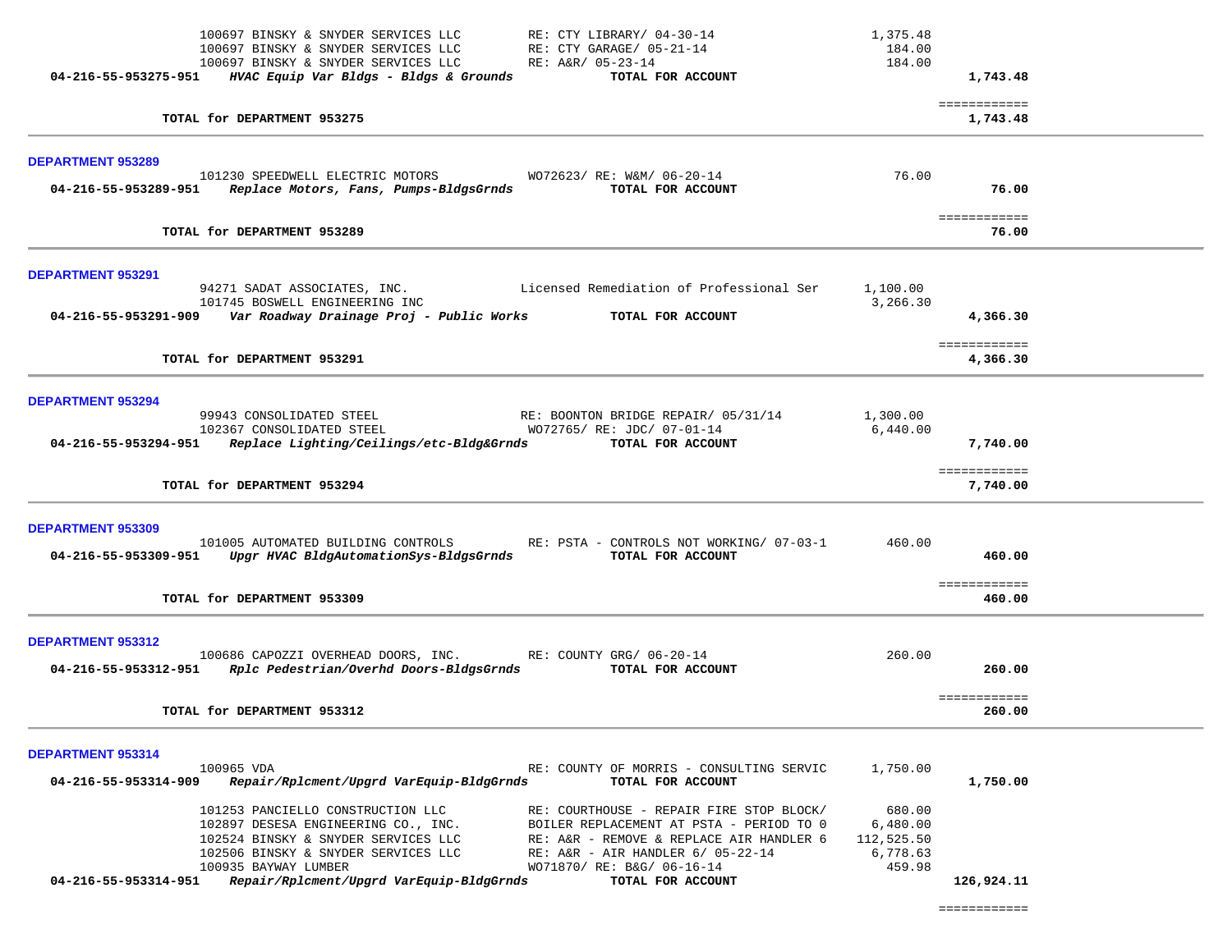| 100697 BINSKY & SNYDER SERVICES LLC<br>RE: CTY LIBRARY/ 04-30-14<br>100697 BINSKY & SNYDER SERVICES LLC<br>RE: CTY GARAGE/ 05-21-14<br>100697 BINSKY & SNYDER SERVICES LLC<br>RE: A&R/ 05-23-14<br>$04-216-55-953275-951$ HVAC Equip Var Bldgs - Bldgs & Grounds<br>TOTAL FOR ACCOUNT                                                                                                                                                                                       | 1,375.48<br>184.00<br>184.00                           | 1,743.48                    |  |
|-----------------------------------------------------------------------------------------------------------------------------------------------------------------------------------------------------------------------------------------------------------------------------------------------------------------------------------------------------------------------------------------------------------------------------------------------------------------------------|--------------------------------------------------------|-----------------------------|--|
| TOTAL for DEPARTMENT 953275                                                                                                                                                                                                                                                                                                                                                                                                                                                 |                                                        | ============<br>1,743.48    |  |
| <b>DEPARTMENT 953289</b>                                                                                                                                                                                                                                                                                                                                                                                                                                                    |                                                        |                             |  |
| 101230 SPEEDWELL ELECTRIC MOTORS<br>WO72623/ RE: W&M/ 06-20-14<br>04-216-55-953289-951 Replace Motors, Fans, Pumps-BldgsGrnds<br>TOTAL FOR ACCOUNT                                                                                                                                                                                                                                                                                                                          | 76.00                                                  | 76.00                       |  |
| TOTAL for DEPARTMENT 953289                                                                                                                                                                                                                                                                                                                                                                                                                                                 |                                                        | <b>EEEEEEEEEEE</b><br>76.00 |  |
| <b>DEPARTMENT 953291</b>                                                                                                                                                                                                                                                                                                                                                                                                                                                    |                                                        |                             |  |
| 94271 SADAT ASSOCIATES, INC. Licensed Remediation of Professional Ser<br>101745 BOSWELL ENGINEERING INC<br>04-216-55-953291-909 Var Roadway Drainage Proj - Public Works TOTAL FOR ACCOUNT                                                                                                                                                                                                                                                                                  | 1,100.00<br>3,266.30                                   | 4,366.30                    |  |
| TOTAL for DEPARTMENT 953291                                                                                                                                                                                                                                                                                                                                                                                                                                                 |                                                        | ============<br>4,366.30    |  |
| <b>DEPARTMENT 953294</b><br>99943 CONSOLIDATED STEEL<br>RE: BOONTON BRIDGE REPAIR/ 05/31/14<br>102367 CONSOLIDATED STEEL<br>WO72765/ RE: JDC/ 07-01-14<br>04-216-55-953294-951 Replace Lighting/Ceilings/etc-Bldg&Grnds TOTAL FOR ACCOUNT                                                                                                                                                                                                                                   | 1,300.00<br>6,440.00                                   | 7,740.00                    |  |
| TOTAL for DEPARTMENT 953294                                                                                                                                                                                                                                                                                                                                                                                                                                                 |                                                        | ============<br>7,740.00    |  |
| <b>DEPARTMENT 953309</b><br>101005 AUTOMATED BUILDING CONTROLS RE: PSTA - CONTROLS NOT WORKING/ 07-03-1<br>04-216-55-953309-951 Upgr HVAC BldgAutomationSys-BldgsGrnds<br>TOTAL FOR ACCOUNT                                                                                                                                                                                                                                                                                 | 460.00                                                 | 460.00                      |  |
| TOTAL for DEPARTMENT 953309                                                                                                                                                                                                                                                                                                                                                                                                                                                 |                                                        | ============<br>460.00      |  |
| DEPARTMENT 953312<br>100686 CAPOZZI OVERHEAD DOORS, INC. RE: COUNTY GRG/ 06-20-14<br>04-216-55-953312-951 Rplc Pedestrian/Overhd Doors-BldgsGrnds<br>TOTAL FOR ACCOUNT                                                                                                                                                                                                                                                                                                      | 260.00                                                 | 260.00                      |  |
| TOTAL for DEPARTMENT 953312                                                                                                                                                                                                                                                                                                                                                                                                                                                 |                                                        | ============<br>260.00      |  |
| <b>DEPARTMENT 953314</b><br>100965 VDA<br>RE: COUNTY OF MORRIS - CONSULTING SERVIC<br>04-216-55-953314-909<br>Repair/Rplcment/Upgrd VarEquip-BldgGrnds<br>TOTAL FOR ACCOUNT                                                                                                                                                                                                                                                                                                 | 1,750.00                                               | 1,750.00                    |  |
| 101253 PANCIELLO CONSTRUCTION LLC<br>RE: COURTHOUSE - REPAIR FIRE STOP BLOCK/<br>102897 DESESA ENGINEERING CO., INC.<br>BOILER REPLACEMENT AT PSTA - PERIOD TO 0<br>102524 BINSKY & SNYDER SERVICES LLC<br>RE: A&R - REMOVE & REPLACE AIR HANDLER 6<br>102506 BINSKY & SNYDER SERVICES LLC<br>RE: A&R - AIR HANDLER 6/ 05-22-14<br>100935 BAYWAY LUMBER<br>WO71870/ RE: B&G/ 06-16-14<br>04-216-55-953314-951 Repair/Rplcment/Upgrd VarEquip-BldgGrnds<br>TOTAL FOR ACCOUNT | 680.00<br>6,480.00<br>112,525.50<br>6,778.63<br>459.98 | 126,924.11                  |  |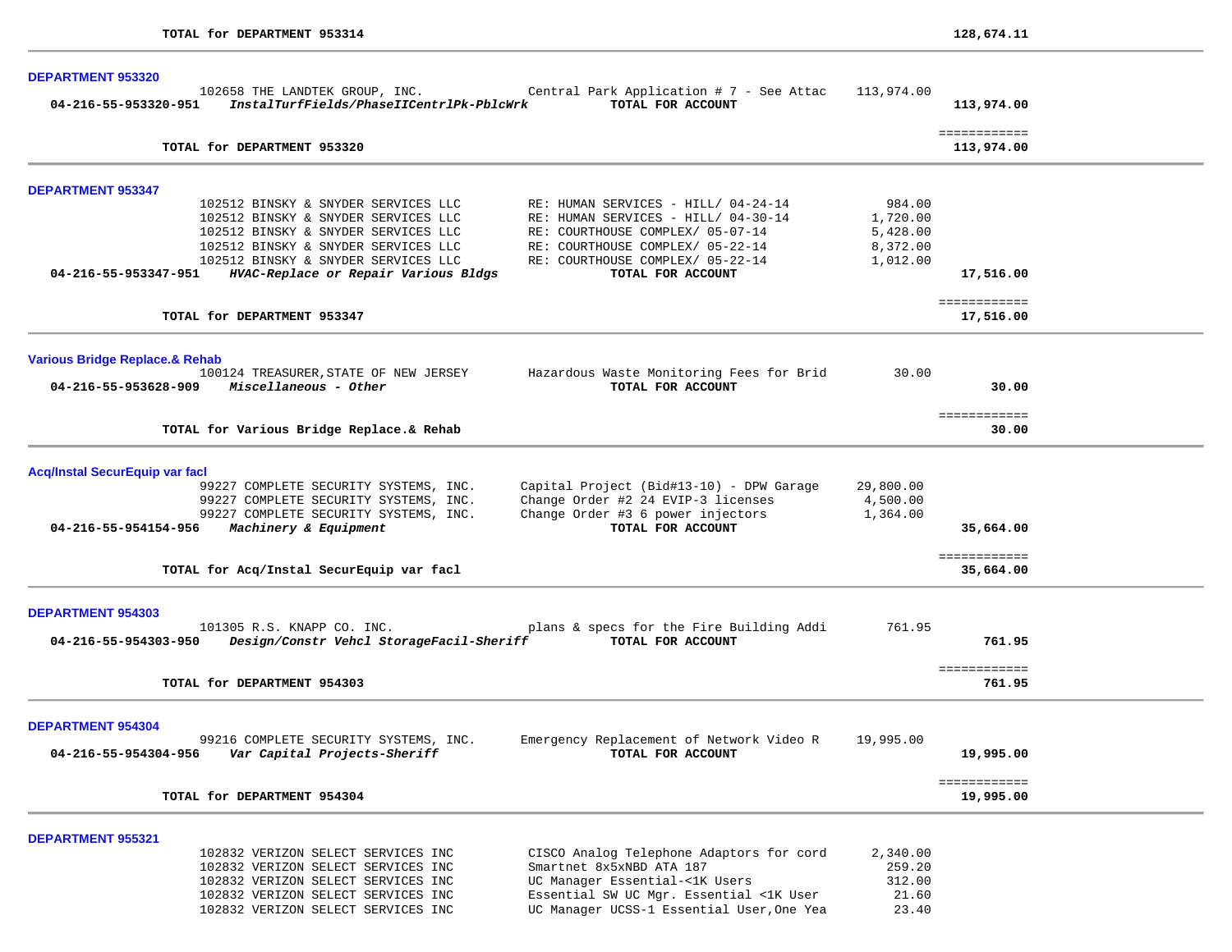| <b>DEPARTMENT 953320</b>                                                                          |                                                                                                                                                                                                                                         |                                                                                                                                                                                                             |                                                        |                            |  |
|---------------------------------------------------------------------------------------------------|-----------------------------------------------------------------------------------------------------------------------------------------------------------------------------------------------------------------------------------------|-------------------------------------------------------------------------------------------------------------------------------------------------------------------------------------------------------------|--------------------------------------------------------|----------------------------|--|
| 04-216-55-953320-951                                                                              | 102658 THE LANDTEK GROUP, INC.<br>InstalTurfFields/PhaseIICentrlPk-PblcWrk                                                                                                                                                              | Central Park Application # 7 - See Attac<br>TOTAL FOR ACCOUNT                                                                                                                                               | 113,974.00                                             | 113,974.00                 |  |
| TOTAL for DEPARTMENT 953320                                                                       |                                                                                                                                                                                                                                         |                                                                                                                                                                                                             |                                                        | ============<br>113,974.00 |  |
| <b>DEPARTMENT 953347</b>                                                                          |                                                                                                                                                                                                                                         |                                                                                                                                                                                                             |                                                        |                            |  |
| 04-216-55-953347-951                                                                              | 102512 BINSKY & SNYDER SERVICES LLC<br>102512 BINSKY & SNYDER SERVICES LLC<br>102512 BINSKY & SNYDER SERVICES LLC<br>102512 BINSKY & SNYDER SERVICES LLC<br>102512 BINSKY & SNYDER SERVICES LLC<br>HVAC-Replace or Repair Various Bldgs | RE: HUMAN SERVICES - HILL/ 04-24-14<br>RE: HUMAN SERVICES - HILL/ 04-30-14<br>RE: COURTHOUSE COMPLEX/ 05-07-14<br>RE: COURTHOUSE COMPLEX/ 05-22-14<br>RE: COURTHOUSE COMPLEX/ 05-22-14<br>TOTAL FOR ACCOUNT | 984.00<br>1,720.00<br>5,428.00<br>8,372.00<br>1,012.00 | 17,516.00                  |  |
| TOTAL for DEPARTMENT 953347                                                                       |                                                                                                                                                                                                                                         |                                                                                                                                                                                                             |                                                        | ============<br>17,516.00  |  |
| <b>Various Bridge Replace.&amp; Rehab</b><br>$04 - 216 - 55 - 953628 - 909$ Miscellaneous - Other | 100124 TREASURER, STATE OF NEW JERSEY                                                                                                                                                                                                   | Hazardous Waste Monitoring Fees for Brid<br>TOTAL FOR ACCOUNT                                                                                                                                               | 30.00                                                  | 30.00                      |  |
| TOTAL for Various Bridge Replace.& Rehab                                                          |                                                                                                                                                                                                                                         |                                                                                                                                                                                                             |                                                        | ============<br>30.00      |  |
| <b>Acq/Instal SecurEquip var facl</b><br>04-216-55-954154-956<br>Machinery & Equipment            | 99227 COMPLETE SECURITY SYSTEMS, INC.<br>99227 COMPLETE SECURITY SYSTEMS, INC.<br>99227 COMPLETE SECURITY SYSTEMS, INC.                                                                                                                 | Capital Project (Bid#13-10) - DPW Garage<br>Change Order #2 24 EVIP-3 licenses<br>Change Order #3 6 power injectors<br>TOTAL FOR ACCOUNT                                                                    | 29,800.00<br>4,500.00<br>1,364.00                      | 35,664.00                  |  |
| TOTAL for Acq/Instal SecurEquip var facl                                                          |                                                                                                                                                                                                                                         |                                                                                                                                                                                                             |                                                        | ============<br>35,664.00  |  |
| <b>DEPARTMENT 954303</b><br>101305 R.S. KNAPP CO. INC.<br>04-216-55-954303-950                    | Design/Constr Vehcl StorageFacil-Sheriff                                                                                                                                                                                                | plans & specs for the Fire Building Addi<br>TOTAL FOR ACCOUNT                                                                                                                                               | 761.95                                                 | 761.95<br>============     |  |
| TOTAL for DEPARTMENT 954303                                                                       |                                                                                                                                                                                                                                         |                                                                                                                                                                                                             |                                                        | 761.95                     |  |
| <b>DEPARTMENT 954304</b><br>04-216-55-954304-956                                                  | 99216 COMPLETE SECURITY SYSTEMS, INC.<br>Var Capital Projects-Sheriff                                                                                                                                                                   | Emergency Replacement of Network Video R<br>TOTAL FOR ACCOUNT                                                                                                                                               | 19,995.00                                              | 19,995.00                  |  |
| TOTAL for DEPARTMENT 954304                                                                       |                                                                                                                                                                                                                                         |                                                                                                                                                                                                             |                                                        | ============<br>19,995.00  |  |
| <b>DEPARTMENT 955321</b>                                                                          | 102832 VERIZON SELECT SERVICES INC<br>102832 VERIZON SELECT SERVICES INC<br>102832 VERIZON SELECT SERVICES INC<br>102832 VERIZON SELECT SERVICES INC<br>102832 VERIZON SELECT SERVICES INC                                              | CISCO Analog Telephone Adaptors for cord<br>Smartnet 8x5xNBD ATA 187<br>UC Manager Essential-<1K Users<br>Essential SW UC Mgr. Essential <1K User<br>UC Manager UCSS-1 Essential User, One Yea              | 2,340.00<br>259.20<br>312.00<br>21.60<br>23.40         |                            |  |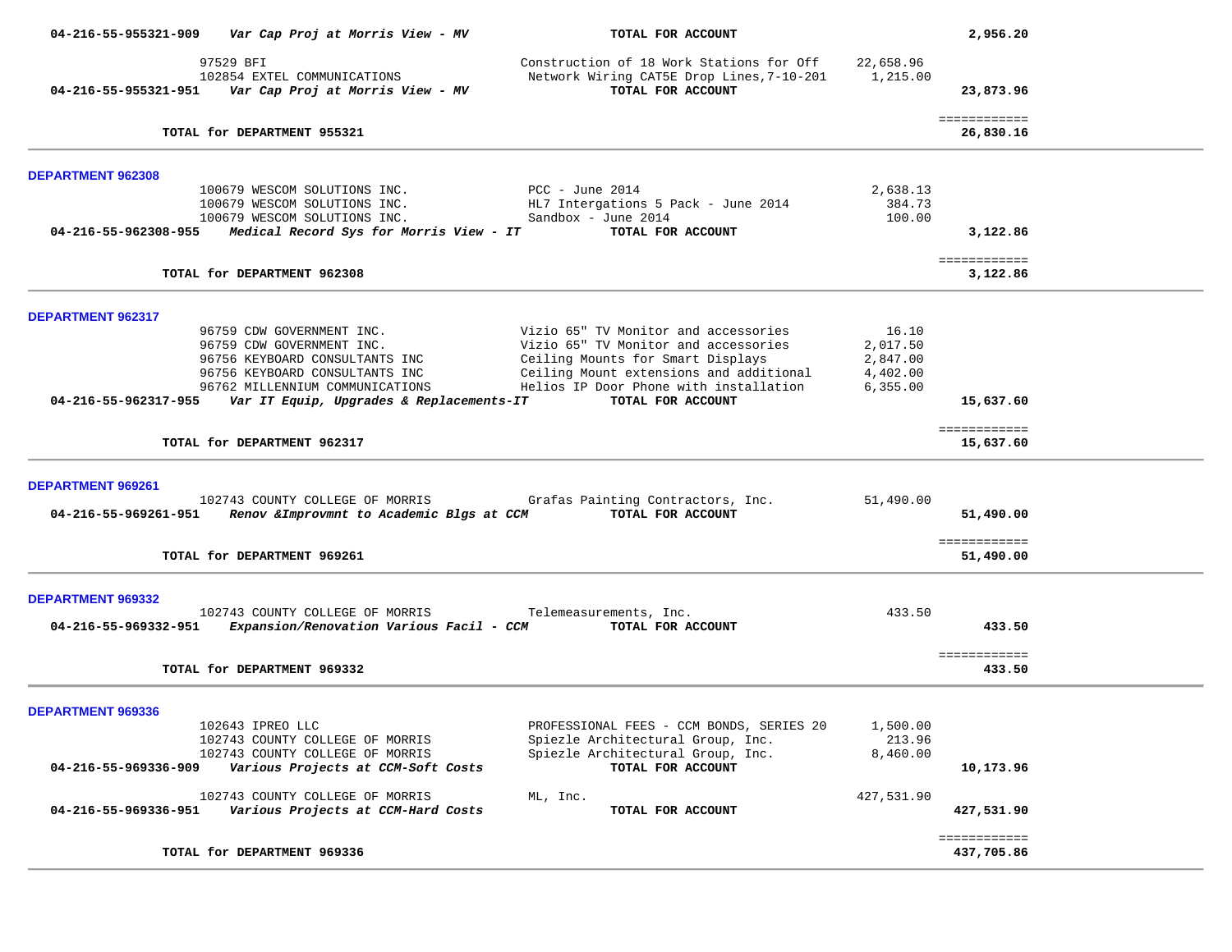| 04-216-55-955321-909                      | Var Cap Proj at Morris View - MV                                                                                                                                                                          | TOTAL FOR ACCOUNT                                                                                                                                                                                                           |                                                        | 2,956.20                   |  |
|-------------------------------------------|-----------------------------------------------------------------------------------------------------------------------------------------------------------------------------------------------------------|-----------------------------------------------------------------------------------------------------------------------------------------------------------------------------------------------------------------------------|--------------------------------------------------------|----------------------------|--|
| 04-216-55-955321-951                      | 97529 BFI<br>102854 EXTEL COMMUNICATIONS<br>Var Cap Proj at Morris View - MV                                                                                                                              | Construction of 18 Work Stations for Off<br>Network Wiring CAT5E Drop Lines, 7-10-201<br>TOTAL FOR ACCOUNT                                                                                                                  | 22,658.96<br>1,215.00                                  | 23,873.96                  |  |
|                                           | TOTAL for DEPARTMENT 955321                                                                                                                                                                               |                                                                                                                                                                                                                             |                                                        | ============<br>26,830.16  |  |
| <b>DEPARTMENT 962308</b>                  |                                                                                                                                                                                                           |                                                                                                                                                                                                                             |                                                        |                            |  |
| 04-216-55-962308-955                      | 100679 WESCOM SOLUTIONS INC.<br>100679 WESCOM SOLUTIONS INC.<br>100679 WESCOM SOLUTIONS INC.<br>Medical Record Sys for Morris View - IT                                                                   | $PCC - June 2014$<br>HL7 Intergations 5 Pack - June 2014<br>Sandbox - June 2014<br>TOTAL FOR ACCOUNT                                                                                                                        | 2,638.13<br>384.73<br>100.00                           | 3,122.86                   |  |
|                                           | TOTAL for DEPARTMENT 962308                                                                                                                                                                               |                                                                                                                                                                                                                             |                                                        | ============<br>3,122.86   |  |
| <b>DEPARTMENT 962317</b>                  |                                                                                                                                                                                                           |                                                                                                                                                                                                                             |                                                        |                            |  |
| 04-216-55-962317-955                      | 96759 CDW GOVERNMENT INC.<br>96759 CDW GOVERNMENT INC.<br>96756 KEYBOARD CONSULTANTS INC<br>96756 KEYBOARD CONSULTANTS INC<br>96762 MILLENNIUM COMMUNICATIONS<br>Var IT Equip, Upgrades & Replacements-IT | Vizio 65" TV Monitor and accessories<br>Vizio 65" TV Monitor and accessories<br>Ceiling Mounts for Smart Displays<br>Ceiling Mount extensions and additional<br>Helios IP Door Phone with installation<br>TOTAL FOR ACCOUNT | 16.10<br>2,017.50<br>2,847.00<br>4,402.00<br>6, 355.00 | 15,637.60                  |  |
|                                           | TOTAL for DEPARTMENT 962317                                                                                                                                                                               |                                                                                                                                                                                                                             |                                                        | ============<br>15,637.60  |  |
| DEPARTMENT 969261<br>04-216-55-969261-951 | 102743 COUNTY COLLEGE OF MORRIS<br>Renov & Improvmnt to Academic Blgs at CCM                                                                                                                              | Grafas Painting Contractors, Inc.<br>TOTAL FOR ACCOUNT                                                                                                                                                                      | 51,490.00                                              | 51,490.00                  |  |
|                                           | TOTAL for DEPARTMENT 969261                                                                                                                                                                               |                                                                                                                                                                                                                             |                                                        | ============<br>51,490.00  |  |
| <b>DEPARTMENT 969332</b>                  | 102743 COUNTY COLLEGE OF MORRIS                                                                                                                                                                           | Telemeasurements, Inc.                                                                                                                                                                                                      | 433.50                                                 |                            |  |
| 04-216-55-969332-951                      | Expansion/Renovation Various Facil - CCM                                                                                                                                                                  | TOTAL FOR ACCOUNT                                                                                                                                                                                                           |                                                        | 433.50                     |  |
|                                           | TOTAL for DEPARTMENT 969332                                                                                                                                                                               |                                                                                                                                                                                                                             |                                                        | ============<br>433.50     |  |
| <b>DEPARTMENT 969336</b>                  |                                                                                                                                                                                                           | PROFESSIONAL FEES - CCM BONDS, SERIES 20                                                                                                                                                                                    | 1,500.00                                               |                            |  |
| 04-216-55-969336-909                      | 102643 IPREO LLC<br>102743 COUNTY COLLEGE OF MORRIS<br>102743 COUNTY COLLEGE OF MORRIS<br>Various Projects at CCM-Soft Costs                                                                              | Spiezle Architectural Group, Inc.<br>Spiezle Architectural Group, Inc.<br>TOTAL FOR ACCOUNT                                                                                                                                 | 213.96<br>8,460.00                                     | 10,173.96                  |  |
| 04-216-55-969336-951                      | 102743 COUNTY COLLEGE OF MORRIS<br>Various Projects at CCM-Hard Costs                                                                                                                                     | ML, Inc.<br>TOTAL FOR ACCOUNT                                                                                                                                                                                               | 427,531.90                                             | 427,531.90                 |  |
|                                           | TOTAL for DEPARTMENT 969336                                                                                                                                                                               |                                                                                                                                                                                                                             |                                                        | ============<br>437,705.86 |  |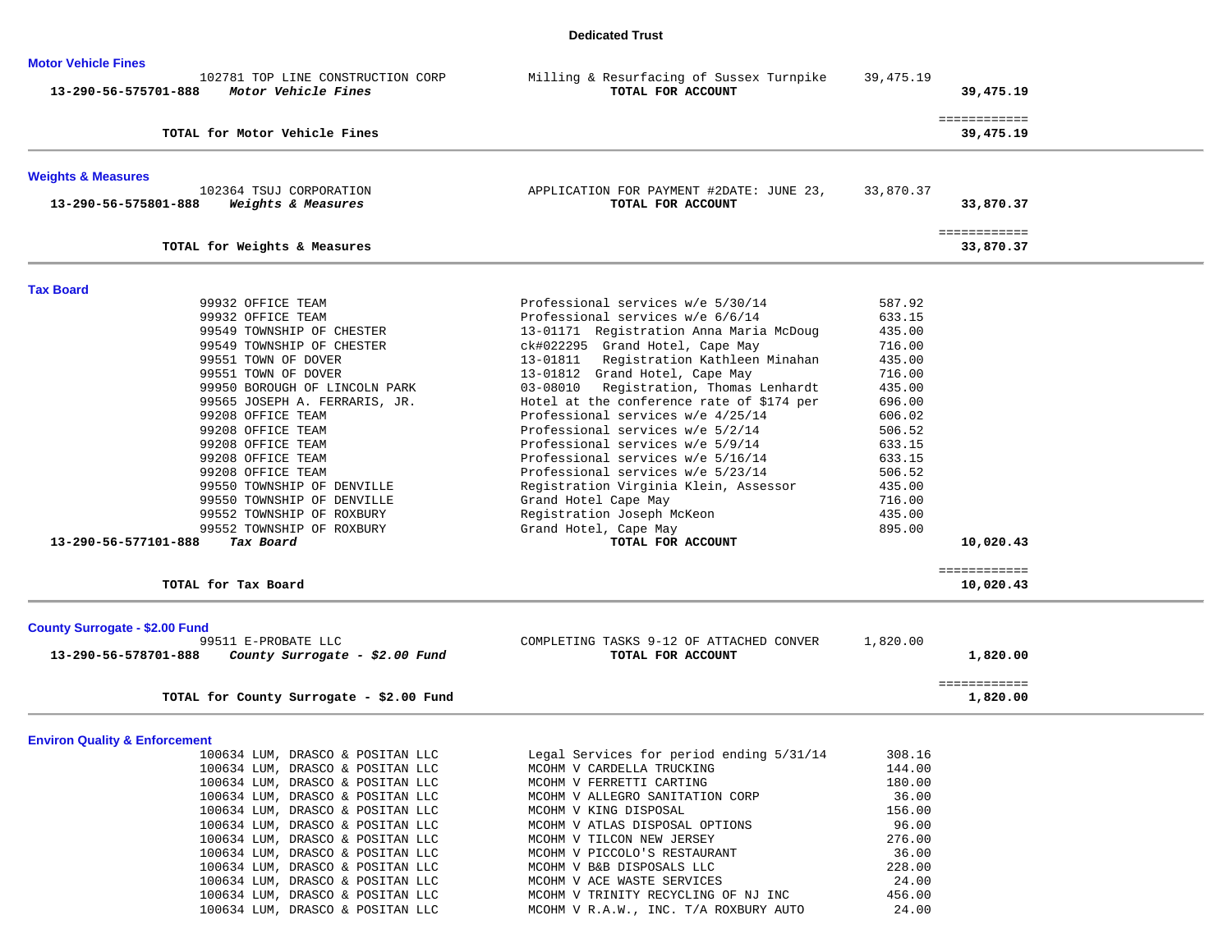## **Dedicated Trust**

| <b>Motor Vehicle Fines</b>                                                                                             |                                                                                                                          |                            |                           |
|------------------------------------------------------------------------------------------------------------------------|--------------------------------------------------------------------------------------------------------------------------|----------------------------|---------------------------|
| 102781 TOP LINE CONSTRUCTION CORP<br>13-290-56-575701-888<br>Motor Vehicle Fines                                       | Milling & Resurfacing of Sussex Turnpike<br>TOTAL FOR ACCOUNT                                                            | 39, 475. 19                | 39,475.19                 |
| TOTAL for Motor Vehicle Fines                                                                                          |                                                                                                                          |                            | ============<br>39,475.19 |
| <b>Weights &amp; Measures</b>                                                                                          |                                                                                                                          |                            |                           |
| 102364 TSUJ CORPORATION<br>Weights & Measures<br>13-290-56-575801-888                                                  | APPLICATION FOR PAYMENT #2DATE: JUNE 23,<br>TOTAL FOR ACCOUNT                                                            | 33,870.37                  | 33,870.37                 |
| TOTAL for Weights & Measures                                                                                           |                                                                                                                          |                            | ============<br>33,870.37 |
| <b>Tax Board</b>                                                                                                       |                                                                                                                          |                            |                           |
| 99932 OFFICE TEAM<br>99932 OFFICE TEAM<br>99549 TOWNSHIP OF CHESTER                                                    | Professional services w/e 5/30/14<br>Professional services w/e 6/6/14<br>13-01171 Registration Anna Maria McDoug         | 587.92<br>633.15<br>435.00 |                           |
| 99549 TOWNSHIP OF CHESTER<br>99551 TOWN OF DOVER<br>99551 TOWN OF DOVER                                                | ck#022295 Grand Hotel, Cape May<br>13-01811 Registration Kathleen Minahan<br>13-01812 Grand Hotel, Cape May              | 716.00<br>435.00<br>716.00 |                           |
| 99950 BOROUGH OF LINCOLN PARK<br>99565 JOSEPH A. FERRARIS, JR.<br>99208 OFFICE TEAM                                    | 03-08010 Registration, Thomas Lenhardt<br>Hotel at the conference rate of \$174 per<br>Professional services w/e 4/25/14 | 435.00<br>696.00<br>606.02 |                           |
| 99208 OFFICE TEAM<br>99208 OFFICE TEAM<br>99208 OFFICE TEAM                                                            | Professional services w/e 5/2/14<br>Professional services w/e 5/9/14<br>Professional services w/e 5/16/14                | 506.52<br>633.15<br>633.15 |                           |
| 99208 OFFICE TEAM<br>99550 TOWNSHIP OF DENVILLE<br>99550 TOWNSHIP OF DENVILLE                                          | Professional services w/e 5/23/14<br>Registration Virginia Klein, Assessor<br>Grand Hotel Cape May                       | 506.52<br>435.00<br>716.00 |                           |
| 99552 TOWNSHIP OF ROXBURY<br>99552 TOWNSHIP OF ROXBURY<br>13-290-56-577101-888<br>Tax Board                            | Registration Joseph McKeon<br>Grand Hotel, Cape May<br>TOTAL FOR ACCOUNT                                                 | 435.00<br>895.00           | 10,020.43                 |
| TOTAL for Tax Board                                                                                                    |                                                                                                                          |                            | ============<br>10,020.43 |
|                                                                                                                        |                                                                                                                          |                            |                           |
| <b>County Surrogate - \$2.00 Fund</b><br>99511 E-PROBATE LLC<br>County Surrogate - \$2.00 Fund<br>13-290-56-578701-888 | COMPLETING TASKS 9-12 OF ATTACHED CONVER<br>TOTAL FOR ACCOUNT                                                            | 1,820.00                   | 1,820.00                  |
| TOTAL for County Surrogate - \$2.00 Fund                                                                               |                                                                                                                          |                            | ============<br>1,820.00  |
| <b>Environ Quality &amp; Enforcement</b>                                                                               |                                                                                                                          |                            |                           |
| 100634 LUM, DRASCO & POSITAN LLC                                                                                       | Legal Services for period ending 5/31/14                                                                                 | 308.16                     |                           |
| 100634 LUM, DRASCO & POSITAN LLC                                                                                       | MCOHM V CARDELLA TRUCKING                                                                                                | 144.00                     |                           |
| 100634 LUM, DRASCO & POSITAN LLC                                                                                       | MCOHM V FERRETTI CARTING                                                                                                 | 180.00                     |                           |
| 100634 LUM, DRASCO & POSITAN LLC                                                                                       | MCOHM V ALLEGRO SANITATION CORP                                                                                          | 36.00                      |                           |
| 100634 LUM, DRASCO & POSITAN LLC                                                                                       | MCOHM V KING DISPOSAL                                                                                                    | 156.00                     |                           |
| 100634 LUM, DRASCO & POSITAN LLC                                                                                       | MCOHM V ATLAS DISPOSAL OPTIONS                                                                                           | 96.00                      |                           |
| 100634 LUM, DRASCO & POSITAN LLC<br>100634 LUM, DRASCO & POSITAN LLC                                                   | MCOHM V TILCON NEW JERSEY                                                                                                | 276.00<br>36.00            |                           |
|                                                                                                                        | MCOHM V PICCOLO'S RESTAURANT                                                                                             | 228.00                     |                           |
| 100634 LUM, DRASCO & POSITAN LLC<br>100634 LUM, DRASCO & POSITAN LLC                                                   | MCOHM V B&B DISPOSALS LLC<br>MCOHM V ACE WASTE SERVICES                                                                  | 24.00                      |                           |
| 100634 LUM, DRASCO & POSITAN LLC                                                                                       | MCOHM V TRINITY RECYCLING OF NJ INC                                                                                      | 456.00                     |                           |
| 100634 LUM, DRASCO & POSITAN LLC                                                                                       | MCOHM V R.A.W., INC. T/A ROXBURY AUTO                                                                                    | 24.00                      |                           |